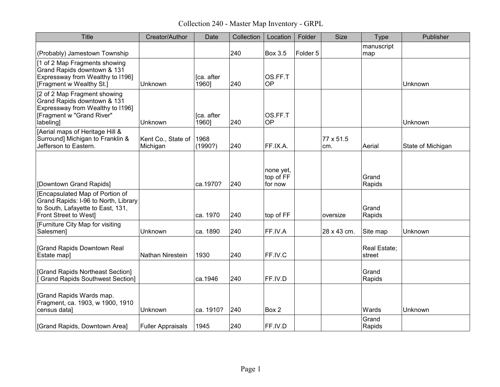Collection 240 - Master Map Inventory - GRPL

| <b>Title</b>                                                                                                                              | Creator/Author                 | Date                | Collection | Location                          | Folder   | <b>Size</b>      | <b>Type</b>            | Publisher         |
|-------------------------------------------------------------------------------------------------------------------------------------------|--------------------------------|---------------------|------------|-----------------------------------|----------|------------------|------------------------|-------------------|
| (Probably) Jamestown Township                                                                                                             |                                |                     | 240        | <b>Box 3.5</b>                    | Folder 5 |                  | manuscript<br>map      |                   |
| [1 of 2 Map Fragments showing<br>Grand Rapids downtown & 131<br>Expressway from Wealthy to I196]<br>[Fragment w Wealthy St.]              | Unknown                        | [ca. after<br>1960] | 240        | OS.FF.T<br><b>OP</b>              |          |                  |                        | Unknown           |
| [2 of 2 Map Fragment showing<br>Grand Rapids downtown & 131<br>Expressway from Wealthy to I196]<br>[Fragment w "Grand River"<br>labeling] | Unknown                        | [ca. after<br>1960] | 240        | OS.FF.T<br><b>OP</b>              |          |                  |                        | Unknown           |
| [Aerial maps of Heritage Hill &<br>Surround] Michigan to Franklin &<br>Jefferson to Eastern.                                              | Kent Co., State of<br>Michigan | 1968<br>(1990?)     | 240        | FF.IX.A.                          |          | 77 x 51.5<br>cm. | Aerial                 | State of Michigan |
| [Downtown Grand Rapids]                                                                                                                   |                                | ca.1970?            | 240        | none yet,<br>top of FF<br>for now |          |                  | Grand<br>Rapids        |                   |
| [Encapsulated Map of Portion of<br>Grand Rapids: I-96 to North, Library<br>to South, Lafayette to East, 131,<br>Front Street to West]     |                                | ca. 1970            | 240        | top of FF                         |          | oversize         | Grand<br>Rapids        |                   |
| [Furniture City Map for visiting<br>Salesmen]                                                                                             | Unknown                        | ca. 1890            | 240        | FF.IV.A                           |          | 28 x 43 cm.      | Site map               | Unknown           |
| [Grand Rapids Downtown Real<br>Estate map]                                                                                                | Nathan Nirestein               | 1930                | 240        | FF.IV.C                           |          |                  | Real Estate;<br>street |                   |
| [Grand Rapids Northeast Section]<br>Grand Rapids Southwest Section]                                                                       |                                | ca.1946             | 240        | FF.IV.D                           |          |                  | Grand<br>Rapids        |                   |
| [Grand Rapids Wards map.<br>Fragment, ca. 1903, w 1900, 1910<br>census data]                                                              | Unknown                        | ca. 1910?           | 240        | Box 2                             |          |                  | Wards                  | Unknown           |
| [Grand Rapids, Downtown Area]                                                                                                             | <b>Fuller Appraisals</b>       | 1945                | 240        | FF.IV.D                           |          |                  | Grand<br>Rapids        |                   |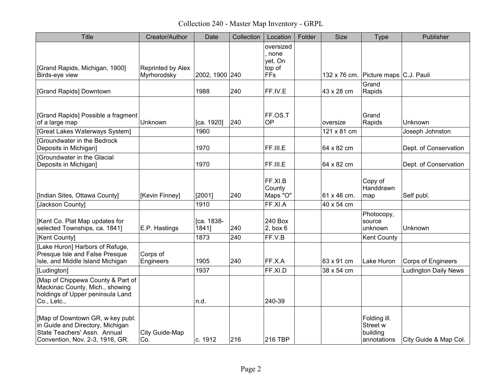Collection 240 - Master Map Inventory - GRPL

| <b>Title</b>                                                                                                                            | Creator/Author                   | Date                | Collection | Location                                               | Folder | <b>Size</b>             | <b>Type</b>                                         | Publisher                   |
|-----------------------------------------------------------------------------------------------------------------------------------------|----------------------------------|---------------------|------------|--------------------------------------------------------|--------|-------------------------|-----------------------------------------------------|-----------------------------|
| [Grand Rapids, Michigan, 1900]<br>Birds-eye view                                                                                        | Reprinted by Alex<br>Myrhorodsky | 2002, 1900 240      |            | oversized<br>. none<br>yet. On<br>top of<br><b>FFs</b> |        |                         | 132 x 76 cm. Picture maps C.J. Pauli                |                             |
| [Grand Rapids] Downtown                                                                                                                 |                                  | 1988                | 240        | FF.IV.E                                                |        | 43 x 28 cm              | Grand<br>Rapids                                     |                             |
| [Grand Rapids] Possible a fragment<br>of a large map<br>[Great Lakes Waterways System]                                                  | Unknown                          | [ca. 1920]<br>1960  | 240        | FF.OS.T<br>OP                                          |        | oversize<br>121 x 81 cm | Grand<br>Rapids                                     | Unknown                     |
| [Groundwater in the Bedrock                                                                                                             |                                  |                     |            |                                                        |        |                         |                                                     | Joseph Johnston             |
| Deposits in Michigan]                                                                                                                   |                                  | 1970                |            | FF.III.E                                               |        | 64 x 82 cm              |                                                     | Dept. of Conservation       |
| [Groundwater in the Glacial<br>Deposits in Michigan]                                                                                    |                                  | 1970                |            | FF.III.E                                               |        | 64 x 82 cm              |                                                     | Dept. of Conservation       |
| [Indian Sites, Ottawa County]                                                                                                           | [Kevin Finney]                   | [2001]              | 240        | FF.XI.B<br>County<br>Maps "O"                          |        | 61 x 46 cm.             | Copy of<br>Handdrawn<br>map                         | Self publ.                  |
| [Jackson County]                                                                                                                        |                                  | 1910                |            | FF.XI.A                                                |        | 40 x 54 cm              |                                                     |                             |
| [Kent Co. Plat Map updates for<br>selected Townships, ca. 1841]                                                                         | E.P. Hastings                    | [ca. 1838-<br>1841] | 240        | 240 Box<br>2, box6                                     |        |                         | Photocopy,<br>source<br>unknown                     | Unknown                     |
| [Kent County]                                                                                                                           |                                  | 1873                | 240        | FF.V.B                                                 |        |                         | <b>Kent County</b>                                  |                             |
| [Lake Huron] Harbors of Refuge,<br>Presque Isle and False Presque<br>Isle, and Middle Island Michigan                                   | Corps of<br>Engineers            | 1905                | 240        | FF.X.A                                                 |        | 63 x 91 cm              | Lake Huron                                          | <b>Corps of Engineers</b>   |
| [Ludington]                                                                                                                             |                                  | 1937                |            | FF.XI.D                                                |        | 38 x 54 cm              |                                                     | <b>Ludington Daily News</b> |
| [Map of Chippewa County & Part of<br>Mackinac County, Mich., showing<br>holdings of Upper peninsula Land<br>Co., Letc.,                 |                                  | n.d.                |            | 240-39                                                 |        |                         |                                                     |                             |
| [Map of Downtown GR, w key publ.<br>in Guide and Directory, Michigan<br>State Teachers' Assn. Annual<br>Convention, Nov. 2-3, 1916, GR. | City Guide-Map<br>Co.            | c. 1912             | 216        | 216 TBP                                                |        |                         | Folding ill.<br>Street w<br>building<br>annotations | City Guide & Map Col.       |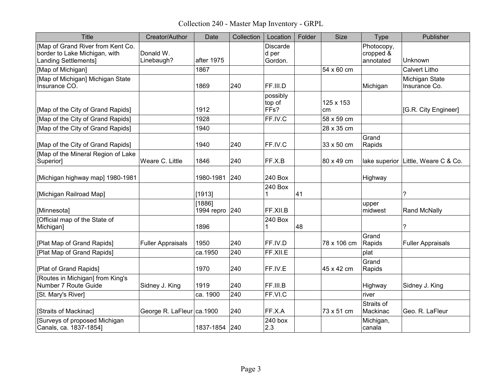Collection 240 - Master Map Inventory - GRPL

| <b>Title</b>                                                                               | Creator/Author               | Date                     | Collection | Location                               | Folder | <b>Size</b>     | Type                                 | Publisher                           |
|--------------------------------------------------------------------------------------------|------------------------------|--------------------------|------------|----------------------------------------|--------|-----------------|--------------------------------------|-------------------------------------|
| [Map of Grand River from Kent Co.<br>border to Lake Michigan, with<br>Landing Settlements] | Donald W.<br>Linebaugh?      | after 1975               |            | <b>Discarde</b><br>d per<br>Gordon.    |        |                 | Photocopy,<br>cropped &<br>annotated | Unknown                             |
| [Map of Michigan]                                                                          |                              | 1867                     |            |                                        |        | 54 x 60 cm      |                                      | <b>Calvert Litho</b>                |
| [Map of Michigan] Michigan State<br>Insurance CO.                                          |                              | 1869                     | 240        | FF.III.D                               |        |                 | Michigan                             | Michigan State<br>Insurance Co.     |
| [Map of the City of Grand Rapids]                                                          |                              | 1912                     |            | possibly<br>top of<br>FF <sub>s?</sub> |        | 125 x 153<br>cm |                                      | [G.R. City Engineer]                |
| [Map of the City of Grand Rapids]                                                          |                              | 1928                     |            | FF.IV.C                                |        | 58 x 59 cm      |                                      |                                     |
| [Map of the City of Grand Rapids]                                                          |                              | 1940                     |            |                                        |        | 28 x 35 cm      |                                      |                                     |
| [Map of the City of Grand Rapids]                                                          |                              | 1940                     | 240        | FF.IV.C                                |        | 33 x 50 cm      | Grand<br>Rapids                      |                                     |
| [Map of the Mineral Region of Lake<br>Superior]                                            | Weare C. Little              | 1846                     | 240        | FF.X.B                                 |        | 80 x 49 cm      |                                      | lake superior Little, Weare C & Co. |
| [Michigan highway map] 1980-1981                                                           |                              | 1980-1981                | 240        | 240 Box                                |        |                 | Highway                              |                                     |
| [Michigan Railroad Map]                                                                    |                              | [1913]                   |            | 240 Box<br>1                           | 41     |                 |                                      | ?                                   |
| [Minnesota]                                                                                |                              | [1886]<br>1994 repro 240 |            | FF.XII.B                               |        |                 | upper<br>midwest                     | <b>Rand McNally</b>                 |
| [Official map of the State of<br>Michigan]                                                 |                              | 1896                     |            | 240 Box<br>1                           | 48     |                 |                                      | ?                                   |
| [Plat Map of Grand Rapids]                                                                 | <b>Fuller Appraisals</b>     | 1950                     | 240        | FF.IV.D                                |        | 78 x 106 cm     | Grand<br>Rapids                      | <b>Fuller Appraisals</b>            |
| [Plat Map of Grand Rapids]                                                                 |                              | ca.1950                  | 240        | FF.XII.E                               |        |                 | plat                                 |                                     |
| [Plat of Grand Rapids]                                                                     |                              | 1970                     | 240        | FF.IV.E                                |        | 45 x 42 cm      | Grand<br>Rapids                      |                                     |
| [Routes in Michigan] from King's<br>Number 7 Route Guide                                   | Sidney J. King               | 1919                     | 240        | FF.III.B                               |        |                 | Highway                              | Sidney J. King                      |
| [St. Mary's River]                                                                         |                              | ca. 1900                 | 240        | FF.VI.C                                |        |                 | river                                |                                     |
| [Straits of Mackinac]                                                                      | George R. LaFleur   ca. 1900 |                          | 240        | FF.X.A                                 |        | 73 x 51 cm      | Straits of<br>Mackinac               | Geo. R. LaFleur                     |
| [Surveys of proposed Michigan<br>Canals, ca. 1837-1854]                                    |                              | 1837-1854 240            |            | 240 box<br>2.3                         |        |                 | Michigan,<br>canala                  |                                     |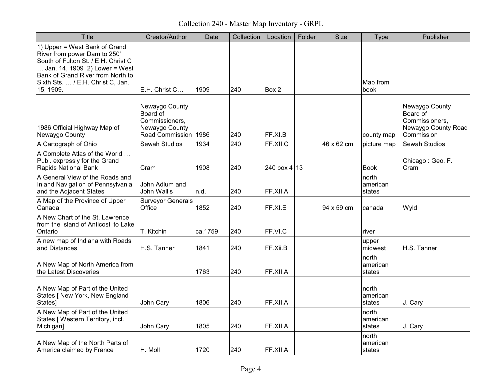Collection 240 - Master Map Inventory - GRPL

| <b>Title</b>                                                                                                                                                                                                                 | Creator/Author                                                                         | Date    | Collection | Location       | Folder | <b>Size</b> | Type                        | Publisher                                                                         |
|------------------------------------------------------------------------------------------------------------------------------------------------------------------------------------------------------------------------------|----------------------------------------------------------------------------------------|---------|------------|----------------|--------|-------------|-----------------------------|-----------------------------------------------------------------------------------|
| 1) Upper = West Bank of Grand<br>River from power Dam to 250'<br>South of Fulton St. / E.H. Christ C<br>Jan. 14, 1909 2) Lower = West<br>Bank of Grand River from North to<br>Sixth Sts.  / E.H. Christ C, Jan.<br>15, 1909. | E.H. Christ C                                                                          | 1909    | 240        | Box 2          |        |             | Map from<br>book            |                                                                                   |
| 1986 Official Highway Map of<br>Newaygo County                                                                                                                                                                               | Newaygo County<br>Board of<br>Commissioners,<br>Newaygo County<br>Road Commission 1986 |         | 240        | FF.XI.B        |        |             | county map                  | Newaygo County<br>Board of<br>Commissioners,<br>Newaygo County Road<br>Commission |
| A Cartograph of Ohio                                                                                                                                                                                                         | Sewah Studios                                                                          | 1934    | 240        | FF.XII.C       |        | 46 x 62 cm  | picture map                 | <b>Sewah Studios</b>                                                              |
| A Complete Atlas of the World<br>Publ. expressly for the Grand<br><b>Rapids National Bank</b>                                                                                                                                | Cram                                                                                   | 1908    | 240        | 240 box $4 13$ |        |             | Book                        | Chicago: Geo. F.<br>Cram                                                          |
| A General View of the Roads and<br>Inland Navigation of Pennsylvania<br>and the Adjacent States                                                                                                                              | John Adlum and<br>John Wallis                                                          | In.d.   | 240        | FF.XII.A       |        |             | north<br>american<br>states |                                                                                   |
| A Map of the Province of Upper<br>Canada                                                                                                                                                                                     | <b>Surveyor Generals</b><br>Office                                                     | 1852    | 240        | FF.XI.E        |        | 94 x 59 cm  | canada                      | Wyld                                                                              |
| A New Chart of the St. Lawrence<br>from the Island of Anticosti to Lake<br>Ontario                                                                                                                                           | T. Kitchin                                                                             | ca.1759 | 240        | FF.VI.C        |        |             | river                       |                                                                                   |
| A new map of Indiana with Roads<br>and Distances                                                                                                                                                                             | H.S. Tanner                                                                            | 1841    | 240        | FF.Xii.B       |        |             | upper<br>midwest            | H.S. Tanner                                                                       |
| A New Map of North America from<br>the Latest Discoveries                                                                                                                                                                    |                                                                                        | 1763    | 240        | FF.XII.A       |        |             | north<br>american<br>states |                                                                                   |
| A New Map of Part of the United<br>States [ New York, New England<br>States]                                                                                                                                                 | John Cary                                                                              | 1806    | 240        | FF.XII.A       |        |             | north<br>american<br>states | J. Cary                                                                           |
| A New Map of Part of the United<br>States [ Western Territory, incl.<br>Michigan]                                                                                                                                            | John Cary                                                                              | 1805    | 240        | FF.XII.A       |        |             | north<br>american<br>states | J. Cary                                                                           |
| A New Map of the North Parts of<br>America claimed by France                                                                                                                                                                 | H. Moll                                                                                | 1720    | 240        | FF.XII.A       |        |             | north<br>american<br>states |                                                                                   |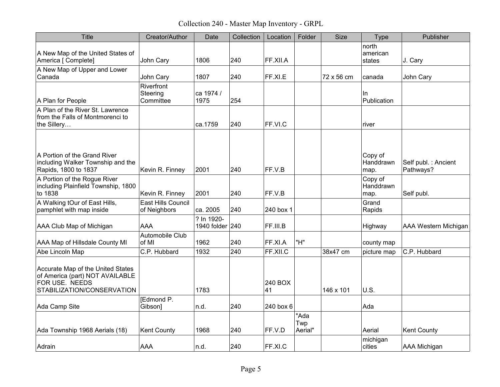Collection 240 - Master Map Inventory - GRPL

| <b>Title</b>                                                                                                         | Creator/Author                      | Date                          | Collection | Location      | Folder                 | Size       | <b>Type</b>                  | Publisher                         |
|----------------------------------------------------------------------------------------------------------------------|-------------------------------------|-------------------------------|------------|---------------|------------------------|------------|------------------------------|-----------------------------------|
| A New Map of the United States of<br>America [ Complete]                                                             | John Cary                           | 1806                          | 240        | FF.XII.A      |                        |            | north<br>american<br>states  | J. Cary                           |
| A New Map of Upper and Lower<br>Canada                                                                               | John Cary                           | 1807                          | 240        | FF.XI.E       |                        | 72 x 56 cm | canada                       | John Cary                         |
| A Plan for People                                                                                                    | Riverfront<br>Steering<br>Committee | ca 1974 /<br>1975             | 254        |               |                        |            | In.<br>Publication           |                                   |
| A Plan of the River St. Lawrence<br>from the Falls of Montmorenci to<br>the Sillery                                  |                                     | ca.1759                       | 240        | FF.VI.C       |                        |            | river                        |                                   |
| A Portion of the Grand River<br>including Walker Township and the<br>Rapids, 1800 to 1837                            | Kevin R. Finney                     | 2001                          | 240        | FF.V.B        |                        |            | Copy of<br>Handdrawn<br>map. | Self publ. : Ancient<br>Pathways? |
| A Portion of the Rogue River<br>including Plainfield Township, 1800<br>to 1838                                       | Kevin R. Finney                     | 2001                          | 240        | FF.V.B        |                        |            | Copy of<br>Handdrawn<br>map. | Self publ.                        |
| A Walking tOur of East Hills,<br>pamphlet with map inside                                                            | East Hills Council<br>of Neighbors  | ca. 2005                      | 240        | 240 box 1     |                        |            | Grand<br>Rapids              |                                   |
| AAA Club Map of Michigan                                                                                             | <b>AAA</b>                          | ? In 1920-<br>1940 folder 240 |            | FF.III.B      |                        |            | Highway                      | <b>AAA Western Michigan</b>       |
| AAA Map of Hillsdale County MI                                                                                       | Automobile Club<br>of MI            | 1962                          | 240        | FF.XI.A       | "H"                    |            | county map                   |                                   |
| Abe Lincoln Map                                                                                                      | C.P. Hubbard                        | 1932                          | 240        | FF.XII.C      |                        | 38x47 cm   | picture map                  | C.P. Hubbard                      |
| Accurate Map of the United States<br>of America (part) NOT AVAILABLE<br>FOR USE. NEEDS<br>STABILIZATION/CONSERVATION |                                     | 1783                          |            | 240 BOX<br>41 |                        | 146 x 101  | <b>U.S.</b>                  |                                   |
| Ada Camp Site                                                                                                        | [Edmond P.<br>Gibson]               | n.d.                          | 240        | 240 box 6     |                        |            | Ada                          |                                   |
| Ada Township 1968 Aerials (18)                                                                                       | <b>Kent County</b>                  | 1968                          | 240        | FF.V.D        | "Ada<br>Twp<br>Aerial" |            | Aerial                       | <b>Kent County</b>                |
| Adrain                                                                                                               | <b>AAA</b>                          | n.d.                          | 240        | FF.XI.C       |                        |            | michigan<br>cities           | <b>AAA Michigan</b>               |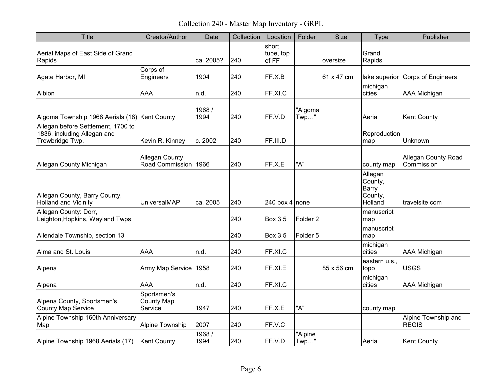Collection 240 - Master Map Inventory - GRPL

| <b>Title</b>                                                                         | Creator/Author                                | Date           | Collection | Location                    | Folder              | <b>Size</b> | Type                                              | Publisher                                |
|--------------------------------------------------------------------------------------|-----------------------------------------------|----------------|------------|-----------------------------|---------------------|-------------|---------------------------------------------------|------------------------------------------|
| Aerial Maps of East Side of Grand<br>Rapids                                          |                                               | ca. 2005?      | 240        | short<br>tube, top<br>of FF |                     | oversize    | Grand<br>Rapids                                   |                                          |
| Agate Harbor, MI                                                                     | Corps of<br>Engineers                         | 1904           | 240        | FF.X.B                      |                     | 61 x 47 cm  | lake superior                                     | Corps of Engineers                       |
| Albion                                                                               | AAA                                           | n.d.           | 240        | FF.XI.C                     |                     |             | michigan<br>cities                                | <b>AAA Michigan</b>                      |
| Algoma Township 1968 Aerials (18) Kent County                                        |                                               | 1968/<br>1994  | 240        | FF.V.D                      | "Algoma<br>$Twp$ "  |             | Aerial                                            | <b>Kent County</b>                       |
| Allegan before Settlement, 1700 to<br>1836, including Allegan and<br>Trowbridge Twp. | Kevin R. Kinney                               | c. 2002        | 240        | FF.III.D                    |                     |             | Reproduction<br>map                               | Unknown                                  |
| Allegan County Michigan                                                              | <b>Allegan County</b><br>Road Commission 1966 |                | 240        | FF.X.E                      | "A"                 |             | county map                                        | <b>Allegan County Road</b><br>Commission |
| Allegan County, Barry County,<br><b>Holland and Vicinity</b>                         | UniversalMAP                                  | ca. 2005       | 240        | 240 box 4 none              |                     |             | Allegan<br>County,<br>Barry<br>County,<br>Holland | travelsite.com                           |
| Allegan County: Dorr,<br>Leighton, Hopkins, Wayland Twps.                            |                                               |                | 240        | Box 3.5                     | Folder <sub>2</sub> |             | manuscript<br>map                                 |                                          |
| Allendale Township, section 13                                                       |                                               |                | 240        | <b>Box 3.5</b>              | Folder <sub>5</sub> |             | manuscript<br>map                                 |                                          |
| Alma and St. Louis                                                                   | AAA                                           | n.d.           | 240        | FF.XI.C                     |                     |             | michigan<br>cities                                | <b>AAA Michigan</b>                      |
| Alpena                                                                               | Army Map Service                              | 1958           | 240        | FF.XI.E                     |                     | 85 x 56 cm  | eastern u.s.,<br>topo                             | <b>USGS</b>                              |
| Alpena                                                                               | <b>AAA</b>                                    | n.d.           | 240        | FF.XI.C                     |                     |             | michigan<br>cities                                | <b>AAA Michigan</b>                      |
| Alpena County, Sportsmen's<br><b>County Map Service</b>                              | Sportsmen's<br><b>County Map</b><br>Service   | 1947           | 240        | FF.X.E                      | "A"                 |             | county map                                        |                                          |
| Alpine Township 160th Anniversary<br>Map                                             | Alpine Township                               | 2007           | 240        | FF.V.C                      |                     |             |                                                   | Alpine Township and<br><b>REGIS</b>      |
| Alpine Township 1968 Aerials (17)                                                    | <b>Kent County</b>                            | 1968 /<br>1994 | 240        | FF.V.D                      | "Alpine<br>$Twp$ "  |             | Aerial                                            | <b>Kent County</b>                       |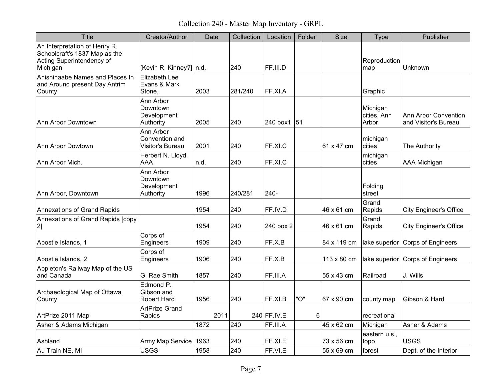Collection 240 - Master Map Inventory - GRPL

| <b>Title</b>                                                                                            | Creator/Author                                    | Date | Collection | Location    | Folder | <b>Size</b> | <b>Type</b>                      | Publisher                                           |
|---------------------------------------------------------------------------------------------------------|---------------------------------------------------|------|------------|-------------|--------|-------------|----------------------------------|-----------------------------------------------------|
| An Interpretation of Henry R.<br>Schoolcraft's 1837 Map as the<br>Acting Superintendency of<br>Michigan | [Kevin R. Kinney?] $ n.d.$                        |      | 240        | FF.III.D    |        |             | Reproduction<br>map              | Unknown                                             |
| Anishinaabe Names and Places In<br>and Around present Day Antrim<br>County                              | <b>Elizabeth Lee</b><br>Evans & Mark<br>Stone,    | 2003 | 281/240    | FF.XI.A     |        |             | Graphic                          |                                                     |
| Ann Arbor Downtown                                                                                      | Ann Arbor<br>Downtown<br>Development<br>Authority | 2005 | 240        | 240 box1    | 51     |             | Michigan<br>cities, Ann<br>Arbor | <b>Ann Arbor Convention</b><br>and Visitor's Bureau |
| Ann Arbor Dowtown                                                                                       | Ann Arbor<br>Convention and<br>Visitor's Bureau   | 2001 | 240        | FF.XI.C     |        | 61 x 47 cm  | michigan<br>cities               | The Authority                                       |
| Ann Arbor Mich.                                                                                         | Herbert N. Lloyd,<br><b>AAA</b>                   | n.d. | 240        | FF.XI.C     |        |             | michigan<br>cities               | AAA Michigan                                        |
| Ann Arbor, Downtown                                                                                     | Ann Arbor<br>Downtown<br>Development<br>Authority | 1996 | 240/281    | 240-        |        |             | Folding<br>street                |                                                     |
| <b>Annexations of Grand Rapids</b>                                                                      |                                                   | 1954 | 240        | FF.IV.D     |        | 46 x 61 cm  | Grand<br>Rapids                  | <b>City Engineer's Office</b>                       |
| Annexations of Grand Rapids [copy<br>2]                                                                 |                                                   | 1954 | 240        | 240 box 2   |        | 46 x 61 cm  | Grand<br>Rapids                  | <b>City Engineer's Office</b>                       |
| Apostle Islands, 1                                                                                      | Corps of<br>Engineers                             | 1909 | 240        | FF.X.B      |        | 84 x 119 cm | lake superior                    | <b>Corps of Engineers</b>                           |
| Apostle Islands, 2                                                                                      | Corps of<br>Engineers                             | 1906 | 240        | FF.X.B      |        | 113 x 80 cm | lake superior                    | Corps of Engineers                                  |
| Appleton's Railway Map of the US<br>and Canada                                                          | G. Rae Smith                                      | 1857 | 240        | FF.III.A    |        | 55 x 43 cm  | Railroad                         | J. Wills                                            |
| Archaeological Map of Ottawa<br>County                                                                  | Edmond P.<br>Gibson and<br>Robert Hard            | 1956 | 240        | FF.XI.B     | "O"    | 67 x 90 cm  | county map                       | Gibson & Hard                                       |
| ArtPrize 2011 Map                                                                                       | <b>ArtPrize Grand</b><br>Rapids                   | 2011 |            | 240 FF.IV.E | 6      |             | recreational                     |                                                     |
| Asher & Adams Michigan                                                                                  |                                                   | 1872 | 240        | FF.III.A    |        | 45 x 62 cm  | Michigan                         | Asher & Adams                                       |
| Ashland                                                                                                 | Army Map Service                                  | 1963 | 240        | FF.XI.E     |        | 73 x 56 cm  | eastern u.s.,<br>topo            | <b>USGS</b>                                         |
| Au Train NE, MI                                                                                         | <b>USGS</b>                                       | 1958 | 240        | FF.VI.E     |        | 55 x 69 cm  | forest                           | Dept. of the Interior                               |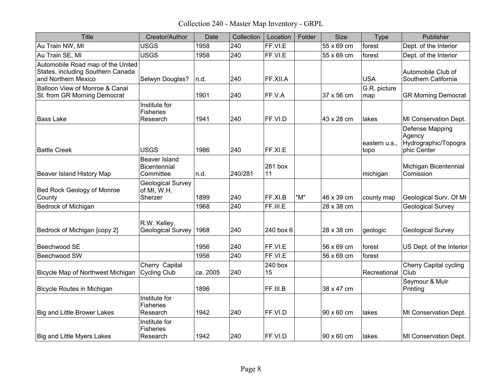Collection 240 - Master Map Inventory - GRPL

| <b>Title</b>                                                                                  | Creator/Author                                     | Date     | Collection | Location      | Folder | <b>Size</b> | <b>Type</b>           | Publisher                                                        |
|-----------------------------------------------------------------------------------------------|----------------------------------------------------|----------|------------|---------------|--------|-------------|-----------------------|------------------------------------------------------------------|
| Au Train NW, MI                                                                               | <b>USGS</b>                                        | 1958     | 240        | FF.VI.E       |        | 55 x 69 cm  | forest                | Dept. of the Interior                                            |
| Au Train SE, MI                                                                               | <b>USGS</b>                                        | 1958     | 240        | FF.VI.E       |        | 55 x 69 cm  | forest                | Dept. of the Interior                                            |
| Automobile Road map of the United<br>States, including Southern Canada<br>and Northern Mexico | Selwyn Douglas?                                    | n.d.     | 240        | FF.XII.A      |        |             | <b>USA</b>            | Automobile Club of<br>Southern California                        |
| Balloon View of Monroe & Canal<br>St. from GR Morning Democrat                                |                                                    | 1901     | 240        | FF.V.A        |        | 37 x 56 cm  | G.R. picture<br>map   | <b>GR Morning Democrat</b>                                       |
| <b>Bass Lake</b>                                                                              | Institute for<br><b>Fisheries</b><br>Research      | 1941     | 240        | FF.VI.D       |        | 43 x 28 cm  | lakes                 | MI Conservation Dept.                                            |
| <b>Battle Creek</b>                                                                           | <b>USGS</b>                                        | 1986     | 240        | FF.XI.E       |        |             | eastern u.s.,<br>topo | Defense Mapping<br>Agency<br>Hydrographic/Topogra<br>phic Center |
| Beaver Island History Map                                                                     | <b>Beaver Island</b><br>Bicentennial<br>Committee  | n.d.     | 240/281    | 281 box<br>11 |        |             | michigan              | Michigan Bicentennial<br>Comission                               |
| Bed Rock Geology of Monroe<br>County                                                          | <b>Geological Survey</b><br>of MI, W.H.<br>Sherzer | 1899     | 240        | FF.XI.B       | "M"    | 46 x 39 cm  | county map            | Geological Surv. Of MI                                           |
| Bedrock of Michigan                                                                           |                                                    | 1968     | 240        | FF.III.E      |        | 28 x 38 cm  |                       | <b>Geological Survey</b>                                         |
| Bedrock of Michigan [copy 2]                                                                  | R.W. Kelley,<br><b>Geological Survey</b>           | 1968     | 240        | 240 box 6     |        | 28 x 38 cm  | geologic              | Geological Survey                                                |
| Beechwood SE                                                                                  |                                                    | 1956     | 240        | FF.VI.E       |        | 56 x 69 cm  | forest                | US Dept. of the Interior                                         |
| Beechwood SW                                                                                  |                                                    | 1956     | 240        | FF.VI.E       |        | 56 x 69 cm  | forest                |                                                                  |
| Bicycle Map of Northwest Michigan                                                             | Cherry Capital<br>Cycling Club                     | ca. 2005 | 240        | 240 box<br>15 |        |             | Recreational          | <b>Cherry Capital cycling</b><br>Club                            |
| <b>Bicycle Routes in Michigan</b>                                                             |                                                    | 1896     |            | FF.III.B      |        | 38 x 47 cm  |                       | Seymour & Muir<br>Printing                                       |
| <b>Big and Little Brower Lakes</b>                                                            | Institute for<br><b>Fisheries</b><br>Research      | 1942     | 240        | FF.VI.D       |        | 90 x 60 cm  | lakes                 | MI Conservation Dept.                                            |
| <b>Big and Little Myers Lakes</b>                                                             | Institute for<br><b>Fisheries</b><br>Research      | 1942     | 240        | FF.VI.D       |        | 90 x 60 cm  | lakes                 | MI Conservation Dept.                                            |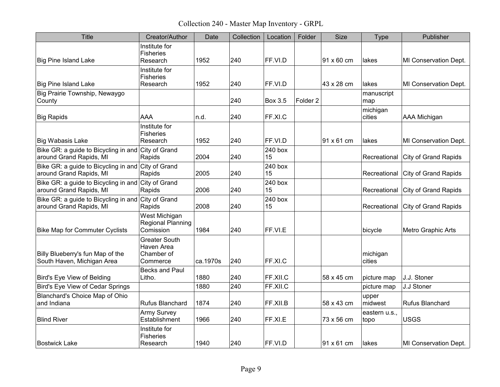Collection 240 - Master Map Inventory - GRPL

| <b>Title</b>                                                                  | Creator/Author                                               | Date     | Collection | Location       | Folder              | <b>Size</b>       | Type                  | Publisher                   |
|-------------------------------------------------------------------------------|--------------------------------------------------------------|----------|------------|----------------|---------------------|-------------------|-----------------------|-----------------------------|
| <b>Big Pine Island Lake</b>                                                   | Institute for<br><b>Fisheries</b><br>Research                | 1952     | 240        | FF.VI.D        |                     | $91 \times 60$ cm | lakes                 | MI Conservation Dept.       |
|                                                                               | Institute for                                                |          |            |                |                     |                   |                       |                             |
| <b>Big Pine Island Lake</b>                                                   | <b>Fisheries</b><br>Research                                 | 1952     | 240        | FF.VI.D        |                     | 43 x 28 cm        | lakes                 | MI Conservation Dept.       |
| Big Prairie Township, Newaygo<br>County                                       |                                                              |          | 240        | <b>Box 3.5</b> | Folder <sub>2</sub> |                   | manuscript<br>map     |                             |
| <b>Big Rapids</b>                                                             | AAA                                                          | n.d.     | 240        | FF.XI.C        |                     |                   | michigan<br>cities    | <b>AAA Michigan</b>         |
| <b>Big Wabasis Lake</b>                                                       | Institute for<br><b>Fisheries</b><br>Research                | 1952     | 240        | FF.VI.D        |                     | 91 x 61 cm        | lakes                 | MI Conservation Dept.       |
| Bike GR: a guide to Bicycling in and City of Grand<br>around Grand Rapids, MI | Rapids                                                       | 2004     | 240        | 240 box<br>15  |                     |                   | Recreational          | City of Grand Rapids        |
| Bike GR: a guide to Bicycling in and City of Grand<br>around Grand Rapids, MI | Rapids                                                       | 2005     | 240        | 240 box<br>15  |                     |                   | Recreational          | <b>City of Grand Rapids</b> |
| Bike GR: a guide to Bicycling in and City of Grand<br>around Grand Rapids, MI | Rapids                                                       | 2006     | 240        | 240 box<br>15  |                     |                   | Recreational          | City of Grand Rapids        |
| Bike GR: a guide to Bicycling in and City of Grand<br>around Grand Rapids, MI | Rapids                                                       | 2008     | 240        | 240 box<br>15  |                     |                   | Recreational          | City of Grand Rapids        |
| <b>Bike Map for Commuter Cyclists</b>                                         | West Michigan<br><b>Regional Planning</b><br>Comission       | 1984     | 240        | FF.VI.E        |                     |                   | bicycle               | Metro Graphic Arts          |
| Billy Blueberry's fun Map of the<br>South Haven, Michigan Area                | <b>Greater South</b><br>Haven Area<br>Chamber of<br>Commerce | ca.1970s | 240        | FF.XI.C        |                     |                   | michigan<br>cities    |                             |
| Bird's Eye View of Belding                                                    | Becks and Paul<br>Litho.                                     | 1880     | 240        | FF.XII.C       |                     | 58 x 45 cm        | picture map           | J.J. Stoner                 |
| <b>Bird's Eye View of Cedar Springs</b>                                       |                                                              | 1880     | 240        | FF.XII.C       |                     |                   | picture map           | J.J Stoner                  |
| Blanchard's Choice Map of Ohio<br>and Indiana                                 | Rufus Blanchard                                              | 1874     | 240        | FF.XII.B       |                     | 58 x 43 cm        | upper<br>midwest      | <b>Rufus Blanchard</b>      |
| <b>Blind River</b>                                                            | <b>Army Survey</b><br>Establishment                          | 1966     | 240        | FF.XI.E        |                     | 73 x 56 cm        | eastern u.s.,<br>topo | <b>USGS</b>                 |
| <b>Bostwick Lake</b>                                                          | Institute for<br>Fisheries<br>Research                       | 1940     | 240        | FF.VI.D        |                     | 91 x 61 cm        | llakes                | MI Conservation Dept.       |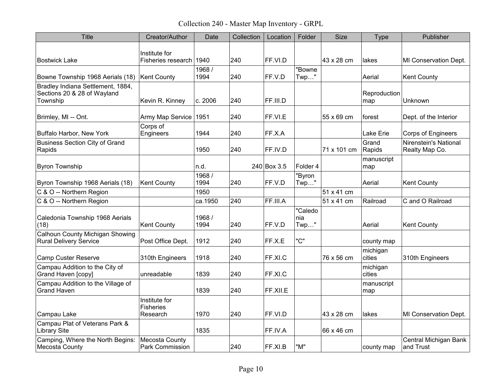Collection 240 - Master Map Inventory - GRPL

| <b>Title</b>                                                                 | Creator/Author                                | Date           | Collection | Location    | Folder                 | <b>Size</b> | <b>Type</b>         | Publisher                               |
|------------------------------------------------------------------------------|-----------------------------------------------|----------------|------------|-------------|------------------------|-------------|---------------------|-----------------------------------------|
| <b>Bostwick Lake</b>                                                         | Institute for<br>Fisheries research l         | 1940           | 240        | FF.VI.D     |                        | 43 x 28 cm  | lakes               | MI Conservation Dept.                   |
| Bowne Township 1968 Aerials (18)                                             | <b>Kent County</b>                            | 1968 /<br>1994 | 240        | FF.V.D      | "Bowne<br>$Twp$ "      |             | Aerial              | <b>Kent County</b>                      |
| Bradley Indiana Settlement, 1884,<br>Sections 20 & 28 of Wayland<br>Township | Kevin R. Kinney                               | c. 2006        | 240        | FF.III.D    |                        |             | Reproduction<br>map | Unknown                                 |
| Brimley, MI -- Ont.                                                          | Army Map Service                              | 1951           | 240        | FF.VI.E     |                        | 55 x 69 cm  | forest              | Dept. of the Interior                   |
| Buffalo Harbor, New York                                                     | Corps of<br>Engineers                         | 1944           | 240        | FF.X.A      |                        |             | Lake Erie           | <b>Corps of Engineers</b>               |
| <b>Business Section City of Grand</b><br>Rapids                              |                                               | 1950           | 240        | FF.IV.D     |                        | 71 x 101 cm | Grand<br>Rapids     | Nirenstein's National<br>Realty Map Co. |
| <b>Byron Township</b>                                                        |                                               | n.d.           |            | 240 Box 3.5 | Folder 4               |             | manuscript<br>map   |                                         |
| Byron Township 1968 Aerials (18)                                             | <b>Kent County</b>                            | 1968 /<br>1994 | 240        | FF.V.D      | "Byron<br>$Twp$ "      |             | Aerial              | <b>Kent County</b>                      |
| C & O -- Northern Region                                                     |                                               | 1950           |            |             |                        | 51 x 41 cm  |                     |                                         |
| C & O -- Northern Region                                                     |                                               | ca.1950        | 240        | FF.III.A    |                        | 51 x 41 cm  | Railroad            | C and O Railroad                        |
| Caledonia Township 1968 Aerials<br>(18)                                      | <b>Kent County</b>                            | 1968 /<br>1994 | 240        | FF.V.D      | "Caledo<br>nia<br>Twp" |             | Aerial              | <b>Kent County</b>                      |
| <b>Calhoun County Michigan Showing</b><br><b>Rural Delivery Service</b>      | Post Office Dept.                             | 1912           | 240        | FF.X.E      | "C"                    |             | county map          |                                         |
| <b>Camp Custer Reserve</b>                                                   | 310th Engineers                               | 1918           | 240        | FF.XI.C     |                        | 76 x 56 cm  | michigan<br>cities  | 310th Engineers                         |
| Campau Addition to the City of<br>Grand Haven [copy]                         | unreadable                                    | 1839           | 240        | FF.XI.C     |                        |             | michigan<br>cities  |                                         |
| Campau Addition to the Village of<br><b>Grand Haven</b>                      |                                               | 1839           | 240        | FF.XII.E    |                        |             | manuscript<br>map   |                                         |
| Campau Lake                                                                  | Institute for<br><b>Fisheries</b><br>Research | 1970           | 240        | FF.VI.D     |                        | 43 x 28 cm  | lakes               | MI Conservation Dept.                   |
| Campau Plat of Veterans Park &<br><b>Library Site</b>                        |                                               | 1835           |            | FF.IV.A     |                        | 66 x 46 cm  |                     |                                         |
| Camping, Where the North Begins:<br>Mecosta County                           | Mecosta County<br>Park Commission             |                | 240        | FF.XI.B     | "M"                    |             | county map          | Central Michigan Bank<br>and Trust      |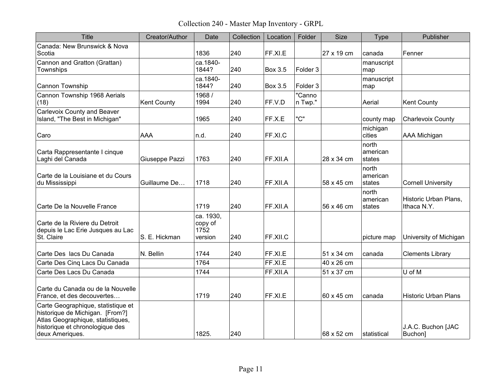Collection 240 - Master Map Inventory - GRPL

| <b>Title</b>                                                                                                                                                     | Creator/Author     | Date                                    | Collection | Location       | Folder              | <b>Size</b> | <b>Type</b>                 | Publisher                            |
|------------------------------------------------------------------------------------------------------------------------------------------------------------------|--------------------|-----------------------------------------|------------|----------------|---------------------|-------------|-----------------------------|--------------------------------------|
| Canada: New Brunswick & Nova<br>Scotia                                                                                                                           |                    | 1836                                    | 240        | FF.XI.E        |                     | 27 x 19 cm  | canada                      | Fenner                               |
| Cannon and Gratton (Grattan)<br>Townships                                                                                                                        |                    | ca.1840-<br>1844?                       | 240        | <b>Box 3.5</b> | Folder 3            |             | manuscript<br>map           |                                      |
| Cannon Township                                                                                                                                                  |                    | ca.1840-<br>1844?                       | 240        | Box 3.5        | Folder <sub>3</sub> |             | manuscript<br>map           |                                      |
| Cannon Township 1968 Aerials<br>(18)                                                                                                                             | <b>Kent County</b> | 1968 /<br>1994                          | 240        | FF.V.D         | "Canno<br>n Twp."   |             | Aerial                      | <b>Kent County</b>                   |
| Carlevoix County and Beaver<br>Island, "The Best in Michigan"                                                                                                    |                    | 1965                                    | 240        | FF.X.E         | "C"                 |             | county map                  | <b>Charlevoix County</b>             |
| Caro                                                                                                                                                             | <b>AAA</b>         | n.d.                                    | 240        | FF.XI.C        |                     |             | michigan<br>cities          | <b>AAA Michigan</b>                  |
| Carta Rappresentante I cinque<br>Laghi del Canada                                                                                                                | Giuseppe Pazzi     | 1763                                    | 240        | FF.XII.A       |                     | 28 x 34 cm  | north<br>american<br>states |                                      |
| Carte de la Louisiane et du Cours<br>du Mississippi                                                                                                              | Guillaume De       | 1718                                    | 240        | FF.XII.A       |                     | 58 x 45 cm  | north<br>american<br>states | <b>Cornell University</b>            |
| Carte De la Nouvelle France                                                                                                                                      |                    | 1719                                    | 240        | FF.XII.A       |                     | 56 x 46 cm  | north<br>american<br>states | Historic Urban Plans.<br>Ithaca N.Y. |
| Carte de la Riviere du Detroit<br>depuis le Lac Erie Jusques au Lac<br>St. Claire                                                                                | S. E. Hickman      | ca. 1930,<br>copy of<br>1752<br>version | 240        | FF.XII.C       |                     |             | picture map                 | University of Michigan               |
| Carte Des lacs Du Canada                                                                                                                                         | N. Bellin          | 1744                                    | 240        | FF.XI.E        |                     | 51 x 34 cm  | canada                      | <b>Clements Library</b>              |
| Carte Des Cinq Lacs Du Canada                                                                                                                                    |                    | 1764                                    |            | FF.XI.E        |                     | 40 x 26 cm  |                             |                                      |
| Carte Des Lacs Du Canada                                                                                                                                         |                    | 1744                                    |            | FF.XII.A       |                     | 51 x 37 cm  |                             | U of M                               |
| Carte du Canada ou de la Nouvelle<br>France, et des decouvertes                                                                                                  |                    | 1719                                    | 240        | FF.XLE         |                     | 60 x 45 cm  | canada                      | <b>Historic Urban Plans</b>          |
| Carte Geographique, statistique et<br>historique de Michigan. [From?]<br>Atlas Geographique, statistiques,<br>historique et chronologique des<br>deux Ameriques. |                    | 1825.                                   | 240        |                |                     | 68 x 52 cm  | ∣statistical                | J.A.C. Buchon [JAC<br>Buchon]        |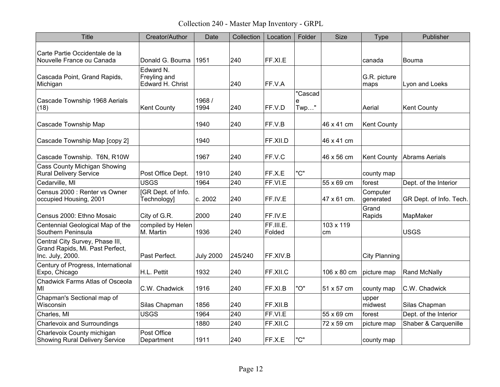Collection 240 - Master Map Inventory - GRPL

| <b>Title</b>                                                                           | Creator/Author                                | Date             | Collection | Location            | Folder               | <b>Size</b>     | <b>Type</b>           | Publisher               |
|----------------------------------------------------------------------------------------|-----------------------------------------------|------------------|------------|---------------------|----------------------|-----------------|-----------------------|-------------------------|
| Carte Partie Occidentale de la<br>Nouvelle France ou Canada                            | Donald G. Bouma                               | 1951             | 240        | FF.XI.E             |                      |                 | canada                | <b>Bouma</b>            |
| Cascada Point, Grand Rapids,<br>Michigan                                               | Edward N.<br>Freyling and<br>Edward H. Christ |                  | 240        | FF.V.A              |                      |                 | G.R. picture<br>maps  | Lyon and Loeks          |
| Cascade Township 1968 Aerials<br>(18)                                                  | <b>Kent County</b>                            | 1968 /<br>1994   | 240        | FF.V.D              | "Cascad<br>e<br>Twp" |                 | Aerial                | <b>Kent County</b>      |
| Cascade Township Map                                                                   |                                               | 1940             | 240        | FF.V.B              |                      | 46 x 41 cm      | <b>Kent County</b>    |                         |
| Cascade Township Map [copy 2]                                                          |                                               | 1940             |            | FF.XII.D            |                      | 46 x 41 cm      |                       |                         |
| Cascade Township. T6N, R10W                                                            |                                               | 1967             | 240        | FF.V.C              |                      | 46 x 56 cm      | <b>Kent County</b>    | Abrams Aerials          |
| <b>Cass County Michigan Showing</b><br><b>Rural Delivery Service</b>                   | Post Office Dept.                             | 1910             | 240        | FF.X.E              | "C"                  |                 | county map            |                         |
| Cedarville, MI                                                                         | <b>USGS</b>                                   | 1964             | 240        | FF.VI.E             |                      | 55 x 69 cm      | forest                | Dept. of the Interior   |
| Census 2000 : Renter vs Owner<br>occupied Housing, 2001                                | [GR Dept. of Info.<br>Technology]             | c. 2002          | 240        | FF.IV.E             |                      | 47 x 61 cm.     | Computer<br>generated | GR Dept. of Info. Tech. |
| Census 2000: Ethno Mosaic                                                              | City of G.R.                                  | 2000             | 240        | FF.IV.E             |                      |                 | Grand<br>Rapids       | MapMaker                |
| Centennial Geological Map of the<br>Southern Peninsula                                 | compiled by Helen<br>M. Martin                | 1936             | 240        | FF.III.E.<br>Folded |                      | 103 x 119<br>cm |                       | <b>USGS</b>             |
| Central City Survey, Phase III,<br>Grand Rapids, Mi. Past Perfect,<br>Inc. July, 2000. | Past Perfect.                                 | <b>July 2000</b> | 245/240    | FF.XIV.B            |                      |                 | <b>City Planning</b>  |                         |
| Century of Progress, International<br>Expo, Chicago                                    | H.L. Pettit                                   | 1932             | 240        | FF.XII.C            |                      | 106 x 80 cm     | picture map           | Rand McNally            |
| <b>Chadwick Farms Atlas of Osceola</b><br>MI                                           | C.W. Chadwick                                 | 1916             | 240        | FF.XI.B             | "O"                  | 51 x 57 cm      | county map            | C.W. Chadwick           |
| Chapman's Sectional map of<br>Wisconsin                                                | Silas Chapman                                 | 1856             | 240        | FF.XII.B            |                      |                 | upper<br>midwest      | Silas Chapman           |
| Charles, MI                                                                            | <b>USGS</b>                                   | 1964             | 240        | FF.VI.E             |                      | 55 x 69 cm      | forest                | Dept. of the Interior   |
| <b>Charlevoix and Surroundings</b>                                                     |                                               | 1880             | 240        | FF.XII.C            |                      | 72 x 59 cm      | picture map           | Shaber & Carquenille    |
| Charlevoix County michigan<br><b>Showing Rural Delivery Service</b>                    | Post Office<br>Department                     | 1911             | 240        | FF.X.E              | "C"                  |                 | county map            |                         |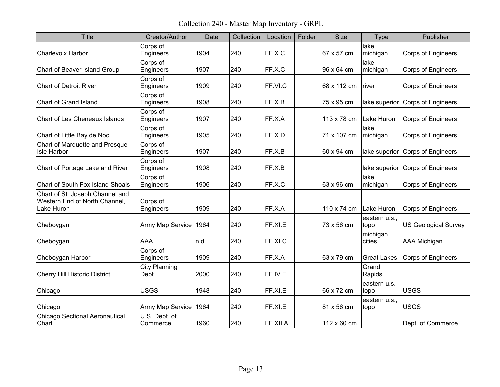Collection 240 - Master Map Inventory - GRPL

| <b>Title</b>                                                                   | Creator/Author                | Date | Collection | Location | Folder | <b>Size</b> | Type                  | Publisher                   |
|--------------------------------------------------------------------------------|-------------------------------|------|------------|----------|--------|-------------|-----------------------|-----------------------------|
| <b>Charlevoix Harbor</b>                                                       | Corps of<br>Engineers         | 1904 | 240        | FF.X.C   |        | 67 x 57 cm  | lake<br>michigan      | <b>Corps of Engineers</b>   |
| Chart of Beaver Island Group                                                   | Corps of<br>Engineers         | 1907 | 240        | FF.X.C   |        | 96 x 64 cm  | lake<br>michigan      | <b>Corps of Engineers</b>   |
| <b>Chart of Detroit River</b>                                                  | Corps of<br>Engineers         | 1909 | 240        | FF.VI.C  |        | 68 x 112 cm | river                 | Corps of Engineers          |
| Chart of Grand Island                                                          | Corps of<br>Engineers         | 1908 | 240        | FF.X.B   |        | 75 x 95 cm  | lake superior         | Corps of Engineers          |
| <b>Chart of Les Cheneaux Islands</b>                                           | Corps of<br>Engineers         | 1907 | 240        | FF.X.A   |        | 113 x 78 cm | Lake Huron            | <b>Corps of Engineers</b>   |
| Chart of Little Bay de Noc                                                     | Corps of<br>Engineers         | 1905 | 240        | FF.X.D   |        | 71 x 107 cm | lake<br>michigan      | <b>Corps of Engineers</b>   |
| Chart of Marquette and Presque<br>Isle Harbor                                  | Corps of<br>Engineers         | 1907 | 240        | FF.X.B   |        | 60 x 94 cm  | lake superior         | Corps of Engineers          |
| Chart of Portage Lake and River                                                | Corps of<br>Engineers         | 1908 | 240        | FF.X.B   |        |             | lake superior         | Corps of Engineers          |
| Chart of South Fox Island Shoals                                               | Corps of<br>Engineers         | 1906 | 240        | FF.X.C   |        | 63 x 96 cm  | lake<br>michigan      | Corps of Engineers          |
| Chart of St. Joseph Channel and<br>Western End of North Channel,<br>Lake Huron | Corps of<br>Engineers         | 1909 | 240        | FF.X.A   |        | 110 x 74 cm | Lake Huron            | Corps of Engineers          |
| Cheboygan                                                                      | Army Map Service              | 1964 | 240        | FF.XI.E  |        | 73 x 56 cm  | eastern u.s.,<br>topo | <b>US Geological Survey</b> |
| Cheboygan                                                                      | <b>AAA</b>                    | n.d. | 240        | FF.XI.C  |        |             | michigan<br>cities    | <b>AAA Michigan</b>         |
| Cheboygan Harbor                                                               | Corps of<br>Engineers         | 1909 | 240        | FF.X.A   |        | 63 x 79 cm  | <b>Great Lakes</b>    | <b>Corps of Engineers</b>   |
| <b>Cherry Hill Historic District</b>                                           | <b>City Planning</b><br>Dept. | 2000 | 240        | FF.IV.E  |        |             | Grand<br>Rapids       |                             |
| Chicago                                                                        | <b>USGS</b>                   | 1948 | 240        | FF.XI.E  |        | 66 x 72 cm  | eastern u.s.<br>topo  | <b>USGS</b>                 |
| Chicago                                                                        | Army Map Service              | 1964 | 240        | FF.XI.E  |        | 81 x 56 cm  | eastern u.s.,<br>topo | <b>USGS</b>                 |
| <b>Chicago Sectional Aeronautical</b><br>Chart                                 | U.S. Dept. of<br>Commerce     | 1960 | 240        | FF.XII.A |        | 112 x 60 cm |                       | Dept. of Commerce           |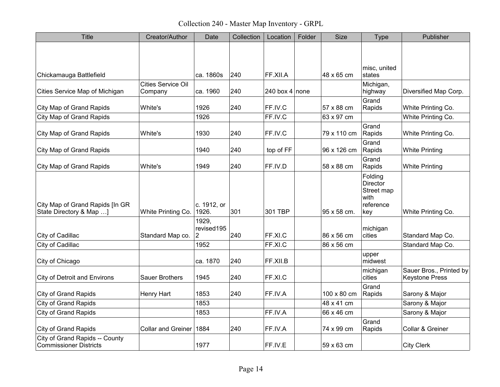Collection 240 - Master Map Inventory - GRPL

| Title                                                           | Creator/Author                       | Date                     | Collection | Location       | Folder | <b>Size</b> | <b>Type</b>                                                   | Publisher                                        |
|-----------------------------------------------------------------|--------------------------------------|--------------------------|------------|----------------|--------|-------------|---------------------------------------------------------------|--------------------------------------------------|
|                                                                 |                                      |                          |            |                |        |             |                                                               |                                                  |
| Chickamauga Battlefield                                         |                                      | ca. 1860s                | 240        | FF.XII.A       |        | 48 x 65 cm  | misc, united<br>states                                        |                                                  |
| Cities Service Map of Michigan                                  | <b>Cities Service Oil</b><br>Company | ca. 1960                 | 240        | 240 box 4 none |        |             | Michigan,<br>highway                                          | Diversified Map Corp.                            |
| <b>City Map of Grand Rapids</b>                                 | White's                              | 1926                     | 240        | FF.IV.C        |        | 57 x 88 cm  | Grand<br>Rapids                                               | White Printing Co.                               |
| <b>City Map of Grand Rapids</b>                                 |                                      | 1926                     |            | FF.IV.C        |        | 63 x 97 cm  |                                                               | White Printing Co.                               |
| <b>City Map of Grand Rapids</b>                                 | White's                              | 1930                     | 240        | FF.IV.C        |        | 79 x 110 cm | Grand<br>Rapids                                               | White Printing Co.                               |
| <b>City Map of Grand Rapids</b>                                 |                                      | 1940                     | 240        | top of FF      |        | 96 x 126 cm | Grand<br>Rapids                                               | <b>White Printing</b>                            |
| <b>City Map of Grand Rapids</b>                                 | White's                              | 1949                     | 240        | FF.IV.D        |        | 58 x 88 cm  | Grand<br>Rapids                                               | <b>White Printing</b>                            |
| City Map of Grand Rapids [In GR<br>State Directory & Map ]      | White Printing Co.                   | c. 1912, or<br>1926.     | 301        | 301 TBP        |        | 95 x 58 cm. | Folding<br>Director<br>Street map<br>with<br>reference<br>key | White Printing Co.                               |
| City of Cadillac                                                | Standard Map co.                     | 1929,<br>revised195<br>2 | 240        | FF.XI.C        |        | 86 x 56 cm  | michigan<br>cities                                            | Standard Map Co.                                 |
| City of Cadillac                                                |                                      | 1952                     |            | FF.XI.C        |        | 86 x 56 cm  |                                                               | Standard Map Co.                                 |
| City of Chicago                                                 |                                      | ca. 1870                 | 240        | FF.XII.B       |        |             | upper<br>midwest                                              |                                                  |
| <b>City of Detroit and Environs</b>                             | <b>Sauer Brothers</b>                | 1945                     | 240        | FF.XI.C        |        |             | michigan<br>cities                                            | Sauer Bros., Printed by<br><b>Keystone Press</b> |
| <b>City of Grand Rapids</b>                                     | Henry Hart                           | 1853                     | 240        | FF.IV.A        |        | 100 x 80 cm | Grand<br>Rapids                                               | Sarony & Major                                   |
| <b>City of Grand Rapids</b>                                     |                                      | 1853                     |            |                |        | 48 x 41 cm  |                                                               | Sarony & Major                                   |
| <b>City of Grand Rapids</b>                                     |                                      | 1853                     |            | FF.IV.A        |        | 66 x 46 cm  |                                                               | Sarony & Major                                   |
| <b>City of Grand Rapids</b>                                     | <b>Collar and Greiner</b>            | 1884                     | 240        | FF.IV.A        |        | 74 x 99 cm  | Grand<br>Rapids                                               | Collar & Greiner                                 |
| City of Grand Rapids -- County<br><b>Commissioner Districts</b> |                                      | 1977                     |            | FF.IV.E        |        | 59 x 63 cm  |                                                               | <b>City Clerk</b>                                |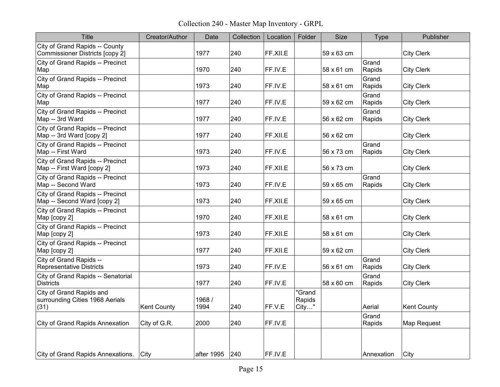Collection 240 - Master Map Inventory - GRPL

| <b>Title</b>                                                        | Creator/Author     | Date           | Collection | Location | Folder                    | <b>Size</b> | <b>Type</b>     | Publisher          |
|---------------------------------------------------------------------|--------------------|----------------|------------|----------|---------------------------|-------------|-----------------|--------------------|
| City of Grand Rapids -- County<br>Commissioner Districts [copy 2]   |                    | 1977           | 240        | FF.XII.E |                           | 59 x 63 cm  |                 | <b>City Clerk</b>  |
| City of Grand Rapids -- Precinct<br>Map                             |                    | 1970           | 240        | FF.IV.E  |                           | 58 x 61 cm  | Grand<br>Rapids | <b>City Clerk</b>  |
| City of Grand Rapids -- Precinct<br>Map                             |                    | 1973           | 240        | FF.IV.E  |                           | 58 x 61 cm  | Grand<br>Rapids | <b>City Clerk</b>  |
| City of Grand Rapids -- Precinct<br>Map                             |                    | 1977           | 240        | FF.IV.E  |                           | 59 x 62 cm  | Grand<br>Rapids | <b>City Clerk</b>  |
| City of Grand Rapids -- Precinct<br>Map -- 3rd Ward                 |                    | 1977           | 240        | FF.IV.E  |                           | 56 x 62 cm  | Grand<br>Rapids | <b>City Clerk</b>  |
| City of Grand Rapids -- Precinct<br>Map -- 3rd Ward [copy 2]        |                    | 1977           | 240        | FF.XII.E |                           | 56 x 62 cm  |                 | <b>City Clerk</b>  |
| City of Grand Rapids -- Precinct<br>Map -- First Ward               |                    | 1973           | 240        | FF.IV.E  |                           | 56 x 73 cm  | Grand<br>Rapids | <b>City Clerk</b>  |
| City of Grand Rapids -- Precinct<br>Map -- First Ward [copy 2]      |                    | 1973           | 240        | FF.XII.E |                           | 56 x 73 cm  |                 | <b>City Clerk</b>  |
| City of Grand Rapids -- Precinct<br>Map -- Second Ward              |                    | 1973           | 240        | FF.IV.E  |                           | 59 x 65 cm  | Grand<br>Rapids | <b>City Clerk</b>  |
| City of Grand Rapids -- Precinct<br>Map -- Second Ward [copy 2]     |                    | 1973           | 240        | FF.XII.E |                           | 59 x 65 cm  |                 | <b>City Clerk</b>  |
| City of Grand Rapids -- Precinct<br>Map [copy 2]                    |                    | 1970           | 240        | FF.XII.E |                           | 58 x 61 cm  |                 | <b>City Clerk</b>  |
| City of Grand Rapids -- Precinct<br>Map [copy 2]                    |                    | 1973           | 240        | FF.XII.E |                           | 58 x 61 cm  |                 | <b>City Clerk</b>  |
| City of Grand Rapids -- Precinct<br>Map [copy 2]                    |                    | 1977           | 240        | FF.XII.E |                           | 59 x 62 cm  |                 | <b>City Clerk</b>  |
| City of Grand Rapids --<br><b>Representative Districts</b>          |                    | 1973           | 240        | FF.IV.E  |                           | 56 x 61 cm  | Grand<br>Rapids | <b>City Clerk</b>  |
| City of Grand Rapids -- Senatorial<br><b>Districts</b>              |                    | 1977           | 240        | FF.IV.E  |                           | 58 x 60 cm  | Grand<br>Rapids | <b>City Clerk</b>  |
| City of Grand Rapids and<br>surrounding Cities 1968 Aerials<br>(31) | <b>Kent County</b> | 1968 /<br>1994 | 240        | FF.V.E   | "Grand<br>Rapids<br>City" |             | Aerial          | <b>Kent County</b> |
| <b>City of Grand Rapids Annexation</b>                              | City of G.R.       | 2000           | 240        | FF.IV.E  |                           |             | Grand<br>Rapids | Map Request        |
|                                                                     |                    |                |            |          |                           |             |                 |                    |
| City of Grand Rapids Annexations.                                   | City               | after 1995     | 240        | FF.IV.E  |                           |             | Annexation      | City               |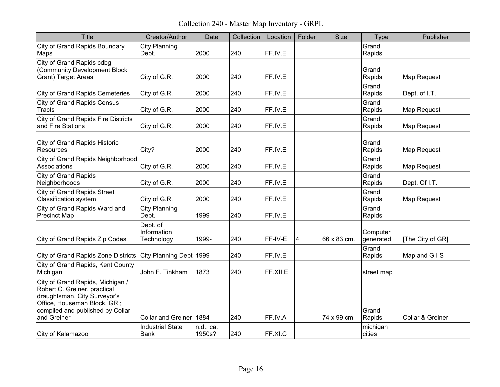Collection 240 - Master Map Inventory - GRPL

| Title                                                                                                                                                                              | Creator/Author                         | Date                | Collection | Location | Folder | <b>Size</b> | <b>Type</b>           | Publisher        |
|------------------------------------------------------------------------------------------------------------------------------------------------------------------------------------|----------------------------------------|---------------------|------------|----------|--------|-------------|-----------------------|------------------|
| <b>City of Grand Rapids Boundary</b><br>Maps                                                                                                                                       | <b>City Planning</b><br>Dept.          | 2000                | 240        | FF.IV.E  |        |             | Grand<br>Rapids       |                  |
| City of Grand Rapids cdbg<br>(Community Development Block<br><b>Grant) Target Areas</b>                                                                                            | City of G.R.                           | 2000                | 240        | FF.IV.E  |        |             | Grand<br>Rapids       | Map Request      |
| <b>City of Grand Rapids Cemeteries</b>                                                                                                                                             | City of G.R.                           | 2000                | 240        | FF.IV.E  |        |             | Grand<br>Rapids       | Dept. of I.T.    |
| <b>City of Grand Rapids Census</b><br><b>Tracts</b>                                                                                                                                | City of G.R.                           | 2000                | 240        | FF.IV.E  |        |             | Grand<br>Rapids       | Map Request      |
| <b>City of Grand Rapids Fire Districts</b><br>and Fire Stations                                                                                                                    | City of G.R.                           | 2000                | 240        | FF.IV.E  |        |             | Grand<br>Rapids       | Map Request      |
| <b>City of Grand Rapids Historic</b><br>Resources                                                                                                                                  | City?                                  | 2000                | 240        | FF.IV.E  |        |             | Grand<br>Rapids       | Map Request      |
| City of Grand Rapids Neighborhood<br>Associations                                                                                                                                  | City of G.R.                           | 2000                | 240        | FF.IV.E  |        |             | Grand<br>Rapids       | Map Request      |
| <b>City of Grand Rapids</b><br>Neighborhoods                                                                                                                                       | City of G.R.                           | 2000                | 240        | FF.IV.E  |        |             | Grand<br>Rapids       | Dept. Of I.T.    |
| <b>City of Grand Rapids Street</b><br><b>Classification system</b>                                                                                                                 | City of G.R.                           | 2000                | 240        | FF.IV.E  |        |             | Grand<br>Rapids       | Map Request      |
| City of Grand Rapids Ward and<br><b>Precinct Map</b>                                                                                                                               | <b>City Planning</b><br>Dept.          | 1999                | 240        | FF.IV.E  |        |             | Grand<br>Rapids       |                  |
| City of Grand Rapids Zip Codes                                                                                                                                                     | Dept. of<br>Information<br>Technology  | 1999-               | 240        | FF-IV-E  | 4      | 66 x 83 cm. | Computer<br>generated | [The City of GR] |
| City of Grand Rapids Zone Districts City Planning Dept 1999                                                                                                                        |                                        |                     | 240        | FF.IV.E  |        |             | Grand<br>Rapids       | Map and GIS      |
| City of Grand Rapids, Kent County<br>Michigan                                                                                                                                      | John F. Tinkham                        | 1873                | 240        | FF.XII.E |        |             | street map            |                  |
| City of Grand Rapids, Michigan /<br>Robert C. Greiner, practical<br>draughtsman, City Surveyor's<br>Office, Houseman Block, GR;<br>compiled and published by Collar<br>and Greiner | Collar and Greiner 1884                |                     | 240        | FF.IV.A  |        | 74 x 99 cm  | Grand<br>Rapids       | Collar & Greiner |
| City of Kalamazoo                                                                                                                                                                  | <b>Industrial State</b><br><b>Bank</b> | n.d., ca.<br>1950s? | 240        | FF.XI.C  |        |             | michigan<br>cities    |                  |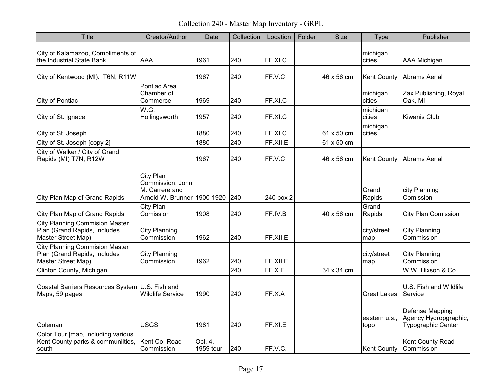Collection 240 - Master Map Inventory - GRPL

| <b>Title</b>                                                                                | Creator/Author                                                                     | Date                 | Collection | Location  | Folder | Size       | Type                  | Publisher                                                      |
|---------------------------------------------------------------------------------------------|------------------------------------------------------------------------------------|----------------------|------------|-----------|--------|------------|-----------------------|----------------------------------------------------------------|
| City of Kalamazoo, Compliments of<br>the Industrial State Bank                              | <b>AAA</b>                                                                         | 1961                 | 240        | FF.XI.C   |        |            | michigan<br>cities    | <b>AAA Michigan</b>                                            |
| City of Kentwood (MI). T6N, R11W                                                            |                                                                                    | 1967                 | 240        | FF.V.C    |        | 46 x 56 cm | <b>Kent County</b>    | <b>Abrams Aerial</b>                                           |
| City of Pontiac                                                                             | Pontiac Area<br>Chamber of<br>Commerce                                             | 1969                 | 240        | FF.XI.C   |        |            | michigan<br>cities    | Zax Publishing, Royal<br>Oak, MI                               |
| City of St. Ignace                                                                          | W.G.<br>Hollingsworth                                                              | 1957                 | 240        | FF.XI.C   |        |            | michigan<br>cities    | <b>Kiwanis Club</b>                                            |
| City of St. Joseph                                                                          |                                                                                    | 1880                 | 240        | FF.XI.C   |        | 61 x 50 cm | michigan<br>cities    |                                                                |
| City of St. Joseph [copy 2]                                                                 |                                                                                    | 1880                 | 240        | FF.XII.E  |        | 61 x 50 cm |                       |                                                                |
| City of Walker / City of Grand<br>Rapids (MI) T7N, R12W                                     |                                                                                    | 1967                 | 240        | FF.V.C    |        | 46 x 56 cm | <b>Kent County</b>    | <b>Abrams Aerial</b>                                           |
| City Plan Map of Grand Rapids                                                               | City Plan<br>Commission, John<br>M. Carrere and<br>Arnold W. Brunner 1900-1920 240 |                      |            | 240 box 2 |        |            | Grand<br>Rapids       | city Planning<br>Comission                                     |
| City Plan Map of Grand Rapids                                                               | City Plan<br>Comission                                                             | 1908                 | 240        | FF.IV.B   |        | 40 x 56 cm | Grand<br>Rapids       | <b>City Plan Comission</b>                                     |
| <b>City Planning Commision Master</b><br>Plan (Grand Rapids, Includes<br>Master Street Map) | <b>City Planning</b><br>Commission                                                 | 1962                 | 240        | FF.XII.E  |        |            | city/street<br>map    | <b>City Planning</b><br>Commission                             |
| <b>City Planning Commision Master</b><br>Plan (Grand Rapids, Includes<br>Master Street Map) | <b>City Planning</b><br>Commission                                                 | 1962                 | 240        | FF.XII.E  |        |            | city/street<br>map    | <b>City Planning</b><br>Commission                             |
| Clinton County, Michigan                                                                    |                                                                                    |                      | 240        | FF.X.E    |        | 34 x 34 cm |                       | W.W. Hixson & Co.                                              |
| Coastal Barriers Resources System U.S. Fish and<br>Maps, 59 pages                           | <b>Wildlife Service</b>                                                            | 1990                 | 240        | FF.X.A    |        |            | Great Lakes           | U.S. Fish and Wildlife<br>Service                              |
| Coleman                                                                                     | <b>USGS</b>                                                                        | 1981                 | 240        | FF.XI.E   |        |            | eastern u.s.,<br>topo | Defense Mapping<br>Agency Hydropgraphic,<br>Typographic Center |
| Color Tour [map, including various<br>Kent County parks & communiities,<br>south            | Kent Co. Road<br>Commission                                                        | Oct. 4,<br>1959 tour | 240        | FF.V.C.   |        |            | <b>Kent County</b>    | Kent County Road<br>Commission                                 |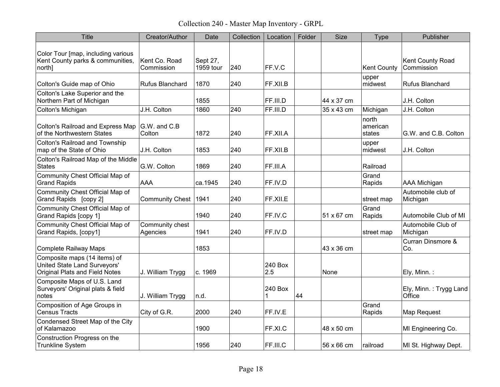Collection 240 - Master Map Inventory - GRPL

| Title                                                                                          | Creator/Author              | Date                  | Collection | Location       | Folder | <b>Size</b> | Type                        | Publisher                        |
|------------------------------------------------------------------------------------------------|-----------------------------|-----------------------|------------|----------------|--------|-------------|-----------------------------|----------------------------------|
| Color Tour [map, including various<br>Kent County parks & communities,<br>north]               | Kent Co. Road<br>Commission | Sept 27,<br>1959 tour | 240        | FF.V.C         |        |             | <b>Kent County</b>          | Kent County Road<br>Commission   |
| Colton's Guide map of Ohio                                                                     | <b>Rufus Blanchard</b>      | 1870                  | 240        | FF.XII.B       |        |             | upper<br>midwest            | <b>Rufus Blanchard</b>           |
| Colton's Lake Superior and the<br>Northern Part of Michigan                                    |                             | 1855                  |            | FF.III.D       |        | 44 x 37 cm  |                             | J.H. Colton                      |
| Colton's Michigan                                                                              | J.H. Colton                 | 1860                  | 240        | FF.III.D       |        | 35 x 43 cm  | Michigan                    | J.H. Colton                      |
| Colton's Railroad and Express Map<br>of the Northwestern States                                | $ G.W.$ and $C.B$<br>Colton | 1872                  | 240        | FF.XII.A       |        |             | north<br>american<br>states | G.W. and C.B. Colton             |
| <b>Colton's Railroad and Township</b><br>map of the State of Ohio                              | J.H. Colton                 | 1853                  | 240        | FF.XII.B       |        |             | upper<br>midwest            | J.H. Colton                      |
| Colton's Railroad Map of the Middle<br><b>States</b>                                           | G.W. Colton                 | 1869                  | 240        | FF.III.A       |        |             | Railroad                    |                                  |
| Community Chest Official Map of<br><b>Grand Rapids</b>                                         | <b>AAA</b>                  | ca.1945               | 240        | FF.IV.D        |        |             | Grand<br>Rapids             | <b>AAA Michigan</b>              |
| Community Chest Official Map of<br>Grand Rapids [copy 2]                                       | <b>Community Chest</b>      | 1941                  | 240        | FF.XII.E       |        |             | street map                  | Automobile club of<br>Michigan   |
| Community Chest Official Map of<br>Grand Rapids [copy 1]                                       |                             | 1940                  | 240        | FF.IV.C        |        | 51 x 67 cm  | Grand<br>Rapids             | Automobile Club of MI            |
| Community Chest Official Map of<br>Grand Rapids, [copy1]                                       | Community chest<br>Agencies | 1941                  | 240        | FF.IV.D        |        |             | street map                  | Automobile Club of<br>Michigan   |
| <b>Complete Railway Maps</b>                                                                   |                             | 1853                  |            |                |        | 43 x 36 cm  |                             | Curran Dinsmore &<br>Co.         |
| Composite maps (14 items) of<br>United State Land Surveyors'<br>Original Plats and Field Notes | J. William Trygg            | c. 1969               |            | 240 Box<br>2.5 |        | None        |                             | Ely, Minn.:                      |
| Composite Maps of U.S. Land<br>Surveyors' Original plats & field<br>notes                      | J. William Trygg            | n.d.                  |            | 240 Box<br>1   | 44     |             |                             | Ely, Minn.: Trygg Land<br>Office |
| Composition of Age Groups in<br><b>Census Tracts</b>                                           | City of G.R.                | 2000                  | 240        | FF.IV.E        |        |             | Grand<br>Rapids             | Map Request                      |
| Condensed Street Map of the City<br>of Kalamazoo                                               |                             | 1900                  |            | FF.XI.C        |        | 48 x 50 cm  |                             | MI Engineering Co.               |
| Construction Progress on the<br><b>Trunkline System</b>                                        |                             | 1956                  | 240        | FF.III.C       |        | 56 x 66 cm  | railroad                    | MI St. Highway Dept.             |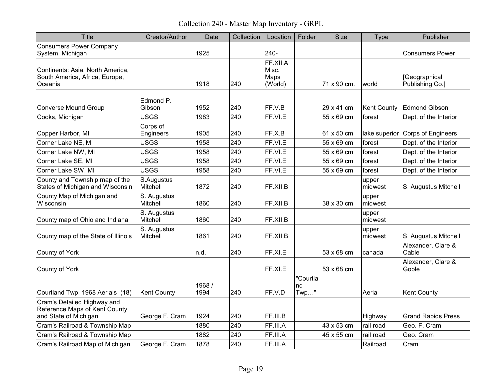Collection 240 - Master Map Inventory - GRPL

| <b>Title</b>                                                                          | Creator/Author                     | Date           | Collection | Location                             | Folder                    | <b>Size</b>              | <b>Type</b>                  | Publisher                                     |
|---------------------------------------------------------------------------------------|------------------------------------|----------------|------------|--------------------------------------|---------------------------|--------------------------|------------------------------|-----------------------------------------------|
| <b>Consumers Power Company</b><br>System, Michigan                                    |                                    | 1925           |            | 240-                                 |                           |                          |                              | <b>Consumers Power</b>                        |
| Continents: Asia, North America,<br>South America, Africa, Europe,<br>Oceania         |                                    | 1918           | 240        | FF.XII.A<br>Misc.<br>Maps<br>(World) |                           | 71 x 90 cm.              | world                        | [Geographical<br>Publishing Co.]              |
| <b>Converse Mound Group</b><br>Cooks, Michigan                                        | Edmond P.<br>Gibson<br><b>USGS</b> | 1952<br>1983   | 240<br>240 | FF.V.B<br>FF.VI.E                    |                           | 29 x 41 cm<br>55 x 69 cm | <b>Kent County</b><br>forest | <b>Edmond Gibson</b><br>Dept. of the Interior |
| Copper Harbor, MI                                                                     | Corps of<br>Engineers              | 1905           | 240        | FF.X.B                               |                           | 61 x 50 cm               |                              | lake superior Corps of Engineers              |
| Corner Lake NE, MI                                                                    | <b>USGS</b>                        | 1958           | 240        | FF.VI.E                              |                           | 55 x 69 cm               | forest                       | Dept. of the Interior                         |
| Corner Lake NW, MI                                                                    | <b>USGS</b>                        | 1958           | 240        | FF.VI.E                              |                           | 55 x 69 cm               | forest                       | Dept. of the Interior                         |
| Corner Lake SE, MI                                                                    | <b>USGS</b>                        | 1958           | 240        | FF.VI.E                              |                           | 55 x 69 cm               | forest                       | Dept. of the Interior                         |
| Corner Lake SW, MI                                                                    | USGS                               | 1958           | 240        | FF.VI.E                              |                           | 55 x 69 cm               | forest                       | Dept. of the Interior                         |
| County and Township map of the<br>States of Michigan and Wisconsin                    | S.Augustus<br>Mitchell             | 1872           | 240        | FF.XII.B                             |                           |                          | upper<br>midwest             | S. Augustus Mitchell                          |
| County Map of Michigan and<br>Wisconsin                                               | S. Augustus<br>Mitchell            | 1860           | 240        | FF.XII.B                             |                           | 38 x 30 cm               | upper<br>midwest             |                                               |
| County map of Ohio and Indiana                                                        | S. Augustus<br>Mitchell            | 1860           | 240        | FF.XII.B                             |                           |                          | upper<br>midwest             |                                               |
| County map of the State of Illinois                                                   | S. Augustus<br>Mitchell            | 1861           | 240        | FF.XII.B                             |                           |                          | upper<br>midwest             | S. Augustus Mitchell                          |
| County of York                                                                        |                                    | n.d.           | 240        | FF.XI.E                              |                           | 53 x 68 cm               | canada                       | Alexander, Clare &<br>Cable                   |
| County of York                                                                        |                                    |                |            | FF.XI.E                              |                           | 53 x 68 cm               |                              | Alexander, Clare &<br>Goble                   |
| Courtland Twp. 1968 Aerials (18)                                                      | Kent County                        | 1968 /<br>1994 | 240        | FF.V.D                               | "Courtla<br>nd<br>$Twp$ " |                          | Aerial                       | <b>Kent County</b>                            |
| Cram's Detailed Highway and<br>Reference Maps of Kent County<br>and State of Michigan | George F. Cram                     | 1924           | 240        | FF.III.B                             |                           |                          | Highway                      | <b>Grand Rapids Press</b>                     |
| Cram's Railroad & Township Map                                                        |                                    | 1880           | 240        | FF.III.A                             |                           | 43 x 53 cm               | rail road                    | Geo. F. Cram                                  |
| Cram's Railroad & Township Map                                                        |                                    | 1882           | 240        | FF.III.A                             |                           | 45 x 55 cm               | rail road                    | Geo. Cram                                     |
| Cram's Railroad Map of Michigan                                                       | George F. Cram                     | 1878           | 240        | FF.III.A                             |                           |                          | Railroad                     | Cram                                          |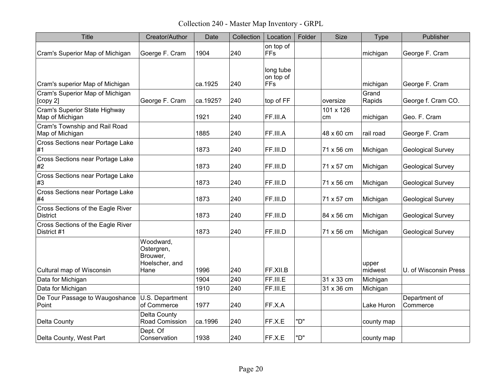Collection 240 - Master Map Inventory - GRPL

| <b>Title</b>                                         | Creator/Author                                                | Date     | Collection | Location                             | Folder | <b>Size</b>     | <b>Type</b>      | Publisher                 |
|------------------------------------------------------|---------------------------------------------------------------|----------|------------|--------------------------------------|--------|-----------------|------------------|---------------------------|
| Cram's Superior Map of Michigan                      | Goerge F. Cram                                                | 1904     | 240        | on top of<br><b>FFs</b>              |        |                 | michigan         | George F. Cram            |
| Cram's superior Map of Michigan                      |                                                               | ca.1925  | 240        | long tube<br>on top of<br><b>FFs</b> |        |                 | michigan         | George F. Cram            |
| Cram's Superior Map of Michigan<br>[copy 2]          | George F. Cram                                                | ca.1925? | 240        | top of FF                            |        | oversize        | Grand<br>Rapids  | George f. Cram CO.        |
| Cram's Superior State Highway<br>Map of Michigan     |                                                               | 1921     | 240        | FF.III.A                             |        | 101 x 126<br>cm | michigan         | Geo. F. Cram              |
| Cram's Township and Rail Road<br>Map of Michigan     |                                                               | 1885     | 240        | FF.III.A                             |        | 48 x 60 cm      | rail road        | George F. Cram            |
| Cross Sections near Portage Lake<br>#1               |                                                               | 1873     | 240        | FF.III.D                             |        | 71 x 56 cm      | Michigan         | <b>Geological Survey</b>  |
| Cross Sections near Portage Lake<br>#2               |                                                               | 1873     | 240        | FF.III.D                             |        | 71 x 57 cm      | Michigan         | <b>Geological Survey</b>  |
| Cross Sections near Portage Lake<br>#3               |                                                               | 1873     | 240        | FF.III.D                             |        | 71 x 56 cm      | Michigan         | <b>Geological Survey</b>  |
| Cross Sections near Portage Lake<br>#4               |                                                               | 1873     | 240        | FF.III.D                             |        | 71 x 57 cm      | Michigan         | <b>Geological Survey</b>  |
| Cross Sections of the Eagle River<br><b>District</b> |                                                               | 1873     | 240        | FF.III.D                             |        | 84 x 56 cm      | Michigan         | <b>Geological Survey</b>  |
| Cross Sections of the Eagle River<br>District #1     |                                                               | 1873     | 240        | FF.III.D                             |        | 71 x 56 cm      | Michigan         | <b>Geological Survey</b>  |
| Cultural map of Wisconsin                            | Woodward,<br>Ostergren,<br>Brouwer,<br>Hoelscher, and<br>Hane | 1996     | 240        | FF.XII.B                             |        |                 | upper<br>midwest | U. of Wisconsin Press     |
| Data for Michigan                                    |                                                               | 1904     | 240        | FF.III.E                             |        | 31 x 33 cm      | Michigan         |                           |
| Data for Michigan                                    |                                                               | 1910     | 240        | FF.III.E                             |        | 31 x 36 cm      | Michigan         |                           |
| De Tour Passage to Waugoshance<br>Point              | U.S. Department<br>of Commerce                                | 1977     | 240        | FF.X.A                               |        |                 | Lake Huron       | Department of<br>Commerce |
| Delta County                                         | Delta County<br>Road Comission                                | ca.1996  | 240        | FF.X.E                               | "D"    |                 | county map       |                           |
| Delta County, West Part                              | Dept. Of<br>Conservation                                      | 1938     | 240        | FF.X.E                               | "D"    |                 | county map       |                           |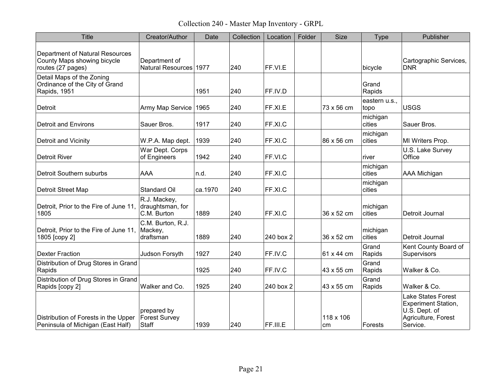Collection 240 - Master Map Inventory - GRPL

| <b>Title</b>                                                                               | Creator/Author                                  | Date    | Collection | Location  | Folder | <b>Size</b>     | <b>Type</b>           | Publisher                                                                                                   |
|--------------------------------------------------------------------------------------------|-------------------------------------------------|---------|------------|-----------|--------|-----------------|-----------------------|-------------------------------------------------------------------------------------------------------------|
| <b>Department of Natural Resources</b><br>County Maps showing bicycle<br>routes (27 pages) | Department of<br>Natural Resources 1977         |         | 240        | FF.VI.E   |        |                 | bicycle               | Cartographic Services,<br><b>DNR</b>                                                                        |
| Detail Maps of the Zoning<br>Ordinance of the City of Grand<br>Rapids, 1951                |                                                 | 1951    | 240        | FF.IV.D   |        |                 | Grand<br>Rapids       |                                                                                                             |
| Detroit                                                                                    | Army Map Service   1965                         |         | 240        | FF.XI.E   |        | 73 x 56 cm      | eastern u.s.,<br>topo | <b>USGS</b>                                                                                                 |
| <b>Detroit and Environs</b>                                                                | Sauer Bros.                                     | 1917    | 240        | FF.XI.C   |        |                 | michigan<br>cities    | Sauer Bros.                                                                                                 |
| <b>Detroit and Vicinity</b>                                                                | W.P.A. Map dept.                                | 1939    | 240        | FF.XI.C   |        | 86 x 56 cm      | michigan<br>cities    | MI Writers Prop.                                                                                            |
| <b>Detroit River</b>                                                                       | War Dept. Corps<br>of Engineers                 | 1942    | 240        | FF.VI.C   |        |                 | river                 | U.S. Lake Survey<br>Office                                                                                  |
| Detroit Southern suburbs                                                                   | AAA                                             | n.d.    | 240        | FF.XI.C   |        |                 | michigan<br>cities    | <b>AAA Michigan</b>                                                                                         |
| Detroit Street Map                                                                         | <b>Standard Oil</b>                             | ca.1970 | 240        | FF.XI.C   |        |                 | michigan<br>cities    |                                                                                                             |
| Detroit, Prior to the Fire of June 11,<br>1805                                             | R.J. Mackey,<br>draughtsman, for<br>C.M. Burton | 1889    | 240        | FF.XI.C   |        | 36 x 52 cm      | michigan<br>cities    | Detroit Journal                                                                                             |
| Detroit, Prior to the Fire of June 11,<br>1805 [copy 2]                                    | C.M. Burton, R.J.<br>Mackey,<br>draftsman       | 1889    | 240        | 240 box 2 |        | 36 x 52 cm      | michigan<br>cities    | Detroit Journal                                                                                             |
| <b>Dexter Fraction</b>                                                                     | Judson Forsyth                                  | 1927    | 240        | FF.IV.C   |        | 61 x 44 cm      | Grand<br>Rapids       | Kent County Board of<br>Supervisors                                                                         |
| Distribution of Drug Stores in Grand<br>Rapids                                             |                                                 | 1925    | 240        | FF.IV.C   |        | 43 x 55 cm      | Grand<br>Rapids       | Walker & Co.                                                                                                |
| Distribution of Drug Stores in Grand<br>Rapids [copy 2]                                    | Walker and Co.                                  | 1925    | 240        | 240 box 2 |        | 43 x 55 cm      | Grand<br>Rapids       | Walker & Co.                                                                                                |
| Distribution of Forests in the Upper<br>Peninsula of Michigan (East Half)                  | prepared by<br><b>Forest Survey</b><br>Staff    | 1939    | 240        | FF.III.E  |        | 118 x 106<br>cm | Forests               | <b>Lake States Forest</b><br><b>Experiment Station,</b><br>U.S. Dept. of<br>Agriculture, Forest<br>Service. |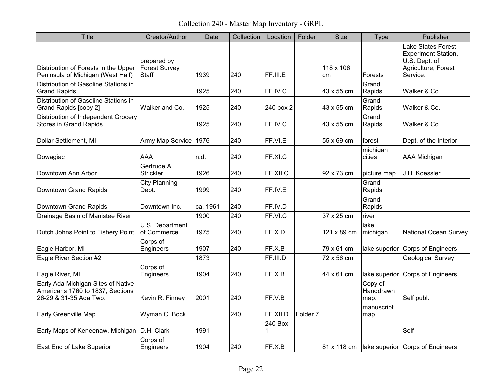Collection 240 - Master Map Inventory - GRPL

| <b>Title</b>                                                                                     | Creator/Author                               | Date     | Collection | Location     | Folder              | <b>Size</b>     | <b>Type</b>                  | Publisher                                                                                                   |
|--------------------------------------------------------------------------------------------------|----------------------------------------------|----------|------------|--------------|---------------------|-----------------|------------------------------|-------------------------------------------------------------------------------------------------------------|
| Distribution of Forests in the Upper<br>Peninsula of Michigan (West Half)                        | prepared by<br>Forest Survey<br><b>Staff</b> | 1939     | 240        | FF.III.E     |                     | 118 x 106<br>cm | Forests                      | <b>Lake States Forest</b><br><b>Experiment Station,</b><br>U.S. Dept. of<br>Agriculture, Forest<br>Service. |
| Distribution of Gasoline Stations in<br><b>Grand Rapids</b>                                      |                                              | 1925     | 240        | FF.IV.C      |                     | 43 x 55 cm      | Grand<br>Rapids              | Walker & Co.                                                                                                |
| Distribution of Gasoline Stations in<br>Grand Rapids [copy 2]                                    | Walker and Co.                               | 1925     | 240        | 240 box 2    |                     | 43 x 55 cm      | Grand<br>Rapids              | Walker & Co.                                                                                                |
| Distribution of Independent Grocery<br><b>Stores in Grand Rapids</b>                             |                                              | 1925     | 240        | FF.IV.C      |                     | 43 x 55 cm      | Grand<br>Rapids              | Walker & Co.                                                                                                |
| Dollar Settlement, MI                                                                            | Army Map Service                             | 1976     | 240        | FF.VI.E      |                     | 55 x 69 cm      | forest                       | Dept. of the Interior                                                                                       |
| Dowagiac                                                                                         | <b>AAA</b>                                   | n.d.     | 240        | FF.XI.C      |                     |                 | michigan<br>cities           | AAA Michigan                                                                                                |
| Downtown Ann Arbor                                                                               | Gertrude A.<br><b>Strickler</b>              | 1926     | 240        | FF.XII.C     |                     | 92 x 73 cm      | picture map                  | J.H. Koessler                                                                                               |
| Downtown Grand Rapids                                                                            | <b>City Planning</b><br>Dept.                | 1999     | 240        | FF.IV.E      |                     |                 | Grand<br>Rapids              |                                                                                                             |
| Downtown Grand Rapids                                                                            | Downtown Inc.                                | ca. 1961 | 240        | FF.IV.D      |                     |                 | Grand<br>Rapids              |                                                                                                             |
| Drainage Basin of Manistee River                                                                 |                                              | 1900     | 240        | FF.VI.C      |                     | 37 x 25 cm      | river                        |                                                                                                             |
| Dutch Johns Point to Fishery Point                                                               | U.S. Department<br>of Commerce               | 1975     | 240        | FF.X.D       |                     | 121 x 89 cm     | lake<br>michigan             | <b>National Ocean Survey</b>                                                                                |
| Eagle Harbor, MI                                                                                 | Corps of<br>Engineers                        | 1907     | 240        | FF.X.B       |                     | 79 x 61 cm      | lake superior                | Corps of Engineers                                                                                          |
| Eagle River Section #2                                                                           |                                              | 1873     |            | FF.III.D     |                     | 72 x 56 cm      |                              | <b>Geological Survey</b>                                                                                    |
| Eagle River, MI                                                                                  | Corps of<br>Engineers                        | 1904     | 240        | FF.X.B       |                     | 44 x 61 cm      | lake superior                | Corps of Engineers                                                                                          |
| Early Ada Michigan Sites of Native<br>Americans 1760 to 1837, Sections<br>26-29 & 31-35 Ada Twp. | Kevin R. Finney                              | 2001     | 240        | FF.V.B       |                     |                 | Copy of<br>Handdrawn<br>map. | Self publ.                                                                                                  |
| Early Greenville Map                                                                             | Wyman C. Bock                                |          | 240        | FF.XII.D     | Folder <sub>7</sub> |                 | manuscript<br>map            |                                                                                                             |
| Early Maps of Keneenaw, Michigan   D.H. Clark                                                    |                                              | 1991     |            | 240 Box<br>1 |                     |                 |                              | Self                                                                                                        |
| East End of Lake Superior                                                                        | Corps of<br>Engineers                        | 1904     | 240        | FF.X.B       |                     | 81 x 118 cm     |                              | Iake superior Corps of Engineers                                                                            |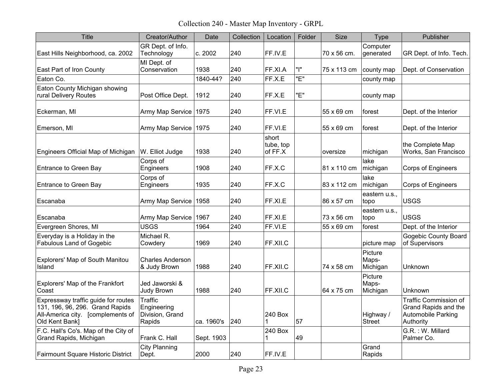Collection 240 - Master Map Inventory - GRPL

| <b>Title</b>                                                                                                                  | Creator/Author                                      | Date       | Collection | Location                      | Folder | <b>Size</b> | <b>Type</b>                  | Publisher                                                                        |
|-------------------------------------------------------------------------------------------------------------------------------|-----------------------------------------------------|------------|------------|-------------------------------|--------|-------------|------------------------------|----------------------------------------------------------------------------------|
| East Hills Neighborhood, ca. 2002                                                                                             | GR Dept. of Info.<br>Technology                     | c. 2002    | 240        | FF.IV.E                       |        | 70 x 56 cm. | Computer<br>generated        | GR Dept. of Info. Tech.                                                          |
| East Part of Iron County                                                                                                      | MI Dept. of<br>Conservation                         | 1938       | 240        | FF.XI.A                       | "ו"    | 75 x 113 cm | county map                   | Dept. of Conservation                                                            |
| Eaton Co.                                                                                                                     |                                                     | 1840-44?   | 240        | FF.X.E                        | "Е"    |             | county map                   |                                                                                  |
| Eaton County Michigan showing<br>rural Delivery Routes                                                                        | Post Office Dept.                                   | 1912       | 240        | FF.X.E                        | "Е"    |             | county map                   |                                                                                  |
| Eckerman, MI                                                                                                                  | Army Map Service   1975                             |            | 240        | FF.VI.E                       |        | 55 x 69 cm  | forest                       | Dept. of the Interior                                                            |
| Emerson, MI                                                                                                                   | Army Map Service                                    | 1975       | 240        | FF.VI.E                       |        | 55 x 69 cm  | forest                       | Dept. of the Interior                                                            |
| Engineers Official Map of Michigan                                                                                            | W. Elliot Judge                                     | 1938       | 240        | short<br>tube, top<br>of FF.X |        | oversize    | michigan                     | the Complete Map<br>Works, San Francisco                                         |
| <b>Entrance to Green Bay</b>                                                                                                  | Corps of<br>Engineers                               | 1908       | 240        | FF.X.C                        |        | 81 x 110 cm | lake<br>michigan             | <b>Corps of Engineers</b>                                                        |
| Entrance to Green Bay                                                                                                         | Corps of<br>Engineers                               | 1935       | 240        | FF.X.C                        |        | 83 x 112 cm | lake<br>michigan             | <b>Corps of Engineers</b>                                                        |
| Escanaba                                                                                                                      | Army Map Service                                    | 1958       | 240        | FF.XI.E                       |        | 86 x 57 cm  | eastern u.s.,<br>topo        | <b>USGS</b>                                                                      |
| Escanaba                                                                                                                      | Army Map Service                                    | 1967       | 240        | FF.XI.E                       |        | 73 x 56 cm  | eastern u.s.,<br>topo        | <b>USGS</b>                                                                      |
| Evergreen Shores, MI                                                                                                          | <b>USGS</b>                                         | 1964       | 240        | FF.VI.E                       |        | 55 x 69 cm  | forest                       | Dept. of the Interior                                                            |
| Everyday is a Holiday in the<br><b>Fabulous Land of Gogebic</b>                                                               | Michael R.<br>Cowdery                               | 1969       | 240        | FF.XII.C                      |        |             | picture map                  | <b>Gogebic County Board</b><br>of Supervisors                                    |
| Explorers' Map of South Manitou<br>Island                                                                                     | <b>Charles Anderson</b><br>& Judy Brown             | 1988       | 240        | FF.XII.C                      |        | 74 x 58 cm  | Picture<br>Maps-<br>Michigan | Unknown                                                                          |
| Explorers' Map of the Frankfort<br>Coast                                                                                      | Jed Jaworski &<br><b>Judy Brown</b>                 | 1988       | 240        | FF.XII.C                      |        | 64 x 75 cm  | Picture<br>Maps-<br>Michigan | Unknown                                                                          |
| Expressway traffic guide for routes<br>131, 196, 96, 296. Grand Rapids<br>All-America city. [complements of<br>Old Kent Bank] | Traffic<br>Engineering<br>Division, Grand<br>Rapids | ca. 1960's | 240        | 240 Box<br>1                  | 57     |             | Highway /<br><b>Street</b>   | Traffic Commission of<br>Grand Rapids and the<br>Automobile Parking<br>Authority |
| F.C. Hall's Co's. Map of the City of<br>Grand Rapids, Michigan                                                                | Frank C. Hall                                       | Sept. 1903 |            | 240 Box<br>1                  | 49     |             |                              | G.R.: W. Millard<br>Palmer Co.                                                   |
| Fairmount Square Historic District                                                                                            | <b>City Planning</b><br>Dept.                       | 2000       | 240        | FF.IV.E                       |        |             | Grand<br>Rapids              |                                                                                  |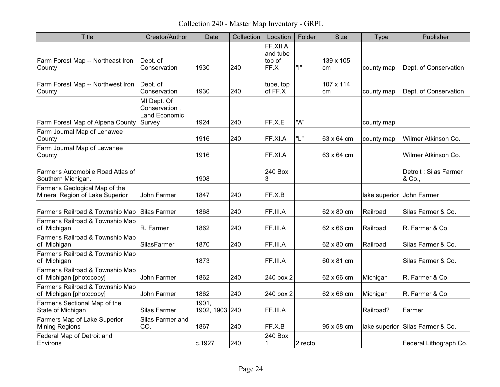Collection 240 - Master Map Inventory - GRPL

| <b>Title</b>                                                      | Creator/Author                                       | Date                    | Collection | Location                               | Folder  | <b>Size</b>     | Type          | Publisher                        |
|-------------------------------------------------------------------|------------------------------------------------------|-------------------------|------------|----------------------------------------|---------|-----------------|---------------|----------------------------------|
| Farm Forest Map -- Northeast Iron<br>County                       | Dept. of<br>Conservation                             | 1930                    | 240        | FF.XII.A<br>and tube<br>top of<br>FF.X | "ו"     | 139 x 105<br>cm | county map    | Dept. of Conservation            |
| Farm Forest Map -- Northwest Iron<br>County                       | Dept. of<br>Conservation                             | 1930                    | 240        | tube, top<br>of FF.X                   |         | 107 x 114<br>cm | county map    | Dept. of Conservation            |
| Farm Forest Map of Alpena County Survey                           | MI Dept. Of<br>Conservation,<br><b>Land Economic</b> | 1924                    | 240        | FF.X.E                                 | "A"     |                 | county map    |                                  |
| Farm Journal Map of Lenawee<br>County                             |                                                      | 1916                    | 240        | FF.XI.A                                | "L"     | 63 x 64 cm      | county map    | Wilmer Atkinson Co.              |
| Farm Journal Map of Lewanee<br>County                             |                                                      | 1916                    |            | FF.XI.A                                |         | 63 x 64 cm      |               | Wilmer Atkinson Co.              |
| Farmer's Automobile Road Atlas of<br>Southern Michigan.           |                                                      | 1908                    |            | 240 Box<br>3                           |         |                 |               | Detroit : Silas Farmer<br>& Co., |
| Farmer's Geological Map of the<br>Mineral Region of Lake Superior | John Farmer                                          | 1847                    | 240        | FF.X.B                                 |         |                 | lake superior | John Farmer                      |
| Farmer's Railroad & Township Map Silas Farmer                     |                                                      | 1868                    | 240        | FF.III.A                               |         | 62 x 80 cm      | Railroad      | Silas Farmer & Co.               |
| Farmer's Railroad & Township Map<br>of Michigan                   | R. Farmer                                            | 1862                    | 240        | FF.III.A                               |         | 62 x 66 cm      | Railroad      | R. Farmer & Co.                  |
| Farmer's Railroad & Township Map<br>of Michigan                   | <b>SilasFarmer</b>                                   | 1870                    | 240        | FF.III.A                               |         | 62 x 80 cm      | Railroad      | Silas Farmer & Co.               |
| Farmer's Railroad & Township Map<br>of Michigan                   |                                                      | 1873                    |            | FF.III.A                               |         | 60 x 81 cm      |               | Silas Farmer & Co.               |
| Farmer's Railroad & Township Map<br>of Michigan [photocopy]       | John Farmer                                          | 1862                    | 240        | 240 box 2                              |         | 62 x 66 cm      | Michigan      | R. Farmer & Co.                  |
| Farmer's Railroad & Township Map<br>of Michigan [photocopy]       | John Farmer                                          | 1862                    | 240        | 240 box 2                              |         | 62 x 66 cm      | Michigan      | R. Farmer & Co.                  |
| Farmer's Sectional Map of the<br>State of Michigan                | Silas Farmer                                         | 1901,<br>1902, 1903 240 |            | FF.III.A                               |         |                 | Railroad?     | Farmer                           |
| Farmers Map of Lake Superior<br><b>Mining Regions</b>             | Silas Farmer and<br>CO.                              | 1867                    | 240        | FF.X.B                                 |         | 95 x 58 cm      |               | lake superior Silas Farmer & Co. |
| Federal Map of Detroit and<br>Environs                            |                                                      | c.1927                  | 240        | 240 Box<br>1                           | 2 recto |                 |               | Federal Lithograph Co.           |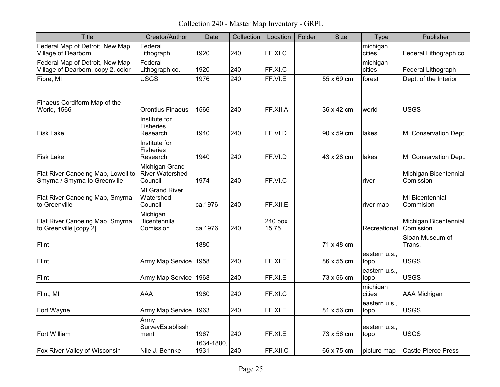Collection 240 - Master Map Inventory - GRPL

| <b>Title</b>                                                          | Creator/Author                                      | Date               | Collection | Location         | Folder | Size       | Type                  | Publisher                           |
|-----------------------------------------------------------------------|-----------------------------------------------------|--------------------|------------|------------------|--------|------------|-----------------------|-------------------------------------|
| Federal Map of Detroit, New Map<br>Village of Dearborn                | Federal<br>Lithograph                               | 1920               | 240        | FF.XI.C          |        |            | michigan<br>cities    | Federal Lithograph co.              |
| Federal Map of Detroit, New Map<br>Village of Dearborn, copy 2, color | Federal<br>Lithograph co.                           | 1920               | 240        | FF.XI.C          |        |            | michigan<br>cities    | Federal Lithograph                  |
| Fibre, MI                                                             | <b>USGS</b>                                         | 1976               | 240        | FF.VI.E          |        | 55 x 69 cm | forest                | Dept. of the Interior               |
| Finaeus Cordiform Map of the<br>World, 1566                           | <b>Orontius Finaeus</b>                             | 1566               | 240        | FF.XII.A         |        | 36 x 42 cm | world                 | <b>USGS</b>                         |
| <b>Fisk Lake</b>                                                      | Institute for<br>Fisheries<br>Research              | 1940               | 240        | FF.VI.D          |        | 90 x 59 cm | lakes                 | MI Conservation Dept.               |
| <b>Fisk Lake</b>                                                      | Institute for<br><b>Fisheries</b><br>Research       | 1940               | 240        | FF.VI.D          |        | 43 x 28 cm | lakes                 | MI Conservation Dept.               |
| Flat River Canoeing Map, Lowell to<br>Smyrna / Smyrna to Greenville   | Michigan Grand<br><b>River Watershed</b><br>Council | 1974               | 240        | FF.VI.C          |        |            | river                 | Michigan Bicentennial<br>Comission  |
| Flat River Canoeing Map, Smyrna<br>to Greenville                      | <b>MI Grand River</b><br>Watershed<br>Council       | ca.1976            | 240        | FF.XII.E         |        |            | river map             | <b>MI</b> Bicentennial<br>Commision |
| Flat River Canoeing Map, Smyrna<br>to Greenville [copy 2]             | Michigan<br><b>Bicentennila</b><br>Comission        | ca.1976            | 240        | 240 box<br>15.75 |        |            | Recreational          | Michigan Bicentennial<br>Comission  |
| Flint                                                                 |                                                     | 1880               |            |                  |        | 71 x 48 cm |                       | Sloan Museum of<br>Trans.           |
| Flint                                                                 | Army Map Service                                    | 1958               | 240        | FF.XI.E          |        | 86 x 55 cm | eastern u.s.,<br>topo | <b>USGS</b>                         |
| Flint                                                                 | Army Map Service                                    | 1968               | 240        | FF.XI.E          |        | 73 x 56 cm | eastern u.s.,<br>topo | <b>USGS</b>                         |
| Flint, MI                                                             | <b>AAA</b>                                          | 1980               | 240        | FF.XLC           |        |            | michigan<br>cities    | <b>AAA Michigan</b>                 |
| Fort Wayne                                                            | Army Map Service                                    | 1963               | 240        | FF.XI.E          |        | 81 x 56 cm | eastern u.s.,<br>topo | <b>USGS</b>                         |
| Fort William                                                          | Army<br>SurveyEstablissh<br>ment                    | 1967               | 240        | FF.XI.E          |        | 73 x 56 cm | eastern u.s.,<br>topo | <b>USGS</b>                         |
| <b>Fox River Valley of Wisconsin</b>                                  | Nile J. Behnke                                      | 1634-1880,<br>1931 | 240        | FF.XII.C         |        | 66 x 75 cm | picture map           | <b>Castle-Pierce Press</b>          |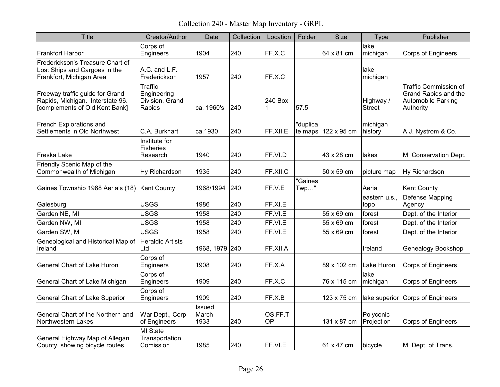Collection 240 - Master Map Inventory - GRPL

| Title                                                                                                 | Creator/Author                                      | Date                           | Collection | Location      | Folder             | <b>Size</b>                          | <b>Type</b>                | Publisher                                                                                      |
|-------------------------------------------------------------------------------------------------------|-----------------------------------------------------|--------------------------------|------------|---------------|--------------------|--------------------------------------|----------------------------|------------------------------------------------------------------------------------------------|
| <b>Frankfort Harbor</b>                                                                               | Corps of<br>Engineers                               | 1904                           | 240        | FF.X.C        |                    | 64 x 81 cm                           | lake<br>michigan           | <b>Corps of Engineers</b>                                                                      |
| Frederickson's Treasure Chart of<br>Lost Ships and Cargoes in the<br>Frankfort, Michigan Area         | A.C. and L.F.<br>Frederickson                       | 1957                           | 240        | FF.X.C        |                    |                                      | lake<br>michigan           |                                                                                                |
| Freeway traffic guide for Grand<br>Rapids, Michigan. Interstate 96.<br>[complements of Old Kent Bank] | Traffic<br>Engineering<br>Division, Grand<br>Rapids | ca. 1960's                     | 240        | 240 Box<br>1  | 57.5               |                                      | Highway /<br><b>Street</b> | <b>Traffic Commission of</b><br>Grand Rapids and the<br><b>Automobile Parking</b><br>Authority |
| French Explorations and<br>Settlements in Old Northwest                                               | C.A. Burkhart                                       | ca.1930                        | 240        | FF.XII.E      | "duplica           | te maps $ 122 \times 95 \text{ cm} $ | michigan<br>history        | A.J. Nystrom & Co.                                                                             |
| Freska Lake                                                                                           | Institute for<br><b>Fisheries</b><br>Research       | 1940                           | 240        | FF.VI.D       |                    | 43 x 28 cm                           | lakes                      | MI Conservation Dept.                                                                          |
| Friendly Scenic Map of the<br>Commonwealth of Michigan                                                | Hy Richardson                                       | 1935                           | 240        | FF.XII.C      |                    | 50 x 59 cm                           | picture map                | Hy Richardson                                                                                  |
| Gaines Township 1968 Aerials (18) Kent County                                                         |                                                     | 1968/1994                      | 240        | FF.V.E        | "Gaines<br>$Twp$ " |                                      | Aerial                     | <b>Kent County</b>                                                                             |
| Galesburg                                                                                             | <b>USGS</b>                                         | 1986                           | 240        | FF.XI.E       |                    |                                      | eastern u.s.,<br>topo      | Defense Mapping<br>Agency                                                                      |
| Garden NE, MI                                                                                         | <b>USGS</b>                                         | 1958                           | 240        | FF.VI.E       |                    | 55 x 69 cm                           | forest                     | Dept. of the Interior                                                                          |
| Garden NW, MI                                                                                         | <b>USGS</b>                                         | 1958                           | 240        | FF.VI.E       |                    | 55 x 69 cm                           | forest                     | Dept. of the Interior                                                                          |
| Garden SW, MI                                                                                         | <b>USGS</b>                                         | 1958                           | 240        | FF.VI.E       |                    | 55 x 69 cm                           | forest                     | Dept. of the Interior                                                                          |
| Geneological and Historical Map of<br>Ireland                                                         | Heraldic Artists<br>Ltd                             | 1968, 1979 240                 |            | FF.XII.A      |                    |                                      | Ireland                    | Genealogy Bookshop                                                                             |
| General Chart of Lake Huron                                                                           | Corps of<br>Engineers                               | 1908                           | 240        | FF.X.A        |                    | 89 x 102 cm                          | Lake Huron                 | <b>Corps of Engineers</b>                                                                      |
| General Chart of Lake Michigan                                                                        | Corps of<br>Engineers                               | 1909                           | 240        | FF.X.C        |                    | 76 x 115 cm                          | lake<br>michigan           | <b>Corps of Engineers</b>                                                                      |
| <b>General Chart of Lake Superior</b>                                                                 | Corps of<br>Engineers                               | 1909                           | 240        | FF.X.B        |                    | 123 x 75 cm                          | lake superior              | Corps of Engineers                                                                             |
| General Chart of the Northern and<br>Northwestern Lakes                                               | War Dept., Corp<br>of Engineers                     | <b>Issued</b><br>March<br>1933 | 240        | OS.FF.T<br>0P |                    | 131 x 87 cm                          | Polyconic<br>Projection    | <b>Corps of Engineers</b>                                                                      |
| General Highway Map of Allegan<br>County, showing bicycle routes                                      | MI State<br>Transportation<br>Comission             | 1985                           | 240        | FF.VI.E       |                    | 61 x 47 cm                           | bicycle                    | MI Dept. of Trans.                                                                             |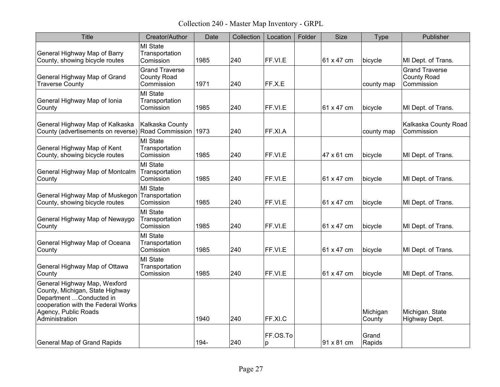Collection 240 - Master Map Inventory - GRPL

| <b>Title</b>                                                                                                                                                                | Creator/Author                                            | Date | Collection | Location      | Folder | <b>Size</b> | <b>Type</b>        | Publisher                                                 |
|-----------------------------------------------------------------------------------------------------------------------------------------------------------------------------|-----------------------------------------------------------|------|------------|---------------|--------|-------------|--------------------|-----------------------------------------------------------|
| General Highway Map of Barry<br>County, showing bicycle routes                                                                                                              | MI State<br>Transportation<br>Comission                   | 1985 | 240        | FF.VI.E       |        | 61 x 47 cm  | bicycle            | MI Dept. of Trans.                                        |
| General Highway Map of Grand<br><b>Traverse County</b>                                                                                                                      | <b>Grand Traverse</b><br><b>County Road</b><br>Commission | 1971 | 240        | FF.X.E        |        |             | county map         | <b>Grand Traverse</b><br><b>County Road</b><br>Commission |
| General Highway Map of Ionia<br>County                                                                                                                                      | <b>MI State</b><br>Transportation<br>Comission            | 1985 | 240        | FF.VI.E       |        | 61 x 47 cm  | bicycle            | MI Dept. of Trans.                                        |
| General Highway Map of Kalkaska<br>County (advertisements on reverse) Road Commission 1973                                                                                  | Kalkaska County                                           |      | 240        | FF.XI.A       |        |             | county map         | Kalkaska County Road<br>Commission                        |
| General Highway Map of Kent<br>County, showing bicycle routes                                                                                                               | <b>MI State</b><br>Transportation<br>Comission            | 1985 | 240        | FF.VI.E       |        | 47 x 61 cm  | bicycle            | MI Dept. of Trans.                                        |
| General Highway Map of Montcalm<br>County                                                                                                                                   | <b>MI State</b><br>Transportation<br>Comission            | 1985 | 240        | FF.VI.E       |        | 61 x 47 cm  | bicycle            | MI Dept. of Trans.                                        |
| General Highway Map of Muskegon Transportation<br>County, showing bicycle routes                                                                                            | <b>MI State</b><br>Comission                              | 1985 | 240        | FF.VI.E       |        | 61 x 47 cm  | bicycle            | MI Dept. of Trans.                                        |
| General Highway Map of Newaygo<br>County                                                                                                                                    | <b>MI State</b><br>Transportation<br>Comission            | 1985 | 240        | FF.VI.E       |        | 61 x 47 cm  | bicycle            | MI Dept. of Trans.                                        |
| General Highway Map of Oceana<br>County                                                                                                                                     | MI State<br>Transportation<br>Comission                   | 1985 | 240        | FF.VI.E       |        | 61 x 47 cm  | bicycle            | MI Dept. of Trans.                                        |
| General Highway Map of Ottawa<br>County                                                                                                                                     | <b>MI State</b><br>Transportation<br>Comission            | 1985 | 240        | FF.VI.E       |        | 61 x 47 cm  | bicycle            | MI Dept. of Trans.                                        |
| General Highway Map, Wexford<br>County, Michigan, State Highway<br>Department  Conducted in<br>cooperation with the Federal Works<br>Agency, Public Roads<br>Administration |                                                           | 1940 | 240        | FF.XI.C       |        |             | Michigan<br>County | Michigan. State<br>Highway Dept.                          |
| General Map of Grand Rapids                                                                                                                                                 |                                                           | 194- | 240        | FF.OS.To<br>p |        | 91 x 81 cm  | Grand<br>Rapids    |                                                           |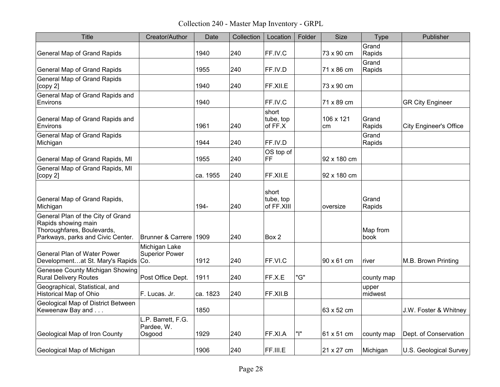Collection 240 - Master Map Inventory - GRPL

| <b>Title</b>                                                                                                                | Creator/Author                             | Date     | Collection | Location                         | Folder | <b>Size</b>     | Type             | Publisher                     |
|-----------------------------------------------------------------------------------------------------------------------------|--------------------------------------------|----------|------------|----------------------------------|--------|-----------------|------------------|-------------------------------|
| <b>General Map of Grand Rapids</b>                                                                                          |                                            | 1940     | 240        | FF.IV.C                          |        | 73 x 90 cm      | Grand<br>Rapids  |                               |
| <b>General Map of Grand Rapids</b>                                                                                          |                                            | 1955     | 240        | FF.IV.D                          |        | 71 x 86 cm      | Grand<br>Rapids  |                               |
| <b>General Map of Grand Rapids</b><br>[copy 2]                                                                              |                                            | 1940     | 240        | FF.XII.E                         |        | 73 x 90 cm      |                  |                               |
| General Map of Grand Rapids and<br>Environs                                                                                 |                                            | 1940     |            | FF.IV.C                          |        | 71 x 89 cm      |                  | <b>GR City Engineer</b>       |
| General Map of Grand Rapids and<br>Environs                                                                                 |                                            | 1961     | 240        | short<br>tube, top<br>of FF.X    |        | 106 x 121<br>cm | Grand<br>Rapids  | <b>City Engineer's Office</b> |
| <b>General Map of Grand Rapids</b><br>Michigan                                                                              |                                            | 1944     | 240        | FF.IV.D                          |        |                 | Grand<br>Rapids  |                               |
| General Map of Grand Rapids, MI                                                                                             |                                            | 1955     | 240        | OS top of<br>FF.                 |        | 92 x 180 cm     |                  |                               |
| General Map of Grand Rapids, MI<br>[copy 2]                                                                                 |                                            | ca. 1955 | 240        | FF.XII.E                         |        | 92 x 180 cm     |                  |                               |
| General Map of Grand Rapids,<br>Michigan                                                                                    |                                            | 194-     | 240        | short<br>tube, top<br>of FF.XIII |        | oversize        | Grand<br>Rapids  |                               |
| General Plan of the City of Grand<br>Rapids showing main<br>Thoroughfares, Boulevards,<br>Parkways, parks and Civic Center. | Brunner & Carrere 1909                     |          | 240        | Box 2                            |        |                 | Map from<br>book |                               |
| <b>General Plan of Water Power</b><br>Developmentat St. Mary's Rapids Co.                                                   | Michigan Lake<br><b>Superior Power</b>     | 1912     | 240        | FF.VI.C                          |        | 90 x 61 cm      | river            | M.B. Brown Printing           |
| Genesee County Michigan Showing<br><b>Rural Delivery Routes</b>                                                             | Post Office Dept.                          | 1911     | 240        | FF.X.E                           | "G"    |                 | county map       |                               |
| Geographical, Statistical, and<br><b>Historical Map of Ohio</b>                                                             | F. Lucas. Jr.                              | ca. 1823 | 240        | FF.XII.B                         |        |                 | upper<br>midwest |                               |
| Geological Map of District Between<br>Keweenaw Bay and                                                                      |                                            | 1850     |            |                                  |        | 63 x 52 cm      |                  | J.W. Foster & Whitney         |
| Geological Map of Iron County                                                                                               | L.P. Barrett, F.G.<br>Pardee, W.<br>Osgood | 1929     | 240        | FF.XI.A                          | "ו"    | 61 x 51 cm      | county map       | Dept. of Conservation         |
| Geological Map of Michigan                                                                                                  |                                            | 1906     | 240        | FF.III.E                         |        | 21 x 27 cm      | Michigan         | U.S. Geological Survey        |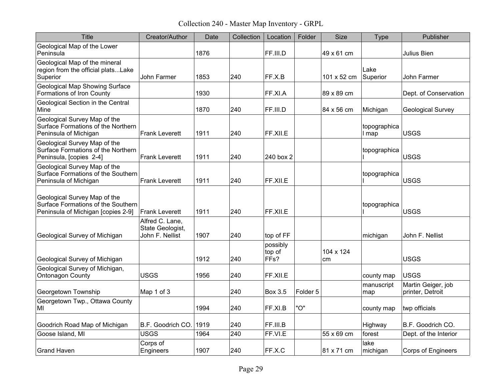Collection 240 - Master Map Inventory - GRPL

| Title                                                                                                    | Creator/Author                                         | Date | Collection | Location                                | Folder              | <b>Size</b>     | Type                  | Publisher                              |
|----------------------------------------------------------------------------------------------------------|--------------------------------------------------------|------|------------|-----------------------------------------|---------------------|-----------------|-----------------------|----------------------------------------|
| Geological Map of the Lower<br>Peninsula                                                                 |                                                        | 1876 |            | FF.III.D                                |                     | 49 x 61 cm      |                       | Julius Bien                            |
| Geological Map of the mineral<br>region from the official platsLake<br>Superior                          | <b>John Farmer</b>                                     | 1853 | 240        | FF.X.B                                  |                     | 101 x 52 cm     | Lake<br>Superior      | John Farmer                            |
| <b>Geological Map Showing Surface</b><br>Formations of Iron County                                       |                                                        | 1930 |            | FF.XI.A                                 |                     | 89 x 89 cm      |                       | Dept. of Conservation                  |
| Geological Section in the Central<br>Mine                                                                |                                                        | 1870 | 240        | FF.III.D                                |                     | 84 x 56 cm      | Michigan              | <b>Geological Survey</b>               |
| Geological Survey Map of the<br>Surface Formations of the Northern<br>Peninsula of Michigan              | <b>Frank Leverett</b>                                  | 1911 | 240        | FF.XII.E                                |                     |                 | topographica<br>I map | USGS                                   |
| Geological Survey Map of the<br>Surface Formations of the Northern<br>Peninsula, [copies 2-4]            | Frank Leverett                                         | 1911 | 240        | 240 box 2                               |                     |                 | topographica          | <b>USGS</b>                            |
| Geological Survey Map of the<br>Surface Formations of the Southern<br>Peninsula of Michigan              | <b>Frank Leverett</b>                                  | 1911 | 240        | FF.XII.E                                |                     |                 | topographica          | <b>USGS</b>                            |
| Geological Survey Map of the<br>Surface Formations of the Southern<br>Peninsula of Michigan [copies 2-9] | lFrank Leverett                                        | 1911 | 240        | FF.XII.E                                |                     |                 | topographica          | <b>USGS</b>                            |
| Geological Survey of Michigan                                                                            | Alfred C. Lane,<br>State Geologist,<br>John F. Nellist | 1907 | 240        | top of FF                               |                     |                 | michigan              | John F. Nellist                        |
| Geological Survey of Michigan                                                                            |                                                        | 1912 | 240        | possibly<br>top of<br>FF <sub>s</sub> ? |                     | 104 x 124<br>cm |                       | <b>USGS</b>                            |
| Geological Survey of Michigan,<br><b>Ontonagon County</b>                                                | <b>USGS</b>                                            | 1956 | 240        | FF.XII.E                                |                     |                 | county map            | <b>USGS</b>                            |
| Georgetown Township                                                                                      | Map 1 of 3                                             |      | 240        | <b>Box 3.5</b>                          | Folder <sub>5</sub> |                 | manuscript<br>map     | Martin Geiger, job<br>printer, Detroit |
| Georgetown Twp., Ottawa County<br>MI                                                                     |                                                        | 1994 | 240        | FF.XI.B                                 | "O"                 |                 | county map            | twp officials                          |
| Goodrich Road Map of Michigan                                                                            | B.F. Goodrich CO.                                      | 1919 | 240        | FF.III.B                                |                     |                 | Highway               | B.F. Goodrich CO.                      |
| Goose Island, MI                                                                                         | <b>USGS</b>                                            | 1964 | 240        | FF.VI.E                                 |                     | 55 x 69 cm      | forest                | Dept. of the Interior                  |
| <b>Grand Haven</b>                                                                                       | Corps of<br>Engineers                                  | 1907 | 240        | FF.X.C                                  |                     | 81 x 71 cm      | lake<br>michigan      | <b>Corps of Engineers</b>              |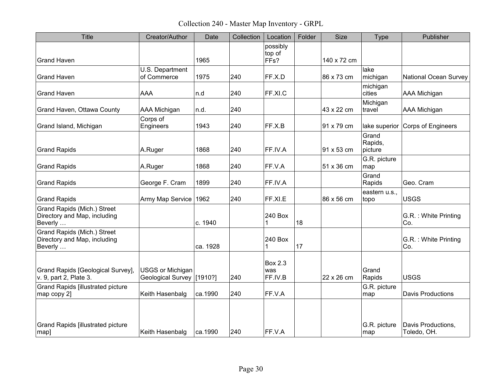Collection 240 - Master Map Inventory - GRPL

| <b>Title</b>                                                                         | Creator/Author                                       | Date     | Collection | Location                         | Folder | <b>Size</b> | <b>Type</b>                 | Publisher                         |
|--------------------------------------------------------------------------------------|------------------------------------------------------|----------|------------|----------------------------------|--------|-------------|-----------------------------|-----------------------------------|
| <b>Grand Haven</b>                                                                   |                                                      | 1965     |            | possibly<br>top of<br>FFs?       |        | 140 x 72 cm |                             |                                   |
| <b>Grand Haven</b>                                                                   | U.S. Department<br>of Commerce                       | 1975     | 240        | FF.X.D                           |        | 86 x 73 cm  | lake<br>michigan            | <b>National Ocean Survey</b>      |
| <b>Grand Haven</b>                                                                   | <b>AAA</b>                                           | n.d      | 240        | FF.XI.C                          |        |             | michigan<br>cities          | AAA Michigan                      |
| Grand Haven, Ottawa County                                                           | <b>AAA Michigan</b>                                  | n.d.     | 240        |                                  |        | 43 x 22 cm  | Michigan<br>travel          | AAA Michigan                      |
| Grand Island, Michigan                                                               | Corps of<br>Engineers                                | 1943     | 240        | FF.X.B                           |        | 91 x 79 cm  | lake superior               | Corps of Engineers                |
| <b>Grand Rapids</b>                                                                  | A.Ruger                                              | 1868     | 240        | FF.IV.A                          |        | 91 x 53 cm  | Grand<br>Rapids,<br>picture |                                   |
| <b>Grand Rapids</b>                                                                  | A.Ruger                                              | 1868     | 240        | FF.V.A                           |        | 51 x 36 cm  | G.R. picture<br>map         |                                   |
| <b>Grand Rapids</b>                                                                  | George F. Cram                                       | 1899     | 240        | FF.IV.A                          |        |             | Grand<br>Rapids             | Geo. Cram                         |
| <b>Grand Rapids</b>                                                                  | Army Map Service                                     | 1962     | 240        | FF.XI.E                          |        | 86 x 56 cm  | eastern u.s.,<br>topo       | <b>USGS</b>                       |
| Grand Rapids (Mich.) Street<br>Directory and Map, including<br>Beverly               |                                                      | c. 1940  |            | 240 Box<br>1                     | 18     |             |                             | G.R. : White Printing<br>Co.      |
| Grand Rapids (Mich.) Street<br>Directory and Map, including<br>Beverly               |                                                      | ca. 1928 |            | 240 Box<br>1                     | 17     |             |                             | G.R.: White Printing<br>Co.       |
| Grand Rapids [Geological Survey],<br>v. 9, part 2, Plate 3.                          | <b>USGS or Michigan</b><br>Geological Survey [1910?] |          | 240        | <b>Box 2.3</b><br>was<br>FF.IV.B |        | 22 x 26 cm  | Grand<br>Rapids             | <b>USGS</b>                       |
| <b>Grand Rapids [illustrated picture</b><br>map copy 2]                              | Keith Hasenbalg                                      | ca.1990  | 240        | FF.V.A                           |        |             | G.R. picture<br>map         | <b>Davis Productions</b>          |
| <b>Grand Rapids [illustrated picture</b><br>$\left\lfloor \mathrm{map}\right\rfloor$ | Keith Hasenbalg                                      | ca.1990  | 240        | FF.V.A                           |        |             | G.R. picture<br>map         | Davis Productions,<br>Toledo, OH. |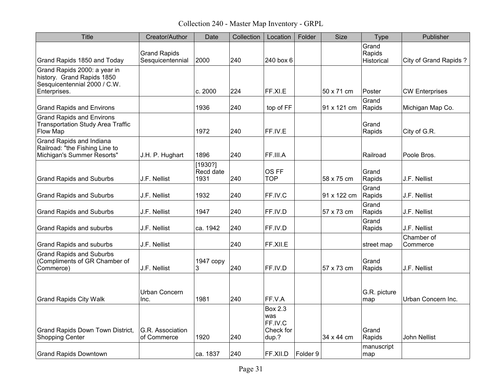Collection 240 - Master Map Inventory - GRPL

| <b>Title</b>                                                                               | Creator/Author                          | Date                         | Collection | Location                                               | Folder   | <b>Size</b> | <b>Type</b>                   | Publisher                    |
|--------------------------------------------------------------------------------------------|-----------------------------------------|------------------------------|------------|--------------------------------------------------------|----------|-------------|-------------------------------|------------------------------|
| Grand Rapids 1850 and Today                                                                | <b>Grand Rapids</b><br>Sesquicentennial | 2000                         | 240        | 240 box 6                                              |          |             | Grand<br>Rapids<br>Historical | <b>City of Grand Rapids?</b> |
| Grand Rapids 2000: a year in<br>history. Grand Rapids 1850<br>Sesquicentennial 2000 / C.W. |                                         |                              |            |                                                        |          |             |                               |                              |
| Enterprises.                                                                               |                                         | c.2000                       | 224        | FF.XI.E                                                |          | 50 x 71 cm  | Poster<br>Grand               | <b>CW Enterprises</b>        |
| <b>Grand Rapids and Environs</b>                                                           |                                         | 1936                         | 240        | top of FF                                              |          | 91 x 121 cm | Rapids                        | Michigan Map Co.             |
| <b>Grand Rapids and Environs</b><br><b>Transportation Study Area Traffic</b><br>Flow Map   |                                         | 1972                         | 240        | FF.IV.E                                                |          |             | Grand<br>Rapids               | City of G.R.                 |
| Grand Rapids and Indiana<br>Railroad: "the Fishing Line to<br>Michigan's Summer Resorts"   | J.H. P. Hughart                         | 1896                         | 240        | FF.III.A                                               |          |             | Railroad                      | Poole Bros.                  |
| <b>Grand Rapids and Suburbs</b>                                                            | J.F. Nellist                            | [1930?]<br>Recd date<br>1931 | 240        | OS FF<br><b>TOP</b>                                    |          | 58 x 75 cm  | Grand<br>Rapids               | J.F. Nellist                 |
| <b>Grand Rapids and Suburbs</b>                                                            | J.F. Nellist                            | 1932                         | 240        | FF.IV.C                                                |          | 91 x 122 cm | Grand<br>Rapids               | J.F. Nellist                 |
| <b>Grand Rapids and Suburbs</b>                                                            | J.F. Nellist                            | 1947                         | 240        | FF.IV.D                                                |          | 57 x 73 cm  | Grand<br>Rapids               | J.F. Nellist                 |
| Grand Rapids and suburbs                                                                   | J.F. Nellist                            | ca. 1942                     | 240        | FF.IV.D                                                |          |             | Grand<br>Rapids               | J.F. Nellist                 |
| <b>Grand Rapids and suburbs</b>                                                            | J.F. Nellist                            |                              | 240        | FF.XII.E                                               |          |             | street map                    | Chamber of<br>Commerce       |
| <b>Grand Rapids and Suburbs</b><br>(Compliments of GR Chamber of<br>Commerce)              | J.F. Nellist                            | 1947 copy<br>3               | 240        | FF.IV.D                                                |          | 57 x 73 cm  | Grand<br>Rapids               | J.F. Nellist                 |
| <b>Grand Rapids City Walk</b>                                                              | Urban Concern<br>Inc.                   | 1981                         | 240        | FF.V.A                                                 |          |             | G.R. picture<br>map           | Urban Concern Inc.           |
| Grand Rapids Down Town District,<br><b>Shopping Center</b>                                 | G.R. Association<br>of Commerce         | 1920                         | 240        | <b>Box 2.3</b><br>was<br>FF.IV.C<br>Check for<br>dup.? |          | 34 x 44 cm  | Grand<br>Rapids               | John Nellist                 |
| <b>Grand Rapids Downtown</b>                                                               |                                         | ca. 1837                     | 240        | FF.XII.D                                               | Folder 9 |             | manuscript<br>map             |                              |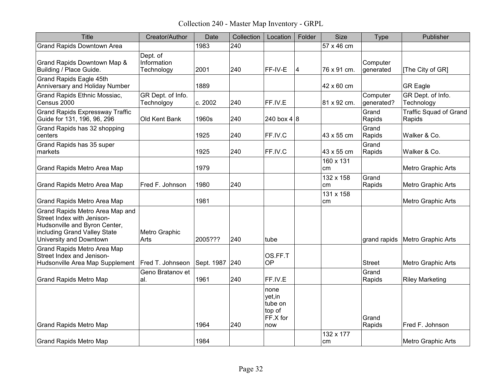Collection 240 - Master Map Inventory - GRPL

| Title                                                                                                                                                     | Creator/Author                        | Date           | Collection | Location                                                | Folder                  | Size            | <b>Type</b>            | Publisher                               |
|-----------------------------------------------------------------------------------------------------------------------------------------------------------|---------------------------------------|----------------|------------|---------------------------------------------------------|-------------------------|-----------------|------------------------|-----------------------------------------|
| <b>Grand Rapids Downtown Area</b>                                                                                                                         |                                       | 1983           | 240        |                                                         |                         | 57 x 46 cm      |                        |                                         |
| Grand Rapids Downtown Map &<br>Building / Place Guide.                                                                                                    | Dept. of<br>Information<br>Technology | 2001           | 240        | FF-IV-E                                                 | $\overline{\mathbf{4}}$ | 76 x 91 cm.     | Computer<br>generated  | [The City of GR]                        |
| Grand Rapids Eagle 45th<br>Anniversary and Holiday Number                                                                                                 |                                       | 1889           |            |                                                         |                         | 42 x 60 cm      |                        | <b>GR Eagle</b>                         |
| Grand Rapids Ethnic Mossiac,<br>Census 2000                                                                                                               | GR Dept. of Info.<br>Technolgoy       | c. 2002        | 240        | FF.IV.E                                                 |                         | 81 x 92 cm.     | Computer<br>generated? | GR Dept. of Info.<br>Technology         |
| <b>Grand Rapids Expressway Traffic</b><br>Guide for 131, 196, 96, 296                                                                                     | Old Kent Bank                         | 1960s          | 240        | 240 box $4 8$                                           |                         |                 | Grand<br>Rapids        | <b>Traffic Squad of Grand</b><br>Rapids |
| Grand Rapids has 32 shopping<br>centers                                                                                                                   |                                       | 1925           | 240        | FF.IV.C                                                 |                         | 43 x 55 cm      | Grand<br>Rapids        | Walker & Co.                            |
| Grand Rapids has 35 super<br>markets                                                                                                                      |                                       | 1925           | 240        | FF.IV.C                                                 |                         | 43 x 55 cm      | Grand<br>Rapids        | Walker & Co.                            |
| Grand Rapids Metro Area Map                                                                                                                               |                                       | 1979           |            |                                                         |                         | 160 x 131<br>cm |                        | Metro Graphic Arts                      |
| Grand Rapids Metro Area Map                                                                                                                               | Fred F. Johnson                       | 1980           | 240        |                                                         |                         | 132 x 158<br>cm | Grand<br>Rapids        | Metro Graphic Arts                      |
| Grand Rapids Metro Area Map                                                                                                                               |                                       | 1981           |            |                                                         |                         | 131 x 158<br>cm |                        | Metro Graphic Arts                      |
| Grand Rapids Metro Area Map and<br>Street Index with Jenison-<br>Hudsonville and Byron Center,<br>including Grand Valley State<br>University and Downtown | Metro Graphic<br>Arts                 | 2005???        | 240        | tube                                                    |                         |                 | grand rapids           | Metro Graphic Arts                      |
| Grand Rapids Metro Area Map<br>Street Index and Jenison-<br>Hudsonville Area Map Supplement                                                               | Fred T. Johnseon                      | Sept. 1987 240 |            | OS.FF.T<br>OP                                           |                         |                 | <b>Street</b>          | Metro Graphic Arts                      |
| <b>Grand Rapids Metro Map</b>                                                                                                                             | Geno Bratanov et<br>al.               | 1961           | 240        | FF.IV.E                                                 |                         |                 | Grand<br>Rapids        | <b>Riley Marketing</b>                  |
| <b>Grand Rapids Metro Map</b>                                                                                                                             |                                       | 1964           | 240        | none<br>yet, in<br>tube on<br>top of<br>FF.X for<br>now |                         |                 | Grand<br>Rapids        | Fred F. Johnson                         |
| <b>Grand Rapids Metro Map</b>                                                                                                                             |                                       | 1984           |            |                                                         |                         | 132 x 177<br>cm |                        | Metro Graphic Arts                      |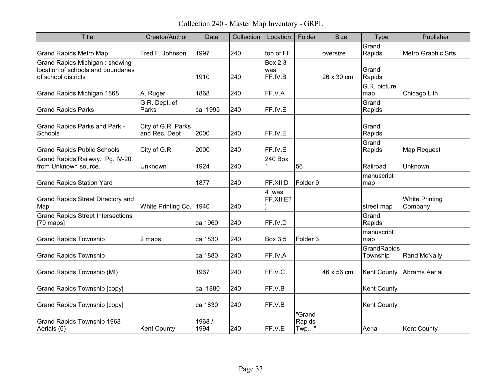Collection 240 - Master Map Inventory - GRPL

| <b>Title</b>                                                                                | Creator/Author                      | Date           | Collection | Location                         | Folder                      | <b>Size</b> | Type                    | Publisher                        |
|---------------------------------------------------------------------------------------------|-------------------------------------|----------------|------------|----------------------------------|-----------------------------|-------------|-------------------------|----------------------------------|
| <b>Grand Rapids Metro Map</b>                                                               | Fred F. Johnson                     | 1997           | 240        | top of FF                        |                             | oversize    | Grand<br>Rapids         | Metro Graphic Srts               |
| Grand Rapids Michigan: showing<br>location of schools and boundaries<br>of school districts |                                     | 1910           | 240        | <b>Box 2.3</b><br>was<br>FF.IV.B |                             | 26 x 30 cm  | Grand<br>Rapids         |                                  |
| Grand Rapids Michigan 1868                                                                  | A. Ruger                            | 1868           | 240        | FF.V.A                           |                             |             | G.R. picture<br>map     | Chicago Lith.                    |
| <b>Grand Rapids Parks</b>                                                                   | G.R. Dept. of<br>Parks              | ca. 1995       | 240        | FF.IV.E                          |                             |             | Grand<br>Rapids         |                                  |
| Grand Rapids Parks and Park -<br>Schools                                                    | City of G.R. Parks<br>and Rec. Dept | 2000           | 240        | FF.IV.E                          |                             |             | Grand<br>Rapids         |                                  |
| <b>Grand Rapids Public Schools</b>                                                          | City of G.R.                        | 2000           | 240        | FF.IV.E                          |                             |             | Grand<br>Rapids         | Map Request                      |
| Grand Rapids Railway. Pg. IV-20<br>from Unknown source.                                     | Unknown                             | 1924           | 240        | 240 Box<br>1                     | 56                          |             | Railroad                | Unknown                          |
| <b>Grand Rapids Station Yard</b>                                                            |                                     | 1877           | 240        | FF.XII.D                         | Folder 9                    |             | manuscript<br>map       |                                  |
| Grand Rapids Street Directory and<br>Map                                                    | White Printing Co.                  | 1940           | 240        | 4 [was<br>FF.XII.E?              |                             |             | street map              | <b>White Printing</b><br>Company |
| <b>Grand Rapids Street Intersections</b><br>$[70 \text{ maps}]$                             |                                     | ca.1960        | 240        | FF.IV.D                          |                             |             | Grand<br>Rapids         |                                  |
| <b>Grand Rapids Township</b>                                                                | 2 maps                              | ca.1830        | 240        | <b>Box 3.5</b>                   | Folder <sub>3</sub>         |             | manuscript<br>map       |                                  |
| <b>Grand Rapids Township</b>                                                                |                                     | ca.1880        | 240        | FF.IV.A                          |                             |             | GrandRapids<br>Township | <b>Rand McNally</b>              |
| Grand Rapids Township (MI)                                                                  |                                     | 1967           | 240        | FF.V.C                           |                             | 46 x 56 cm  | <b>Kent County</b>      | Abrams Aerial                    |
| <b>Grand Rapids Township [copy]</b>                                                         |                                     | ca. 1880       | 240        | FF.V.B                           |                             |             | <b>Kent County</b>      |                                  |
| Grand Rapids Township [copy]                                                                |                                     | ca.1830        | 240        | FF.V.B                           |                             |             | Kent County             |                                  |
| Grand Rapids Township 1968<br>Aerials (6)                                                   | <b>Kent County</b>                  | 1968 /<br>1994 | 240        | FF.V.E                           | "Grand<br>Rapids<br>$Twp$ " |             | Aerial                  | <b>Kent County</b>               |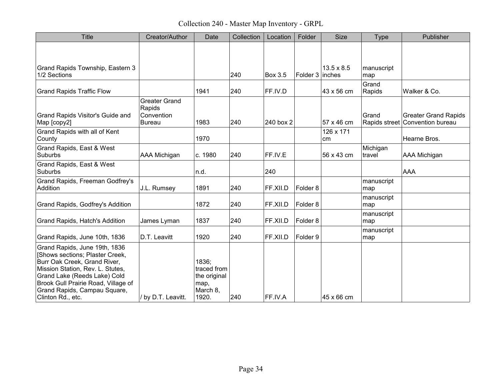Collection 240 - Master Map Inventory - GRPL

| <b>Title</b>                                                                                                                                                                                                                                                     | Creator/Author                                                | Date                                                              | Collection | Location       | Folder              | <b>Size</b>       | Type               | Publisher                                                      |
|------------------------------------------------------------------------------------------------------------------------------------------------------------------------------------------------------------------------------------------------------------------|---------------------------------------------------------------|-------------------------------------------------------------------|------------|----------------|---------------------|-------------------|--------------------|----------------------------------------------------------------|
|                                                                                                                                                                                                                                                                  |                                                               |                                                                   |            |                |                     |                   |                    |                                                                |
| Grand Rapids Township, Eastern 3<br>1/2 Sections                                                                                                                                                                                                                 |                                                               |                                                                   | 240        | <b>Box 3.5</b> | Folder 3 inches     | $13.5 \times 8.5$ | manuscript<br>map  |                                                                |
| <b>Grand Rapids Traffic Flow</b>                                                                                                                                                                                                                                 |                                                               | 1941                                                              | 240        | FF.IV.D        |                     | 43 x 56 cm        | Grand<br>Rapids    | Walker & Co.                                                   |
| Grand Rapids Visitor's Guide and<br>Map [copy2]                                                                                                                                                                                                                  | <b>Greater Grand</b><br>Rapids<br>Convention<br><b>Bureau</b> | 1983                                                              | 240        | 240 box 2      |                     | 57 x 46 cm        | Grand              | <b>Greater Grand Rapids</b><br>Rapids street Convention bureau |
| Grand Rapids with all of Kent<br>County                                                                                                                                                                                                                          |                                                               | 1970                                                              |            |                |                     | 126 x 171<br>cm   |                    | Hearne Bros.                                                   |
| Grand Rapids, East & West<br><b>Suburbs</b>                                                                                                                                                                                                                      | AAA Michigan                                                  | c. 1980                                                           | 240        | FF.IV.E        |                     | 56 x 43 cm        | Michigan<br>travel | AAA Michigan                                                   |
| Grand Rapids, East & West<br><b>Suburbs</b>                                                                                                                                                                                                                      |                                                               | n.d.                                                              |            | 240            |                     |                   |                    | <b>AAA</b>                                                     |
| Grand Rapids, Freeman Godfrey's<br>Addition                                                                                                                                                                                                                      | J.L. Rumsey                                                   | 1891                                                              | 240        | FF.XII.D       | Folder 8            |                   | manuscript<br>map  |                                                                |
| Grand Rapids, Godfrey's Addition                                                                                                                                                                                                                                 |                                                               | 1872                                                              | 240        | FF.XII.D       | Folder 8            |                   | manuscript<br>map  |                                                                |
| Grand Rapids, Hatch's Addition                                                                                                                                                                                                                                   | James Lyman                                                   | 1837                                                              | 240        | FF.XII.D       | Folder <sub>8</sub> |                   | manuscript<br>map  |                                                                |
| Grand Rapids, June 10th, 1836                                                                                                                                                                                                                                    | D.T. Leavitt                                                  | 1920                                                              | 240        | FF.XII.D       | Folder 9            |                   | manuscript<br>map  |                                                                |
| Grand Rapids, June 19th, 1836<br>[Shows sections; Plaster Creek,<br>Burr Oak Creek, Grand River,<br>Mission Station, Rev. L. Stutes,<br>Grand Lake (Reeds Lake) Cold<br>Brook Gull Prairie Road, Village of<br>Grand Rapids, Campau Square,<br>Clinton Rd., etc. | / by D.T. Leavitt.                                            | 1836;<br>traced from<br>the original<br>map,<br>March 8,<br>1920. | 240        | FF.IV.A        |                     | 45 x 66 cm        |                    |                                                                |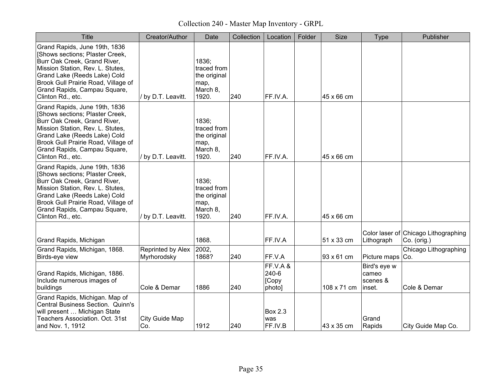Collection 240 - Master Map Inventory - GRPL

| Title                                                                                                                                                                                                                                                            | Creator/Author                   | Date                                                              | Collection | Location                            | Folder | <b>Size</b> | <b>Type</b>                                 | Publisher                                           |
|------------------------------------------------------------------------------------------------------------------------------------------------------------------------------------------------------------------------------------------------------------------|----------------------------------|-------------------------------------------------------------------|------------|-------------------------------------|--------|-------------|---------------------------------------------|-----------------------------------------------------|
| Grand Rapids, June 19th, 1836<br>[Shows sections; Plaster Creek,<br>Burr Oak Creek, Grand River,<br>Mission Station, Rev. L. Stutes,<br>Grand Lake (Reeds Lake) Cold<br>Brook Gull Prairie Road, Village of<br>Grand Rapids, Campau Square,<br>Clinton Rd., etc. | / by D.T. Leavitt.               | 1836:<br>traced from<br>the original<br>map,<br>March 8,<br>1920. | 240        | FF.IV.A.                            |        | 45 x 66 cm  |                                             |                                                     |
| Grand Rapids, June 19th, 1836<br>[Shows sections; Plaster Creek,<br>Burr Oak Creek, Grand River,<br>Mission Station, Rev. L. Stutes,<br>Grand Lake (Reeds Lake) Cold<br>Brook Gull Prairie Road, Village of<br>Grand Rapids, Campau Square,<br>Clinton Rd., etc. | / by D.T. Leavitt.               | 1836;<br>traced from<br>the original<br>map,<br>March 8,<br>1920. | 240        | FF.IV.A.                            |        | 45 x 66 cm  |                                             |                                                     |
| Grand Rapids, June 19th, 1836<br>[Shows sections; Plaster Creek,<br>Burr Oak Creek, Grand River,<br>Mission Station, Rev. L. Stutes,<br>Grand Lake (Reeds Lake) Cold<br>Brook Gull Prairie Road, Village of<br>Grand Rapids, Campau Square,<br>Clinton Rd., etc. | / by D.T. Leavitt.               | 1836:<br>traced from<br>the original<br>map,<br>March 8,<br>1920. | 240        | FF.IV.A.                            |        | 45 x 66 cm  |                                             |                                                     |
| Grand Rapids, Michigan                                                                                                                                                                                                                                           |                                  | 1868.                                                             |            | FF.IV.A                             |        | 51 x 33 cm  | Lithograph                                  | Color laser of Chicago Lithographing<br>Co. (orig.) |
| Grand Rapids, Michigan, 1868.<br>Birds-eye view                                                                                                                                                                                                                  | Reprinted by Alex<br>Myrhorodsky | 2002,<br>1868?                                                    | 240        | FF.V.A                              |        | 93 x 61 cm  | Picture maps Co.                            | Chicago Lithographing                               |
| Grand Rapids, Michigan, 1886.<br>Include numerous images of<br>buildings                                                                                                                                                                                         | Cole & Demar                     | 1886                                                              | 240        | FF.V.A&<br>240-6<br>[Copy<br>photo] |        | 108 x 71 cm | Bird's eye w<br>cameo<br>scenes &<br>inset. | Cole & Demar                                        |
| Grand Rapids, Michigan. Map of<br>Central Business Section. Quinn's<br>will present  Michigan State<br>Teachers Association. Oct. 31st<br>and Nov. 1, 1912                                                                                                       | City Guide Map<br>Co.            | 1912                                                              | 240        | <b>Box 2.3</b><br>was<br>FF.IV.B    |        | 43 x 35 cm  | Grand<br>Rapids                             | City Guide Map Co.                                  |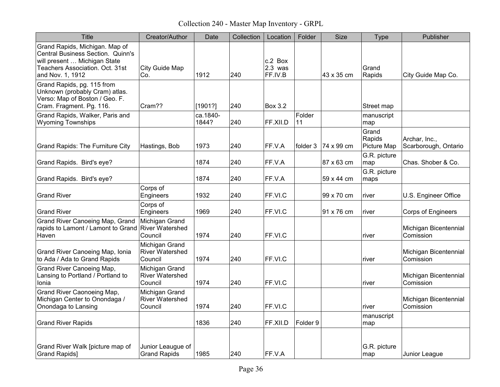Collection 240 - Master Map Inventory - GRPL

| Title                                                                                                                                                      | Creator/Author                                      | Date              | Collection | Location                        | Folder       | Size       | <b>Type</b>                           | Publisher                             |
|------------------------------------------------------------------------------------------------------------------------------------------------------------|-----------------------------------------------------|-------------------|------------|---------------------------------|--------------|------------|---------------------------------------|---------------------------------------|
| Grand Rapids, Michigan. Map of<br>Central Business Section. Quinn's<br>will present  Michigan State<br>Teachers Association. Oct. 31st<br>and Nov. 1, 1912 | City Guide Map<br>Co.                               | 1912              | 240        | c.2 Box<br>$2.3$ was<br>FF.IV.B |              | 43 x 35 cm | Grand<br>Rapids                       | City Guide Map Co.                    |
| Grand Rapids, pg. 115 from<br>Unknown (probably Cram) atlas.<br>Verso: Map of Boston / Geo. F.<br>Cram. Fragment. Pg. 116.                                 | Cram??                                              | [1901?]           | 240        | <b>Box 3.2</b>                  |              |            | Street map                            |                                       |
| Grand Rapids, Walker, Paris and<br><b>Wyoming Townships</b>                                                                                                |                                                     | ca.1840-<br>1844? | 240        | FF.XII.D                        | Folder<br>11 |            | manuscript<br>map                     |                                       |
| <b>Grand Rapids: The Furniture City</b>                                                                                                                    | Hastings, Bob                                       | 1973              | 240        | FF.V.A                          | folder 3     | 74 x 99 cm | Grand<br>Rapids<br><b>Picture Map</b> | Archar, Inc.,<br>Scarborough, Ontario |
| Grand Rapids. Bird's eye?                                                                                                                                  |                                                     | 1874              | 240        | FF.V.A                          |              | 87 x 63 cm | G.R. picture<br>map                   | Chas. Shober & Co.                    |
| Grand Rapids. Bird's eye?                                                                                                                                  |                                                     | 1874              | 240        | FF.V.A                          |              | 59 x 44 cm | G.R. picture<br>maps                  |                                       |
| <b>Grand River</b>                                                                                                                                         | Corps of<br>Engineers                               | 1932              | 240        | FF.VI.C                         |              | 99 x 70 cm | river                                 | U.S. Engineer Office                  |
| <b>Grand River</b>                                                                                                                                         | Corps of<br>Engineers                               | 1969              | 240        | FF.VI.C                         |              | 91 x 76 cm | river                                 | <b>Corps of Engineers</b>             |
| <b>Grand River Canoeing Map, Grand</b><br>rapids to Lamont / Lamont to Grand   River Watershed<br>Haven                                                    | Michigan Grand<br>Council                           | 1974              | 240        | FF.VI.C                         |              |            | river                                 | Michigan Bicentennial<br>Comission    |
| Grand River Canoeing Map, Ionia<br>to Ada / Ada to Grand Rapids                                                                                            | Michigan Grand<br><b>River Watershed</b><br>Council | 1974              | 240        | FF.VI.C                         |              |            | river                                 | Michigan Bicentennial<br>Comission    |
| Grand River Canoeing Map,<br>Lansing to Portland / Portland to<br>Ionia                                                                                    | Michigan Grand<br><b>River Watershed</b><br>Council | 1974              | 240        | FF.VI.C                         |              |            | river                                 | Michigan Bicentennial<br>Comission    |
| Grand River Caonoeing Map,<br>Michigan Center to Onondaga /<br>Onondaga to Lansing                                                                         | Michigan Grand<br><b>River Watershed</b><br>Council | 1974              | 240        | FF.VI.C                         |              |            | river                                 | Michigan Bicentennial<br>Comission    |
| <b>Grand River Rapids</b>                                                                                                                                  |                                                     | 1836              | 240        | FF.XII.D                        | Folder 9     |            | manuscript<br>map                     |                                       |
| Grand River Walk [picture map of<br><b>Grand Rapids</b> ]                                                                                                  | Junior Leaugue of<br><b>Grand Rapids</b>            | 1985              | 240        | FF.V.A                          |              |            | G.R. picture<br>map                   | Junior League                         |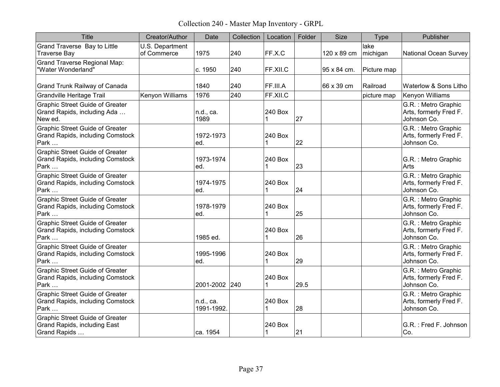Collection 240 - Master Map Inventory - GRPL

| <b>Title</b>                                                                              | Creator/Author                 | Date                   | Collection | Location     | Folder | <b>Size</b> | <b>Type</b>      | Publisher                                                     |
|-------------------------------------------------------------------------------------------|--------------------------------|------------------------|------------|--------------|--------|-------------|------------------|---------------------------------------------------------------|
| Grand Traverse Bay to Little<br><b>Traverse Bay</b>                                       | U.S. Department<br>of Commerce | 1975                   | 240        | FF.X.C       |        | 120 x 89 cm | lake<br>michigan | <b>National Ocean Survey</b>                                  |
| <b>Grand Traverse Regional Map:</b><br>"Water Wonderland"                                 |                                | c. 1950                | 240        | FF.XII.C     |        | 95 x 84 cm. | Picture map      |                                                               |
| Grand Trunk Railway of Canada                                                             |                                | 1840                   | 240        | FF.III.A     |        | 66 x 39 cm  | Railroad         | Waterlow & Sons Litho                                         |
| <b>Grandville Heritage Trail</b>                                                          | Kenyon Williams                | 1976                   | 240        | FF.XII.C     |        |             | picture map      | Kenyon Williams                                               |
| <b>Graphic Street Guide of Greater</b><br>Grand Rapids, including Ada<br>New ed.          |                                | n.d., ca.<br>1989      |            | 240 Box<br>1 | 27     |             |                  | G.R. : Metro Graphic<br>Arts, formerly Fred F.<br>Johnson Co. |
| <b>Graphic Street Guide of Greater</b><br><b>Grand Rapids, including Comstock</b><br>Park |                                | 1972-1973<br>ed.       |            | 240 Box<br>1 | 22     |             |                  | G.R. : Metro Graphic<br>Arts, formerly Fred F.<br>Johnson Co. |
| <b>Graphic Street Guide of Greater</b><br><b>Grand Rapids, including Comstock</b><br>Park |                                | 1973-1974<br>ed.       |            | 240 Box      | 23     |             |                  | G.R. : Metro Graphic<br>Arts                                  |
| <b>Graphic Street Guide of Greater</b><br><b>Grand Rapids, including Comstock</b><br>Park |                                | 1974-1975<br>ed.       |            | 240 Box      | 24     |             |                  | G.R. : Metro Graphic<br>Arts, formerly Fred F.<br>Johnson Co. |
| <b>Graphic Street Guide of Greater</b><br><b>Grand Rapids, including Comstock</b><br>Park |                                | 1978-1979<br>ed.       |            | 240 Box<br>1 | 25     |             |                  | G.R. : Metro Graphic<br>Arts, formerly Fred F.<br>Johnson Co. |
| <b>Graphic Street Guide of Greater</b><br><b>Grand Rapids, including Comstock</b><br>Park |                                | 1985 ed.               |            | 240 Box<br>1 | 26     |             |                  | G.R. : Metro Graphic<br>Arts, formerly Fred F.<br>Johnson Co. |
| <b>Graphic Street Guide of Greater</b><br><b>Grand Rapids, including Comstock</b><br>Park |                                | 1995-1996<br>ed.       |            | 240 Box      | 29     |             |                  | G.R. : Metro Graphic<br>Arts, formerly Fred F.<br>Johnson Co. |
| <b>Graphic Street Guide of Greater</b><br><b>Grand Rapids, including Comstock</b><br>Park |                                | 2001-2002 240          |            | 240 Box<br>1 | 29.5   |             |                  | G.R. : Metro Graphic<br>Arts, formerly Fred F.<br>Johnson Co. |
| <b>Graphic Street Guide of Greater</b><br><b>Grand Rapids, including Comstock</b><br>Park |                                | n.d., ca.<br>1991-1992 |            | 240 Box      | 28     |             |                  | G.R. : Metro Graphic<br>Arts, formerly Fred F.<br>Johnson Co. |
| <b>Graphic Street Guide of Greater</b><br>Grand Rapids, including East<br>Grand Rapids    |                                | ca. 1954               |            | 240 Box<br>1 | 21     |             |                  | G.R.: Fred F. Johnson<br>Co.                                  |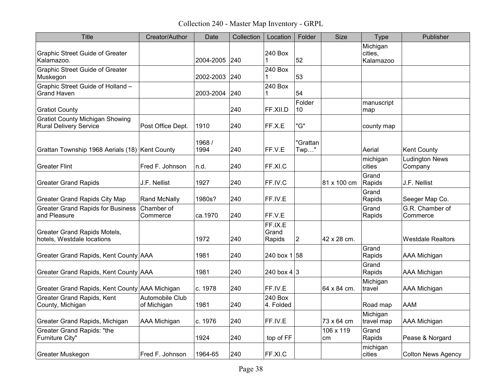Collection 240 - Master Map Inventory - GRPL

| <b>Title</b>                                                            | Creator/Author                 | Date           | Collection | Location                   | Folder           | <b>Size</b>     | <b>Type</b>                      | Publisher                        |
|-------------------------------------------------------------------------|--------------------------------|----------------|------------|----------------------------|------------------|-----------------|----------------------------------|----------------------------------|
| <b>Graphic Street Guide of Greater</b><br>Kalamazoo.                    |                                | 2004-2005      | 240        | 240 Box<br>1               | 52               |                 | Michigan<br>cities,<br>Kalamazoo |                                  |
| <b>Graphic Street Guide of Greater</b><br>Muskegon                      |                                | 2002-2003      | 240        | 240 Box<br>1               | 53               |                 |                                  |                                  |
| Graphic Street Guide of Holland -<br><b>Grand Haven</b>                 |                                | 2003-2004      | 240        | 240 Box<br>1               | 54               |                 |                                  |                                  |
| <b>Gratiot County</b>                                                   |                                |                | 240        | FF.XII.D                   | Folder<br>10     |                 | manuscript<br>map                |                                  |
| <b>Gratiot County Michigan Showing</b><br><b>Rural Delivery Service</b> | Post Office Dept.              | 1910           | 240        | FF.X.E                     | "G"              |                 | county map                       |                                  |
| Grattan Township 1968 Aerials (18) Kent County                          |                                | 1968 /<br>1994 | 240        | FF.V.E                     | "Grattan<br>Twp" |                 | Aerial                           | <b>Kent County</b>               |
| <b>Greater Flint</b>                                                    | Fred F. Johnson                | n.d.           | 240        | FF.XI.C                    |                  |                 | michigan<br>cities               | <b>Ludington News</b><br>Company |
| <b>Greater Grand Rapids</b>                                             | J.F. Nellist                   | 1927           | 240        | FF.IV.C                    |                  | 81 x 100 cm     | Grand<br>Rapids                  | J.F. Nellist                     |
| <b>Greater Grand Rapids City Map</b>                                    | Rand McNally                   | 1980s?         | 240        | FF.IV.E                    |                  |                 | Grand<br>Rapids                  | Seeger Map Co.                   |
| <b>Greater Grand Rapids for Business</b><br>and Pleasure                | Chamber of<br>Commerce         | ca.1970        | 240        | FF.V.E                     |                  |                 | Grand<br>Rapids                  | G.R. Chamber of<br>Commerce      |
| Greater Grand Rapids Motels,<br>hotels, Westdale locations              |                                | 1972           | 240        | FF.IX.E<br>Grand<br>Rapids | $\overline{2}$   | 42 x 28 cm.     |                                  | <b>Westdale Realtors</b>         |
| Greater Grand Rapids, Kent County AAA                                   |                                | 1981           | 240        | 240 box 1 58               |                  |                 | Grand<br>Rapids                  | <b>AAA Michigan</b>              |
| Greater Grand Rapids, Kent County AAA                                   |                                | 1981           | 240        | 240 box $4 3$              |                  |                 | Grand<br>Rapids                  | <b>AAA Michigan</b>              |
| Greater Grand Rapids, Kent County AAA Michigan                          |                                | c. 1978        | 240        | FF.IV.E                    |                  | 64 x 84 cm.     | Michigan<br>travel               | <b>AAA Michigan</b>              |
| Greater Grand Rapids, Kent<br>County, Michigan                          | Automobile Club<br>of Michigan | 1981           | 240        | 240 Box<br>4. Folded       |                  |                 | Road map                         | <b>AAM</b>                       |
| Greater Grand Rapids, Michigan                                          | <b>AAA Michigan</b>            | c. 1976        | 240        | FF.IV.E                    |                  | 73 x 64 cm      | Michigan<br>travel map           | <b>AAA Michigan</b>              |
| <b>Greater Grand Rapids: "the</b><br>Furniture City"                    |                                | 1924           | 240        | top of FF                  |                  | 106 x 119<br>cm | Grand<br>Rapids                  | Pease & Norgard                  |
| Greater Muskegon                                                        | Fred F. Johnson                | 1964-65        | 240        | FF.XI.C                    |                  |                 | michigan<br>cities               | <b>Colton News Agency</b>        |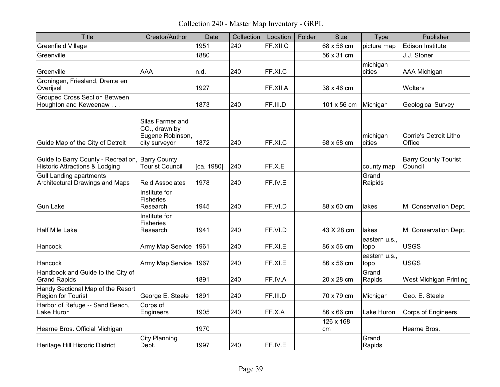Collection 240 - Master Map Inventory - GRPL

| Title                                                                                         | Creator/Author                                                         | Date       | Collection | Location | Folder | <b>Size</b>     | <b>Type</b>           | Publisher                              |
|-----------------------------------------------------------------------------------------------|------------------------------------------------------------------------|------------|------------|----------|--------|-----------------|-----------------------|----------------------------------------|
| Greenfield Village                                                                            |                                                                        | 1951       | 240        | FF.XII.C |        | 68 x 56 cm      | picture map           | <b>Edison Institute</b>                |
| Greenville                                                                                    |                                                                        | 1880       |            |          |        | 56 x 31 cm      |                       | J.J. Stoner                            |
| Greenville                                                                                    | <b>AAA</b>                                                             | n.d.       | 240        | FF.XI.C  |        |                 | michigan<br>cities    | AAA Michigan                           |
| Groningen, Friesland, Drente en<br>Overijsel                                                  |                                                                        | 1927       |            | FF.XII.A |        | 38 x 46 cm      |                       | Wolters                                |
| <b>Grouped Cross Section Between</b><br>Houghton and Keweenaw                                 |                                                                        | 1873       | 240        | FF.III.D |        | 101 x 56 cm     | Michigan              | <b>Geological Survey</b>               |
| Guide Map of the City of Detroit                                                              | Silas Farmer and<br>CO., drawn by<br>Eugene Robinson,<br>city surveyor | 1872       | 240        | FF.XI.C  |        | 68 x 58 cm      | michigan<br>cities    | Corrie's Detroit Litho<br>Office       |
| Guide to Barry County - Recreation, Barry County<br><b>Historic Attractions &amp; Lodging</b> | <b>Tourist Council</b>                                                 | [ca. 1980] | 240        | FF.X.E   |        |                 | county map            | <b>Barry County Tourist</b><br>Council |
| <b>Gull Landing apartments</b><br>Architectural Drawings and Maps                             | <b>Reid Associates</b>                                                 | 1978       | 240        | FF.IV.E  |        |                 | Grand<br>Raipids      |                                        |
| <b>Gun Lake</b>                                                                               | Institute for<br><b>Fisheries</b><br>Research                          | 1945       | 240        | FF.VI.D  |        | 88 x 60 cm      | lakes                 | MI Conservation Dept.                  |
| <b>Half Mile Lake</b>                                                                         | Institute for<br><b>Fisheries</b><br>Research                          | 1941       | 240        | FF.VI.D  |        | 43 X 28 cm      | lakes                 | MI Conservation Dept.                  |
| Hancock                                                                                       | Army Map Service 1961                                                  |            | 240        | FF.XI.E  |        | 86 x 56 cm      | eastern u.s.,<br>topo | <b>USGS</b>                            |
| <b>Hancock</b>                                                                                | Army Map Service 1967                                                  |            | 240        | FF.XI.E  |        | 86 x 56 cm      | eastern u.s.,<br>topo | <b>USGS</b>                            |
| Handbook and Guide to the City of<br><b>Grand Rapids</b>                                      |                                                                        | 1891       | 240        | FF.IV.A  |        | 20 x 28 cm      | Grand<br>Rapids       | West Michigan Printing                 |
| Handy Sectional Map of the Resort<br>Region for Tourist                                       | George E. Steele                                                       | 1891       | 240        | FF.III.D |        | 70 x 79 cm      | Michigan              | Geo. E. Steele                         |
| Harbor of Refuge -- Sand Beach,<br>Lake Huron                                                 | Corps of<br>Engineers                                                  | 1905       | 240        | FF.X.A   |        | 86 x 66 cm      | Lake Huron            | Corps of Engineers                     |
| Hearne Bros. Official Michigan                                                                |                                                                        | 1970       |            |          |        | 126 x 168<br>cm |                       | Hearne Bros.                           |
| Heritage Hill Historic District                                                               | <b>City Planning</b><br>Dept.                                          | 1997       | 240        | FF.IV.E  |        |                 | Grand<br>Rapids       |                                        |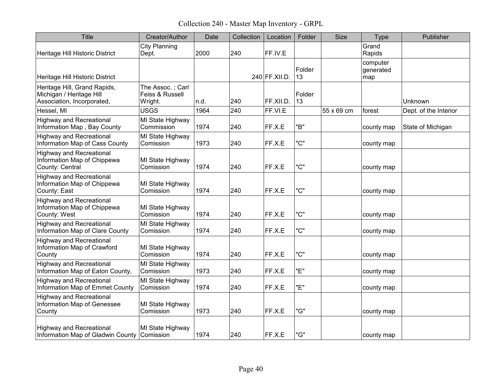Collection 240 - Master Map Inventory - GRPL

| <b>Title</b>                                                                           | Creator/Author                                 | Date | Collection | Location      | Folder       | <b>Size</b> | Type                         | Publisher             |
|----------------------------------------------------------------------------------------|------------------------------------------------|------|------------|---------------|--------------|-------------|------------------------------|-----------------------|
| Heritage Hill Historic District                                                        | <b>City Planning</b><br>Dept.                  | 2000 | 240        | FF.IV.E       |              |             | Grand<br>Rapids              |                       |
| Heritage Hill Historic District                                                        |                                                |      |            | 240 FF.XII.D. | Folder<br>13 |             | computer<br>generated<br>map |                       |
| Heritage Hill, Grand Rapids,<br>Michigan / Heritage Hill<br>Association, Incorporated, | The Assoc.; Carl<br>Feiss & Russell<br>Wright. | n.d. | 240        | FF.XII.D.     | Folder<br>13 |             |                              | Unknown               |
| Hessel, MI                                                                             | <b>USGS</b>                                    | 1964 | 240        | FF.VI.E       |              | 55 x 69 cm  | forest                       | Dept. of the Interior |
| <b>Highway and Recreational</b><br>Information Map, Bay County                         | MI State Highway<br>Commission                 | 1974 | 240        | FF.X.E        | "B"          |             | county map                   | State of Michigan     |
| <b>Highway and Recreational</b><br>Information Map of Cass County                      | MI State Highway<br>Comission                  | 1973 | 240        | FF.X.E        | "C"          |             | county map                   |                       |
| <b>Highway and Recreational</b><br>Information Map of Chippewa<br>County: Central      | MI State Highway<br>Comission                  | 1974 | 240        | FF.X.E        | "C"          |             | county map                   |                       |
| <b>Highway and Recreational</b><br>Information Map of Chippewa<br>County: East         | MI State Highway<br>Comission                  | 1974 | 240        | FF.X.E        | "C"          |             | county map                   |                       |
| <b>Highway and Recreational</b><br>Information Map of Chippewa<br>County: West         | MI State Highway<br>Comission                  | 1974 | 240        | FF.X.E        | "C"          |             | county map                   |                       |
| <b>Highway and Recreational</b><br>Information Map of Clare County                     | MI State Highway<br>Comission                  | 1974 | 240        | FF.X.E        | "C"          |             | county map                   |                       |
| <b>Highway and Recreational</b><br>Information Map of Crawford<br>County               | MI State Highway<br>Comission                  | 1974 | 240        | FF.X.E        | "C"          |             | county map                   |                       |
| <b>Highway and Recreational</b><br>Information Map of Eaton County,                    | MI State Highway<br>Comission                  | 1973 | 240        | FF.X.E        | "Е"          |             | county map                   |                       |
| <b>Highway and Recreational</b><br>Information Map of Emmet County                     | MI State Highway<br>Comission                  | 1974 | 240        | FF.X.E        | "Е"          |             | county map                   |                       |
| <b>Highway and Recreational</b><br>Information Map of Genessee<br>County               | MI State Highway<br>Comission                  | 1973 | 240        | FF.X.E        | "G"          |             | county map                   |                       |
| <b>Highway and Recreational</b><br>Information Map of Gladwin County Comission         | MI State Highway                               | 1974 | 240        | FF.X.E        | "G"          |             | county map                   |                       |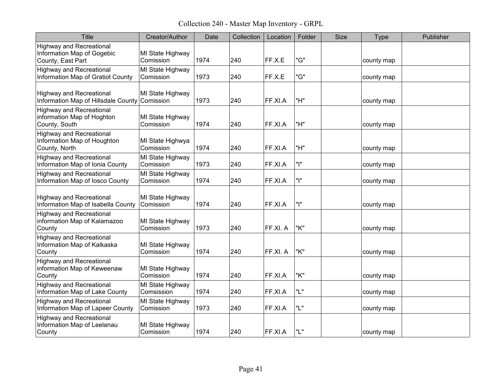Collection 240 - Master Map Inventory - GRPL

| Title                                                                              | Creator/Author                 | Date | Collection | Location | Folder | <b>Size</b><br><b>Type</b> | Publisher |
|------------------------------------------------------------------------------------|--------------------------------|------|------------|----------|--------|----------------------------|-----------|
| <b>Highway and Recreational</b><br>Information Map of Gogebic<br>County, East Part | MI State Highway<br>Comission  | 1974 | 240        | FF.X.E   | "G"    | county map                 |           |
| <b>Highway and Recreational</b><br>Information Map of Gratiot County               | MI State Highway<br>Comission  | 1973 | 240        | FF.X.E   | "G"    | county map                 |           |
| <b>Highway and Recreational</b><br>Information Map of Hillsdale County Comission   | MI State Highway               | 1973 | 240        | FF.XI.A  | "H"    | county map                 |           |
| <b>Highway and Recreational</b><br>information Map of Hoghton<br>County, South     | MI State Highway<br>Comission  | 1974 | 240        | FF.XI.A  | "H"    | county map                 |           |
| <b>Highway and Recreational</b><br>Information Map of Houghton<br>County, North    | MI State Highwya<br>Comission  | 1974 | 240        | FF.XI.A  | "H"    | county map                 |           |
| <b>Highway and Recreational</b><br>Information Map of Ionia County                 | MI State Highway<br>Comission  | 1973 | 240        | FF.XI.A  | "ו"    | county map                 |           |
| <b>Highway and Recreational</b><br>Information Map of losco County                 | MI State Highway<br>Comission  | 1974 | 240        | FF.XI.A  | "ו"    | county map                 |           |
| <b>Highway and Recreational</b><br>Information Map of Isabella County              | MI State Highway<br>Comission  | 1974 | 240        | FF.XI.A  | "ו"    | county map                 |           |
| <b>Highway and Recreational</b><br>information Map of Kalamazoo<br>County          | MI State Highway<br>Comission  | 1973 | 240        | FF.XI. A | "K"    | county map                 |           |
| <b>Highway and Recreational</b><br>Information Map of Kalkaska<br>County           | MI State Highway<br>Comission  | 1974 | 240        | FF.XI. A | "K"    | county map                 |           |
| <b>Highway and Recreational</b><br>information Map of Keweenaw<br>County           | MI State Highway<br>Comission  | 1974 | 240        | FF.XI.A  | "K"    | county map                 |           |
| <b>Highway and Recreational</b><br>Information Map of Lake County                  | MI State Highway<br>Comsission | 1974 | 240        | FF.XI.A  | "L"    | county map                 |           |
| <b>Highway and Recreational</b><br>Information Map of Lapeer County                | MI State Highway<br>Comission  | 1973 | 240        | FF.XI.A  | "L"    | county map                 |           |
| <b>Highway and Recreational</b><br>Information Map of Leelanau<br>County           | MI State Highway<br>Comission  | 1974 | 240        | FF.XI.A  | "L"    | county map                 |           |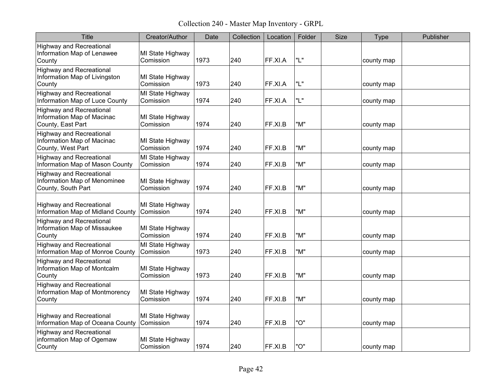Collection 240 - Master Map Inventory - GRPL

| <b>Title</b>                                                                          | Creator/Author                | Date | Collection | Location | Folder | <b>Size</b> | Type       | Publisher |
|---------------------------------------------------------------------------------------|-------------------------------|------|------------|----------|--------|-------------|------------|-----------|
| <b>Highway and Recreational</b><br>Information Map of Lenawee<br>County               | MI State Highway<br>Comission | 1973 | 240        | FF.XI.A  | "L"    |             | county map |           |
| <b>Highway and Recreational</b><br>Information Map of Livingston<br>County            | MI State Highway<br>Comission | 1973 | 240        | FF.XI.A  | "L"    |             | county map |           |
| <b>Highway and Recreational</b><br>Information Map of Luce County                     | MI State Highway<br>Comission | 1974 | 240        | FF.XI.A  | "L"    |             | county map |           |
| <b>Highway and Recreational</b><br>Information Map of Macinac<br>County, East Part    | MI State Highway<br>Comission | 1974 | 240        | FF.XI.B  | "M"    |             | county map |           |
| <b>Highway and Recreational</b><br>Information Map of Macinac<br>County, West Part    | MI State Highway<br>Comission | 1974 | 240        | FF.XI.B  | "M"    |             | county map |           |
| <b>Highway and Recreational</b><br>Information Map of Mason County                    | MI State Highway<br>Comission | 1974 | 240        | FF.XI.B  | "M"    |             | county map |           |
| <b>Highway and Recreational</b><br>Information Map of Menominee<br>County, South Part | MI State Highway<br>Comission | 1974 | 240        | FF.XI.B  | "M"    |             | county map |           |
| <b>Highway and Recreational</b><br>Information Map of Midland County                  | MI State Highway<br>Comission | 1974 | 240        | FF.XI.B  | "M"    |             | county map |           |
| <b>Highway and Recreational</b><br>Information Map of Missaukee<br>County             | MI State Highway<br>Comission | 1974 | 240        | FF.XI.B  | "M"    |             | county map |           |
| <b>Highway and Recreational</b><br>Information Map of Monroe County                   | MI State Highway<br>Comission | 1973 | 240        | FF.XI.B  | "M"    |             | county map |           |
| <b>Highway and Recreational</b><br>Information Map of Montcalm<br>County              | MI State Highway<br>Comission | 1973 | 240        | FF.XI.B  | "M"    |             | county map |           |
| <b>Highway and Recreational</b><br>Information Map of Montmorency<br>County           | MI State Highway<br>Comission | 1974 | 240        | FF.XI.B  | "M"    |             | county map |           |
| <b>Highway and Recreational</b><br>Information Map of Oceana County                   | MI State Highway<br>Comission | 1974 | 240        | FF.XI.B  | "O"    |             | county map |           |
| <b>Highway and Recreational</b><br>information Map of Ogemaw<br>County                | MI State Highway<br>Comission | 1974 | 240        | FF.XI.B  | "O"    |             | county map |           |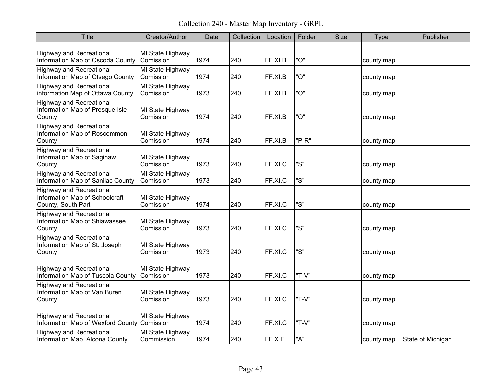Collection 240 - Master Map Inventory - GRPL

| <b>Title</b>                                                                            | Creator/Author                 | Date | Collection | Location | Folder | <b>Size</b> | Type       | Publisher         |
|-----------------------------------------------------------------------------------------|--------------------------------|------|------------|----------|--------|-------------|------------|-------------------|
| <b>Highway and Recreational</b><br>Information Map of Oscoda County                     | MI State Highway<br>Comission  | 1974 | 240        | FF.XI.B  | "O"    |             | county map |                   |
| <b>Highway and Recreational</b><br>Information Map of Otsego County                     | MI State Highway<br>Comission  | 1974 | 240        | FF.XI.B  | "O"    |             | county map |                   |
| <b>Highway and Recreational</b><br>information Map of Ottawa County                     | MI State Highway<br>Comission  | 1973 | 240        | FF.XI.B  | "O"    |             | county map |                   |
| <b>Highway and Recreational</b><br>Information Map of Presque Isle<br>County            | MI State Highway<br>Comission  | 1974 | 240        | FF.XI.B  | "O"    |             | county map |                   |
| <b>Highway and Recreational</b><br>Information Map of Roscommon<br>County               | MI State Highway<br>Comission  | 1974 | 240        | FF.XI.B  | "P-R"  |             | county map |                   |
| <b>Highway and Recreational</b><br>Information Map of Saginaw<br>County                 | MI State Highway<br>Comission  | 1973 | 240        | FF.XI.C  | "S"    |             | county map |                   |
| <b>Highway and Recreational</b><br>Information Map of Sanilac County                    | MI State Highway<br>Comission  | 1973 | 240        | FF.XI.C  | "S"    |             | county map |                   |
| <b>Highway and Recreational</b><br>Information Map of Schoolcraft<br>County, South Part | MI State Highway<br>Comission  | 1974 | 240        | FF.XI.C  | "S"    |             | county map |                   |
| <b>Highway and Recreational</b><br>Information Map of Shiawassee<br>County              | MI State Highway<br>Comission  | 1973 | 240        | FF.XI.C  | "S"    |             | county map |                   |
| <b>Highway and Recreational</b><br>Information Map of St. Joseph<br>County              | MI State Highway<br>Comission  | 1973 | 240        | FF.XI.C  | "S"    |             | county map |                   |
| <b>Highway and Recreational</b><br>Information Map of Tuscola County                    | MI State Highway<br>Comission  | 1973 | 240        | FF.XI.C  | "T-V"  |             | county map |                   |
| <b>Highway and Recreational</b><br>Information Map of Van Buren<br>County               | MI State Highway<br>Comission  | 1973 | 240        | FF.XI.C  | "T-V"  |             | county map |                   |
| <b>Highway and Recreational</b><br>Information Map of Wexford County Comission          | MI State Highway               | 1974 | 240        | FF.XI.C  | "T-V"  |             | county map |                   |
| <b>Highway and Recreational</b><br>Information Map, Alcona County                       | MI State Highway<br>Commission | 1974 | 240        | FF.X.E   | "A"    |             | county map | State of Michigan |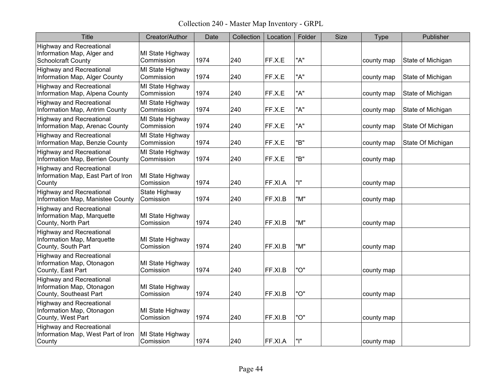Collection 240 - Master Map Inventory - GRPL

| <b>Title</b>                                                                               | Creator/Author                 | Date | Collection | Location | Folder | <b>Size</b> | <b>Type</b> | Publisher         |
|--------------------------------------------------------------------------------------------|--------------------------------|------|------------|----------|--------|-------------|-------------|-------------------|
| <b>Highway and Recreational</b><br>Information Map, Alger and<br><b>Schoolcraft County</b> | MI State Highway<br>Commission | 1974 | 240        | FF.X.E   | "A"    |             | county map  | State of Michigan |
| <b>Highway and Recreational</b><br>Information Map, Alger County                           | MI State Highway<br>Commission | 1974 | 240        | FF.X.E   | "A"    |             | county map  | State of Michigan |
| <b>Highway and Recreational</b><br>Information Map, Alpena County                          | MI State Highway<br>Commission | 1974 | 240        | FF.X.E   | "A"    |             | county map  | State of Michigan |
| <b>Highway and Recreational</b><br>Information Map, Antrim County                          | MI State Highway<br>Commission | 1974 | 240        | FF.X.E   | "A"    |             | county map  | State of Michigan |
| <b>Highway and Recreational</b><br>Information Map, Arenac County                          | MI State Highway<br>Commission | 1974 | 240        | FF.X.E   | "A"    |             | county map  | State Of Michigan |
| <b>Highway and Recreational</b><br>Information Map, Benzie County                          | MI State Highway<br>Commission | 1974 | 240        | FF.X.E   | "B"    |             | county map  | State Of Michigan |
| <b>Highway and Recreational</b><br>Information Map, Berrien County                         | MI State Highway<br>Commission | 1974 | 240        | FF.X.E   | "B"    |             | county map  |                   |
| <b>Highway and Recreational</b><br>Information Map, East Part of Iron<br>County            | MI State Highway<br>Comission  | 1974 | 240        | FF.XI.A  | "ו"    |             | county map  |                   |
| <b>Highway and Recreational</b><br>Information Map, Manistee County                        | State Highway<br>Comission     | 1974 | 240        | FF.XI.B  | "M"    |             | county map  |                   |
| <b>Highway and Recreational</b><br>Information Map, Marquette<br>County, North Part        | MI State Highway<br>Comission  | 1974 | 240        | FF.XI.B  | "M"    |             | county map  |                   |
| <b>Highway and Recreational</b><br>Information Map, Marquette<br>County, South Part        | MI State Highway<br>Comission  | 1974 | 240        | FF.XI.B  | "M"    |             | county map  |                   |
| <b>Highway and Recreational</b><br>Information Map, Otonagon<br>County, East Part          | MI State Highway<br>Comission  | 1974 | 240        | FF.XI.B  | "O"    |             | county map  |                   |
| <b>Highway and Recreational</b><br>Information Map, Otonagon<br>County, Southeast Part     | MI State Highway<br>Comission  | 1974 | 240        | FF.XI.B  | "O"    |             | county map  |                   |
| <b>Highway and Recreational</b><br>Information Map, Otonagon<br>County, West Part          | MI State Highway<br>Comission  | 1974 | 240        | FF.XI.B  | "O"    |             | county map  |                   |
| <b>Highway and Recreational</b><br>Information Map, West Part of Iron<br>County            | MI State Highway<br>Comission  | 1974 | 240        | FF.XI.A  | "ו"    |             | county map  |                   |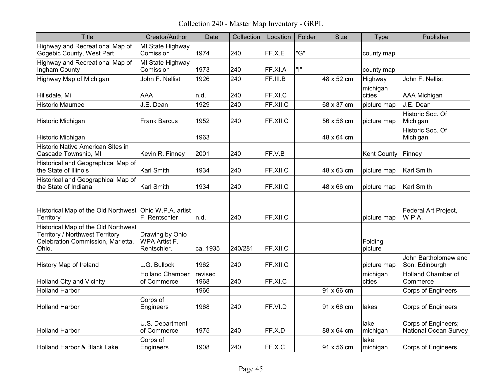Collection 240 - Master Map Inventory - GRPL

| <b>Title</b>                                                                                                                | Creator/Author                                         | Date            | Collection | Location | Folder | <b>Size</b> | Type               | Publisher                                           |
|-----------------------------------------------------------------------------------------------------------------------------|--------------------------------------------------------|-----------------|------------|----------|--------|-------------|--------------------|-----------------------------------------------------|
| Highway and Recreational Map of<br>Gogebic County, West Part                                                                | MI State Highway<br>Comission                          | 1974            | 240        | FF.X.E   | "G"    |             | county map         |                                                     |
| Highway and Recreational Map of<br>Ingham County                                                                            | MI State Highway<br>Comission                          | 1973            | 240        | FF.XI.A  | "ו"    |             | county map         |                                                     |
| Highway Map of Michigan                                                                                                     | John F. Nellist                                        | 1926            | 240        | FF.III.B |        | 48 x 52 cm  | Highway            | John F. Nellist                                     |
| Hillsdale, Mi                                                                                                               | AAA                                                    | n.d.            | 240        | FF.XI.C  |        |             | michigan<br>cities | AAA Michigan                                        |
| <b>Historic Maumee</b>                                                                                                      | J.E. Dean                                              | 1929            | 240        | FF.XII.C |        | 68 x 37 cm  | picture map        | J.E. Dean                                           |
| Historic Michigan                                                                                                           | <b>Frank Barcus</b>                                    | 1952            | 240        | FF.XII.C |        | 56 x 56 cm  | picture map        | Historic Soc. Of<br>Michigan                        |
| Historic Michigan                                                                                                           |                                                        | 1963            |            |          |        | 48 x 64 cm  |                    | Historic Soc. Of<br>Michigan                        |
| Historic Native American Sites in<br>Cascade Township, MI                                                                   | Kevin R. Finney                                        | 2001            | 240        | FF.V.B   |        |             | <b>Kent County</b> | Finney                                              |
| Historical and Geographical Map of<br>the State of Illinois                                                                 | <b>Karl Smith</b>                                      | 1934            | 240        | FF.XII.C |        | 48 x 63 cm  | picture map        | <b>Karl Smith</b>                                   |
| Historical and Geographical Map of<br>the State of Indiana                                                                  | <b>Karl Smith</b>                                      | 1934            | 240        | FF.XII.C |        | 48 x 66 cm  | picture map        | <b>Karl Smith</b>                                   |
| Historical Map of the Old Northwest Ohio W.P.A. artist<br>Territory                                                         | F. Rentschler                                          | n.d.            | 240        | FF.XII.C |        |             | picture map        | Federal Art Project,<br>W.P.A.                      |
| Historical Map of the Old Northwest<br><b>Territory / Northwest Territory</b><br>Celebration Commission, Marietta,<br>Ohio. | Drawing by Ohio<br><b>WPA Artist F.</b><br>Rentschler. | ca. 1935        | 240/281    | FF.XII.C |        |             | Folding<br>picture |                                                     |
| History Map of Ireland                                                                                                      | L.G. Bullock                                           | 1962            | 240        | FF.XII.C |        |             | picture map        | John Bartholomew and<br>Son, Edinburgh              |
| <b>Holland City and Vicinity</b>                                                                                            | <b>Holland Chamber</b><br>of Commerce                  | revised<br>1968 | 240        | FF.XI.C  |        |             | michigan<br>cities | <b>Holland Chamber of</b><br>Commerce               |
| <b>Holland Harbor</b>                                                                                                       |                                                        | 1966            |            |          |        | 91 x 66 cm  |                    | <b>Corps of Engineers</b>                           |
| <b>Holland Harbor</b>                                                                                                       | Corps of<br>Engineers                                  | 1968            | 240        | FF.VI.D  |        | 91 x 66 cm  | lakes              | Corps of Engineers                                  |
| <b>Holland Harbor</b>                                                                                                       | U.S. Department<br>of Commerce                         | 1975            | 240        | FF.X.D   |        | 88 x 64 cm  | lake<br>michigan   | Corps of Engineers;<br><b>National Ocean Survey</b> |
| Holland Harbor & Black Lake                                                                                                 | Corps of<br>Engineers                                  | 1908            | 240        | FF.X.C   |        | 91 x 56 cm  | lake<br>michigan   | <b>Corps of Engineers</b>                           |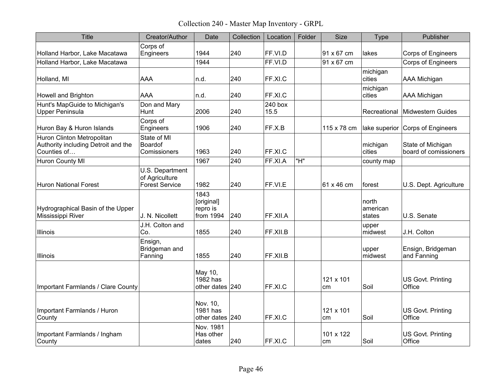Collection 240 - Master Map Inventory - GRPL

| <b>Title</b>                                                                     | Creator/Author                                             | Date                                        | Collection | Location        | Folder | <b>Size</b>     | <b>Type</b>                 | Publisher                                  |
|----------------------------------------------------------------------------------|------------------------------------------------------------|---------------------------------------------|------------|-----------------|--------|-----------------|-----------------------------|--------------------------------------------|
| Holland Harbor, Lake Macatawa                                                    | Corps of<br>Engineers                                      | 1944                                        | 240        | FF.VI.D         |        | 91 x 67 cm      | lakes                       | <b>Corps of Engineers</b>                  |
| Holland Harbor, Lake Macatawa                                                    |                                                            | 1944                                        |            | FF.VI.D         |        | 91 x 67 cm      |                             | <b>Corps of Engineers</b>                  |
| Holland, MI                                                                      | <b>AAA</b>                                                 | n.d.                                        | 240        | FF.XI.C         |        |                 | michigan<br>cities          | AAA Michigan                               |
| Howell and Brighton                                                              | AAA                                                        | n.d.                                        | 240        | FF.XI.C         |        |                 | michigan<br>cities          | AAA Michigan                               |
| Hunt's MapGuide to Michigan's<br>Upper Peninsula                                 | Don and Mary<br>Hunt                                       | 2006                                        | 240        | 240 box<br>15.5 |        |                 | Recreational                | Midwestern Guides                          |
| Huron Bay & Huron Islands                                                        | Corps of<br>Engineers                                      | 1906                                        | 240        | FF.X.B          |        | 115 x 78 cm     |                             | lake superior Corps of Engineers           |
| Huron Clinton Metropolitan<br>Authority including Detroit and the<br>Counties of | State of MI<br><b>Boardof</b><br>Comissioners              | 1963                                        | 240        | FF.XI.C         |        |                 | michigan<br>cities          | State of Michigan<br>board of comissioners |
| Huron County MI                                                                  |                                                            | 1967                                        | 240        | FF.XI.A         | "H"    |                 | county map                  |                                            |
| <b>Huron National Forest</b>                                                     | U.S. Department<br>of Agriculture<br><b>Forest Service</b> | 1982                                        | 240        | FF.VI.E         |        | 61 x 46 cm      | forest                      | U.S. Dept. Agriculture                     |
| Hydrographical Basin of the Upper<br>Mississippi River                           | J. N. Nicollett                                            | 1843<br>[original]<br>repro is<br>from 1994 | 240        | FF.XII.A        |        |                 | north<br>american<br>states | U.S. Senate                                |
| Illinois                                                                         | J.H. Colton and<br>Co.                                     | 1855                                        | 240        | FF.XII.B        |        |                 | upper<br>midwest            | J.H. Colton                                |
| <b>Illinois</b>                                                                  | Ensign,<br>Bridgeman and<br>Fanning                        | 1855                                        | 240        | FF.XII.B        |        |                 | upper<br>midwest            | Ensign, Bridgeman<br>and Fanning           |
| Important Farmlands / Clare County                                               |                                                            | May 10,<br>$1982$ has<br>other dates 240    |            | FF.XI.C         |        | 121 x 101<br>cm | Soil                        | US Govt. Printing<br>Office                |
| Important Farmlands / Huron<br>County                                            |                                                            | Nov. 10,<br>1981 has<br>other dates 240     |            | FF.XI.C         |        | 121 x 101<br>cm | Soil                        | US Govt. Printing<br>Office                |
| Important Farmlands / Ingham<br>County                                           |                                                            | Nov. 1981<br>Has other<br>dates             | 240        | FF.XI.C         |        | 101 x 122<br>cm | Soil                        | US Govt. Printing<br>Office                |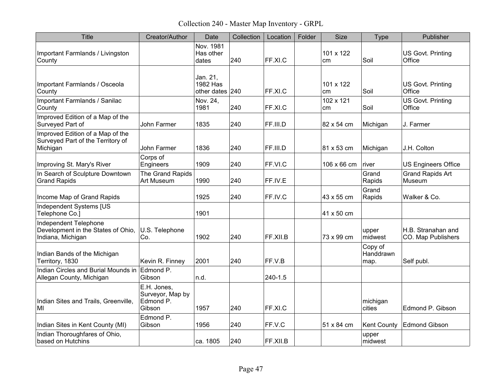Collection 240 - Master Map Inventory - GRPL

| Title                                                                             | Creator/Author                                         | Date                                           | Collection | Location | Folder | <b>Size</b>     | <b>Type</b>                  | Publisher                                |
|-----------------------------------------------------------------------------------|--------------------------------------------------------|------------------------------------------------|------------|----------|--------|-----------------|------------------------------|------------------------------------------|
| Important Farmlands / Livingston<br>County                                        |                                                        | Nov. 1981<br>Has other<br>dates                | 240        | FF.XI.C  |        | 101 x 122<br>cm | Soil                         | US Govt. Printing<br>Office              |
| Important Farmlands / Osceola<br>County                                           |                                                        | Jan. 21,<br><b>1982 Has</b><br>other dates 240 |            | FF.XI.C  |        | 101 x 122<br>cm | Soil                         | US Govt. Printing<br>Office              |
| Important Farmlands / Sanilac<br>County                                           |                                                        | Nov. 24,<br>1981                               | 240        | FF.XI.C  |        | 102 x 121<br>cm | Soil                         | US Govt. Printing<br>Office              |
| Improved Edition of a Map of the<br>Surveyed Part of                              | <b>John Farmer</b>                                     | 1835                                           | 240        | FF.III.D |        | 82 x 54 cm      | Michigan                     | J. Farmer                                |
| Improved Edition of a Map of the<br>Surveyed Part of the Territory of<br>Michigan | John Farmer                                            | 1836                                           | 240        | FF.III.D |        | 81 x 53 cm      | Michigan                     | J.H. Colton                              |
| Improving St. Mary's River                                                        | Corps of<br>Engineers                                  | 1909                                           | 240        | FF.VI.C  |        | 106 x 66 cm     | river                        | <b>US Engineers Office</b>               |
| In Search of Sculpture Downtown<br><b>Grand Rapids</b>                            | The Grand Rapids<br>Art Museum                         | 1990                                           | 240        | FF.IV.E  |        |                 | Grand<br>Rapids              | <b>Grand Rapids Art</b><br>Museum        |
| Income Map of Grand Rapids                                                        |                                                        | 1925                                           | 240        | FF.IV.C  |        | 43 x 55 cm      | Grand<br>Rapids              | Walker & Co.                             |
| Independent Systems [US<br>Telephone Co.]                                         |                                                        | 1901                                           |            |          |        | 41 x 50 cm      |                              |                                          |
| Independent Telephone<br>Development in the States of Ohio,<br>Indiana, Michigan  | U.S. Telephone<br>Co.                                  | 1902                                           | 240        | FF.XII.B |        | 73 x 99 cm      | upper<br>midwest             | H.B. Stranahan and<br>CO. Map Publishers |
| Indian Bands of the Michigan<br>Territory, 1830                                   | Kevin R. Finney                                        | 2001                                           | 240        | FF.V.B   |        |                 | Copy of<br>Handdrawn<br>map. | Self publ.                               |
| Indian Circles and Burial Mounds in Edmond P.<br>Allegan County, Michigan         | Gibson                                                 | n.d.                                           |            | 240-1.5  |        |                 |                              |                                          |
| Indian Sites and Trails, Greenville,<br>MI                                        | E.H. Jones,<br>Surveyor, Map by<br>Edmond P.<br>Gibson | 1957                                           | 240        | FF.XI.C  |        |                 | michigan<br>cities           | Edmond P. Gibson                         |
| Indian Sites in Kent County (MI)                                                  | Edmond P.<br>Gibson                                    | 1956                                           | 240        | FF.V.C   |        | 51 x 84 cm      | <b>Kent County</b>           | <b>Edmond Gibson</b>                     |
| Indian Thoroughfares of Ohio,<br>based on Hutchins                                |                                                        | ca. 1805                                       | 240        | FF.XII.B |        |                 | upper<br>midwest             |                                          |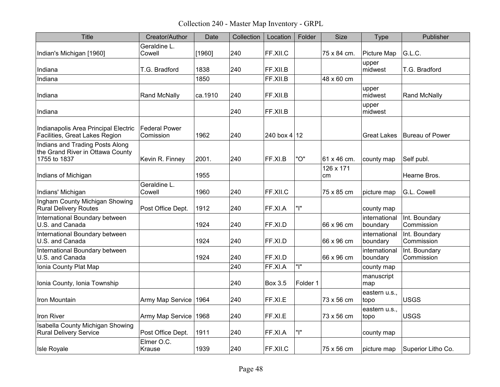Collection 240 - Master Map Inventory - GRPL

| <b>Title</b>                                                                        | Creator/Author                    | Date    | Collection | Location       | Folder   | <b>Size</b>     | <b>Type</b>               | Publisher                   |
|-------------------------------------------------------------------------------------|-----------------------------------|---------|------------|----------------|----------|-----------------|---------------------------|-----------------------------|
| Indian's Michigan [1960]                                                            | Geraldine L.<br>Cowell            | [1960]  | 240        | FF.XII.C       |          | 75 x 84 cm.     | Picture Map               | G.L.C.                      |
| Indiana                                                                             | T.G. Bradford                     | 1838    | 240        | FF.XII.B       |          |                 | upper<br>midwest          | T.G. Bradford               |
| Indiana                                                                             |                                   | 1850    |            | FF.XII.B       |          | 48 x 60 cm      |                           |                             |
| Indiana                                                                             | <b>Rand McNally</b>               | ca.1910 | 240        | FF.XII.B       |          |                 | upper<br>midwest          | <b>Rand McNally</b>         |
| Indiana                                                                             |                                   |         | 240        | FF.XII.B       |          |                 | upper<br>midwest          |                             |
| Indianapolis Area Principal Electric<br>Facilities, Great Lakes Region              | <b>Federal Power</b><br>Comission | 1962    | 240        | 240 box $4 12$ |          |                 | <b>Great Lakes</b>        | Bureau of Power             |
| Indians and Trading Posts Along<br>the Grand River in Ottawa County<br>1755 to 1837 | Kevin R. Finney                   | 2001.   | 240        | FF.XI.B        | "O"      | 61 x 46 cm.     | county map                | Self publ.                  |
| Indians of Michigan                                                                 |                                   | 1955    |            |                |          | 126 x 171<br>cm |                           | Hearne Bros.                |
| Indians' Michigan                                                                   | Geraldine L.<br>Cowell            | 1960    | 240        | FF.XII.C       |          | 75 x 85 cm      | picture map               | G.L. Cowell                 |
| Ingham County Michigan Showing<br><b>Rural Delivery Routes</b>                      | Post Office Dept.                 | 1912    | 240        | FF.XI.A        | " "      |                 | county map                |                             |
| International Boundary between<br>U.S. and Canada                                   |                                   | 1924    | 240        | FF.XI.D        |          | 66 x 96 cm      | international<br>boundary | Int. Boundary<br>Commission |
| International Boundary between<br>U.S. and Canada                                   |                                   | 1924    | 240        | FF.XI.D        |          | 66 x 96 cm      | international<br>boundary | Int. Boundary<br>Commission |
| International Boundary between<br>U.S. and Canada                                   |                                   | 1924    | 240        | FF.XI.D        |          | 66 x 96 cm      | international<br>boundary | Int. Boundary<br>Commission |
| Ionia County Plat Map                                                               |                                   |         | 240        | FF.XI.A        | " "      |                 | county map                |                             |
| Ionia County, Ionia Township                                                        |                                   |         | 240        | <b>Box 3.5</b> | Folder 1 |                 | manuscript<br>map         |                             |
| <b>Iron Mountain</b>                                                                | Army Map Service 1964             |         | 240        | FF.XI.E        |          | 73 x 56 cm      | eastern u.s.,<br>topo     | <b>USGS</b>                 |
| Iron River                                                                          | Army Map Service 1968             |         | 240        | FF.XI.E        |          | 73 x 56 cm      | eastern u.s.,<br>topo     | <b>USGS</b>                 |
| Isabella County Michigan Showing<br><b>Rural Delivery Service</b>                   | Post Office Dept.                 | 1911    | 240        | FF.XI.A        | " "      |                 | county map                |                             |
| Isle Royale                                                                         | Elmer O.C.<br>Krause              | 1939    | 240        | FF.XII.C       |          | 75 x 56 cm      | picture map               | Superior Litho Co.          |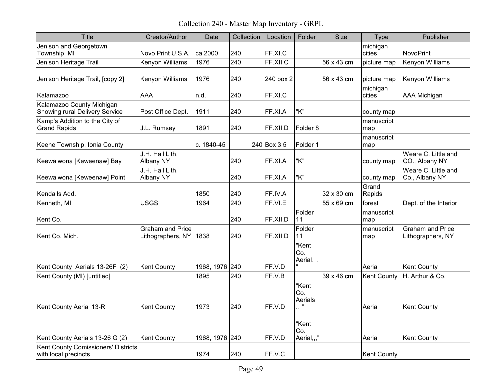Collection 240 - Master Map Inventory - GRPL

| <b>Title</b>                                                | Creator/Author                               | Date           | Collection | Location    | Folder                              | <b>Size</b> | Type               | Publisher                                    |
|-------------------------------------------------------------|----------------------------------------------|----------------|------------|-------------|-------------------------------------|-------------|--------------------|----------------------------------------------|
| Jenison and Georgetown<br>Township, MI                      | Novo Print U.S.A.                            | ca.2000        | 240        | FF.XI.C     |                                     |             | michigan<br>cities | <b>NovoPrint</b>                             |
| Jenison Heritage Trail                                      | Kenyon Williams                              | 1976           | 240        | FF.XII.C    |                                     | 56 x 43 cm  | picture map        | Kenyon Williams                              |
| Jenison Heritage Trail, [copy 2]                            | Kenyon Williams                              | 1976           | 240        | 240 box 2   |                                     | 56 x 43 cm  | picture map        | Kenyon Williams                              |
| Kalamazoo                                                   | <b>AAA</b>                                   | n.d.           | 240        | FF.XI.C     |                                     |             | michigan<br>cities | AAA Michigan                                 |
| Kalamazoo County Michigan<br>Showing rural Delivery Service | Post Office Dept.                            | 1911           | 240        | FF.XI.A     | "K"                                 |             | county map         |                                              |
| Kamp's Addition to the City of<br><b>Grand Rapids</b>       | J.L. Rumsey                                  | 1891           | 240        | FF.XII.D    | Folder <sub>8</sub>                 |             | manuscript<br>map  |                                              |
| Keene Township, Ionia County                                |                                              | c. 1840-45     |            | 240 Box 3.5 | Folder 1                            |             | manuscript<br>map  |                                              |
| Keewaiwona [Keweenaw] Bay                                   | J.H. Hall Lith,<br>Albany NY                 |                | 240        | FF.XI.A     | "K"                                 |             | county map         | Weare C. Little and<br>CO., Albany NY        |
| Keewaiwona [Keweenaw] Point                                 | J.H. Hall Lith,<br><b>Albany NY</b>          |                | 240        | FF.XI.A     | "K"                                 |             | county map         | Weare C. Little and<br>Co., Albany NY        |
| Kendalls Add.                                               |                                              | 1850           | 240        | FF.IV.A     |                                     | 32 x 30 cm  | Grand<br>Rapids    |                                              |
| Kenneth, MI                                                 | <b>USGS</b>                                  | 1964           | 240        | FF.VI.E     |                                     | 55 x 69 cm  | forest             | Dept. of the Interior                        |
| Kent Co.                                                    |                                              |                | 240        | FF.XII.D    | Folder<br>11                        |             | manuscript<br>map  |                                              |
| Kent Co. Mich.                                              | <b>Graham and Price</b><br>Lithographers, NY | 1838           | 240        | FF.XII.D    | Folder<br>11                        |             | manuscript<br>map  | <b>Graham and Price</b><br>Lithographers, NY |
| Kent County Aerials 13-26F (2)                              | <b>Kent County</b>                           | 1968, 1976 240 |            | FF.V.D      | "Kent<br>Co.<br>Aerial              |             | Aerial             | <b>Kent County</b>                           |
| Kent County (MI) [untitled]                                 |                                              | 1895           | 240        | FF.V.B      |                                     | 39 x 46 cm  | <b>Kent County</b> | H. Arthur & Co.                              |
| Kent County Aerial 13-R                                     | <b>Kent County</b>                           | 1973           | 240        | FF.V.D      | "Kent<br>Co.<br>Aerials<br>$\cdots$ |             | Aerial             | <b>Kent County</b>                           |
| Kent County Aerials 13-26 G (2)                             | <b>Kent County</b>                           | 1968, 1976 240 |            | FF.V.D      | "Kent<br>Co.<br>Aerial,,,"          |             | Aerial             | <b>Kent County</b>                           |
| Kent County Comissioners' Districts<br>with local precincts |                                              | 1974           | 240        | FF.V.C      |                                     |             | <b>Kent County</b> |                                              |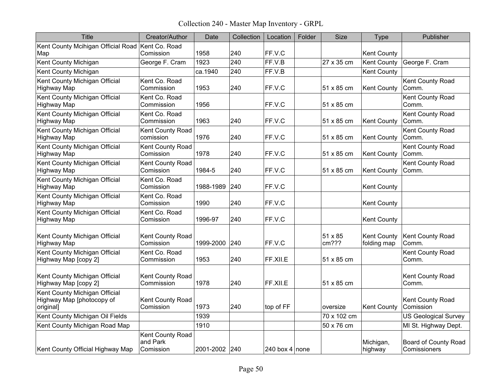Collection 240 - Master Map Inventory - GRPL

| <b>Title</b>                                                            | Creator/Author                            | Date          | Collection | Location       | Folder | Size             | Type                              | Publisher                                   |
|-------------------------------------------------------------------------|-------------------------------------------|---------------|------------|----------------|--------|------------------|-----------------------------------|---------------------------------------------|
| Kent County Mcihigan Official Road Kent Co. Road<br>Map                 | Comission                                 | 1958          | 240        | FF.V.C         |        |                  | <b>Kent County</b>                |                                             |
| Kent County Michigan                                                    | George F. Cram                            | 1923          | 240        | FF.V.B         |        | 27 x 35 cm       | <b>Kent County</b>                | George F. Cram                              |
| Kent County Michigan                                                    |                                           | ca.1940       | 240        | FF.V.B         |        |                  | <b>Kent County</b>                |                                             |
| Kent County Michigan Official<br><b>Highway Map</b>                     | Kent Co. Road<br>Commission               | 1953          | 240        | FF.V.C         |        | 51 x 85 cm       | <b>Kent County</b>                | Kent County Road<br>Comm.                   |
| Kent County Michigan Official<br><b>Highway Map</b>                     | Kent Co. Road<br>Commission               | 1956          |            | FF.V.C         |        | 51 x 85 cm       |                                   | Kent County Road<br>Comm.                   |
| Kent County Michigan Official<br><b>Highway Map</b>                     | Kent Co. Road<br>Commission               | 1963          | 240        | FF.V.C         |        | 51 x 85 cm       | <b>Kent County</b>                | Kent County Road<br>Comm.                   |
| Kent County Michigan Official<br><b>Highway Map</b>                     | Kent County Road<br>comission             | 1976          | 240        | FF.V.C         |        | 51 x 85 cm       | <b>Kent County</b>                | Kent County Road<br>Comm.                   |
| Kent County Michigan Official<br><b>Highway Map</b>                     | Kent County Road<br>Comission             | 1978          | 240        | FF.V.C         |        | 51 x 85 cm       | <b>Kent County</b>                | Kent County Road<br>Comm.                   |
| Kent County Michigan Official<br><b>Highway Map</b>                     | Kent County Road<br>Comission             | 1984-5        | 240        | FF.V.C         |        | 51 x 85 cm       | <b>Kent County</b>                | Kent County Road<br>Comm.                   |
| Kent County Michigan Official<br><b>Highway Map</b>                     | Kent Co. Road<br>Comission                | 1988-1989     | 240        | FF.V.C         |        |                  | <b>Kent County</b>                |                                             |
| Kent County Michigan Official<br><b>Highway Map</b>                     | Kent Co. Road<br>Comission                | 1990          | 240        | FF.V.C         |        |                  | <b>Kent County</b>                |                                             |
| Kent County Michigan Official<br><b>Highway Map</b>                     | Kent Co. Road<br>Comission                | 1996-97       | 240        | FF.V.C         |        |                  | <b>Kent County</b>                |                                             |
| Kent County Michigan Official<br><b>Highway Map</b>                     | Kent County Road<br>Comission             | 1999-2000     | 240        | FF.V.C         |        | 51 x 85<br>cm??? | <b>Kent County</b><br>folding map | Kent County Road<br>Comm.                   |
| Kent County Michigan Official<br>Highway Map [copy 2]                   | Kent Co. Road<br>Commission               | 1953          | 240        | FF.XII.E       |        | 51 x 85 cm       |                                   | Kent County Road<br>Comm.                   |
| Kent County Michigan Official<br>Highway Map [copy 2]                   | Kent County Road<br>Commission            | 1978          | 240        | FF.XILE        |        | 51 x 85 cm       |                                   | Kent County Road<br>Comm.                   |
| Kent County Michigan Official<br>Highway Map [photocopy of<br>original] | Kent County Road<br>Comission             | 1973          | 240        | top of FF      |        | oversize         | <b>Kent County</b>                | Kent County Road<br>Comission               |
| Kent County Michigan Oil Fields                                         |                                           | 1939          |            |                |        | 70 x 102 cm      |                                   | <b>US Geological Survey</b>                 |
| Kent County Michigan Road Map                                           |                                           | 1910          |            |                |        | 50 x 76 cm       |                                   | MI St. Highway Dept.                        |
| Kent County Official Highway Map                                        | Kent County Road<br>and Park<br>Comission | 2001-2002 240 |            | 240 box 4 none |        |                  | Michigan,<br>highway              | <b>Board of County Road</b><br>Comissioners |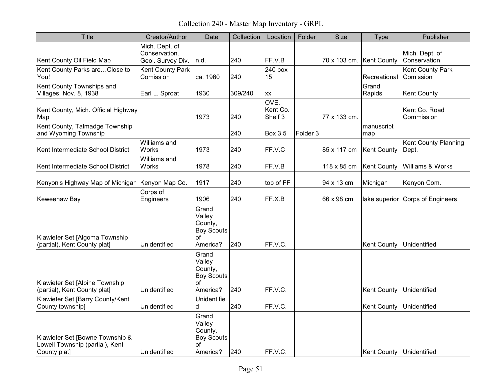Collection 240 - Master Map Inventory - GRPL

| <b>Title</b>                                                                       | Creator/Author                                       | Date                                                              | Collection | Location                    | Folder              | <b>Size</b>              | Type                       | Publisher                            |
|------------------------------------------------------------------------------------|------------------------------------------------------|-------------------------------------------------------------------|------------|-----------------------------|---------------------|--------------------------|----------------------------|--------------------------------------|
| Kent County Oil Field Map                                                          | Mich. Dept. of<br>Conservation.<br>Geol. Survey Div. | n.d.                                                              | 240        | FF.V.B                      |                     | 70 x 103 cm. Kent County |                            | Mich. Dept. of<br>Conservation       |
| Kent County Parks areClose to<br>You!                                              | Kent County Park<br>Comission                        | ca. 1960                                                          | 240        | 240 box<br>15               |                     |                          | Recreational               | Kent County Park<br>Comission        |
| Kent County Townships and<br>Villages, Nov. 8, 1938                                | Earl L. Sproat                                       | 1930                                                              | 309/240    | <b>XX</b>                   |                     |                          | Grand<br>Rapids            | <b>Kent County</b>                   |
| Kent County, Mich. Official Highway<br>Map                                         |                                                      | 1973                                                              | 240        | OVE.<br>Kent Co.<br>Shelf 3 |                     | 77 x 133 cm.             |                            | Kent Co. Road<br>Commission          |
| Kent County, Talmadge Township<br>and Wyoming Township                             |                                                      |                                                                   | 240        | <b>Box 3.5</b>              | Folder <sub>3</sub> |                          | manuscript<br>map          |                                      |
| Kent Intermediate School District                                                  | Williams and<br>Works                                | 1973                                                              | 240        | FF.V.C                      |                     | 85 x 117 cm              | <b>Kent County</b>         | <b>Kent County Planning</b><br>Dept. |
| Kent Intermediate School District                                                  | Williams and<br>Works                                | 1978                                                              | 240        | FF.V.B                      |                     | 118 x 85 cm              | <b>Kent County</b>         | Williams & Works                     |
| Kenyon's Highway Map of Michigan Kenyon Map Co.                                    |                                                      | 1917                                                              | 240        | top of FF                   |                     | 94 x 13 cm               | Michigan                   | Kenyon Com.                          |
| Keweenaw Bay                                                                       | Corps of<br>Engineers                                | 1906                                                              | 240        | FF.X.B                      |                     | 66 x 98 cm               | lake superior              | Corps of Engineers                   |
| Klawieter Set [Algoma Township<br>(partial), Kent County plat]                     | Unidentified                                         | Grand<br>Valley<br>County,<br><b>Boy Scouts</b><br>оf<br>America? | 240        | FF.V.C.                     |                     |                          | <b>Kent County</b>         | Unidentified                         |
| Klawieter Set [Alpine Township<br>(partial), Kent County plat]                     | Unidentified                                         | Grand<br>Valley<br>County,<br><b>Boy Scouts</b><br>of<br>America? | 240        | FF.V.C.                     |                     |                          | <b>Kent County</b>         | Unidentified                         |
| Klawieter Set [Barry County/Kent<br>County township]                               | Unidentified                                         | Unidentifie<br>d                                                  | 240        | FF.V.C.                     |                     |                          | <b>Kent County</b>         | Unidentified                         |
| Klawieter Set [Bowne Township &<br>Lowell Township (partial), Kent<br>County plat] | Unidentified                                         | Grand<br>Valley<br>County,<br><b>Boy Scouts</b><br>of<br>America? | 240        | FF.V.C.                     |                     |                          | Kent County   Unidentified |                                      |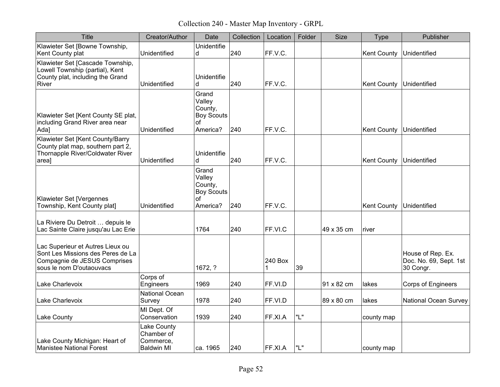Collection 240 - Master Map Inventory - GRPL

| <b>Title</b>                                                                                                                      | Creator/Author                                              | Date                                                              | Collection | Location     | Folder | <b>Size</b> | Type               | Publisher                                                |
|-----------------------------------------------------------------------------------------------------------------------------------|-------------------------------------------------------------|-------------------------------------------------------------------|------------|--------------|--------|-------------|--------------------|----------------------------------------------------------|
| Klawieter Set [Bowne Township,<br>Kent County plat                                                                                | Unidentified                                                | Unidentifie<br>d                                                  | 240        | FF.V.C.      |        |             | <b>Kent County</b> | Unidentified                                             |
| Klawieter Set [Cascade Township,<br>Lowell Township (partial), Kent<br>County plat, including the Grand<br>River                  | Unidentified                                                | Unidentifie<br>d                                                  | 240        | FF.V.C.      |        |             | <b>Kent County</b> | Unidentified                                             |
| Klawieter Set [Kent County SE plat,<br>including Grand River area near<br>Ada]                                                    | Unidentified                                                | Grand<br>Valley<br>County,<br><b>Boy Scouts</b><br>оf<br>America? | 240        | FF.V.C.      |        |             | <b>Kent County</b> | Unidentified                                             |
| Klawieter Set [Kent County/Barry<br>County plat map, southern part 2,<br>Thornapple River/Coldwater River<br>area]                | Unidentified                                                | Unidentifie<br>d                                                  | 240        | FF.V.C.      |        |             | <b>Kent County</b> | Unidentified                                             |
| Klawieter Set [Vergennes<br>Township, Kent County plat]                                                                           | Unidentified                                                | Grand<br>Valley<br>County,<br><b>Boy Scouts</b><br>οf<br>America? | 240        | FF.V.C.      |        |             | <b>Kent County</b> | Unidentified                                             |
| La Riviere Du Detroit  depuis le<br>Lac Sainte Claire jusqu'au Lac Erie                                                           |                                                             | 1764                                                              | 240        | FF.VI.C      |        | 49 x 35 cm  | river              |                                                          |
| Lac Superieur et Autres Lieux ou<br>Sont Les Missions des Peres de La<br>Compagnie de JESUS Comprises<br>sous le nom D'outaouvacs |                                                             | 1672, ?                                                           |            | 240 Box<br>1 | 39     |             |                    | House of Rep. Ex.<br>Doc. No. 69, Sept. 1st<br>30 Congr. |
| Lake Charlevoix                                                                                                                   | Corps of<br>Engineers                                       | 1969                                                              | 240        | FF.VI.D      |        | 91 x 82 cm  | lakes              | <b>Corps of Engineers</b>                                |
| Lake Charlevoix                                                                                                                   | National Ocean<br>Survey                                    | 1978                                                              | 240        | FF.VI.D      |        | 89 x 80 cm  | lakes              | <b>National Ocean Survey</b>                             |
| Lake County                                                                                                                       | MI Dept. Of<br>Conservation                                 | 1939                                                              | 240        | FF.XI.A      | "L"    |             | county map         |                                                          |
| Lake County Michigan: Heart of<br>Manistee National Forest                                                                        | Lake County<br>Chamber of<br>Commerce,<br><b>Baldwin MI</b> | ca. 1965                                                          | 240        | FF.XI.A      | "L"    |             | county map         |                                                          |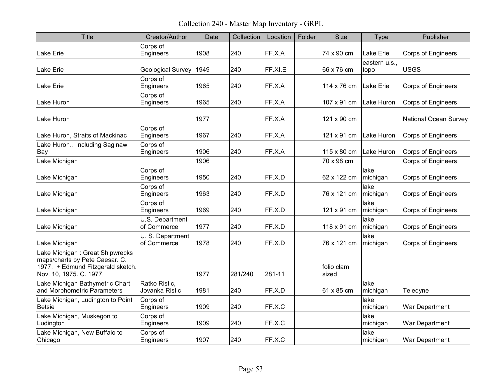Collection 240 - Master Map Inventory - GRPL

| <b>Title</b>                                                                                                                      | Creator/Author                  | Date | Collection | Location | Folder | <b>Size</b>         | <b>Type</b>           | Publisher                    |
|-----------------------------------------------------------------------------------------------------------------------------------|---------------------------------|------|------------|----------|--------|---------------------|-----------------------|------------------------------|
| Lake Erie                                                                                                                         | Corps of<br>Engineers           | 1908 | 240        | FF.X.A   |        | 74 x 90 cm          | Lake Erie             | <b>Corps of Engineers</b>    |
| Lake Erie                                                                                                                         | Geological Survey               | 1949 | 240        | FF.XI.E  |        | 66 x 76 cm          | eastern u.s.,<br>topo | <b>USGS</b>                  |
| Lake Erie                                                                                                                         | Corps of<br>Engineers           | 1965 | 240        | FF.X.A   |        | 114 x 76 cm         | <b>Lake Erie</b>      | <b>Corps of Engineers</b>    |
| Lake Huron                                                                                                                        | Corps of<br>Engineers           | 1965 | 240        | FF.X.A   |        | 107 x 91 cm         | Lake Huron            | <b>Corps of Engineers</b>    |
| Lake Huron                                                                                                                        |                                 | 1977 |            | FF.X.A   |        | 121 x 90 cm         |                       | <b>National Ocean Survey</b> |
| Lake Huron, Straits of Mackinac                                                                                                   | Corps of<br>Engineers           | 1967 | 240        | FF.X.A   |        | 121 x 91 cm         | Lake Huron            | Corps of Engineers           |
| Lake HuronIncluding Saginaw<br>Bay                                                                                                | Corps of<br>Engineers           | 1906 | 240        | FF.X.A   |        | 115 x 80 cm         | Lake Huron            | <b>Corps of Engineers</b>    |
| Lake Michigan                                                                                                                     |                                 | 1906 |            |          |        | 70 x 98 cm          |                       | Corps of Engineers           |
| Lake Michigan                                                                                                                     | Corps of<br>Engineers           | 1950 | 240        | FF.X.D   |        | 62 x 122 cm         | lake<br>michigan      | <b>Corps of Engineers</b>    |
| Lake Michigan                                                                                                                     | Corps of<br>Engineers           | 1963 | 240        | FF.X.D   |        | 76 x 121 cm         | lake<br>michigan      | <b>Corps of Engineers</b>    |
| Lake Michigan                                                                                                                     | Corps of<br>Engineers           | 1969 | 240        | FF.X.D   |        | 121 x 91 cm         | lake<br>michigan      | <b>Corps of Engineers</b>    |
| Lake Michigan                                                                                                                     | U.S. Department<br>of Commerce  | 1977 | 240        | FF.X.D   |        | 118 x 91 cm         | lake<br>michigan      | <b>Corps of Engineers</b>    |
| Lake Michigan                                                                                                                     | U. S. Department<br>of Commerce | 1978 | 240        | FF.X.D   |        | 76 x 121 cm         | lake<br>michigan      | <b>Corps of Engineers</b>    |
| Lake Michigan: Great Shipwrecks<br>maps/charts by Pete Caesar. C.<br>1977. + Edmund Fitzgerald sketch.<br>Nov. 10, 1975. C. 1977. |                                 | 1977 | 281/240    | 281-11   |        | folio clam<br>sized |                       |                              |
| Lake Michigan Bathymetric Chart<br>and Morphometric Parameters                                                                    | Ratko Ristic,<br>Jovanka Ristic | 1981 | 240        | FF.X.D   |        | 61 x 85 cm          | lake<br>michigan      | Teledyne                     |
| Lake Michigan, Ludington to Point<br><b>Betsie</b>                                                                                | Corps of<br>Engineers           | 1909 | 240        | FF.X.C   |        |                     | lake<br>michigan      | War Department               |
| Lake Michigan, Muskegon to<br>Ludington                                                                                           | Corps of<br>Engineers           | 1909 | 240        | FF.X.C   |        |                     | lake<br>michigan      | War Department               |
| Lake Michigan, New Buffalo to<br>Chicago                                                                                          | Corps of<br>Engineers           | 1907 | 240        | FF.X.C   |        |                     | lake<br>michigan      | War Department               |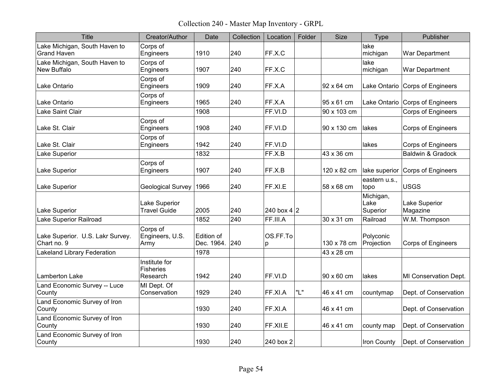Collection 240 - Master Map Inventory - GRPL

| <b>Title</b>                                        | Creator/Author                                | Date                     | Collection | Location            | Folder | <b>Size</b> | Type                          | Publisher                        |
|-----------------------------------------------------|-----------------------------------------------|--------------------------|------------|---------------------|--------|-------------|-------------------------------|----------------------------------|
| Lake Michigan, South Haven to<br><b>Grand Haven</b> | Corps of<br>Engineers                         | 1910                     | 240        | FF.X.C              |        |             | lake<br>michigan              | War Department                   |
| Lake Michigan, South Haven to<br>New Buffalo        | Corps of<br>Engineers                         | 1907                     | 240        | FF.X.C              |        |             | lake<br>michigan              | War Department                   |
| Lake Ontario                                        | Corps of<br>Engineers                         | 1909                     | 240        | FF.X.A              |        | 92 x 64 cm  | Lake Ontario                  | <b>Corps of Engineers</b>        |
| Lake Ontario                                        | Corps of<br>Engineers                         | 1965                     | 240        | FF.X.A              |        | 95 x 61 cm  | Lake Ontario                  | Corps of Engineers               |
| Lake Saint Clair                                    |                                               | 1908                     |            | FF.VI.D             |        | 90 x 103 cm |                               | <b>Corps of Engineers</b>        |
| Lake St. Clair                                      | Corps of<br>Engineers                         | 1908                     | 240        | FF.VI.D             |        | 90 x 130 cm | lakes                         | Corps of Engineers               |
| Lake St. Clair                                      | Corps of<br>Engineers                         | 1942                     | 240        | FF.VI.D             |        |             | lakes                         | <b>Corps of Engineers</b>        |
| <b>Lake Superior</b>                                |                                               | 1832                     |            | FF.X.B              |        | 43 x 36 cm  |                               | Baldwin & Gradock                |
| <b>Lake Superior</b>                                | Corps of<br>Engineers                         | 1907                     | 240        | FF.X.B              |        | 120 x 82 cm | lake superior                 | <b>Corps of Engineers</b>        |
| <b>Lake Superior</b>                                | Geological Survey                             | 1966                     | 240        | FF.XI.E             |        | 58 x 68 cm  | eastern u.s.,<br>topo         | <b>USGS</b>                      |
| <b>Lake Superior</b>                                | Lake Superior<br><b>Travel Guide</b>          | 2005                     | 240        | 240 box 4 $\vert$ 2 |        |             | Michigan,<br>Lake<br>Superior | <b>Lake Superior</b><br>Magazine |
| Lake Superior Railroad                              |                                               | 1852                     | 240        | FF.III.A            |        | 30 x 31 cm  | Railroad                      | W.M. Thompson                    |
| Lake Superior. U.S. Lakr Survey.<br>Chart no. 9     | Corps of<br>Engineers, U.S.<br>Army           | Edition of<br>Dec. 1964. | 240        | OS.FF.To<br>p       |        | 130 x 78 cm | Polyconic<br>Projection       | <b>Corps of Engineers</b>        |
| <b>Lakeland Library Federation</b>                  |                                               | 1978                     |            |                     |        | 43 x 28 cm  |                               |                                  |
| <b>Lamberton Lake</b>                               | Institute for<br><b>Fisheries</b><br>Research | 1942                     | 240        | FF.VI.D             |        | 90 x 60 cm  | lakes                         | MI Conservation Dept.            |
| Land Economic Survey -- Luce<br>County              | MI Dept. Of<br>Conservation                   | 1929                     | 240        | FF.XI.A             | "L"    | 46 x 41 cm  | countymap                     | Dept. of Conservation            |
| Land Economic Survey of Iron<br>County              |                                               | 1930                     | 240        | FF.XI.A             |        | 46 x 41 cm  |                               | Dept. of Conservation            |
| Land Economic Survey of Iron<br>County              |                                               | 1930                     | 240        | FF.XILE             |        | 46 x 41 cm  | county map                    | Dept. of Conservation            |
| Land Economic Survey of Iron<br>County              |                                               | 1930                     | 240        | 240 box 2           |        |             | Iron County                   | Dept. of Conservation            |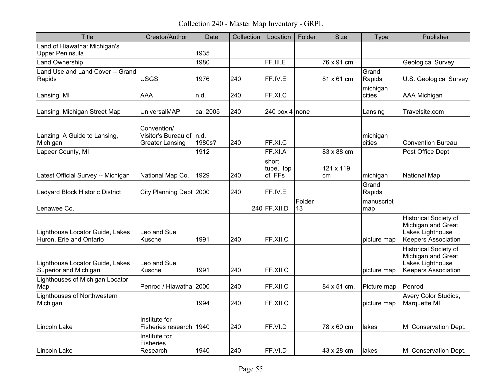Collection 240 - Master Map Inventory - GRPL

| <b>Title</b>                                               | Creator/Author                                                      | Date     | Collection | Location                     | Folder       | <b>Size</b>     | <b>Type</b>        | Publisher                                                                                            |
|------------------------------------------------------------|---------------------------------------------------------------------|----------|------------|------------------------------|--------------|-----------------|--------------------|------------------------------------------------------------------------------------------------------|
| Land of Hiawatha: Michigan's<br><b>Upper Peninsula</b>     |                                                                     | 1935     |            |                              |              |                 |                    |                                                                                                      |
| Land Ownership                                             |                                                                     | 1980     |            | FF.III.E                     |              | 76 x 91 cm      |                    | <b>Geological Survey</b>                                                                             |
| Land Use and Land Cover -- Grand<br>Rapids                 | <b>USGS</b>                                                         | 1976     | 240        | FF.IV.E                      |              | 81 x 61 cm      | Grand<br>Rapids    | U.S. Geological Survey                                                                               |
| Lansing, MI                                                | AAA                                                                 | n.d.     | 240        | FF.XI.C                      |              |                 | michigan<br>cities | <b>AAA Michigan</b>                                                                                  |
| Lansing, Michigan Street Map                               | UniversalMAP                                                        | ca. 2005 | 240        | 240 box 4 none               |              |                 | Lansing            | Travelsite.com                                                                                       |
| Lanzing: A Guide to Lansing,<br>Michigan                   | Convention/<br>Visitor's Bureau of   n.d.<br><b>Greater Lansing</b> | 1980s?   | 240        | FF.XI.C                      |              |                 | michigan<br>cities | <b>Convention Bureau</b>                                                                             |
| Lapeer County, MI                                          |                                                                     | 1912     |            | FF.XI.A                      |              | 83 x 88 cm      |                    | Post Office Dept.                                                                                    |
| Latest Official Survey -- Michigan                         | National Map Co.                                                    | 1929     | 240        | short<br>tube, top<br>of FFs |              | 121 x 119<br>cm | michigan           | National Map                                                                                         |
| Ledyard Block Historic District                            | City Planning Dept 2000                                             |          | 240        | FF.IV.E                      |              |                 | Grand<br>Rapids    |                                                                                                      |
| Lenawee Co.                                                |                                                                     |          |            | 240 FF.XII.D                 | Folder<br>13 |                 | manuscript<br>map  |                                                                                                      |
| Lighthouse Locator Guide, Lakes<br>Huron, Erie and Ontario | Leo and Sue<br>Kuschel                                              | 1991     | 240        | FF.XII.C                     |              |                 | picture map        | <b>Historical Society of</b><br>Michigan and Great<br>Lakes Lighthouse<br><b>Keepers Association</b> |
| Lighthouse Locator Guide, Lakes<br>Superior and Michigan   | Leo and Sue<br>Kuschel                                              | 1991     | 240        | FF.XII.C                     |              |                 | picture map        | <b>Historical Society of</b><br>Michigan and Great<br>Lakes Lighthouse<br><b>Keepers Association</b> |
| Lighthouses of Michigan Locator<br>Map                     | Penrod / Hiawatha 2000                                              |          | 240        | FF.XII.C                     |              | 84 x 51 cm.     | Picture map        | Penrod                                                                                               |
| Lighthouses of Northwestern<br>Michigan                    |                                                                     | 1994     | 240        | FF.XII.C                     |              |                 | picture map        | Avery Color Studios,<br>Marquette MI                                                                 |
| Lincoln Lake                                               | Institute for<br>Fisheries research l                               | 1940     | 240        | FF.VI.D                      |              | 78 x 60 cm      | lakes              | MI Conservation Dept.                                                                                |
| Lincoln Lake                                               | Institute for<br>Fisheries<br>Research                              | 1940     | 240        | FF.VI.D                      |              | 43 x 28 cm      | lakes              | MI Conservation Dept.                                                                                |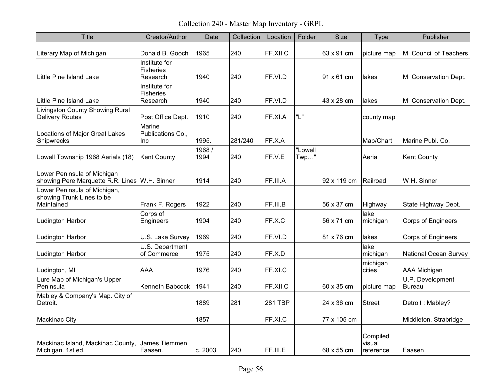Collection 240 - Master Map Inventory - GRPL

| <b>Title</b>                                                                 | Creator/Author                                | Date           | Collection | Location | Folder             | Size        | Type                            | Publisher                         |
|------------------------------------------------------------------------------|-----------------------------------------------|----------------|------------|----------|--------------------|-------------|---------------------------------|-----------------------------------|
| Literary Map of Michigan                                                     | Donald B. Gooch                               | 1965           | 240        | FF.XII.C |                    | 63 x 91 cm  | picture map                     | MI Council of Teachers            |
| Little Pine Island Lake                                                      | Institute for<br><b>Fisheries</b><br>Research | 1940           | 240        | FF.VI.D  |                    | 91 x 61 cm  | lakes                           | <b>MI Conservation Dept.</b>      |
| Little Pine Island Lake                                                      | Institute for<br><b>Fisheries</b><br>Research | 1940           | 240        | FF.VI.D  |                    | 43 x 28 cm  | lakes                           | MI Conservation Dept.             |
| <b>Livingston County Showing Rural</b><br><b>Delivery Routes</b>             | Post Office Dept.                             | 1910           | 240        | FF.XI.A  | "L"                |             | county map                      |                                   |
| Locations of Major Great Lakes<br>Shipwrecks                                 | Marine<br>Publications Co.,<br>Inc            | 1995.          | 281/240    | FF.X.A   |                    |             | Map/Chart                       | Marine Publ. Co.                  |
| Lowell Township 1968 Aerials (18)                                            | <b>Kent County</b>                            | 1968 /<br>1994 | 240        | FF.V.E   | "Lowell<br>$Twp$ " |             | Aerial                          | <b>Kent County</b>                |
| Lower Peninsula of Michigan<br>showing Pere Marquette R.R. Lines W.H. Sinner |                                               | 1914           | 240        | FF.III.A |                    | 92 x 119 cm | Railroad                        | W.H. Sinner                       |
| Lower Peninsula of Michigan,<br>showing Trunk Lines to be<br>Maintained      | Frank F. Rogers                               | 1922           | 240        | FF.III.B |                    | 56 x 37 cm  | Highway                         | State Highway Dept.               |
| Ludington Harbor                                                             | Corps of<br>Engineers                         | 1904           | 240        | FF.X.C   |                    | 56 x 71 cm  | lake<br>michigan                | <b>Corps of Engineers</b>         |
| Ludington Harbor                                                             | U.S. Lake Survey                              | 1969           | 240        | FF.VI.D  |                    | 81 x 76 cm  | lakes                           | <b>Corps of Engineers</b>         |
| Ludington Harbor                                                             | U.S. Department<br>of Commerce                | 1975           | 240        | FF.X.D   |                    |             | lake<br>michigan                | <b>National Ocean Survey</b>      |
| Ludington, MI                                                                | AAA                                           | 1976           | 240        | FF.XI.C  |                    |             | michigan<br>cities              | <b>AAA Michigan</b>               |
| Lure Map of Michigan's Upper<br>Peninsula                                    | Kenneth Babcock                               | 1941           | 240        | FF.XII.C |                    | 60 x 35 cm  | picture map                     | U.P. Development<br><b>Bureau</b> |
| Mabley & Company's Map. City of<br>Detroit.                                  |                                               | 1889           | 281        | 281 TBP  |                    | 24 x 36 cm  | <b>Street</b>                   | Detroit: Mabley?                  |
| <b>Mackinac City</b>                                                         |                                               | 1857           |            | FF.XI.C  |                    | 77 x 105 cm |                                 | Middleton, Strabridge             |
| Mackinac Island, Mackinac County,<br>Michigan. 1st ed.                       | James Tiemmen<br>Faasen.                      | c. 2003        | 240        | FF.III.E |                    | 68 x 55 cm. | Compiled<br>visual<br>reference | Faasen                            |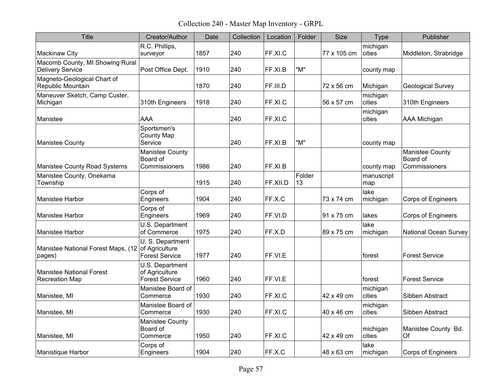Collection 240 - Master Map Inventory - GRPL

| Title                                                    | Creator/Author                                              | Date | Collection | Location | Folder       | <b>Size</b> | Type               | Publisher                                    |
|----------------------------------------------------------|-------------------------------------------------------------|------|------------|----------|--------------|-------------|--------------------|----------------------------------------------|
| Mackinaw City                                            | R.C. Phillips,<br>surveyor                                  | 1857 | 240        | FF.XI.C  |              | 77 x 105 cm | michigan<br>cities | Middleton, Strabridge                        |
| Macomb County, MI Showing Rural<br>Delivery Service      | Post Office Dept.                                           | 1910 | 240        | FF.XI.B  | "M"          |             | county map         |                                              |
| Magneto-Geological Chart of<br>Republic Mountain         |                                                             | 1870 | 240        | FF.III.D |              | 72 x 56 cm  | Michigan           | <b>Geological Survey</b>                     |
| Maneuver Sketch, Camp Custer,<br>Michigan                | 310th Engineers                                             | 1918 | 240        | FF.XI.C  |              | 56 x 57 cm  | michigan<br>cities | 310th Engineers                              |
| Manistee                                                 | <b>AAA</b>                                                  |      | 240        | FF.XI.C  |              |             | michigan<br>cities | <b>AAA Michigan</b>                          |
| Manistee County                                          | Sportsmen's<br><b>County Map</b><br>Service                 |      | 240        | FF.XI.B  | "M"          |             | county map         |                                              |
| Manistee County Road Systems                             | Manistee County<br>Board of<br>Commissioners                | 1986 | 240        | FF.XI.B  |              |             | county map         | Manistee County<br>Board of<br>Commissioners |
| Manistee County, Onekama<br>Township                     |                                                             | 1915 | 240        | FF.XII.D | Folder<br>13 |             | manuscript<br>map  |                                              |
| Manistee Harbor                                          | Corps of<br>Engineers                                       | 1904 | 240        | FF.X.C   |              | 73 x 74 cm  | lake<br>michigan   | <b>Corps of Engineers</b>                    |
| Manistee Harbor                                          | Corps of<br>Engineers                                       | 1969 | 240        | FF.VI.D  |              | 91 x 75 cm  | lakes              | <b>Corps of Engineers</b>                    |
| Manistee Harbor                                          | U.S. Department<br>of Commerce                              | 1975 | 240        | FF.X.D   |              | 89 x 75 cm  | lake<br>michigan   | <b>National Ocean Survey</b>                 |
| Manistee National Forest Maps, (12<br>pages)             | U. S. Department<br>of Agriculture<br><b>Forest Service</b> | 1977 | 240        | FF.VI.E  |              |             | forest             | <b>Forest Service</b>                        |
| <b>Manistee National Forest</b><br><b>Recreation Map</b> | U.S. Department<br>of Agriculture<br><b>Forest Service</b>  | 1960 | 240        | FF.VI.E  |              |             | forest             | <b>Forest Service</b>                        |
| Manistee, MI                                             | Manistee Board of<br>Commerce                               | 1930 | 240        | FF.XI.C  |              | 42 x 49 cm  | michigan<br>cities | Sibben Abstract                              |
| Manistee, MI                                             | Manistee Board of<br>Commerce                               | 1930 | 240        | FF.XI.C  |              | 40 x 46 cm  | michigan<br>cities | Sibben Abstract                              |
| Manistee, MI                                             | <b>Manistee County</b><br>Board of<br>Commerce              | 1950 | 240        | FF.XI.C  |              | 42 x 49 cm  | michigan<br>cities | Manistee County Bd.<br>Of                    |
| Manistique Harbor                                        | Corps of<br>Engineers                                       | 1904 | 240        | FF.X.C   |              | 48 x 63 cm  | lake<br>michigan   | <b>Corps of Engineers</b>                    |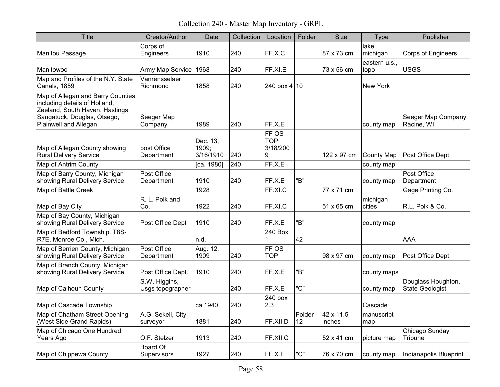Collection 240 - Master Map Inventory - GRPL

| <b>Title</b>                                                                                                                                                   | Creator/Author                    | Date                           | Collection | Location                             | Folder       | <b>Size</b>         | Type                  | Publisher                             |
|----------------------------------------------------------------------------------------------------------------------------------------------------------------|-----------------------------------|--------------------------------|------------|--------------------------------------|--------------|---------------------|-----------------------|---------------------------------------|
| Manitou Passage                                                                                                                                                | Corps of<br>Engineers             | 1910                           | 240        | FF.X.C                               |              | 87 x 73 cm          | lake<br>michigan      | <b>Corps of Engineers</b>             |
| Manitowoc                                                                                                                                                      | Army Map Service                  | 1968                           | 240        | FF.XI.E                              |              | 73 x 56 cm          | eastern u.s.,<br>topo | <b>USGS</b>                           |
| Map and Profiles of the N.Y. State<br><b>Canals, 1859</b>                                                                                                      | Vanrensselaer<br>Richmond         | 1858                           | 240        | 240 box $4 10$                       |              |                     | New York              |                                       |
| Map of Allegan and Barry Counties,<br>including details of Holland,<br>Zeeland, South Haven, Hastings,<br>Saugatuck, Douglas, Otsego,<br>Plainwell and Allegan | Seeger Map<br>Company             | 1989                           | 240        | FF.X.E                               |              |                     | county map            | Seeger Map Company,<br>Racine, WI     |
| Map of Allegan County showing<br><b>Rural Delivery Service</b>                                                                                                 | post Office<br>Department         | Dec. 13,<br>1909;<br>3/16/1910 | 240        | FF OS<br><b>TOP</b><br>3/18/200<br>9 |              | 122 x 97 cm         | <b>County Map</b>     | Post Office Dept.                     |
| Map of Antrim County                                                                                                                                           |                                   | [ca. 1980]                     | 240        | FF.X.E                               |              |                     | county map            |                                       |
| Map of Barry County, Michigan<br>showing Rural Delivery Service                                                                                                | Post Office<br>Department         | 1910                           | 240        | FF.X.E                               | "B"          |                     | county map            | Post Office<br>Department             |
| Map of Battle Creek                                                                                                                                            |                                   | 1928                           |            | FF.XI.C                              |              | 77 x 71 cm          |                       | Gage Printing Co.                     |
| Map of Bay City                                                                                                                                                | R. L. Polk and<br>Co              | 1922                           | 240        | FF.XI.C                              |              | 51 x 65 cm          | michigan<br>cities    | R.L. Polk & Co.                       |
| Map of Bay County, Michigan<br>showing Rural Delivery Service                                                                                                  | Post Office Dept                  | 1910                           | 240        | FF.X.E                               | "B"          |                     | county map            |                                       |
| Map of Bedford Township. T8S-<br>R7E, Monroe Co., Mich.                                                                                                        |                                   | n.d.                           |            | 240 Box                              | 42           |                     |                       | AAA                                   |
| Map of Berrien County, Michigan<br>showing Rural Delivery Service                                                                                              | Post Office<br>Department         | Aug. 12,<br>1909               | 240        | FF OS<br><b>TOP</b>                  |              | 98 x 97 cm          | county map            | Post Office Dept.                     |
| Map of Branch County, Michigan<br>showing Rural Delivery Service                                                                                               | Post Office Dept.                 | 1910                           | 240        | FF.X.E                               | "B"          |                     | county maps           |                                       |
| Map of Calhoun County                                                                                                                                          | S.W. Higgins,<br>Usgs topographer |                                | 240        | FF.X.E                               | "C"          |                     | county map            | Douglass Houghton,<br>State Geologist |
| Map of Cascade Township                                                                                                                                        |                                   | ca.1940                        | 240        | 240 box<br>2.3                       |              |                     | Cascade               |                                       |
| Map of Chatham Street Opening<br>(West Side Grand Rapids)                                                                                                      | A.G. Sekell, City<br>surveyor     | 1881                           | 240        | FF.XII.D                             | Folder<br>12 | 42 x 11.5<br>inches | manuscript<br>map     |                                       |
| Map of Chicago One Hundred<br>Years Ago                                                                                                                        | O.F. Stelzer                      | 1913                           | 240        | FF.XII.C                             |              | 52 x 41 cm          | picture map           | Chicago Sunday<br>Tribune             |
| Map of Chippewa County                                                                                                                                         | <b>Board Of</b><br>Supervisors    | 1927                           | 240        | FF.X.E                               | "C"          | 76 x 70 cm          | county map            | Indianapolis Blueprint                |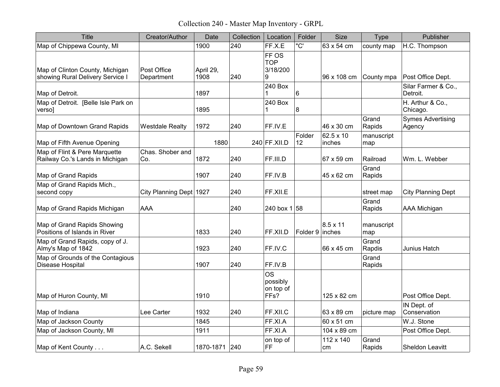Collection 240 - Master Map Inventory - GRPL

| <b>Title</b>                                                        | Creator/Author            | Date              | Collection | Location                                               | Folder          | <b>Size</b>         | <b>Type</b>       | Publisher                          |
|---------------------------------------------------------------------|---------------------------|-------------------|------------|--------------------------------------------------------|-----------------|---------------------|-------------------|------------------------------------|
| Map of Chippewa County, MI                                          |                           | 1900              | 240        | FF.X.E                                                 | "C'             | 63 x 54 cm          | county map        | H.C. Thompson                      |
| Map of Clinton County, Michigan<br>showing Rural Delivery Service I | Post Office<br>Department | April 29,<br>1908 | 240        | FF OS<br><b>TOP</b><br>3/18/200<br>9                   |                 | 96 x 108 cm         | County mpa        | Post Office Dept.                  |
| Map of Detroit.                                                     |                           | 1897              |            | 240 Box<br>1                                           | 6               |                     |                   | Silar Farmer & Co.,<br>Detroit.    |
| Map of Detroit. [Belle Isle Park on<br>verso]                       |                           | 1895              |            | 240 Box<br>1                                           | 8               |                     |                   | H. Arthur & Co.,<br>Chicago.       |
| Map of Downtown Grand Rapids                                        | <b>Westdale Realty</b>    | 1972              | 240        | FF.IV.E                                                |                 | 46 x 30 cm          | Grand<br>Rapids   | <b>Symes Advertising</b><br>Agency |
| Map of Fifth Avenue Opening                                         |                           | 1880              |            | 240 FF.XII.D                                           | Folder<br>12    | 62.5 x 10<br>inches | manuscript<br>map |                                    |
| Map of Flint & Pere Marquette<br>Railway Co.'s Lands in Michigan    | Chas. Shober and<br>Co.   | 1872              | 240        | FF.III.D                                               |                 | 67 x 59 cm          | Railroad          | Wm. L. Webber                      |
| Map of Grand Rapids                                                 |                           | 1907              | 240        | FF.IV.B                                                |                 | 45 x 62 cm          | Grand<br>Rapids   |                                    |
| Map of Grand Rapids Mich.,<br>second copy                           | City Planning Dept 1927   |                   | 240        | FF.XII.E                                               |                 |                     | street map        | <b>City Planning Dept</b>          |
| Map of Grand Rapids Michigan                                        | AAA                       |                   | 240        | 240 box $1 58$                                         |                 |                     | Grand<br>Rapids   | AAA Michigan                       |
| Map of Grand Rapids Showing<br>Positions of Islands in River        |                           | 1833              | 240        | FF.XII.D                                               | Folder 9 inches | $8.5 \times 11$     | manuscript<br>map |                                    |
| Map of Grand Rapids, copy of J.<br>Almy's Map of 1842               |                           | 1923              | 240        | FF.IV.C                                                |                 | 66 x 45 cm          | Grand<br>Rapdis   | Junius Hatch                       |
| Map of Grounds of the Contagious<br>Disease Hospital                |                           | 1907              | 240        | FF.IV.B                                                |                 |                     | Grand<br>Rapids   |                                    |
| Map of Huron County, MI                                             |                           | 1910              |            | <b>OS</b><br>possibly<br>on top of<br>FF <sub>s?</sub> |                 | 125 x 82 cm         |                   | Post Office Dept.                  |
| Map of Indiana                                                      | Lee Carter                | 1932              | 240        | FF.XII.C                                               |                 | 63 x 89 cm          | picture map       | IN Dept. of<br>Conservation        |
| Map of Jackson County                                               |                           | 1845              |            | FF.XI.A                                                |                 | 60 x 51 cm          |                   | W.J. Stone                         |
| Map of Jackson County, MI                                           |                           | 1911              |            | FF.XI.A                                                |                 | 104 x 89 cm         |                   | Post Office Dept.                  |
| Map of Kent County                                                  | A.C. Sekell               | 1870-1871 240     |            | on top of<br>FF                                        |                 | 112 x 140<br>cm     | Grand<br>Rapids   | Sheldon Leavitt                    |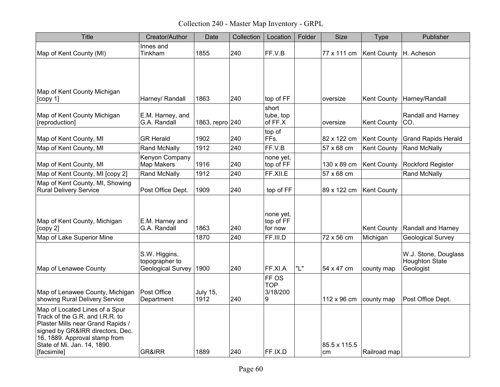Collection 240 - Master Map Inventory - GRPL

| <b>Title</b>                                                                                                                                                                                                              | Creator/Author                                       | Date                    | Collection | Location                             | Folder | Size               | <b>Type</b>        | Publisher                                                  |
|---------------------------------------------------------------------------------------------------------------------------------------------------------------------------------------------------------------------------|------------------------------------------------------|-------------------------|------------|--------------------------------------|--------|--------------------|--------------------|------------------------------------------------------------|
| Map of Kent County (MI)                                                                                                                                                                                                   | Innes and<br>Tinkham                                 | 1855                    | 240        | FF.V.B                               |        | 77 x 111 cm        | Kent County        | H. Acheson                                                 |
|                                                                                                                                                                                                                           |                                                      |                         |            |                                      |        |                    |                    |                                                            |
| Map of Kent County Michigan<br>[copy 1]                                                                                                                                                                                   | Harney/ Randall                                      | 1863                    | 240        | top of FF                            |        | oversize           | <b>Kent County</b> | Harney/Randall                                             |
| Map of Kent County Michigan<br>[reproduction]                                                                                                                                                                             | E.M. Harney, and<br>G.A. Randall                     | 1863, repro 240         |            | short<br>tube, top<br>of FF.X        |        | oversize           | Kent County        | Randall and Harney<br>CO.                                  |
| Map of Kent County, MI                                                                                                                                                                                                    | <b>GR Herald</b>                                     | 1902                    | 240        | top of<br>FFs.                       |        | 82 x 122 cm        | <b>Kent County</b> | <b>Grand Rapids Herald</b>                                 |
| Map of Kent County, MI                                                                                                                                                                                                    | Rand McNally                                         | 1912                    | 240        | FF.V.B                               |        | 57 x 68 cm         | <b>Kent County</b> | <b>Rand McNally</b>                                        |
| Map of Kent County, MI                                                                                                                                                                                                    | Kenyon Company<br>Map Makers                         | 1916                    | 240        | none yet,<br>top of FF               |        | 130 x 89 cm        | <b>Kent County</b> | Rockford Register                                          |
| Map of Kent County, MI [copy 2]                                                                                                                                                                                           | <b>Rand McNally</b>                                  | 1912                    | 240        | FF.XII.E                             |        | 57 x 68 cm         |                    | <b>Rand McNally</b>                                        |
| Map of Kent County, MI, Showing<br><b>Rural Delivery Service</b>                                                                                                                                                          | Post Office Dept.                                    | 1909                    | 240        | top of FF                            |        | 89 x 122 cm        | <b>Kent County</b> |                                                            |
| Map of Kent County, Michigan<br>[copy 2]                                                                                                                                                                                  | E.M. Harney and<br>G.A. Randall                      | 1863                    | 240        | none yet,<br>top of FF<br>for now    |        |                    | <b>Kent County</b> | Randall and Harney                                         |
| Map of Lake Superior Mine                                                                                                                                                                                                 |                                                      | 1870                    | 240        | FF.III.D                             |        | 72 x 56 cm         | Michigan           | <b>Geological Survey</b>                                   |
| Map of Lenawee County                                                                                                                                                                                                     | S.W. Higgins,<br>topographer to<br>Geological Survey | 1900                    | 240        | FF.XI.A                              | "L"    | 54 x 47 cm         | county map         | W.J. Stone, Douglass<br><b>Houghton State</b><br>Geologist |
| Map of Lenawee County, Michigan<br>showing Rural Delivery Service                                                                                                                                                         | Post Office<br>Department                            | <b>July 15,</b><br>1912 | 240        | FF OS<br><b>TOP</b><br>3/18/200<br>9 |        | 112 x 96 cm        | county map         | Post Office Dept.                                          |
| Map of Located Lines of a Spur<br>Track of the G.R. and I.R.R. to<br>Plaster Mills near Grand Rapids /<br>signed by GR&IRR directors, Dec.<br>16, 1889. Approval stamp from<br>State of Mi. Jan. 14, 1890.<br>[facsimile] | <b>GR&amp;IRR</b>                                    | 1889                    | 240        | FF.IX.D                              |        | 85.5 x 115.5<br>cm | Railroad map       |                                                            |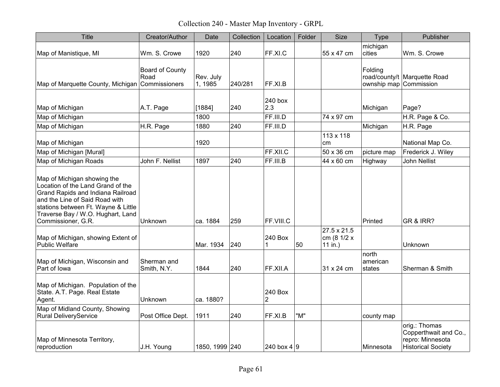Collection 240 - Master Map Inventory - GRPL

| <b>Title</b>                                                                                                                                                                                                                              | Creator/Author             | Date                 | Collection | Location                  | Folder | Size                                  | <b>Type</b>                       | Publisher                                                                               |
|-------------------------------------------------------------------------------------------------------------------------------------------------------------------------------------------------------------------------------------------|----------------------------|----------------------|------------|---------------------------|--------|---------------------------------------|-----------------------------------|-----------------------------------------------------------------------------------------|
| Map of Manistique, MI                                                                                                                                                                                                                     | Wm. S. Crowe               | 1920                 | 240        | FF.XI.C                   |        | 55 x 47 cm                            | michigan<br>cities                | Wm. S. Crowe                                                                            |
| Map of Marquette County, Michigan Commissioners                                                                                                                                                                                           | Board of County<br>Road    | Rev. July<br>1, 1985 | 240/281    | FF.XI.B                   |        |                                       | Folding<br>ownship map Commission | road/county/t Marquette Road                                                            |
|                                                                                                                                                                                                                                           |                            |                      |            | 240 box                   |        |                                       |                                   |                                                                                         |
| Map of Michigan                                                                                                                                                                                                                           | A.T. Page                  | [1884]               | 240        | 2.3                       |        |                                       | Michigan                          | Page?                                                                                   |
| Map of Michigan                                                                                                                                                                                                                           |                            | 1800                 |            | FF.III.D                  |        | 74 x 97 cm                            |                                   | H.R. Page & Co.                                                                         |
| Map of Michigan                                                                                                                                                                                                                           | H.R. Page                  | 1880                 | 240        | FF.III.D                  |        |                                       | Michigan                          | H.R. Page                                                                               |
| Map of Michigan                                                                                                                                                                                                                           |                            | 1920                 |            |                           |        | 113 x 118<br>cm                       |                                   | National Map Co.                                                                        |
| Map of Michigan [Mural]                                                                                                                                                                                                                   |                            |                      |            | FF.XII.C                  |        | 50 x 36 cm                            | picture map                       | Frederick J. Wiley                                                                      |
| Map of Michigan Roads                                                                                                                                                                                                                     | John F. Nellist            | 1897                 | 240        | FF.III.B                  |        | 44 x 60 cm                            | Highway                           | <b>John Nellist</b>                                                                     |
| Map of Michigan showing the<br>Location of the Land Grand of the<br>Grand Rapids and Indiana Railroad<br>and the Line of Said Road with<br>stations between Ft. Wayne & Little<br>Traverse Bay / W.O. Hughart, Land<br>Commissioner, G.R. | Unknown                    | ca. 1884             | 259        | FF.VIII.C                 |        |                                       | Printed                           | GR & IRR?                                                                               |
| Map of Michigan, showing Extent of<br><b>Public Welfare</b>                                                                                                                                                                               |                            | Mar. 1934            | 240        | 240 Box<br>1              | 50     | 27.5 x 21.5<br>cm (8 1/2 x<br>11 in.) |                                   | Unknown                                                                                 |
| Map of Michigan, Wisconsin and<br>Part of lowa                                                                                                                                                                                            | Sherman and<br>Smith, N.Y. | 1844                 | 240        | FF.XII.A                  |        | 31 x 24 cm                            | north<br>american<br>states       | Sherman & Smith                                                                         |
| Map of Michigan. Population of the<br>State. A.T. Page. Real Estate<br>Agent.                                                                                                                                                             | Unknown                    | ca. 1880?            |            | 240 Box<br>$\overline{2}$ |        |                                       |                                   |                                                                                         |
| Map of Midland County, Showing<br><b>Rural DeliveryService</b>                                                                                                                                                                            | Post Office Dept.          | 1911                 | 240        | FF.XI.B                   | "M"    |                                       | county map                        |                                                                                         |
| Map of Minnesota Territory,<br>reproduction                                                                                                                                                                                               | J.H. Young                 | 1850, 1999 240       |            | 240 box 4 $ 9 $           |        |                                       | Minnesota                         | orig.: Thomas<br>Copperthwait and Co.,<br>repro: Minnesota<br><b>Historical Society</b> |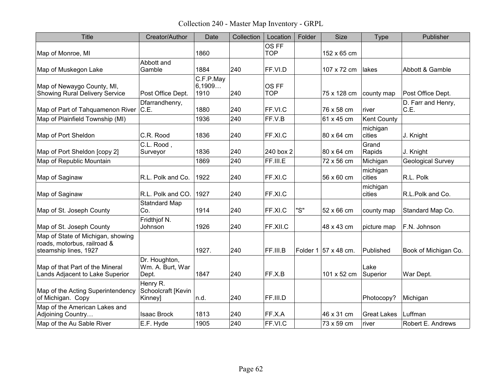Collection 240 - Master Map Inventory - GRPL

| Title                                                                                     | Creator/Author                             | Date                        | Collection | Location            | Folder | <b>Size</b>                  | <b>Type</b>        | Publisher                  |
|-------------------------------------------------------------------------------------------|--------------------------------------------|-----------------------------|------------|---------------------|--------|------------------------------|--------------------|----------------------------|
| Map of Monroe, MI                                                                         |                                            | 1860                        |            | OS FF<br><b>TOP</b> |        | 152 x 65 cm                  |                    |                            |
| Map of Muskegon Lake                                                                      | Abbott and<br>Gamble                       | 1884                        | 240        | FF.VI.D             |        | 107 x 72 cm                  | lakes              | Abbott & Gamble            |
| Map of Newaygo County, MI,<br><b>Showing Rural Delivery Service</b>                       | Post Office Dept.                          | C.F.P.May<br>6,1909<br>1910 | 240        | OS FF<br><b>TOP</b> |        | 75 x 128 cm                  | county map         | Post Office Dept.          |
| Map of Part of Tahquamenon River                                                          | Dfarrandhenry,<br>C.E.                     | 1880                        | 240        | FF.VI.C             |        | 76 x 58 cm                   | river              | D. Farr and Henry,<br>C.E. |
| Map of Plainfield Township (MI)                                                           |                                            | 1936                        | 240        | FF.V.B              |        | 61 x 45 cm                   | <b>Kent County</b> |                            |
| Map of Port Sheldon                                                                       | C.R. Rood                                  | 1836                        | 240        | FF.XI.C             |        | 80 x 64 cm                   | michigan<br>cities | J. Knight                  |
| Map of Port Sheldon [copy 2]                                                              | C.L. Rood,<br>Surveyor                     | 1836                        | 240        | 240 box 2           |        | 80 x 64 cm                   | Grand<br>Rapids    | J. Knight                  |
| Map of Republic Mountain                                                                  |                                            | 1869                        | 240        | FF.III.E            |        | 72 x 56 cm                   | Michigan           | <b>Geological Survey</b>   |
| Map of Saginaw                                                                            | R.L. Polk and Co.                          | 1922                        | 240        | FF.XI.C             |        | 56 x 60 cm                   | michigan<br>cities | R.L. Polk                  |
| Map of Saginaw                                                                            | R.L. Polk and CO.                          | 1927                        | 240        | FF.XI.C             |        |                              | michigan<br>cities | R.L.Polk and Co.           |
| Map of St. Joseph County                                                                  | <b>Statndard Map</b><br>Co.                | 1914                        | 240        | FF.XI.C             | "S"    | 52 x 66 cm                   | county map         | Standard Map Co.           |
| Map of St. Joseph County                                                                  | Fridthjof N.<br>Johnson                    | 1926                        | 240        | FF.XII.C            |        | 48 x 43 cm                   | picture map        | F.N. Johnson               |
| Map of State of Michigan, showing<br>roads, motorbus, railroad &<br>steamship lines, 1927 |                                            | 1927.                       | 240        | FF.III.B            |        | Folder 1 $\vert$ 57 x 48 cm. | Published          | Book of Michigan Co.       |
| Map of that Part of the Mineral<br>Lands Adjacent to Lake Superior                        | Dr. Houghton,<br>Wm. A. Burt, War<br>Dept. | 1847                        | 240        | FF.X.B              |        | 101 x 52 cm                  | Lake<br>Superior   | War Dept.                  |
| Map of the Acting Superintendency<br>of Michigan. Copy                                    | Henry R.<br>Schoolcraft [Kevin<br>Kinney]  | n.d.                        | 240        | FF.III.D            |        |                              | Photocopy?         | Michigan                   |
| Map of the American Lakes and<br>Adjoining Country                                        | <b>Isaac Brock</b>                         | 1813                        | 240        | FF.X.A              |        | 46 x 31 cm                   | <b>Great Lakes</b> | Luffman                    |
| Map of the Au Sable River                                                                 | E.F. Hyde                                  | 1905                        | 240        | FF.VI.C             |        | 73 x 59 cm                   | river              | Robert E. Andrews          |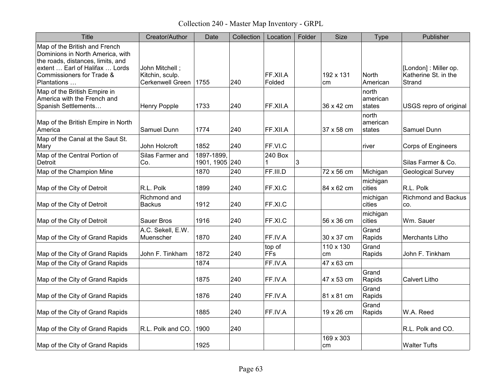Collection 240 - Master Map Inventory - GRPL

| Title                                                                                                                                                                                | Creator/Author                                         | Date                         | Collection | Location             | Folder | <b>Size</b>     | <b>Type</b>                 | Publisher                                               |
|--------------------------------------------------------------------------------------------------------------------------------------------------------------------------------------|--------------------------------------------------------|------------------------------|------------|----------------------|--------|-----------------|-----------------------------|---------------------------------------------------------|
| Map of the British and French<br>Dominions in North America, with<br>the roads, distances, limits, and<br>extent  Earl of Halifax  Lords<br>Commissioners for Trade &<br>Plantations | John Mitchell ;<br>Kitchin, sculp.<br>Cerkenwell Green | 1755                         | 240        | FF.XII.A<br>Folded   |        | 192 x 131<br>cm | North<br>American           | [London] : Miller op.<br>Katherine St. in the<br>Strand |
| Map of the British Empire in<br>America with the French and<br>Spanish Settlements                                                                                                   | <b>Henry Popple</b>                                    | 1733                         | 240        | FF.XII.A             |        | 36 x 42 cm      | north<br>american<br>states | USGS repro of original                                  |
| Map of the British Empire in North<br>America                                                                                                                                        | Samuel Dunn                                            | 1774                         | 240        | FF.XII.A             |        | 37 x 58 cm      | north<br>american<br>states | Samuel Dunn                                             |
| Map of the Canal at the Saut St.<br>Mary                                                                                                                                             | <b>John Holcroft</b>                                   | 1852                         | 240        | FF.VI.C              |        |                 | river                       | Corps of Engineers                                      |
| Map of the Central Portion of<br>Detroit                                                                                                                                             | Silas Farmer and<br>Co.                                | 1897-1899.<br>1901, 1905 240 |            | 240 Box<br>1         | 3      |                 |                             | Silas Farmer & Co.                                      |
| Map of the Champion Mine                                                                                                                                                             |                                                        | 1870                         | 240        | FF.III.D             |        | 72 x 56 cm      | Michigan                    | <b>Geological Survey</b>                                |
| Map of the City of Detroit                                                                                                                                                           | R.L. Polk                                              | 1899                         | 240        | FF.XI.C              |        | 84 x 62 cm      | michigan<br>cities          | R.L. Polk                                               |
| Map of the City of Detroit                                                                                                                                                           | Richmond and<br><b>Backus</b>                          | 1912                         | 240        | FF.XLC               |        |                 | michigan<br>cities          | <b>Richmond and Backus</b><br>CO.                       |
| Map of the City of Detroit                                                                                                                                                           | <b>Sauer Bros</b>                                      | 1916                         | 240        | FF.XI.C              |        | 56 x 36 cm      | michigan<br>cities          | Wm. Sauer                                               |
| Map of the City of Grand Rapids                                                                                                                                                      | A.C. Sekell, E.W.<br>Muenscher                         | 1870                         | 240        | FF.IV.A              |        | 30 x 37 cm      | Grand<br>Rapids             | Merchants Litho                                         |
| Map of the City of Grand Rapids                                                                                                                                                      | John F. Tinkham                                        | 1872                         | 240        | top of<br><b>FFs</b> |        | 110 x 130<br>cm | Grand<br>Rapids             | John F. Tinkham                                         |
| Map of the City of Grand Rapids                                                                                                                                                      |                                                        | 1874                         |            | FF.IV.A              |        | 47 x 63 cm      |                             |                                                         |
| Map of the City of Grand Rapids                                                                                                                                                      |                                                        | 1875                         | 240        | FF.IV.A              |        | 47 x 53 cm      | Grand<br>Rapids             | <b>Calvert Litho</b>                                    |
| Map of the City of Grand Rapids                                                                                                                                                      |                                                        | 1876                         | 240        | FF.IV.A              |        | 81 x 81 cm      | Grand<br>Rapids             |                                                         |
| Map of the City of Grand Rapids                                                                                                                                                      |                                                        | 1885                         | 240        | FF.IV.A              |        | 19 x 26 cm      | Grand<br>Rapids             | W.A. Reed                                               |
| Map of the City of Grand Rapids                                                                                                                                                      | R.L. Polk and CO.                                      | 1900                         | 240        |                      |        |                 |                             | R.L. Polk and CO.                                       |
| Map of the City of Grand Rapids                                                                                                                                                      |                                                        | 1925                         |            |                      |        | 169 x 303<br>cm |                             | <b>Walter Tufts</b>                                     |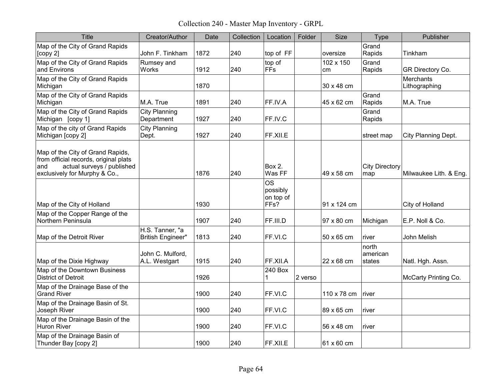Collection 240 - Master Map Inventory - GRPL

| <b>Title</b>                                                                                                                                    | Creator/Author                              | Date | Collection | Location                                   | Folder  | <b>Size</b>     | Type                         | Publisher                  |
|-------------------------------------------------------------------------------------------------------------------------------------------------|---------------------------------------------|------|------------|--------------------------------------------|---------|-----------------|------------------------------|----------------------------|
| Map of the City of Grand Rapids<br>[copy 2]                                                                                                     | John F. Tinkham                             | 1872 | 240        | top of FF                                  |         | oversize        | Grand<br>Rapids              | Tinkham                    |
| Map of the City of Grand Rapids<br>and Environs                                                                                                 | Rumsey and<br>Works                         | 1912 | 240        | top of<br>FFS                              |         | 102 x 150<br>cm | Grand<br>Rapids              | GR Directory Co.           |
| Map of the City of Grand Rapids<br>Michigan                                                                                                     |                                             | 1870 |            |                                            |         | 30 x 48 cm      |                              | Merchants<br>Lithographing |
| Map of the City of Grand Rapids<br>Michigan                                                                                                     | M.A. True                                   | 1891 | 240        | FF.IV.A                                    |         | 45 x 62 cm      | Grand<br>Rapids              | M.A. True                  |
| Map of the City of Grand Rapids<br>Michigan [copy 1]                                                                                            | <b>City Planning</b><br>Department          | 1927 | 240        | FF.IV.C                                    |         |                 | Grand<br>Rapids              |                            |
| Map of the city of Grand Rapids<br>Michigan [copy 2]                                                                                            | <b>City Planning</b><br>Dept.               | 1927 | 240        | FF.XILE                                    |         |                 | street map                   | City Planning Dept.        |
| Map of the City of Grand Rapids,<br>from official records, original plats<br>actual surveys / published<br>and<br>exclusively for Murphy & Co., |                                             | 1876 | 240        | Box 2.<br>Was FF                           |         | 49 x 58 cm      | <b>City Directory</b><br>map | Milwaukee Lith. & Eng.     |
| Map of the City of Holland                                                                                                                      |                                             | 1930 |            | <b>OS</b><br>possibly<br>on top of<br>FFs? |         | 91 x 124 cm     |                              | City of Holland            |
| Map of the Copper Range of the<br>Northern Peninsula                                                                                            |                                             | 1907 | 240        | FF.III.D                                   |         | 97 x 80 cm      | Michigan                     | E.P. Noll & Co.            |
| Map of the Detroit River                                                                                                                        | H.S. Tanner, "a<br><b>British Engineer"</b> | 1813 | 240        | FF.VLC                                     |         | 50 x 65 cm      | river                        | John Melish                |
| Map of the Dixie Highway                                                                                                                        | John C. Mulford,<br>A.L. Westgart           | 1915 | 240        | FF.XII.A                                   |         | 22 x 68 cm      | north<br>american<br>states  | Natl. Hgh. Assn.           |
| Map of the Downtown Business<br><b>District of Detroit</b>                                                                                      |                                             | 1926 |            | 240 Box<br>1                               | 2 verso |                 |                              | McCarty Printing Co.       |
| Map of the Drainage Base of the<br><b>Grand River</b>                                                                                           |                                             | 1900 | 240        | FF.VI.C                                    |         | 110 x 78 cm     | river                        |                            |
| Map of the Drainage Basin of St.<br>Joseph River                                                                                                |                                             | 1900 | 240        | FF.VI.C                                    |         | 89 x 65 cm      | river                        |                            |
| Map of the Drainage Basin of the<br><b>Huron River</b>                                                                                          |                                             | 1900 | 240        | FF.VLC                                     |         | 56 x 48 cm      | river                        |                            |
| Map of the Drainage Basin of<br>Thunder Bay [copy 2]                                                                                            |                                             | 1900 | 240        | FF.XII.E                                   |         | 61 x 60 cm      |                              |                            |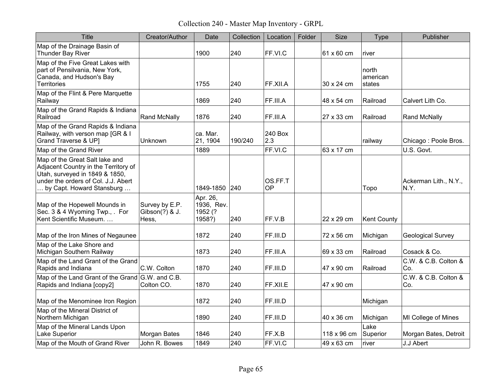Collection 240 - Master Map Inventory - GRPL

| <b>Title</b>                                                                                                                                                                 | Creator/Author                            | Date                                        | Collection | Location             | Folder | <b>Size</b> | <b>Type</b>                 | Publisher                     |
|------------------------------------------------------------------------------------------------------------------------------------------------------------------------------|-------------------------------------------|---------------------------------------------|------------|----------------------|--------|-------------|-----------------------------|-------------------------------|
| Map of the Drainage Basin of<br>Thunder Bay River                                                                                                                            |                                           | 1900                                        | 240        | FF.VI.C              |        | 61 x 60 cm  | river                       |                               |
| Map of the Five Great Lakes with<br>part of Pensilvania, New York,<br>Canada, and Hudson's Bay<br><b>Territories</b>                                                         |                                           | 1755                                        | 240        | FF.XII.A             |        | 30 x 24 cm  | north<br>american<br>states |                               |
| Map of the Flint & Pere Marquette<br>Railway                                                                                                                                 |                                           | 1869                                        | 240        | FF.III.A             |        | 48 x 54 cm  | Railroad                    | Calvert Lith Co.              |
| Map of the Grand Rapids & Indiana<br>Railroad                                                                                                                                | <b>Rand McNally</b>                       | 1876                                        | 240        | FF.III.A             |        | 27 x 33 cm  | Railroad                    | Rand McNally                  |
| Map of the Grand Rapids & Indiana<br>Railway, with verson map [GR & I<br>Grand Traverse & UP]                                                                                | Unknown                                   | ca. Mar.<br>21, 1904                        | 190/240    | 240 Box<br>2.3       |        |             | railway                     | Chicago: Poole Bros.          |
| Map of the Grand River                                                                                                                                                       |                                           | 1889                                        |            | FF.VI.C              |        | 63 x 17 cm  |                             | U.S. Govt.                    |
| Map of the Great Salt lake and<br>Adjacent Country in the Territory of<br>Utah, surveyed in 1849 & 1850,<br>under the orders of Col. J.J. Abert<br>by Capt. Howard Stansburg |                                           | 1849-1850                                   | 240        | OS.FF.T<br><b>OP</b> |        |             | Topo                        | Ackerman Lith., N.Y.,<br>N.Y. |
| Map of the Hopewell Mounds in<br>Sec. 3 & 4 Wyoming Twp., . For<br>Kent Scientific Museum.                                                                                   | Survey by E.P.<br>Gibson(?) & J.<br>Hess, | Apr. 26,<br>1936, Rev.<br>1952 (?<br>1958?) | 240        | FF.V.B               |        | 22 x 29 cm  | <b>Kent County</b>          |                               |
| Map of the Iron Mines of Negaunee                                                                                                                                            |                                           | 1872                                        | 240        | FF.III.D             |        | 72 x 56 cm  | Michigan                    | <b>Geological Survey</b>      |
| Map of the Lake Shore and<br>Michigan Southern Railway                                                                                                                       |                                           | 1873                                        | 240        | FF.III.A             |        | 69 x 33 cm  | Railroad                    | Cosack & Co.                  |
| Map of the Land Grant of the Grand<br>Rapids and Indiana                                                                                                                     | C.W. Colton                               | 1870                                        | 240        | FF.III.D             |        | 47 x 90 cm  | Railroad                    | C.W. & C.B. Colton &<br>Co.   |
| Map of the Land Grant of the Grand G.W. and C.B.<br>Rapids and Indiana [copy2]                                                                                               | Colton CO.                                | 1870                                        | 240        | FF.XII.E             |        | 47 x 90 cm  |                             | C.W. & C.B. Colton &<br>Co.   |
| Map of the Menominee Iron Region                                                                                                                                             |                                           | 1872                                        | 240        | FF.III.D             |        |             | Michigan                    |                               |
| Map of the Mineral District of<br>Northern Michigan                                                                                                                          |                                           | 1890                                        | 240        | FF.III.D             |        | 40 x 36 cm  | Michigan                    | MI College of Mines           |
| Map of the Mineral Lands Upon<br>Lake Superior                                                                                                                               | <b>Morgan Bates</b>                       | 1846                                        | 240        | FF.X.B               |        | 118 x 96 cm | Lake<br>Superior            | Morgan Bates, Detroit         |
| Map of the Mouth of Grand River                                                                                                                                              | John R. Bowes                             | 1849                                        | 240        | FF.VI.C              |        | 49 x 63 cm  | river                       | J.J Abert                     |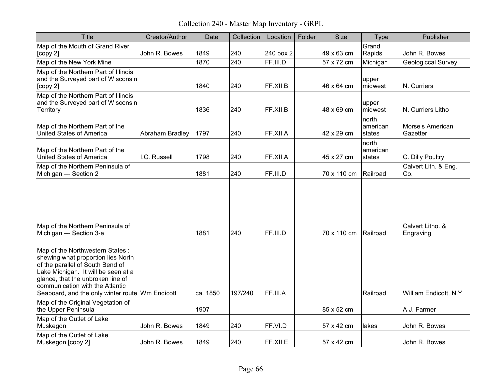Collection 240 - Master Map Inventory - GRPL

| <b>Title</b>                                                                                                                                                                                                                                                                | Creator/Author  | Date     | Collection | Location  | Folder | <b>Size</b> | Type                        | Publisher                     |
|-----------------------------------------------------------------------------------------------------------------------------------------------------------------------------------------------------------------------------------------------------------------------------|-----------------|----------|------------|-----------|--------|-------------|-----------------------------|-------------------------------|
| Map of the Mouth of Grand River<br>[copy 2]                                                                                                                                                                                                                                 | John R. Bowes   | 1849     | 240        | 240 box 2 |        | 49 x 63 cm  | Grand<br>Rapids             | John R. Bowes                 |
| Map of the New York Mine                                                                                                                                                                                                                                                    |                 | 1870     | 240        | FF.III.D  |        | 57 x 72 cm  | Michigan                    | Geologiccal Survey            |
| Map of the Northern Part of Illinois<br>and the Surveyed part of Wisconsin<br>[copy 2]                                                                                                                                                                                      |                 | 1840     | 240        | FF.XII.B  |        | 46 x 64 cm  | upper<br>midwest            | N. Curriers                   |
| Map of the Northern Part of Illinois<br>and the Surveyed part of Wisconsin<br>Territory                                                                                                                                                                                     |                 | 1836     | 240        | FF.XII.B  |        | 48 x 69 cm  | upper<br>midwest            | N. Curriers Litho             |
| Map of the Northern Part of the<br><b>United States of America</b>                                                                                                                                                                                                          | Abraham Bradley | 1797     | 240        | FF.XII.A  |        | 42 x 29 cm  | north<br>american<br>states | Morse's American<br>Gazetter  |
| Map of the Northern Part of the<br><b>United States of America</b>                                                                                                                                                                                                          | I.C. Russell    | 1798     | 240        | FF.XII.A  |        | 45 x 27 cm  | north<br>american<br>states | C. Dilly Poultry              |
| Map of the Northern Peninsula of<br>Michigan --- Section 2                                                                                                                                                                                                                  |                 | 1881     | 240        | FF.III.D  |        | 70 x 110 cm | Railroad                    | Calvert Lith. & Eng.<br>Co.   |
| Map of the Northern Peninsula of<br>Michigan --- Section 3-e                                                                                                                                                                                                                |                 | 1881     | 240        | FF.III.D  |        | 70 x 110 cm | Railroad                    | Calvert Litho, &<br>Engraving |
| Map of the Northwestern States:<br>shewing what proportion lies North<br>of the parallel of South Bend of<br>Lake Michigan. It will be seen at a<br>glance, that the unbroken line of<br>communication with the Atlantic<br>Seaboard, and the only winter route Wm Endicott |                 | ca. 1850 | 197/240    | FF.III.A  |        |             | Railroad                    | William Endicott, N.Y.        |
| Map of the Original Vegetation of<br>the Upper Peninsula                                                                                                                                                                                                                    |                 | 1907     |            |           |        | 85 x 52 cm  |                             | A.J. Farmer                   |
| Map of the Outlet of Lake<br>Muskegon                                                                                                                                                                                                                                       | John R. Bowes   | 1849     | 240        | FF.VI.D   |        | 57 x 42 cm  | lakes                       | John R. Bowes                 |
| Map of the Outlet of Lake<br>Muskegon [copy 2]                                                                                                                                                                                                                              | John R. Bowes   | 1849     | 240        | FF.XII.E  |        | 57 x 42 cm  |                             | John R. Bowes                 |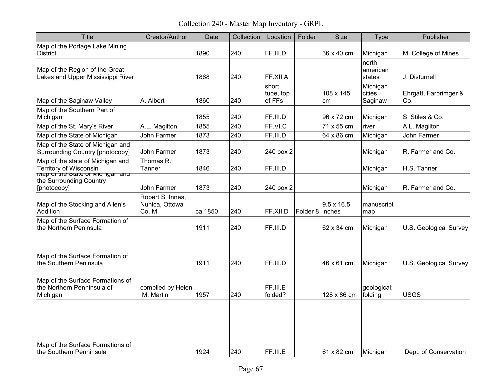Collection 240 - Master Map Inventory - GRPL

| <b>Title</b>                                                                | Creator/Author                               | Date    | Collection | Location                     | Folder            | Size              | <b>Type</b>                    | Publisher                    |
|-----------------------------------------------------------------------------|----------------------------------------------|---------|------------|------------------------------|-------------------|-------------------|--------------------------------|------------------------------|
| Map of the Portage Lake Mining<br><b>District</b>                           |                                              | 1890    | 240        | FF.III.D                     |                   | 36 x 40 cm        | Michigan                       | MI College of Mines          |
| Map of the Region of the Great<br>Lakes and Upper Mississippi River         |                                              | 1868    | 240        | FF.XII.A                     |                   |                   | north<br>american<br>states    | J. Disturnell                |
| Map of the Saginaw Valley                                                   | A. Albert                                    | 1860    | 240        | short<br>tube, top<br>of FFs |                   | 108 x 145<br>cm   | Michigan<br>cities.<br>Saginaw | Ehrgatt, Farbrimger &<br>Co. |
| Map of the Southern Part of<br>Michigan                                     |                                              | 1855    | 240        | FF.III.D                     |                   | 96 x 72 cm        | Michigan                       | S. Stiles & Co.              |
| Map of the St. Mary's River                                                 | A.L. Magilton                                | 1855    | 240        | FF.VI.C                      |                   | 71 x 55 cm        | river                          | A.L. Magilton                |
| Map of the State of Michigan                                                | John Farmer                                  | 1873    | 240        | FF.III.D                     |                   | 64 x 86 cm        | Michigan                       | John Farmer                  |
| Map of the State of Michigan and<br><b>Surrounding Country [photocopy]</b>  | John Farmer                                  | 1873    | 240        | 240 box 2                    |                   |                   | Michigan                       | R. Farmer and Co.            |
| Map of the state of Michigan and<br><b>Territory of Wisconsin</b>           | Thomas R.<br>Tanner                          | 1846    | 240        | FF.III.D                     |                   |                   | Michigan                       | H.S. Tanner                  |
| wap or the state of wildingan and<br>the Surrounding Country<br>[photocopy] | <b>John Farmer</b>                           | 1873    | 240        | 240 box 2                    |                   |                   | Michigan                       | R. Farmer and Co.            |
| Map of the Stocking and Allen's<br>Addition                                 | Robert S. Innes,<br>Nunica, Ottowa<br>Co. MI | ca.1850 | 240        | FF.XII.D                     | Folder $8$ inches | $9.5 \times 16.5$ | manuscript<br>map              |                              |
| Map of the Surface Formation of<br>the Northern Peninsula                   |                                              | 1911    | 240        | FF.III.D                     |                   | 62 x 34 cm        | Michigan                       | U.S. Geological Survey       |
| Map of the Surface Formation of<br>the Southern Peninsula                   |                                              | 1911    | 240        | FF.III.D                     |                   | 46 x 61 cm        | Michigan                       | U.S. Geological Survey       |
| Map of the Surface Formations of<br>the Northern Penninsula of<br>Michigan  | compiled by Helen<br>M. Martin               | 1957    | 240        | FF.III.E<br>folded?          |                   | 128 x 86 cm       | geological;<br>folding         | <b>USGS</b>                  |
| Map of the Surface Formations of<br>the Southern Penninsula                 |                                              | 1924    | 240        | FF.III.E                     |                   | 61 x 82 cm        | Michigan                       | Dept. of Conservation        |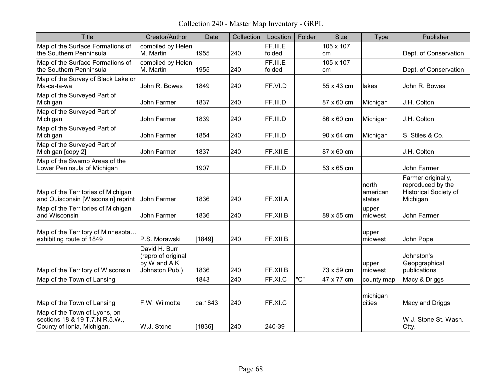Collection 240 - Master Map Inventory - GRPL

| <b>Title</b>                                                                                 | Creator/Author                                                        | Date    | Collection | Location           | Folder | <b>Size</b>     | Type                        | Publisher                                                                    |
|----------------------------------------------------------------------------------------------|-----------------------------------------------------------------------|---------|------------|--------------------|--------|-----------------|-----------------------------|------------------------------------------------------------------------------|
| Map of the Surface Formations of<br>the Southern Penninsula                                  | compiled by Helen<br>M. Martin                                        | 1955    | 240        | FF.III.E<br>folded |        | 105 x 107<br>cm |                             | Dept. of Conservation                                                        |
| Map of the Surface Formations of<br>the Southern Penninsula                                  | compiled by Helen<br>M. Martin                                        | 1955    | 240        | FF.III.E<br>folded |        | 105 x 107<br>cm |                             | Dept. of Conservation                                                        |
| Map of the Survey of Black Lake or<br>Ma-ca-ta-wa                                            | John R. Bowes                                                         | 1849    | 240        | FF.VI.D            |        | 55 x 43 cm      | lakes                       | John R. Bowes                                                                |
| Map of the Surveyed Part of<br>Michigan                                                      | <b>John Farmer</b>                                                    | 1837    | 240        | FF.III.D           |        | 87 x 60 cm      | Michigan                    | J.H. Colton                                                                  |
| Map of the Surveyed Part of<br>Michigan                                                      | John Farmer                                                           | 1839    | 240        | FF.III.D           |        | 86 x 60 cm      | Michigan                    | J.H. Colton                                                                  |
| Map of the Surveyed Part of<br>Michigan                                                      | <b>John Farmer</b>                                                    | 1854    | 240        | FF.III.D           |        | 90 x 64 cm      | Michigan                    | S. Stiles & Co.                                                              |
| Map of the Surveyed Part of<br>Michigan [copy 2]                                             | John Farmer                                                           | 1837    | 240        | FF.XII.E           |        | 87 x 60 cm      |                             | J.H. Colton                                                                  |
| Map of the Swamp Areas of the<br>Lower Peninsula of Michigan                                 |                                                                       | 1907    |            | FF.III.D           |        | 53 x 65 cm      |                             | John Farmer                                                                  |
| Map of the Territories of Michigan<br>and Ouisconsin [Wisconsin] reprint                     | John Farmer                                                           | 1836    | 240        | FF.XII.A           |        |                 | north<br>american<br>states | Farmer originally,<br>reproduced by the<br>Historical Society of<br>Michigan |
| Map of the Territories of Michigan<br>and Wisconsin                                          | <b>John Farmer</b>                                                    | 1836    | 240        | FF.XII.B           |        | 89 x 55 cm      | upper<br>midwest            | <b>John Farmer</b>                                                           |
| Map of the Territory of Minnesota<br>exhibiting route of 1849                                | P.S. Morawski                                                         | [1849]  | 240        | FF.XII.B           |        |                 | upper<br>midwest            | John Pope                                                                    |
| Map of the Territory of Wisconsin                                                            | David H. Burr<br>(repro of original<br>by W and A.K<br>Johnston Pub.) | 1836    | 240        | FF.XII.B           |        | 73 x 59 cm      | upper<br>midwest            | Johnston's<br>Geopgraphical<br>publications                                  |
| Map of the Town of Lansing                                                                   |                                                                       | 1843    | 240        | FF.XI.C            | "C"    | 47 x 77 cm      | county map                  | Macy & Driggs                                                                |
| Map of the Town of Lansing                                                                   | F.W. Wilmotte                                                         | ca.1843 | 240        | FF.XI.C            |        |                 | michigan<br>cities          | Macy and Driggs                                                              |
| Map of the Town of Lyons, on<br>sections 18 & 19 T.7.N.R.5.W.,<br>County of Ionia, Michigan. | W.J. Stone                                                            | [1836]  | 240        | 240-39             |        |                 |                             | W.J. Stone St. Wash.<br>Ctty.                                                |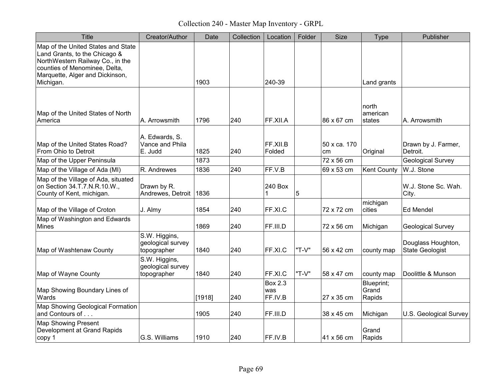Collection 240 - Master Map Inventory - GRPL

| <b>Title</b>                                                                                                                                                                | Creator/Author                                    | Date   | Collection | Location                         | Folder | <b>Size</b>        | <b>Type</b>                   | Publisher                                    |
|-----------------------------------------------------------------------------------------------------------------------------------------------------------------------------|---------------------------------------------------|--------|------------|----------------------------------|--------|--------------------|-------------------------------|----------------------------------------------|
| Map of the United States and State<br>Land Grants, to the Chicago &<br>NorthWestern Railway Co., in the<br>counties of Menominee, Delta,<br>Marquette, Alger and Dickinson, |                                                   |        |            |                                  |        |                    |                               |                                              |
| Michigan.                                                                                                                                                                   |                                                   | 1903   |            | 240-39                           |        |                    | Land grants                   |                                              |
| Map of the United States of North<br>America                                                                                                                                | A. Arrowsmith                                     | 1796   | 240        | FF.XII.A                         |        | 86 x 67 cm         | north<br>american<br>states   | A. Arrowsmith                                |
| Map of the United States Road?<br>From Ohio to Detroit                                                                                                                      | A. Edwards, S.<br>Vance and Phila<br>E. Judd      | 1825   | 240        | FF.XII.B<br>Folded               |        | 50 x ca. 170<br>cm | Original                      | Drawn by J. Farmer,<br>Detroit.              |
| Map of the Upper Peninsula                                                                                                                                                  |                                                   | 1873   |            |                                  |        | 72 x 56 cm         |                               | <b>Geological Survey</b>                     |
| Map of the Village of Ada (MI)                                                                                                                                              | R. Andrewes                                       | 1836   | 240        | FF.V.B                           |        | 69 x 53 cm         | <b>Kent County</b>            | W.J. Stone                                   |
| Map of the Village of Ada, situated<br>on Section 34.T.7.N.R.10.W.,<br>County of Kent, michigan.                                                                            | Drawn by R.<br>Andrewes, Detroit                  | 1836   |            | 240 Box<br>1                     | 5      |                    |                               | W.J. Stone Sc. Wah.<br>City.                 |
| Map of the Village of Croton                                                                                                                                                | J. Almy                                           | 1854   | 240        | FF.XI.C                          |        | 72 x 72 cm         | michigan<br>cities            | <b>Ed Mendel</b>                             |
| Map of Washington and Edwards<br>Mines                                                                                                                                      |                                                   | 1869   | 240        | FF.III.D                         |        | 72 x 56 cm         | Michigan                      | Geological Survey                            |
| Map of Washtenaw County                                                                                                                                                     | S.W. Higgins,<br>geological survey<br>topographer | 1840   | 240        | FF.XI.C                          | "T-V"  | 56 x 42 cm         | county map                    | Douglass Houghton,<br><b>State Geologist</b> |
| Map of Wayne County                                                                                                                                                         | S.W. Higgins,<br>geological survey<br>topographer | 1840   | 240        | FF.XI.C                          | "T-V"  | 58 x 47 cm         | county map                    | Doolittle & Munson                           |
| Map Showing Boundary Lines of<br>Wards                                                                                                                                      |                                                   | [1918] | 240        | <b>Box 2.3</b><br>was<br>FF.IV.B |        | 27 x 35 cm         | Blueprint;<br>Grand<br>Rapids |                                              |
| Map Showing Geological Formation<br>and Contours of                                                                                                                         |                                                   | 1905   | 240        | FF.III.D                         |        | 38 x 45 cm         | Michigan                      | U.S. Geological Survey                       |
| <b>Map Showing Present</b><br>Development at Grand Rapids<br>copy 1                                                                                                         | G.S. Williams                                     | 1910   | 240        | FF.IV.B                          |        | 41 x 56 cm         | Grand<br>Rapids               |                                              |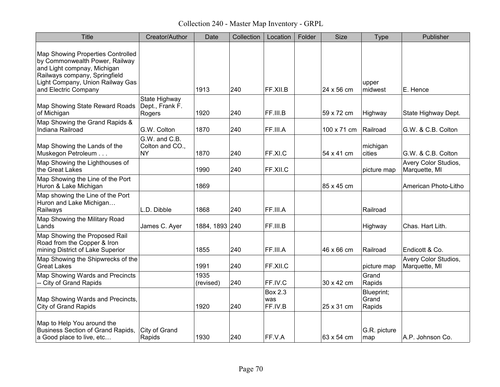Collection 240 - Master Map Inventory - GRPL

| <b>Title</b>                                                                                                                                                            | Creator/Author                                | Date              | Collection | Location                         | Folder | <b>Size</b> | <b>Type</b>                   | Publisher                             |
|-------------------------------------------------------------------------------------------------------------------------------------------------------------------------|-----------------------------------------------|-------------------|------------|----------------------------------|--------|-------------|-------------------------------|---------------------------------------|
| Map Showing Properties Controlled<br>by Commonwealth Power, Railway<br>and Light compnay, Michigan<br>Railways company, Springfield<br>Light Company, Union Railway Gas |                                               |                   |            |                                  |        |             | upper                         |                                       |
| and Electric Company                                                                                                                                                    |                                               | 1913              | 240        | FF.XII.B                         |        | 24 x 56 cm  | midwest                       | E. Hence                              |
| Map Showing State Reward Roads<br>of Michigan                                                                                                                           | State Highway<br>Dept., Frank F.<br>Rogers    | 1920              | 240        | FF.III.B                         |        | 59 x 72 cm  | Highway                       | State Highway Dept.                   |
| Map Showing the Grand Rapids &<br>Indiana Railroad                                                                                                                      | G.W. Colton                                   | 1870              | 240        | FF.III.A                         |        | 100 x 71 cm | Railroad                      | G.W. & C.B. Colton                    |
| Map Showing the Lands of the<br>Muskegon Petroleum                                                                                                                      | G.W. and C.B.<br>Colton and CO.,<br><b>NY</b> | 1870              | 240        | FF.XI.C                          |        | 54 x 41 cm  | michigan<br>cities            | G.W. & C.B. Colton                    |
| Map Showing the Lighthouses of<br>the Great Lakes                                                                                                                       |                                               | 1990              | 240        | FF.XII.C                         |        |             | picture map                   | Avery Color Studios,<br>Marquette, MI |
| Map Showing the Line of the Port<br>Huron & Lake Michigan                                                                                                               |                                               | 1869              |            |                                  |        | 85 x 45 cm  |                               | American Photo-Litho                  |
| Map showing the Line of the Port<br>Huron and Lake Michigan<br>Railways                                                                                                 | L.D. Dibble                                   | 1868              | 240        | FF.III.A                         |        |             | Railroad                      |                                       |
| Map Showing the Military Road<br>Lands                                                                                                                                  | James C. Ayer                                 | 1884, 1893 240    |            | FF.III.B                         |        |             | Highway                       | Chas. Hart Lith.                      |
| Map Showing the Proposed Rail<br>Road from the Copper & Iron<br>mining District of Lake Superior                                                                        |                                               | 1855              | 240        | FF.III.A                         |        | 46 x 66 cm  | Railroad                      | Endicott & Co.                        |
| Map Showing the Shipwrecks of the<br><b>Great Lakes</b>                                                                                                                 |                                               | 1991              | 240        | FF.XII.C                         |        |             | picture map                   | Avery Color Studios,<br>Marquette, MI |
| Map Showing Wards and Precincts<br>-- City of Grand Rapids                                                                                                              |                                               | 1935<br>(revised) | 240        | FF.IV.C                          |        | 30 x 42 cm  | Grand<br>Rapids               |                                       |
| Map Showing Wards and Precincts,<br><b>City of Grand Rapids</b>                                                                                                         |                                               | 1920              | 240        | <b>Box 2.3</b><br>was<br>FF.IV.B |        | 25 x 31 cm  | Blueprint;<br>Grand<br>Rapids |                                       |
| Map to Help You around the<br><b>Business Section of Grand Rapids,</b><br>a Good place to live, etc                                                                     | City of Grand<br>Rapids                       | 1930              | 240        | FF.V.A                           |        | 63 x 54 cm  | G.R. picture<br>map           | A.P. Johnson Co.                      |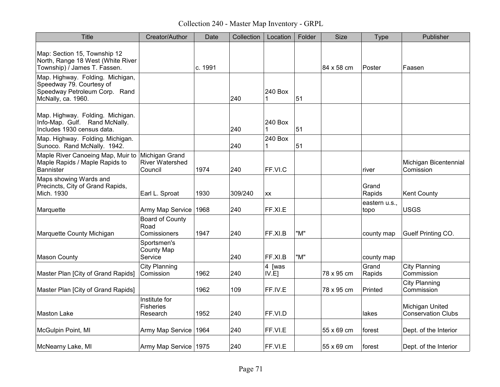Collection 240 - Master Map Inventory - GRPL

| <b>Title</b>                                                                                                        | Creator/Author                                      | Date    | Collection | Location               | Folder | Size       | Type                  | Publisher                                    |
|---------------------------------------------------------------------------------------------------------------------|-----------------------------------------------------|---------|------------|------------------------|--------|------------|-----------------------|----------------------------------------------|
| Map: Section 15, Township 12<br>North, Range 18 West (White River<br>Township) / James T. Fassen.                   |                                                     | c. 1991 |            |                        |        | 84 x 58 cm | Poster                | Faasen                                       |
| Map. Highway. Folding. Michigan,<br>Speedway 79. Courtesy of<br>Speedway Petroleum Corp. Rand<br>McNally, ca. 1960. |                                                     |         | 240        | 240 Box                | 51     |            |                       |                                              |
| Map. Highway. Folding. Michigan.<br>Info-Map. Gulf. Rand McNally.<br>Includes 1930 census data.                     |                                                     |         | 240        | 240 Box<br>$\mathbf 1$ | 51     |            |                       |                                              |
| Map. Highway. Folding. Michigan.<br>Sunoco. Rand McNally. 1942.                                                     |                                                     |         | 240        | 240 Box                | 51     |            |                       |                                              |
| Maple River Canoeing Map, Muir to<br>Maple Rapids / Maple Rapids to<br>Bannister                                    | Michigan Grand<br><b>River Watershed</b><br>Council | 1974    | 240        | FF.VI.C                |        |            | river                 | Michigan Bicentennial<br>Comission           |
| Maps showing Wards and<br>Precincts, City of Grand Rapids,<br>Mich. 1930                                            | Earl L. Sproat                                      | 1930    | 309/240    | XX                     |        |            | Grand<br>Rapids       | <b>Kent County</b>                           |
| Marquette                                                                                                           | Army Map Service                                    | 1968    | 240        | FF.XI.E                |        |            | eastern u.s.,<br>topo | <b>USGS</b>                                  |
| Marquette County Michigan                                                                                           | <b>Board of County</b><br>Road<br>Comissioners      | 1947    | 240        | FF.XI.B                | "M"    |            | county map            | Guelf Printing CO.                           |
| Mason County                                                                                                        | Sportsmen's<br>County Map<br>Service                |         | 240        | FF.XI.B                | "M"    |            | county map            |                                              |
| Master Plan [City of Grand Rapids]                                                                                  | <b>City Planning</b><br>Comission                   | 1962    | 240        | $ 4$ [was<br>IV.E1     |        | 78 x 95 cm | Grand<br>Rapids       | <b>City Planning</b><br>Commission           |
| Master Plan [City of Grand Rapids]                                                                                  |                                                     | 1962    | 109        | FF.IV.E                |        | 78 x 95 cm | Printed               | <b>City Planning</b><br>Commission           |
| Maston Lake                                                                                                         | Institute for<br><b>Fisheries</b><br>Research       | 1952    | 240        | FF.VI.D                |        |            | lakes                 | Michigan United<br><b>Conservation Clubs</b> |
| McGulpin Point, MI                                                                                                  | Army Map Service                                    | 1964    | 240        | FF.VI.E                |        | 55 x 69 cm | forest                | Dept. of the Interior                        |
| McNearny Lake, MI                                                                                                   | Army Map Service   1975                             |         | 240        | FF.VI.E                |        | 55 x 69 cm | ∣forest               | Dept. of the Interior                        |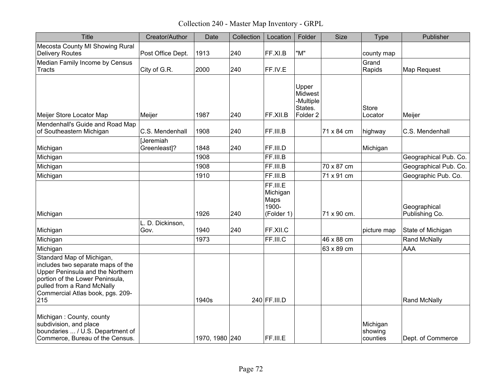Collection 240 - Master Map Inventory - GRPL

| <b>Title</b>                                                                                                                                                                                                   | Creator/Author            | Date           | Collection | Location                                            | Folder                                                          | <b>Size</b> | <b>Type</b>                     | Publisher                      |
|----------------------------------------------------------------------------------------------------------------------------------------------------------------------------------------------------------------|---------------------------|----------------|------------|-----------------------------------------------------|-----------------------------------------------------------------|-------------|---------------------------------|--------------------------------|
| Mecosta County MI Showing Rural<br><b>Delivery Routes</b>                                                                                                                                                      | Post Office Dept.         | 1913           | 240        | FF.XI.B                                             | "M"                                                             |             | county map                      |                                |
| Median Family Income by Census<br><b>Tracts</b>                                                                                                                                                                | City of G.R.              | 2000           | 240        | FF.IV.E                                             |                                                                 |             | Grand<br>Rapids                 | Map Request                    |
| Meijer Store Locator Map                                                                                                                                                                                       | Meijer                    | 1987           | 240        | FF.XII.B                                            | Upper<br>Midwest<br>-Multiple<br>States.<br>Folder <sub>2</sub> |             | Store<br>Locator                | Meijer                         |
| Mendenhall's Guide and Road Map<br>of Southeastern Michigan                                                                                                                                                    | C.S. Mendenhall           | 1908           | 240        | FF.III.B                                            |                                                                 | 71 x 84 cm  | highway                         | C.S. Mendenhall                |
| Michigan                                                                                                                                                                                                       | [Jeremiah<br>Greenleast]? | 1848           | 240        | FF.III.D                                            |                                                                 |             | Michigan                        |                                |
| Michigan                                                                                                                                                                                                       |                           | 1908           |            | FF.III.B                                            |                                                                 |             |                                 | Geographical Pub. Co.          |
| Michigan                                                                                                                                                                                                       |                           | 1908           |            | FF.III.B                                            |                                                                 | 70 x 87 cm  |                                 | Geographical Pub. Co.          |
| Michigan                                                                                                                                                                                                       |                           | 1910           |            | FF.III.B                                            |                                                                 | 71 x 91 cm  |                                 | Geographic Pub. Co.            |
| Michigan                                                                                                                                                                                                       |                           | 1926           | 240        | FF.III.E<br>Michigan<br>Maps<br>1900-<br>(Folder 1) |                                                                 | 71 x 90 cm. |                                 | Geographical<br>Publishing Co. |
|                                                                                                                                                                                                                | L. D. Dickinson,          |                |            |                                                     |                                                                 |             |                                 |                                |
| Michigan                                                                                                                                                                                                       | Gov.                      | 1940           | 240        | FF.XII.C                                            |                                                                 |             | picture map                     | State of Michigan              |
| Michigan                                                                                                                                                                                                       |                           | 1973           |            | FF.III.C                                            |                                                                 | 46 x 88 cm  |                                 | Rand McNally                   |
| Michigan                                                                                                                                                                                                       |                           |                |            |                                                     |                                                                 | 63 x 89 cm  |                                 | AAA                            |
| Standard Map of Michigan,<br>includes two separate maps of the<br>Upper Peninsula and the Northern<br>portion of the Lower Peninsula,<br>pulled from a Rand McNally<br>Commercial Atlas book, pgs. 209-<br>215 |                           | 1940s          |            | 240 FF.III.D                                        |                                                                 |             |                                 | Rand McNally                   |
| Michigan: County, county<br>subdivision, and place<br>boundaries  / U.S. Department of<br>Commerce, Bureau of the Census.                                                                                      |                           | 1970, 1980 240 |            | FF.III.E                                            |                                                                 |             | Michigan<br>showing<br>counties | Dept. of Commerce              |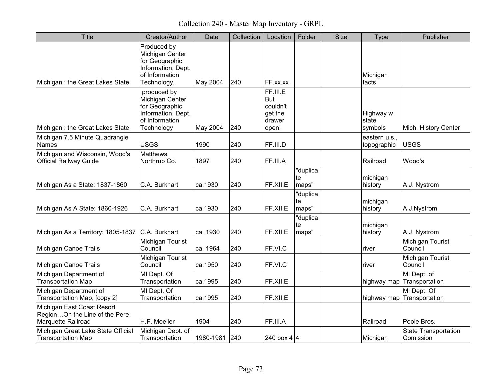Collection 240 - Master Map Inventory - GRPL

| <b>Title</b>                                                                      | Creator/Author                                                                                          | Date            | Collection | Location                                                  | Folder                  | <b>Size</b> | <b>Type</b>                   | Publisher                                 |
|-----------------------------------------------------------------------------------|---------------------------------------------------------------------------------------------------------|-----------------|------------|-----------------------------------------------------------|-------------------------|-------------|-------------------------------|-------------------------------------------|
| Michigan: the Great Lakes State                                                   | Produced by<br>Michigan Center<br>for Geographic<br>Information, Dept.<br>of Information<br>Technology, | <b>May 2004</b> | 240        | FF.xx.xx                                                  |                         |             | Michigan<br>facts             |                                           |
| Michigan: the Great Lakes State                                                   | produced by<br>Michigan Center<br>for Geographic<br>Information, Dept.<br>of Information<br>Technology  | May 2004        | 240        | FF.III.E<br>But<br>couldn't<br>get the<br>drawer<br>open! |                         |             | Highway w<br>state<br>symbols | Mich. History Center                      |
| Michigan 7.5 Minute Quadrangle<br>Names                                           | <b>USGS</b>                                                                                             | 1990            | 240        | FF.III.D                                                  |                         |             | eastern u.s.,<br>topographic  | <b>USGS</b>                               |
| Michigan and Wisconsin, Wood's<br><b>Official Railway Guide</b>                   | <b>Matthews</b><br>Northrup Co.                                                                         | 1897            | 240        | FF.III.A                                                  |                         |             | Railroad                      | Wood's                                    |
| Michigan As a State: 1837-1860                                                    | C.A. Burkhart                                                                                           | ca.1930         | 240        | FF.XII.E                                                  | "duplica<br>te<br>maps" |             | michigan<br>history           | A.J. Nystrom                              |
| Michigan As A State: 1860-1926                                                    | C.A. Burkhart                                                                                           | ca.1930         | 240        | FF.XII.E                                                  | "duplica<br>te<br>maps" |             | michigan<br>history           | A.J.Nystrom                               |
| Michigan As a Territory: 1805-1837                                                | C.A. Burkhart                                                                                           | ca. 1930        | 240        | FF.XII.E                                                  | "duplica<br>te<br>maps" |             | michigan<br>history           | A.J. Nystrom                              |
| Michigan Canoe Trails                                                             | Michigan Tourist<br>Council                                                                             | ca. 1964        | 240        | FF.VI.C                                                   |                         |             | river                         | Michigan Tourist<br>Council               |
| Michigan Canoe Trails                                                             | Michigan Tourist<br>Council                                                                             | ca.1950         | 240        | FF.VI.C                                                   |                         |             | river                         | Michigan Tourist<br>Council               |
| Michigan Department of<br><b>Transportation Map</b>                               | MI Dept. Of<br>Transportation                                                                           | ca.1995         | 240        | FF.XII.E                                                  |                         |             |                               | MI Dept. of<br>highway map Transportation |
| Michigan Department of<br>Transportation Map, [copy 2]                            | MI Dept. Of<br>Transportation                                                                           | ca.1995         | 240        | FF.XII.E                                                  |                         |             | highway map                   | MI Dept. Of<br>Transportation             |
| Michigan East Coast Resort<br>RegionOn the Line of the Pere<br>Marquette Railroad | H.F. Moeller                                                                                            | 1904            | 240        | FF.III.A                                                  |                         |             | Railroad                      | Poole Bros.                               |
| Michigan Great Lake State Official<br><b>Transportation Map</b>                   | Michigan Dept. of<br>Transportation                                                                     | 1980-1981 240   |            | 240 box 4 $ 4 $                                           |                         |             | Michigan                      | <b>State Transportation</b><br>Comission  |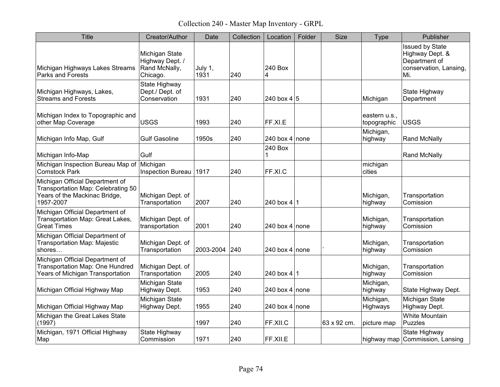Collection 240 - Master Map Inventory - GRPL

| <b>Title</b>                                                                                                        | Creator/Author                                                 | Date            | Collection | Location        | Folder | <b>Size</b> | <b>Type</b>                  | Publisher                                                                            |
|---------------------------------------------------------------------------------------------------------------------|----------------------------------------------------------------|-----------------|------------|-----------------|--------|-------------|------------------------------|--------------------------------------------------------------------------------------|
| Michigan Highways Lakes Streams<br>Parks and Forests                                                                | Michigan State<br>Highway Dept. /<br>Rand McNally,<br>Chicago. | July 1,<br>1931 | 240        | 240 Box<br>4    |        |             |                              | Issued by State<br>Highway Dept. &<br>Department of<br>conservation, Lansing,<br>Mi. |
| Michigan Highways, Lakes,<br><b>Streams and Forests</b>                                                             | State Highway<br>Dept./ Dept. of<br>Conservation               | 1931            | 240        | 240 box 4 $ 5 $ |        |             | Michigan                     | State Highway<br>Department                                                          |
| Michigan Index to Topographic and<br>other Map Coverage                                                             | <b>USGS</b>                                                    | 1993            | 240        | FF.XI.E         |        |             | eastern u.s.,<br>topographic | <b>USGS</b>                                                                          |
| Michigan Info Map, Gulf                                                                                             | <b>Gulf Gasoline</b>                                           | 1950s           | 240        | 240 box 4 none  |        |             | Michigan,<br>highway         | <b>Rand McNally</b>                                                                  |
| Michigan Info-Map                                                                                                   | Gulf                                                           |                 |            | 240 Box<br>1    |        |             |                              | <b>Rand McNally</b>                                                                  |
| Michigan Inspection Bureau Map of<br><b>Comstock Park</b>                                                           | Michigan<br>Inspection Bureau   1917                           |                 | 240        | FF.XI.C         |        |             | michigan<br>cities           |                                                                                      |
| Michigan Official Department of<br>Transportation Map: Celebrating 50<br>Years of the Mackinac Bridge,<br>1957-2007 | Michigan Dept. of<br>Transportation                            | 2007            | 240        | 240 box 4 1     |        |             | Michigan,<br>highway         | Transportation<br>Comission                                                          |
| Michigan Official Department of<br>Transportation Map: Great Lakes,<br><b>Great Times</b>                           | Michigan Dept. of<br>transportation                            | 2001            | 240        | 240 box 4 none  |        |             | Michigan,<br>highway         | Transportation<br>Comission                                                          |
| Michigan Official Department of<br>Transportation Map: Majestic<br>shores                                           | Michigan Dept. of<br>Transportation                            | 2003-2004       | 240        | 240 box 4 none  |        |             | Michigan,<br>highway         | Transportation<br>Comission                                                          |
| Michigan Official Department of<br>Transportation Map: One Hundred<br>Years of Michigan Transportation              | Michigan Dept. of<br>Transportation                            | 2005            | 240        | 240 box $4 1$   |        |             | Michigan,<br>highway         | Transportation<br>Comission                                                          |
| Michigan Official Highway Map                                                                                       | Michigan State<br>Highway Dept.                                | 1953            | 240        | 240 box 4 none  |        |             | Michigan,<br>highway         | State Highway Dept.                                                                  |
| Michigan Official Highway Map                                                                                       | Michigan State<br>Highway Dept.                                | 1955            | 240        | 240 box 4 none  |        |             | Michigan,<br>Highways        | Michigan State<br>Highway Dept.                                                      |
| Michigan the Great Lakes State<br>(1997)                                                                            |                                                                | 1997            | 240        | FF.XII.C        |        | 63 x 92 cm. | picture map                  | <b>White Mountain</b><br><b>Puzzles</b>                                              |
| Michigan, 1971 Official Highway<br>Map                                                                              | State Highway<br>Commission                                    | 1971            | 240        | FF.XII.E        |        |             |                              | State Highway<br>highway map Commission, Lansing                                     |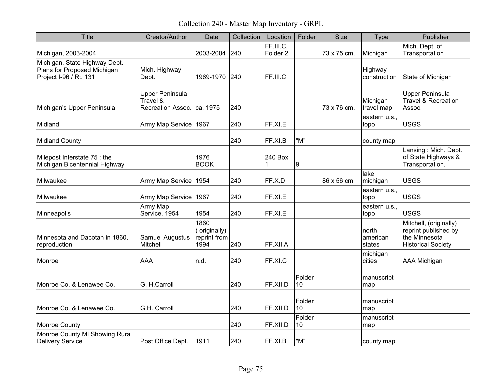Collection 240 - Master Map Inventory - GRPL

| <b>Title</b>                                                                           | Creator/Author                                                     | Date                                         | Collection | Location                         | Folder       | <b>Size</b> | <b>Type</b>                 | Publisher                                                                                    |
|----------------------------------------------------------------------------------------|--------------------------------------------------------------------|----------------------------------------------|------------|----------------------------------|--------------|-------------|-----------------------------|----------------------------------------------------------------------------------------------|
| Michigan, 2003-2004                                                                    |                                                                    | 2003-2004 240                                |            | FF.III.C.<br>Folder <sub>2</sub> |              | 73 x 75 cm. | Michigan                    | Mich. Dept. of<br>Transportation                                                             |
| Michigan. State Highway Dept.<br>Plans for Proposed Michigan<br>Project I-96 / Rt. 131 | Mich. Highway<br>Dept.                                             | 1969-1970 240                                |            | FF.III.C                         |              |             | Highway<br>construction     | State of Michigan                                                                            |
| Michigan's Upper Peninsula                                                             | <b>Upper Peninsula</b><br>Travel &<br>Recreation Assoc.   ca. 1975 |                                              | 240        |                                  |              | 73 x 76 cm. | Michigan<br>travel map      | <b>Upper Peninsula</b><br>Travel & Recreation<br>Assoc.                                      |
| Midland                                                                                | Army Map Service 1967                                              |                                              | 240        | FF.XI.E                          |              |             | eastern u.s.,<br>topo       | <b>USGS</b>                                                                                  |
| <b>Midland County</b>                                                                  |                                                                    |                                              | 240        | FF.XI.B                          | "M"          |             | county map                  |                                                                                              |
| Milepost Interstate 75 : the<br>Michigan Bicentennial Highway                          |                                                                    | 1976<br><b>BOOK</b>                          |            | 240 Box<br>1                     | 9            |             |                             | Lansing: Mich. Dept.<br>of State Highways &<br>Transportation.                               |
| Milwaukee                                                                              | Army Map Service                                                   | 1954                                         | 240        | FF.X.D                           |              | 86 x 56 cm  | lake<br>michigan            | <b>USGS</b>                                                                                  |
| Milwaukee                                                                              | Army Map Service                                                   | 1967                                         | 240        | FF.XI.E                          |              |             | eastern u.s.,<br>topo       | <b>USGS</b>                                                                                  |
| Minneapolis                                                                            | Army Map<br>Service, 1954                                          | 1954                                         | 240        | FF.XI.E                          |              |             | eastern u.s.,<br>topo       | <b>USGS</b>                                                                                  |
| Minnesota and Dacotah in 1860,<br>reproduction                                         | Samuel Augustus<br>Mitchell                                        | 1860<br>(originally)<br>reprint from<br>1994 | 240        | FF.XII.A                         |              |             | north<br>american<br>states | Mitchell, (originally)<br>reprint published by<br>the Minnesota<br><b>Historical Society</b> |
| Monroe                                                                                 | <b>AAA</b>                                                         | n.d.                                         | 240        | FF.XI.C                          |              |             | michigan<br>cities          | <b>AAA Michigan</b>                                                                          |
| Monroe Co. & Lenawee Co.                                                               | G. H.Carroll                                                       |                                              | 240        | FF.XII.D                         | Folder<br>10 |             | manuscript<br>map           |                                                                                              |
| Monroe Co. & Lenawee Co.                                                               | G.H. Carroll                                                       |                                              | 240        | FF.XII.D                         | Folder<br>10 |             | manuscript<br>map           |                                                                                              |
| <b>Monroe County</b>                                                                   |                                                                    |                                              | 240        | FF.XII.D                         | Folder<br>10 |             | manuscript<br>map           |                                                                                              |
| Monroe County MI Showing Rural<br><b>Delivery Service</b>                              | Post Office Dept.                                                  | 1911                                         | 240        | FF.XI.B                          | "M"          |             | county map                  |                                                                                              |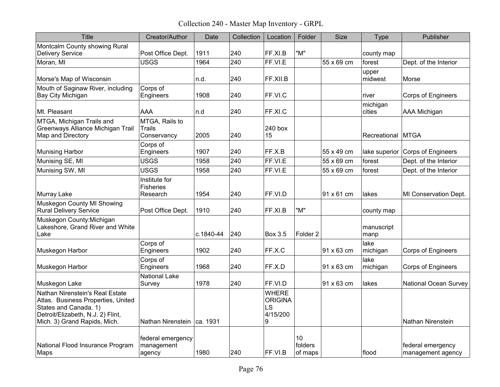Collection 240 - Master Map Inventory - GRPL

| <b>Title</b>                                                                                                                                                        | Creator/Author                                 | Date      | Collection | Location                                              | Folder                   | <b>Size</b> | <b>Type</b>        | Publisher                              |
|---------------------------------------------------------------------------------------------------------------------------------------------------------------------|------------------------------------------------|-----------|------------|-------------------------------------------------------|--------------------------|-------------|--------------------|----------------------------------------|
| Montcalm County showing Rural<br><b>Delivery Service</b>                                                                                                            | Post Office Dept.                              | 1911      | 240        | FF.XI.B                                               | "M"                      |             | county map         |                                        |
| Moran, MI                                                                                                                                                           | <b>USGS</b>                                    | 1964      | 240        | FF.VI.E                                               |                          | 55 x 69 cm  | forest             | Dept. of the Interior                  |
| Morse's Map of Wisconsin                                                                                                                                            |                                                | n.d.      | 240        | FF.XII.B                                              |                          |             | upper<br>midwest   | Morse                                  |
| Mouth of Saginaw River, including<br>Bay City Michigan                                                                                                              | Corps of<br>Engineers                          | 1908      | 240        | FF.VI.C                                               |                          |             | river              | <b>Corps of Engineers</b>              |
| Mt. Pleasant                                                                                                                                                        | AAA                                            | n.d       | 240        | FF.XI.C                                               |                          |             | michigan<br>cities | <b>AAA Michigan</b>                    |
| MTGA, Michigan Trails and<br>Greenways Alliance Michigan Trail<br>Map and Directory                                                                                 | MTGA, Rails to<br><b>Trails</b><br>Conservancy | 2005      | 240        | 240 box<br>15                                         |                          |             | Recreational MTGA  |                                        |
| <b>Munising Harbor</b>                                                                                                                                              | Corps of<br>Engineers                          | 1907      | 240        | FF.X.B                                                |                          | 55 x 49 cm  | lake superior      | Corps of Engineers                     |
| Munising SE, MI                                                                                                                                                     | <b>USGS</b>                                    | 1958      | 240        | FF.VI.E                                               |                          | 55 x 69 cm  | forest             | Dept. of the Interior                  |
| Munising SW, MI                                                                                                                                                     | <b>USGS</b>                                    | 1958      | 240        | FF.VI.E                                               |                          | 55 x 69 cm  | forest             | Dept. of the Interior                  |
| Murray Lake                                                                                                                                                         | Institute for<br><b>Fisheries</b><br>Research  | 1954      | 240        | FF.VI.D                                               |                          | 91 x 61 cm  | lakes              | MI Conservation Dept.                  |
| Muskegon County MI Showing<br><b>Rural Delivery Service</b>                                                                                                         | Post Office Dept.                              | 1910      | 240        | FF.XI.B                                               | "M"                      |             | county map         |                                        |
| Muskegon County: Michigan<br>Lakeshore, Grand River and White<br>Lake                                                                                               |                                                | c.1840-44 | 240        | Box 3.5                                               | Folder <sub>2</sub>      |             | manuscript<br>manp |                                        |
| Muskegon Harbor                                                                                                                                                     | Corps of<br>Engineers                          | 1902      | 240        | FF.X.C                                                |                          | 91 x 63 cm  | lake<br>michigan   | Corps of Engineers                     |
| Muskegon Harbor                                                                                                                                                     | Corps of<br>Engineers                          | 1968      | 240        | FF.X.D                                                |                          | 91 x 63 cm  | lake<br>michigan   | <b>Corps of Engineers</b>              |
| Muskegon Lake                                                                                                                                                       | <b>National Lake</b><br>Survey                 | 1978      | 240        | FF.VI.D                                               |                          | 91 x 63 cm  | lakes              | <b>National Ocean Survey</b>           |
| Nathan Nirenstein's Real Estate<br>Atlas. Business Properties, United<br>States and Canada. 1)<br>Detroit/Elizabeth, N.J. 2) Flint,<br>Mich. 3) Grand Rapids, Mich. | Nathan Nirenstein   ca. 1931                   |           |            | <b>WHERE</b><br><b>ORIGINA</b><br>LS<br>4/15/200<br>9 |                          |             |                    | <b>Nathan Nirenstein</b>               |
| National Flood Insurance Program<br>Maps                                                                                                                            | federal emergency<br>management<br>agency      | 1980      | 240        | FF.VI.B                                               | 10<br>folders<br>of maps |             | flood              | federal emergency<br>management agency |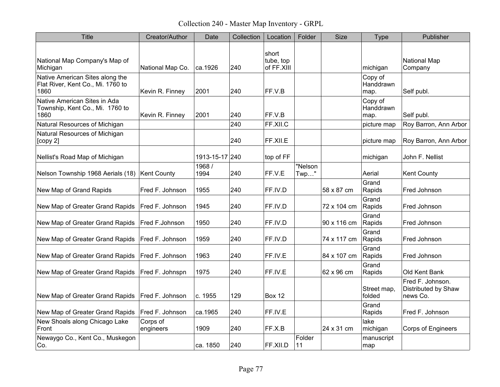Collection 240 - Master Map Inventory - GRPL

| <b>Title</b>                                                                 | Creator/Author        | Date           | Collection | Location                         | Folder             | <b>Size</b> | <b>Type</b>                  | Publisher                                           |
|------------------------------------------------------------------------------|-----------------------|----------------|------------|----------------------------------|--------------------|-------------|------------------------------|-----------------------------------------------------|
| National Map Company's Map of<br>Michigan                                    | National Map Co.      | ca.1926        | 240        | short<br>tube, top<br>of FF.XIII |                    |             | michigan                     | <b>National Map</b><br>Company                      |
| Native American Sites along the<br>Flat River, Kent Co., Mi. 1760 to<br>1860 | Kevin R. Finney       | 2001           | 240        | FF.V.B                           |                    |             | Copy of<br>Handdrawn<br>map. | Self publ.                                          |
| Native American Sites in Ada<br>Township, Kent Co., Mi. 1760 to<br>1860      | Kevin R. Finney       | 2001           | 240        | FF.V.B                           |                    |             | Copy of<br>Handdrawn<br>map. | Self publ.                                          |
| Natural Resources of Michigan                                                |                       |                | 240        | FF.XII.C                         |                    |             | picture map                  | Roy Barron, Ann Arbor                               |
| Natural Resources of Michigan<br>[copy 2]                                    |                       |                | 240        | FF.XII.E                         |                    |             | picture map                  | Roy Barron, Ann Arbor                               |
| Nellist's Road Map of Michigan                                               |                       | 1913-15-17 240 |            | top of FF                        |                    |             | michigan                     | John F. Nellist                                     |
| Nelson Township 1968 Aerials (18)                                            | Kent County           | 1968/<br>1994  | 240        | FF.V.E                           | "Nelson<br>$Twp$ " |             | Aerial                       | <b>Kent County</b>                                  |
| New Map of Grand Rapids                                                      | Fred F. Johnson       | 1955           | 240        | FF.IV.D                          |                    | 58 x 87 cm  | Grand<br>Rapids              | Fred Johnson                                        |
| New Map of Greater Grand Rapids                                              | Fred F. Johnson       | 1945           | 240        | FF.IV.D                          |                    | 72 x 104 cm | Grand<br>Rapids              | Fred Johnson                                        |
| New Map of Greater Grand Rapids                                              | Fred F.Johnson        | 1950           | 240        | FF.IV.D                          |                    | 90 x 116 cm | Grand<br>Rapids              | Fred Johnson                                        |
| New Map of Greater Grand Rapids                                              | Fred F. Johnson       | 1959           | 240        | FF.IV.D                          |                    | 74 x 117 cm | Grand<br>Rapids              | Fred Johnson                                        |
| New Map of Greater Grand Rapids                                              | Fred F. Johnson       | 1963           | 240        | FF.IV.E                          |                    | 84 x 107 cm | Grand<br>Rapids              | Fred Johnson                                        |
| New Map of Greater Grand Rapids                                              | Fred F. Johnspn       | 1975           | 240        | FF.IV.E                          |                    | 62 x 96 cm  | Grand<br>Rapids              | Old Kent Bank                                       |
| New Map of Greater Grand Rapids                                              | Fred F. Johnson       | c. 1955        | 129        | <b>Box 12</b>                    |                    |             | Street map,<br>folded        | Fred F. Johnson.<br>Distributed by Shaw<br>news Co. |
| New Map of Greater Grand Rapids                                              | Fred F. Johnson       | ca.1965        | 240        | FF.IV.E                          |                    |             | Grand<br>Rapids              | Fred F. Johnson                                     |
| New Shoals along Chicago Lake<br>Front                                       | Corps of<br>engineers | 1909           | 240        | FF.X.B                           |                    | 24 x 31 cm  | lake<br>michigan             | <b>Corps of Engineers</b>                           |
| Newaygo Co., Kent Co., Muskegon<br>Co.                                       |                       | ca. 1850       | 240        | FF.XII.D                         | Folder<br>11       |             | manuscript<br>map            |                                                     |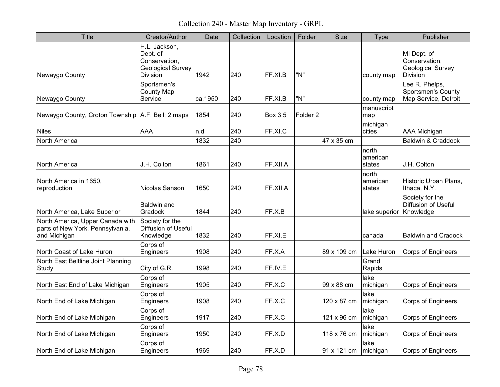Collection 240 - Master Map Inventory - GRPL

| <b>Title</b>                                                                         | Creator/Author                                                                     | Date    | Collection | Location       | Folder              | <b>Size</b> | <b>Type</b>                 | Publisher                                                                   |
|--------------------------------------------------------------------------------------|------------------------------------------------------------------------------------|---------|------------|----------------|---------------------|-------------|-----------------------------|-----------------------------------------------------------------------------|
| Newaygo County                                                                       | H.L. Jackson,<br>Dept. of<br>Conservation,<br>Geological Survey<br><b>Division</b> | 1942    | 240        | FF.XI.B        | "N"                 |             | county map                  | MI Dept. of<br>Conservation,<br><b>Geological Survey</b><br><b>Division</b> |
| Newaygo County                                                                       | Sportsmen's<br><b>County Map</b><br>Service                                        | ca.1950 | 240        | FF.XI.B        | "N"                 |             | county map                  | Lee R. Phelps,<br><b>Sportsmen's County</b><br>Map Service, Detroit         |
| Newaygo County, Croton Township   A.F. Bell; 2 maps                                  |                                                                                    | 1854    | 240        | <b>Box 3.5</b> | Folder <sub>2</sub> |             | manuscript<br>map           |                                                                             |
| <b>Niles</b>                                                                         | <b>AAA</b>                                                                         | n.d     | 240        | FF.XI.C        |                     |             | michigan<br>cities          | AAA Michigan                                                                |
| <b>North America</b>                                                                 |                                                                                    | 1832    | 240        |                |                     | 47 x 35 cm  |                             | Baldwin & Craddock                                                          |
| <b>North America</b>                                                                 | J.H. Colton                                                                        | 1861    | 240        | FF.XII.A       |                     |             | north<br>american<br>states | J.H. Colton                                                                 |
| North America in 1650,<br>reproduction                                               | Nicolas Sanson                                                                     | 1650    | 240        | FF.XII.A       |                     |             | north<br>american<br>states | Historic Urban Plans,<br>Ithaca, N.Y.                                       |
| North America, Lake Superior                                                         | Baldwin and<br>Gradock                                                             | 1844    | 240        | FF.X.B         |                     |             | lake superior Knowledge     | Society for the<br><b>Diffusion of Useful</b>                               |
| North America, Upper Canada with<br>parts of New York, Pennsylvania,<br>and Michigan | Society for the<br>Diffusion of Useful<br>Knowledge                                | 1832    | 240        | FF.XI.E        |                     |             | canada                      | <b>Baldwin and Cradock</b>                                                  |
| North Coast of Lake Huron                                                            | Corps of<br>Engineers                                                              | 1908    | 240        | FF.X.A         |                     | 89 x 109 cm | Lake Huron                  | Corps of Engineers                                                          |
| North East Beltline Joint Planning<br>Study                                          | City of G.R.                                                                       | 1998    | 240        | FF.IV.E        |                     |             | Grand<br>Rapids             |                                                                             |
| North East End of Lake Michigan                                                      | Corps of<br>Engineers                                                              | 1905    | 240        | FF.X.C         |                     | 99 x 88 cm  | lake<br>michigan            | <b>Corps of Engineers</b>                                                   |
| North End of Lake Michigan                                                           | Corps of<br>Engineers                                                              | 1908    | 240        | FF.X.C         |                     | 120 x 87 cm | lake<br>michigan            | Corps of Engineers                                                          |
| North End of Lake Michigan                                                           | Corps of<br>Engineers                                                              | 1917    | 240        | FF.X.C         |                     | 121 x 96 cm | lake<br>michigan            | Corps of Engineers                                                          |
| North End of Lake Michigan                                                           | Corps of<br>Engineers                                                              | 1950    | 240        | FF.X.D         |                     | 118 x 76 cm | lake<br>michigan            | <b>Corps of Engineers</b>                                                   |
| North End of Lake Michigan                                                           | Corps of<br>Engineers                                                              | 1969    | 240        | FF.X.D         |                     | 91 x 121 cm | lake<br>michigan            | Corps of Engineers                                                          |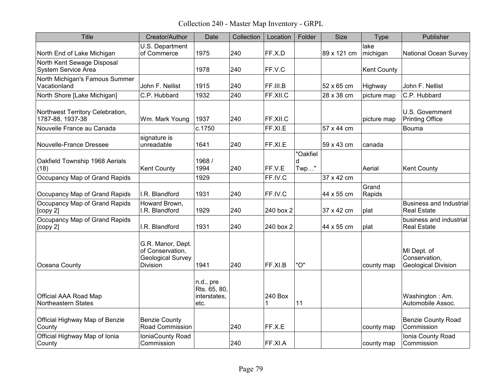Collection 240 - Master Map Inventory - GRPL

| <b>Title</b>                                         | Creator/Author                                                                       | Date                                              | Collection | Location     | Folder                   | <b>Size</b> | Type               | Publisher                                                  |
|------------------------------------------------------|--------------------------------------------------------------------------------------|---------------------------------------------------|------------|--------------|--------------------------|-------------|--------------------|------------------------------------------------------------|
| North End of Lake Michigan                           | U.S. Department<br>of Commerce                                                       | 1975                                              | 240        | FF.X.D       |                          | 89 x 121 cm | lake<br>michigan   | <b>National Ocean Survey</b>                               |
| North Kent Sewage Disposal<br>System Service Area    |                                                                                      | 1978                                              | 240        | FF.V.C       |                          |             | <b>Kent County</b> |                                                            |
| North Michigan's Famous Summer<br>Vacationland       | John F. Nellist                                                                      | 1915                                              | 240        | FF.III.B     |                          | 52 x 65 cm  | Highway            | John F. Nellist                                            |
| North Shore [Lake Michigan]                          | C.P. Hubbard                                                                         | 1932                                              | 240        | FF.XII.C     |                          | 28 x 38 cm  | picture map        | C.P. Hubbard                                               |
| Northwest Territory Celebration,<br>1787-88, 1937-38 | Wm. Mark Young                                                                       | 1937                                              | 240        | FF.XII.C     |                          |             | picture map        | U.S. Government<br><b>Printing Office</b>                  |
| Nouvelle France au Canada                            |                                                                                      | c.1750                                            |            | FF.XI.E      |                          | 57 x 44 cm  |                    | Bouma                                                      |
| Nouvelle-France Dressee                              | signature is<br>unreadable                                                           | 1641                                              | 240        | FF.XI.E      |                          | 59 x 43 cm  | canada             |                                                            |
| Oakfield Township 1968 Aerials<br>(18)               | <b>Kent County</b>                                                                   | 1968 /<br>1994                                    | 240        | FF.V.E       | "Oakfiel<br>d<br>$Twp$ " |             | Aerial             | <b>Kent County</b>                                         |
| Occupancy Map of Grand Rapids                        |                                                                                      | 1929                                              |            | FF.IV.C      |                          | 37 x 42 cm  |                    |                                                            |
| Occupancy Map of Grand Rapids                        | I.R. Blandford                                                                       | 1931                                              | 240        | FF.IV.C      |                          | 44 x 55 cm  | Grand<br>Rapids    |                                                            |
| Occupancy Map of Grand Rapids<br>[copy 2]            | Howard Brown,<br>I.R. Blandford                                                      | 1929                                              | 240        | 240 box 2    |                          | 37 x 42 cm  | plat               | <b>Business and Industrial</b><br><b>Real Estate</b>       |
| Occupancy Map of Grand Rapids<br>[copy 2]            | I.R. Blandford                                                                       | 1931                                              | 240        | 240 box 2    |                          | 44 x 55 cm  | plat               | business and industrial<br><b>Real Estate</b>              |
| Oceana County                                        | G.R. Manor, Dept.<br>of Conservation,<br><b>Geological Survey</b><br><b>Division</b> | 1941                                              | 240        | FF.XI.B      | "O"                      |             | county map         | MI Dept. of<br>Conservation,<br><b>Geological Division</b> |
| Official AAA Road Map<br><b>Northeastern States</b>  |                                                                                      | n.d., pre<br>Rts. 65, 80,<br>interstates,<br>etc. |            | 240 Box<br>1 | 11                       |             |                    | Washington: Am.<br>Automobile Assoc.                       |
| Official Highway Map of Benzie<br>County             | <b>Benzie County</b><br>Road Commission                                              |                                                   | 240        | FF.X.E       |                          |             | county map         | <b>Benzie County Road</b><br>Commission                    |
| Official Highway Map of Ionia<br>County              | IoniaCounty Road<br>Commission                                                       |                                                   | 240        | FF.XI.A      |                          |             | county map         | Ionia County Road<br>Commission                            |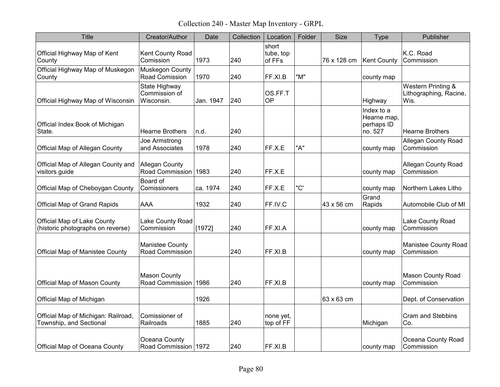Collection 240 - Master Map Inventory - GRPL

| Title                                                                   | Creator/Author                                | Date      | Collection | Location                     | Folder | <b>Size</b> | <b>Type</b>                                        | Publisher                                            |
|-------------------------------------------------------------------------|-----------------------------------------------|-----------|------------|------------------------------|--------|-------------|----------------------------------------------------|------------------------------------------------------|
| Official Highway Map of Kent<br>County                                  | Kent County Road<br>Comission                 | 1973      | 240        | short<br>tube, top<br>of FFs |        | 76 x 128 cm | Kent County                                        | K.C. Road<br>Commission                              |
| Official Highway Map of Muskegon<br>County                              | Muskegon County<br>Road Comission             | 1970      | 240        | FF.XI.B                      | "M"    |             | county map                                         |                                                      |
| Official Highway Map of Wisconsin                                       | State Highway<br>Commission of<br>Wisconsin.  | Jan. 1947 | 240        | OS.FF.T<br><b>OP</b>         |        |             | Highway                                            | Western Printing &<br>Lithographing, Racine,<br>Wis. |
| Official Index Book of Michigan<br>State.                               | <b>Hearne Brothers</b>                        | n.d.      | 240        |                              |        |             | Index to a<br>Hearne map,<br>perhaps ID<br>no. 527 | <b>Hearne Brothers</b>                               |
| Official Map of Allegan County                                          | Joe Armstrong<br>and Associates               | 1978      | 240        | FF.X.E                       | "A"    |             | county map                                         | <b>Allegan County Road</b><br>Commission             |
| Official Map of Allegan County and<br>visitors guide                    | <b>Allegan County</b><br>Road Commission 1983 |           | 240        | FF.X.E                       |        |             | county map                                         | <b>Allegan County Road</b><br>Commission             |
| Official Map of Cheboygan County                                        | Board of<br>Comissioners                      | ca. 1974  | 240        | FF.X.E                       | "C'    |             | county map                                         | Northern Lakes Litho                                 |
| <b>Official Map of Grand Rapids</b>                                     | <b>AAA</b>                                    | 1932      | 240        | FF.IV.C                      |        | 43 x 56 cm  | Grand<br>Rapids                                    | Automobile Club of MI                                |
| <b>Official Map of Lake County</b><br>(historic photographs on reverse) | Lake County Road<br>Commission                | [1972]    | 240        | FF.XI.A                      |        |             | county map                                         | Lake County Road<br>Commission                       |
| <b>Official Map of Manistee County</b>                                  | <b>Manistee County</b><br>Road Commission     |           | 240        | FF.XI.B                      |        |             | county map                                         | Manistee County Road<br>Commission                   |
| <b>Official Map of Mason County</b>                                     | <b>Mason County</b><br>Road Commission        | 1986      | 240        | FF.XI.B                      |        |             | county map                                         | <b>Mason County Road</b><br>Commission               |
| Official Map of Michigan                                                |                                               | 1926      |            |                              |        | 63 x 63 cm  |                                                    | Dept. of Conservation                                |
| Official Map of Michigan: Railroad,<br>Township, and Sectional          | Comissioner of<br>Railroads                   | 1885      | 240        | none yet,<br>top of FF       |        |             | Michigan                                           | Cram and Stebbins<br>Co.                             |
| <b>Official Map of Oceana County</b>                                    | Oceana County<br>Road Commission   1972       |           | 240        | FF.XI.B                      |        |             | county map                                         | Oceana County Road<br>Commission                     |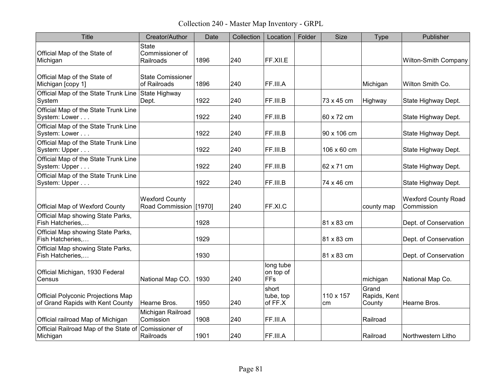Collection 240 - Master Map Inventory - GRPL

| Title                                                                         | Creator/Author                                  | Date | Collection | Location                             | Folder | <b>Size</b>     | Type                            | Publisher                                |
|-------------------------------------------------------------------------------|-------------------------------------------------|------|------------|--------------------------------------|--------|-----------------|---------------------------------|------------------------------------------|
| Official Map of the State of<br>Michigan                                      | <b>State</b><br>Commissioner of<br>Railroads    | 1896 | 240        | FF.XII.E                             |        |                 |                                 | <b>Wilton-Smith Company</b>              |
| Official Map of the State of<br>Michigan [copy 1]                             | <b>State Comissioner</b><br>of Railroads        | 1896 | 240        | FF.III.A                             |        |                 | Michigan                        | Wilton Smith Co.                         |
| Official Map of the State Trunk Line State Highway<br>System                  | Dept.                                           | 1922 | 240        | FF.III.B                             |        | 73 x 45 cm      | Highway                         | State Highway Dept.                      |
| Official Map of the State Trunk Line<br>System: Lower                         |                                                 | 1922 | 240        | FF.III.B                             |        | 60 x 72 cm      |                                 | State Highway Dept.                      |
| Official Map of the State Trunk Line<br>System: Lower                         |                                                 | 1922 | 240        | FF.III.B                             |        | 90 x 106 cm     |                                 | State Highway Dept.                      |
| Official Map of the State Trunk Line<br>System: Upper                         |                                                 | 1922 | 240        | FF.III.B                             |        | 106 x 60 cm     |                                 | State Highway Dept.                      |
| Official Map of the State Trunk Line<br>System: Upper                         |                                                 | 1922 | 240        | FF.III.B                             |        | 62 x 71 cm      |                                 | State Highway Dept.                      |
| Official Map of the State Trunk Line<br>System: Upper                         |                                                 | 1922 | 240        | FF.III.B                             |        | 74 x 46 cm      |                                 | State Highway Dept.                      |
| <b>Official Map of Wexford County</b>                                         | <b>Wexford County</b><br>Road Commission [1970] |      | 240        | FF.XI.C                              |        |                 | county map                      | <b>Wexford County Road</b><br>Commission |
| Official Map showing State Parks,<br>Fish Hatcheries,                         |                                                 | 1928 |            |                                      |        | 81 x 83 cm      |                                 | Dept. of Conservation                    |
| Official Map showing State Parks,<br>Fish Hatcheries                          |                                                 | 1929 |            |                                      |        | 81 x 83 cm      |                                 | Dept. of Conservation                    |
| Official Map showing State Parks,<br>Fish Hatcheries,                         |                                                 | 1930 |            |                                      |        | 81 x 83 cm      |                                 | Dept. of Conservation                    |
| Official Michigan, 1930 Federal<br>Census                                     | National Map CO.                                | 1930 | 240        | long tube<br>on top of<br><b>FFs</b> |        |                 | michigan                        | National Map Co.                         |
| <b>Official Polyconic Projections Map</b><br>of Grand Rapids with Kent County | Hearne Bros.                                    | 1950 | 240        | short<br>tube, top<br>of FF.X        |        | 110 x 157<br>cm | Grand<br>Rapids, Kent<br>County | Hearne Bros.                             |
| Official railroad Map of Michigan                                             | Michigan Railroad<br>Comission                  | 1908 | 240        | FF.III.A                             |        |                 | Railroad                        |                                          |
| Official Railroad Map of the State of Comissioner of<br>Michigan              | Railroads                                       | 1901 | 240        | FF.III.A                             |        |                 | Railroad                        | Northwestern Litho                       |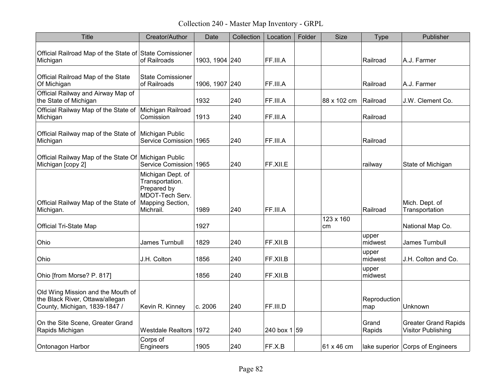Collection 240 - Master Map Inventory - GRPL

| Title                                                                                                 | Creator/Author                                                                                          | Date           | Collection | Location       | Folder | Size            | <b>Type</b>         | Publisher                                                |
|-------------------------------------------------------------------------------------------------------|---------------------------------------------------------------------------------------------------------|----------------|------------|----------------|--------|-----------------|---------------------|----------------------------------------------------------|
| Official Railroad Map of the State of State Comissioner<br>Michigan                                   | of Railroads                                                                                            | 1903, 1904 240 |            | FF.III.A       |        |                 | Railroad            | A.J. Farmer                                              |
| Official Railroad Map of the State<br>Of Michigan                                                     | <b>State Comissioner</b><br>of Railroads                                                                | 1906, 1907 240 |            | FF.III.A       |        |                 | Railroad            | A.J. Farmer                                              |
| Official Railway and Airway Map of<br>the State of Michigan                                           |                                                                                                         | 1932           | 240        | FF.III.A       |        | 88 x 102 cm     | Railroad            | J.W. Clement Co.                                         |
| Official Railway Map of the State of<br>Michigan                                                      | Michigan Railroad<br>Comission                                                                          | 1913           | 240        | FF.III.A       |        |                 | Railroad            |                                                          |
| Official Railway map of the State of Michigan Public<br>Michigan                                      | Service Comission 1965                                                                                  |                | 240        | FF.III.A       |        |                 | Railroad            |                                                          |
| Official Railway Map of the State Of Michigan Public<br>Michigan [copy 2]                             | Service Comission 1965                                                                                  |                | 240        | FF.XII.E       |        |                 | railway             | State of Michigan                                        |
| Official Railway Map of the State of<br>Michigan.                                                     | Michigan Dept. of<br>Transportation.<br>Prepared by<br>MDOT-Tech Serv.<br>Mapping Section,<br>Michrail. | 1989           | 240        | FF.III.A       |        |                 | Railroad            | Mich. Dept. of<br>Transportation                         |
| <b>Official Tri-State Map</b>                                                                         |                                                                                                         | 1927           |            |                |        | 123 x 160<br>cm |                     | National Map Co.                                         |
| Ohio                                                                                                  | James Turnbull                                                                                          | 1829           | 240        | FF.XII.B       |        |                 | upper<br>midwest    | James Turnbull                                           |
| Ohio                                                                                                  | J.H. Colton                                                                                             | 1856           | 240        | FF.XII.B       |        |                 | upper<br>midwest    | J.H. Colton and Co.                                      |
| Ohio [from Morse? P. 817]                                                                             |                                                                                                         | 1856           | 240        | FF.XII.B       |        |                 | upper<br>midwest    |                                                          |
| Old Wing Mission and the Mouth of<br>the Black River, Ottawa/allegan<br>County, Michigan, 1839-1847 / | Kevin R. Kinney                                                                                         | c. 2006        | 240        | FF.III.D       |        |                 | Reproduction<br>map | Unknown                                                  |
| On the Site Scene, Greater Grand<br>Rapids Michigan                                                   | <b>Westdale Realtors</b>                                                                                | 1972           | 240        | 240 box $1 59$ |        |                 | Grand<br>Rapids     | <b>Greater Grand Rapids</b><br><b>Visitor Publishing</b> |
| Ontonagon Harbor                                                                                      | Corps of<br>Engineers                                                                                   | 1905           | 240        | FF.X.B         |        | 61 x 46 cm      |                     | lake superior Corps of Engineers                         |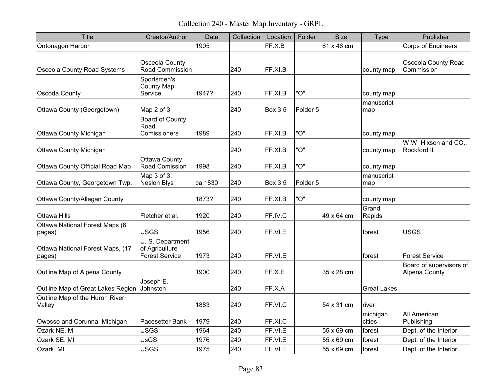Collection 240 - Master Map Inventory - GRPL

| <b>Title</b>                               | Creator/Author                                              | Date    | Collection | Location       | Folder              | <b>Size</b> | <b>Type</b>        | Publisher                                |
|--------------------------------------------|-------------------------------------------------------------|---------|------------|----------------|---------------------|-------------|--------------------|------------------------------------------|
| Ontonagon Harbor                           |                                                             | 1905    |            | FF.X.B         |                     | 61 x 46 cm  |                    | Corps of Engineers                       |
| <b>Osceola County Road Systems</b>         | Osceola County<br>Road Commission                           |         | 240        | FF.XI.B        |                     |             | county map         | <b>Osceola County Road</b><br>Commission |
| Oscoda County                              | Sportsmen's<br>County Map<br>Service                        | 1947?   | 240        | FF.XI.B        | "O"                 |             | county map         |                                          |
| Ottawa County (Georgetown)                 | Map 2 of 3                                                  |         | 240        | <b>Box 3.5</b> | Folder <sub>5</sub> |             | manuscript<br>map  |                                          |
| <b>Ottawa County Michigan</b>              | Board of County<br>Road<br>Comissioners                     | 1989    | 240        | FF.XI.B        | "O"                 |             | county map         |                                          |
| Ottawa County Michigan                     |                                                             |         | 240        | FF.XI.B        | "O"                 |             | county map         | W.W. Hixson and CO.,<br>Rockford II.     |
| <b>Ottawa County Official Road Map</b>     | <b>Ottawa County</b><br>Road Comission                      | 1998    | 240        | FF.XI.B        | "O"                 |             | county map         |                                          |
| Ottawa County, Georgetown Twp.             | Map 3 of 3;<br><b>Neslon Blys</b>                           | ca.1830 | 240        | Box 3.5        | Folder 5            |             | manuscript<br>map  |                                          |
| Ottawa County/Allegan County               |                                                             | 1873?   | 240        | FF.XI.B        | "O"                 |             | county map         |                                          |
| Ottawa Hills                               | Fletcher et al.                                             | 1920    | 240        | FF.IV.C        |                     | 49 x 64 cm  | Grand<br>Rapids    |                                          |
| Ottawa National Forest Maps (6<br>pages)   | <b>USGS</b>                                                 | 1956    | 240        | FF.VI.E        |                     |             | forest             | <b>USGS</b>                              |
| Ottawa National Forest Maps, (17<br>pages) | U. S. Department<br>of Agriculture<br><b>Forest Service</b> | 1973    | 240        | FF.VI.E        |                     |             | forest             | <b>Forest Service</b>                    |
| Outline Map of Alpena County               |                                                             | 1900    | 240        | FF.X.E         |                     | 35 x 28 cm  |                    | Board of supervisors of<br>Alpena County |
| Outline Map of Great Lakes Region          | Joseph E.<br>Johnston                                       |         | 240        | FF.X.A         |                     |             | <b>Great Lakes</b> |                                          |
| Outline Map of the Huron River<br>Valley   |                                                             | 1883    | 240        | FF.VI.C        |                     | 54 x 31 cm  | river              |                                          |
| Owosso and Corunna, Michigan               | Pacesetter Bank                                             | 1979    | 240        | FF.XI.C        |                     |             | michigan<br>cities | All American<br>Publishing               |
| Ozark NE, MI                               | <b>USGS</b>                                                 | 1964    | 240        | FF.VI.E        |                     | 55 x 69 cm  | forest             | Dept. of the Interior                    |
| Ozark SE, MI                               | <b>UsGS</b>                                                 | 1976    | 240        | FF.VI.E        |                     | 55 x 69 cm  | forest             | Dept. of the Interior                    |
| Ozark, MI                                  | <b>USGS</b>                                                 | 1975    | 240        | FF.VI.E        |                     | 55 x 69 cm  | forest             | Dept. of the Interior                    |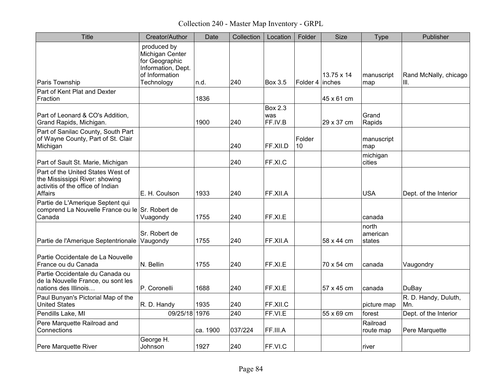Collection 240 - Master Map Inventory - GRPL

| Title                                                                                                               | Creator/Author                                                                           | Date     | Collection | Location                         | Folder          | Size       | <b>Type</b>                 | Publisher                   |
|---------------------------------------------------------------------------------------------------------------------|------------------------------------------------------------------------------------------|----------|------------|----------------------------------|-----------------|------------|-----------------------------|-----------------------------|
|                                                                                                                     | produced by<br>Michigan Center<br>for Geographic<br>Information, Dept.<br>of Information |          |            |                                  |                 | 13.75 x 14 | manuscript                  | Rand McNally, chicago       |
| Paris Township                                                                                                      | Technology                                                                               | n.d.     | 240        | <b>Box 3.5</b>                   | Folder 4 inches |            | map                         | III.                        |
| Part of Kent Plat and Dexter<br>Fraction                                                                            |                                                                                          | 1836     |            |                                  |                 | 45 x 61 cm |                             |                             |
| Part of Leonard & CO's Addition,<br>Grand Rapids, Michigan.                                                         |                                                                                          | 1900     | 240        | <b>Box 2.3</b><br>was<br>FF.IV.B |                 | 29 x 37 cm | Grand<br>Rapids             |                             |
| Part of Sanilac County, South Part<br>of Wayne County, Part of St. Clair<br>Michigan                                |                                                                                          |          | 240        | FF.XII.D                         | Folder<br>10    |            | manuscript<br>map           |                             |
| Part of Sault St. Marie, Michigan                                                                                   |                                                                                          |          | 240        | FF.XI.C                          |                 |            | michigan<br>cities          |                             |
| Part of the United States West of<br>the Mississippi River: showing<br>activitis of the office of Indian<br>Affairs | E. H. Coulson                                                                            | 1933     | 240        | FF.XII.A                         |                 |            | <b>USA</b>                  | Dept. of the Interior       |
| Partie de L'Amerique Septent qui<br>comprend La Nouvelle France ou le Sr. Robert de<br>Canada                       | Vuagondy                                                                                 | 1755     | 240        | FF.XI.E                          |                 |            | canada                      |                             |
| Partie de l'Amerique Septentrionale Vaugondy                                                                        | Sr. Robert de                                                                            | 1755     | 240        | FF.XII.A                         |                 | 58 x 44 cm | north<br>american<br>states |                             |
| Partie Occidentale de La Nouvelle<br>France ou du Canada                                                            | N. Bellin                                                                                | 1755     | 240        | FF.XI.E                          |                 | 70 x 54 cm | canada                      | Vaugondry                   |
| Partie Occidentale du Canada ou<br>de la Nouvelle France, ou sont les<br>nations des Illinois                       | P. Coronelli                                                                             | 1688     | 240        | FF.XI.E                          |                 | 57 x 45 cm | canada                      | DuBay                       |
| Paul Bunyan's Pictorial Map of the<br><b>United States</b>                                                          | R. D. Handy                                                                              | 1935     | 240        | FF.XII.C                         |                 |            | picture map                 | R. D. Handy, Duluth,<br>Mn. |
| Pendills Lake, MI                                                                                                   | 09/25/18 1976                                                                            |          | 240        | FF.VI.E                          |                 | 55 x 69 cm | forest                      | Dept. of the Interior       |
| Pere Marquette Railroad and<br>Connections                                                                          |                                                                                          | ca. 1900 | 037/224    | FF.III.A                         |                 |            | Railroad<br>route map       | Pere Marquette              |
| Pere Marquette River                                                                                                | George H.<br>Johnson                                                                     | 1927     | 240        | FF.VI.C                          |                 |            | river                       |                             |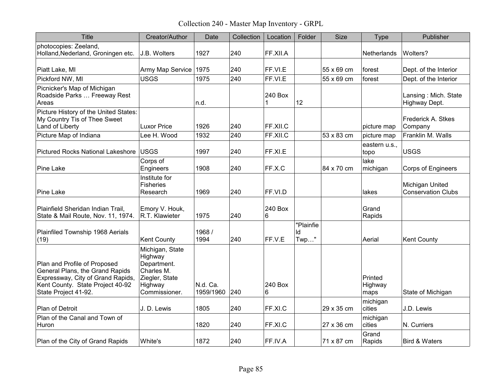Collection 240 - Master Map Inventory - GRPL

| <b>Title</b>                                                                                                                                                     | Creator/Author                                                                                        | Date                  | Collection | Location     | Folder                  | <b>Size</b> | Type                       | Publisher                                    |
|------------------------------------------------------------------------------------------------------------------------------------------------------------------|-------------------------------------------------------------------------------------------------------|-----------------------|------------|--------------|-------------------------|-------------|----------------------------|----------------------------------------------|
| photocopies: Zeeland,<br>Holland, Nederland, Groningen etc.                                                                                                      | J.B. Wolters                                                                                          | 1927                  | 240        | FF.XII.A     |                         |             | Netherlands                | Wolters?                                     |
| Piatt Lake, MI                                                                                                                                                   | Army Map Service                                                                                      | 1975                  | 240        | FF.VI.E      |                         | 55 x 69 cm  | forest                     | Dept. of the Interior                        |
| Pickford NW, MI                                                                                                                                                  | <b>USGS</b>                                                                                           | 1975                  | 240        | FF.VI.E      |                         | 55 x 69 cm  | forest                     | Dept. of the Interior                        |
| Picnicker's Map of Michigan<br>Roadside Parks  Freeway Rest<br>Areas                                                                                             |                                                                                                       | n.d.                  |            | 240 Box<br>1 | 12                      |             |                            | Lansing: Mich. State<br>Highway Dept.        |
| Picture History of the United States:<br>My Country Tis of Thee Sweet<br>Land of Liberty                                                                         | <b>Luxor Price</b>                                                                                    | 1926                  | 240        | FF.XII.C     |                         |             | picture map                | Frederick A. Stkes<br>Company                |
| Picture Map of Indiana                                                                                                                                           | Lee H. Wood                                                                                           | 1932                  | 240        | FF.XII.C     |                         | 53 x 83 cm  | picture map                | Franklin M. Walls                            |
| <b>Pictured Rocks National Lakeshore</b>                                                                                                                         | USGS                                                                                                  | 1997                  | 240        | FF.XI.E      |                         |             | eastern u.s.,<br>topo      | <b>USGS</b>                                  |
| Pine Lake                                                                                                                                                        | Corps of<br>Engineers                                                                                 | 1908                  | 240        | FF.X.C       |                         | 84 x 70 cm  | lake<br>michigan           | Corps of Engineers                           |
| Pine Lake                                                                                                                                                        | Institute for<br><b>Fisheries</b><br>Research                                                         | 1969                  | 240        | FF.VI.D      |                         |             | lakes                      | Michigan United<br><b>Conservation Clubs</b> |
| Plainfield Sheridan Indian Trail,<br>State & Mail Route, Nov. 11, 1974.                                                                                          | Emory V. Houk,<br>R.T. Klawieter                                                                      | 1975                  | 240        | 240 Box<br>6 |                         |             | Grand<br>Rapids            |                                              |
| Plainfiled Township 1968 Aerials<br>(19)                                                                                                                         | <b>Kent County</b>                                                                                    | 1968 /<br>1994        | 240        | FF.V.E       | "Plainfie<br>ld<br>Twp" |             | Aerial                     | <b>Kent County</b>                           |
| Plan and Profile of Proposed<br>General Plans, the Grand Rapids<br>Expressway, City of Grand Rapids,<br>Kent County. State Project 40-92<br>State Project 41-92. | Michigan, State<br>Highway<br>Department.<br>Charles M.<br>Ziegler, State<br>Highway<br>Commissioner. | N.d. Ca.<br>1959/1960 | 240        | 240 Box<br>6 |                         |             | Printed<br>Highway<br>maps | State of Michigan                            |
| Plan of Detroit                                                                                                                                                  | J. D. Lewis                                                                                           | 1805                  | 240        | FF.XI.C      |                         | 29 x 35 cm  | michigan<br>cities         | J.D. Lewis                                   |
| Plan of the Canal and Town of<br>Huron                                                                                                                           |                                                                                                       | 1820                  | 240        | FF.XI.C      |                         | 27 x 36 cm  | michigan<br>cities         | N. Curriers                                  |
| Plan of the City of Grand Rapids                                                                                                                                 | White's                                                                                               | 1872                  | 240        | FF.IV.A      |                         | 71 x 87 cm  | Grand<br>Rapids            | <b>Bird &amp; Waters</b>                     |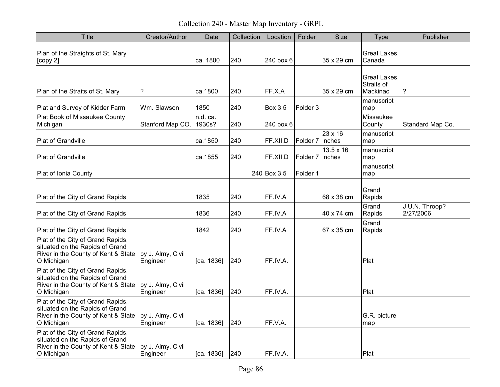Collection 240 - Master Map Inventory - GRPL

| <b>Title</b>                                                                                                              | Creator/Author                | Date               | Collection | Location       | Folder              | <b>Size</b>                 | Type                                   | Publisher                   |
|---------------------------------------------------------------------------------------------------------------------------|-------------------------------|--------------------|------------|----------------|---------------------|-----------------------------|----------------------------------------|-----------------------------|
| Plan of the Straights of St. Mary<br>[copy 2]                                                                             |                               | ca. 1800           | 240        | 240 box 6      |                     | 35 x 29 cm                  | Great Lakes,<br>Canada                 |                             |
| Plan of the Straits of St. Mary                                                                                           | ?                             | ca.1800            | 240        | FF.X.A         |                     | 35 x 29 cm                  | Great Lakes,<br>Straits of<br>Mackinac | ?                           |
| Plat and Survey of Kidder Farm                                                                                            | Wm. Slawson                   | 1850               | 240        | <b>Box 3.5</b> | Folder 3            |                             | manuscript<br>map                      |                             |
| Plat Book of Missaukee County<br>Michigan                                                                                 | Stanford Map CO.              | n.d. ca.<br>1930s? | 240        | 240 box 6      |                     |                             | Missaukee<br>County                    | Standard Map Co.            |
| Plat of Grandville                                                                                                        |                               | ca.1850            | 240        | FF.XII.D       | Folder <sub>7</sub> | 23 x 16<br> inches          | manuscript<br>map                      |                             |
| Plat of Grandville                                                                                                        |                               | ca.1855            | 240        | FF.XII.D       | Folder 7            | $13.5 \times 16$<br>linches | manuscript<br>map                      |                             |
| Plat of Ionia County                                                                                                      |                               |                    |            | 240 Box 3.5    | Folder 1            |                             | manuscript<br>map                      |                             |
| Plat of the City of Grand Rapids                                                                                          |                               | 1835               | 240        | FF.IV.A        |                     | 68 x 38 cm                  | Grand<br>Rapids                        |                             |
| Plat of the City of Grand Rapids                                                                                          |                               | 1836               | 240        | FF.IV.A        |                     | 40 x 74 cm                  | Grand<br>Rapids                        | J.U.N. Throop?<br>2/27/2006 |
| Plat of the City of Grand Rapids                                                                                          |                               | 1842               | 240        | FF.IV.A        |                     | 67 x 35 cm                  | Grand<br>Rapids                        |                             |
| Plat of the City of Grand Rapids,<br>situated on the Rapids of Grand<br>River in the County of Kent & State<br>O Michigan | by J. Almy, Civil<br>Engineer | [ca. 1836]         | 240        | FF.IV.A.       |                     |                             | Plat                                   |                             |
| Plat of the City of Grand Rapids,<br>situated on the Rapids of Grand<br>River in the County of Kent & State<br>O Michigan | by J. Almy, Civil<br>Engineer | [ca. 1836]         | 240        | FF.IV.A.       |                     |                             | Plat                                   |                             |
| Plat of the City of Grand Rapids,<br>situated on the Rapids of Grand<br>River in the County of Kent & State<br>O Michigan | by J. Almy, Civil<br>Engineer | [ca. 1836]         | 240        | FF.V.A.        |                     |                             | G.R. picture<br>map                    |                             |
| Plat of the City of Grand Rapids,<br>situated on the Rapids of Grand<br>River in the County of Kent & State<br>O Michigan | by J. Almy, Civil<br>Engineer | ∣[ca. 1836]        | 240        | FF.IV.A.       |                     |                             | Plat                                   |                             |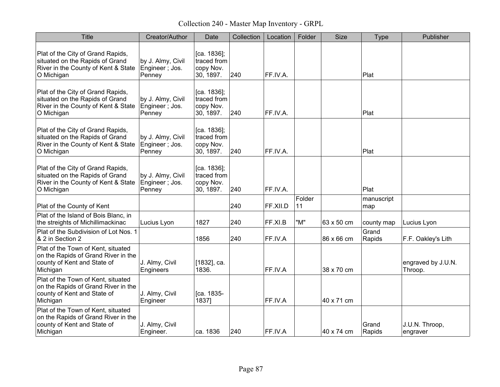Collection 240 - Master Map Inventory - GRPL

| <b>Title</b>                                                                                                              | Creator/Author                                 | Date                                                    | Collection | Location | Folder       | <b>Size</b> | <b>Type</b>       | Publisher                     |
|---------------------------------------------------------------------------------------------------------------------------|------------------------------------------------|---------------------------------------------------------|------------|----------|--------------|-------------|-------------------|-------------------------------|
| Plat of the City of Grand Rapids,<br>situated on the Rapids of Grand<br>River in the County of Kent & State<br>O Michigan | by J. Almy, Civil<br>Engineer; Jos.<br>Penney  | $[ca. 1836]$ ;<br>traced from<br>copy Nov.<br>30, 1897. | 240        | FF.IV.A. |              |             | Plat              |                               |
| Plat of the City of Grand Rapids,<br>situated on the Rapids of Grand<br>River in the County of Kent & State<br>O Michigan | by J. Almy, Civil<br>Engineer; Jos.<br>Penney  | $[ca. 1836]$ ;<br>traced from<br>copy Nov.<br>30, 1897. | 240        | FF.IV.A. |              |             | Plat              |                               |
| Plat of the City of Grand Rapids,<br>situated on the Rapids of Grand<br>River in the County of Kent & State<br>O Michigan | by J. Almy, Civil<br>Engineer ; Jos.<br>Penney | [ca. 1836];<br>traced from<br>copy Nov.<br>30, 1897.    | 240        | FF.IV.A. |              |             | Plat              |                               |
| Plat of the City of Grand Rapids,<br>situated on the Rapids of Grand<br>River in the County of Kent & State<br>O Michigan | by J. Almy, Civil<br>Engineer; Jos.<br>Penney  | [ca. 1836];<br>traced from<br>copy Nov.<br>30, 1897.    | 240        | FF.IV.A. |              |             | Plat              |                               |
| Plat of the County of Kent                                                                                                |                                                |                                                         | 240        | FF.XII.D | Folder<br>11 |             | manuscript<br>map |                               |
| Plat of the Island of Bois Blanc, in<br>the streights of Michillimackinac                                                 | Lucius Lyon                                    | 1827                                                    | 240        | FF.XI.B  | "M"          | 63 x 50 cm  | county map        | Lucius Lyon                   |
| Plat of the Subdivision of Lot Nos. 1<br>& 2 in Section 2                                                                 |                                                | 1856                                                    | 240        | FF.IV.A  |              | 86 x 66 cm  | Grand<br>Rapids   | F.F. Oakley's Lith            |
| Plat of the Town of Kent, situated<br>on the Rapids of Grand River in the<br>county of Kent and State of<br>Michigan      | J. Almy, Civil<br>Engineers                    | [1832], ca.<br>1836.                                    |            | FF.IV.A  |              | 38 x 70 cm  |                   | engraved by J.U.N.<br>Throop. |
| Plat of the Town of Kent, situated<br>on the Rapids of Grand River in the<br>county of Kent and State of<br>Michigan      | J. Almy, Civil<br>Engineer                     | [ca. 1835-<br>1837]                                     |            | FF.IV.A  |              | 40 x 71 cm  |                   |                               |
| Plat of the Town of Kent, situated<br>on the Rapids of Grand River in the<br>county of Kent and State of<br>Michigan      | J. Almy, Civil<br>Engineer.                    | ca. 1836                                                | 240        | FF.IV.A  |              | 40 x 74 cm  | Grand<br>Rapids   | J.U.N. Throop,<br>engraver    |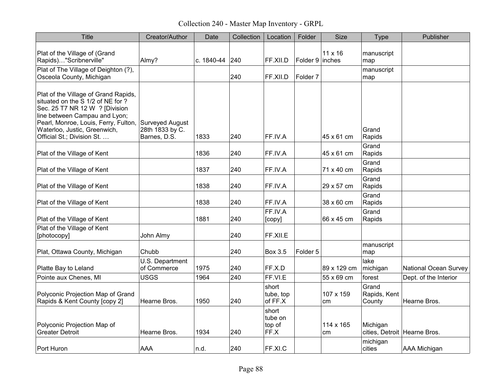Collection 240 - Master Map Inventory - GRPL

| <b>Title</b>                                                                                                                                                                                                                                       | Creator/Author                                     | Date       | Collection | Location                           | Folder              | <b>Size</b>     | <b>Type</b>                     | Publisher                    |
|----------------------------------------------------------------------------------------------------------------------------------------------------------------------------------------------------------------------------------------------------|----------------------------------------------------|------------|------------|------------------------------------|---------------------|-----------------|---------------------------------|------------------------------|
| Plat of the Village of (Grand<br>Rapids)"Scribnerville"                                                                                                                                                                                            | Almy?                                              | c. 1840-44 | 240        | FF.XII.D                           | Folder $9$ inches   | 11 x 16         | manuscript<br>map               |                              |
| Plat of The Village of Deighton (?),<br>Osceola County, Michigan                                                                                                                                                                                   |                                                    |            | 240        | FF.XII.D                           | Folder <sub>7</sub> |                 | manuscript<br>map               |                              |
| Plat of the Village of Grand Rapids,<br>situated on the S 1/2 of NE for ?<br>Sec. 25 T7 NR 12 W ? [Division<br>line between Campau and Lyon;<br>Pearl, Monroe, Louis, Ferry, Fulton,<br>Waterloo, Justic, Greenwich,<br>Official St.; Division St. | Surveyed August<br>28th 1833 by C.<br>Barnes, D.S. | 1833       | 240        | FF.IV.A                            |                     | 45 x 61 cm      | Grand<br>Rapids                 |                              |
| Plat of the Village of Kent                                                                                                                                                                                                                        |                                                    | 1836       | 240        | FF.IV.A                            |                     | 45 x 61 cm      | Grand<br>Rapids                 |                              |
| Plat of the Village of Kent                                                                                                                                                                                                                        |                                                    | 1837       | 240        | FF.IV.A                            |                     | 71 x 40 cm      | Grand<br>Rapids                 |                              |
| Plat of the Village of Kent                                                                                                                                                                                                                        |                                                    | 1838       | 240        | FF.IV.A                            |                     | 29 x 57 cm      | Grand<br>Rapids                 |                              |
| Plat of the Village of Kent                                                                                                                                                                                                                        |                                                    | 1838       | 240        | FF.IV.A                            |                     | 38 x 60 cm      | Grand<br>Rapids                 |                              |
| Plat of the Village of Kent                                                                                                                                                                                                                        |                                                    | 1881       | 240        | FF.IV.A<br>[copy]                  |                     | 66 x 45 cm      | Grand<br>Rapids                 |                              |
| Plat of the Village of Kent<br>[photocopy]                                                                                                                                                                                                         | John Almy                                          |            | 240        | FF.XII.E                           |                     |                 |                                 |                              |
| Plat, Ottawa County, Michigan                                                                                                                                                                                                                      | Chubb                                              |            | 240        | <b>Box 3.5</b>                     | Folder <sub>5</sub> |                 | manuscript<br>map               |                              |
| Platte Bay to Leland                                                                                                                                                                                                                               | U.S. Department<br>of Commerce                     | 1975       | 240        | FF.X.D                             |                     | 89 x 129 cm     | lake<br>michigan                | <b>National Ocean Survey</b> |
| Pointe aux Chenes, MI                                                                                                                                                                                                                              | <b>USGS</b>                                        | 1964       | 240        | FF.VI.E                            |                     | 55 x 69 cm      | forest                          | Dept. of the Interior        |
| Polyconic Projection Map of Grand<br>Rapids & Kent County [copy 2]                                                                                                                                                                                 | Hearne Bros.                                       | 1950       | 240        | short<br>tube, top<br>of FF.X      |                     | 107 x 159<br>cm | Grand<br>Rapids, Kent<br>County | Hearne Bros.                 |
| Polyconic Projection Map of<br><b>Greater Detroit</b>                                                                                                                                                                                              | Hearne Bros.                                       | 1934       | 240        | short<br>tube on<br>top of<br>FF.X |                     | 114 x 165<br>cm | Michigan                        | cities, Detroit Hearne Bros. |
| Port Huron                                                                                                                                                                                                                                         | <b>AAA</b>                                         | n.d.       | 240        | FF.XI.C                            |                     |                 | michigan<br>cities              | AAA Michigan                 |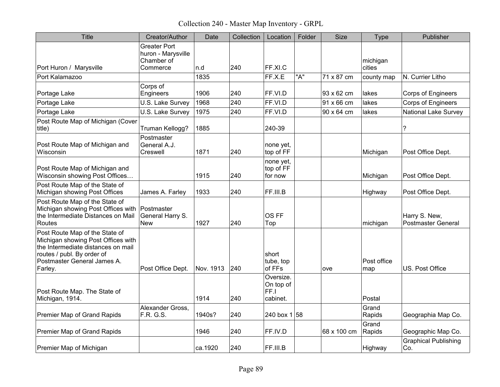Collection 240 - Master Map Inventory - GRPL

| <b>Title</b>                                                                                                                                                                       | Creator/Author                                                      | Date      | Collection | Location                                   | Folder | <b>Size</b> | Type               | Publisher                           |
|------------------------------------------------------------------------------------------------------------------------------------------------------------------------------------|---------------------------------------------------------------------|-----------|------------|--------------------------------------------|--------|-------------|--------------------|-------------------------------------|
| Port Huron / Marysville                                                                                                                                                            | <b>Greater Port</b><br>huron - Marysville<br>Chamber of<br>Commerce | n.d       | 240        | FF.XI.C                                    |        |             | michigan<br>cities |                                     |
| Port Kalamazoo                                                                                                                                                                     |                                                                     | 1835      |            | FF.X.E                                     | "A"    | 71 x 87 cm  | county map         | N. Currier Litho                    |
| Portage Lake                                                                                                                                                                       | Corps of<br>Engineers                                               | 1906      | 240        | FF.VI.D                                    |        | 93 x 62 cm  | lakes              | Corps of Engineers                  |
| Portage Lake                                                                                                                                                                       | U.S. Lake Survey                                                    | 1968      | 240        | FF.VI.D                                    |        | 91 x 66 cm  | lakes              | Corps of Engineers                  |
| Portage Lake                                                                                                                                                                       | U.S. Lake Survey                                                    | 1975      | 240        | FF.VI.D                                    |        | 90 x 64 cm  | lakes              | <b>National Lake Survey</b>         |
| Post Route Map of Michigan (Cover<br>title)                                                                                                                                        | Truman Kellogg?                                                     | 1885      |            | 240-39                                     |        |             |                    | $\tilde{?}$                         |
| Post Route Map of Michigan and<br>Wisconsin                                                                                                                                        | Postmaster<br>General A.J.<br>Creswell                              | 1871      | 240        | none yet,<br>top of FF                     |        |             | Michigan           | Post Office Dept.                   |
| Post Route Map of Michigan and<br>Wisconsin showing Post Offices                                                                                                                   |                                                                     | 1915      | 240        | none yet,<br>top of FF<br>for now          |        |             | Michigan           | Post Office Dept.                   |
| Post Route Map of the State of<br>Michigan showing Post Offices                                                                                                                    | James A. Farley                                                     | 1933      | 240        | FF.III.B                                   |        |             | Highway            | Post Office Dept.                   |
| Post Route Map of the State of<br>Michigan showing Post Offices with<br>the Intermediate Distances on Mail<br>Routes                                                               | Postmaster<br>General Harry S.<br><b>New</b>                        | 1927      | 240        | OS FF<br>Top                               |        |             | michigan           | Harry S. New,<br>Postmaster General |
| Post Route Map of the State of<br>Michigan showing Post Offices with<br>the Intermediate distances on mail<br>routes / publ. By order of<br>Postmaster General James A.<br>Farley. | Post Office Dept.                                                   | Nov. 1913 | 240        | short<br>tube, top<br>of FFs               |        | ove         | Post office<br>map | US. Post Office                     |
| Post Route Map. The State of<br>Michigan, 1914.                                                                                                                                    |                                                                     | 1914      | 240        | Oversize.<br>On top of<br>FF.I<br>cabinet. |        |             | Postal             |                                     |
| Premier Map of Grand Rapids                                                                                                                                                        | Alexander Gross,<br>F.R. G.S.                                       | 1940s?    | 240        | 240 box $1 58$                             |        |             | Grand<br>Rapids    | Geographia Map Co.                  |
| Premier Map of Grand Rapids                                                                                                                                                        |                                                                     | 1946      | 240        | FF.IV.D                                    |        | 68 x 100 cm | Grand<br>Rapids    | Geographic Map Co.                  |
| Premier Map of Michigan                                                                                                                                                            |                                                                     | ca.1920   | 240        | FF.III.B                                   |        |             | Highway            | <b>Graphical Publishing</b><br>Co.  |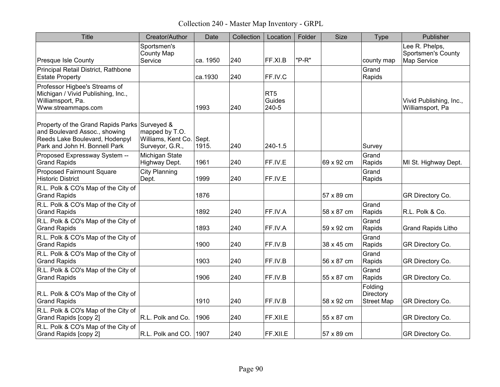Collection 240 - Master Map Inventory - GRPL

| <b>Title</b>                                                                                                                                      | Creator/Author                                          | Date           | Collection | Location                           | Folder | <b>Size</b> | Type                                      | Publisher                                                  |
|---------------------------------------------------------------------------------------------------------------------------------------------------|---------------------------------------------------------|----------------|------------|------------------------------------|--------|-------------|-------------------------------------------|------------------------------------------------------------|
| <b>Presque Isle County</b>                                                                                                                        | Sportsmen's<br><b>County Map</b><br>Service             | ca. 1950       | 240        | FF.XI.B                            | "P-R"  |             | county map                                | Lee R. Phelps,<br><b>Sportsmen's County</b><br>Map Service |
| Principal Retail District, Rathbone<br><b>Estate Property</b>                                                                                     |                                                         | ca.1930        | 240        | FF.IV.C                            |        |             | Grand<br>Rapids                           |                                                            |
| Professor Higbee's Streams of<br>Michigan / Vivid Publishing, Inc.,<br>Williamsport, Pa.<br>Www.streammaps.com                                    |                                                         | 1993           | 240        | RT <sub>5</sub><br>Guides<br>240-5 |        |             |                                           | Vivid Publishing, Inc.,<br>Williamsport, Pa                |
| Property of the Grand Rapids Parks Surveyed &<br>and Boulevard Assoc., showing<br>Reeds Lake Boulevard, Hodenpyl<br>Park and John H. Bonnell Park | mapped by T.O.<br>Williams, Kent Co.<br>Surveyor, G.R., | Sept.<br>1915. | 240        | 240-1.5                            |        |             | Survey                                    |                                                            |
| Proposed Expressway System --<br><b>Grand Rapids</b>                                                                                              | Michigan State<br>Highway Dept.                         | 1961           | 240        | FF.IV.E                            |        | 69 x 92 cm  | Grand<br>Rapids                           | MI St. Highway Dept.                                       |
| Proposed Fairmount Square<br><b>Historic District</b>                                                                                             | <b>City Planning</b><br>Dept.                           | 1999           | 240        | FF.IV.E                            |        |             | Grand<br>Rapids                           |                                                            |
| R.L. Polk & CO's Map of the City of<br><b>Grand Rapids</b>                                                                                        |                                                         | 1876           |            |                                    |        | 57 x 89 cm  |                                           | GR Directory Co.                                           |
| R.L. Polk & CO's Map of the City of<br><b>Grand Rapids</b>                                                                                        |                                                         | 1892           | 240        | FF.IV.A                            |        | 58 x 87 cm  | Grand<br>Rapids                           | R.L. Polk & Co.                                            |
| R.L. Polk & CO's Map of the City of<br><b>Grand Rapids</b>                                                                                        |                                                         | 1893           | 240        | FF.IV.A                            |        | 59 x 92 cm  | Grand<br>Rapids                           | <b>Grand Rapids Litho</b>                                  |
| R.L. Polk & CO's Map of the City of<br><b>Grand Rapids</b>                                                                                        |                                                         | 1900           | 240        | FF.IV.B                            |        | 38 x 45 cm  | Grand<br>Rapids                           | GR Directory Co.                                           |
| R.L. Polk & CO's Map of the City of<br><b>Grand Rapids</b>                                                                                        |                                                         | 1903           | 240        | FF.IV.B                            |        | 56 x 87 cm  | Grand<br>Rapids                           | GR Directory Co.                                           |
| R.L. Polk & CO's Map of the City of<br><b>Grand Rapids</b>                                                                                        |                                                         | 1906           | 240        | FF.IV.B                            |        | 55 x 87 cm  | Grand<br>Rapids                           | GR Directory Co.                                           |
| R.L. Polk & CO's Map of the City of<br><b>Grand Rapids</b>                                                                                        |                                                         | 1910           | 240        | FF.IV.B                            |        | 58 x 92 cm  | Folding<br>Directory<br><b>Street Map</b> | GR Directory Co.                                           |
| R.L. Polk & CO's Map of the City of<br>Grand Rapids [copy 2]                                                                                      | R.L. Polk and Co.                                       | 1906           | 240        | FF.XII.E                           |        | 55 x 87 cm  |                                           | GR Directory Co.                                           |
| R.L. Polk & CO's Map of the City of<br>Grand Rapids [copy 2]                                                                                      | $ R.L.$ Polk and CO. $ 1907$                            |                | 240        | FF.XII.E                           |        | 57 x 89 cm  |                                           | GR Directory Co.                                           |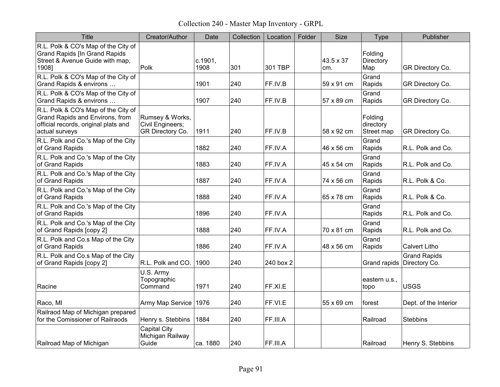Collection 240 - Master Map Inventory - GRPL

| <b>Title</b>                                                                                                                     | Creator/Author                                          | Date            | Collection | Location  | Folder | <b>Size</b>      | <b>Type</b>                        | Publisher                            |
|----------------------------------------------------------------------------------------------------------------------------------|---------------------------------------------------------|-----------------|------------|-----------|--------|------------------|------------------------------------|--------------------------------------|
| R.L. Polk & CO's Map of the City of<br><b>Grand Rapids [In Grand Rapids</b><br>Street & Avenue Guide with map,<br>1908]          | Polk                                                    | c.1901,<br>1908 | 301        | 301 TBP   |        | 43.5 x 37<br>cm. | Folding<br>Directory<br>Map        | GR Directory Co.                     |
| R.L. Polk & CO's Map of the City of<br>Grand Rapids & environs                                                                   |                                                         | 1901            | 240        | FF.IV.B   |        | 59 x 91 cm       | Grand<br>Rapids                    | GR Directory Co.                     |
| R.L. Polk & CO's Map of the City of<br>Grand Rapids & environs                                                                   |                                                         | 1907            | 240        | FF.IV.B   |        | 57 x 89 cm       | Grand<br>Rapids                    | GR Directory Co.                     |
| R.L. Polk & CO's Map of the City of<br>Grand Rapids and Environs, from<br>official records, original plats and<br>actual surveys | Rumsey & Works,<br>Civil Engineers;<br>GR Directory Co. | 1911            | 240        | FF.IV.B   |        | 58 x 92 cm       | Folding<br>directory<br>Street map | GR Directory Co.                     |
| R.L. Polk and Co.'s Map of the City<br>of Grand Rapids                                                                           |                                                         | 1882            | 240        | FF.IV.A   |        | 46 x 56 cm       | Grand<br>Rapids                    | R.L. Polk and Co.                    |
| R.L. Polk and Co.'s Map of the City<br>of Grand Rapids                                                                           |                                                         | 1883            | 240        | FF.IV.A   |        | 45 x 54 cm       | Grand<br>Rapids                    | R.L. Polk and Co.                    |
| R.L. Polk and Co.'s Map of the City<br>of Grand Rapids                                                                           |                                                         | 1887            | 240        | FF.IV.A   |        | 74 x 56 cm       | Grand<br>Rapids                    | R.L. Polk & Co.                      |
| R.L. Polk and Co.'s Map of the City<br>of Grand Rapids                                                                           |                                                         | 1888            | 240        | FF.IV.A   |        | 65 x 78 cm       | Grand<br>Rapids                    | R.L. Polk & Co.                      |
| R.L. Polk and Co.'s Map of the City<br>of Grand Rapids                                                                           |                                                         | 1896            | 240        | FF.IV.A   |        |                  | Grand<br>Rapids                    | R.L. Polk and Co.                    |
| R.L. Polk and Co.'s Map of the City<br>of Grand Rapids [copy 2]                                                                  |                                                         | 1888            | 240        | FF.IV.A   |        | 70 x 81 cm       | Grand<br>Rapids                    | R.L. Polk and Co.                    |
| R.L. Polk and Co.s Map of the City<br>of Grand Rapids                                                                            |                                                         | 1886            | 240        | FF.IV.A   |        | 48 x 56 cm       | Grand<br>Rapids                    | <b>Calvert Litho</b>                 |
| R.L. Polk and Co.s Map of the City<br>of Grand Rapids [copy 2]                                                                   | R.L. Polk and CO.                                       | 1900            | 240        | 240 box 2 |        |                  | Grand rapids                       | <b>Grand Rapids</b><br>Directory Co. |
| Racine                                                                                                                           | U.S. Army<br>Topographic<br>Command                     | 1971            | 240        | FF.XI.E   |        |                  | eastern u.s.,<br>topo              | <b>USGS</b>                          |
| Raco, MI                                                                                                                         | Army Map Service                                        | 1976            | 240        | FF.VI.E   |        | 55 x 69 cm       | forest                             | Dept. of the Interior                |
| Railraod Map of Michigan prepared<br>for the Comissioner of Railraods                                                            | Henry s. Stebbins                                       | 1884            | 240        | FF.III.A  |        |                  | Railroad                           | <b>Stebbins</b>                      |
| Railroad Map of Michigan                                                                                                         | Capital City<br>Michigan Railway<br>Guide               | ca. 1880        | 240        | FF.III.A  |        |                  | Railroad                           | Henry S. Stebbins                    |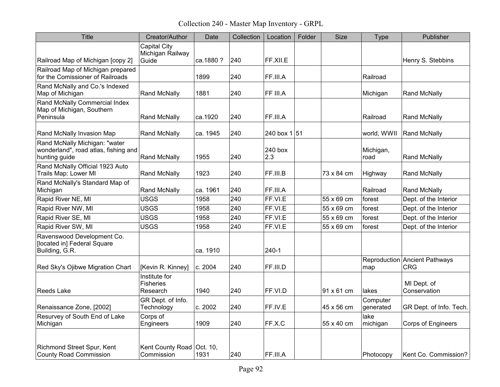Collection 240 - Master Map Inventory - GRPL

| <b>Title</b>                                                                           | Creator/Author                                   | Date     | Collection | Location       | Folder | Size       | <b>Type</b>           | Publisher                                   |
|----------------------------------------------------------------------------------------|--------------------------------------------------|----------|------------|----------------|--------|------------|-----------------------|---------------------------------------------|
| Railroad Map of Michigan [copy 2]                                                      | <b>Capital City</b><br>Michigan Railway<br>Guide | ca.1880? | 240        | FF.XII.E       |        |            |                       | Henry S. Stebbins                           |
| Railroad Map of Michigan prepared<br>for the Comissioner of Railroads                  |                                                  | 1899     | 240        | FF.III.A       |        |            | Railroad              |                                             |
| Rand McNally and Co.'s Indexed<br>Map of Michigan                                      | <b>Rand McNally</b>                              | 1881     | 240        | FF III.A       |        |            | Michigan              | <b>Rand McNally</b>                         |
| Rand McNally Commercial Index<br>Map of Michigan, Southern<br>Peninsula                | <b>Rand McNally</b>                              | ca.1920  | 240        | FF.III.A       |        |            | Railroad              | <b>Rand McNally</b>                         |
| Rand McNally Invasion Map                                                              | <b>Rand McNally</b>                              | ca. 1945 | 240        | 240 box 1 51   |        |            | world, WWII           | <b>Rand McNally</b>                         |
| Rand McNally Michigan: "water<br>wonderland", road atlas, fishing and<br>hunting guide | <b>Rand McNally</b>                              | 1955     | 240        | 240 box<br>2.3 |        |            | Michigan,<br>road     | <b>Rand McNally</b>                         |
| Rand McNally Official 1923 Auto<br>Trails Map: Lower MI                                | <b>Rand McNally</b>                              | 1923     | 240        | FF.III.B       |        | 73 x 84 cm | Highway               | <b>Rand McNally</b>                         |
| Rand McNally's Standard Map of<br>Michigan                                             | <b>Rand McNally</b>                              | ca. 1961 | 240        | FF.III.A       |        |            | Railroad              | <b>Rand McNally</b>                         |
| Rapid River NE, MI                                                                     | <b>USGS</b>                                      | 1958     | 240        | FF.VI.E        |        | 55 x 69 cm | forest                | Dept. of the Interior                       |
| Rapid River NW, MI                                                                     | <b>USGS</b>                                      | 1958     | 240        | FF.VI.E        |        | 55 x 69 cm | forest                | Dept. of the Interior                       |
| Rapid River SE, MI                                                                     | <b>USGS</b>                                      | 1958     | 240        | FF.VI.E        |        | 55 x 69 cm | forest                | Dept. of the Interior                       |
| Rapid River SW, MI                                                                     | <b>USGS</b>                                      | 1958     | 240        | FF.VI.E        |        | 55 x 69 cm | forest                | Dept. of the Interior                       |
| Ravenswood Development Co.<br>[located in] Federal Square<br>Building, G.R.            |                                                  | ca. 1910 |            | 240-1          |        |            |                       |                                             |
| Red Sky's Ojibwe Migration Chart                                                       | [Kevin R. Kinney]                                | c. 2004  | 240        | FF.III.D       |        |            | map                   | Reproduction Ancient Pathways<br><b>CRG</b> |
| Reeds Lake                                                                             | Institute for<br><b>Fisheries</b><br>Research    | 1940     | 240        | FF.VI.D        |        | 91 x 61 cm | lakes                 | MI Dept. of<br>Conservation                 |
| Renaissance Zone, [2002]                                                               | GR Dept. of Info.<br>Technology                  | c. 2002  | 240        | FF.IV.E        |        | 45 x 56 cm | Computer<br>generated | GR Dept. of Info. Tech.                     |
| Resurvey of South End of Lake<br>Michigan                                              | Corps of<br>Engineers                            | 1909     | 240        | FF.X.C         |        | 55 x 40 cm | lake<br>michigan      | <b>Corps of Engineers</b>                   |
| Richmond Street Spur, Kent<br><b>County Road Commission</b>                            | Kent County Road   Oct. 10,<br>Commission        | 1931     | 240        | FF.III.A       |        |            | Photocopy             | Kent Co. Commission?                        |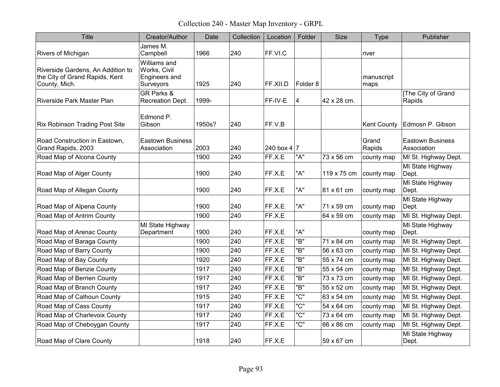Collection 240 - Master Map Inventory - GRPL

| Title                                                                                | Creator/Author                                             | Date   | Collection | Location      | Folder              | <b>Size</b> | <b>Type</b>        | Publisher                              |
|--------------------------------------------------------------------------------------|------------------------------------------------------------|--------|------------|---------------|---------------------|-------------|--------------------|----------------------------------------|
| Rivers of Michigan                                                                   | James M.<br>Campbell                                       | 1966   | 240        | FF.VI.C       |                     |             | river              |                                        |
| Riverside Gardens, An Addition to<br>the City of Grand Rapids, Kent<br>County, Mich. | Williams and<br>Works, Civil<br>Engineers and<br>Surveyors | 1925   | 240        | FF.XII.D      | Folder <sub>8</sub> |             | manuscript<br>maps |                                        |
| Riverside Park Master Plan                                                           | <b>GR Parks &amp;</b><br>Recreation Dept.                  | 1999-  |            | FF-IV-E       | 4                   | 42 x 28 cm. |                    | [The City of Grand<br>Rapids           |
| <b>Rix Robinson Trading Post Site</b>                                                | Edmond P.<br>Gibson                                        | 1950s? | 240        | FF.V.B        |                     |             | <b>Kent County</b> | Edmosn P. Gibson                       |
| Road Construction in Eastown,<br>Grand Rapids, 2003                                  | <b>Eastown Business</b><br>Association                     | 2003   | 240        | 240 box $4 7$ |                     |             | Grand<br>Rapids    | <b>Eastown Business</b><br>Association |
| Road Map of Alcona County                                                            |                                                            | 1900   | 240        | FF.X.E        | "A"                 | 73 x 56 cm  | county map         | MI St. Highway Dept.                   |
| Road Map of Alger County                                                             |                                                            | 1900   | 240        | FF.X.E        | "A"                 | 119 x 75 cm | county map         | MI State Highway<br>Dept.              |
| Road Map of Allegan County                                                           |                                                            | 1900   | 240        | FF.X.E        | "A"                 | 81 x 61 cm  | county map         | MI State Highway<br>Dept.              |
| Road Map of Alpena County                                                            |                                                            | 1900   | 240        | FF.X.E        | "A"                 | 71 x 59 cm  | county map         | MI State Highway<br>Dept.              |
| Road Map of Antrim County                                                            |                                                            | 1900   | 240        | FF.X.E        |                     | 64 x 59 cm  | county map         | MI St. Highway Dept.                   |
| Road Map of Arenac County                                                            | MI State Highway<br>Department                             | 1900   | 240        | FF.X.E        | "A"                 |             | county map         | MI State Highway<br>Dept.              |
| Road Map of Baraga County                                                            |                                                            | 1900   | 240        | FF.X.E        | "B"                 | 71 x 84 cm  | county map         | MI St. Highway Dept.                   |
| Road Map of Barry County                                                             |                                                            | 1900   | 240        | FF.X.E        | "B"                 | 56 x 63 cm  | county map         | MI St. Highway Dept.                   |
| Road Map of Bay County                                                               |                                                            | 1920   | 240        | FF.X.E        | "B"                 | 55 x 74 cm  | county map         | MI St. Highway Dept.                   |
| Road Map of Benzie County                                                            |                                                            | 1917   | 240        | FF.X.E        | "B"                 | 55 x 54 cm  | county map         | MI St. Highway Dept.                   |
| Road Map of Berrien County                                                           |                                                            | 1917   | 240        | FF.X.E        | "B"                 | 73 x 73 cm  | county map         | MI St. Highway Dept.                   |
| Road Map of Branch County                                                            |                                                            | 1917   | 240        | FF.X.E        | "B"                 | 55 x 52 cm  | county map         | MI St. Highway Dept.                   |
| Road Map of Calhoun County                                                           |                                                            | 1915   | 240        | FF.X.E        | "C"                 | 63 x 54 cm  | county map         | MI St. Highway Dept.                   |
| Road Map of Cass County                                                              |                                                            | 1917   | 240        | FF.X.E        | "C"                 | 54 x 64 cm  | county map         | MI St. Highway Dept.                   |
| Road Map of Charlevoix County                                                        |                                                            | 1917   | 240        | FF.X.E        | "C"                 | 73 x 64 cm  | county map         | MI St. Highway Dept.                   |
| Road Map of Cheboygan County                                                         |                                                            | 1917   | 240        | FF.X.E        | "C"                 | 66 x 86 cm  | county map         | MI St. Highway Dept.                   |
| Road Map of Clare County                                                             |                                                            | 1918   | 240        | FF.X.E        |                     | 59 x 67 cm  |                    | MI State Highway<br>Dept.              |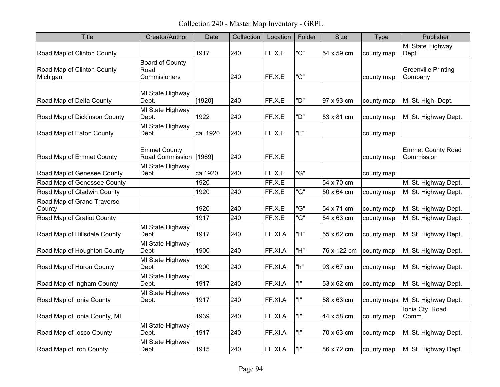Collection 240 - Master Map Inventory - GRPL

| <b>Title</b>                           | Creator/Author                                 | Date     | Collection | Location | Folder | <b>Size</b> | Type        | Publisher                              |
|----------------------------------------|------------------------------------------------|----------|------------|----------|--------|-------------|-------------|----------------------------------------|
| Road Map of Clinton County             |                                                | 1917     | 240        | FF.X.E   | "C"    | 54 x 59 cm  | county map  | MI State Highway<br>Dept.              |
| Road Map of Clinton County<br>Michigan | <b>Board of County</b><br>Road<br>Commisioners |          | 240        | FF.X.E   | "C"    |             | county map  | <b>Greenville Printing</b><br>Company  |
| Road Map of Delta County               | MI State Highway<br>Dept.                      | [1920]   | 240        | FF.X.E   | "D"    | 97 x 93 cm  | county map  | MI St. High. Dept.                     |
| Road Map of Dickinson County           | MI State Highway<br>Dept.                      | 1922     | 240        | FF.X.E   | "D"    | 53 x 81 cm  | county map  | MI St. Highway Dept.                   |
| Road Map of Eaton County               | MI State Highway<br>Dept.                      | ca. 1920 | 240        | FF.X.E   | "Е"    |             | county map  |                                        |
| Road Map of Emmet County               | <b>Emmet County</b><br>Road Commission [1969]  |          | 240        | FF.X.E   |        |             | county map  | <b>Emmet County Road</b><br>Commission |
| Road Map of Genesee County             | MI State Highway<br>Dept.                      | ca.1920  | 240        | FF.X.E   | "G"    |             | county map  |                                        |
| Road Map of Genessee County            |                                                | 1920     |            | FF.X.E   |        | 54 x 70 cm  |             | MI St. Highway Dept.                   |
| Road Map of Gladwin County             |                                                | 1920     | 240        | FF.X.E   | "G"    | 50 x 64 cm  | county map  | MI St. Highway Dept.                   |
| Road Map of Grand Traverse<br>County   |                                                | 1920     | 240        | FF.X.E   | "G"    | 54 x 71 cm  | county map  | MI St. Highway Dept.                   |
| Road Map of Gratiot County             |                                                | 1917     | 240        | FF.X.E   | "G"    | 54 x 63 cm  | county map  | MI St. Highway Dept.                   |
| Road Map of Hillsdale County           | MI State Highway<br>Dept.                      | 1917     | 240        | FF.XI.A  | "H"    | 55 x 62 cm  | county map  | MI St. Highway Dept.                   |
| Road Map of Houghton County            | MI State Highway<br>Dept                       | 1900     | 240        | FF.XI.A  | "H"    | 76 x 122 cm | county map  | MI St. Highway Dept.                   |
| Road Map of Huron County               | MI State Highway<br>Dept                       | 1900     | 240        | FF.XI.A  | "h"    | 93 x 67 cm  | county map  | MI St. Highway Dept.                   |
| Road Map of Ingham County              | MI State Highway<br>Dept.                      | 1917     | 240        | FF.XI.A  | "ו"    | 53 x 62 cm  | county map  | MI St. Highway Dept.                   |
| Road Map of Ionia County               | MI State Highway<br>Dept.                      | 1917     | 240        | FF.XI.A  | "ו"    | 58 x 63 cm  | county maps | MI St. Highway Dept.                   |
| Road Map of Ionia County, MI           |                                                | 1939     | 240        | FF.XI.A  | "ו"    | 44 x 58 cm  | county map  | Ionia Cty. Road<br>Comm.               |
| Road Map of losco County               | MI State Highway<br>Dept.                      | 1917     | 240        | FF.XI.A  | "ו"    | 70 x 63 cm  | county map  | MI St. Highway Dept.                   |
| Road Map of Iron County                | MI State Highway<br>Dept.                      | 1915     | 240        | FF.XI.A  | "ו"    | 86 x 72 cm  | county map  | MI St. Highway Dept.                   |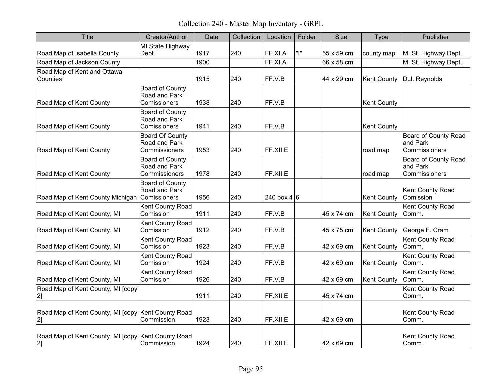Collection 240 - Master Map Inventory - GRPL

| <b>Title</b>                                             | Creator/Author                                           | Date | Collection | Location    | Folder | Size       | Type               | Publisher                                                |
|----------------------------------------------------------|----------------------------------------------------------|------|------------|-------------|--------|------------|--------------------|----------------------------------------------------------|
| Road Map of Isabella County                              | MI State Highway<br>Dept.                                | 1917 | 240        | FF.XI.A     | " "    | 55 x 59 cm | county map         | MI St. Highway Dept.                                     |
| Road Map of Jackson County                               |                                                          | 1900 |            | FF.XI.A     |        | 66 x 58 cm |                    | MI St. Highway Dept.                                     |
| Road Map of Kent and Ottawa<br>Counties                  |                                                          | 1915 | 240        | FF.V.B      |        | 44 x 29 cm | <b>Kent County</b> | D.J. Reynolds                                            |
| Road Map of Kent County                                  | <b>Board of County</b><br>Road and Park<br>Comissioners  | 1938 | 240        | FF.V.B      |        |            | <b>Kent County</b> |                                                          |
| Road Map of Kent County                                  | Board of County<br>Road and Park<br>Comissioners         | 1941 | 240        | FF.V.B      |        |            | <b>Kent County</b> |                                                          |
| Road Map of Kent County                                  | <b>Board Of County</b><br>Road and Park<br>Commissioners | 1953 | 240        | FF.XII.E    |        |            | road map           | <b>Board of County Road</b><br>and Park<br>Commissioners |
| Road Map of Kent County                                  | Board of County<br>Road and Park<br>Commissioners        | 1978 | 240        | FF.XII.E    |        |            | road map           | <b>Board of County Road</b><br>and Park<br>Commissioners |
| Road Map of Kent County Michigan Comissioners            | Board of County<br>Road and Park                         | 1956 | 240        | 240 box 4 6 |        |            | <b>Kent County</b> | Kent County Road<br>Comission                            |
| Road Map of Kent County, MI                              | Kent County Road<br>Comission                            | 1911 | 240        | FF.V.B      |        | 45 x 74 cm | <b>Kent County</b> | Kent County Road<br>Comm.                                |
| Road Map of Kent County, MI                              | Kent County Road<br>Comission                            | 1912 | 240        | FF.V.B      |        | 45 x 75 cm | <b>Kent County</b> | George F. Cram                                           |
| Road Map of Kent County, MI                              | Kent County Road<br>Comission                            | 1923 | 240        | FF.V.B      |        | 42 x 69 cm | <b>Kent County</b> | Kent County Road<br>Comm.                                |
| Road Map of Kent County, MI                              | Kent County Road<br>Comission                            | 1924 | 240        | FF.V.B      |        | 42 x 69 cm | <b>Kent County</b> | Kent County Road<br>Comm.                                |
| Road Map of Kent County, MI                              | Kent County Road<br>Comission                            | 1926 | 240        | FF.V.B      |        | 42 x 69 cm | <b>Kent County</b> | Kent County Road<br>Comm.                                |
| Road Map of Kent County, MI [copy<br>[2]                 |                                                          | 1911 | 240        | FF.XILE     |        | 45 x 74 cm |                    | Kent County Road<br>Comm.                                |
| Road Map of Kent County, MI [copy Kent County Road<br>2] | Commission                                               | 1923 | 240        | FF.XILE     |        | 42 x 69 cm |                    | Kent County Road<br>Comm.                                |
| Road Map of Kent County, MI [copy Kent County Road<br>2] | Commission                                               | 1924 | 240        | FF.XII.E    |        | 42 x 69 cm |                    | Kent County Road<br>Comm.                                |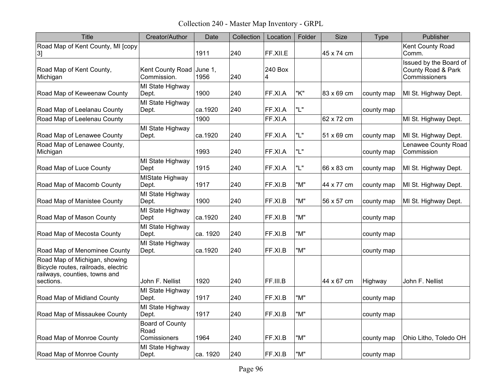Collection 240 - Master Map Inventory - GRPL

| <b>Title</b>                                                                                                       | Creator/Author                          | Date     | Collection | Location     | Folder | <b>Size</b> | Type       | Publisher                                                     |
|--------------------------------------------------------------------------------------------------------------------|-----------------------------------------|----------|------------|--------------|--------|-------------|------------|---------------------------------------------------------------|
| Road Map of Kent County, MI [copy<br>3]                                                                            |                                         | 1911     | 240        | FF.XII.E     |        | 45 x 74 cm  |            | Kent County Road<br>Comm.                                     |
| Road Map of Kent County,<br>Michigan                                                                               | Kent County Road June 1,<br>Commission. | 1956     | 240        | 240 Box<br>4 |        |             |            | Issued by the Board of<br>County Road & Park<br>Commissioners |
| Road Map of Keweenaw County                                                                                        | MI State Highway<br>Dept.               | 1900     | 240        | FF.XI.A      | "K"    | 83 x 69 cm  | county map | MI St. Highway Dept.                                          |
| Road Map of Leelanau County                                                                                        | MI State Highway<br>Dept.               | ca.1920  | 240        | FF.XI.A      | "L"    |             | county map |                                                               |
| Road Map of Leelenau County                                                                                        |                                         | 1900     |            | FF.XI.A      |        | 62 x 72 cm  |            | MI St. Highway Dept.                                          |
| Road Map of Lenawee County                                                                                         | MI State Highway<br>Dept.               | ca.1920  | 240        | FF.XI.A      | "L"    | 51 x 69 cm  | county map | MI St. Highway Dept.                                          |
| Road Map of Lenawee County,<br>Michigan                                                                            |                                         | 1993     | 240        | FF.XI.A      | "L"    |             | county map | <b>Lenawee County Road</b><br>Commission                      |
| Road Map of Luce County                                                                                            | MI State Highway<br>Dept                | 1915     | 240        | FF.XI.A      | "L"    | 66 x 83 cm  | county map | MI St. Highway Dept.                                          |
| Road Map of Macomb County                                                                                          | <b>MIState Highway</b><br>Dept.         | 1917     | 240        | FF.XI.B      | "M"    | 44 x 77 cm  | county map | MI St. Highway Dept.                                          |
| Road Map of Manistee County                                                                                        | MI State Highway<br>Dept.               | 1900     | 240        | FF.XI.B      | "M"    | 56 x 57 cm  | county map | MI St. Highway Dept.                                          |
| Road Map of Mason County                                                                                           | MI State Highway<br>Dept                | ca.1920  | 240        | FF.XI.B      | "M"    |             | county map |                                                               |
| Road Map of Mecosta County                                                                                         | MI State Highway<br>Dept.               | ca. 1920 | 240        | FF.XI.B      | "M"    |             | county map |                                                               |
| Road Map of Menominee County                                                                                       | MI State Highway<br>Dept.               | ca.1920  | 240        | FF.XI.B      | "M"    |             | county map |                                                               |
| Road Map of Michigan, showing<br>Bicycle routes, railroads, electric<br>railways, counties, towns and<br>sections. | John F. Nellist                         | 1920     | 240        | FF.III.B     |        | 44 x 67 cm  | Highway    | John F. Nellist                                               |
| Road Map of Midland County                                                                                         | MI State Highway<br>Dept.               | 1917     | 240        | FF.XI.B      | "M"    |             | county map |                                                               |
| Road Map of Missaukee County                                                                                       | MI State Highway<br>Dept.               | 1917     | 240        | FF.XI.B      | "M"    |             | county map |                                                               |
| Road Map of Monroe County                                                                                          | Board of County<br>Road<br>Comissioners | 1964     | 240        | FF.XI.B      | "M"    |             | county map | Ohio Litho, Toledo OH                                         |
| Road Map of Monroe County                                                                                          | MI State Highway<br>Dept.               | ca. 1920 | 240        | FF.XI.B      | "M"    |             | county map |                                                               |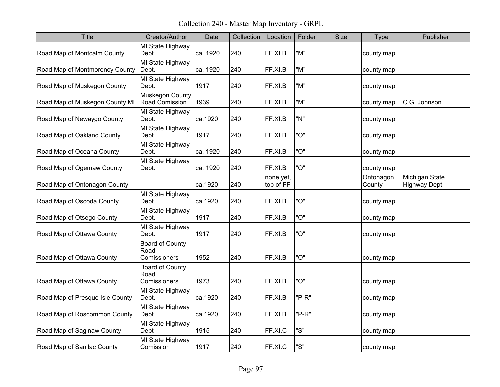Collection 240 - Master Map Inventory - GRPL

| <b>Title</b>                    | Creator/Author                          | Date     | Collection | Location               | Folder | <b>Size</b> | <b>Type</b>         | Publisher                       |
|---------------------------------|-----------------------------------------|----------|------------|------------------------|--------|-------------|---------------------|---------------------------------|
| Road Map of Montcalm County     | MI State Highway<br>Dept.               | ca. 1920 | 240        | FF.XI.B                | "M"    |             | county map          |                                 |
| Road Map of Montmorency County  | MI State Highway<br>Dept.               | ca. 1920 | 240        | FF.XI.B                | "M"    |             | county map          |                                 |
| Road Map of Muskegon County     | MI State Highway<br>Dept.               | 1917     | 240        | FF.XI.B                | "M"    |             | county map          |                                 |
| Road Map of Muskegon County MI  | Muskegon County<br>Road Comission       | 1939     | 240        | FF.XI.B                | "M"    |             | county map          | C.G. Johnson                    |
| Road Map of Newaygo County      | MI State Highway<br>Dept.               | ca.1920  | 240        | FF.XI.B                | "N"    |             | county map          |                                 |
| Road Map of Oakland County      | MI State Highway<br>Dept.               | 1917     | 240        | FF.XI.B                | "O"    |             | county map          |                                 |
| Road Map of Oceana County       | MI State Highway<br>Dept.               | ca. 1920 | 240        | FF.XI.B                | "O"    |             | county map          |                                 |
| Road Map of Ogemaw County       | MI State Highway<br>Dept.               | ca. 1920 | 240        | FF.XI.B                | "O"    |             | county map          |                                 |
| Road Map of Ontonagon County    |                                         | ca.1920  | 240        | none yet,<br>top of FF |        |             | Ontonagon<br>County | Michigan State<br>Highway Dept. |
| Road Map of Oscoda County       | MI State Highway<br>Dept.               | ca.1920  | 240        | FF.XI.B                | "O"    |             | county map          |                                 |
| Road Map of Otsego County       | MI State Highway<br>Dept.               | 1917     | 240        | FF.XI.B                | "O"    |             | county map          |                                 |
| Road Map of Ottawa County       | MI State Highway<br>Dept.               | 1917     | 240        | FF.XI.B                | "O"    |             | county map          |                                 |
| Road Map of Ottawa County       | Board of County<br>Road<br>Comissioners | 1952     | 240        | FF.XI.B                | "O"    |             | county map          |                                 |
| Road Map of Ottawa County       | Board of County<br>Road<br>Comissioners | 1973     | 240        | FF.XI.B                | "O"    |             | county map          |                                 |
| Road Map of Presque Isle County | MI State Highway<br>Dept.               | ca.1920  | 240        | FF.XI.B                | "P-R"  |             | county map          |                                 |
| Road Map of Roscommon County    | MI State Highway<br>Dept.               | ca.1920  | 240        | FF.XI.B                | "P-R"  |             | county map          |                                 |
| Road Map of Saginaw County      | MI State Highway<br>Dept                | 1915     | 240        | FF.XI.C                | "S"    |             | county map          |                                 |
| Road Map of Sanilac County      | MI State Highway<br>Comission           | 1917     | 240        | FF.XI.C                | "S"    |             | county map          |                                 |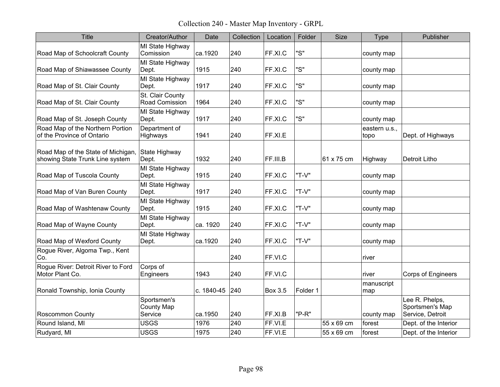Collection 240 - Master Map Inventory - GRPL

| <b>Title</b>                                                          | Creator/Author                       | Date       | Collection | Location | Folder   | <b>Size</b> | <b>Type</b>           | Publisher                                             |
|-----------------------------------------------------------------------|--------------------------------------|------------|------------|----------|----------|-------------|-----------------------|-------------------------------------------------------|
| Road Map of Schoolcraft County                                        | MI State Highway<br>Comission        | ca.1920    | 240        | FF.XI.C  | "S"      |             | county map            |                                                       |
| Road Map of Shiawassee County                                         | MI State Highway<br>Dept.            | 1915       | 240        | FF.XI.C  | "S"      |             | county map            |                                                       |
| Road Map of St. Clair County                                          | MI State Highway<br>Dept.            | 1917       | 240        | FF.XI.C  | "S"      |             | county map            |                                                       |
| Road Map of St. Clair County                                          | St. Clair County<br>Road Comission   | 1964       | 240        | FF.XI.C  | "S"      |             | county map            |                                                       |
| Road Map of St. Joseph County                                         | MI State Highway<br>Dept.            | 1917       | 240        | FF.XI.C  | "S"      |             | county map            |                                                       |
| Road Map of the Northern Portion<br>of the Province of Ontario        | Department of<br>Highways            | 1941       | 240        | FF.XI.E  |          |             | eastern u.s.,<br>topo | Dept. of Highways                                     |
| Road Map of the State of Michigan,<br>showing State Trunk Line system | State Highway<br>Dept.               | 1932       | 240        | FF.III.B |          | 61 x 75 cm  | Highway               | <b>Detroit Litho</b>                                  |
| Road Map of Tuscola County                                            | MI State Highway<br>Dept.            | 1915       | 240        | FF.XI.C  | "T-V"    |             | county map            |                                                       |
| Road Map of Van Buren County                                          | MI State Highway<br>Dept.            | 1917       | 240        | FF.XI.C  | "T-V"    |             | county map            |                                                       |
| Road Map of Washtenaw County                                          | MI State Highway<br>Dept.            | 1915       | 240        | FF.XI.C  | "T-V"    |             | county map            |                                                       |
| Road Map of Wayne County                                              | MI State Highway<br>Dept.            | ca. 1920   | 240        | FF.XI.C  | "T-V"    |             | county map            |                                                       |
| Road Map of Wexford County                                            | MI State Highway<br>Dept.            | ca.1920    | 240        | FF.XI.C  | "T-V"    |             | county map            |                                                       |
| Rogue River, Algoma Twp., Kent<br>Co.                                 |                                      |            | 240        | FF.VI.C  |          |             | river                 |                                                       |
| Rogue River: Detroit River to Ford<br>Motor Plant Co.                 | Corps of<br>Engineers                | 1943       | 240        | FF.VI.C  |          |             | river                 | <b>Corps of Engineers</b>                             |
| Ronald Township, Ionia County                                         |                                      | c. 1840-45 | 240        | Box 3.5  | Folder 1 |             | manuscript<br>map     |                                                       |
| <b>Roscommon County</b>                                               | Sportsmen's<br>County Map<br>Service | ca.1950    | 240        | FF.XI.B  | "P-R"    |             | county map            | Lee R. Phelps,<br>Sportsmen's Map<br>Service, Detroit |
| Round Island, MI                                                      | <b>USGS</b>                          | 1976       | 240        | FF.VI.E  |          | 55 x 69 cm  | forest                | Dept. of the Interior                                 |
| Rudyard, MI                                                           | <b>USGS</b>                          | 1975       | 240        | FF.VI.E  |          | 55 x 69 cm  | forest                | Dept. of the Interior                                 |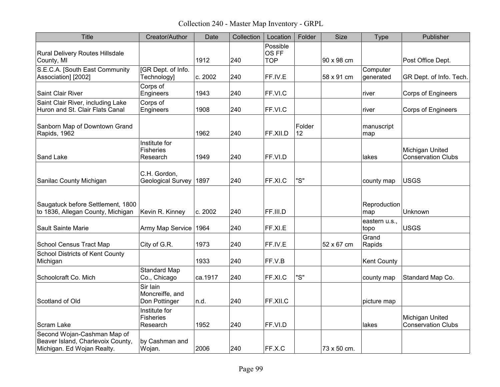Collection 240 - Master Map Inventory - GRPL

| <b>Title</b>                                                                                   | Creator/Author                                | Date    | Collection | Location                        | Folder       | <b>Size</b> | Type                  | Publisher                                    |
|------------------------------------------------------------------------------------------------|-----------------------------------------------|---------|------------|---------------------------------|--------------|-------------|-----------------------|----------------------------------------------|
| Rural Delivery Routes Hillsdale<br>County, MI                                                  |                                               | 1912    | 240        | Possible<br>OS FF<br><b>TOP</b> |              | 90 x 98 cm  |                       | Post Office Dept.                            |
| S.E.C.A. [South East Community<br>Association] [2002]                                          | [GR Dept. of Info.<br>Technology]             | c. 2002 | 240        | FF.IV.E                         |              | 58 x 91 cm  | Computer<br>generated | GR Dept. of Info. Tech.                      |
| <b>Saint Clair River</b>                                                                       | Corps of<br>Engineers                         | 1943    | 240        | FF.VI.C                         |              |             | river                 | <b>Corps of Engineers</b>                    |
| Saint Clair River, including Lake<br>Huron and St. Clair Flats Canal                           | Corps of<br>Engineers                         | 1908    | 240        | FF.VI.C                         |              |             | river                 | <b>Corps of Engineers</b>                    |
| Sanborn Map of Downtown Grand<br>Rapids, 1962                                                  |                                               | 1962    | 240        | FF.XII.D                        | Folder<br>12 |             | manuscript<br>map     |                                              |
| Sand Lake                                                                                      | Institute for<br><b>Fisheries</b><br>Research | 1949    | 240        | FF.VI.D                         |              |             | lakes                 | Michigan United<br><b>Conservation Clubs</b> |
| Sanilac County Michigan                                                                        | C.H. Gordon,<br><b>Geological Survey</b>      | 1897    | 240        | FF.XI.C                         | "S"          |             | county map            | <b>USGS</b>                                  |
| Saugatuck before Settlement, 1800<br>to 1836, Allegan County, Michigan                         | Kevin R. Kinney                               | c. 2002 | 240        | FF.III.D                        |              |             | Reproduction<br>map   | Unknown                                      |
| Sault Sainte Marie                                                                             | Army Map Service 1964                         |         | 240        | FF.XI.E                         |              |             | eastern u.s.,<br>topo | <b>USGS</b>                                  |
| School Census Tract Map                                                                        | City of G.R.                                  | 1973    | 240        | FF.IV.E                         |              | 52 x 67 cm  | Grand<br>Rapids       |                                              |
| <b>School Districts of Kent County</b><br>Michigan                                             |                                               | 1933    | 240        | FF.V.B                          |              |             | <b>Kent County</b>    |                                              |
| Schoolcraft Co. Mich                                                                           | <b>Standard Map</b><br>Co., Chicago           | ca.1917 | 240        | FF.XI.C                         | "S"          |             | county map            | Standard Map Co.                             |
| Scotland of Old                                                                                | Sir Iain<br>Moncreiffe, and<br>Don Pottinger  | n.d.    | 240        | FF.XII.C                        |              |             | picture map           |                                              |
| Scram Lake                                                                                     | Institute for<br>Fisheries<br>Research        | 1952    | 240        | FF.VI.D                         |              |             | lakes                 | Michigan United<br><b>Conservation Clubs</b> |
| Second Wojan-Cashman Map of<br>Beaver Island, Charlevoix County,<br>Michigan. Ed Wojan Realty. | by Cashman and<br>Wojan.                      | 2006    | 240        | FF.X.C                          |              | 73 x 50 cm. |                       |                                              |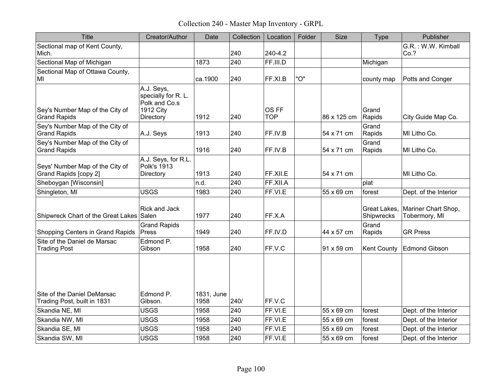Collection 240 - Master Map Inventory - GRPL

| <b>Title</b>                                               | Creator/Author                                                               | Date               | Collection | Location            | Folder | <b>Size</b> | <b>Type</b>                | Publisher                            |
|------------------------------------------------------------|------------------------------------------------------------------------------|--------------------|------------|---------------------|--------|-------------|----------------------------|--------------------------------------|
| Sectional map of Kent County,<br>Mich.                     |                                                                              |                    | 240        | 240-4.2             |        |             |                            | G.R.: W.W. Kimball<br>Co.?           |
| Sectional Map of Michigan                                  |                                                                              | 1873               | 240        | FF.III.D            |        |             | Michigan                   |                                      |
| Sectional Map of Ottawa County,<br>MI                      |                                                                              | ca.1900            | 240        | FF.XI.B             | "O"    |             | county map                 | Potts and Conger                     |
| Sey's Number Map of the City of<br><b>Grand Rapids</b>     | A.J. Seys,<br>specially for R. L.<br>Polk and Co.s<br>1912 City<br>Directory | 1912               | 240        | OS FF<br><b>TOP</b> |        | 86 x 125 cm | Grand<br>Rapids            | City Guide Map Co.                   |
| Sey's Number Map of the City of<br><b>Grand Rapids</b>     | A.J. Seys                                                                    | 1913               | 240        | FF.IV.B             |        | 54 x 71 cm  | Grand<br>Rapids            | MI Litho Co.                         |
| Sey's Number Map of the City of<br><b>Grand Rapids</b>     |                                                                              | 1916               | 240        | FF.IV.B             |        | 54 x 71 cm  | Grand<br>Rapids            | MI Litho Co.                         |
| Seys' Number Map of the City of<br>Grand Rapids [copy 2]   | A.J. Seys, for R.L.<br><b>Polk's 1913</b><br>Directory                       | 1913               | 240        | FF.XII.E            |        | 54 x 71 cm  |                            | MI Litho Co.                         |
| Sheboygan [Wisconsin]                                      |                                                                              | n.d.               | 240        | FF.XII.A            |        |             | plat                       |                                      |
| Shingleton, MI                                             | <b>USGS</b>                                                                  | 1983               | 240        | FF.VI.E             |        | 55 x 69 cm  | forest                     | Dept. of the Interior                |
| Shipwreck Chart of the Great Lakes Salen                   | <b>Rick and Jack</b>                                                         | 1977               | 240        | FF.X.A              |        |             | Great Lakes.<br>Shipwrecks | Mariner Chart Shop,<br>Tobermory, MI |
| Shopping Centers in Grand Rapids                           | <b>Grand Rapids</b><br>Press                                                 | 1949               | 240        | FF.IV.D             |        | 44 x 57 cm  | Grand<br>Rapids            | <b>GR Press</b>                      |
| Site of the Daniel de Marsac<br><b>Trading Post</b>        | Edmond P.<br>Gibson                                                          | 1958               | 240        | FF.V.C              |        | 91 x 59 cm  | <b>Kent County</b>         | <b>Edmond Gibson</b>                 |
| Site of the Daniel DeMarsac<br>Trading Post, built in 1831 | Edmond P.<br>Gibson.                                                         | 1831, June<br>1958 | 240/       | FF.V.C              |        |             |                            |                                      |
| Skandia NE, MI                                             | <b>USGS</b>                                                                  | 1958               | 240        | FF.VI.E             |        | 55 x 69 cm  | forest                     | Dept. of the Interior                |
| Skandia NW, MI                                             | <b>USGS</b>                                                                  | 1958               | 240        | FF.VI.E             |        | 55 x 69 cm  | forest                     | Dept. of the Interior                |
| Skandia SE, MI                                             | <b>USGS</b>                                                                  | 1958               | 240        | FF.VI.E             |        | 55 x 69 cm  | forest                     | Dept. of the Interior                |
| Skandia SW, MI                                             | <b>USGS</b>                                                                  | 1958               | 240        | FF.VI.E             |        | 55 x 69 cm  | forest                     | Dept. of the Interior                |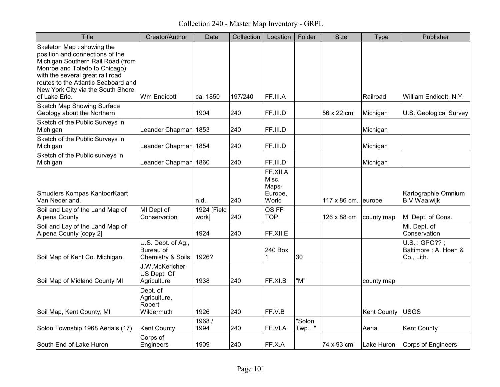Collection 240 - Master Map Inventory - GRPL

| <b>Title</b>                                                                                                                                                                                                                                                        | Creator/Author                                       | Date                 | Collection | Location                                       | Folder            | <b>Size</b>         | <b>Type</b>        | Publisher                                           |
|---------------------------------------------------------------------------------------------------------------------------------------------------------------------------------------------------------------------------------------------------------------------|------------------------------------------------------|----------------------|------------|------------------------------------------------|-------------------|---------------------|--------------------|-----------------------------------------------------|
| Skeleton Map: showing the<br>position and connections of the<br>Michigan Southern Rail Road (from<br>Monroe and Toledo to Chicago)<br>with the several great rail road<br>routes to the Atlantic Seaboard and<br>New York City via the South Shore<br>of Lake Erie. | Wm Endicott                                          | ca. 1850             | 197/240    | FF.III.A                                       |                   |                     | Railroad           | William Endicott, N.Y.                              |
| Sketch Map Showing Surface<br>Geology about the Northern                                                                                                                                                                                                            |                                                      | 1904                 | 240        | FF.III.D                                       |                   | 56 x 22 cm          | Michigan           | U.S. Geological Survey                              |
| Sketch of the Public Surveys in<br>Michigan                                                                                                                                                                                                                         | Leander Chapman 1853                                 |                      | 240        | FF.III.D                                       |                   |                     | Michigan           |                                                     |
| Sketch of the Public Surveys in<br>Michigan                                                                                                                                                                                                                         | Leander Chapman 1854                                 |                      | 240        | FF.III.D                                       |                   |                     | Michigan           |                                                     |
| Sketch of the Public surveys in<br>Michigan                                                                                                                                                                                                                         | Leander Chapman 1860                                 |                      | 240        | FF.III.D                                       |                   |                     | Michigan           |                                                     |
| Smudlers Kompas KantoorKaart<br>Van Nederland.                                                                                                                                                                                                                      |                                                      | n.d.                 | 240        | FF.XII.A<br>Misc.<br>Maps-<br>Europe,<br>World |                   | 117 x 86 cm. europe |                    | Kartographie Omnium<br><b>B.V.Waalwijk</b>          |
| Soil and Lay of the Land Map of<br>Alpena County                                                                                                                                                                                                                    | MI Dept of<br>Conservation                           | 1924 [Field<br>work] | 240        | OS FF<br><b>TOP</b>                            |                   | 126 x 88 cm         | county map         | MI Dept. of Cons.                                   |
| Soil and Lay of the Land Map of<br>Alpena County [copy 2]                                                                                                                                                                                                           |                                                      | 1924                 | 240        | FF.XII.E                                       |                   |                     |                    | Mi. Dept. of<br>Conservation                        |
| Soil Map of Kent Co. Michigan.                                                                                                                                                                                                                                      | U.S. Dept. of Ag.,<br>Bureau of<br>Chemistry & Soils | 1926?                |            | 240 Box                                        | 30                |                     |                    | U.S.: GPO??;<br>Baltimore : A. Hoen &<br>Co., Lith. |
| Soil Map of Midland County MI                                                                                                                                                                                                                                       | J.W.McKericher,<br>US Dept. Of<br>Agriculture        | 1938                 | 240        | FF.XI.B                                        | "M"               |                     | county map         |                                                     |
| Soil Map, Kent County, MI                                                                                                                                                                                                                                           | Dept. of<br>Agriculture,<br>Robert<br>Wildermuth     | 1926                 | 240        | FF.V.B                                         |                   |                     | <b>Kent County</b> | <b>USGS</b>                                         |
| Solon Township 1968 Aerials (17)                                                                                                                                                                                                                                    | <b>Kent County</b>                                   | 1968 /<br>1994       | 240        | FF.VI.A                                        | "Solon<br>$Twp$ " |                     | Aerial             | <b>Kent County</b>                                  |
| South End of Lake Huron                                                                                                                                                                                                                                             | Corps of<br>Engineers                                | 1909                 | 240        | FF.X.A                                         |                   | 74 x 93 cm          | Lake Huron         | <b>Corps of Engineers</b>                           |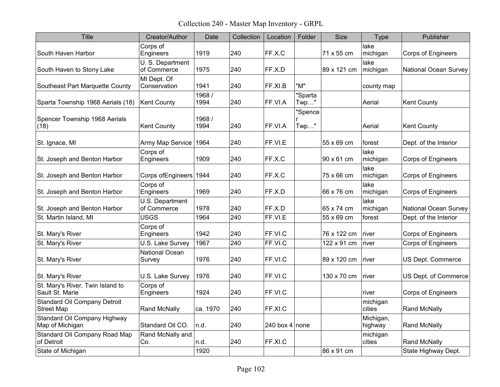Collection 240 - Master Map Inventory - GRPL

| <b>Title</b>                                             | Creator/Author                  | Date           | Collection | Location       | Folder             | <b>Size</b> | <b>Type</b>          | Publisher                    |
|----------------------------------------------------------|---------------------------------|----------------|------------|----------------|--------------------|-------------|----------------------|------------------------------|
| South Haven Harbor                                       | Corps of<br>Engineers           | 1919           | 240        | FF.X.C         |                    | 71 x 55 cm  | lake<br>michigan     | <b>Corps of Engineers</b>    |
| South Haven to Stony Lake                                | U. S. Department<br>of Commerce | 1975           | 240        | FF.X.D         |                    | 89 x 121 cm | lake<br>michigan     | <b>National Ocean Survey</b> |
| Southeast Part Marquette County                          | MI Dept. Of<br>Conservation     | 1941           | 240        | FF.XI.B        | "M"                |             | county map           |                              |
| Sparta Township 1968 Aerials (18)                        | <b>Kent County</b>              | 1968 /<br>1994 | 240        | FF.VI.A        | "Sparta<br>$Twp$ " |             | Aerial               | <b>Kent County</b>           |
| Spencer Township 1968 Aerials<br>(18)                    | <b>Kent County</b>              | 1968 /<br>1994 | 240        | FF.VI.A        | "Spence<br>Twp"    |             | Aerial               | <b>Kent County</b>           |
| St. Ignace, MI                                           | Army Map Service                | 1964           | 240        | FF.VI.E        |                    | 55 x 69 cm  | forest               | Dept. of the Interior        |
| St. Joseph and Benton Harbor                             | Corps of<br>Engineers           | 1909           | 240        | FF.X.C         |                    | 90 x 61 cm  | lake<br>michigan     | <b>Corps of Engineers</b>    |
| St. Joseph and Benton Harbor                             | Corps of Engineers 1944         |                | 240        | FF.X.C         |                    | 75 x 66 cm  | lake<br>michigan     | <b>Corps of Engineers</b>    |
| St. Joseph and Benton Harbor                             | Corps of<br>Engineers           | 1969           | 240        | FF.X.D         |                    | 66 x 76 cm  | lake<br>michigan     | <b>Corps of Engineers</b>    |
| St. Joseph and Benton Harbor                             | U.S. Department<br>of Commerce  | 1978           | 240        | FF.X.D         |                    | 65 x 74 cm  | lake<br>michigan     | <b>National Ocean Survey</b> |
| St. Martin Island, MI                                    | <b>USGS</b>                     | 1964           | 240        | FF.VI.E        |                    | 55 x 69 cm  | forest               | Dept. of the Interior        |
| St. Mary's River                                         | Corps of<br>Engineers           | 1942           | 240        | FF.VI.C        |                    | 76 x 122 cm | river                | Corps of Engineers           |
| St. Mary's River                                         | U.S. Lake Survey                | 1967           | 240        | FF.VI.C        |                    | 122 x 91 cm | river                | <b>Corps of Engineers</b>    |
| St. Mary's River                                         | <b>National Ocean</b><br>Survey | 1976           | 240        | FF.VI.C        |                    | 89 x 120 cm | <b>river</b>         | US Dept. Commerce            |
| St. Mary's River                                         | U.S. Lake Survey                | 1976           | 240        | FF.VI.C        |                    | 130 x 70 cm | <b>river</b>         | US Dept. of Commerce         |
| St. Mary's River, Twin Island to<br>Sault St. Marie      | Corps of<br>Engineers           | 1924           | 240        | FF.VI.C        |                    |             | river                | <b>Corps of Engineers</b>    |
| <b>Standard Oil Company Detroit</b><br><b>Street Map</b> | Rand McNally                    | ca. 1970       | 240        | FF.XI.C        |                    |             | michigan<br>cities   | Rand McNally                 |
| Standard Oil Company Highway<br>Map of Michigan          | Standard Oil CO.                | n.d.           | 240        | 240 box 4 none |                    |             | Michigan,<br>highway | <b>Rand McNally</b>          |
| Standard Oil Company Road Map<br>of Detroit              | Rand McNally and<br>Co.         | n.d.           | 240        | FF.XI.C        |                    |             | michigan<br>cities   | Rand McNally                 |
| State of Michigan                                        |                                 | 1920           |            |                |                    | 86 x 91 cm  |                      | State Highway Dept.          |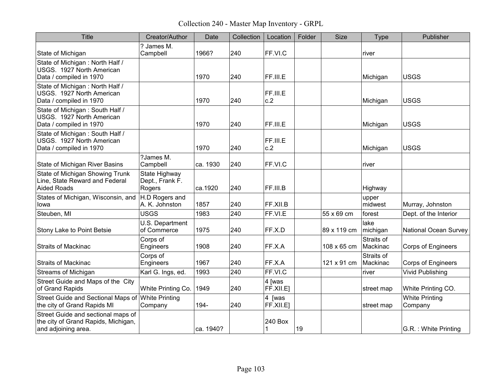Collection 240 - Master Map Inventory - GRPL

| <b>Title</b>                                                                                     | Creator/Author                             | Date      | Collection | Location                             | Folder | <b>Size</b> | Type                   | Publisher                        |
|--------------------------------------------------------------------------------------------------|--------------------------------------------|-----------|------------|--------------------------------------|--------|-------------|------------------------|----------------------------------|
| State of Michigan                                                                                | ? James M.<br>Campbell                     | 1966?     | 240        | FF.VI.C                              |        |             | river                  |                                  |
| State of Michigan: North Half /<br>USGS. 1927 North American<br>Data / compiled in 1970          |                                            | 1970      | 240        | FF.III.E                             |        |             | Michigan               | <b>USGS</b>                      |
| State of Michigan: North Half /<br>USGS. 1927 North American<br>Data / compiled in 1970          |                                            | 1970      | 240        | FF.III.E<br>c.2                      |        |             | Michigan               | <b>USGS</b>                      |
| State of Michigan: South Half /<br>USGS. 1927 North American<br>Data / compiled in 1970          |                                            | 1970      | 240        | FF.III.E                             |        |             | Michigan               | <b>USGS</b>                      |
| State of Michigan: South Half /<br>USGS. 1927 North American<br>Data / compiled in 1970          |                                            | 1970      | 240        | FF.III.E<br>c.2                      |        |             | Michigan               | <b>USGS</b>                      |
| State of Michigan River Basins                                                                   | ?James M.<br>Campbell                      | ca. 1930  | 240        | FF.VI.C                              |        |             | river                  |                                  |
| State of Michigan Showing Trunk<br>Line, State Reward and Federal<br><b>Aided Roads</b>          | State Highway<br>Dept., Frank F.<br>Rogers | ca.1920   | 240        | FF.III.B                             |        |             | Highway                |                                  |
| States of Michigan, Wisconsin, and<br>lowa                                                       | H.D Rogers and<br>A. K. Johnston           | 1857      | 240        | FF.XII.B                             |        |             | upper<br>midwest       | Murray, Johnston                 |
| Steuben, MI                                                                                      | <b>USGS</b>                                | 1983      | 240        | FF.VI.E                              |        | 55 x 69 cm  | forest                 | Dept. of the Interior            |
| Stony Lake to Point Betsie                                                                       | U.S. Department<br>of Commerce             | 1975      | 240        | FF.X.D                               |        | 89 x 119 cm | lake<br>michigan       | <b>National Ocean Survey</b>     |
| <b>Straits of Mackinac</b>                                                                       | Corps of<br>Engineers                      | 1908      | 240        | FF.X.A                               |        | 108 x 65 cm | Straits of<br>Mackinac | <b>Corps of Engineers</b>        |
| <b>Straits of Mackinac</b>                                                                       | Corps of<br>Engineers                      | 1967      | 240        | FF.X.A                               |        | 121 x 91 cm | Straits of<br>Mackinac | Corps of Engineers               |
| Streams of Michigan                                                                              | Karl G. Ings, ed.                          | 1993      | 240        | FF.VI.C                              |        |             | river                  | <b>Vivid Publishing</b>          |
| Street Guide and Maps of the City<br>of Grand Rapids                                             | White Printing Co.                         | 1949      | 240        | $ 4$ [was<br>$F\overline{F}$ .XII.E] |        |             | street map             | White Printing CO.               |
| Street Guide and Sectional Maps of White Printing<br>the city of Grand Rapids MI                 | Company                                    | 194-      | 240        | 4 [was<br>FF.XII.E]                  |        |             | street map             | <b>White Printing</b><br>Company |
| Street Guide and sectional maps of<br>the city of Grand Rapids, Michigan,<br>and adjoining area. |                                            | ca. 1940? |            | 240 Box<br>1                         | 19     |             |                        | G.R. : White Printing            |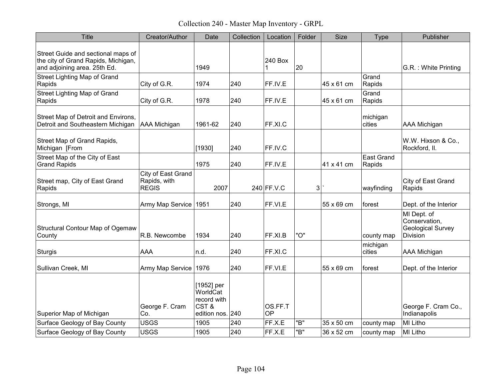Collection 240 - Master Map Inventory - GRPL

| <b>Title</b>                                                                                              | Creator/Author                                     | Date                                                              | Collection | Location             | Folder | <b>Size</b> | <b>Type</b>                 | Publisher                                                            |
|-----------------------------------------------------------------------------------------------------------|----------------------------------------------------|-------------------------------------------------------------------|------------|----------------------|--------|-------------|-----------------------------|----------------------------------------------------------------------|
| Street Guide and sectional maps of<br>the city of Grand Rapids, Michigan,<br>and adjoining area. 25th Ed. |                                                    | 1949                                                              |            | 240 Box<br>1         | 20     |             |                             | G.R.: White Printing                                                 |
| Street Lighting Map of Grand<br>Rapids                                                                    | City of G.R.                                       | 1974                                                              | 240        | FF.IV.E              |        | 45 x 61 cm  | Grand<br>Rapids             |                                                                      |
| Street Lighting Map of Grand<br>Rapids                                                                    | City of G.R.                                       | 1978                                                              | 240        | FF.IV.E              |        | 45 x 61 cm  | Grand<br>Rapids             |                                                                      |
| Street Map of Detroit and Environs,<br>Detroit and Southeastern Michigan                                  | AAA Michigan                                       | 1961-62                                                           | 240        | FF.XI.C              |        |             | michigan<br>cities          | AAA Michigan                                                         |
| Street Map of Grand Rapids,<br>Michigan [From                                                             |                                                    | [1930]                                                            | 240        | FF.IV.C              |        |             |                             | W.W. Hixson & Co.,<br>Rockford, II.                                  |
| Street Map of the City of East<br><b>Grand Rapids</b>                                                     |                                                    | 1975                                                              | 240        | FF.IV.E              |        | 41 x 41 cm  | <b>East Grand</b><br>Rapids |                                                                      |
| Street map, City of East Grand<br>Rapids                                                                  | City of East Grand<br>Rapids, with<br><b>REGIS</b> | 2007                                                              |            | $240$ FF.V.C         | 3      |             | wayfinding                  | City of East Grand<br>Rapids                                         |
| Strongs, MI                                                                                               | Army Map Service 1951                              |                                                                   | 240        | FF.VI.E              |        | 55 x 69 cm  | forest                      | Dept. of the Interior                                                |
| Structural Contour Map of Ogemaw<br>County                                                                | R.B. Newcombe                                      | 1934                                                              | 240        | FF.XI.B              | "O"    |             | county map                  | MI Dept. of<br>Conservation,<br><b>Geological Survey</b><br>Division |
| <b>Sturgis</b>                                                                                            | <b>AAA</b>                                         | n.d.                                                              | 240        | FF.XI.C              |        |             | michigan<br>cities          | <b>AAA Michigan</b>                                                  |
| Sullivan Creek, MI                                                                                        | Army Map Service                                   | 1976                                                              | 240        | FF.VI.E              |        | 55 x 69 cm  | forest                      | Dept. of the Interior                                                |
| Superior Map of Michigan                                                                                  | George F. Cram<br>Co.                              | [1952] per<br>WorldCat<br>record with<br>CST&<br>edition nos. 240 |            | OS.FF.T<br><b>OP</b> |        |             |                             | George F. Cram Co.,<br>Indianapolis                                  |
| Surface Geology of Bay County                                                                             | <b>USGS</b>                                        | 1905                                                              | 240        | FF.X.E               | "B"    | 35 x 50 cm  | county map                  | MI Litho                                                             |
| Surface Geology of Bay County                                                                             | <b>USGS</b>                                        | 1905                                                              | 240        | FF.X.E               | "B"    | 36 x 52 cm  | county map                  | MI Litho                                                             |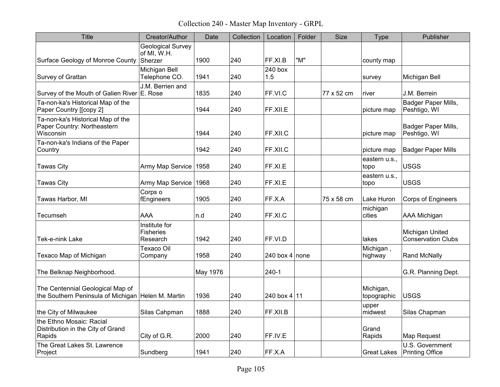Collection 240 - Master Map Inventory - GRPL

| <b>Title</b>                                                                           | Creator/Author                                | Date     | Collection | Location         | Folder | <b>Size</b> | Type                     | Publisher                                    |
|----------------------------------------------------------------------------------------|-----------------------------------------------|----------|------------|------------------|--------|-------------|--------------------------|----------------------------------------------|
| Surface Geology of Monroe County Sherzer                                               | <b>Geological Survey</b><br>of MI, W.H.       | 1900     | 240        | FF.XI.B          | "M"    |             | county map               |                                              |
| Survey of Grattan                                                                      | Michigan Bell<br>Telephone CO.                | 1941     | 240        | $240$ box<br>1.5 |        |             | survey                   | Michigan Bell                                |
| Survey of the Mouth of Galien River E. Rose                                            | J.M. Berrien and                              | 1835     | 240        | FF.VI.C          |        | 77 x 52 cm  | river                    | J.M. Berrein                                 |
| Ta-non-ka's Historical Map of the<br>Paper Country [[copy 2]                           |                                               | 1944     | 240        | FF.XII.E         |        |             | picture map              | Badger Paper Mills,<br>Peshtigo, WI          |
| Ta-non-ka's Historical Map of the<br>Paper Country: Northeastern<br>Wisconsin          |                                               | 1944     | 240        | FF.XII.C         |        |             | picture map              | Badger Paper Mills,<br>Peshtigo, WI          |
| Ta-non-ka's Indians of the Paper<br>Country                                            |                                               | 1942     | 240        | FF.XII.C         |        |             | picture map              | <b>Badger Paper Mills</b>                    |
| <b>Tawas City</b>                                                                      | Army Map Service                              | 1958     | 240        | FF.XI.E          |        |             | eastern u.s.,<br>topo    | <b>USGS</b>                                  |
| <b>Tawas City</b>                                                                      | Army Map Service                              | 1968     | 240        | FF.XI.E          |        |             | eastern u.s.,<br>topo    | <b>USGS</b>                                  |
| Tawas Harbor, MI                                                                       | Corps o<br>fEngineers                         | 1905     | 240        | FF.X.A           |        | 75 x 58 cm  | Lake Huron               | <b>Corps of Engineers</b>                    |
| Tecumseh                                                                               | <b>AAA</b>                                    | n.d      | 240        | FF.XI.C          |        |             | michigan<br>cities       | <b>AAA Michigan</b>                          |
| Tek-e-nink Lake                                                                        | Institute for<br><b>Fisheries</b><br>Research | 1942     | 240        | FF.VI.D          |        |             | lakes                    | Michigan United<br><b>Conservation Clubs</b> |
| Texaco Map of Michigan                                                                 | Texaco Oil<br>Company                         | 1958     | 240        | 240 box 4 none   |        |             | Michigan,<br>highway     | <b>Rand McNally</b>                          |
| The Belknap Neighborhood.                                                              |                                               | May 1976 |            | 240-1            |        |             |                          | G.R. Planning Dept.                          |
| The Centennial Geological Map of<br>the Southern Peninsula of Michigan Helen M. Martin |                                               | 1936     | 240        | 240 box 4 11     |        |             | Michigan,<br>topographic | <b>USGS</b>                                  |
| the City of Milwaukee                                                                  | Silas Cahpman                                 | 1888     | 240        | FF.XII.B         |        |             | upper<br>midwest         | Silas Chapman                                |
| the Ethno Mosaic: Racial<br>Distribution in the City of Grand<br>Rapids                | City of G.R.                                  | 2000     | 240        | FF.IV.E          |        |             | Grand<br>Rapids          | Map Request                                  |
| The Great Lakes St. Lawrence<br>Project                                                | Sundberg                                      | 1941     | 240        | FF.X.A           |        |             | Great Lakes              | U.S. Government<br><b>Printing Office</b>    |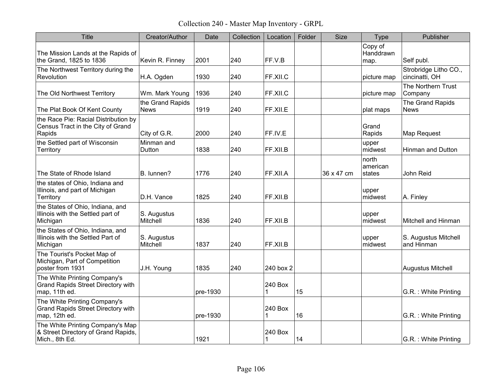Collection 240 - Master Map Inventory - GRPL

| <b>Title</b>                                                                               | Creator/Author                  | Date     | Collection | Location     | Folder | <b>Size</b> | Type                         | Publisher                               |
|--------------------------------------------------------------------------------------------|---------------------------------|----------|------------|--------------|--------|-------------|------------------------------|-----------------------------------------|
| The Mission Lands at the Rapids of<br>the Grand, 1825 to 1836                              | Kevin R. Finney                 | 2001     | 240        | FF.V.B       |        |             | Copy of<br>Handdrawn<br>map. | Self publ.                              |
| The Northwest Territory during the<br>Revolution                                           | H.A. Ogden                      | 1930     | 240        | FF.XII.C     |        |             | picture map                  | Strobridge Litho CO.,<br>cincinatti, OH |
| The Old Northwest Territory                                                                | Wm. Mark Young                  | 1936     | 240        | FF.XII.C     |        |             | picture map                  | The Northern Trust<br>Company           |
| The Plat Book Of Kent County                                                               | the Grand Rapids<br><b>News</b> | 1919     | 240        | FF.XII.E     |        |             | plat maps                    | The Grand Rapids<br><b>News</b>         |
| the Race Pie: Racial Distribution by<br>Census Tract in the City of Grand<br>Rapids        | City of G.R.                    | 2000     | 240        | FF.IV.E      |        |             | Grand<br>Rapids              | Map Request                             |
| the Settled part of Wisconsin<br>Territory                                                 | Minman and<br>Dutton            | 1838     | 240        | FF.XII.B     |        |             | upper<br>midwest             | <b>Hinman and Dutton</b>                |
| The State of Rhode Island                                                                  | B. lunnen?                      | 1776     | 240        | FF.XII.A     |        | 36 x 47 cm  | north<br>american<br>states  | John Reid                               |
| the states of Ohio, Indiana and<br>Illinois, and part of Michigan<br>Territory             | D.H. Vance                      | 1825     | 240        | FF.XII.B     |        |             | upper<br>midwest             | A. Finley                               |
| the States of Ohio, Indiana, and<br>Illinois with the Settled part of<br>Michigan          | S. Augustus<br>Mitchell         | 1836     | 240        | FF.XII.B     |        |             | upper<br>midwest             | Mitchell and Hinman                     |
| the States of Ohio, Indiana, and<br>Illinois with the Settled Part of<br>Michigan          | S. Augustus<br>Mitchell         | 1837     | 240        | FF.XII.B     |        |             | upper<br>midwest             | S. Augustus Mitchell<br>and Hinman      |
| The Tourist's Pocket Map of<br>Michigan, Part of Competition<br>poster from 1931           | J.H. Young                      | 1835     | 240        | 240 box 2    |        |             |                              | Augustus Mitchell                       |
| The White Printing Company's<br><b>Grand Rapids Street Directory with</b><br>map, 11th ed. |                                 | pre-1930 |            | 240 Box<br>1 | 15     |             |                              | G.R.: White Printing                    |
| The White Printing Company's<br><b>Grand Rapids Street Directory with</b><br>map, 12th ed. |                                 | pre-1930 |            | 240 Box<br>1 | 16     |             |                              | G.R. : White Printing                   |
| The White Printing Company's Map<br>& Street Directory of Grand Rapids,<br>Mich., 8th Ed.  |                                 | 1921     |            | 240 Box<br>1 | 14     |             |                              | G.R.: White Printing                    |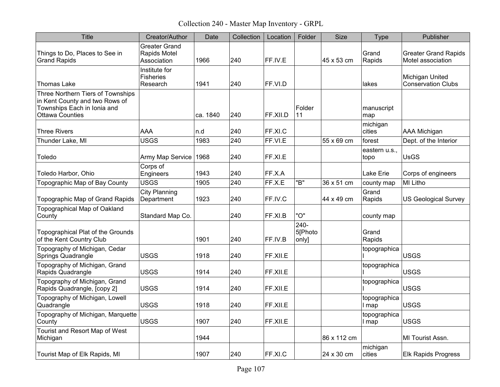Collection 240 - Master Map Inventory - GRPL

| <b>Title</b>                                                                                                          | Creator/Author                                      | Date     | Collection | Location | Folder                   | <b>Size</b> | <b>Type</b>           | Publisher                                        |
|-----------------------------------------------------------------------------------------------------------------------|-----------------------------------------------------|----------|------------|----------|--------------------------|-------------|-----------------------|--------------------------------------------------|
| Things to Do, Places to See in<br><b>Grand Rapids</b>                                                                 | <b>Greater Grand</b><br>Rapids Motel<br>Association | 1966     | 240        | FF.IV.E  |                          | 45 x 53 cm  | Grand<br>Rapids       | <b>Greater Grand Rapids</b><br>Motel association |
| <b>Thomas Lake</b>                                                                                                    | Institute for<br><b>Fisheries</b><br>Research       | 1941     | 240        | FF.VI.D  |                          |             | lakes                 | Michigan United<br><b>Conservation Clubs</b>     |
| Three Northern Tiers of Townships<br>in Kent County and two Rows of<br>Townships Each in Ionia and<br>Ottawa Counties |                                                     | ca. 1840 | 240        | FF.XII.D | Folder<br>11             |             | manuscript<br>map     |                                                  |
| <b>Three Rivers</b>                                                                                                   | <b>AAA</b>                                          | n.d      | 240        | FF.XI.C  |                          |             | michigan<br>cities    | <b>AAA Michigan</b>                              |
| Thunder Lake, MI                                                                                                      | <b>USGS</b>                                         | 1983     | 240        | FF.VI.E  |                          | 55 x 69 cm  | forest                | Dept. of the Interior                            |
| Toledo                                                                                                                | Army Map Service                                    | 1968     | 240        | FF.XI.E  |                          |             | eastern u.s.,<br>topo | <b>UsGS</b>                                      |
| Toledo Harbor, Ohio                                                                                                   | Corps of<br>Engineers                               | 1943     | 240        | FF.X.A   |                          |             | Lake Erie             | Corps of engineers                               |
| Topographic Map of Bay County                                                                                         | <b>USGS</b>                                         | 1905     | 240        | FF.X.E   | "B"                      | 36 x 51 cm  | county map            | <b>MI Litho</b>                                  |
| Topographic Map of Grand Rapids                                                                                       | <b>City Planning</b><br>Department                  | 1923     | 240        | FF.IV.C  |                          | 44 x 49 cm  | Grand<br>Rapids       | <b>US Geological Survey</b>                      |
| Topographical Map of Oakland<br>County                                                                                | Standard Map Co.                                    |          | 240        | FF.XI.B  | "O"                      |             | county map            |                                                  |
| Topographical Plat of the Grounds<br>of the Kent Country Club                                                         |                                                     | 1901     | 240        | FF.IV.B  | 240-<br>5[Photo<br>only] |             | Grand<br>Rapids       |                                                  |
| Topography of Michigan, Cedar<br>Springs Quadrangle                                                                   | <b>USGS</b>                                         | 1918     | 240        | FF.XII.E |                          |             | topographica          | <b>USGS</b>                                      |
| Topography of Michigan, Grand<br>Rapids Quadrangle                                                                    | <b>USGS</b>                                         | 1914     | 240        | FF.XII.E |                          |             | topographica          | <b>USGS</b>                                      |
| Topography of Michigan, Grand<br>Rapids Quadrangle, [copy 2]                                                          | <b>USGS</b>                                         | 1914     | 240        | FF.XII.E |                          |             | topographica          | <b>USGS</b>                                      |
| Topography of Michigan, Lowell<br>Quadrangle                                                                          | <b>USGS</b>                                         | 1918     | 240        | FF.XII.E |                          |             | topographica<br>I map | <b>USGS</b>                                      |
| Topography of Michigan, Marquette<br>County                                                                           | <b>USGS</b>                                         | 1907     | 240        | FF.XII.E |                          |             | topographica<br>I map | <b>USGS</b>                                      |
| Tourist and Resort Map of West<br>Michigan                                                                            |                                                     | 1944     |            |          |                          | 86 x 112 cm |                       | MI Tourist Assn.                                 |
| Tourist Map of Elk Rapids, MI                                                                                         |                                                     | 1907     | 240        | FF.XI.C  |                          | 24 x 30 cm  | michigan<br>cities    | <b>Elk Rapids Progress</b>                       |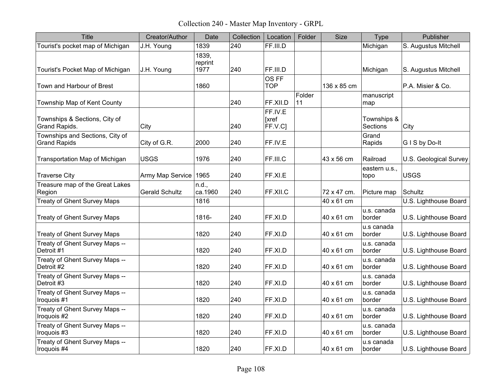Collection 240 - Master Map Inventory - GRPL

| <b>Title</b>                                           | Creator/Author        | Date                     | Collection | Location                    | Folder       | <b>Size</b> | <b>Type</b>             | Publisher              |
|--------------------------------------------------------|-----------------------|--------------------------|------------|-----------------------------|--------------|-------------|-------------------------|------------------------|
| Tourist's pocket map of Michigan                       | J.H. Young            | 1839                     | 240        | FF.III.D                    |              |             | Michigan                | S. Augustus Mitchell   |
| Tourist's Pocket Map of Michigan                       | J.H. Young            | 1839.<br>reprint<br>1977 | 240        | FF.III.D                    |              |             | Michigan                | S. Augustus Mitchell   |
| Town and Harbour of Brest                              |                       | 1860                     |            | OS FF<br><b>TOP</b>         |              | 136 x 85 cm |                         | P.A. Misier & Co.      |
| Township Map of Kent County                            |                       |                          | 240        | FF.XII.D                    | Folder<br>11 |             | manuscript<br>map       |                        |
| Townships & Sections, City of<br>Grand Rapids.         | City                  |                          | 240        | FF.IV.E<br>[xref<br>FF.V.C] |              |             | Townships &<br>Sections | City                   |
| Townships and Sections, City of<br><b>Grand Rapids</b> | City of G.R.          | 2000                     | 240        | FF.IV.E                     |              |             | Grand<br>Rapids         | GIS by Do-It           |
| Transportation Map of Michigan                         | <b>USGS</b>           | 1976                     | 240        | FF.III.C                    |              | 43 x 56 cm  | Railroad                | U.S. Geological Survey |
| <b>Traverse City</b>                                   | Army Map Service 1965 |                          | 240        | FF.XI.E                     |              |             | eastern u.s.,<br>topo   | <b>USGS</b>            |
| Treasure map of the Great Lakes<br>Region              | <b>Gerald Schultz</b> | n.d.,<br>ca.1960         | 240        | FF.XII.C                    |              | 72 x 47 cm. | Picture map             | Schultz                |
| <b>Treaty of Ghent Survey Maps</b>                     |                       | 1816                     |            |                             |              | 40 x 61 cm  |                         | U.S. Lighthouse Board  |
| <b>Treaty of Ghent Survey Maps</b>                     |                       | 1816-                    | 240        | FF.XI.D                     |              | 40 x 61 cm  | u.s. canada<br>border   | U.S. Lighthouse Board  |
| <b>Treaty of Ghent Survey Maps</b>                     |                       | 1820                     | 240        | FF.XI.D                     |              | 40 x 61 cm  | u.s canada<br>border    | U.S. Lighthouse Board  |
| Treaty of Ghent Survey Maps --<br>Detroit #1           |                       | 1820                     | 240        | FF.XI.D                     |              | 40 x 61 cm  | u.s. canada<br>border   | U.S. Lighthouse Board  |
| Treaty of Ghent Survey Maps --<br>Detroit #2           |                       | 1820                     | 240        | FF.XI.D                     |              | 40 x 61 cm  | u.s. canada<br>border   | U.S. Lighthouse Board  |
| Treaty of Ghent Survey Maps --<br>Detroit #3           |                       | 1820                     | 240        | FF.XI.D                     |              | 40 x 61 cm  | u.s. canada<br>border   | U.S. Lighthouse Board  |
| Treaty of Ghent Survey Maps --<br>Iroquois #1          |                       | 1820                     | 240        | FF.XI.D                     |              | 40 x 61 cm  | u.s. canada<br>border   | U.S. Lighthouse Board  |
| Treaty of Ghent Survey Maps --<br>Iroquois #2          |                       | 1820                     | 240        | FF.XI.D                     |              | 40 x 61 cm  | u.s. canada<br>border   | U.S. Lighthouse Board  |
| Treaty of Ghent Survey Maps --<br>Iroquois #3          |                       | 1820                     | 240        | FF.XI.D                     |              | 40 x 61 cm  | u.s. canada<br>border   | U.S. Lighthouse Board  |
| Treaty of Ghent Survey Maps --<br>Iroquois #4          |                       | 1820                     | 240        | FF.XI.D                     |              | 40 x 61 cm  | u.s canada<br>border    | U.S. Lighthouse Board  |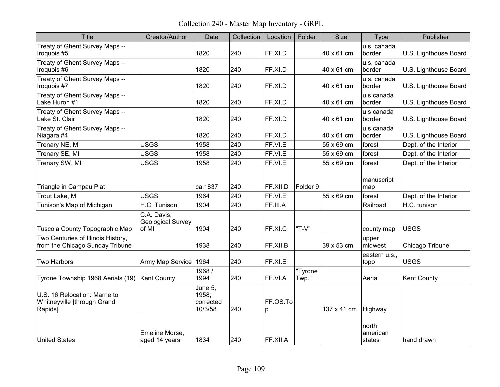Collection 240 - Master Map Inventory - GRPL

| <b>Title</b>                                                           | Creator/Author                                   | Date                                     | Collection | Location      | Folder           | <b>Size</b> | <b>Type</b>                 | Publisher             |
|------------------------------------------------------------------------|--------------------------------------------------|------------------------------------------|------------|---------------|------------------|-------------|-----------------------------|-----------------------|
| Treaty of Ghent Survey Maps --<br>Iroquois #5                          |                                                  | 1820                                     | 240        | FF.XI.D       |                  | 40 x 61 cm  | u.s. canada<br>border       | U.S. Lighthouse Board |
| Treaty of Ghent Survey Maps --<br>Iroquois #6                          |                                                  | 1820                                     | 240        | FF.XI.D       |                  | 40 x 61 cm  | u.s. canada<br>border       | U.S. Lighthouse Board |
| Treaty of Ghent Survey Maps --<br>Iroquois #7                          |                                                  | 1820                                     | 240        | FF.XI.D       |                  | 40 x 61 cm  | u.s. canada<br>border       | U.S. Lighthouse Board |
| Treaty of Ghent Survey Maps --<br>Lake Huron #1                        |                                                  | 1820                                     | 240        | FF.XI.D       |                  | 40 x 61 cm  | u.s canada<br>border        | U.S. Lighthouse Board |
| Treaty of Ghent Survey Maps --<br>Lake St. Clair                       |                                                  | 1820                                     | 240        | FF.XI.D       |                  | 40 x 61 cm  | u.s canada<br>border        | U.S. Lighthouse Board |
| Treaty of Ghent Survey Maps --<br>Niagara #4                           |                                                  | 1820                                     | 240        | FF.XI.D       |                  | 40 x 61 cm  | u.s canada<br>border        | U.S. Lighthouse Board |
| Trenary NE, MI                                                         | <b>USGS</b>                                      | 1958                                     | 240        | FF.VI.E       |                  | 55 x 69 cm  | forest                      | Dept. of the Interior |
| Trenary SE, MI                                                         | <b>USGS</b>                                      | 1958                                     | 240        | FF.VI.E       |                  | 55 x 69 cm  | forest                      | Dept. of the Interior |
| Trenary SW, MI                                                         | <b>USGS</b>                                      | 1958                                     | 240        | FF.VI.E       |                  | 55 x 69 cm  | forest                      | Dept. of the Interior |
| Triangle in Campau Plat                                                |                                                  | ca.1837                                  | 240        | FF.XII.D      | Folder 9         |             | manuscript<br>map           |                       |
| Trout Lake, MI                                                         | <b>USGS</b>                                      | 1964                                     | 240        | FF.VI.E       |                  | 55 x 69 cm  | forest                      | Dept. of the Interior |
| Tunison's Map of Michigan                                              | H.C. Tunison                                     | 1904                                     | 240        | FF.III.A      |                  |             | Railroad                    | H.C. tunison          |
| Tuscola County Topographic Map                                         | C.A. Davis,<br><b>Geological Survey</b><br>of MI | 1904                                     | 240        | FF.XI.C       | "T-V"            |             | county map                  | <b>USGS</b>           |
| Two Centuries of Illinois History,<br>from the Chicago Sunday Tribune  |                                                  | 1938                                     | 240        | FF.XII.B      |                  | 39 x 53 cm  | upper<br>midwest            | Chicago Tribune       |
| <b>Two Harbors</b>                                                     | Army Map Service                                 | 1964                                     | 240        | FF.XI.E       |                  |             | eastern u.s.,<br>topo       | <b>USGS</b>           |
| Tyrone Township 1968 Aerials (19)                                      | Kent County                                      | 1968 /<br>1994                           | 240        | FF.VI.A       | "Tyrone<br>Twp." |             | Aerial                      | Kent County           |
| U.S. 16 Relocation: Marne to<br>Whitneyville [through Grand<br>Rapids] |                                                  | June 5,<br>1958;<br>corrected<br>10/3/58 | 240        | FF.OS.To<br>p |                  | 137 x 41 cm | Highway                     |                       |
| <b>United States</b>                                                   | Emeline Morse,<br>aged 14 years                  | 1834                                     | 240        | FF.XII.A      |                  |             | north<br>american<br>states | hand drawn            |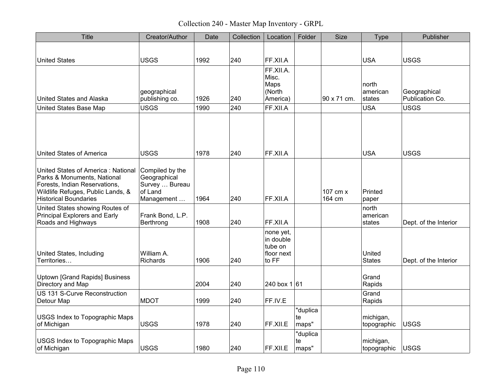Collection 240 - Master Map Inventory - GRPL

| <b>Title</b>                                                                                                                                                            | Creator/Author                                                             | Date | Collection | Location                                                 | Folder                  | <b>Size</b>        | <b>Type</b>                 | Publisher                       |
|-------------------------------------------------------------------------------------------------------------------------------------------------------------------------|----------------------------------------------------------------------------|------|------------|----------------------------------------------------------|-------------------------|--------------------|-----------------------------|---------------------------------|
| <b>United States</b>                                                                                                                                                    | <b>USGS</b>                                                                | 1992 | 240        | FF.XII.A                                                 |                         |                    | <b>USA</b>                  | <b>USGS</b>                     |
| United States and Alaska                                                                                                                                                | geographical<br>publishing co.                                             | 1926 | 240        | FF.XII.A.<br>Misc.<br>Maps<br>(North<br>America)         |                         | 90 x 71 cm.        | north<br>american<br>states | Geographical<br>Publication Co. |
| <b>United States Base Map</b>                                                                                                                                           | <b>USGS</b>                                                                | 1990 | 240        | FF.XII.A                                                 |                         |                    | <b>USA</b>                  | <b>USGS</b>                     |
| <b>United States of America</b>                                                                                                                                         | <b>USGS</b>                                                                | 1978 | 240        | FF.XII.A                                                 |                         |                    | <b>USA</b>                  | <b>USGS</b>                     |
| United States of America: National<br>Parks & Monuments, National<br>Forests, Indian Reservations,<br>Wildlife Refuges, Public Lands, &<br><b>Historical Boundaries</b> | Compiled by the<br>Geographical<br>Survey  Bureau<br>of Land<br>Management | 1964 | 240        | FF.XII.A                                                 |                         | 107 cm x<br>164 cm | Printed<br>paper            |                                 |
| United States showing Routes of<br>Principal Explorers and Early<br>Roads and Highways                                                                                  | Frank Bond, L.P.<br>Berthrong                                              | 1908 | 240        | FF.XII.A                                                 |                         |                    | north<br>american<br>states | Dept. of the Interior           |
| United States, Including<br>Territories                                                                                                                                 | William A.<br><b>Richards</b>                                              | 1906 | 240        | none yet,<br>in double<br>tube on<br>floor next<br>to FF |                         |                    | United<br><b>States</b>     | Dept. of the Interior           |
| <b>Uptown [Grand Rapids] Business</b><br>Directory and Map                                                                                                              |                                                                            | 2004 | 240        | $240$ box 1 61                                           |                         |                    | Grand<br>Rapids             |                                 |
| US 131 S-Curve Reconstruction<br>Detour Map                                                                                                                             | <b>MDOT</b>                                                                | 1999 | 240        | FF.IV.E                                                  |                         |                    | Grand<br>Rapids             |                                 |
| USGS Index to Topographic Maps<br>of Michigan                                                                                                                           | <b>USGS</b>                                                                | 1978 | 240        | FF.XII.E                                                 | "duplica<br>te<br>maps" |                    | michigan,<br>topographic    | <b>USGS</b>                     |
| USGS Index to Topographic Maps<br>of Michigan                                                                                                                           | <b>USGS</b>                                                                | 1980 | 240        | FF.XII.E                                                 | "duplica<br>te<br>maps" |                    | michigan,<br>topographic    | <b>USGS</b>                     |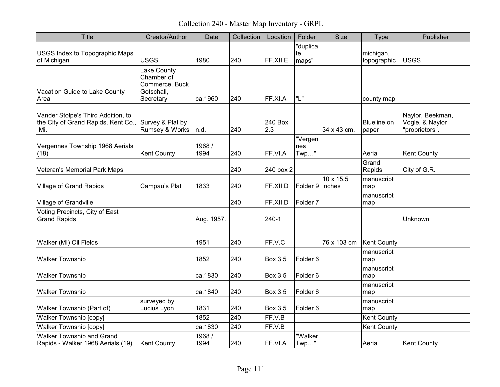Collection 240 - Master Map Inventory - GRPL

| <b>Title</b>                                                                                      | Creator/Author                                                         | Date           | Collection | Location       | Folder                  | Size        | <b>Type</b>                 | Publisher                                             |
|---------------------------------------------------------------------------------------------------|------------------------------------------------------------------------|----------------|------------|----------------|-------------------------|-------------|-----------------------------|-------------------------------------------------------|
| <b>USGS Index to Topographic Maps</b><br>of Michigan                                              | <b>USGS</b>                                                            | 1980           | 240        | FF.XII.E       | "duplica<br>te<br>maps" |             | michigan,<br>topographic    | <b>USGS</b>                                           |
| Vacation Guide to Lake County<br>Area                                                             | Lake County<br>Chamber of<br>Commerce, Buck<br>Gotschall,<br>Secretary | ca.1960        | 240        | FF.XI.A        | "L"                     |             | county map                  |                                                       |
| Vander Stolpe's Third Addition, to<br>the City of Grand Rapids, Kent Co., Survey & Plat by<br>Mi. | Rumsey & Works                                                         | n.d.           | 240        | 240 Box<br>2.3 |                         | 34 x 43 cm. | <b>Blueline on</b><br>paper | Naylor, Beekman,<br>Vogle, & Naylor<br>"proprietors". |
| Vergennes Township 1968 Aerials<br>(18)                                                           | <b>Kent County</b>                                                     | 1968 /<br>1994 | 240        | FF.VI.A        | "Vergen<br>nes<br>Twp"  |             | Aerial                      | <b>Kent County</b>                                    |
| <b>Veteran's Memorial Park Maps</b>                                                               |                                                                        |                | 240        | 240 box 2      |                         |             | Grand<br>Rapids             | City of G.R.                                          |
| <b>Village of Grand Rapids</b>                                                                    | Campau's Plat                                                          | 1833           | 240        | FF.XII.D       | Folder 9 inches         | 10 x 15.5   | manuscript<br>map           |                                                       |
| Village of Grandville                                                                             |                                                                        |                | 240        | FF.XII.D       | Folder <sub>7</sub>     |             | manuscript<br>map           |                                                       |
| Voting Precincts, City of East<br><b>Grand Rapids</b>                                             |                                                                        | Aug. 1957.     |            | $240 - 1$      |                         |             |                             | Unknown                                               |
| Walker (MI) Oil Fields                                                                            |                                                                        | 1951           | 240        | FF.V.C         |                         | 76 x 103 cm | Kent County                 |                                                       |
| <b>Walker Township</b>                                                                            |                                                                        | 1852           | 240        | <b>Box 3.5</b> | Folder <sub>6</sub>     |             | manuscript<br>map           |                                                       |
| <b>Walker Township</b>                                                                            |                                                                        | ca.1830        | 240        | <b>Box 3.5</b> | Folder <sub>6</sub>     |             | manuscript<br>map           |                                                       |
| <b>Walker Township</b>                                                                            |                                                                        | ca.1840        | 240        | Box 3.5        | Folder <sub>6</sub>     |             | manuscript<br>map           |                                                       |
| Walker Township (Part of)                                                                         | surveyed by<br>Lucius Lyon                                             | 1831           | 240        | <b>Box 3.5</b> | Folder <sub>6</sub>     |             | manuscript<br>map           |                                                       |
| <b>Walker Township [copy]</b>                                                                     |                                                                        | 1852           | 240        | FF.V.B         |                         |             | Kent County                 |                                                       |
| <b>Walker Township [copy]</b>                                                                     |                                                                        | ca.1830        | 240        | FF.V.B         |                         |             | <b>Kent County</b>          |                                                       |
| Walker Township and Grand<br>Rapids - Walker 1968 Aerials (19)                                    | <b>Kent County</b>                                                     | 1968 /<br>1994 | 240        | FF.VI.A        | "Walker<br>Twp"         |             | Aerial                      | <b>Kent County</b>                                    |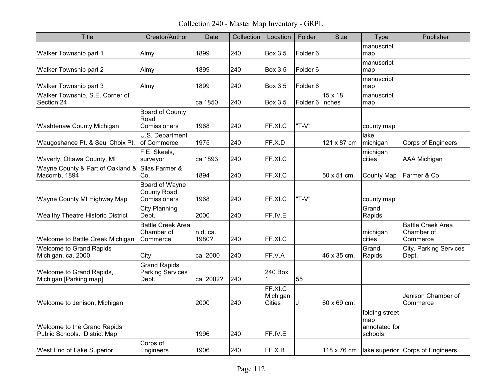Collection 240 - Master Map Inventory - GRPL

| <b>Title</b>                                                | Creator/Author                                          | Date              | Collection | Location                             | Folder              | <b>Size</b> | Type                                              | Publisher                                          |
|-------------------------------------------------------------|---------------------------------------------------------|-------------------|------------|--------------------------------------|---------------------|-------------|---------------------------------------------------|----------------------------------------------------|
| Walker Township part 1                                      | Almy                                                    | 1899              | 240        | <b>Box 3.5</b>                       | Folder <sub>6</sub> |             | manuscript<br>map                                 |                                                    |
| Walker Township part 2                                      | Almy                                                    | 1899              | 240        | Box 3.5                              | Folder <sub>6</sub> |             | manuscript<br>map                                 |                                                    |
| Walker Township part 3                                      | Almy                                                    | 1899              | 240        | <b>Box 3.5</b>                       | Folder <sub>6</sub> |             | manuscript<br>map                                 |                                                    |
| Walker Township, S.E. Corner of<br>Section 24               |                                                         | ca.1850           | 240        | <b>Box 3.5</b>                       | Folder 6 linches    | 15 x 18     | manuscript<br>map                                 |                                                    |
| Washtenaw County Michigan                                   | Board of County<br>Road<br><b>Comissioners</b>          | 1968              | 240        | FF.XI.C                              | "T-V"               |             | county map                                        |                                                    |
| Waugoshance Pt. & Seul Choix Pt.                            | U.S. Department<br>of Commerce                          | 1975              | 240        | FF.X.D                               |                     | 121 x 87 cm | lake<br>michigan                                  | <b>Corps of Engineers</b>                          |
| Waverly, Ottawa County, MI                                  | F.E. Skeels,<br>surveyor                                | ca.1893           | 240        | FF.XI.C                              |                     |             | michigan<br>cities                                | <b>AAA Michigan</b>                                |
| Wayne County & Part of Oakland &<br>Macomb, 1894            | Silas Farmer &<br>Co.                                   | 1894              | 240        | FF.XI.C                              |                     | 50 x 51 cm. | <b>County Map</b>                                 | Farmer & Co.                                       |
| Wayne County MI Highway Map                                 | Board of Wayne<br><b>County Road</b><br>Comissioners    | 1968              | 240        | FF.XI.C                              | "T-V"               |             | county map                                        |                                                    |
| Wealthy Theatre Historic District                           | <b>City Planning</b><br>Dept.                           | 2000              | 240        | FF.IV.E                              |                     |             | Grand<br>Rapids                                   |                                                    |
| Welcome to Battle Creek Michigan                            | <b>Battle Creek Area</b><br>Chamber of<br>Commerce      | n.d. ca.<br>1980? | 240        | FF.XI.C                              |                     |             | michigan<br>cities                                | <b>Battle Creek Area</b><br>Chamber of<br>Commerce |
| Welcome to Grand Rapids<br>Michigan, ca. 2000.              | City                                                    | ca. 2000          | 240        | FF.V.A                               |                     | 46 x 35 cm. | Grand<br>Rapids                                   | <b>City. Parking Services</b><br>Dept.             |
| Welcome to Grand Rapids,<br>Michigan [Parking map]          | <b>Grand Rapids</b><br><b>Parking Services</b><br>Dept. | ca. 2002?         | 240        | 240 Box<br>1                         | 55                  |             |                                                   |                                                    |
| Welcome to Jenison, Michigan                                |                                                         | 2000              | 240        | FF.XI.C<br>Michigan<br><b>Cities</b> | J.                  | 60 x 69 cm. |                                                   | Jenison Chamber of<br>Commerce                     |
| Welcome to the Grand Rapids<br>Public Schools. District Map |                                                         | 1996              | 240        | FF.IV.E                              |                     |             | folding street<br>map<br>annotated for<br>schools |                                                    |
| <b>West End of Lake Superior</b>                            | Corps of<br>Engineers                                   | 1906              | 240        | FF.X.B                               |                     | 118 x 76 cm |                                                   | lake superior Corps of Engineers                   |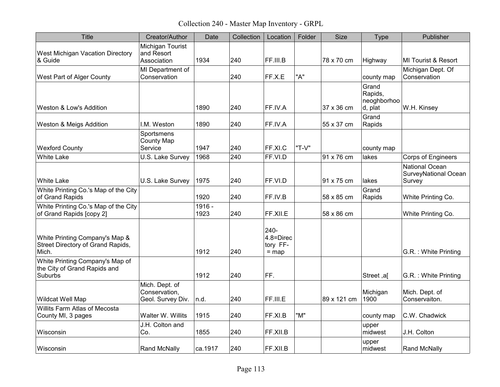Collection 240 - Master Map Inventory - GRPL

| <b>Title</b>                                                                 | Creator/Author                                       | Date           | Collection | Location                                        | Folder | Size        | <b>Type</b>                                | Publisher                                               |
|------------------------------------------------------------------------------|------------------------------------------------------|----------------|------------|-------------------------------------------------|--------|-------------|--------------------------------------------|---------------------------------------------------------|
| West Michigan Vacation Directory<br>& Guide                                  | Michigan Tourist<br>and Resort<br>Association        | 1934           | 240        | FF.III.B                                        |        | 78 x 70 cm  | Highway                                    | MI Tourist & Resort                                     |
| West Part of Alger County                                                    | MI Department of<br>Conservation                     |                | 240        | FF.X.E                                          | "A"    |             | county map                                 | Michigan Dept. Of<br>Conservation                       |
| Weston & Low's Addition                                                      |                                                      | 1890           | 240        | FF.IV.A                                         |        | 37 x 36 cm  | Grand<br>Rapids,<br>neoghborhoo<br>d, plat | W.H. Kinsey                                             |
| Weston & Meigs Addition                                                      | I.M. Weston                                          | 1890           | 240        | FF.IV.A                                         |        | 55 x 37 cm  | Grand<br>Rapids                            |                                                         |
| <b>Wexford County</b>                                                        | Sportsmens<br><b>County Map</b><br>Service           | 1947           | 240        | FF.XI.C                                         | "T-V"  |             | county map                                 |                                                         |
| <b>White Lake</b>                                                            | U.S. Lake Survey                                     | 1968           | 240        | FF.VI.D                                         |        | 91 x 76 cm  | lakes                                      | <b>Corps of Engineers</b>                               |
| <b>White Lake</b>                                                            | U.S. Lake Survey                                     | 1975           | 240        | FF.VI.D                                         |        | 91 x 75 cm  | lakes                                      | <b>National Ocean</b><br>SurveyNational Ocean<br>Survey |
| White Printing Co.'s Map of the City<br>of Grand Rapids                      |                                                      | 1920           | 240        | FF.IV.B                                         |        | 58 x 85 cm  | Grand<br>Rapids                            | White Printing Co.                                      |
| White Printing Co.'s Map of the City<br>of Grand Rapids [copy 2]             |                                                      | 1916 -<br>1923 | 240        | FF.XII.E                                        |        | 58 x 86 cm  |                                            | White Printing Co.                                      |
| White Printing Company's Map &<br>Street Directory of Grand Rapids,<br>Mich. |                                                      | 1912           | 240        | $240 -$<br>$4.8 =$ Direc<br>tory FF-<br>$=$ map |        |             |                                            | G.R. : White Printing                                   |
| White Printing Company's Map of<br>the City of Grand Rapids and<br>Suburbs   |                                                      | 1912           | 240        | FF.                                             |        |             | Street, al                                 | G.R. : White Printing                                   |
| Wildcat Well Map                                                             | Mich. Dept. of<br>Conservation,<br>Geol. Survey Div. | n.d.           | 240        | FF.III.E                                        |        | 89 x 121 cm | Michigan<br>1900                           | Mich. Dept. of<br>Conservaiton.                         |
| Willits Farm Atlas of Mecosta<br>County MI, 3 pages                          | Walter W. Willits                                    | 1915           | 240        | FF.XI.B                                         | "M"    |             | county map                                 | C.W. Chadwick                                           |
| Wisconsin                                                                    | J.H. Colton and<br>Co.                               | 1855           | 240        | FF.XII.B                                        |        |             | upper<br>midwest                           | J.H. Colton                                             |
| Wisconsin                                                                    | Rand McNally                                         | ca.1917        | 240        | FF.XII.B                                        |        |             | upper<br>midwest                           | <b>Rand McNally</b>                                     |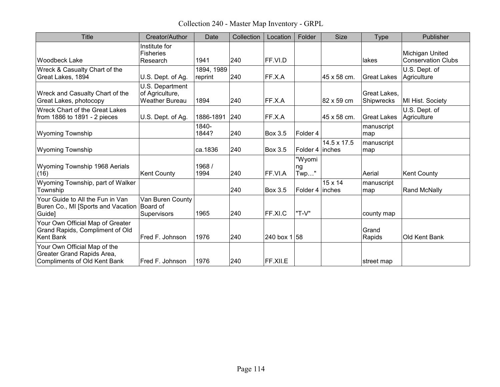Collection 240 - Master Map Inventory - GRPL

| <b>Title</b>                                                                               | Creator/Author                                              | Date                  | Collection | Location       | Folder                  | <b>Size</b>              | <b>Type</b>                | Publisher                                    |
|--------------------------------------------------------------------------------------------|-------------------------------------------------------------|-----------------------|------------|----------------|-------------------------|--------------------------|----------------------------|----------------------------------------------|
| Woodbeck Lake                                                                              | Institute for<br><b>Fisheries</b><br>Research               | 1941                  | 240        | FF.VI.D        |                         |                          | lakes                      | Michigan United<br><b>Conservation Clubs</b> |
| Wreck & Casualty Chart of the<br>Great Lakes, 1894                                         | U.S. Dept. of Ag.                                           | 1894, 1989<br>reprint | 240        | FF.X.A         |                         | 45 x 58 cm.              | <b>Great Lakes</b>         | U.S. Dept. of<br>Agriculture                 |
| Wreck and Casualty Chart of the<br>Great Lakes, photocopy                                  | U.S. Department<br>of Agriculture,<br><b>Weather Bureau</b> | 1894                  | 240        | FF.X.A         |                         | 82 x 59 cm               | Great Lakes.<br>Shipwrecks | MI Hist. Society                             |
| Wreck Chart of the Great Lakes<br>from 1886 to 1891 - 2 pieces                             | U.S. Dept. of Ag.                                           | 1886-1891             | 240        | FF.X.A         |                         | 45 x 58 cm.              | <b>Great Lakes</b>         | U.S. Dept. of<br>Agriculture                 |
| <b>Wyoming Township</b>                                                                    |                                                             | 1840-<br>1844?        | 240        | <b>Box 3.5</b> | Folder 4                |                          | manuscript<br>map          |                                              |
| <b>Wyoming Township</b>                                                                    |                                                             | ca.1836               | 240        | Box 3.5        | Folder 4 linches        | 14.5 x 17.5              | manuscript<br>map          |                                              |
| Wyoming Township 1968 Aerials<br>(16)                                                      | <b>Kent County</b>                                          | 1968/<br>1994         | 240        | FF.VI.A        | "Wyomi<br>ng<br>$Twp$ " |                          | Aerial                     | <b>Kent County</b>                           |
| Wyoming Township, part of Walker<br>Township                                               |                                                             |                       | 240        | Box 3.5        | Folder 4                | $15 \times 14$<br>inches | manuscript<br>map          | <b>Rand McNally</b>                          |
| Your Guide to All the Fun in Van<br>Buren Co., MI [Sports and Vacation<br>Guide]           | Van Buren County<br>Board of<br>Supervisors                 | 1965                  | 240        | FF.XI.C        | "T-V"                   |                          | county map                 |                                              |
| Your Own Official Map of Greater<br>Grand Rapids, Compliment of Old<br><b>Kent Bank</b>    | Fred F. Johnson                                             | 1976                  | 240        | 240 box $1 58$ |                         |                          | Grand<br>Rapids            | Old Kent Bank                                |
| Your Own Official Map of the<br>Greater Grand Rapids Area,<br>Compliments of Old Kent Bank | Fred F. Johnson                                             | 1976                  | 240        | FF.XII.E       |                         |                          | street map                 |                                              |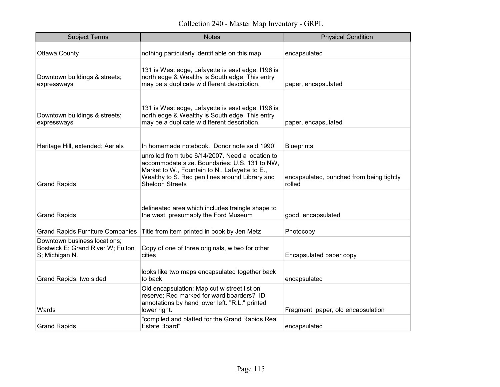| <b>Subject Terms</b>                                                                | <b>Notes</b>                                                                                                                                                                                                                    | <b>Physical Condition</b>                          |
|-------------------------------------------------------------------------------------|---------------------------------------------------------------------------------------------------------------------------------------------------------------------------------------------------------------------------------|----------------------------------------------------|
| <b>Ottawa County</b>                                                                | nothing particularly identifiable on this map                                                                                                                                                                                   | encapsulated                                       |
| Downtown buildings & streets;<br>expressways                                        | 131 is West edge, Lafayette is east edge, I196 is<br>north edge & Wealthy is South edge. This entry<br>may be a duplicate w different description.                                                                              | paper, encapsulated                                |
| Downtown buildings & streets;<br>expressways                                        | 131 is West edge, Lafayette is east edge, I196 is<br>north edge & Wealthy is South edge. This entry<br>may be a duplicate w different description.                                                                              | paper, encapsulated                                |
| Heritage Hill, extended; Aerials                                                    | In homemade notebook. Donor note said 1990!                                                                                                                                                                                     | <b>Blueprints</b>                                  |
| <b>Grand Rapids</b>                                                                 | unrolled from tube 6/14/2007. Need a location to<br>accommodate size. Boundaries: U.S. 131 to NW,<br>Market to W., Fountain to N., Lafayette to E.,<br>Wealthy to S. Red pen lines around Library and<br><b>Sheldon Streets</b> | encapsulated, bunched from being tightly<br>rolled |
| <b>Grand Rapids</b>                                                                 | delineated area which includes traingle shape to<br>the west, presumably the Ford Museum                                                                                                                                        | good, encapsulated                                 |
| <b>Grand Rapids Furniture Companies</b>                                             | Title from item printed in book by Jen Metz                                                                                                                                                                                     | Photocopy                                          |
| Downtown business locations;<br>Bostwick E; Grand River W; Fulton<br>S; Michigan N. | Copy of one of three originals, w two for other<br>cities                                                                                                                                                                       | Encapsulated paper copy                            |
| Grand Rapids, two sided                                                             | looks like two maps encapsulated together back<br>to back                                                                                                                                                                       | encapsulated                                       |
| Wards                                                                               | Old encapsulation; Map cut w street list on<br>reserve; Red marked for ward boarders? ID<br>annotations by hand lower left. "R.L." printed<br>lower right.                                                                      | Fragment. paper, old encapsulation                 |
| <b>Grand Rapids</b>                                                                 | "compiled and platted for the Grand Rapids Real<br><b>Estate Board"</b>                                                                                                                                                         | encapsulated                                       |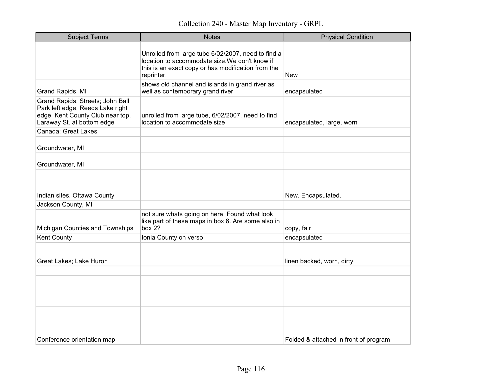| <b>Subject Terms</b>                                                                                                                   | <b>Notes</b>                                                                                                                                                             | <b>Physical Condition</b>             |
|----------------------------------------------------------------------------------------------------------------------------------------|--------------------------------------------------------------------------------------------------------------------------------------------------------------------------|---------------------------------------|
|                                                                                                                                        | Unrolled from large tube 6/02/2007, need to find a<br>location to accommodate size. We don't know if<br>this is an exact copy or has modification from the<br>reprinter. | <b>New</b>                            |
| Grand Rapids, MI                                                                                                                       | shows old channel and islands in grand river as<br>well as contemporary grand river                                                                                      | encapsulated                          |
| Grand Rapids, Streets; John Ball<br>Park left edge, Reeds Lake right<br>edge, Kent County Club near top,<br>Laraway St. at bottom edge | unrolled from large tube, 6/02/2007, need to find<br>location to accommodate size                                                                                        | encapsulated, large, worn             |
| Canada; Great Lakes                                                                                                                    |                                                                                                                                                                          |                                       |
| Groundwater, MI                                                                                                                        |                                                                                                                                                                          |                                       |
| Groundwater, MI                                                                                                                        |                                                                                                                                                                          |                                       |
| Indian sites. Ottawa County                                                                                                            |                                                                                                                                                                          | New. Encapsulated.                    |
| Jackson County, MI                                                                                                                     |                                                                                                                                                                          |                                       |
| Michigan Counties and Townships                                                                                                        | not sure whats going on here. Found what look<br>like part of these maps in box 6. Are some also in<br>box $2?$                                                          | copy, fair                            |
| Kent County                                                                                                                            | Ionia County on verso                                                                                                                                                    | encapsulated                          |
| Great Lakes; Lake Huron                                                                                                                |                                                                                                                                                                          | linen backed, worn, dirty             |
|                                                                                                                                        |                                                                                                                                                                          |                                       |
|                                                                                                                                        |                                                                                                                                                                          |                                       |
| Conference orientation map                                                                                                             |                                                                                                                                                                          | Folded & attached in front of program |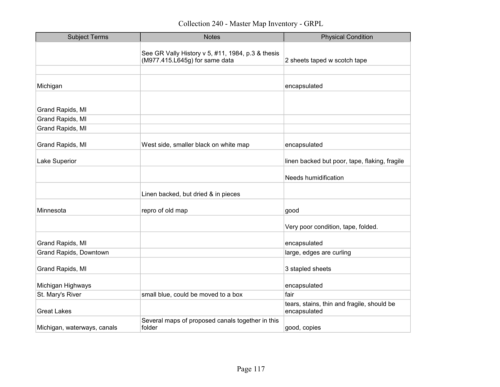| <b>Subject Terms</b>        | <b>Notes</b>                                                                        | <b>Physical Condition</b>                                  |
|-----------------------------|-------------------------------------------------------------------------------------|------------------------------------------------------------|
|                             | See GR Vally History v 5, #11, 1984, p.3 & thesis<br>(M977.415.L645g) for same data | 2 sheets taped w scotch tape                               |
|                             |                                                                                     |                                                            |
| Michigan                    |                                                                                     | encapsulated                                               |
|                             |                                                                                     |                                                            |
| Grand Rapids, MI            |                                                                                     |                                                            |
| Grand Rapids, MI            |                                                                                     |                                                            |
| Grand Rapids, MI            |                                                                                     |                                                            |
| Grand Rapids, MI            | West side, smaller black on white map                                               | encapsulated                                               |
| Lake Superior               |                                                                                     | linen backed but poor, tape, flaking, fragile              |
|                             |                                                                                     | Needs humidification                                       |
|                             | Linen backed, but dried & in pieces                                                 |                                                            |
| Minnesota                   | repro of old map                                                                    | good                                                       |
|                             |                                                                                     | Very poor condition, tape, folded.                         |
| Grand Rapids, MI            |                                                                                     | encapsulated                                               |
| Grand Rapids, Downtown      |                                                                                     | large, edges are curling                                   |
| Grand Rapids, MI            |                                                                                     | 3 stapled sheets                                           |
| Michigan Highways           |                                                                                     | encapsulated                                               |
| St. Mary's River            | small blue, could be moved to a box                                                 | fair                                                       |
| <b>Great Lakes</b>          |                                                                                     | tears, stains, thin and fragile, should be<br>encapsulated |
| Michigan, waterways, canals | Several maps of proposed canals together in this<br>folder                          | good, copies                                               |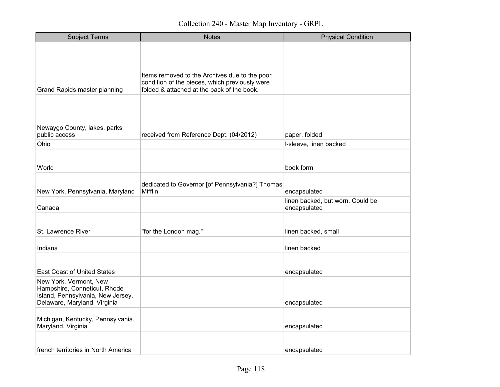| <b>Subject Terms</b>                                                                                                        | <b>Notes</b>                                                                                                                                  | <b>Physical Condition</b>                        |
|-----------------------------------------------------------------------------------------------------------------------------|-----------------------------------------------------------------------------------------------------------------------------------------------|--------------------------------------------------|
| <b>Grand Rapids master planning</b>                                                                                         | Items removed to the Archives due to the poor<br>condition of the pieces, which previously were<br>folded & attached at the back of the book. |                                                  |
| Newaygo County, lakes, parks,<br>public access                                                                              | received from Reference Dept. (04/2012)                                                                                                       | paper, folded                                    |
| Ohio                                                                                                                        |                                                                                                                                               | I-sleeve, linen backed                           |
| World                                                                                                                       |                                                                                                                                               | book form                                        |
| New York, Pennsylvania, Maryland                                                                                            | dedicated to Governor [of Pennsylvania?] Thomas<br>Mifflin                                                                                    | encapsulated                                     |
| Canada                                                                                                                      |                                                                                                                                               | linen backed, but worn. Could be<br>encapsulated |
| St. Lawrence River                                                                                                          | "for the London mag."                                                                                                                         | linen backed, small                              |
| Indiana                                                                                                                     |                                                                                                                                               | linen backed                                     |
| <b>East Coast of United States</b>                                                                                          |                                                                                                                                               | encapsulated                                     |
| New York, Vermont, New<br>Hampshire, Conneticut, Rhode<br>Island, Pennsylvania, New Jersey,<br>Delaware, Maryland, Virginia |                                                                                                                                               | encapsulated                                     |
| Michigan, Kentucky, Pennsylvania,<br>Maryland, Virginia                                                                     |                                                                                                                                               | encapsulated                                     |
| french territories in North America                                                                                         |                                                                                                                                               | encapsulated                                     |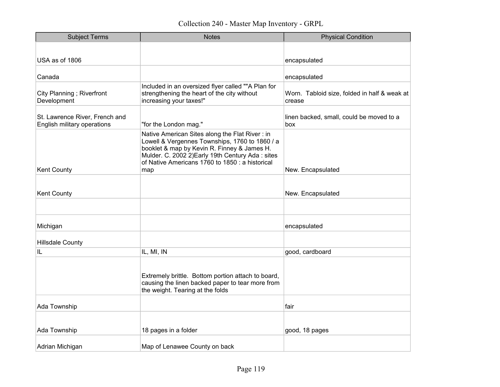| <b>Subject Terms</b>                                          | <b>Notes</b>                                                                                                                                                                                                                                                  | <b>Physical Condition</b>                              |
|---------------------------------------------------------------|---------------------------------------------------------------------------------------------------------------------------------------------------------------------------------------------------------------------------------------------------------------|--------------------------------------------------------|
|                                                               |                                                                                                                                                                                                                                                               |                                                        |
| USA as of 1806                                                |                                                                                                                                                                                                                                                               | encapsulated                                           |
| Canada                                                        |                                                                                                                                                                                                                                                               | encapsulated                                           |
| City Planning; Riverfront<br>Development                      | Included in an oversized flyer called ""A Plan for<br>strengthening the heart of the city without<br>increasing your taxes!"                                                                                                                                  | Worn. Tabloid size, folded in half & weak at<br>crease |
| St. Lawrence River, French and<br>English military operations | "for the London mag."                                                                                                                                                                                                                                         | linen backed, small, could be moved to a<br>box        |
| <b>Kent County</b>                                            | Native American Sites along the Flat River: in<br>Lowell & Vergennes Townships, 1760 to 1860 / a<br>booklet & map by Kevin R. Finney & James H.<br>Mulder. C. 2002 2) Early 19th Century Ada: sites<br>of Native Americans 1760 to 1850 : a historical<br>map | New. Encapsulated                                      |
| <b>Kent County</b>                                            |                                                                                                                                                                                                                                                               | New. Encapsulated                                      |
|                                                               |                                                                                                                                                                                                                                                               |                                                        |
| Michigan                                                      |                                                                                                                                                                                                                                                               | encapsulated                                           |
| <b>Hillsdale County</b>                                       |                                                                                                                                                                                                                                                               |                                                        |
| IL                                                            | IL, MI, IN                                                                                                                                                                                                                                                    | good, cardboard                                        |
|                                                               | Extremely brittle. Bottom portion attach to board,<br>causing the linen backed paper to tear more from<br>the weight. Tearing at the folds                                                                                                                    |                                                        |
| Ada Township                                                  |                                                                                                                                                                                                                                                               | fair                                                   |
| Ada Township                                                  | 18 pages in a folder                                                                                                                                                                                                                                          | good, 18 pages                                         |
| Adrian Michigan                                               | Map of Lenawee County on back                                                                                                                                                                                                                                 |                                                        |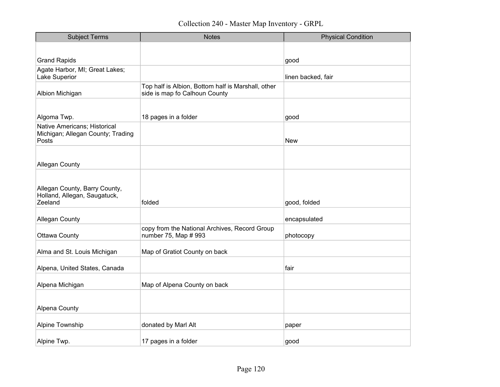| <b>Subject Terms</b>                                                       | <b>Notes</b>                                                                        | <b>Physical Condition</b> |
|----------------------------------------------------------------------------|-------------------------------------------------------------------------------------|---------------------------|
|                                                                            |                                                                                     |                           |
| <b>Grand Rapids</b>                                                        |                                                                                     | good                      |
| Agate Harbor, MI; Great Lakes;<br>Lake Superior                            |                                                                                     | linen backed, fair        |
| Albion Michigan                                                            | Top half is Albion, Bottom half is Marshall, other<br>side is map fo Calhoun County |                           |
|                                                                            |                                                                                     |                           |
| Algoma Twp.                                                                | 18 pages in a folder                                                                | good                      |
| Native Americans; Historical<br>Michigan; Allegan County; Trading<br>Posts |                                                                                     | <b>New</b>                |
| <b>Allegan County</b>                                                      |                                                                                     |                           |
|                                                                            |                                                                                     |                           |
| Allegan County, Barry County,<br>Holland, Allegan, Saugatuck,<br>Zeeland   | folded                                                                              | good, folded              |
| <b>Allegan County</b>                                                      |                                                                                     | encapsulated              |
| <b>Ottawa County</b>                                                       | copy from the National Archives, Record Group<br>number 75, Map # 993               | photocopy                 |
| Alma and St. Louis Michigan                                                | Map of Gratiot County on back                                                       |                           |
| Alpena, United States, Canada                                              |                                                                                     | fair                      |
| Alpena Michigan                                                            | Map of Alpena County on back                                                        |                           |
| <b>Alpena County</b>                                                       |                                                                                     |                           |
| Alpine Township                                                            | donated by Marl Alt                                                                 | paper                     |
| Alpine Twp.                                                                | 17 pages in a folder                                                                | good                      |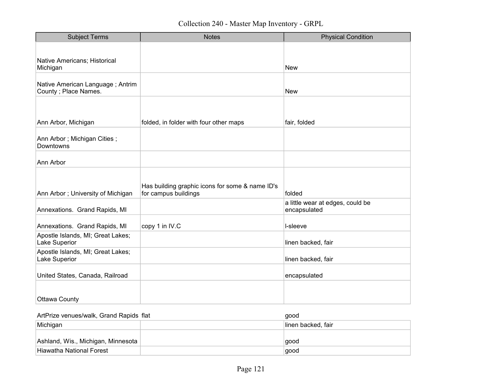| <b>Subject Terms</b>                                      | <b>Notes</b>                                                            | <b>Physical Condition</b>                        |
|-----------------------------------------------------------|-------------------------------------------------------------------------|--------------------------------------------------|
|                                                           |                                                                         |                                                  |
| Native Americans; Historical<br>Michigan                  |                                                                         | <b>New</b>                                       |
| Native American Language; Antrim<br>County ; Place Names. |                                                                         | <b>New</b>                                       |
|                                                           |                                                                         |                                                  |
| Ann Arbor, Michigan                                       | folded, in folder with four other maps                                  | fair, folded                                     |
| Ann Arbor; Michigan Cities;<br>Downtowns                  |                                                                         |                                                  |
| Ann Arbor                                                 |                                                                         |                                                  |
|                                                           |                                                                         |                                                  |
| Ann Arbor; University of Michigan                         | Has building graphic icons for some & name ID's<br>for campus buildings | folded                                           |
| Annexations. Grand Rapids, MI                             |                                                                         | a little wear at edges, could be<br>encapsulated |
| Annexations. Grand Rapids, MI                             | copy 1 in IV.C                                                          | I-sleeve                                         |
| Apostle Islands, MI; Great Lakes;<br>Lake Superior        |                                                                         | linen backed, fair                               |
| Apostle Islands, MI; Great Lakes;<br>Lake Superior        |                                                                         | linen backed, fair                               |
| United States, Canada, Railroad                           |                                                                         | encapsulated                                     |
|                                                           |                                                                         |                                                  |
| <b>Ottawa County</b>                                      |                                                                         |                                                  |

| ArtPrize venues/walk, Grand Rapids flat | aood               |
|-----------------------------------------|--------------------|
| Michigan                                | ∏inen backed, fair |
| Ashland, Wis., Michigan, Minnesota      | aood               |
| Hiawatha National Forest                | good               |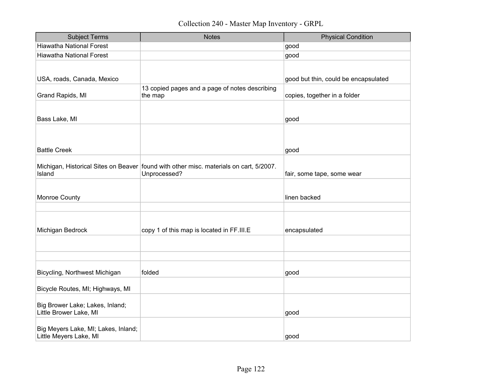| <b>Subject Terms</b>                                          | <b>Notes</b>                                                                                             | <b>Physical Condition</b>            |
|---------------------------------------------------------------|----------------------------------------------------------------------------------------------------------|--------------------------------------|
| <b>Hiawatha National Forest</b>                               |                                                                                                          | good                                 |
| <b>Hiawatha National Forest</b>                               |                                                                                                          | good                                 |
| USA, roads, Canada, Mexico                                    |                                                                                                          | good but thin, could be encapsulated |
|                                                               | 13 copied pages and a page of notes describing                                                           |                                      |
| Grand Rapids, MI                                              | the map                                                                                                  | copies, together in a folder         |
|                                                               |                                                                                                          |                                      |
| Bass Lake, MI                                                 |                                                                                                          | good                                 |
| <b>Battle Creek</b>                                           |                                                                                                          | good                                 |
|                                                               |                                                                                                          |                                      |
| Island                                                        | Michigan, Historical Sites on Beaver   found with other misc. materials on cart, 5/2007.<br>Unprocessed? | fair, some tape, some wear           |
|                                                               |                                                                                                          |                                      |
| Monroe County                                                 |                                                                                                          | linen backed                         |
|                                                               |                                                                                                          |                                      |
| Michigan Bedrock                                              | copy 1 of this map is located in FF.III.E                                                                | encapsulated                         |
|                                                               |                                                                                                          |                                      |
|                                                               |                                                                                                          |                                      |
| Bicycling, Northwest Michigan                                 | folded                                                                                                   | good                                 |
| Bicycle Routes, MI; Highways, MI                              |                                                                                                          |                                      |
| Big Brower Lake; Lakes, Inland;<br>Little Brower Lake, MI     |                                                                                                          | good                                 |
| Big Meyers Lake, MI; Lakes, Inland;<br>Little Meyers Lake, MI |                                                                                                          | good                                 |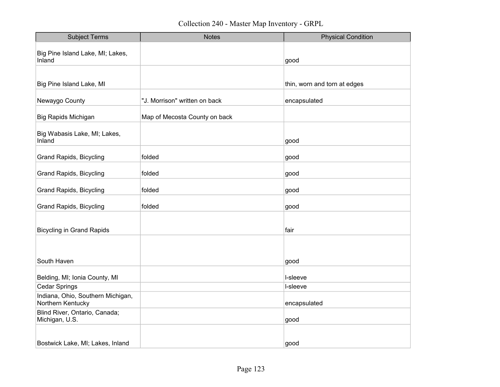| <b>Subject Terms</b>                                   | <b>Notes</b>                  | <b>Physical Condition</b>    |
|--------------------------------------------------------|-------------------------------|------------------------------|
| Big Pine Island Lake, MI; Lakes,<br>Inland             |                               | good                         |
|                                                        |                               |                              |
| Big Pine Island Lake, MI                               |                               | thin, worn and torn at edges |
| Newaygo County                                         | "J. Morrison" written on back | encapsulated                 |
| <b>Big Rapids Michigan</b>                             | Map of Mecosta County on back |                              |
| Big Wabasis Lake, MI; Lakes,<br>Inland                 |                               | good                         |
| <b>Grand Rapids, Bicycling</b>                         | folded                        | good                         |
| <b>Grand Rapids, Bicycling</b>                         | folded                        | good                         |
| <b>Grand Rapids, Bicycling</b>                         | folded                        | good                         |
| <b>Grand Rapids, Bicycling</b>                         | folded                        | good                         |
|                                                        |                               |                              |
| <b>Bicycling in Grand Rapids</b>                       |                               | fair                         |
|                                                        |                               |                              |
| South Haven                                            |                               | good                         |
| Belding, MI; Ionia County, MI                          |                               | I-sleeve                     |
| <b>Cedar Springs</b>                                   |                               | I-sleeve                     |
| Indiana, Ohio, Southern Michigan,<br>Northern Kentucky |                               | encapsulated                 |
| Blind River, Ontario, Canada;<br>Michigan, U.S.        |                               | good                         |
|                                                        |                               |                              |
| Bostwick Lake, MI; Lakes, Inland                       |                               | good                         |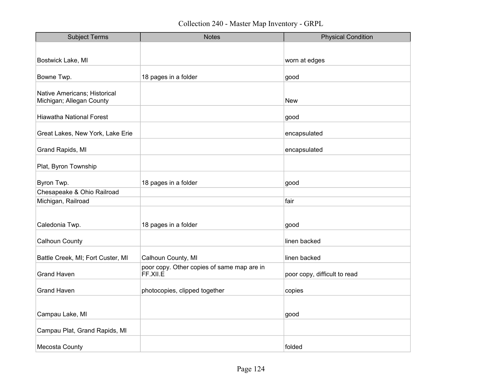| <b>Subject Terms</b>                             | <b>Notes</b>                               | <b>Physical Condition</b>    |
|--------------------------------------------------|--------------------------------------------|------------------------------|
|                                                  |                                            |                              |
| Bostwick Lake, MI                                |                                            | worn at edges                |
|                                                  |                                            |                              |
| Bowne Twp.                                       | 18 pages in a folder                       | good                         |
| Native Americans; Historical                     |                                            |                              |
| Michigan; Allegan County                         |                                            | <b>New</b>                   |
|                                                  |                                            |                              |
| <b>Hiawatha National Forest</b>                  |                                            | good                         |
| Great Lakes, New York, Lake Erie                 |                                            | encapsulated                 |
| Grand Rapids, MI                                 |                                            | encapsulated                 |
| Plat, Byron Township                             |                                            |                              |
|                                                  |                                            |                              |
| Byron Twp.                                       | 18 pages in a folder                       | good                         |
| Chesapeake & Ohio Railroad<br>Michigan, Railroad |                                            | fair                         |
|                                                  |                                            |                              |
|                                                  |                                            |                              |
| Caledonia Twp.                                   | 18 pages in a folder                       | good                         |
| Calhoun County                                   |                                            | linen backed                 |
| Battle Creek, MI; Fort Custer, MI                | Calhoun County, MI                         | linen backed                 |
|                                                  | poor copy. Other copies of same map are in |                              |
| <b>Grand Haven</b>                               | FF.XII.E                                   | poor copy, difficult to read |
| <b>Grand Haven</b>                               | photocopies, clipped together              | copies                       |
|                                                  |                                            |                              |
| Campau Lake, MI                                  |                                            | good                         |
| Campau Plat, Grand Rapids, MI                    |                                            |                              |
|                                                  |                                            |                              |
| Mecosta County                                   |                                            | folded                       |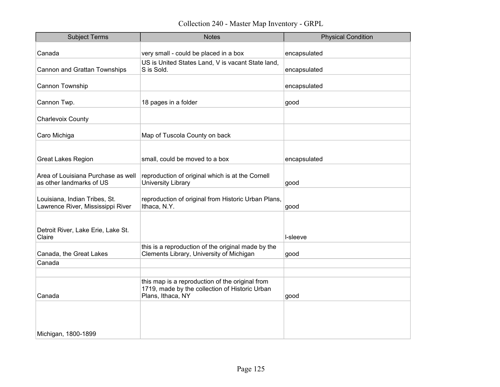Collection 240 - Master Map Inventory - GRPL

| <b>Subject Terms</b>                                               | <b>Notes</b>                                                                                                           | <b>Physical Condition</b> |
|--------------------------------------------------------------------|------------------------------------------------------------------------------------------------------------------------|---------------------------|
| Canada                                                             | very small - could be placed in a box                                                                                  | encapsulated              |
|                                                                    |                                                                                                                        |                           |
| Cannon and Grattan Townships                                       | US is United States Land, V is vacant State land,<br>S is Sold.                                                        | encapsulated              |
| Cannon Township                                                    |                                                                                                                        | encapsulated              |
| Cannon Twp.                                                        | 18 pages in a folder                                                                                                   | good                      |
| <b>Charlevoix County</b>                                           |                                                                                                                        |                           |
|                                                                    |                                                                                                                        |                           |
| Caro Michiga                                                       | Map of Tuscola County on back                                                                                          |                           |
|                                                                    |                                                                                                                        |                           |
| <b>Great Lakes Region</b>                                          | small, could be moved to a box                                                                                         | encapsulated              |
| Area of Louisiana Purchase as well<br>as other landmarks of US     | reproduction of original which is at the Cornell<br><b>University Library</b>                                          | good                      |
| Louisiana, Indian Tribes, St.<br>Lawrence River, Mississippi River | reproduction of original from Historic Urban Plans,<br>Ithaca, N.Y.                                                    | good                      |
|                                                                    |                                                                                                                        |                           |
| Detroit River, Lake Erie, Lake St.<br>Claire                       |                                                                                                                        | I-sleeve                  |
| Canada, the Great Lakes                                            | this is a reproduction of the original made by the<br>Clements Library, University of Michigan                         | good                      |
| Canada                                                             |                                                                                                                        |                           |
|                                                                    |                                                                                                                        |                           |
| Canada                                                             | this map is a reproduction of the original from<br>1719, made by the collection of Historic Urban<br>Plans, Ithaca, NY | good                      |
| Michigan, 1800-1899                                                |                                                                                                                        |                           |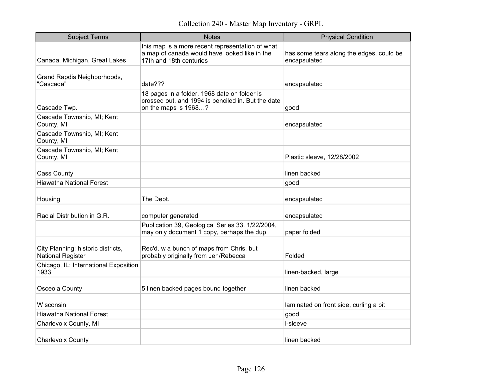Collection 240 - Master Map Inventory - GRPL

| <b>Subject Terms</b>                                           | <b>Notes</b>                                                                                                                 | <b>Physical Condition</b>                                |
|----------------------------------------------------------------|------------------------------------------------------------------------------------------------------------------------------|----------------------------------------------------------|
| Canada, Michigan, Great Lakes                                  | this map is a more recent representation of what<br>a map of canada would have looked like in the<br>17th and 18th centuries | has some tears along the edges, could be<br>encapsulated |
| Grand Rapdis Neighborhoods,<br>"Cascada"                       | date???                                                                                                                      | encapsulated                                             |
| Cascade Twp.                                                   | 18 pages in a folder. 1968 date on folder is<br>crossed out, and 1994 is penciled in. But the date<br>on the maps is 1968?   | good                                                     |
| Cascade Township, MI; Kent<br>County, MI                       |                                                                                                                              | encapsulated                                             |
| Cascade Township, MI; Kent<br>County, MI                       |                                                                                                                              |                                                          |
| Cascade Township, MI; Kent<br>County, MI                       |                                                                                                                              | Plastic sleeve, 12/28/2002                               |
| Cass County                                                    |                                                                                                                              | linen backed                                             |
| <b>Hiawatha National Forest</b>                                |                                                                                                                              | good                                                     |
| Housing                                                        | The Dept.                                                                                                                    | encapsulated                                             |
| Racial Distribution in G.R.                                    | computer generated                                                                                                           | encapsulated                                             |
|                                                                | Publication 39, Geological Series 33. 1/22/2004,<br>may only document 1 copy, perhaps the dup.                               | paper folded                                             |
| City Planning; historic districts,<br><b>National Register</b> | Rec'd. w a bunch of maps from Chris, but<br>probably originally from Jen/Rebecca                                             | Folded                                                   |
| Chicago, IL: International Exposition<br>1933                  |                                                                                                                              | linen-backed, large                                      |
| Osceola County                                                 | 5 linen backed pages bound together                                                                                          | linen backed                                             |
| Wisconsin                                                      |                                                                                                                              | laminated on front side, curling a bit                   |
| <b>Hiawatha National Forest</b>                                |                                                                                                                              | good                                                     |
| Charlevoix County, MI                                          |                                                                                                                              | I-sleeve                                                 |
| <b>Charlevoix County</b>                                       |                                                                                                                              | linen backed                                             |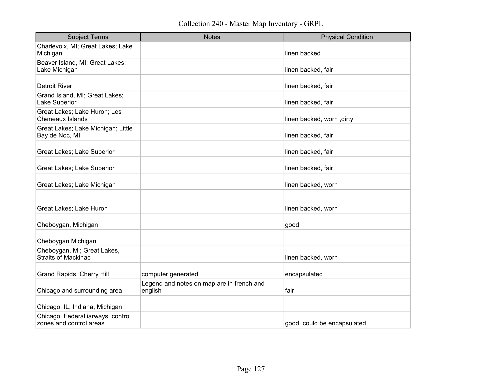| <b>Subject Terms</b>                                         | <b>Notes</b>                                         | <b>Physical Condition</b>   |
|--------------------------------------------------------------|------------------------------------------------------|-----------------------------|
| Charlevoix, MI; Great Lakes; Lake<br>Michigan                |                                                      | linen backed                |
| Beaver Island, MI; Great Lakes;<br>Lake Michigan             |                                                      | linen backed, fair          |
| <b>Detroit River</b>                                         |                                                      | linen backed, fair          |
| Grand Island, MI; Great Lakes;<br>Lake Superior              |                                                      | linen backed, fair          |
| Great Lakes; Lake Huron; Les<br>Cheneaux Islands             |                                                      | linen backed, worn, dirty   |
| Great Lakes; Lake Michigan; Little<br>Bay de Noc, MI         |                                                      | linen backed, fair          |
| Great Lakes; Lake Superior                                   |                                                      | linen backed, fair          |
| Great Lakes; Lake Superior                                   |                                                      | linen backed, fair          |
| Great Lakes; Lake Michigan                                   |                                                      | linen backed, worn          |
|                                                              |                                                      |                             |
| Great Lakes; Lake Huron                                      |                                                      | linen backed, worn          |
| Cheboygan, Michigan                                          |                                                      | good                        |
| Cheboygan Michigan                                           |                                                      |                             |
| Cheboygan, MI; Great Lakes,<br>Straits of Mackinac           |                                                      | linen backed, worn          |
| Grand Rapids, Cherry Hill                                    | computer generated                                   | encapsulated                |
| Chicago and surrounding area                                 | Legend and notes on map are in french and<br>english | fair                        |
| Chicago, IL; Indiana, Michigan                               |                                                      |                             |
| Chicago, Federal iarways, control<br>zones and control areas |                                                      | good, could be encapsulated |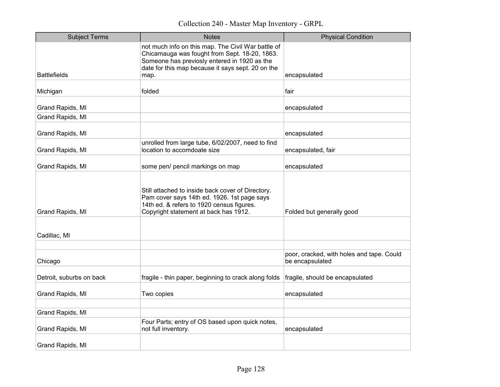Collection 240 - Master Map Inventory - GRPL

| <b>Subject Terms</b>     | <b>Notes</b>                                                                                                                                                                                             | <b>Physical Condition</b>                                    |
|--------------------------|----------------------------------------------------------------------------------------------------------------------------------------------------------------------------------------------------------|--------------------------------------------------------------|
|                          | not much info on this map. The Civil War battle of<br>Chicamauga was fought from Sept. 18-20, 1863.<br>Someone has previosly entered in 1920 as the<br>date for this map because it says sept. 20 on the |                                                              |
| <b>Battlefields</b>      | map.                                                                                                                                                                                                     | encapsulated                                                 |
| Michigan                 | folded                                                                                                                                                                                                   | fair                                                         |
| Grand Rapids, MI         |                                                                                                                                                                                                          | encapsulated                                                 |
| Grand Rapids, MI         |                                                                                                                                                                                                          |                                                              |
| Grand Rapids, MI         |                                                                                                                                                                                                          | encapsulated                                                 |
| Grand Rapids, MI         | unrolled from large tube, 6/02/2007, need to find<br>location to accomdoate size                                                                                                                         | encapsulated, fair                                           |
| Grand Rapids, MI         | some pen/ pencil markings on map                                                                                                                                                                         | encapsulated                                                 |
| Grand Rapids, MI         | Still attached to inside back cover of Directory.<br>Pam cover says 14th ed. 1926. 1st page says<br>14th ed. & refers to 1920 census figures.<br>Copyright statement at back has 1912.                   | Folded but generally good                                    |
| Cadillac, MI             |                                                                                                                                                                                                          |                                                              |
|                          |                                                                                                                                                                                                          |                                                              |
| Chicago                  |                                                                                                                                                                                                          | poor, cracked, with holes and tape. Could<br>be encapsulated |
| Detroit, suburbs on back | fragile - thin paper, beginning to crack along folds                                                                                                                                                     | fragile, should be encapsulated                              |
| Grand Rapids, MI         | Two copies                                                                                                                                                                                               | encapsulated                                                 |
| Grand Rapids, MI         |                                                                                                                                                                                                          |                                                              |
| Grand Rapids, MI         | Four Parts; entry of OS based upon quick notes,<br>not full inventory.                                                                                                                                   | encapsulated                                                 |
| Grand Rapids, MI         |                                                                                                                                                                                                          |                                                              |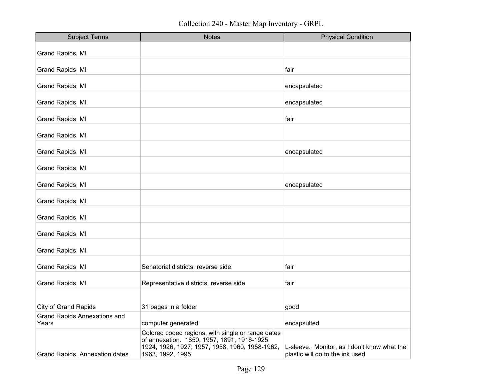Collection 240 - Master Map Inventory - GRPL

| <b>Subject Terms</b>                         | <b>Notes</b>                                                                                                                                                           | <b>Physical Condition</b>                                                      |
|----------------------------------------------|------------------------------------------------------------------------------------------------------------------------------------------------------------------------|--------------------------------------------------------------------------------|
| Grand Rapids, MI                             |                                                                                                                                                                        |                                                                                |
| Grand Rapids, MI                             |                                                                                                                                                                        | fair                                                                           |
| Grand Rapids, MI                             |                                                                                                                                                                        | encapsulated                                                                   |
| Grand Rapids, MI                             |                                                                                                                                                                        | encapsulated                                                                   |
| Grand Rapids, MI                             |                                                                                                                                                                        | fair                                                                           |
| Grand Rapids, MI                             |                                                                                                                                                                        |                                                                                |
| Grand Rapids, MI                             |                                                                                                                                                                        | encapsulated                                                                   |
| Grand Rapids, MI                             |                                                                                                                                                                        |                                                                                |
| Grand Rapids, MI                             |                                                                                                                                                                        | encapsulated                                                                   |
| Grand Rapids, MI                             |                                                                                                                                                                        |                                                                                |
| Grand Rapids, MI                             |                                                                                                                                                                        |                                                                                |
| Grand Rapids, MI                             |                                                                                                                                                                        |                                                                                |
| Grand Rapids, MI                             |                                                                                                                                                                        |                                                                                |
| Grand Rapids, MI                             | Senatorial districts, reverse side                                                                                                                                     | fair                                                                           |
| Grand Rapids, MI                             | Representative districts, reverse side                                                                                                                                 | fair                                                                           |
|                                              |                                                                                                                                                                        |                                                                                |
| <b>City of Grand Rapids</b>                  | 31 pages in a folder                                                                                                                                                   | good                                                                           |
| <b>Grand Rapids Annexations and</b><br>Years | computer generated                                                                                                                                                     | encapsulted                                                                    |
| Grand Rapids; Annexation dates               | Colored coded regions, with single or range dates<br>of annexation. 1850, 1957, 1891, 1916-1925,<br>1924, 1926, 1927, 1957, 1958, 1960, 1958-1962,<br>1963, 1992, 1995 | L-sleeve. Monitor, as I don't know what the<br>plastic will do to the ink used |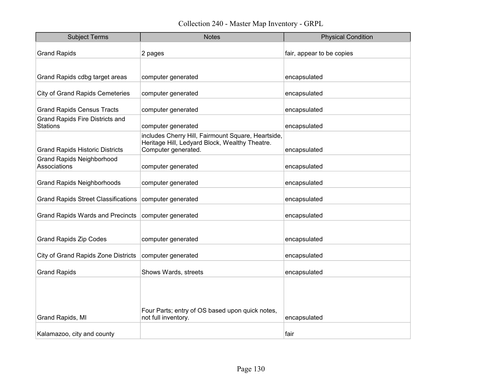| <b>Subject Terms</b>                                      | <b>Notes</b>                                                                                                                | <b>Physical Condition</b> |
|-----------------------------------------------------------|-----------------------------------------------------------------------------------------------------------------------------|---------------------------|
| <b>Grand Rapids</b>                                       | 2 pages                                                                                                                     | fair, appear to be copies |
|                                                           |                                                                                                                             |                           |
| Grand Rapids cdbg target areas                            | computer generated                                                                                                          | encapsulated              |
| <b>City of Grand Rapids Cemeteries</b>                    | computer generated                                                                                                          | encapsulated              |
| <b>Grand Rapids Census Tracts</b>                         | computer generated                                                                                                          | encapsulated              |
| <b>Grand Rapids Fire Districts and</b><br><b>Stations</b> | computer generated                                                                                                          | encapsulated              |
| <b>Grand Rapids Historic Districts</b>                    | includes Cherry Hill, Fairmount Square, Heartside,<br>Heritage Hill, Ledyard Block, Wealthy Theatre.<br>Computer generated. | encapsulated              |
| <b>Grand Rapids Neighborhood</b><br>Associations          | computer generated                                                                                                          | encapsulated              |
| <b>Grand Rapids Neighborhoods</b>                         | computer generated                                                                                                          | encapsulated              |
| <b>Grand Rapids Street Classifications</b>                | computer generated                                                                                                          | encapsulated              |
| <b>Grand Rapids Wards and Precincts</b>                   | computer generated                                                                                                          | encapsulated              |
| <b>Grand Rapids Zip Codes</b>                             | computer generated                                                                                                          | encapsulated              |
|                                                           |                                                                                                                             |                           |
| <b>City of Grand Rapids Zone Districts</b>                | computer generated                                                                                                          | encapsulated              |
| <b>Grand Rapids</b>                                       | Shows Wards, streets                                                                                                        | encapsulated              |
|                                                           | Four Parts; entry of OS based upon quick notes,                                                                             |                           |
| Grand Rapids, MI                                          | not full inventory.                                                                                                         | encapsulated              |
| Kalamazoo, city and county                                |                                                                                                                             | fair                      |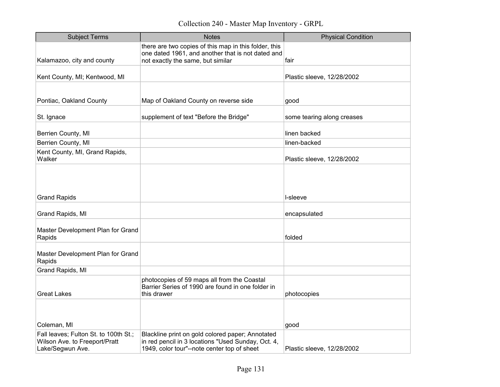Collection 240 - Master Map Inventory - GRPL

| <b>Subject Terms</b>                                                                       | <b>Notes</b>                                                                                                                                          | <b>Physical Condition</b>  |
|--------------------------------------------------------------------------------------------|-------------------------------------------------------------------------------------------------------------------------------------------------------|----------------------------|
|                                                                                            | there are two copies of this map in this folder, this<br>one dated 1961, and another that is not dated and                                            |                            |
| Kalamazoo, city and county                                                                 | not exactly the same, but similar                                                                                                                     | fair                       |
| Kent County, MI; Kentwood, MI                                                              |                                                                                                                                                       | Plastic sleeve, 12/28/2002 |
|                                                                                            |                                                                                                                                                       |                            |
| Pontiac, Oakland County                                                                    | Map of Oakland County on reverse side                                                                                                                 | good                       |
| St. Ignace                                                                                 | supplement of text "Before the Bridge"                                                                                                                | some tearing along creases |
| Berrien County, MI                                                                         |                                                                                                                                                       | linen backed               |
| Berrien County, MI                                                                         |                                                                                                                                                       | linen-backed               |
| Kent County, MI, Grand Rapids,<br>Walker                                                   |                                                                                                                                                       | Plastic sleeve, 12/28/2002 |
| <b>Grand Rapids</b>                                                                        |                                                                                                                                                       | l-sleeve                   |
|                                                                                            |                                                                                                                                                       |                            |
| Grand Rapids, MI                                                                           |                                                                                                                                                       | encapsulated               |
| Master Development Plan for Grand<br>Rapids                                                |                                                                                                                                                       | folded                     |
| Master Development Plan for Grand<br>Rapids                                                |                                                                                                                                                       |                            |
| Grand Rapids, MI                                                                           |                                                                                                                                                       |                            |
| <b>Great Lakes</b>                                                                         | photocopies of 59 maps all from the Coastal<br>Barrier Series of 1990 are found in one folder in<br>this drawer                                       | photocopies                |
|                                                                                            |                                                                                                                                                       |                            |
| Coleman, MI                                                                                |                                                                                                                                                       | good                       |
| Fall leaves; Fulton St. to 100th St.;<br>Wilson Ave. to Freeport/Pratt<br>Lake/Segwun Ave. | Blackline print on gold colored paper; Annotated<br>in red pencil in 3 locations "Used Sunday, Oct. 4,<br>1949, color tour"--note center top of sheet | Plastic sleeve, 12/28/2002 |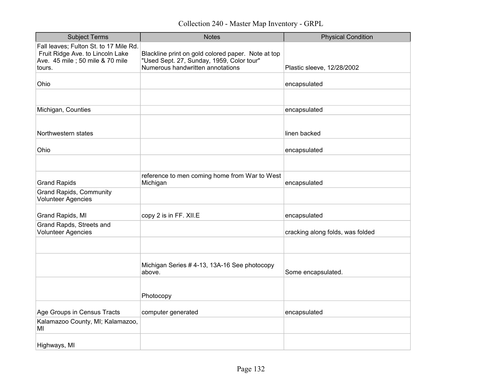Collection 240 - Master Map Inventory - GRPL

| <b>Subject Terms</b>                                                                                                     | <b>Notes</b>                                                                                                                        | <b>Physical Condition</b>        |
|--------------------------------------------------------------------------------------------------------------------------|-------------------------------------------------------------------------------------------------------------------------------------|----------------------------------|
| Fall leaves; Fulton St. to 17 Mile Rd.<br>Fruit Ridge Ave. to Lincoln Lake<br>Ave. 45 mile ; 50 mile & 70 mile<br>tours. | Blackline print on gold colored paper. Note at top<br>"Used Sept. 27, Sunday, 1959, Color tour"<br>Numerous handwritten annotations | Plastic sleeve, 12/28/2002       |
| Ohio                                                                                                                     |                                                                                                                                     | encapsulated                     |
|                                                                                                                          |                                                                                                                                     |                                  |
| Michigan, Counties                                                                                                       |                                                                                                                                     | encapsulated                     |
| Northwestern states                                                                                                      |                                                                                                                                     | linen backed                     |
| Ohio                                                                                                                     |                                                                                                                                     | encapsulated                     |
|                                                                                                                          |                                                                                                                                     |                                  |
| <b>Grand Rapids</b>                                                                                                      | reference to men coming home from War to West<br>Michigan                                                                           | encapsulated                     |
| <b>Grand Rapids, Community</b><br>Volunteer Agencies                                                                     |                                                                                                                                     |                                  |
| Grand Rapids, MI                                                                                                         | copy 2 is in FF. XII.E                                                                                                              | encapsulated                     |
| Grand Rapds, Streets and<br><b>Volunteer Agencies</b>                                                                    |                                                                                                                                     | cracking along folds, was folded |
|                                                                                                                          |                                                                                                                                     |                                  |
|                                                                                                                          | Michigan Series # 4-13, 13A-16 See photocopy<br>above.                                                                              | Some encapsulated.               |
|                                                                                                                          | Photocopy                                                                                                                           |                                  |
| Age Groups in Census Tracts                                                                                              | computer generated                                                                                                                  | encapsulated                     |
| Kalamazoo County, MI; Kalamazoo,<br>МI                                                                                   |                                                                                                                                     |                                  |
| Highways, MI                                                                                                             |                                                                                                                                     |                                  |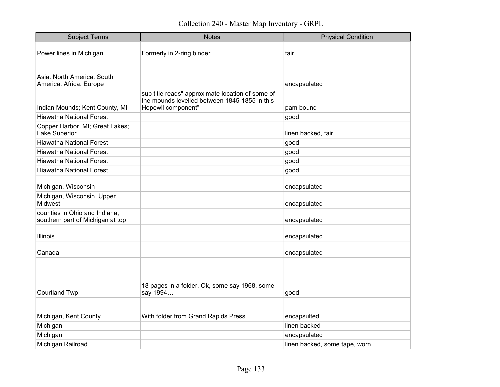| <b>Subject Terms</b>                                              | <b>Notes</b>                                              | <b>Physical Condition</b>     |
|-------------------------------------------------------------------|-----------------------------------------------------------|-------------------------------|
| Power lines in Michigan                                           | Formerly in 2-ring binder.                                | fair                          |
|                                                                   |                                                           |                               |
| Asia. North America. South<br>America. Africa. Europe             |                                                           | encapsulated                  |
|                                                                   | sub title reads" approximate location of some of          |                               |
|                                                                   | the mounds levelled between 1845-1855 in this             |                               |
| Indian Mounds; Kent County, MI                                    | Hopewll component"                                        | pam bound                     |
| <b>Hiawatha National Forest</b>                                   |                                                           | good                          |
| Copper Harbor, MI; Great Lakes;<br>Lake Superior                  |                                                           | linen backed, fair            |
| <b>Hiawatha National Forest</b>                                   |                                                           | good                          |
| <b>Hiawatha National Forest</b>                                   |                                                           | good                          |
| <b>Hiawatha National Forest</b>                                   |                                                           | good                          |
| <b>Hiawatha National Forest</b>                                   |                                                           | good                          |
|                                                                   |                                                           |                               |
| Michigan, Wisconsin                                               |                                                           | encapsulated                  |
| Michigan, Wisconsin, Upper<br><b>Midwest</b>                      |                                                           | encapsulated                  |
| counties in Ohio and Indiana,<br>southern part of Michigan at top |                                                           | encapsulated                  |
|                                                                   |                                                           |                               |
| Illinois                                                          |                                                           | encapsulated                  |
| Canada                                                            |                                                           | encapsulated                  |
|                                                                   |                                                           |                               |
| Courtland Twp.                                                    | 18 pages in a folder. Ok, some say 1968, some<br>say 1994 | good                          |
|                                                                   |                                                           |                               |
|                                                                   |                                                           |                               |
| Michigan, Kent County                                             | With folder from Grand Rapids Press                       | encapsulted                   |
| Michigan                                                          |                                                           | linen backed                  |
| Michigan                                                          |                                                           | encapsulated                  |
| Michigan Railroad                                                 |                                                           | linen backed, some tape, worn |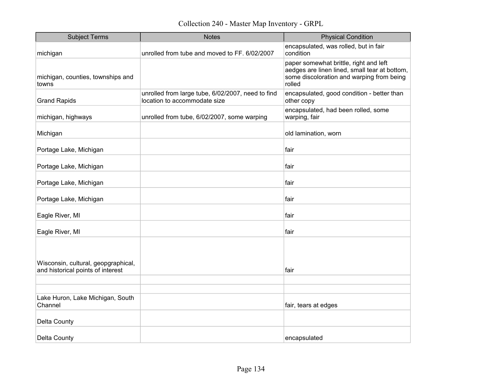| <b>Subject Terms</b>                                                     | <b>Notes</b>                                                                      | <b>Physical Condition</b>                                                                                                                      |
|--------------------------------------------------------------------------|-----------------------------------------------------------------------------------|------------------------------------------------------------------------------------------------------------------------------------------------|
| michigan                                                                 | unrolled from tube and moved to FF. 6/02/2007                                     | encapsulated, was rolled, but in fair<br>condition                                                                                             |
| michigan, counties, townships and<br>towns                               |                                                                                   | paper somewhat brittle, right and left<br>aedges are linen lined, small tear at bottom,<br>some discoloration and warping from being<br>rolled |
| <b>Grand Rapids</b>                                                      | unrolled from large tube, 6/02/2007, need to find<br>location to accommodate size | encapsulated, good condition - better than<br>other copy                                                                                       |
| michigan, highways                                                       | unrolled from tube, 6/02/2007, some warping                                       | encapsulated, had been rolled, some<br>warping, fair                                                                                           |
| Michigan                                                                 |                                                                                   | old lamination, worn                                                                                                                           |
| Portage Lake, Michigan                                                   |                                                                                   | fair                                                                                                                                           |
| Portage Lake, Michigan                                                   |                                                                                   | fair                                                                                                                                           |
| Portage Lake, Michigan                                                   |                                                                                   | fair                                                                                                                                           |
| Portage Lake, Michigan                                                   |                                                                                   | fair                                                                                                                                           |
| Eagle River, MI                                                          |                                                                                   | fair                                                                                                                                           |
| Eagle River, MI                                                          |                                                                                   | fair                                                                                                                                           |
| Wisconsin, cultural, geopgraphical,<br>and historical points of interest |                                                                                   | fair                                                                                                                                           |
|                                                                          |                                                                                   |                                                                                                                                                |
| Lake Huron, Lake Michigan, South<br>Channel                              |                                                                                   | fair, tears at edges                                                                                                                           |
| Delta County                                                             |                                                                                   |                                                                                                                                                |
| Delta County                                                             |                                                                                   | encapsulated                                                                                                                                   |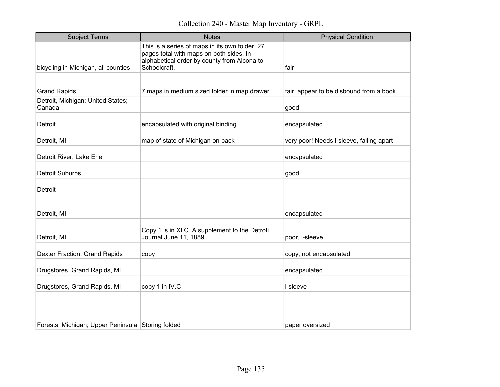| <b>Subject Terms</b>                              | <b>Notes</b>                                                                                                                                             | <b>Physical Condition</b>                |
|---------------------------------------------------|----------------------------------------------------------------------------------------------------------------------------------------------------------|------------------------------------------|
| bicycling in Michigan, all counties               | This is a series of maps in its own folder, 27<br>pages total with maps on both sides. In<br>alphabetical order by county from Alcona to<br>Schoolcraft. | fair                                     |
|                                                   |                                                                                                                                                          |                                          |
| <b>Grand Rapids</b>                               | 7 maps in medium sized folder in map drawer                                                                                                              | fair, appear to be disbound from a book  |
| Detroit, Michigan; United States;<br>Canada       |                                                                                                                                                          | good                                     |
| Detroit                                           | encapsulated with original binding                                                                                                                       | encapsulated                             |
| Detroit, MI                                       | map of state of Michigan on back                                                                                                                         | very poor! Needs I-sleeve, falling apart |
| Detroit River, Lake Erie                          |                                                                                                                                                          | encapsulated                             |
| <b>Detroit Suburbs</b>                            |                                                                                                                                                          | good                                     |
| Detroit                                           |                                                                                                                                                          |                                          |
|                                                   |                                                                                                                                                          |                                          |
| Detroit, MI                                       |                                                                                                                                                          | encapsulated                             |
| Detroit, MI                                       | Copy 1 is in XI.C. A supplement to the Detroti<br>Journal June 11, 1889                                                                                  | poor, I-sleeve                           |
| Dexter Fraction, Grand Rapids                     | copy                                                                                                                                                     | copy, not encapsulated                   |
| Drugstores, Grand Rapids, MI                      |                                                                                                                                                          | encapsulated                             |
| Drugstores, Grand Rapids, MI                      | copy 1 in IV.C                                                                                                                                           | I-sleeve                                 |
|                                                   |                                                                                                                                                          |                                          |
| Forests; Michigan; Upper Peninsula Storing folded |                                                                                                                                                          | paper oversized                          |
|                                                   |                                                                                                                                                          |                                          |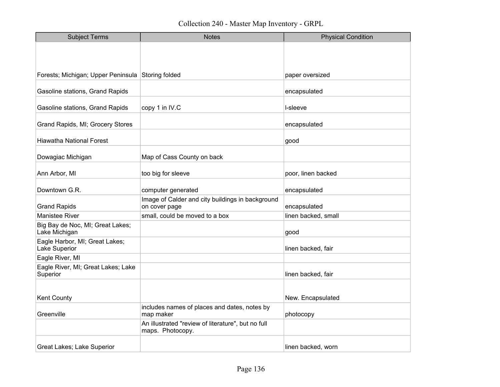| <b>Subject Terms</b>                              | <b>Notes</b>                                                           | <b>Physical Condition</b> |
|---------------------------------------------------|------------------------------------------------------------------------|---------------------------|
|                                                   |                                                                        |                           |
|                                                   |                                                                        |                           |
| Forests; Michigan; Upper Peninsula Storing folded |                                                                        | paper oversized           |
| Gasoline stations, Grand Rapids                   |                                                                        | encapsulated              |
| Gasoline stations, Grand Rapids                   | copy 1 in IV.C                                                         | I-sleeve                  |
| Grand Rapids, MI; Grocery Stores                  |                                                                        | encapsulated              |
| <b>Hiawatha National Forest</b>                   |                                                                        | good                      |
| Dowagiac Michigan                                 | Map of Cass County on back                                             |                           |
| Ann Arbor, MI                                     | too big for sleeve                                                     | poor, linen backed        |
| Downtown G.R.                                     | computer generated                                                     | encapsulated              |
| <b>Grand Rapids</b>                               | Image of Calder and city buildings in background<br>on cover page      | encapsulated              |
| Manistee River                                    | small, could be moved to a box                                         | linen backed, small       |
| Big Bay de Noc, MI; Great Lakes;<br>Lake Michigan |                                                                        | good                      |
| Eagle Harbor, MI; Great Lakes;<br>Lake Superior   |                                                                        | linen backed, fair        |
| Eagle River, MI                                   |                                                                        |                           |
| Eagle River, MI; Great Lakes; Lake<br>Superior    |                                                                        | linen backed, fair        |
|                                                   |                                                                        |                           |
| <b>Kent County</b>                                |                                                                        | New. Encapsulated         |
| Greenville                                        | includes names of places and dates, notes by<br>map maker              | photocopy                 |
|                                                   | An illustrated "review of literature", but no full<br>maps. Photocopy. |                           |
| Great Lakes; Lake Superior                        |                                                                        | linen backed, worn        |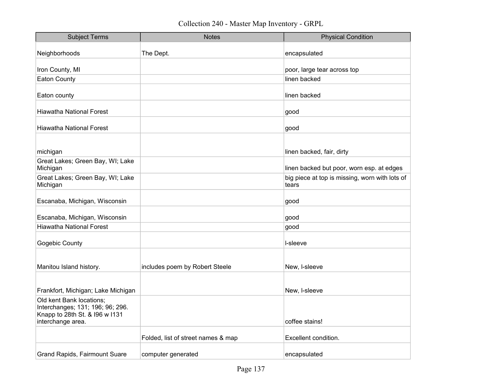| <b>Subject Terms</b>                                         | <b>Notes</b>                       | <b>Physical Condition</b>                               |
|--------------------------------------------------------------|------------------------------------|---------------------------------------------------------|
| Neighborhoods                                                | The Dept.                          | encapsulated                                            |
|                                                              |                                    |                                                         |
| Iron County, MI                                              |                                    | poor, large tear across top                             |
| <b>Eaton County</b>                                          |                                    | linen backed                                            |
| Eaton county                                                 |                                    | linen backed                                            |
| Hiawatha National Forest                                     |                                    | good                                                    |
| <b>Hiawatha National Forest</b>                              |                                    | good                                                    |
|                                                              |                                    |                                                         |
| michigan                                                     |                                    | linen backed, fair, dirty                               |
| Great Lakes; Green Bay, WI; Lake<br>Michigan                 |                                    | linen backed but poor, worn esp. at edges               |
| Great Lakes; Green Bay, WI; Lake<br>Michigan                 |                                    | big piece at top is missing, worn with lots of<br>tears |
| Escanaba, Michigan, Wisconsin                                |                                    | good                                                    |
|                                                              |                                    |                                                         |
| Escanaba, Michigan, Wisconsin                                |                                    | good                                                    |
| <b>Hiawatha National Forest</b>                              |                                    | good                                                    |
| Gogebic County                                               |                                    | I-sleeve                                                |
|                                                              |                                    |                                                         |
| Manitou Island history.                                      | includes poem by Robert Steele     | New, I-sleeve                                           |
|                                                              |                                    |                                                         |
| Frankfort, Michigan; Lake Michigan                           |                                    | New, I-sleeve                                           |
| Old kent Bank locations;<br>Interchanges; 131; 196; 96; 296. |                                    |                                                         |
| Knapp to 28th St. & I96 w I131<br>interchange area.          |                                    | coffee stains!                                          |
|                                                              | Folded, list of street names & map | Excellent condition.                                    |
|                                                              |                                    |                                                         |
| <b>Grand Rapids, Fairmount Suare</b>                         | computer generated                 | encapsulated                                            |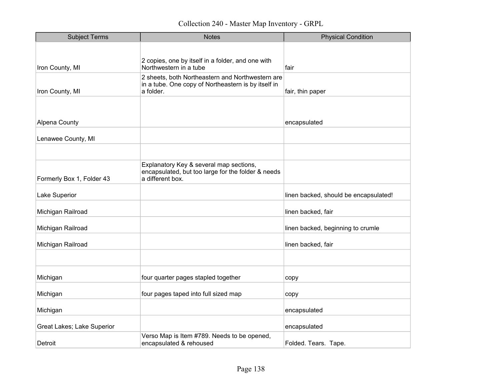| <b>Subject Terms</b>       | <b>Notes</b>                                                                                                         | <b>Physical Condition</b>             |
|----------------------------|----------------------------------------------------------------------------------------------------------------------|---------------------------------------|
|                            |                                                                                                                      |                                       |
| Iron County, MI            | 2 copies, one by itself in a folder, and one with<br>Northwestern in a tube                                          | fair                                  |
| Iron County, MI            | 2 sheets, both Northeastern and Northwestern are<br>in a tube. One copy of Northeastern is by itself in<br>a folder. | fair, thin paper                      |
|                            |                                                                                                                      |                                       |
|                            |                                                                                                                      |                                       |
| Alpena County              |                                                                                                                      | encapsulated                          |
| Lenawee County, MI         |                                                                                                                      |                                       |
|                            |                                                                                                                      |                                       |
| Formerly Box 1, Folder 43  | Explanatory Key & several map sections,<br>encapsulated, but too large for the folder & needs<br>a different box.    |                                       |
| Lake Superior              |                                                                                                                      | linen backed, should be encapsulated! |
| Michigan Railroad          |                                                                                                                      | linen backed, fair                    |
| Michigan Railroad          |                                                                                                                      | linen backed, beginning to crumle     |
| Michigan Railroad          |                                                                                                                      | linen backed, fair                    |
|                            |                                                                                                                      |                                       |
| Michigan                   | four quarter pages stapled together                                                                                  | copy                                  |
| Michigan                   | four pages taped into full sized map                                                                                 | copy                                  |
| Michigan                   |                                                                                                                      | encapsulated                          |
| Great Lakes; Lake Superior |                                                                                                                      | encapsulated                          |
| Detroit                    | Verso Map is Item #789. Needs to be opened,<br>encapsulated & rehoused                                               | Folded. Tears. Tape.                  |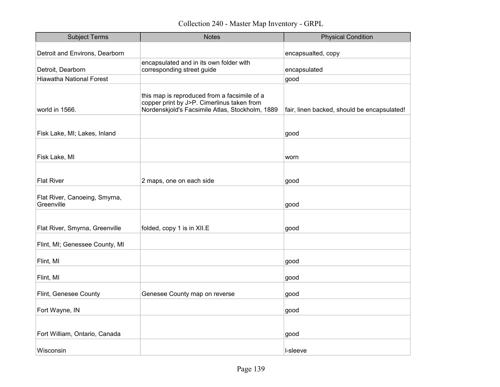| <b>Subject Terms</b>                        | <b>Notes</b>                                                                                                                                  | <b>Physical Condition</b>                   |
|---------------------------------------------|-----------------------------------------------------------------------------------------------------------------------------------------------|---------------------------------------------|
| Detroit and Environs, Dearborn              |                                                                                                                                               | encapsualted, copy                          |
|                                             | encapsulated and in its own folder with                                                                                                       |                                             |
| Detroit, Dearborn                           | corresponding street guide                                                                                                                    | encapsulated                                |
| <b>Hiawatha National Forest</b>             |                                                                                                                                               | good                                        |
| world in 1566.                              | this map is reproduced from a facsimile of a<br>copper print by J>P. Cimerlinus taken from<br>Nordenskjold's Facsimile Atlas, Stockholm, 1889 | fair, linen backed, should be encapsulated! |
| Fisk Lake, MI; Lakes, Inland                |                                                                                                                                               | good                                        |
|                                             |                                                                                                                                               |                                             |
| Fisk Lake, MI                               |                                                                                                                                               | worn                                        |
|                                             |                                                                                                                                               |                                             |
| <b>Flat River</b>                           | 2 maps, one on each side                                                                                                                      | good                                        |
| Flat River, Canoeing, Smyrna,<br>Greenville |                                                                                                                                               | good                                        |
|                                             |                                                                                                                                               |                                             |
| Flat River, Smyrna, Greenville              | folded, copy 1 is in XII.E                                                                                                                    | good                                        |
| Flint, MI; Genessee County, MI              |                                                                                                                                               |                                             |
| Flint, MI                                   |                                                                                                                                               | good                                        |
| Flint, MI                                   |                                                                                                                                               | good                                        |
| Flint, Genesee County                       | Genesee County map on reverse                                                                                                                 | good                                        |
| Fort Wayne, IN                              |                                                                                                                                               | good                                        |
|                                             |                                                                                                                                               |                                             |
| Fort William, Ontario, Canada               |                                                                                                                                               | good                                        |
| Wisconsin                                   |                                                                                                                                               | I-sleeve                                    |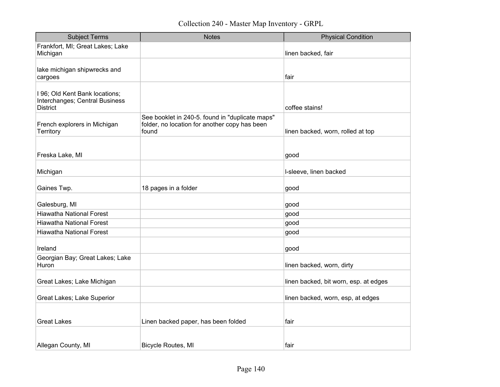| <b>Subject Terms</b>                                                                | <b>Notes</b>                                                                                              | <b>Physical Condition</b>             |
|-------------------------------------------------------------------------------------|-----------------------------------------------------------------------------------------------------------|---------------------------------------|
| Frankfort, MI; Great Lakes; Lake<br>Michigan                                        |                                                                                                           | linen backed, fair                    |
| lake michigan shipwrecks and<br>cargoes                                             |                                                                                                           | fair                                  |
| I 96; Old Kent Bank locations;<br>Interchanges; Central Business<br><b>District</b> |                                                                                                           | coffee stains!                        |
| French explorers in Michigan<br>Territory                                           | See booklet in 240-5. found in "duplicate maps"<br>folder, no location for another copy has been<br>found | linen backed, worn, rolled at top     |
| Freska Lake, MI                                                                     |                                                                                                           | good                                  |
| Michigan                                                                            |                                                                                                           | I-sleeve, linen backed                |
| Gaines Twp.                                                                         | 18 pages in a folder                                                                                      | good                                  |
| Galesburg, MI                                                                       |                                                                                                           | good                                  |
| <b>Hiawatha National Forest</b>                                                     |                                                                                                           | good                                  |
| <b>Hiawatha National Forest</b>                                                     |                                                                                                           | good                                  |
| <b>Hiawatha National Forest</b>                                                     |                                                                                                           | good                                  |
| Ireland                                                                             |                                                                                                           | good                                  |
| Georgian Bay; Great Lakes; Lake<br>Huron                                            |                                                                                                           | linen backed, worn, dirty             |
| Great Lakes; Lake Michigan                                                          |                                                                                                           | linen backed, bit worn, esp. at edges |
| Great Lakes; Lake Superior                                                          |                                                                                                           | linen backed, worn, esp, at edges     |
| <b>Great Lakes</b>                                                                  | Linen backed paper, has been folded                                                                       | fair                                  |
| Allegan County, MI                                                                  | <b>Bicycle Routes, MI</b>                                                                                 | fair                                  |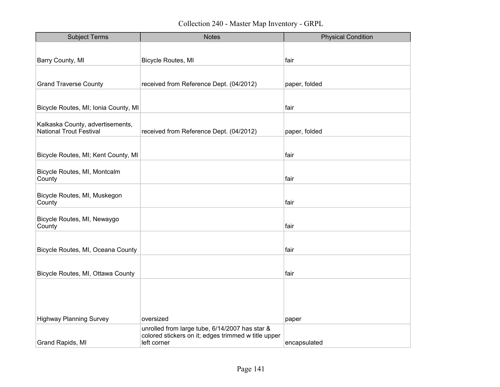| <b>Subject Terms</b>                                               | <b>Notes</b>                                                                                          | <b>Physical Condition</b> |
|--------------------------------------------------------------------|-------------------------------------------------------------------------------------------------------|---------------------------|
|                                                                    |                                                                                                       |                           |
| Barry County, MI                                                   | <b>Bicycle Routes, MI</b>                                                                             | fair                      |
|                                                                    |                                                                                                       |                           |
| <b>Grand Traverse County</b>                                       | received from Reference Dept. (04/2012)                                                               | paper, folded             |
|                                                                    |                                                                                                       |                           |
| Bicycle Routes, MI; Ionia County, MI                               |                                                                                                       | fair                      |
|                                                                    |                                                                                                       |                           |
| Kalkaska County, advertisements,<br><b>National Trout Festival</b> | received from Reference Dept. (04/2012)                                                               | paper, folded             |
|                                                                    |                                                                                                       |                           |
| Bicycle Routes, MI; Kent County, MI                                |                                                                                                       | fair                      |
|                                                                    |                                                                                                       |                           |
| Bicycle Routes, MI, Montcalm<br>County                             |                                                                                                       | fair                      |
|                                                                    |                                                                                                       |                           |
| Bicycle Routes, MI, Muskegon<br>County                             |                                                                                                       | fair                      |
|                                                                    |                                                                                                       |                           |
| Bicycle Routes, MI, Newaygo                                        |                                                                                                       |                           |
| County                                                             |                                                                                                       | fair                      |
|                                                                    |                                                                                                       |                           |
| Bicycle Routes, MI, Oceana County                                  |                                                                                                       | fair                      |
|                                                                    |                                                                                                       |                           |
| Bicycle Routes, MI, Ottawa County                                  |                                                                                                       | fair                      |
|                                                                    |                                                                                                       |                           |
|                                                                    |                                                                                                       |                           |
|                                                                    |                                                                                                       |                           |
| <b>Highway Planning Survey</b>                                     | oversized                                                                                             | paper                     |
|                                                                    | unrolled from large tube, 6/14/2007 has star &<br>colored stickers on it; edges trimmed w title upper |                           |
| Grand Rapids, MI                                                   | left corner                                                                                           | encapsulated              |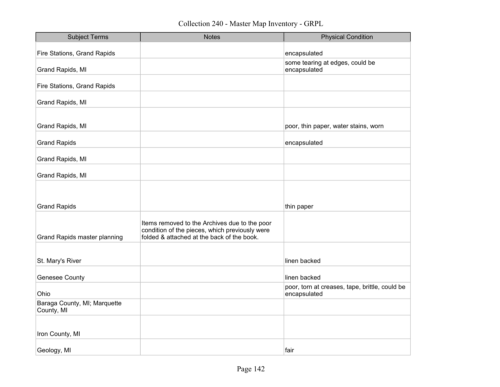| <b>Subject Terms</b>                       | <b>Notes</b>                                                                                    | <b>Physical Condition</b>                                      |
|--------------------------------------------|-------------------------------------------------------------------------------------------------|----------------------------------------------------------------|
| Fire Stations, Grand Rapids                |                                                                                                 | encapsulated                                                   |
|                                            |                                                                                                 |                                                                |
| Grand Rapids, MI                           |                                                                                                 | some tearing at edges, could be<br>encapsulated                |
|                                            |                                                                                                 |                                                                |
| Fire Stations, Grand Rapids                |                                                                                                 |                                                                |
| Grand Rapids, MI                           |                                                                                                 |                                                                |
|                                            |                                                                                                 |                                                                |
| Grand Rapids, MI                           |                                                                                                 | poor, thin paper, water stains, worn                           |
|                                            |                                                                                                 |                                                                |
| <b>Grand Rapids</b>                        |                                                                                                 | encapsulated                                                   |
| Grand Rapids, MI                           |                                                                                                 |                                                                |
|                                            |                                                                                                 |                                                                |
| Grand Rapids, MI                           |                                                                                                 |                                                                |
|                                            |                                                                                                 |                                                                |
|                                            |                                                                                                 |                                                                |
| <b>Grand Rapids</b>                        |                                                                                                 | thin paper                                                     |
|                                            |                                                                                                 |                                                                |
|                                            | Items removed to the Archives due to the poor<br>condition of the pieces, which previously were |                                                                |
| <b>Grand Rapids master planning</b>        | folded & attached at the back of the book.                                                      |                                                                |
|                                            |                                                                                                 |                                                                |
|                                            |                                                                                                 |                                                                |
| St. Mary's River                           |                                                                                                 | linen backed                                                   |
|                                            |                                                                                                 |                                                                |
| <b>Genesee County</b>                      |                                                                                                 | linen backed                                                   |
| Ohio                                       |                                                                                                 | poor, torn at creases, tape, brittle, could be<br>encapsulated |
| Baraga County, MI; Marquette<br>County, MI |                                                                                                 |                                                                |
|                                            |                                                                                                 |                                                                |
| Iron County, MI                            |                                                                                                 |                                                                |
|                                            |                                                                                                 |                                                                |
| Geology, MI                                |                                                                                                 | fair                                                           |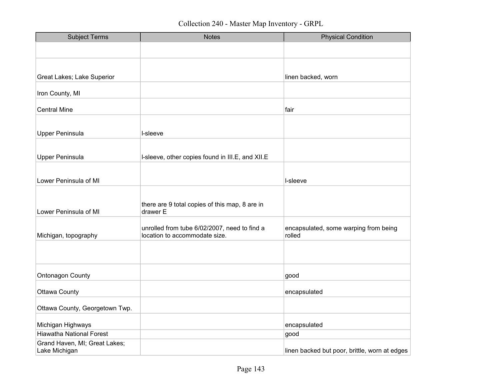| <b>Subject Terms</b>                           | <b>Notes</b>                                                                  | <b>Physical Condition</b>                       |
|------------------------------------------------|-------------------------------------------------------------------------------|-------------------------------------------------|
|                                                |                                                                               |                                                 |
|                                                |                                                                               |                                                 |
|                                                |                                                                               |                                                 |
| Great Lakes; Lake Superior                     |                                                                               | linen backed, worn                              |
| Iron County, MI                                |                                                                               |                                                 |
| <b>Central Mine</b>                            |                                                                               | fair                                            |
|                                                |                                                                               |                                                 |
| <b>Upper Peninsula</b>                         | I-sleeve                                                                      |                                                 |
|                                                |                                                                               |                                                 |
| <b>Upper Peninsula</b>                         | I-sleeve, other copies found in III.E, and XII.E                              |                                                 |
|                                                |                                                                               |                                                 |
| Lower Peninsula of MI                          |                                                                               | I-sleeve                                        |
|                                                |                                                                               |                                                 |
| Lower Peninsula of MI                          | there are 9 total copies of this map, 8 are in<br>drawer E                    |                                                 |
|                                                |                                                                               |                                                 |
| Michigan, topography                           | unrolled from tube 6/02/2007, need to find a<br>location to accommodate size. | encapsulated, some warping from being<br>rolled |
|                                                |                                                                               |                                                 |
|                                                |                                                                               |                                                 |
| <b>Ontonagon County</b>                        |                                                                               | good                                            |
|                                                |                                                                               |                                                 |
| <b>Ottawa County</b>                           |                                                                               | encapsulated                                    |
| Ottawa County, Georgetown Twp.                 |                                                                               |                                                 |
|                                                |                                                                               |                                                 |
| Michigan Highways                              |                                                                               | encapsulated                                    |
| <b>Hiawatha National Forest</b>                |                                                                               | good                                            |
| Grand Haven, MI; Great Lakes;<br>Lake Michigan |                                                                               | linen backed but poor, brittle, worn at edges   |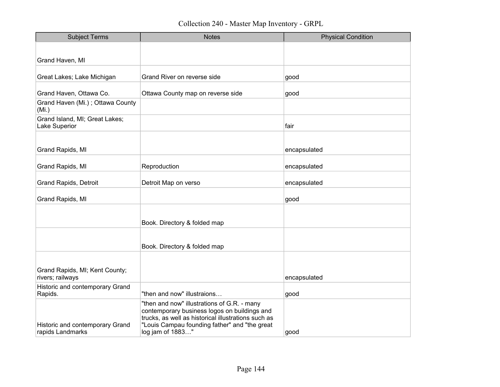| <b>Subject Terms</b>                                | <b>Notes</b>                                                                                                                                                                                                            | <b>Physical Condition</b> |
|-----------------------------------------------------|-------------------------------------------------------------------------------------------------------------------------------------------------------------------------------------------------------------------------|---------------------------|
|                                                     |                                                                                                                                                                                                                         |                           |
| Grand Haven, MI                                     |                                                                                                                                                                                                                         |                           |
|                                                     |                                                                                                                                                                                                                         |                           |
| Great Lakes; Lake Michigan                          | Grand River on reverse side                                                                                                                                                                                             | good                      |
| Grand Haven, Ottawa Co.                             | Ottawa County map on reverse side                                                                                                                                                                                       | good                      |
| Grand Haven (Mi.); Ottawa County<br>(Mi.)           |                                                                                                                                                                                                                         |                           |
| Grand Island, MI; Great Lakes;<br>Lake Superior     |                                                                                                                                                                                                                         | fair                      |
|                                                     |                                                                                                                                                                                                                         |                           |
| <b>Grand Rapids, MI</b>                             |                                                                                                                                                                                                                         | encapsulated              |
| Grand Rapids, MI                                    | Reproduction                                                                                                                                                                                                            | encapsulated              |
| <b>Grand Rapids, Detroit</b>                        | Detroit Map on verso                                                                                                                                                                                                    | encapsulated              |
| <b>Grand Rapids, MI</b>                             |                                                                                                                                                                                                                         | good                      |
|                                                     |                                                                                                                                                                                                                         |                           |
|                                                     | Book. Directory & folded map                                                                                                                                                                                            |                           |
|                                                     |                                                                                                                                                                                                                         |                           |
|                                                     | Book. Directory & folded map                                                                                                                                                                                            |                           |
|                                                     |                                                                                                                                                                                                                         |                           |
| Grand Rapids, MI; Kent County;                      |                                                                                                                                                                                                                         |                           |
| rivers; railways                                    |                                                                                                                                                                                                                         | encapsulated              |
| Historic and contemporary Grand<br>Rapids.          | "then and now" illustraions                                                                                                                                                                                             | good                      |
| Historic and contemporary Grand<br>rapids Landmarks | "then and now" illustrations of G.R. - many<br>contemporary business logos on buildings and<br>trucks, as well as historical illustrations such as<br>"Louis Campau founding father" and "the great<br>log jam of 1883" | good                      |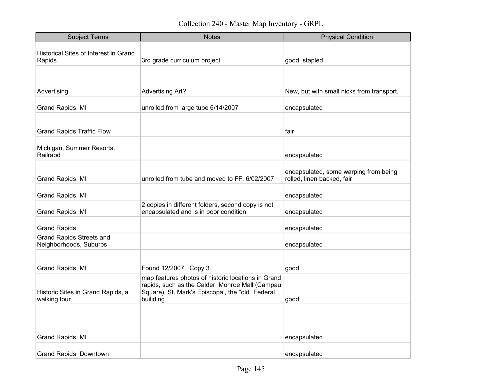| <b>Subject Terms</b>                                      | <b>Notes</b>                                                                                                                                                           | <b>Physical Condition</b>                                           |
|-----------------------------------------------------------|------------------------------------------------------------------------------------------------------------------------------------------------------------------------|---------------------------------------------------------------------|
| Historical Sites of Interest in Grand<br>Rapids           | 3rd grade curriculum project                                                                                                                                           | good, stapled                                                       |
|                                                           |                                                                                                                                                                        |                                                                     |
| Advertising.                                              | <b>Advertising Art?</b>                                                                                                                                                | New, but with small nicks from transport.                           |
| Grand Rapids, MI                                          | unrolled from large tube 6/14/2007                                                                                                                                     | encapsulated                                                        |
|                                                           |                                                                                                                                                                        |                                                                     |
| <b>Grand Rapids Traffic Flow</b>                          |                                                                                                                                                                        | fair                                                                |
| Michigan, Summer Resorts,<br>Railraod                     |                                                                                                                                                                        | encapsulated                                                        |
| Grand Rapids, MI                                          | unrolled from tube and moved to FF. 6/02/2007                                                                                                                          | encapsulated, some warping from being<br>rolled, linen backed, fair |
| Grand Rapids, MI                                          |                                                                                                                                                                        | encapsulated                                                        |
| Grand Rapids, MI                                          | 2 copies in different folders, second copy is not<br>encapsulated and is in poor condition.                                                                            | encapsulated                                                        |
| <b>Grand Rapids</b>                                       |                                                                                                                                                                        | encapsulated                                                        |
| <b>Grand Rapids Streets and</b><br>Neighborhoods, Suburbs |                                                                                                                                                                        | encapsulated                                                        |
|                                                           |                                                                                                                                                                        |                                                                     |
| Grand Rapids, MI                                          | Found 12/2007. Copy 3                                                                                                                                                  | good                                                                |
| Historic Sites in Grand Rapids, a<br>walking tour         | map features photos of historic locations in Grand<br>rapids, such as the Calder, Monroe Mall (Campau<br>Square), St. Mark's Episcopal, the "old" Federal<br>builiding | good                                                                |
|                                                           |                                                                                                                                                                        |                                                                     |
|                                                           |                                                                                                                                                                        |                                                                     |
| Grand Rapids, MI                                          |                                                                                                                                                                        | encapsulated                                                        |
| Grand Rapids, Downtown                                    |                                                                                                                                                                        | encapsulated                                                        |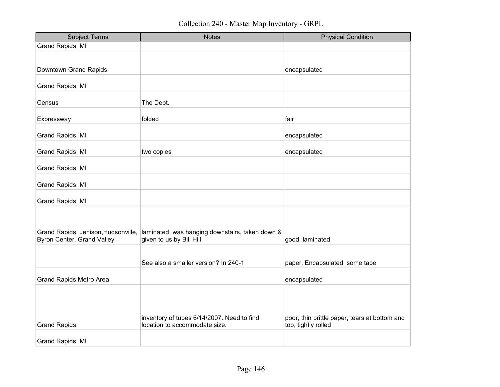| <b>Subject Terms</b>                                              | <b>Notes</b>                                                                | <b>Physical Condition</b>                                            |
|-------------------------------------------------------------------|-----------------------------------------------------------------------------|----------------------------------------------------------------------|
| Grand Rapids, MI                                                  |                                                                             |                                                                      |
|                                                                   |                                                                             |                                                                      |
| Downtown Grand Rapids                                             |                                                                             | encapsulated                                                         |
|                                                                   |                                                                             |                                                                      |
| Grand Rapids, MI                                                  |                                                                             |                                                                      |
| Census                                                            | The Dept.                                                                   |                                                                      |
| Expressway                                                        | folded                                                                      | fair                                                                 |
|                                                                   |                                                                             |                                                                      |
| Grand Rapids, MI                                                  |                                                                             | encapsulated                                                         |
| Grand Rapids, MI                                                  | two copies                                                                  | encapsulated                                                         |
| Grand Rapids, MI                                                  |                                                                             |                                                                      |
|                                                                   |                                                                             |                                                                      |
| Grand Rapids, MI                                                  |                                                                             |                                                                      |
| Grand Rapids, MI                                                  |                                                                             |                                                                      |
|                                                                   |                                                                             |                                                                      |
|                                                                   |                                                                             |                                                                      |
| Grand Rapids, Jenison, Hudsonville,<br>Byron Center, Grand Valley | laminated, was hanging downstairs, taken down &<br>given to us by Bill Hill | good, laminated                                                      |
|                                                                   |                                                                             |                                                                      |
|                                                                   | See also a smaller version? In 240-1                                        | paper, Encapsulated, some tape                                       |
|                                                                   |                                                                             |                                                                      |
| <b>Grand Rapids Metro Area</b>                                    |                                                                             | encapsulated                                                         |
|                                                                   |                                                                             |                                                                      |
|                                                                   |                                                                             |                                                                      |
|                                                                   |                                                                             |                                                                      |
| <b>Grand Rapids</b>                                               | inventory of tubes 6/14/2007. Need to find<br>location to accommodate size. | poor, thin brittle paper, tears at bottom and<br>top, tightly rolled |
|                                                                   |                                                                             |                                                                      |
| Grand Rapids, MI                                                  |                                                                             |                                                                      |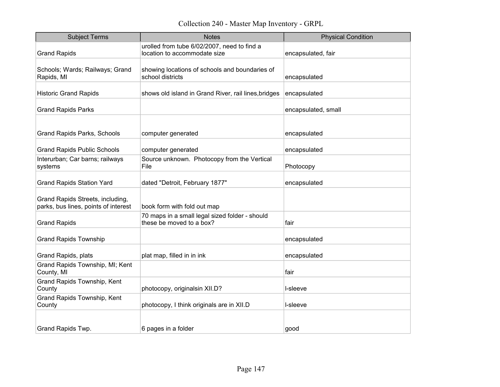| <b>Subject Terms</b>                                                     | <b>Notes</b>                                                                | <b>Physical Condition</b> |
|--------------------------------------------------------------------------|-----------------------------------------------------------------------------|---------------------------|
| <b>Grand Rapids</b>                                                      | urolled from tube 6/02/2007, need to find a<br>location to accommodate size | encapsulated, fair        |
| Schools; Wards; Railways; Grand<br>Rapids, MI                            | showing locations of schools and boundaries of<br>school districts          | encapsulated              |
| <b>Historic Grand Rapids</b>                                             | shows old island in Grand River, rail lines, bridges                        | encapsulated              |
| <b>Grand Rapids Parks</b>                                                |                                                                             | encapsulated, small       |
| <b>Grand Rapids Parks, Schools</b>                                       | computer generated                                                          | encapsulated              |
| <b>Grand Rapids Public Schools</b>                                       | computer generated                                                          | encapsulated              |
| Interurban; Car barns; railways<br>systems                               | Source unknown. Photocopy from the Vertical<br>File                         | Photocopy                 |
| <b>Grand Rapids Station Yard</b>                                         | dated "Detroit, February 1877"                                              | encapsulated              |
| Grand Rapids Streets, including,<br>parks, bus lines, points of interest | book form with fold out map                                                 |                           |
| <b>Grand Rapids</b>                                                      | 70 maps in a small legal sized folder - should<br>these be moved to a box?  | fair                      |
| <b>Grand Rapids Township</b>                                             |                                                                             | encapsulated              |
| Grand Rapids, plats                                                      | plat map, filled in in ink                                                  | encapsulated              |
| Grand Rapids Township, MI; Kent<br>County, MI                            |                                                                             | fair                      |
| Grand Rapids Township, Kent<br>County                                    | photocopy, originalsin XII.D?                                               | l-sleeve                  |
| Grand Rapids Township, Kent<br>County                                    | photocopy, I think originals are in XII.D                                   | l-sleeve                  |
|                                                                          |                                                                             |                           |
| Grand Rapids Twp.                                                        | 6 pages in a folder                                                         | good                      |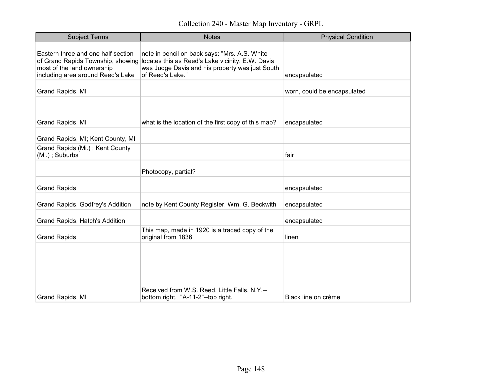| <b>Subject Terms</b>                                                                                                                       | <b>Notes</b>                                                                                                                                                             | <b>Physical Condition</b>   |
|--------------------------------------------------------------------------------------------------------------------------------------------|--------------------------------------------------------------------------------------------------------------------------------------------------------------------------|-----------------------------|
| Eastern three and one half section<br>of Grand Rapids Township, showing<br>most of the land ownership<br>including area around Reed's Lake | note in pencil on back says: "Mrs. A.S. White<br>locates this as Reed's Lake vicinity. E.W. Davis<br>was Judge Davis and his property was just South<br>of Reed's Lake." | encapsulated                |
| Grand Rapids, MI                                                                                                                           |                                                                                                                                                                          | worn, could be encapsulated |
|                                                                                                                                            |                                                                                                                                                                          |                             |
| Grand Rapids, MI                                                                                                                           | what is the location of the first copy of this map?                                                                                                                      | encapsulated                |
| Grand Rapids, MI; Kent County, MI                                                                                                          |                                                                                                                                                                          |                             |
| Grand Rapids (Mi.); Kent County<br>(Mi.); Suburbs                                                                                          |                                                                                                                                                                          | fair                        |
|                                                                                                                                            | Photocopy, partial?                                                                                                                                                      |                             |
| <b>Grand Rapids</b>                                                                                                                        |                                                                                                                                                                          | encapsulated                |
| Grand Rapids, Godfrey's Addition                                                                                                           | note by Kent County Register, Wm. G. Beckwith                                                                                                                            | encapsulated                |
| Grand Rapids, Hatch's Addition                                                                                                             |                                                                                                                                                                          | encapsulated                |
| <b>Grand Rapids</b>                                                                                                                        | This map, made in 1920 is a traced copy of the<br>original from 1836                                                                                                     | linen                       |
| Grand Rapids, MI                                                                                                                           | Received from W.S. Reed, Little Falls, N.Y.--<br>bottom right. "A-11-2"--top right.                                                                                      | Black line on crème         |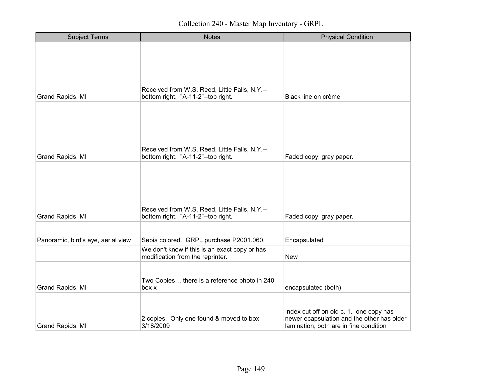| <b>Subject Terms</b>               | <b>Notes</b>                                                                        | <b>Physical Condition</b>                                                                                                       |
|------------------------------------|-------------------------------------------------------------------------------------|---------------------------------------------------------------------------------------------------------------------------------|
|                                    |                                                                                     |                                                                                                                                 |
|                                    |                                                                                     |                                                                                                                                 |
| Grand Rapids, MI                   | Received from W.S. Reed, Little Falls, N.Y.--<br>bottom right. "A-11-2"--top right. | Black line on crème                                                                                                             |
| Grand Rapids, MI                   | Received from W.S. Reed, Little Falls, N.Y.--<br>bottom right. "A-11-2"--top right. | Faded copy; gray paper.                                                                                                         |
| Grand Rapids, MI                   | Received from W.S. Reed, Little Falls, N.Y.--<br>bottom right. "A-11-2"--top right. | Faded copy; gray paper.                                                                                                         |
| Panoramic, bird's eye, aerial view | Sepia colored. GRPL purchase P2001.060.                                             | Encapsulated                                                                                                                    |
|                                    | We don't know if this is an exact copy or has<br>modification from the reprinter.   | <b>New</b>                                                                                                                      |
| Grand Rapids, MI                   | Two Copies there is a reference photo in 240<br>box x                               | encapsulated (both)                                                                                                             |
| Grand Rapids, MI                   | 2 copies. Only one found & moved to box<br>3/18/2009                                | Index cut off on old c. 1. one copy has<br>newer ecapsulation and the other has older<br>lamination, both are in fine condition |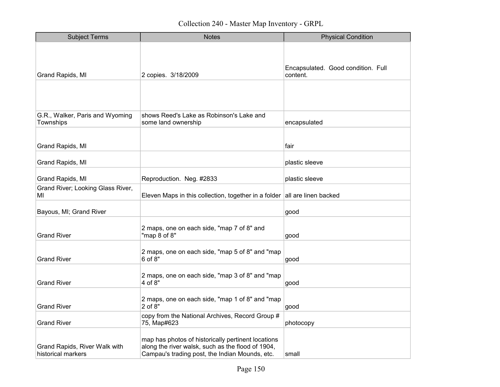| <b>Subject Terms</b>                                | <b>Notes</b>                                                                                                                                              | <b>Physical Condition</b>                      |
|-----------------------------------------------------|-----------------------------------------------------------------------------------------------------------------------------------------------------------|------------------------------------------------|
| Grand Rapids, MI                                    | 2 copies. 3/18/2009                                                                                                                                       | Encapsulated. Good condition. Full<br>content. |
|                                                     |                                                                                                                                                           |                                                |
| G.R., Walker, Paris and Wyoming<br>Townships        | shows Reed's Lake as Robinson's Lake and<br>some land ownership                                                                                           | encapsulated                                   |
| Grand Rapids, MI                                    |                                                                                                                                                           | fair                                           |
| Grand Rapids, MI                                    |                                                                                                                                                           | plastic sleeve                                 |
| Grand Rapids, MI                                    | Reproduction. Neg. #2833                                                                                                                                  | plastic sleeve                                 |
| Grand River; Looking Glass River,<br>MI             | Eleven Maps in this collection, together in a folder all are linen backed                                                                                 |                                                |
| Bayous, MI; Grand River                             |                                                                                                                                                           | good                                           |
| <b>Grand River</b>                                  | 2 maps, one on each side, "map 7 of 8" and<br>"map 8 of 8"                                                                                                | good                                           |
| <b>Grand River</b>                                  | 2 maps, one on each side, "map 5 of 8" and "map<br>$6$ of $8"$                                                                                            | good                                           |
| <b>Grand River</b>                                  | 2 maps, one on each side, "map 3 of 8" and "map<br>4 of 8"                                                                                                | good                                           |
| <b>Grand River</b>                                  | 2 maps, one on each side, "map 1 of 8" and "map<br>2 of 8"                                                                                                | good                                           |
| <b>Grand River</b>                                  | copy from the National Archives, Record Group #<br>75, Map#623                                                                                            | photocopy                                      |
| Grand Rapids, River Walk with<br>historical markers | map has photos of historically pertinent locations<br>along the river walsk, such as the flood of 1904,<br>Campau's trading post, the Indian Mounds, etc. | small                                          |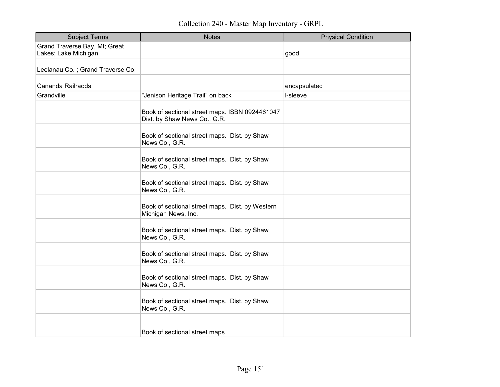| <b>Subject Terms</b>             | <b>Notes</b>                                                                   | <b>Physical Condition</b> |
|----------------------------------|--------------------------------------------------------------------------------|---------------------------|
| Grand Traverse Bay, MI; Great    |                                                                                |                           |
| Lakes; Lake Michigan             |                                                                                | good                      |
| Leelanau Co.; Grand Traverse Co. |                                                                                |                           |
| Cananda Railraods                |                                                                                | encapsulated              |
| Grandville                       | "Jenison Heritage Trail" on back                                               | I-sleeve                  |
|                                  | Book of sectional street maps. ISBN 0924461047<br>Dist. by Shaw News Co., G.R. |                           |
|                                  | Book of sectional street maps. Dist. by Shaw<br>News Co., G.R.                 |                           |
|                                  | Book of sectional street maps. Dist. by Shaw<br>News Co., G.R.                 |                           |
|                                  | Book of sectional street maps. Dist. by Shaw<br>News Co., G.R.                 |                           |
|                                  | Book of sectional street maps. Dist. by Western<br>Michigan News, Inc.         |                           |
|                                  | Book of sectional street maps. Dist. by Shaw<br>News Co., G.R.                 |                           |
|                                  | Book of sectional street maps. Dist. by Shaw<br>News Co., G.R.                 |                           |
|                                  | Book of sectional street maps. Dist. by Shaw<br>News Co., G.R.                 |                           |
|                                  | Book of sectional street maps. Dist. by Shaw<br>News Co., G.R.                 |                           |
|                                  | Book of sectional street maps                                                  |                           |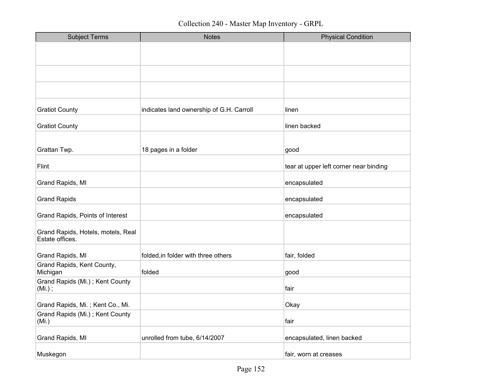| <b>Subject Terms</b>                                  | <b>Notes</b>                             | <b>Physical Condition</b>              |
|-------------------------------------------------------|------------------------------------------|----------------------------------------|
|                                                       |                                          |                                        |
|                                                       |                                          |                                        |
|                                                       |                                          |                                        |
|                                                       |                                          |                                        |
| <b>Gratiot County</b>                                 | indicates land ownership of G.H. Carroll | linen                                  |
| <b>Gratiot County</b>                                 |                                          | linen backed                           |
|                                                       |                                          |                                        |
| Grattan Twp.                                          | 18 pages in a folder                     | good                                   |
| Flint                                                 |                                          | tear at upper left corner near binding |
| Grand Rapids, MI                                      |                                          | encapsulated                           |
| <b>Grand Rapids</b>                                   |                                          | encapsulated                           |
| Grand Rapids, Points of Interest                      |                                          | encapsulated                           |
| Grand Rapids, Hotels, motels, Real<br>Estate offices. |                                          |                                        |
| Grand Rapids, MI                                      | folded, in folder with three others      | fair, folded                           |
| Grand Rapids, Kent County,<br>Michigan                | folded                                   | good                                   |
| Grand Rapids (Mi.); Kent County<br>$(Mi.)$ ;          |                                          | fair                                   |
| Grand Rapids, Mi.; Kent Co., Mi.                      |                                          | Okay                                   |
| Grand Rapids (Mi.); Kent County<br>(Mi.)              |                                          | fair                                   |
| Grand Rapids, MI                                      | unrolled from tube, 6/14/2007            | encapsulated, linen backed             |
| Muskegon                                              |                                          | fair, worn at creases                  |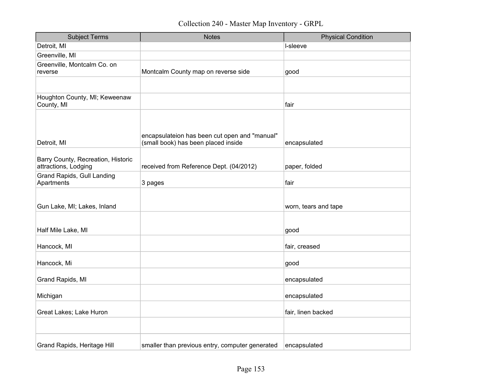| <b>Subject Terms</b>                                       | <b>Notes</b>                                                                         | <b>Physical Condition</b> |
|------------------------------------------------------------|--------------------------------------------------------------------------------------|---------------------------|
| Detroit, MI                                                |                                                                                      | I-sleeve                  |
| Greenville, MI                                             |                                                                                      |                           |
| Greenville, Montcalm Co. on<br>reverse                     | Montcalm County map on reverse side                                                  | good                      |
|                                                            |                                                                                      |                           |
| Houghton County, MI; Keweenaw<br>County, MI                |                                                                                      | fair                      |
| Detroit, MI                                                | encapsulateion has been cut open and "manual"<br>(small book) has been placed inside | encapsulated              |
| Barry County, Recreation, Historic<br>attractions, Lodging | received from Reference Dept. (04/2012)                                              | paper, folded             |
| <b>Grand Rapids, Gull Landing</b><br>Apartments            | 3 pages                                                                              | fair                      |
| Gun Lake, MI; Lakes, Inland                                |                                                                                      | worn, tears and tape      |
| Half Mile Lake, MI                                         |                                                                                      | good                      |
| Hancock, MI                                                |                                                                                      | fair, creased             |
| Hancock, Mi                                                |                                                                                      | good                      |
| Grand Rapids, MI                                           |                                                                                      | encapsulated              |
| Michigan                                                   |                                                                                      | encapsulated              |
| Great Lakes; Lake Huron                                    |                                                                                      | fair, linen backed        |
|                                                            |                                                                                      |                           |
| Grand Rapids, Heritage Hill                                | smaller than previous entry, computer generated                                      | encapsulated              |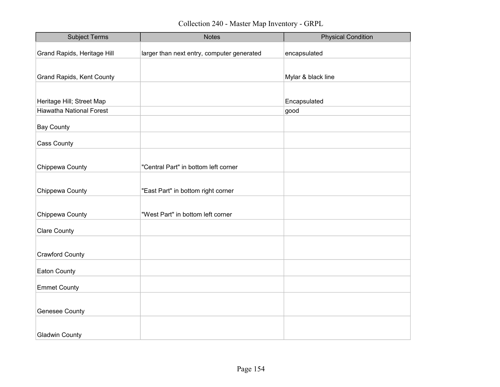| <b>Subject Terms</b>            | <b>Notes</b>                               | <b>Physical Condition</b> |
|---------------------------------|--------------------------------------------|---------------------------|
| Grand Rapids, Heritage Hill     | larger than next entry, computer generated | encapsulated              |
|                                 |                                            |                           |
| Grand Rapids, Kent County       |                                            | Mylar & black line        |
|                                 |                                            |                           |
| Heritage Hill; Street Map       |                                            | Encapsulated              |
| <b>Hiawatha National Forest</b> |                                            | good                      |
| <b>Bay County</b>               |                                            |                           |
| Cass County                     |                                            |                           |
|                                 |                                            |                           |
| Chippewa County                 | "Central Part" in bottom left corner       |                           |
|                                 |                                            |                           |
| Chippewa County                 | "East Part" in bottom right corner         |                           |
|                                 |                                            |                           |
| Chippewa County                 | "West Part" in bottom left corner          |                           |
| <b>Clare County</b>             |                                            |                           |
|                                 |                                            |                           |
| <b>Crawford County</b>          |                                            |                           |
| Eaton County                    |                                            |                           |
| <b>Emmet County</b>             |                                            |                           |
|                                 |                                            |                           |
| <b>Genesee County</b>           |                                            |                           |
|                                 |                                            |                           |
| <b>Gladwin County</b>           |                                            |                           |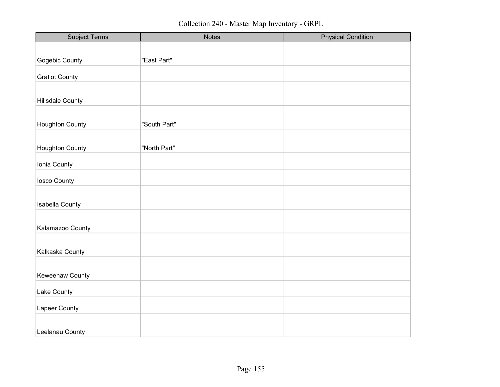| <b>Subject Terms</b>    | <b>Notes</b> | <b>Physical Condition</b> |
|-------------------------|--------------|---------------------------|
|                         |              |                           |
| Gogebic County          | "East Part"  |                           |
|                         |              |                           |
| <b>Gratiot County</b>   |              |                           |
|                         |              |                           |
| <b>Hillsdale County</b> |              |                           |
|                         |              |                           |
| Houghton County         | "South Part" |                           |
|                         |              |                           |
| <b>Houghton County</b>  | "North Part" |                           |
| Ionia County            |              |                           |
|                         |              |                           |
| losco County            |              |                           |
|                         |              |                           |
| <b>Isabella County</b>  |              |                           |
|                         |              |                           |
| Kalamazoo County        |              |                           |
|                         |              |                           |
| Kalkaska County         |              |                           |
|                         |              |                           |
| Keweenaw County         |              |                           |
|                         |              |                           |
| Lake County             |              |                           |
| Lapeer County           |              |                           |
|                         |              |                           |
| Leelanau County         |              |                           |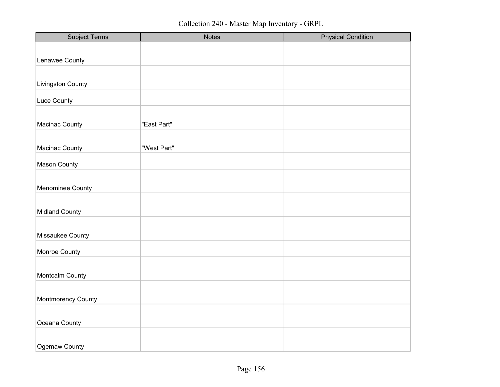| <b>Subject Terms</b>  | <b>Notes</b> | <b>Physical Condition</b> |
|-----------------------|--------------|---------------------------|
|                       |              |                           |
| Lenawee County        |              |                           |
|                       |              |                           |
| Livingston County     |              |                           |
|                       |              |                           |
| Luce County           |              |                           |
|                       |              |                           |
| Macinac County        | "East Part"  |                           |
|                       |              |                           |
| Macinac County        | "West Part"  |                           |
|                       |              |                           |
| Mason County          |              |                           |
|                       |              |                           |
| Menominee County      |              |                           |
|                       |              |                           |
| <b>Midland County</b> |              |                           |
|                       |              |                           |
|                       |              |                           |
| Missaukee County      |              |                           |
| Monroe County         |              |                           |
|                       |              |                           |
| Montcalm County       |              |                           |
|                       |              |                           |
|                       |              |                           |
| Montmorency County    |              |                           |
|                       |              |                           |
| Oceana County         |              |                           |
|                       |              |                           |
| Ogemaw County         |              |                           |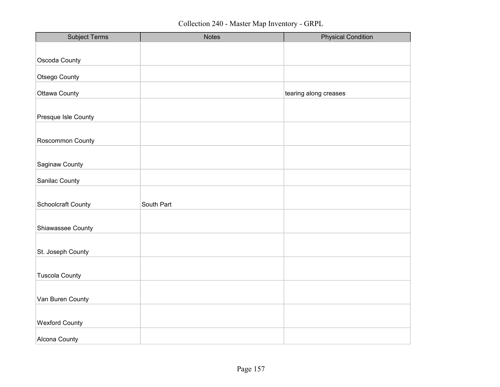| <b>Subject Terms</b>  | <b>Notes</b> | <b>Physical Condition</b> |
|-----------------------|--------------|---------------------------|
|                       |              |                           |
| Oscoda County         |              |                           |
|                       |              |                           |
| Otsego County         |              |                           |
| <b>Ottawa County</b>  |              | tearing along creases     |
|                       |              |                           |
| Presque Isle County   |              |                           |
|                       |              |                           |
| Roscommon County      |              |                           |
|                       |              |                           |
| Saginaw County        |              |                           |
|                       |              |                           |
| Sanilac County        |              |                           |
|                       |              |                           |
| Schoolcraft County    | South Part   |                           |
|                       |              |                           |
| Shiawassee County     |              |                           |
|                       |              |                           |
| St. Joseph County     |              |                           |
|                       |              |                           |
| <b>Tuscola County</b> |              |                           |
|                       |              |                           |
| Van Buren County      |              |                           |
|                       |              |                           |
| <b>Wexford County</b> |              |                           |
|                       |              |                           |
| Alcona County         |              |                           |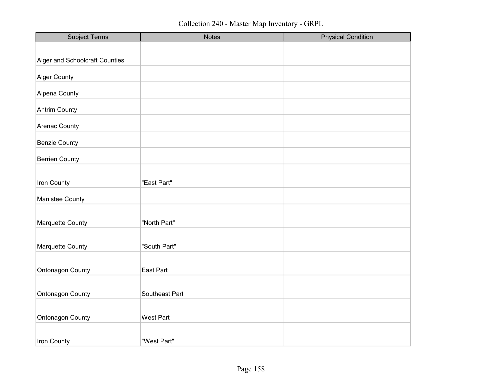| <b>Subject Terms</b>           | <b>Notes</b>     | <b>Physical Condition</b> |
|--------------------------------|------------------|---------------------------|
|                                |                  |                           |
| Alger and Schoolcraft Counties |                  |                           |
| <b>Alger County</b>            |                  |                           |
| Alpena County                  |                  |                           |
| <b>Antrim County</b>           |                  |                           |
| Arenac County                  |                  |                           |
| <b>Benzie County</b>           |                  |                           |
| <b>Berrien County</b>          |                  |                           |
|                                |                  |                           |
| Iron County                    | "East Part"      |                           |
| Manistee County                |                  |                           |
|                                |                  |                           |
| Marquette County               | "North Part"     |                           |
|                                |                  |                           |
| Marquette County               | "South Part"     |                           |
| Ontonagon County               | East Part        |                           |
|                                |                  |                           |
| Ontonagon County               | Southeast Part   |                           |
|                                |                  |                           |
| Ontonagon County               | <b>West Part</b> |                           |
|                                |                  |                           |
| Iron County                    | "West Part"      |                           |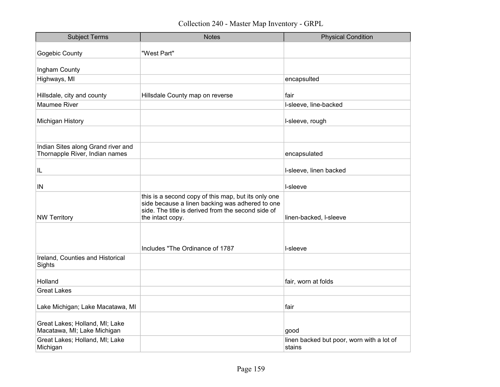| <b>Subject Terms</b>                                                 | <b>Notes</b>                                                                                                                                                                     | <b>Physical Condition</b>                           |
|----------------------------------------------------------------------|----------------------------------------------------------------------------------------------------------------------------------------------------------------------------------|-----------------------------------------------------|
| Gogebic County                                                       | "West Part"                                                                                                                                                                      |                                                     |
| Ingham County                                                        |                                                                                                                                                                                  |                                                     |
| Highways, MI                                                         |                                                                                                                                                                                  | encapsulted                                         |
| Hillsdale, city and county                                           | Hillsdale County map on reverse                                                                                                                                                  | fair                                                |
| <b>Maumee River</b>                                                  |                                                                                                                                                                                  | I-sleeve, line-backed                               |
| Michigan History                                                     |                                                                                                                                                                                  | I-sleeve, rough                                     |
|                                                                      |                                                                                                                                                                                  |                                                     |
| Indian Sites along Grand river and<br>Thornapple River, Indian names |                                                                                                                                                                                  | encapsulated                                        |
| IL                                                                   |                                                                                                                                                                                  | I-sleeve, linen backed                              |
| IN                                                                   |                                                                                                                                                                                  | I-sleeve                                            |
| <b>NW Territory</b>                                                  | this is a second copy of this map, but its only one<br>side because a linen backing was adhered to one<br>side. The title is derived from the second side of<br>the intact copy. | linen-backed, I-sleeve                              |
|                                                                      | Includes "The Ordinance of 1787                                                                                                                                                  | I-sleeve                                            |
| Ireland, Counties and Historical<br>Sights                           |                                                                                                                                                                                  |                                                     |
| Holland                                                              |                                                                                                                                                                                  | fair, worn at folds                                 |
| <b>Great Lakes</b>                                                   |                                                                                                                                                                                  |                                                     |
| Lake Michigan; Lake Macatawa, MI                                     |                                                                                                                                                                                  | fair                                                |
| Great Lakes; Holland, MI; Lake<br>Macatawa, MI; Lake Michigan        |                                                                                                                                                                                  | good                                                |
| Great Lakes; Holland, MI; Lake<br>Michigan                           |                                                                                                                                                                                  | linen backed but poor, worn with a lot of<br>stains |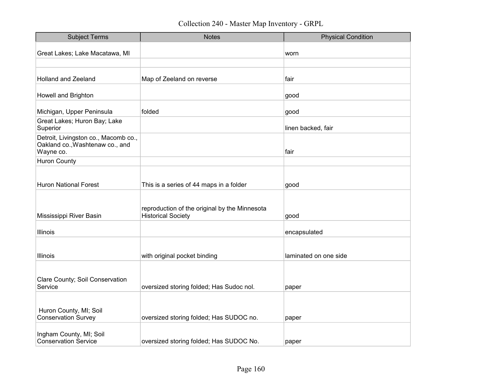| <b>Subject Terms</b>                                                                 | <b>Notes</b>                                                               | <b>Physical Condition</b> |
|--------------------------------------------------------------------------------------|----------------------------------------------------------------------------|---------------------------|
| Great Lakes; Lake Macatawa, MI                                                       |                                                                            | worn                      |
|                                                                                      |                                                                            |                           |
| <b>Holland and Zeeland</b>                                                           | Map of Zeeland on reverse                                                  | fair                      |
| Howell and Brighton                                                                  |                                                                            | good                      |
| Michigan, Upper Peninsula                                                            | folded                                                                     | good                      |
| Great Lakes; Huron Bay; Lake<br>Superior                                             |                                                                            | linen backed, fair        |
| Detroit, Livingston co., Macomb co.,<br>Oakland co., Washtenaw co., and<br>Wayne co. |                                                                            | fair                      |
| <b>Huron County</b>                                                                  |                                                                            |                           |
| <b>Huron National Forest</b>                                                         | This is a series of 44 maps in a folder                                    | good                      |
| Mississippi River Basin                                                              | reproduction of the original by the Minnesota<br><b>Historical Society</b> | good                      |
| Illinois                                                                             |                                                                            | encapsulated              |
| Illinois                                                                             | with original pocket binding                                               | laminated on one side     |
| Clare County; Soil Conservation<br>Service                                           | oversized storing folded; Has Sudoc nol.                                   | paper                     |
| Huron County, MI; Soil<br><b>Conservation Survey</b>                                 | oversized storing folded; Has SUDOC no.                                    | paper                     |
| Ingham County, MI; Soil<br><b>Conservation Service</b>                               | oversized storing folded; Has SUDOC No.                                    | paper                     |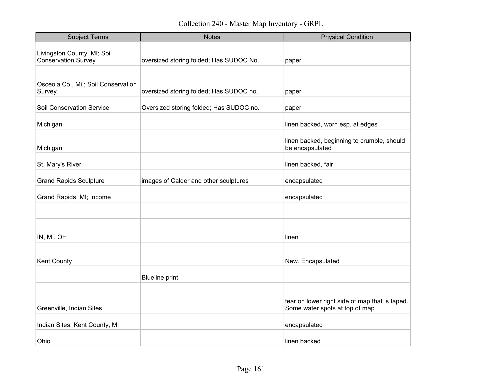| <b>Subject Terms</b>                                      | <b>Notes</b>                            | <b>Physical Condition</b>                                                        |
|-----------------------------------------------------------|-----------------------------------------|----------------------------------------------------------------------------------|
| Livingston County, MI; Soil<br><b>Conservation Survey</b> | oversized storing folded; Has SUDOC No. | paper                                                                            |
| Osceola Co., Mi.; Soil Conservation<br>Survey             | oversized storing folded; Has SUDOC no. | paper                                                                            |
| <b>Soil Conservation Service</b>                          | Oversized storing folded; Has SUDOC no. | paper                                                                            |
| Michigan                                                  |                                         | linen backed, worn esp. at edges                                                 |
| Michigan                                                  |                                         | linen backed, beginning to crumble, should<br>be encapsulated                    |
| St. Mary's River                                          |                                         | linen backed, fair                                                               |
| <b>Grand Rapids Sculpture</b>                             | images of Calder and other sculptures   | encapsulated                                                                     |
| Grand Rapids, MI; Income                                  |                                         | encapsulated                                                                     |
|                                                           |                                         |                                                                                  |
| IN, MI, OH                                                |                                         | linen                                                                            |
| Kent County                                               |                                         | New. Encapsulated                                                                |
|                                                           | Blueline print.                         |                                                                                  |
| Greenville, Indian Sites                                  |                                         | tear on lower right side of map that is taped.<br>Some water spots at top of map |
| Indian Sites; Kent County, MI                             |                                         | encapsulated                                                                     |
| Ohio                                                      |                                         | linen backed                                                                     |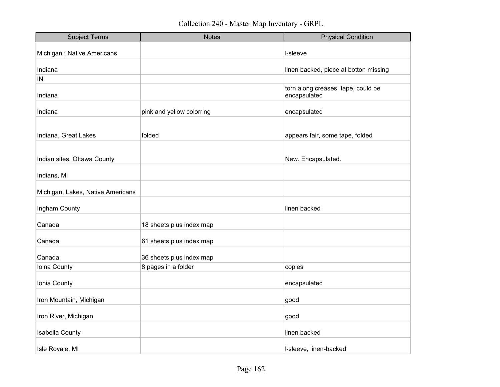| <b>Subject Terms</b>              | <b>Notes</b>              | <b>Physical Condition</b>                          |
|-----------------------------------|---------------------------|----------------------------------------------------|
| Michigan ; Native Americans       |                           | I-sleeve                                           |
| Indiana                           |                           | linen backed, piece at botton missing              |
| IN                                |                           |                                                    |
| Indiana                           |                           | torn along creases, tape, could be<br>encapsulated |
| Indiana                           | pink and yellow colorring | encapsulated                                       |
|                                   |                           |                                                    |
| Indiana, Great Lakes              | folded                    | appears fair, some tape, folded                    |
|                                   |                           |                                                    |
| Indian sites. Ottawa County       |                           | New. Encapsulated.                                 |
| Indians, MI                       |                           |                                                    |
| Michigan, Lakes, Native Americans |                           |                                                    |
| Ingham County                     |                           | linen backed                                       |
| Canada                            | 18 sheets plus index map  |                                                    |
| Canada                            | 61 sheets plus index map  |                                                    |
| Canada                            | 36 sheets plus index map  |                                                    |
| Ioina County                      | 8 pages in a folder       | copies                                             |
| Ionia County                      |                           | encapsulated                                       |
| Iron Mountain, Michigan           |                           | good                                               |
| Iron River, Michigan              |                           | good                                               |
| <b>Isabella County</b>            |                           | linen backed                                       |
| Isle Royale, MI                   |                           | I-sleeve, linen-backed                             |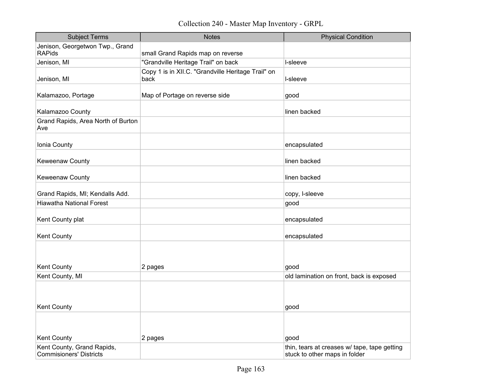Collection 240 - Master Map Inventory - GRPL

| <b>Subject Terms</b>                      | <b>Notes</b>                                               | <b>Physical Condition</b>                    |
|-------------------------------------------|------------------------------------------------------------|----------------------------------------------|
| Jenison, Georgetwon Twp., Grand           |                                                            |                                              |
| <b>RAPids</b>                             | small Grand Rapids map on reverse                          |                                              |
| Jenison, MI                               | "Grandville Heritage Trail" on back                        | I-sleeve                                     |
| Jenison, MI                               | Copy 1 is in XII.C. "Grandville Heritage Trail" on<br>back | I-sleeve                                     |
| Kalamazoo, Portage                        | Map of Portage on reverse side                             | good                                         |
| Kalamazoo County                          |                                                            | linen backed                                 |
| Grand Rapids, Area North of Burton<br>Ave |                                                            |                                              |
| Ionia County                              |                                                            | encapsulated                                 |
| Keweenaw County                           |                                                            | linen backed                                 |
| Keweenaw County                           |                                                            | linen backed                                 |
| Grand Rapids, MI; Kendalls Add.           |                                                            | copy, I-sleeve                               |
| <b>Hiawatha National Forest</b>           |                                                            | good                                         |
| Kent County plat                          |                                                            | encapsulated                                 |
| Kent County                               |                                                            | encapsulated                                 |
| Kent County                               | 2 pages                                                    | good                                         |
| Kent County, MI                           |                                                            | old lamination on front, back is exposed     |
| <b>Kent County</b>                        |                                                            | good                                         |
| Kent County                               | 2 pages                                                    | good                                         |
| Kent County, Grand Rapids,                |                                                            | thin, tears at creases w/ tape, tape getting |
| <b>Commisioners' Districts</b>            |                                                            | stuck to other maps in folder                |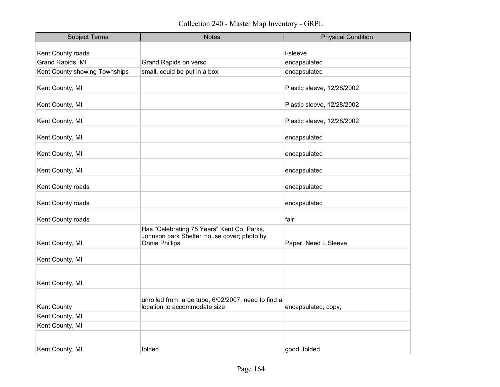| <b>Subject Terms</b>          | <b>Notes</b>                                                                                                      | <b>Physical Condition</b>  |
|-------------------------------|-------------------------------------------------------------------------------------------------------------------|----------------------------|
| Kent County roads             |                                                                                                                   | I-sleeve                   |
| Grand Rapids, MI              | Grand Rapids on verso                                                                                             | encapsulated               |
| Kent County showing Townships | small, could be put in a box                                                                                      | encapsulated               |
|                               |                                                                                                                   |                            |
| Kent County, MI               |                                                                                                                   | Plastic sleeve, 12/28/2002 |
| Kent County, MI               |                                                                                                                   | Plastic sleeve, 12/28/2002 |
| Kent County, MI               |                                                                                                                   | Plastic sleeve, 12/28/2002 |
| Kent County, MI               |                                                                                                                   | encapsulated               |
| Kent County, MI               |                                                                                                                   | encapsulated               |
| Kent County, MI               |                                                                                                                   | encapsulated               |
| Kent County roads             |                                                                                                                   | encapsulated               |
| Kent County roads             |                                                                                                                   | encapsulated               |
| Kent County roads             |                                                                                                                   | fair                       |
| Kent County, MI               | Has "Celebrating 75 Years" Kent Co. Parks,<br>Johnson park Shelter House cover; photo by<br><b>Onnie Phillips</b> | Paper. Need L Sleeve       |
| Kent County, MI               |                                                                                                                   |                            |
| Kent County, MI               |                                                                                                                   |                            |
| Kent County                   | unrolled from large tube, 6/02/2007, need to find a<br>location to accommodate size                               | encapsulated, copy,        |
| Kent County, MI               |                                                                                                                   |                            |
| Kent County, MI               |                                                                                                                   |                            |
|                               |                                                                                                                   |                            |
| Kent County, MI               | folded                                                                                                            | good, folded               |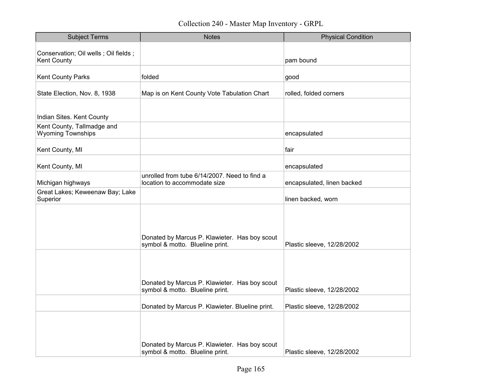| <b>Subject Terms</b>                                         | <b>Notes</b>                                                                     | <b>Physical Condition</b>  |
|--------------------------------------------------------------|----------------------------------------------------------------------------------|----------------------------|
| Conservation; Oil wells ; Oil fields ;<br><b>Kent County</b> |                                                                                  | pam bound                  |
| <b>Kent County Parks</b>                                     | folded                                                                           | good                       |
| State Election, Nov. 8, 1938                                 | Map is on Kent County Vote Tabulation Chart                                      | rolled, folded corners     |
| Indian Sites. Kent County                                    |                                                                                  |                            |
| Kent County, Tallmadge and<br><b>Wyoming Townships</b>       |                                                                                  | encapsulated               |
| Kent County, MI                                              |                                                                                  | fair                       |
| Kent County, MI                                              |                                                                                  | encapsulated               |
| Michigan highways                                            | unrolled from tube 6/14/2007. Need to find a<br>location to accommodate size     | encapsulated, linen backed |
| Great Lakes; Keweenaw Bay; Lake<br>Superior                  |                                                                                  | linen backed, worn         |
|                                                              | Donated by Marcus P. Klawieter. Has boy scout<br>symbol & motto. Blueline print. | Plastic sleeve, 12/28/2002 |
|                                                              | Donated by Marcus P. Klawieter. Has boy scout<br>symbol & motto. Blueline print. | Plastic sleeve, 12/28/2002 |
|                                                              | Donated by Marcus P. Klawieter. Blueline print.                                  | Plastic sleeve, 12/28/2002 |
|                                                              | Donated by Marcus P. Klawieter. Has boy scout<br>symbol & motto. Blueline print. | Plastic sleeve, 12/28/2002 |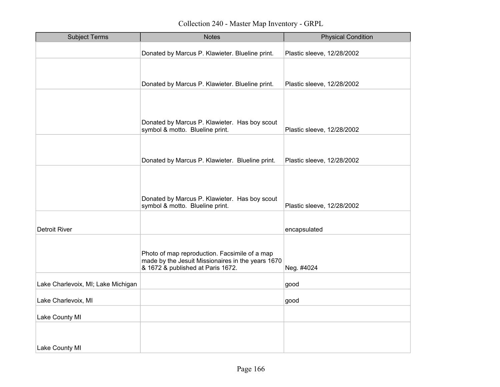| <b>Subject Terms</b>               | <b>Notes</b>                                                                                                                            | <b>Physical Condition</b>  |
|------------------------------------|-----------------------------------------------------------------------------------------------------------------------------------------|----------------------------|
|                                    | Donated by Marcus P. Klawieter. Blueline print.                                                                                         | Plastic sleeve, 12/28/2002 |
|                                    |                                                                                                                                         |                            |
|                                    | Donated by Marcus P. Klawieter. Blueline print.                                                                                         | Plastic sleeve, 12/28/2002 |
|                                    |                                                                                                                                         |                            |
|                                    | Donated by Marcus P. Klawieter. Has boy scout                                                                                           |                            |
|                                    | symbol & motto. Blueline print.                                                                                                         | Plastic sleeve, 12/28/2002 |
|                                    |                                                                                                                                         |                            |
|                                    | Donated by Marcus P. Klawieter. Blueline print.                                                                                         | Plastic sleeve, 12/28/2002 |
|                                    |                                                                                                                                         |                            |
|                                    |                                                                                                                                         |                            |
|                                    | Donated by Marcus P. Klawieter. Has boy scout<br>symbol & motto. Blueline print.                                                        | Plastic sleeve, 12/28/2002 |
|                                    |                                                                                                                                         |                            |
| <b>Detroit River</b>               |                                                                                                                                         | encapsulated               |
|                                    | Photo of map reproduction. Facsimile of a map<br>made by the Jesuit Missionaires in the years 1670<br>& 1672 & published at Paris 1672. | Neg. #4024                 |
| Lake Charlevoix, MI; Lake Michigan |                                                                                                                                         | good                       |
| Lake Charlevoix, MI                |                                                                                                                                         | good                       |
| Lake County MI                     |                                                                                                                                         |                            |
|                                    |                                                                                                                                         |                            |
|                                    |                                                                                                                                         |                            |
| Lake County MI                     |                                                                                                                                         |                            |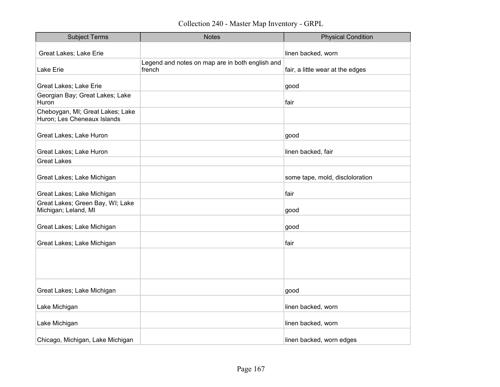Collection 240 - Master Map Inventory - GRPL

| <b>Subject Terms</b>                                            | <b>Notes</b>                                              | <b>Physical Condition</b>        |
|-----------------------------------------------------------------|-----------------------------------------------------------|----------------------------------|
| <b>Great Lakes; Lake Erie</b>                                   |                                                           | linen backed, worn               |
| Lake Erie                                                       | Legend and notes on map are in both english and<br>french | fair, a little wear at the edges |
| Great Lakes; Lake Erie                                          |                                                           | good                             |
| Georgian Bay; Great Lakes; Lake<br>Huron                        |                                                           | fair                             |
| Cheboygan, MI; Great Lakes; Lake<br>Huron; Les Cheneaux Islands |                                                           |                                  |
| Great Lakes; Lake Huron                                         |                                                           | good                             |
| Great Lakes; Lake Huron                                         |                                                           | linen backed, fair               |
| <b>Great Lakes</b>                                              |                                                           |                                  |
| Great Lakes; Lake Michigan                                      |                                                           | some tape, mold, discloloration  |
| Great Lakes; Lake Michigan                                      |                                                           | fair                             |
| Great Lakes; Green Bay, WI; Lake<br>Michigan; Leland, MI        |                                                           | good                             |
| Great Lakes; Lake Michigan                                      |                                                           | good                             |
| Great Lakes; Lake Michigan                                      |                                                           | fair                             |
|                                                                 |                                                           |                                  |
|                                                                 |                                                           |                                  |
| Great Lakes; Lake Michigan                                      |                                                           | good                             |
| Lake Michigan                                                   |                                                           | linen backed, worn               |
| Lake Michigan                                                   |                                                           | linen backed, worn               |
| Chicago, Michigan, Lake Michigan                                |                                                           | linen backed, worn edges         |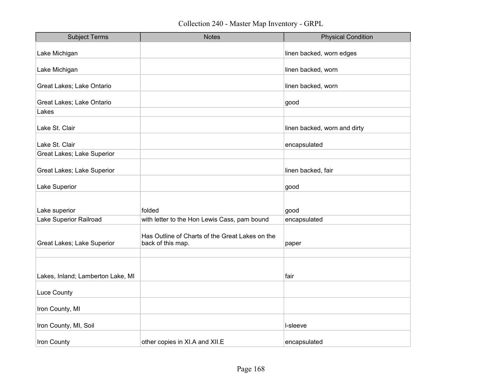| <b>Subject Terms</b>              | <b>Notes</b>                                                         | <b>Physical Condition</b>    |
|-----------------------------------|----------------------------------------------------------------------|------------------------------|
| Lake Michigan                     |                                                                      | linen backed, worn edges     |
| Lake Michigan                     |                                                                      | linen backed, worn           |
| Great Lakes; Lake Ontario         |                                                                      | linen backed, worn           |
| Great Lakes; Lake Ontario         |                                                                      | good                         |
| Lakes                             |                                                                      |                              |
| Lake St. Clair                    |                                                                      | linen backed, worn and dirty |
| Lake St. Clair                    |                                                                      | encapsulated                 |
| Great Lakes; Lake Superior        |                                                                      |                              |
| Great Lakes; Lake Superior        |                                                                      | linen backed, fair           |
| Lake Superior                     |                                                                      | good                         |
| Lake superior                     | folded                                                               | good                         |
| Lake Superior Railroad            | with letter to the Hon Lewis Cass, pam bound                         | encapsulated                 |
| Great Lakes; Lake Superior        | Has Outline of Charts of the Great Lakes on the<br>back of this map. | paper                        |
|                                   |                                                                      |                              |
| Lakes, Inland; Lamberton Lake, MI |                                                                      | fair                         |
| <b>Luce County</b>                |                                                                      |                              |
| Iron County, MI                   |                                                                      |                              |
| Iron County, MI, Soil             |                                                                      | I-sleeve                     |
| Iron County                       | other copies in XI.A and XII.E                                       | encapsulated                 |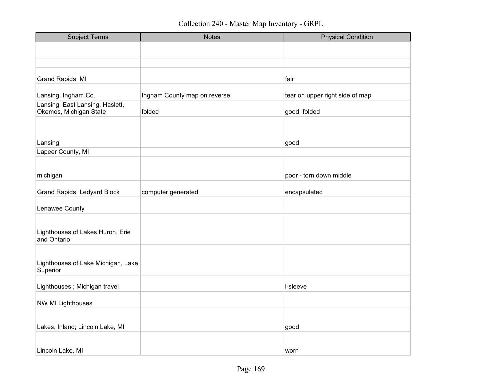| <b>Subject Terms</b>                                      | <b>Notes</b>                 | <b>Physical Condition</b>       |
|-----------------------------------------------------------|------------------------------|---------------------------------|
|                                                           |                              |                                 |
|                                                           |                              |                                 |
|                                                           |                              |                                 |
| <b>Grand Rapids, MI</b>                                   |                              | fair                            |
| Lansing, Ingham Co.                                       | Ingham County map on reverse | tear on upper right side of map |
| Lansing, East Lansing, Haslett,<br>Okemos, Michigan State | folded                       | good, folded                    |
|                                                           |                              |                                 |
|                                                           |                              |                                 |
| Lansing                                                   |                              | good                            |
| Lapeer County, MI                                         |                              |                                 |
|                                                           |                              |                                 |
| michigan                                                  |                              | poor - torn down middle         |
| <b>Grand Rapids, Ledyard Block</b>                        | computer generated           | encapsulated                    |
| Lenawee County                                            |                              |                                 |
|                                                           |                              |                                 |
| Lighthouses of Lakes Huron, Erie<br>and Ontario           |                              |                                 |
|                                                           |                              |                                 |
| Lighthouses of Lake Michigan, Lake<br>Superior            |                              |                                 |
| Lighthouses; Michigan travel                              |                              | I-sleeve                        |
| <b>NW MI Lighthouses</b>                                  |                              |                                 |
|                                                           |                              |                                 |
| Lakes, Inland; Lincoln Lake, MI                           |                              | good                            |
|                                                           |                              |                                 |
| Lincoln Lake, MI                                          |                              | worn                            |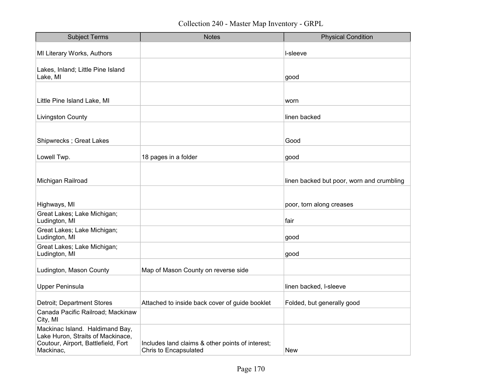| <b>Subject Terms</b>                                                                                                     | <b>Notes</b>                                                                     | <b>Physical Condition</b>                 |
|--------------------------------------------------------------------------------------------------------------------------|----------------------------------------------------------------------------------|-------------------------------------------|
| MI Literary Works, Authors                                                                                               |                                                                                  | l-sleeve                                  |
| Lakes, Inland; Little Pine Island<br>Lake, MI                                                                            |                                                                                  | good                                      |
| Little Pine Island Lake, MI                                                                                              |                                                                                  | worn                                      |
| <b>Livingston County</b>                                                                                                 |                                                                                  | linen backed                              |
| Shipwrecks ; Great Lakes                                                                                                 |                                                                                  | Good                                      |
| Lowell Twp.                                                                                                              | 18 pages in a folder                                                             | good                                      |
| Michigan Railroad                                                                                                        |                                                                                  | linen backed but poor, worn and crumbling |
| Highways, MI                                                                                                             |                                                                                  | poor, torn along creases                  |
| Great Lakes; Lake Michigan;<br>Ludington, MI                                                                             |                                                                                  | fair                                      |
| Great Lakes; Lake Michigan;<br>Ludington, MI                                                                             |                                                                                  | good                                      |
| Great Lakes; Lake Michigan;<br>Ludington, MI                                                                             |                                                                                  | good                                      |
| Ludington, Mason County                                                                                                  | Map of Mason County on reverse side                                              |                                           |
| <b>Upper Peninsula</b>                                                                                                   |                                                                                  | linen backed, I-sleeve                    |
| Detroit; Department Stores                                                                                               | Attached to inside back cover of guide booklet                                   | Folded, but generally good                |
| Canada Pacific Railroad; Mackinaw<br>City, MI                                                                            |                                                                                  |                                           |
| Mackinac Island. Haldimand Bay,<br>Lake Huron, Straits of Mackinace,<br>Coutour, Airport, Battlefield, Fort<br>Mackinac, | Includes land claims & other points of interest;<br><b>Chris to Encapsulated</b> | New                                       |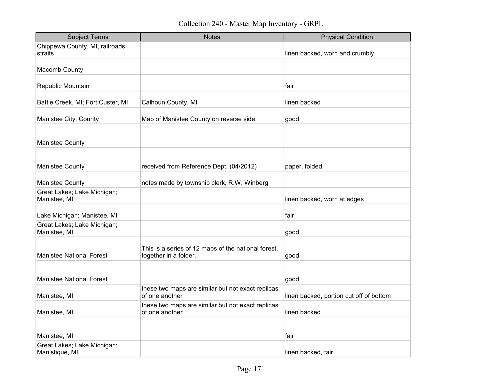Collection 240 - Master Map Inventory - GRPL

| <b>Subject Terms</b>                          | <b>Notes</b>                                                                 | <b>Physical Condition</b>               |
|-----------------------------------------------|------------------------------------------------------------------------------|-----------------------------------------|
| Chippewa County, MI, railroads,<br>straits    |                                                                              | linen backed, worn and crumbly          |
| Macomb County                                 |                                                                              |                                         |
| Republic Mountain                             |                                                                              | fair                                    |
| Battle Creek, MI; Fort Custer, MI             | Calhoun County, MI                                                           | linen backed                            |
| Manistee City, County                         | Map of Manistee County on reverse side                                       | good                                    |
|                                               |                                                                              |                                         |
| <b>Manistee County</b>                        |                                                                              |                                         |
| Manistee County                               | received from Reference Dept. (04/2012)                                      | paper, folded                           |
| <b>Manistee County</b>                        | notes made by township clerk, R.W. Winberg                                   |                                         |
| Great Lakes; Lake Michigan;<br>Manistee, MI   |                                                                              | linen backed, worn at edges             |
| Lake Michigan; Manistee, MI                   |                                                                              | fair                                    |
| Great Lakes; Lake Michigan;<br>Manistee, MI   |                                                                              | good                                    |
| <b>Manistee National Forest</b>               | This is a series of 12 maps of the national forest,<br>together in a folder. | good                                    |
|                                               |                                                                              |                                         |
| <b>Manistee National Forest</b>               |                                                                              | good                                    |
| Manistee, MI                                  | these two maps are similar but not exact repilcas<br>of one another          | linen backed, portion cut off of bottom |
| Manistee, MI                                  | these two maps are similar but not exact replicas<br>of one another          | linen backed                            |
|                                               |                                                                              |                                         |
| Manistee, MI                                  |                                                                              | fair                                    |
| Great Lakes; Lake Michigan;<br>Manistique, MI |                                                                              | linen backed, fair                      |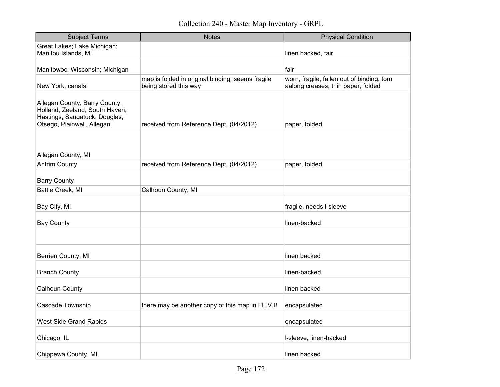| <b>Subject Terms</b>                                                                                                           | <b>Notes</b>                                                              | <b>Physical Condition</b>                                                        |
|--------------------------------------------------------------------------------------------------------------------------------|---------------------------------------------------------------------------|----------------------------------------------------------------------------------|
| Great Lakes; Lake Michigan;<br>Manitou Islands, MI                                                                             |                                                                           | linen backed, fair                                                               |
| Manitowoc, Wisconsin; Michigan                                                                                                 |                                                                           | fair                                                                             |
| New York, canals                                                                                                               | map is folded in original binding, seems fragile<br>being stored this way | worn, fragile, fallen out of binding, torn<br>aalong creases, thin paper, folded |
| Allegan County, Barry County,<br>Holland, Zeeland, South Haven,<br>Hastings, Saugatuck, Douglas,<br>Otsego, Plainwell, Allegan | received from Reference Dept. (04/2012)                                   | paper, folded                                                                    |
| Allegan County, MI                                                                                                             |                                                                           |                                                                                  |
| <b>Antrim County</b>                                                                                                           | received from Reference Dept. (04/2012)                                   | paper, folded                                                                    |
| <b>Barry County</b>                                                                                                            |                                                                           |                                                                                  |
| Battle Creek, MI                                                                                                               | Calhoun County, MI                                                        |                                                                                  |
| Bay City, MI                                                                                                                   |                                                                           | fragile, needs l-sleeve                                                          |
| <b>Bay County</b>                                                                                                              |                                                                           | linen-backed                                                                     |
|                                                                                                                                |                                                                           |                                                                                  |
| Berrien County, MI                                                                                                             |                                                                           | linen backed                                                                     |
| <b>Branch County</b>                                                                                                           |                                                                           | linen-backed                                                                     |
| <b>Calhoun County</b>                                                                                                          |                                                                           | linen backed                                                                     |
| <b>Cascade Township</b>                                                                                                        | there may be another copy of this map in FF.V.B                           | encapsulated                                                                     |
| West Side Grand Rapids                                                                                                         |                                                                           | encapsulated                                                                     |
| Chicago, IL                                                                                                                    |                                                                           | I-sleeve, linen-backed                                                           |
| Chippewa County, MI                                                                                                            |                                                                           | linen backed                                                                     |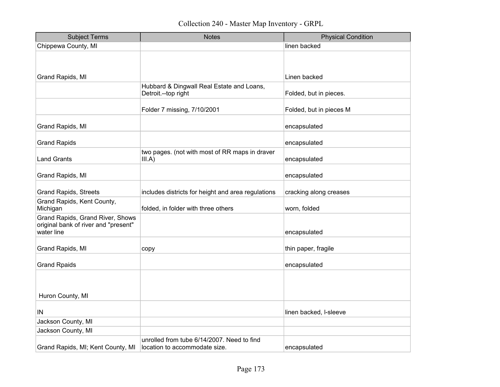| <b>Subject Terms</b>                                                                   | <b>Notes</b>                                                                | <b>Physical Condition</b> |
|----------------------------------------------------------------------------------------|-----------------------------------------------------------------------------|---------------------------|
| Chippewa County, MI                                                                    |                                                                             | linen backed              |
|                                                                                        |                                                                             |                           |
|                                                                                        |                                                                             |                           |
| Grand Rapids, MI                                                                       |                                                                             | Linen backed              |
|                                                                                        | Hubbard & Dingwall Real Estate and Loans,<br>Detroit.--top right            | Folded, but in pieces.    |
|                                                                                        | Folder 7 missing, 7/10/2001                                                 | Folded, but in pieces M   |
| Grand Rapids, MI                                                                       |                                                                             | encapsulated              |
| <b>Grand Rapids</b>                                                                    |                                                                             | encapsulated              |
| <b>Land Grants</b>                                                                     | two pages. (not with most of RR maps in draver<br>III.A)                    | encapsulated              |
| Grand Rapids, MI                                                                       |                                                                             | encapsulated              |
| <b>Grand Rapids, Streets</b>                                                           | includes districts for height and area regulations                          | cracking along creases    |
| Grand Rapids, Kent County,<br>Michigan                                                 | folded, in folder with three others                                         | worn, folded              |
| Grand Rapids, Grand River, Shows<br>original bank of river and "present"<br>water line |                                                                             | encapsulated              |
| Grand Rapids, MI                                                                       | copy                                                                        | thin paper, fragile       |
| <b>Grand Rpaids</b>                                                                    |                                                                             | encapsulated              |
| Huron County, MI                                                                       |                                                                             |                           |
| IN                                                                                     |                                                                             | linen backed, I-sleeve    |
| Jackson County, MI                                                                     |                                                                             |                           |
| Jackson County, MI                                                                     |                                                                             |                           |
| Grand Rapids, MI; Kent County, MI                                                      | unrolled from tube 6/14/2007. Need to find<br>location to accommodate size. | encapsulated              |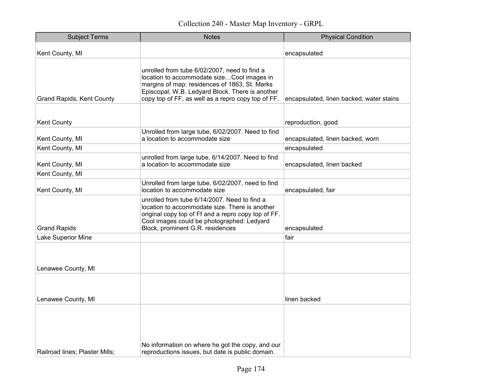| <b>Subject Terms</b>             | <b>Notes</b>                                                                                                                                                                                                                                         | <b>Physical Condition</b>                |
|----------------------------------|------------------------------------------------------------------------------------------------------------------------------------------------------------------------------------------------------------------------------------------------------|------------------------------------------|
| Kent County, MI                  |                                                                                                                                                                                                                                                      | encapsulated                             |
| <b>Grand Rapids, Kent County</b> | unrolled from tube 6/02/2007, need to find a<br>location to accommodate sizeCool images in<br>margins of map: residences of 1863, St. Marks<br>Episcopal, W.B. Ledyard Block. There is another<br>copy top of FF, as well as a repro copy top of FF. | encapsulated, linen backed, water stains |
|                                  |                                                                                                                                                                                                                                                      |                                          |
| <b>Kent County</b>               |                                                                                                                                                                                                                                                      | reproduction, good                       |
| Kent County, MI                  | Unrolled from large tube, 6/02/2007. Need to find<br>a location to accommodate size                                                                                                                                                                  | encapsulated, linen backed, worn         |
| Kent County, MI                  |                                                                                                                                                                                                                                                      | encapsulated                             |
| Kent County, MI                  | unrolled from large tube, 6/14/2007. Need to find<br>a location to accommodate size                                                                                                                                                                  | encapsulated, linen backed               |
| Kent County, MI                  |                                                                                                                                                                                                                                                      |                                          |
| Kent County, MI                  | Unrolled from large tube, 6/02/2007, need to find<br>location to accommodate size                                                                                                                                                                    | encapsulated, fair                       |
| <b>Grand Rapids</b>              | unrolled from tube 6/14/2007. Need to find a<br>location to accommodate size. There is another<br>original copy top of Ff and a repro copy top of FF.<br>Cool images could be photographed: Ledyard<br>Block, prominent G.R. residences              | encapsulated                             |
| Lake Superior Mine               |                                                                                                                                                                                                                                                      | fair                                     |
| Lenawee County, MI               |                                                                                                                                                                                                                                                      |                                          |
| Lenawee County, MI               |                                                                                                                                                                                                                                                      | linen backed                             |
| Railroad lines; Plaster Mills;   | No information on where he got the copy, and our<br>reproductions issues, but date is public domain.                                                                                                                                                 |                                          |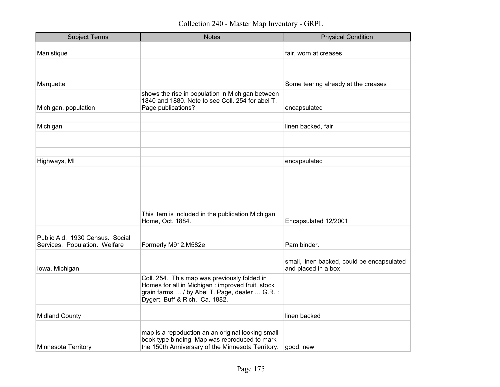| <b>Subject Terms</b>            | <b>Notes</b>                                                                                         | <b>Physical Condition</b>                                         |
|---------------------------------|------------------------------------------------------------------------------------------------------|-------------------------------------------------------------------|
| Manistique                      |                                                                                                      | fair, worn at creases                                             |
|                                 |                                                                                                      |                                                                   |
| Marquette                       |                                                                                                      | Some tearing already at the creases                               |
|                                 | shows the rise in population in Michigan between<br>1840 and 1880. Note to see Coll. 254 for abel T. |                                                                   |
| Michigan, population            | Page publications?                                                                                   | encapsulated                                                      |
|                                 |                                                                                                      |                                                                   |
| Michigan                        |                                                                                                      | linen backed, fair                                                |
|                                 |                                                                                                      |                                                                   |
|                                 |                                                                                                      |                                                                   |
| Highways, MI                    |                                                                                                      | encapsulated                                                      |
|                                 |                                                                                                      |                                                                   |
|                                 |                                                                                                      |                                                                   |
|                                 |                                                                                                      |                                                                   |
|                                 |                                                                                                      |                                                                   |
|                                 |                                                                                                      |                                                                   |
|                                 | This item is included in the publication Michigan<br>Home, Oct. 1884.                                | Encapsulated 12/2001                                              |
|                                 |                                                                                                      |                                                                   |
| Public Aid. 1930 Census. Social |                                                                                                      |                                                                   |
| Services. Population. Welfare   | Formerly M912.M582e                                                                                  | Pam binder.                                                       |
|                                 |                                                                                                      |                                                                   |
| lowa, Michigan                  |                                                                                                      | small, linen backed, could be encapsulated<br>and placed in a box |
|                                 | Coll. 254. This map was previously folded in                                                         |                                                                   |
|                                 | Homes for all in Michigan : improved fruit, stock                                                    |                                                                   |
|                                 | grain farms  / by Abel T. Page, dealer  G.R. :                                                       |                                                                   |
|                                 | Dygert, Buff & Rich. Ca. 1882.                                                                       |                                                                   |
| <b>Midland County</b>           |                                                                                                      | linen backed                                                      |
|                                 |                                                                                                      |                                                                   |
|                                 | map is a repoduction an an original looking small<br>book type binding. Map was reproduced to mark   |                                                                   |
| <b>Minnesota Territory</b>      | the 150th Anniversary of the Minnesota Territory.                                                    | good, new                                                         |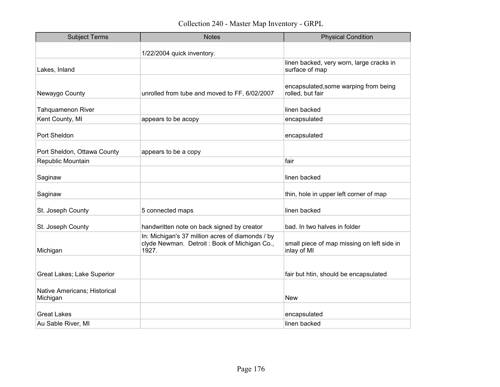| <b>Subject Terms</b>                     | <b>Notes</b>                                                                                              | <b>Physical Condition</b>                                  |
|------------------------------------------|-----------------------------------------------------------------------------------------------------------|------------------------------------------------------------|
|                                          | 1/22/2004 quick inventory.                                                                                |                                                            |
| Lakes, Inland                            |                                                                                                           | linen backed, very worn, large cracks in<br>surface of map |
| Newaygo County                           | unrolled from tube and moved to FF, 6/02/2007                                                             | encapsulated, some warping from being<br>rolled, but fair  |
| <b>Tahquamenon River</b>                 |                                                                                                           | linen backed                                               |
| Kent County, MI                          | appears to be acopy                                                                                       | encapsulated                                               |
| Port Sheldon                             |                                                                                                           | encapsulated                                               |
| Port Sheldon, Ottawa County              | appears to be a copy                                                                                      |                                                            |
| Republic Mountain                        |                                                                                                           | fair                                                       |
| Saginaw                                  |                                                                                                           | linen backed                                               |
| Saginaw                                  |                                                                                                           | thin, hole in upper left corner of map                     |
| St. Joseph County                        | 5 connected maps                                                                                          | linen backed                                               |
| St. Joseph County                        | handwritten note on back signed by creator                                                                | bad. In two halves in folder                               |
| Michigan                                 | In: Michigan's 37 million acres of diamonds / by<br>clyde Newman. Detroit: Book of Michigan Co.,<br>1927. | small piece of map missing on left side in<br>inlay of MI  |
| Great Lakes; Lake Superior               |                                                                                                           | fair but htin, should be encapsulated                      |
| Native Americans; Historical<br>Michigan |                                                                                                           | <b>New</b>                                                 |
| <b>Great Lakes</b>                       |                                                                                                           | encapsulated                                               |
| Au Sable River, MI                       |                                                                                                           | linen backed                                               |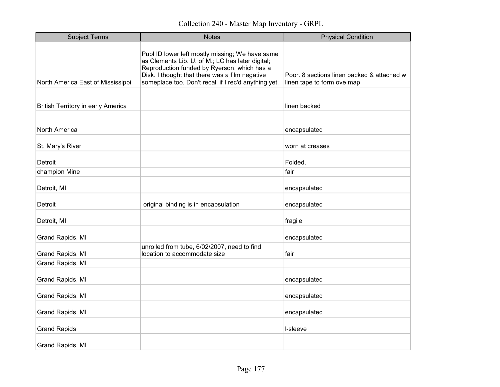| <b>Subject Terms</b>                      | <b>Notes</b>                                                                                                                                                                                                                                                 | <b>Physical Condition</b>                                                |
|-------------------------------------------|--------------------------------------------------------------------------------------------------------------------------------------------------------------------------------------------------------------------------------------------------------------|--------------------------------------------------------------------------|
| North America East of Mississippi         | Publ ID lower left mostly missing; We have same<br>as Clements Lib. U. of M.; LC has later digital;<br>Reproduction funded by Ryerson, which has a<br>Disk. I thought that there was a film negative<br>someplace too. Don't recall if I rec'd anything yet. | Poor. 8 sections linen backed & attached w<br>linen tape to form ove map |
| <b>British Territory in early America</b> |                                                                                                                                                                                                                                                              | linen backed                                                             |
| North America                             |                                                                                                                                                                                                                                                              | encapsulated                                                             |
| St. Mary's River                          |                                                                                                                                                                                                                                                              | worn at creases                                                          |
| Detroit                                   |                                                                                                                                                                                                                                                              | Folded.                                                                  |
| champion Mine                             |                                                                                                                                                                                                                                                              | fair                                                                     |
| Detroit, MI                               |                                                                                                                                                                                                                                                              | encapsulated                                                             |
| Detroit                                   | original binding is in encapsulation                                                                                                                                                                                                                         | encapsulated                                                             |
| Detroit, MI                               |                                                                                                                                                                                                                                                              | fragile                                                                  |
| Grand Rapids, MI                          |                                                                                                                                                                                                                                                              | encapsulated                                                             |
| Grand Rapids, MI                          | unrolled from tube, 6/02/2007, need to find<br>location to accommodate size                                                                                                                                                                                  | fair                                                                     |
| Grand Rapids, MI                          |                                                                                                                                                                                                                                                              |                                                                          |
| Grand Rapids, MI                          |                                                                                                                                                                                                                                                              | encapsulated                                                             |
| Grand Rapids, MI                          |                                                                                                                                                                                                                                                              | encapsulated                                                             |
| Grand Rapids, MI                          |                                                                                                                                                                                                                                                              | encapsulated                                                             |
| <b>Grand Rapids</b>                       |                                                                                                                                                                                                                                                              | I-sleeve                                                                 |
| Grand Rapids, MI                          |                                                                                                                                                                                                                                                              |                                                                          |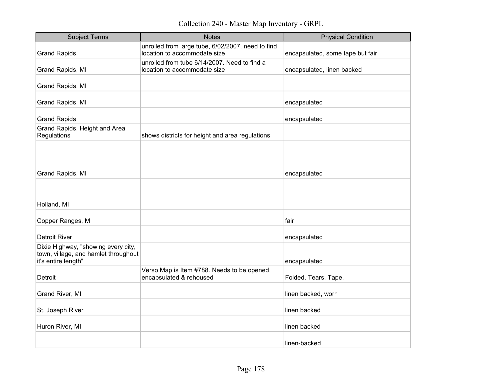Collection 240 - Master Map Inventory - GRPL

| <b>Subject Terms</b>                                                                               | <b>Notes</b>                                                                      | <b>Physical Condition</b>        |
|----------------------------------------------------------------------------------------------------|-----------------------------------------------------------------------------------|----------------------------------|
| <b>Grand Rapids</b>                                                                                | unrolled from large tube, 6/02/2007, need to find<br>location to accommodate size | encapsulated, some tape but fair |
| Grand Rapids, MI                                                                                   | unrolled from tube 6/14/2007. Need to find a<br>location to accommodate size      | encapsulated, linen backed       |
| Grand Rapids, MI                                                                                   |                                                                                   |                                  |
| Grand Rapids, MI                                                                                   |                                                                                   | encapsulated                     |
| <b>Grand Rapids</b>                                                                                |                                                                                   | encapsulated                     |
| Grand Rapids, Height and Area<br>Regulations                                                       | shows districts for height and area regulations                                   |                                  |
| Grand Rapids, MI                                                                                   |                                                                                   | encapsulated                     |
|                                                                                                    |                                                                                   |                                  |
| Holland, MI                                                                                        |                                                                                   |                                  |
| Copper Ranges, MI                                                                                  |                                                                                   | fair                             |
| <b>Detroit River</b>                                                                               |                                                                                   | encapsulated                     |
| Dixie Highway, "showing every city,<br>town, village, and hamlet throughout<br>it's entire length" |                                                                                   | encapsulated                     |
| Detroit                                                                                            | Verso Map is Item #788. Needs to be opened,<br>encapsulated & rehoused            | Folded. Tears. Tape.             |
| Grand River, MI                                                                                    |                                                                                   | linen backed, worn               |
| St. Joseph River                                                                                   |                                                                                   | linen backed                     |
| Huron River, MI                                                                                    |                                                                                   | linen backed                     |
|                                                                                                    |                                                                                   | linen-backed                     |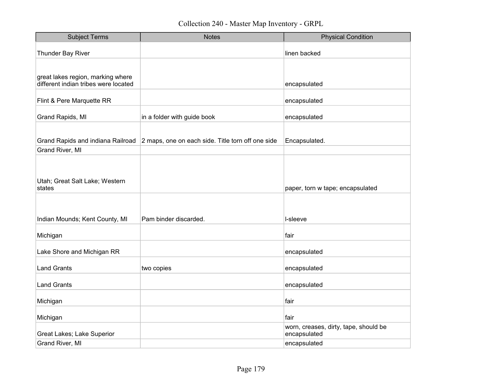| <b>Subject Terms</b>                                                      | <b>Notes</b>                                      | <b>Physical Condition</b>                             |
|---------------------------------------------------------------------------|---------------------------------------------------|-------------------------------------------------------|
| Thunder Bay River                                                         |                                                   | linen backed                                          |
|                                                                           |                                                   |                                                       |
| great lakes region, marking where<br>different indian tribes were located |                                                   | encapsulated                                          |
| Flint & Pere Marquette RR                                                 |                                                   | encapsulated                                          |
| Grand Rapids, MI                                                          | in a folder with guide book                       | encapsulated                                          |
|                                                                           |                                                   |                                                       |
| Grand Rapids and indiana Railroad                                         | 2 maps, one on each side. Title torn off one side | Encapsulated.                                         |
| Grand River, MI                                                           |                                                   |                                                       |
| Utah; Great Salt Lake; Western<br>states                                  |                                                   | paper, torn w tape; encapsulated                      |
| Indian Mounds; Kent County, MI                                            | Pam binder discarded.                             | I-sleeve                                              |
| Michigan                                                                  |                                                   | fair                                                  |
| Lake Shore and Michigan RR                                                |                                                   | encapsulated                                          |
| <b>Land Grants</b>                                                        | two copies                                        | encapsulated                                          |
| <b>Land Grants</b>                                                        |                                                   | encapsulated                                          |
| Michigan                                                                  |                                                   | fair                                                  |
| Michigan                                                                  |                                                   | fair                                                  |
| Great Lakes; Lake Superior                                                |                                                   | worn, creases, dirty, tape, should be<br>encapsulated |
| Grand River, MI                                                           |                                                   | encapsulated                                          |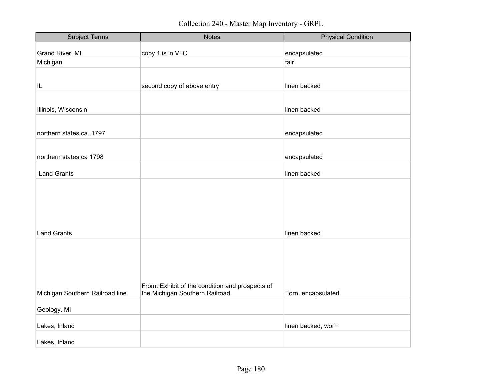| <b>Subject Terms</b>            | <b>Notes</b>                                    | <b>Physical Condition</b> |
|---------------------------------|-------------------------------------------------|---------------------------|
| Grand River, MI                 | copy 1 is in VI.C                               | encapsulated              |
| Michigan                        |                                                 | fair                      |
|                                 |                                                 |                           |
|                                 |                                                 |                           |
| IL.                             | second copy of above entry                      | linen backed              |
|                                 |                                                 |                           |
| Illinois, Wisconsin             |                                                 | linen backed              |
|                                 |                                                 |                           |
|                                 |                                                 |                           |
| northern states ca. 1797        |                                                 | encapsulated              |
|                                 |                                                 |                           |
| northern states ca 1798         |                                                 | encapsulated              |
|                                 |                                                 |                           |
| <b>Land Grants</b>              |                                                 | linen backed              |
|                                 |                                                 |                           |
|                                 |                                                 |                           |
|                                 |                                                 |                           |
|                                 |                                                 |                           |
|                                 |                                                 |                           |
| <b>Land Grants</b>              |                                                 | linen backed              |
|                                 |                                                 |                           |
|                                 |                                                 |                           |
|                                 |                                                 |                           |
|                                 |                                                 |                           |
|                                 |                                                 |                           |
|                                 | From: Exhibit of the condition and prospects of |                           |
| Michigan Southern Railroad line | the Michigan Southern Railroad                  | Torn, encapsulated        |
|                                 |                                                 |                           |
| Geology, MI                     |                                                 |                           |
| Lakes, Inland                   |                                                 | linen backed, worn        |
|                                 |                                                 |                           |
| Lakes, Inland                   |                                                 |                           |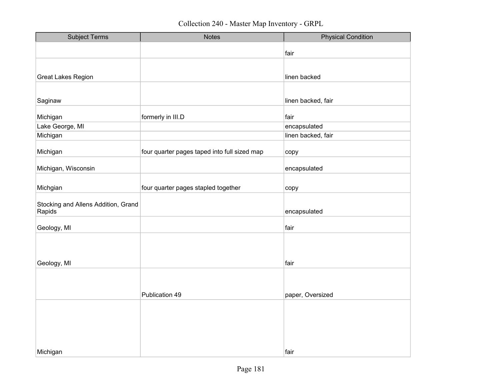| <b>Subject Terms</b>                          | <b>Notes</b>                                 | <b>Physical Condition</b> |
|-----------------------------------------------|----------------------------------------------|---------------------------|
|                                               |                                              | fair                      |
|                                               |                                              |                           |
|                                               |                                              |                           |
| <b>Great Lakes Region</b>                     |                                              | linen backed              |
|                                               |                                              |                           |
| Saginaw                                       |                                              | linen backed, fair        |
|                                               |                                              |                           |
| Michigan                                      | formerly in III.D                            | fair                      |
| Lake George, MI                               |                                              | encapsulated              |
| Michigan                                      |                                              | linen backed, fair        |
| Michigan                                      | four quarter pages taped into full sized map | copy                      |
| Michigan, Wisconsin                           |                                              | encapsulated              |
|                                               |                                              |                           |
| Michgian                                      | four quarter pages stapled together          | copy                      |
|                                               |                                              |                           |
| Stocking and Allens Addition, Grand<br>Rapids |                                              | encapsulated              |
|                                               |                                              |                           |
| Geology, MI                                   |                                              | fair                      |
|                                               |                                              |                           |
|                                               |                                              |                           |
|                                               |                                              | fair                      |
| Geology, MI                                   |                                              |                           |
|                                               |                                              |                           |
|                                               |                                              |                           |
|                                               | Publication 49                               | paper, Oversized          |
|                                               |                                              |                           |
|                                               |                                              |                           |
|                                               |                                              |                           |
|                                               |                                              |                           |
|                                               |                                              |                           |
| Michigan                                      |                                              | fair                      |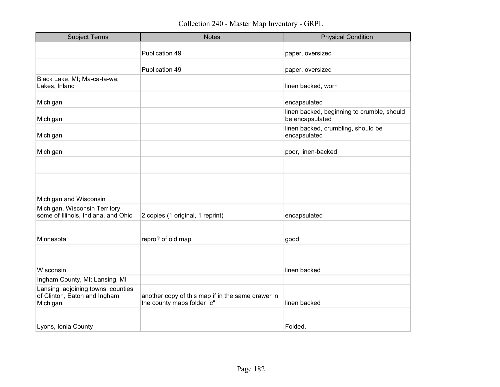| <b>Subject Terms</b>                                                           | <b>Notes</b>                                                                    | <b>Physical Condition</b>                                     |
|--------------------------------------------------------------------------------|---------------------------------------------------------------------------------|---------------------------------------------------------------|
|                                                                                | Publication 49                                                                  | paper, oversized                                              |
|                                                                                | Publication 49                                                                  | paper, oversized                                              |
| Black Lake, MI; Ma-ca-ta-wa;<br>Lakes, Inland                                  |                                                                                 | linen backed, worn                                            |
| Michigan                                                                       |                                                                                 | encapsulated                                                  |
| Michigan                                                                       |                                                                                 | linen backed, beginning to crumble, should<br>be encapsulated |
| Michigan                                                                       |                                                                                 | linen backed, crumbling, should be<br>encapsulated            |
| Michigan                                                                       |                                                                                 | poor, linen-backed                                            |
|                                                                                |                                                                                 |                                                               |
|                                                                                |                                                                                 |                                                               |
| Michigan and Wisconsin                                                         |                                                                                 |                                                               |
| Michigan, Wisconsin Territory,<br>some of Illinois, Indiana, and Ohio          | 2 copies (1 original, 1 reprint)                                                | encapsulated                                                  |
|                                                                                |                                                                                 |                                                               |
| Minnesota                                                                      | repro? of old map                                                               | good                                                          |
|                                                                                |                                                                                 |                                                               |
| Wisconsin                                                                      |                                                                                 | linen backed                                                  |
| Ingham County, MI; Lansing, MI                                                 |                                                                                 |                                                               |
| Lansing, adjoining towns, counties<br>of Clinton, Eaton and Ingham<br>Michigan | another copy of this map if in the same drawer in<br>the county maps folder "c" | linen backed                                                  |
|                                                                                |                                                                                 |                                                               |
| Lyons, Ionia County                                                            |                                                                                 | Folded.                                                       |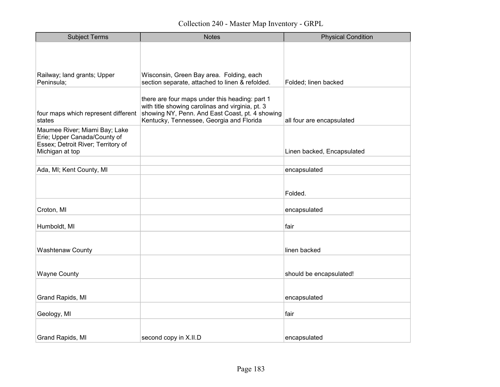| <b>Subject Terms</b>                                               | <b>Notes</b>                                                                                                                                    | <b>Physical Condition</b>  |
|--------------------------------------------------------------------|-------------------------------------------------------------------------------------------------------------------------------------------------|----------------------------|
|                                                                    |                                                                                                                                                 |                            |
|                                                                    |                                                                                                                                                 |                            |
| Railway; land grants; Upper                                        | Wisconsin, Green Bay area. Folding, each                                                                                                        |                            |
| Peninsula;                                                         | section separate, attached to linen & refolded.                                                                                                 | Folded; linen backed       |
|                                                                    | there are four maps under this heading: part 1                                                                                                  |                            |
| four maps which represent different<br>states                      | with title showing carolinas and virginia, pt. 3<br>showing NY, Penn. And East Coast, pt. 4 showing<br>Kentucky, Tennessee, Georgia and Florida | all four are encapsulated  |
| Maumee River; Miami Bay; Lake                                      |                                                                                                                                                 |                            |
| Erie; Upper Canada/County of<br>Essex; Detroit River; Territory of |                                                                                                                                                 |                            |
| Michigan at top                                                    |                                                                                                                                                 | Linen backed, Encapsulated |
|                                                                    |                                                                                                                                                 |                            |
| Ada, MI; Kent County, MI                                           |                                                                                                                                                 | encapsulated               |
|                                                                    |                                                                                                                                                 |                            |
|                                                                    |                                                                                                                                                 | Folded.                    |
| Croton, MI                                                         |                                                                                                                                                 | encapsulated               |
| Humboldt, MI                                                       |                                                                                                                                                 | fair                       |
|                                                                    |                                                                                                                                                 |                            |
| <b>Washtenaw County</b>                                            |                                                                                                                                                 | linen backed               |
|                                                                    |                                                                                                                                                 |                            |
| <b>Wayne County</b>                                                |                                                                                                                                                 | should be encapsulated!    |
|                                                                    |                                                                                                                                                 |                            |
| Grand Rapids, MI                                                   |                                                                                                                                                 | encapsulated               |
| Geology, MI                                                        |                                                                                                                                                 | fair                       |
|                                                                    |                                                                                                                                                 |                            |
| Grand Rapids, MI                                                   | second copy in X.II.D                                                                                                                           | encapsulated               |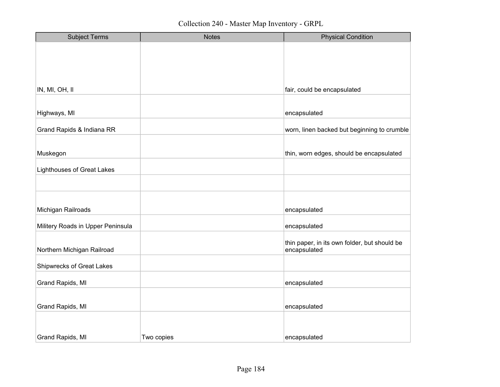| <b>Subject Terms</b>              | <b>Notes</b> | <b>Physical Condition</b>                                    |
|-----------------------------------|--------------|--------------------------------------------------------------|
|                                   |              |                                                              |
|                                   |              |                                                              |
|                                   |              |                                                              |
|                                   |              |                                                              |
| IN, MI, OH, II                    |              | fair, could be encapsulated                                  |
|                                   |              |                                                              |
| Highways, MI                      |              | encapsulated                                                 |
| Grand Rapids & Indiana RR         |              | worn, linen backed but beginning to crumble                  |
|                                   |              |                                                              |
| Muskegon                          |              | thin, worn edges, should be encapsulated                     |
| <b>Lighthouses of Great Lakes</b> |              |                                                              |
|                                   |              |                                                              |
|                                   |              |                                                              |
| Michigan Railroads                |              | encapsulated                                                 |
| Militery Roads in Upper Peninsula |              | encapsulated                                                 |
|                                   |              |                                                              |
| Northern Michigan Railroad        |              | thin paper, in its own folder, but should be<br>encapsulated |
| <b>Shipwrecks of Great Lakes</b>  |              |                                                              |
|                                   |              |                                                              |
| Grand Rapids, MI                  |              | encapsulated                                                 |
|                                   |              |                                                              |
| Grand Rapids, MI                  |              | encapsulated                                                 |
|                                   |              |                                                              |
| Grand Rapids, MI                  | Two copies   | encapsulated                                                 |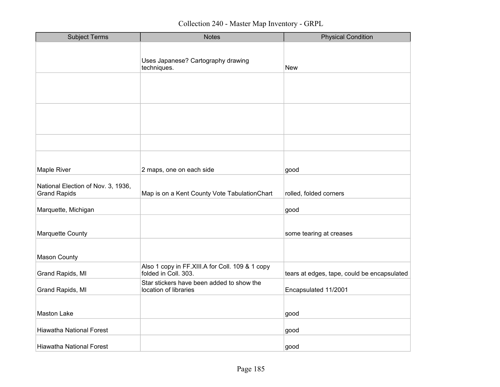| <b>Subject Terms</b>                                      | <b>Notes</b>                                                            | <b>Physical Condition</b>                   |
|-----------------------------------------------------------|-------------------------------------------------------------------------|---------------------------------------------|
|                                                           | Uses Japanese? Cartography drawing<br>techniques.                       | New                                         |
|                                                           |                                                                         |                                             |
|                                                           |                                                                         |                                             |
|                                                           |                                                                         |                                             |
| Maple River                                               | 2 maps, one on each side                                                | good                                        |
| National Election of Nov. 3, 1936,<br><b>Grand Rapids</b> | Map is on a Kent County Vote TabulationChart                            | rolled, folded corners                      |
| Marquette, Michigan                                       |                                                                         | good                                        |
| Marquette County                                          |                                                                         | some tearing at creases                     |
| <b>Mason County</b>                                       |                                                                         |                                             |
| Grand Rapids, MI                                          | Also 1 copy in FF.XIII.A for Coll. 109 & 1 copy<br>folded in Coll. 303. | tears at edges, tape, could be encapsulated |
| Grand Rapids, MI                                          | Star stickers have been added to show the<br>location of libraries      | Encapsulated 11/2001                        |
| <b>Maston Lake</b>                                        |                                                                         | good                                        |
| <b>Hiawatha National Forest</b>                           |                                                                         | good                                        |
| <b>Hiawatha National Forest</b>                           |                                                                         | good                                        |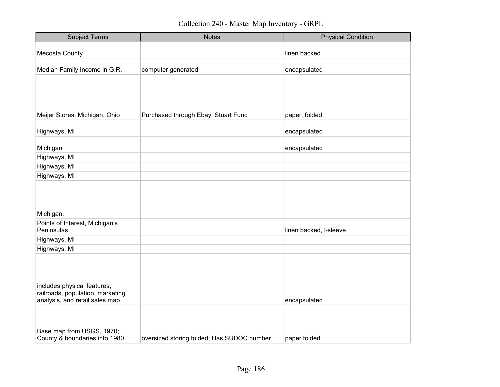| <b>Subject Terms</b>                                            | <b>Notes</b>                               | <b>Physical Condition</b> |
|-----------------------------------------------------------------|--------------------------------------------|---------------------------|
| Mecosta County                                                  |                                            | linen backed              |
|                                                                 |                                            |                           |
| Median Family Income in G.R.                                    | computer generated                         | encapsulated              |
|                                                                 |                                            |                           |
|                                                                 |                                            |                           |
|                                                                 |                                            |                           |
|                                                                 |                                            |                           |
| Meijer Stores, Michigan, Ohio                                   | Purchased through Ebay, Stuart Fund        | paper, folded             |
| Highways, MI                                                    |                                            | encapsulated              |
| Michigan                                                        |                                            | encapsulated              |
| Highways, MI                                                    |                                            |                           |
| Highways, MI                                                    |                                            |                           |
| Highways, MI                                                    |                                            |                           |
|                                                                 |                                            |                           |
|                                                                 |                                            |                           |
|                                                                 |                                            |                           |
| Michigan.                                                       |                                            |                           |
| Points of Interest, Michigan's<br>Peninsulas                    |                                            | linen backed, I-sleeve    |
| Highways, MI                                                    |                                            |                           |
| Highways, MI                                                    |                                            |                           |
|                                                                 |                                            |                           |
|                                                                 |                                            |                           |
|                                                                 |                                            |                           |
| includes physical features,<br>railroads, population, marketing |                                            |                           |
| analysis, and retail sales map.                                 |                                            | encapsulated              |
|                                                                 |                                            |                           |
|                                                                 |                                            |                           |
| Base map from USGS, 1970;                                       |                                            |                           |
| County & boundaries info 1980                                   | oversized storing folded; Has SUDOC number | paper folded              |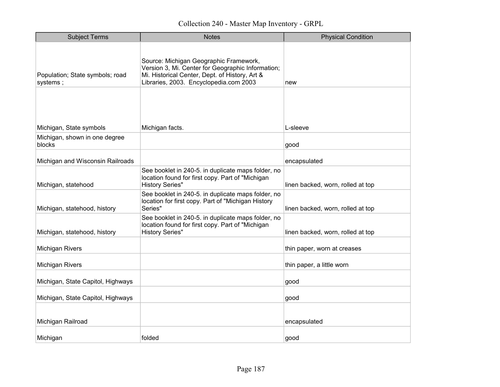| <b>Subject Terms</b>                        | <b>Notes</b>                                                                                                                                                                            | <b>Physical Condition</b>         |
|---------------------------------------------|-----------------------------------------------------------------------------------------------------------------------------------------------------------------------------------------|-----------------------------------|
| Population; State symbols; road<br>systems; | Source: Michigan Geographic Framework,<br>Version 3, Mi. Center for Geographic Information;<br>Mi. Historical Center, Dept. of History, Art &<br>Libraries, 2003. Encyclopedia.com 2003 | new                               |
| Michigan, State symbols                     | Michigan facts.                                                                                                                                                                         | L-sleeve                          |
| Michigan, shown in one degree<br>blocks     |                                                                                                                                                                                         | good                              |
| Michigan and Wisconsin Railroads            |                                                                                                                                                                                         | encapsulated                      |
| Michigan, statehood                         | See booklet in 240-5. in duplicate maps folder, no<br>location found for first copy. Part of "Michigan<br><b>History Series"</b>                                                        | linen backed, worn, rolled at top |
| Michigan, statehood, history                | See booklet in 240-5. in duplicate maps folder, no<br>location for first copy. Part of "Michigan History<br>Series"                                                                     | linen backed, worn, rolled at top |
| Michigan, statehood, history                | See booklet in 240-5. in duplicate maps folder, no<br>location found for first copy. Part of "Michigan<br><b>History Series"</b>                                                        | linen backed, worn, rolled at top |
| <b>Michigan Rivers</b>                      |                                                                                                                                                                                         | thin paper, worn at creases       |
| Michigan Rivers                             |                                                                                                                                                                                         | thin paper, a little worn         |
| Michigan, State Capitol, Highways           |                                                                                                                                                                                         | good                              |
| Michigan, State Capitol, Highways           |                                                                                                                                                                                         | good                              |
| Michigan Railroad                           |                                                                                                                                                                                         | encapsulated                      |
| Michigan                                    | folded                                                                                                                                                                                  | good                              |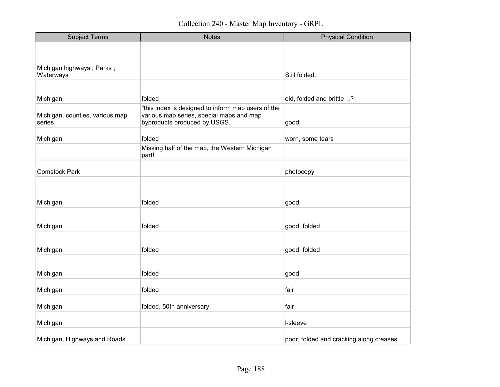| <b>Subject Terms</b>                      | <b>Notes</b>                                                             | <b>Physical Condition</b>               |
|-------------------------------------------|--------------------------------------------------------------------------|-----------------------------------------|
|                                           |                                                                          |                                         |
|                                           |                                                                          |                                         |
| Michigan highways; Parks;<br>Waterways    |                                                                          | Still folded.                           |
|                                           |                                                                          |                                         |
| Michigan                                  | folded                                                                   | old, folded and brittle?                |
|                                           | "this index is designed to inform map users of the                       |                                         |
| Michigan, counties, various map<br>series | various map series, special maps and map<br>byproducts produced by USGS. | good                                    |
|                                           | folded                                                                   |                                         |
| Michigan                                  | Missing half of the map, the Western Michigan                            | worn, some tears                        |
|                                           | part!                                                                    |                                         |
| <b>Comstock Park</b>                      |                                                                          | photocopy                               |
|                                           |                                                                          |                                         |
|                                           |                                                                          |                                         |
| Michigan                                  | folded                                                                   | good                                    |
|                                           |                                                                          |                                         |
| Michigan                                  | folded                                                                   | good, folded                            |
|                                           |                                                                          |                                         |
| Michigan                                  | folded                                                                   | good, folded                            |
|                                           |                                                                          |                                         |
| Michigan                                  | folded                                                                   | good                                    |
| Michigan                                  | folded                                                                   | fair                                    |
| Michigan                                  | folded, 50th anniversary                                                 | fair                                    |
|                                           |                                                                          |                                         |
| Michigan                                  |                                                                          | I-sleeve                                |
| Michigan, Highways and Roads              |                                                                          | poor, folded and cracking along creases |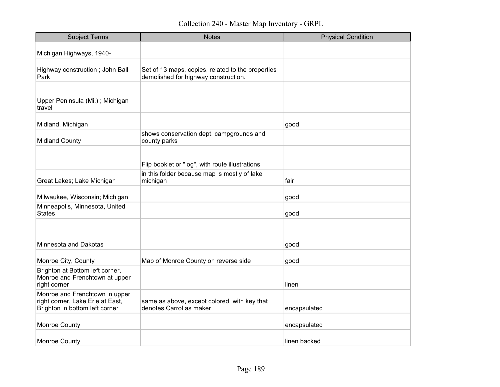| <b>Subject Terms</b>                                                                                 | <b>Notes</b>                                                                              | <b>Physical Condition</b> |
|------------------------------------------------------------------------------------------------------|-------------------------------------------------------------------------------------------|---------------------------|
| Michigan Highways, 1940-                                                                             |                                                                                           |                           |
| Highway construction; John Ball<br>Park                                                              | Set of 13 maps, copies, related to the properties<br>demolished for highway construction. |                           |
| Upper Peninsula (Mi.); Michigan<br>travel                                                            |                                                                                           |                           |
| Midland, Michigan                                                                                    |                                                                                           | good                      |
| <b>Midland County</b>                                                                                | shows conservation dept. campgrounds and<br>county parks                                  |                           |
|                                                                                                      |                                                                                           |                           |
|                                                                                                      | Flip booklet or "log", with route illustrations                                           |                           |
| Great Lakes; Lake Michigan                                                                           | in this folder because map is mostly of lake<br>michigan                                  | fair                      |
| Milwaukee, Wisconsin; Michigan                                                                       |                                                                                           | good                      |
| Minneapolis, Minnesota, United<br>States                                                             |                                                                                           | good                      |
|                                                                                                      |                                                                                           |                           |
| Minnesota and Dakotas                                                                                |                                                                                           | good                      |
| Monroe City, County                                                                                  | Map of Monroe County on reverse side                                                      | good                      |
| Brighton at Bottom left corner,<br>Monroe and Frenchtown at upper<br>right corner                    |                                                                                           | linen                     |
| Monroe and Frenchtown in upper<br>right corner, Lake Erie at East,<br>Brighton in bottom left corner | same as above, except colored, with key that<br>denotes Carrol as maker                   | encapsulated              |
| Monroe County                                                                                        |                                                                                           | encapsulated              |
| <b>Monroe County</b>                                                                                 |                                                                                           | linen backed              |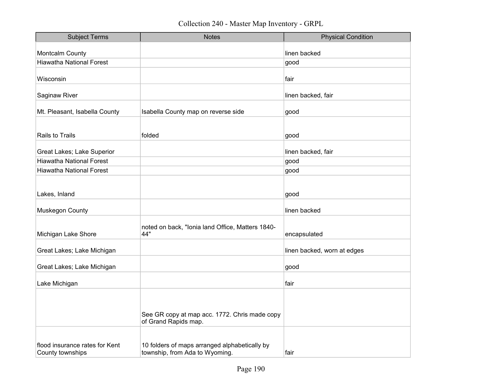| <b>Subject Terms</b>                               | <b>Notes</b>                                                                    | <b>Physical Condition</b>   |
|----------------------------------------------------|---------------------------------------------------------------------------------|-----------------------------|
| Montcalm County                                    |                                                                                 | linen backed                |
| <b>Hiawatha National Forest</b>                    |                                                                                 | good                        |
| Wisconsin                                          |                                                                                 | fair                        |
| Saginaw River                                      |                                                                                 | linen backed, fair          |
| Mt. Pleasant, Isabella County                      | Isabella County map on reverse side                                             | good                        |
| Rails to Trails                                    | folded                                                                          | good                        |
| Great Lakes; Lake Superior                         |                                                                                 | linen backed, fair          |
| <b>Hiawatha National Forest</b>                    |                                                                                 | good                        |
| <b>Hiawatha National Forest</b>                    |                                                                                 | good                        |
| Lakes, Inland                                      |                                                                                 | good                        |
| Muskegon County                                    |                                                                                 | linen backed                |
| Michigan Lake Shore                                | noted on back, "Ionia land Office, Matters 1840-<br>44"                         | encapsulated                |
| Great Lakes; Lake Michigan                         |                                                                                 | linen backed, worn at edges |
| Great Lakes; Lake Michigan                         |                                                                                 | good                        |
| Lake Michigan                                      |                                                                                 | fair                        |
|                                                    | See GR copy at map acc. 1772. Chris made copy<br>of Grand Rapids map.           |                             |
| flood insurance rates for Kent<br>County townships | 10 folders of maps arranged alphabetically by<br>township, from Ada to Wyoming. | fair                        |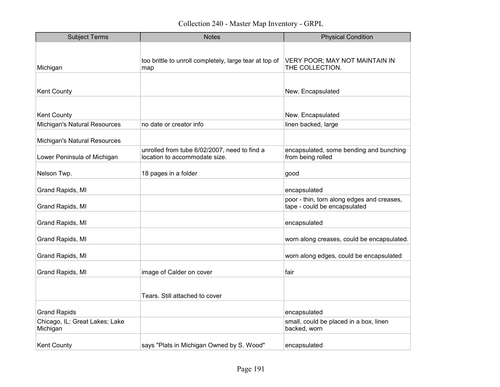| <b>Subject Terms</b>                       | <b>Notes</b>                                                                  | <b>Physical Condition</b>                                                  |
|--------------------------------------------|-------------------------------------------------------------------------------|----------------------------------------------------------------------------|
|                                            |                                                                               |                                                                            |
| Michigan                                   | too brittle to unroll completely, large tear at top of<br>map                 | VERY POOR; MAY NOT MAINTAIN IN<br>THE COLLECTION.                          |
|                                            |                                                                               |                                                                            |
| Kent County                                |                                                                               | New. Encapsulated                                                          |
|                                            |                                                                               |                                                                            |
| <b>Kent County</b>                         |                                                                               | New. Encapsulated                                                          |
| Michigan's Natural Resources               | no date or creator info                                                       | linen backed, large                                                        |
| Michigan's Natural Resources               |                                                                               |                                                                            |
| Lower Peninsula of Michigan                | unrolled from tube 6/02/2007, need to find a<br>location to accommodate size. | encapsulated, some bending and bunching<br>from being rolled               |
| Nelson Twp.                                | 18 pages in a folder                                                          | good                                                                       |
| Grand Rapids, MI                           |                                                                               | encapsulated                                                               |
| Grand Rapids, MI                           |                                                                               | poor - thin, torn along edges and creases,<br>tape - could be encapsulated |
| Grand Rapids, MI                           |                                                                               | encapsulated                                                               |
| Grand Rapids, MI                           |                                                                               | worn along creases, could be encapsulated.                                 |
| Grand Rapids, MI                           |                                                                               | worn along edges, could be encapsulated                                    |
| Grand Rapids, MI                           | image of Calder on cover                                                      | fair                                                                       |
|                                            |                                                                               |                                                                            |
|                                            | Tears. Still attached to cover                                                |                                                                            |
| <b>Grand Rapids</b>                        |                                                                               | encapsulated                                                               |
| Chicago, IL; Great Lakes; Lake<br>Michigan |                                                                               | small, could be placed in a box, linen<br>backed, worn                     |
| <b>Kent County</b>                         | says "Plats in Michigan Owned by S. Wood"                                     | encapsulated                                                               |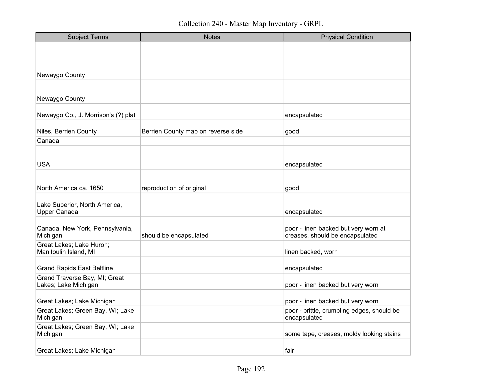| <b>Subject Terms</b>                                  | <b>Notes</b>                       | <b>Physical Condition</b>                                               |
|-------------------------------------------------------|------------------------------------|-------------------------------------------------------------------------|
|                                                       |                                    |                                                                         |
|                                                       |                                    |                                                                         |
| Newaygo County                                        |                                    |                                                                         |
|                                                       |                                    |                                                                         |
| Newaygo County                                        |                                    |                                                                         |
| Newaygo Co., J. Morrison's (?) plat                   |                                    | encapsulated                                                            |
| Niles, Berrien County                                 | Berrien County map on reverse side | good                                                                    |
| Canada                                                |                                    |                                                                         |
|                                                       |                                    |                                                                         |
| <b>USA</b>                                            |                                    | encapsulated                                                            |
|                                                       |                                    |                                                                         |
| North America ca. 1650                                | reproduction of original           | good                                                                    |
| Lake Superior, North America,                         |                                    |                                                                         |
| <b>Upper Canada</b>                                   |                                    | encapsulated                                                            |
| Canada, New York, Pennsylvania,<br>Michigan           | should be encapsulated             | poor - linen backed but very worn at<br>creases, should be encapsulated |
| Great Lakes; Lake Huron;                              |                                    |                                                                         |
| Manitoulin Island, MI                                 |                                    | linen backed, worn                                                      |
| <b>Grand Rapids East Beltline</b>                     |                                    | encapsulated                                                            |
| Grand Traverse Bay, MI; Great<br>Lakes; Lake Michigan |                                    | poor - linen backed but very worn                                       |
| Great Lakes; Lake Michigan                            |                                    | poor - linen backed but very worn                                       |
| Great Lakes; Green Bay, WI; Lake<br>Michigan          |                                    | poor - brittle, crumbling edges, should be<br>encapsulated              |
| Great Lakes; Green Bay, WI; Lake<br>Michigan          |                                    | some tape, creases, moldy looking stains                                |
| Great Lakes; Lake Michigan                            |                                    | fair                                                                    |
|                                                       |                                    |                                                                         |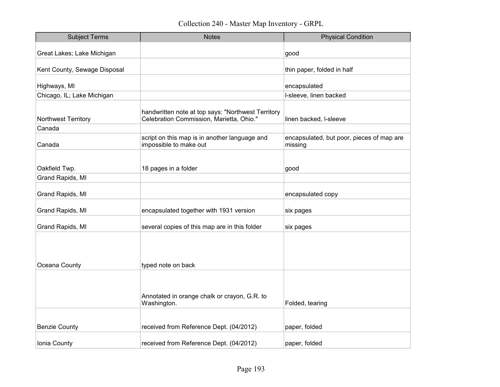| <b>Subject Terms</b>         | <b>Notes</b>                                                                                   | <b>Physical Condition</b>                            |
|------------------------------|------------------------------------------------------------------------------------------------|------------------------------------------------------|
| Great Lakes; Lake Michigan   |                                                                                                | good                                                 |
| Kent County, Sewage Disposal |                                                                                                | thin paper, folded in half                           |
|                              |                                                                                                |                                                      |
| Highways, MI                 |                                                                                                | encapsulated                                         |
| Chicago, IL; Lake Michigan   |                                                                                                | I-sleeve, linen backed                               |
| Northwest Territory          | handwritten note at top says: "Northwest Territory<br>Celebration Commission, Marietta, Ohio." | linen backed, I-sleeve                               |
| Canada                       |                                                                                                |                                                      |
| Canada                       | script on this map is in another language and<br>impossible to make out                        | encapsulated, but poor, pieces of map are<br>missing |
|                              |                                                                                                |                                                      |
| Oakfield Twp.                | 18 pages in a folder                                                                           | good                                                 |
| Grand Rapids, MI             |                                                                                                |                                                      |
| Grand Rapids, MI             |                                                                                                | encapsulated copy                                    |
| Grand Rapids, MI             | encapsulated together with 1931 version                                                        | six pages                                            |
| Grand Rapids, MI             | several copies of this map are in this folder                                                  | six pages                                            |
|                              |                                                                                                |                                                      |
| Oceana County                | typed note on back                                                                             |                                                      |
|                              | Annotated in orange chalk or crayon, G.R. to<br>Washington.                                    | Folded, tearing                                      |
|                              |                                                                                                |                                                      |
| <b>Benzie County</b>         | received from Reference Dept. (04/2012)                                                        | paper, folded                                        |
| Ionia County                 | received from Reference Dept. (04/2012)                                                        | paper, folded                                        |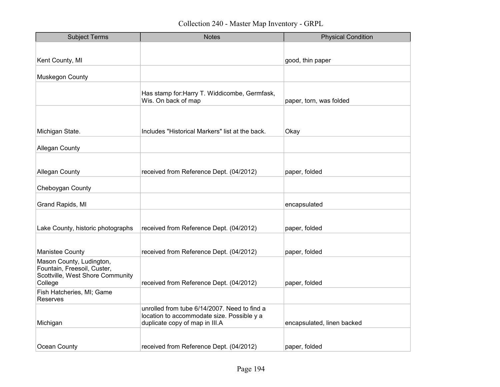| <b>Subject Terms</b>                                                                                   | <b>Notes</b>                                                                                                                 | <b>Physical Condition</b>  |
|--------------------------------------------------------------------------------------------------------|------------------------------------------------------------------------------------------------------------------------------|----------------------------|
|                                                                                                        |                                                                                                                              |                            |
| Kent County, MI                                                                                        |                                                                                                                              | good, thin paper           |
| Muskegon County                                                                                        |                                                                                                                              |                            |
|                                                                                                        | Has stamp for: Harry T. Widdicombe, Germfask,<br>Wis. On back of map                                                         | paper, torn, was folded    |
|                                                                                                        |                                                                                                                              |                            |
| Michigan State.                                                                                        | Includes "Historical Markers" list at the back.                                                                              | Okay                       |
| <b>Allegan County</b>                                                                                  |                                                                                                                              |                            |
|                                                                                                        |                                                                                                                              |                            |
| <b>Allegan County</b>                                                                                  | received from Reference Dept. (04/2012)                                                                                      | paper, folded              |
| Cheboygan County                                                                                       |                                                                                                                              |                            |
| Grand Rapids, MI                                                                                       |                                                                                                                              | encapsulated               |
|                                                                                                        |                                                                                                                              |                            |
| Lake County, historic photographs                                                                      | received from Reference Dept. (04/2012)                                                                                      | paper, folded              |
| Manistee County                                                                                        | received from Reference Dept. (04/2012)                                                                                      | paper, folded              |
| Mason County, Ludington,<br>Fountain, Freesoil, Custer,<br>Scottville, West Shore Community<br>College | received from Reference Dept. (04/2012)                                                                                      | paper, folded              |
| Fish Hatcheries, MI; Game<br><b>Reserves</b>                                                           |                                                                                                                              |                            |
| Michigan                                                                                               | unrolled from tube 6/14/2007. Need to find a<br>location to accommodate size. Possible y a<br>duplicate copy of map in III.A | encapsulated, linen backed |
| Ocean County                                                                                           | received from Reference Dept. (04/2012)                                                                                      | paper, folded              |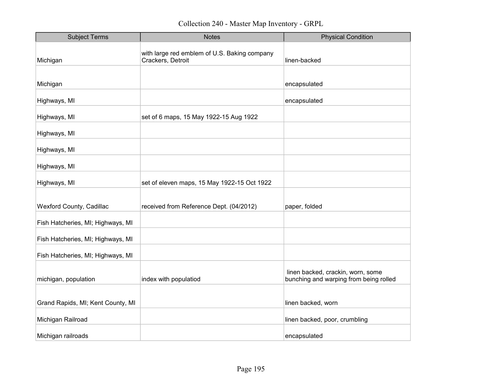Collection 240 - Master Map Inventory - GRPL

| <b>Subject Terms</b>              | <b>Notes</b>                                                      | <b>Physical Condition</b>                                                   |
|-----------------------------------|-------------------------------------------------------------------|-----------------------------------------------------------------------------|
| Michigan                          | with large red emblem of U.S. Baking company<br>Crackers, Detroit | linen-backed                                                                |
| Michigan                          |                                                                   | encapsulated                                                                |
| Highways, MI                      |                                                                   | encapsulated                                                                |
| Highways, MI                      | set of 6 maps, 15 May 1922-15 Aug 1922                            |                                                                             |
| Highways, MI                      |                                                                   |                                                                             |
| Highways, MI                      |                                                                   |                                                                             |
| Highways, MI                      |                                                                   |                                                                             |
| Highways, MI                      | set of eleven maps, 15 May 1922-15 Oct 1922                       |                                                                             |
| Wexford County, Cadillac          | received from Reference Dept. (04/2012)                           | paper, folded                                                               |
| Fish Hatcheries, MI; Highways, MI |                                                                   |                                                                             |
| Fish Hatcheries, MI; Highways, MI |                                                                   |                                                                             |
| Fish Hatcheries, MI; Highways, MI |                                                                   |                                                                             |
| michigan, population              | index with populatiod                                             | linen backed, crackin, worn, some<br>bunching and warping from being rolled |
| Grand Rapids, MI; Kent County, MI |                                                                   | linen backed, worn                                                          |
| Michigan Railroad                 |                                                                   | linen backed, poor, crumbling                                               |
| Michigan railroads                |                                                                   | encapsulated                                                                |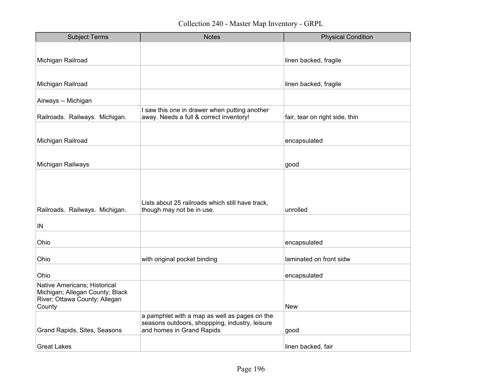| <b>Subject Terms</b>                                             | <b>Notes</b>                                                                  | <b>Physical Condition</b>      |
|------------------------------------------------------------------|-------------------------------------------------------------------------------|--------------------------------|
|                                                                  |                                                                               |                                |
| Michigan Railroad                                                |                                                                               | linen backed, fragile          |
|                                                                  |                                                                               |                                |
| Michigan Railroad                                                |                                                                               | linen backed, fragile          |
| Airways -- Michigan                                              |                                                                               |                                |
|                                                                  | I saw this one in drawer when putting another                                 |                                |
| Railroads. Railways. Michigan.                                   | away. Needs a full & correct inventory!                                       | fair, tear on right side, thin |
|                                                                  |                                                                               |                                |
| Michigan Railroad                                                |                                                                               | encapsulated                   |
|                                                                  |                                                                               |                                |
| Michigan Railways                                                |                                                                               | good                           |
|                                                                  |                                                                               |                                |
|                                                                  |                                                                               |                                |
|                                                                  |                                                                               |                                |
| Railroads. Railways. Michigan.                                   | Lists about 25 railroads which still have track,<br>though may not be in use. | unrolled                       |
|                                                                  |                                                                               |                                |
| $\sf IN$                                                         |                                                                               |                                |
| Ohio                                                             |                                                                               | encapsulated                   |
| Ohio                                                             |                                                                               | laminated on front sidw        |
|                                                                  | with original pocket binding                                                  |                                |
| Ohio                                                             |                                                                               | encapsulated                   |
| Native Americans; Historical                                     |                                                                               |                                |
| Michigan; Allegan County; Black<br>River; Ottawa County; Allegan |                                                                               |                                |
| County                                                           |                                                                               | <b>New</b>                     |
|                                                                  | a pamphlet with a map as well as pages on the                                 |                                |
| Grand Rapids, Sites, Seasons                                     | seasons outdoors, shoppping, industry, leisure<br>and homes in Grand Rapids   | good                           |
|                                                                  |                                                                               |                                |
| <b>Great Lakes</b>                                               |                                                                               | linen backed, fair             |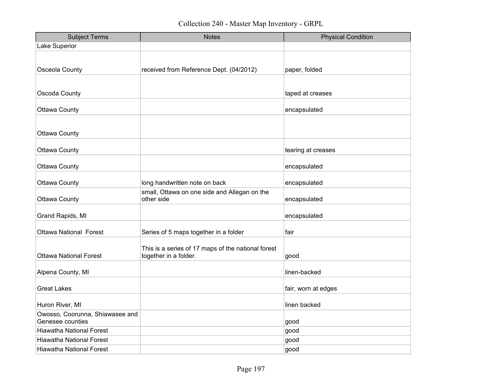| <b>Subject Terms</b>                                | <b>Notes</b>                                                                | <b>Physical Condition</b> |
|-----------------------------------------------------|-----------------------------------------------------------------------------|---------------------------|
| Lake Superior                                       |                                                                             |                           |
|                                                     |                                                                             |                           |
| Osceola County                                      | received from Reference Dept. (04/2012)                                     | paper, folded             |
|                                                     |                                                                             |                           |
| Oscoda County                                       |                                                                             | taped at creases          |
| <b>Ottawa County</b>                                |                                                                             | encapsulated              |
|                                                     |                                                                             |                           |
| <b>Ottawa County</b>                                |                                                                             |                           |
| <b>Ottawa County</b>                                |                                                                             | tearing at creases        |
| <b>Ottawa County</b>                                |                                                                             | encapsulated              |
|                                                     |                                                                             |                           |
| <b>Ottawa County</b>                                | long handwritten note on back                                               | encapsulated              |
| <b>Ottawa County</b>                                | small, Ottawa on one side and Allegan on the<br>other side                  | encapsulated              |
| Grand Rapids, MI                                    |                                                                             | encapsulated              |
| <b>Ottawa National Forest</b>                       | Series of 5 maps together in a folder                                       | fair                      |
| <b>Ottawa National Forest</b>                       | This is a series of 17 maps of the national forest<br>together in a folder. | good                      |
| Alpena County, MI                                   |                                                                             | linen-backed              |
| <b>Great Lakes</b>                                  |                                                                             | fair, worn at edges       |
| Huron River, MI                                     |                                                                             | linen backed              |
| Owosso, Coorunna, Shiawasee and<br>Genesee counties |                                                                             | good                      |
| <b>Hiawatha National Forest</b>                     |                                                                             | good                      |
| <b>Hiawatha National Forest</b>                     |                                                                             | good                      |
| <b>Hiawatha National Forest</b>                     |                                                                             | good                      |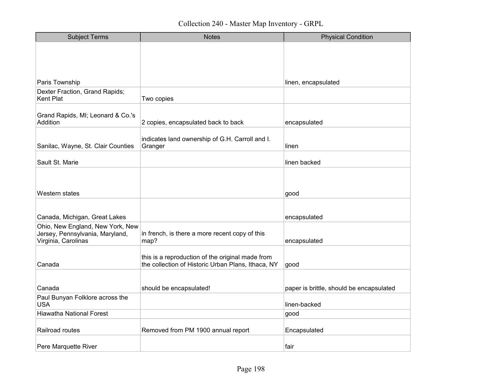| <b>Subject Terms</b>                                                                       | <b>Notes</b>                                                                                           | <b>Physical Condition</b>                |
|--------------------------------------------------------------------------------------------|--------------------------------------------------------------------------------------------------------|------------------------------------------|
|                                                                                            |                                                                                                        |                                          |
|                                                                                            |                                                                                                        |                                          |
|                                                                                            |                                                                                                        |                                          |
| Paris Township                                                                             |                                                                                                        | linen, encapsulated                      |
| Dexter Fraction, Grand Rapids;<br>Kent Plat                                                | Two copies                                                                                             |                                          |
| Grand Rapids, MI; Leonard & Co.'s<br>Addition                                              | 2 copies, encapsulated back to back                                                                    | encapsulated                             |
| Sanilac, Wayne, St. Clair Counties                                                         | indicates land ownership of G.H. Carroll and I.<br>Granger                                             | linen                                    |
| Sault St. Marie                                                                            |                                                                                                        | linen backed                             |
|                                                                                            |                                                                                                        |                                          |
| Western states                                                                             |                                                                                                        | good                                     |
|                                                                                            |                                                                                                        |                                          |
| Canada, Michigan, Great Lakes                                                              |                                                                                                        | encapsulated                             |
| Ohio, New England, New York, New<br>Jersey, Pennsylvania, Maryland,<br>Virginia, Carolinas | in french, is there a more recent copy of this<br>map?                                                 | encapsulated                             |
| Canada                                                                                     | this is a reproduction of the original made from<br>the collection of Historic Urban Plans, Ithaca, NY | good                                     |
|                                                                                            |                                                                                                        |                                          |
| Canada                                                                                     | should be encapsulated!                                                                                | paper is brittle, should be encapsulated |
| Paul Bunyan Folklore across the<br><b>USA</b>                                              |                                                                                                        | linen-backed                             |
| <b>Hiawatha National Forest</b>                                                            |                                                                                                        | good                                     |
| Railroad routes                                                                            | Removed from PM 1900 annual report                                                                     | Encapsulated                             |
| Pere Marquette River                                                                       |                                                                                                        | fair                                     |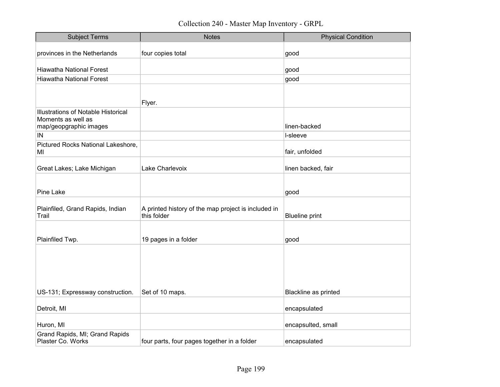| <b>Subject Terms</b>                     | <b>Notes</b>                                        | <b>Physical Condition</b> |
|------------------------------------------|-----------------------------------------------------|---------------------------|
| provinces in the Netherlands             | four copies total                                   | good                      |
|                                          |                                                     |                           |
| <b>Hiawatha National Forest</b>          |                                                     | good                      |
| <b>Hiawatha National Forest</b>          |                                                     | good                      |
|                                          |                                                     |                           |
|                                          | Flyer.                                              |                           |
| Illustrations of Notable Historical      |                                                     |                           |
| Moments as well as                       |                                                     |                           |
| map/geopgraphic images                   |                                                     | linen-backed              |
| IN                                       |                                                     | I-sleeve                  |
| Pictured Rocks National Lakeshore,<br>MI |                                                     | fair, unfolded            |
|                                          |                                                     |                           |
| Great Lakes; Lake Michigan               | Lake Charlevoix                                     | linen backed, fair        |
|                                          |                                                     |                           |
| <b>Pine Lake</b>                         |                                                     | good                      |
| Plainfiled, Grand Rapids, Indian         | A printed history of the map project is included in |                           |
| Trail                                    | this folder                                         | <b>Blueline print</b>     |
|                                          |                                                     |                           |
| Plainfiled Twp.                          | 19 pages in a folder                                | good                      |
|                                          |                                                     |                           |
|                                          |                                                     |                           |
|                                          |                                                     |                           |
|                                          |                                                     |                           |
|                                          |                                                     |                           |
| US-131; Expressway construction.         | Set of 10 maps.                                     | Blackline as printed      |
|                                          |                                                     |                           |
| Detroit, MI                              |                                                     | encapsulated              |
| Huron, MI                                |                                                     | encapsulted, small        |
| Grand Rapids, MI; Grand Rapids           |                                                     |                           |
| Plaster Co. Works                        | four parts, four pages together in a folder         | encapsulated              |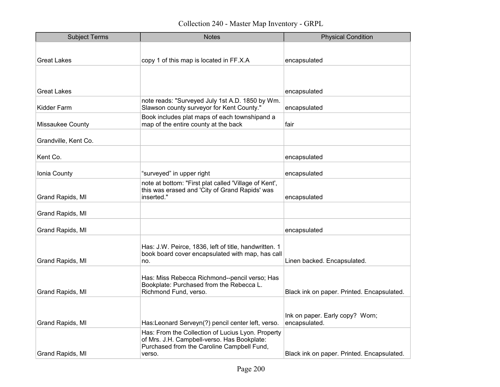| <b>Subject Terms</b>    | <b>Notes</b>                                                                                            | <b>Physical Condition</b>                        |
|-------------------------|---------------------------------------------------------------------------------------------------------|--------------------------------------------------|
|                         |                                                                                                         |                                                  |
| <b>Great Lakes</b>      | copy 1 of this map is located in FF.X.A                                                                 | encapsulated                                     |
|                         |                                                                                                         |                                                  |
|                         |                                                                                                         |                                                  |
| <b>Great Lakes</b>      |                                                                                                         | encapsulated                                     |
| <b>Kidder Farm</b>      | note reads: "Surveyed July 1st A.D. 1850 by Wm.<br>Slawson county surveyor for Kent County."            | encapsulated                                     |
| <b>Missaukee County</b> | Book includes plat maps of each townshipand a<br>map of the entire county at the back                   | fair                                             |
| Grandville, Kent Co.    |                                                                                                         |                                                  |
| Kent Co.                |                                                                                                         | encapsulated                                     |
| Ionia County            | "surveyed" in upper right                                                                               | encapsulated                                     |
|                         | note at bottom: "First plat called 'Village of Kent',<br>this was erased and 'City of Grand Rapids' was |                                                  |
| Grand Rapids, MI        | inserted."                                                                                              | encapsulated                                     |
| Grand Rapids, MI        |                                                                                                         |                                                  |
| Grand Rapids, MI        |                                                                                                         | encapsulated                                     |
|                         | Has: J.W. Peirce, 1836, left of title, handwritten. 1                                                   |                                                  |
| Grand Rapids, MI        | book board cover encapsulated with map, has call<br>no.                                                 | Linen backed. Encapsulated.                      |
|                         | Has: Miss Rebecca Richmond--pencil verso; Has                                                           |                                                  |
|                         | Bookplate: Purchased from the Rebecca L.                                                                |                                                  |
| Grand Rapids, MI        | Richmond Fund, verso.                                                                                   | Black ink on paper. Printed. Encapsulated.       |
|                         |                                                                                                         |                                                  |
| Grand Rapids, MI        | Has:Leonard Serveyn(?) pencil center left, verso.                                                       | Ink on paper. Early copy? Worn;<br>encapsulated. |
|                         | Has: From the Collection of Lucius Lyon. Property                                                       |                                                  |
|                         | of Mrs. J.H. Campbell-verso. Has Bookplate:<br>Purchased from the Caroline Campbell Fund,               |                                                  |
| Grand Rapids, MI        | verso.                                                                                                  | Black ink on paper. Printed. Encapsulated.       |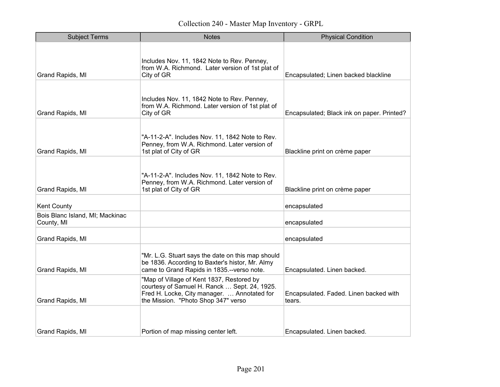| <b>Subject Terms</b>                          | <b>Notes</b>                                                                                                                                                                    | <b>Physical Condition</b>                        |
|-----------------------------------------------|---------------------------------------------------------------------------------------------------------------------------------------------------------------------------------|--------------------------------------------------|
| Grand Rapids, MI                              | Includes Nov. 11, 1842 Note to Rev. Penney,<br>from W.A. Richmond. Later version of 1st plat of<br>City of GR                                                                   | Encapsulated; Linen backed blackline             |
| Grand Rapids, MI                              | Includes Nov. 11, 1842 Note to Rev. Penney,<br>from W.A. Richmond. Later version of 1st plat of<br>City of GR                                                                   | Encapsulated; Black ink on paper. Printed?       |
| Grand Rapids, MI                              | "A-11-2-A". Includes Nov. 11, 1842 Note to Rev.<br>Penney, from W.A. Richmond. Later version of<br>1st plat of City of GR                                                       | Blackline print on crème paper                   |
| Grand Rapids, MI                              | "A-11-2-A". Includes Nov. 11, 1842 Note to Rev.<br>Penney, from W.A. Richmond. Later version of<br>1st plat of City of GR                                                       | Blackline print on crème paper                   |
| <b>Kent County</b>                            |                                                                                                                                                                                 | encapsulated                                     |
| Bois Blanc Island, MI; Mackinac<br>County, MI |                                                                                                                                                                                 | encapsulated                                     |
| Grand Rapids, MI                              |                                                                                                                                                                                 | encapsulated                                     |
| Grand Rapids, MI                              | "Mr. L.G. Stuart says the date on this map should<br>be 1836. According to Baxter's histor, Mr. Almy<br>came to Grand Rapids in 1835.-- verso note.                             | Encapsulated. Linen backed.                      |
| Grand Rapids, MI                              | "Map of Village of Kent 1837, Restored by<br>courtesy of Samuel H. Ranck  Sept. 24, 1925.<br>Fred H. Locke, City manager.  Annotated for<br>the Mission. "Photo Shop 347" verso | Encapsulated. Faded. Linen backed with<br>tears. |
| Grand Rapids, MI                              | Portion of map missing center left.                                                                                                                                             | Encapsulated. Linen backed.                      |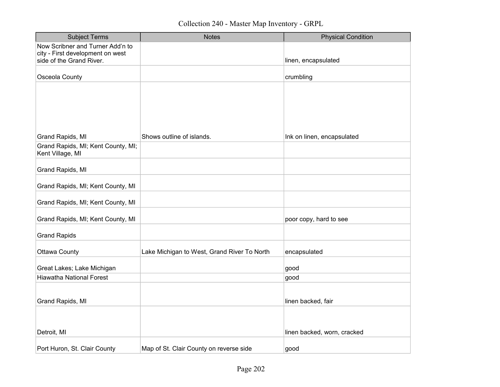| <b>Subject Terms</b>                                                 | <b>Notes</b>                                | <b>Physical Condition</b>   |
|----------------------------------------------------------------------|---------------------------------------------|-----------------------------|
| Now Scribner and Turner Add'n to<br>city - First development on west |                                             |                             |
| side of the Grand River.                                             |                                             | linen, encapsulated         |
| Osceola County                                                       |                                             | crumbling                   |
|                                                                      |                                             |                             |
|                                                                      |                                             |                             |
|                                                                      |                                             |                             |
| Grand Rapids, MI                                                     | Shows outline of islands.                   | Ink on linen, encapsulated  |
| Grand Rapids, MI; Kent County, MI;<br>Kent Village, MI               |                                             |                             |
| Grand Rapids, MI                                                     |                                             |                             |
| Grand Rapids, MI; Kent County, MI                                    |                                             |                             |
| Grand Rapids, MI; Kent County, MI                                    |                                             |                             |
| Grand Rapids, MI; Kent County, MI                                    |                                             | poor copy, hard to see      |
| <b>Grand Rapids</b>                                                  |                                             |                             |
| <b>Ottawa County</b>                                                 | Lake Michigan to West, Grand River To North | encapsulated                |
| Great Lakes; Lake Michigan                                           |                                             | good                        |
| <b>Hiawatha National Forest</b>                                      |                                             | good                        |
|                                                                      |                                             |                             |
| Grand Rapids, MI                                                     |                                             | linen backed, fair          |
|                                                                      |                                             |                             |
| Detroit, MI                                                          |                                             | linen backed, worn, cracked |
| Port Huron, St. Clair County                                         | Map of St. Clair County on reverse side     | good                        |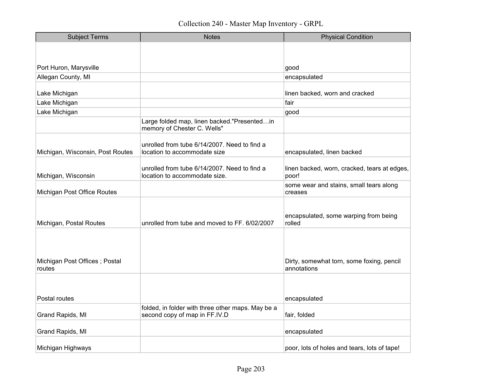| <b>Subject Terms</b>                    | <b>Notes</b>                                                                  | <b>Physical Condition</b>                                |
|-----------------------------------------|-------------------------------------------------------------------------------|----------------------------------------------------------|
|                                         |                                                                               |                                                          |
|                                         |                                                                               |                                                          |
| Port Huron, Marysville                  |                                                                               | good                                                     |
| Allegan County, MI                      |                                                                               | encapsulated                                             |
| Lake Michigan                           |                                                                               | linen backed, worn and cracked                           |
| Lake Michigan                           |                                                                               | fair                                                     |
| Lake Michigan                           |                                                                               | good                                                     |
|                                         | Large folded map, linen backed."Presentedin<br>memory of Chester C. Wells"    |                                                          |
| Michigan, Wisconsin, Post Routes        | unrolled from tube 6/14/2007. Need to find a<br>location to accommodate size  | encapsulated, linen backed                               |
| Michigan, Wisconsin                     | unrolled from tube 6/14/2007. Need to find a<br>location to accommodate size. | linen backed, worn, cracked, tears at edges,<br>poor!    |
| Michigan Post Office Routes             |                                                                               | some wear and stains, small tears along<br>creases       |
| Michigan, Postal Routes                 | unrolled from tube and moved to FF. 6/02/2007                                 | encapsulated, some warping from being<br>rolled          |
| Michigan Post Offices; Postal<br>routes |                                                                               | Dirty, somewhat torn, some foxing, pencil<br>annotations |
| Postal routes                           |                                                                               |                                                          |
|                                         | folded, in folder with three other maps. May be a                             | encapsulated                                             |
| Grand Rapids, MI                        | second copy of map in FF.IV.D                                                 | fair, folded                                             |
| Grand Rapids, MI                        |                                                                               | encapsulated                                             |
| Michigan Highways                       |                                                                               | poor, lots of holes and tears, lots of tape!             |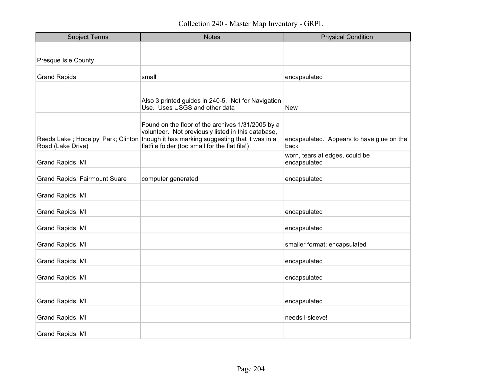| <b>Subject Terms</b>                 | <b>Notes</b>                                                                                                                                                                                                                                      | <b>Physical Condition</b>                         |
|--------------------------------------|---------------------------------------------------------------------------------------------------------------------------------------------------------------------------------------------------------------------------------------------------|---------------------------------------------------|
|                                      |                                                                                                                                                                                                                                                   |                                                   |
| <b>Presque Isle County</b>           |                                                                                                                                                                                                                                                   |                                                   |
| <b>Grand Rapids</b>                  | small                                                                                                                                                                                                                                             | encapsulated                                      |
|                                      |                                                                                                                                                                                                                                                   |                                                   |
|                                      | Also 3 printed guides in 240-5. Not for Navigation<br>Use. Uses USGS and other data                                                                                                                                                               | <b>New</b>                                        |
| Road (Lake Drive)                    | Found on the floor of the archives 1/31/2005 by a<br>volunteer. Not previously listed in this database,<br>Reeds Lake; Hodelpyl Park; Clinton though it has marking suggesting that it was in a<br>flatfile folder (too small for the flat file!) | encapsulated. Appears to have glue on the<br>back |
| Grand Rapids, MI                     |                                                                                                                                                                                                                                                   | worn, tears at edges, could be<br>encapsulated    |
| <b>Grand Rapids, Fairmount Suare</b> | computer generated                                                                                                                                                                                                                                | encapsulated                                      |
| Grand Rapids, MI                     |                                                                                                                                                                                                                                                   |                                                   |
| Grand Rapids, MI                     |                                                                                                                                                                                                                                                   | encapsulated                                      |
| Grand Rapids, MI                     |                                                                                                                                                                                                                                                   | encapsulated                                      |
| Grand Rapids, MI                     |                                                                                                                                                                                                                                                   | smaller format; encapsulated                      |
| Grand Rapids, MI                     |                                                                                                                                                                                                                                                   | encapsulated                                      |
| Grand Rapids, MI                     |                                                                                                                                                                                                                                                   | encapsulated                                      |
| Grand Rapids, MI                     |                                                                                                                                                                                                                                                   | encapsulated                                      |
| Grand Rapids, MI                     |                                                                                                                                                                                                                                                   | needs l-sleeve!                                   |
| Grand Rapids, MI                     |                                                                                                                                                                                                                                                   |                                                   |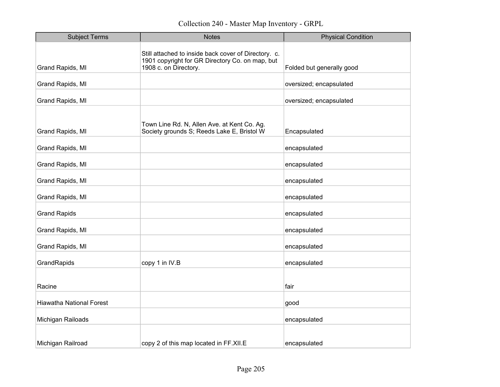| <b>Subject Terms</b>            | <b>Notes</b>                                                                                                                     | <b>Physical Condition</b> |
|---------------------------------|----------------------------------------------------------------------------------------------------------------------------------|---------------------------|
| Grand Rapids, MI                | Still attached to inside back cover of Directory. c.<br>1901 copyright for GR Directory Co. on map, but<br>1908 c. on Directory. | Folded but generally good |
| Grand Rapids, MI                |                                                                                                                                  | oversized; encapsulated   |
| Grand Rapids, MI                |                                                                                                                                  | oversized; encapsulated   |
| Grand Rapids, MI                | Town Line Rd. N, Allen Ave. at Kent Co. Ag.<br>Society grounds S; Reeds Lake E, Bristol W                                        | Encapsulated              |
| Grand Rapids, MI                |                                                                                                                                  | encapsulated              |
| Grand Rapids, MI                |                                                                                                                                  | encapsulated              |
| Grand Rapids, MI                |                                                                                                                                  | encapsulated              |
| Grand Rapids, MI                |                                                                                                                                  | encapsulated              |
| <b>Grand Rapids</b>             |                                                                                                                                  | encapsulated              |
| Grand Rapids, MI                |                                                                                                                                  | encapsulated              |
| Grand Rapids, MI                |                                                                                                                                  | encapsulated              |
| GrandRapids                     | copy 1 in IV.B                                                                                                                   | encapsulated              |
| Racine                          |                                                                                                                                  | fair                      |
| <b>Hiawatha National Forest</b> |                                                                                                                                  | good                      |
| Michigan Railoads               |                                                                                                                                  | encapsulated              |
| Michigan Railroad               | copy 2 of this map located in FF.XII.E                                                                                           | encapsulated              |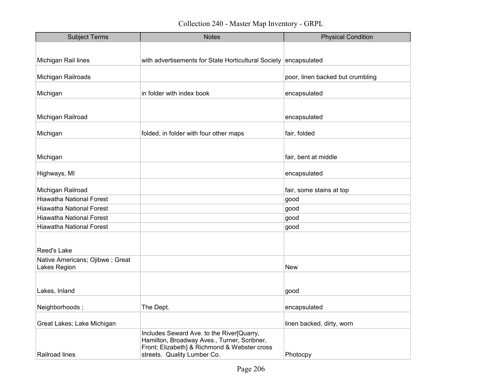| <b>Subject Terms</b>                            | <b>Notes</b>                                                                                                                                                            | <b>Physical Condition</b>        |
|-------------------------------------------------|-------------------------------------------------------------------------------------------------------------------------------------------------------------------------|----------------------------------|
|                                                 |                                                                                                                                                                         |                                  |
| Michigan Rail lines                             | with advertisements for State Horticultural Society                                                                                                                     | encapsulated                     |
|                                                 |                                                                                                                                                                         |                                  |
| Michigan Railroads                              |                                                                                                                                                                         | poor, linen backed but crumbling |
| Michigan                                        | in folder with index book                                                                                                                                               | encapsulated                     |
|                                                 |                                                                                                                                                                         |                                  |
| Michigan Railroad                               |                                                                                                                                                                         | encapsulated                     |
| Michigan                                        | folded, in folder with four other maps                                                                                                                                  | fair, folded                     |
|                                                 |                                                                                                                                                                         |                                  |
| Michigan                                        |                                                                                                                                                                         | fair, bent at middle             |
| Highways, MI                                    |                                                                                                                                                                         | encapsulated                     |
|                                                 |                                                                                                                                                                         |                                  |
| Michigan Railroad                               |                                                                                                                                                                         | fair, some stains at top         |
| <b>Hiawatha National Forest</b>                 |                                                                                                                                                                         | good                             |
| <b>Hiawatha National Forest</b>                 |                                                                                                                                                                         | good                             |
| <b>Hiawatha National Forest</b>                 |                                                                                                                                                                         | good                             |
| <b>Hiawatha National Forest</b>                 |                                                                                                                                                                         | good                             |
| Reed's Lake                                     |                                                                                                                                                                         |                                  |
| Native Americans; Ojibwe; Great<br>Lakes Region |                                                                                                                                                                         | <b>New</b>                       |
|                                                 |                                                                                                                                                                         |                                  |
| Lakes, Inland                                   |                                                                                                                                                                         | good                             |
| Neighborhoods;                                  | The Dept.                                                                                                                                                               | encapsulated                     |
| Great Lakes; Lake Michigan                      |                                                                                                                                                                         | linen backed, dirty, worn        |
| Railroad lines                                  | Includes Seward Ave. to the River[Quarry,<br>Hamilton, Broadway Aves., Turner, Scribner,<br>Front; Elizabeth] & Richmond & Webster cross<br>streets. Quality Lumber Co. | Photocpy                         |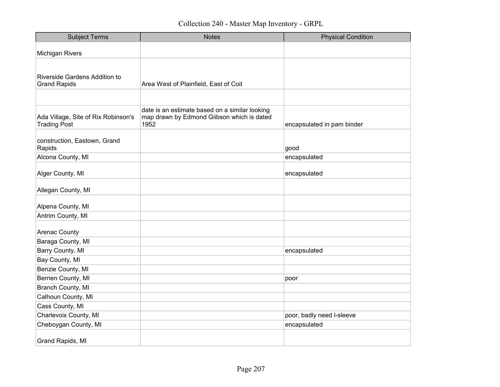| <b>Subject Terms</b>                                       | <b>Notes</b>                                                                                         | <b>Physical Condition</b>  |
|------------------------------------------------------------|------------------------------------------------------------------------------------------------------|----------------------------|
| <b>Michigan Rivers</b>                                     |                                                                                                      |                            |
| Riverside Gardens Addition to<br><b>Grand Rapids</b>       | Area West of Plainfield, East of Coit                                                                |                            |
|                                                            |                                                                                                      |                            |
| Ada Village, Site of Rix Robinson's<br><b>Trading Post</b> | date is an estimate based on a similar looking<br>map drawn by Edmond Giibson which is dated<br>1952 | encapsulated in pam binder |
| construction, Eastown, Grand<br>Rapids                     |                                                                                                      | good                       |
| Alcona County, MI                                          |                                                                                                      | encapsulated               |
| Alger County, MI                                           |                                                                                                      | encapsulated               |
| Allegan County, MI                                         |                                                                                                      |                            |
| Alpena County, MI                                          |                                                                                                      |                            |
| Antrim County, MI                                          |                                                                                                      |                            |
| <b>Arenac County</b>                                       |                                                                                                      |                            |
| Baraga County, MI                                          |                                                                                                      |                            |
| Barry County, MI                                           |                                                                                                      | encapsulated               |
| Bay County, MI                                             |                                                                                                      |                            |
| Benzie County, MI                                          |                                                                                                      |                            |
| Berrien County, MI                                         |                                                                                                      | poor                       |
| Branch County, MI                                          |                                                                                                      |                            |
| Calhoun County, MI                                         |                                                                                                      |                            |
| Cass County, MI                                            |                                                                                                      |                            |
| Charlevoix County, MI                                      |                                                                                                      | poor, badly need I-sleeve  |
| Cheboygan County, MI                                       |                                                                                                      | encapsulated               |
| Grand Rapids, MI                                           |                                                                                                      |                            |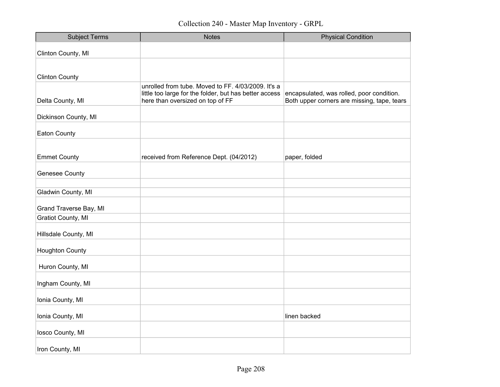| <b>Subject Terms</b>      | <b>Notes</b>                                                                                                                                     | <b>Physical Condition</b>                                                                |
|---------------------------|--------------------------------------------------------------------------------------------------------------------------------------------------|------------------------------------------------------------------------------------------|
| Clinton County, MI        |                                                                                                                                                  |                                                                                          |
|                           |                                                                                                                                                  |                                                                                          |
| <b>Clinton County</b>     |                                                                                                                                                  |                                                                                          |
| Delta County, MI          | unrolled from tube. Moved to FF. 4/03/2009. It's a<br>little too large for the folder, but has better access<br>here than oversized on top of FF | encapsulated, was rolled, poor condition.<br>Both upper corners are missing, tape, tears |
| Dickinson County, MI      |                                                                                                                                                  |                                                                                          |
| <b>Eaton County</b>       |                                                                                                                                                  |                                                                                          |
|                           |                                                                                                                                                  |                                                                                          |
| <b>Emmet County</b>       | received from Reference Dept. (04/2012)                                                                                                          | paper, folded                                                                            |
| <b>Genesee County</b>     |                                                                                                                                                  |                                                                                          |
| Gladwin County, MI        |                                                                                                                                                  |                                                                                          |
| Grand Traverse Bay, MI    |                                                                                                                                                  |                                                                                          |
| <b>Gratiot County, MI</b> |                                                                                                                                                  |                                                                                          |
| Hillsdale County, MI      |                                                                                                                                                  |                                                                                          |
| <b>Houghton County</b>    |                                                                                                                                                  |                                                                                          |
| Huron County, MI          |                                                                                                                                                  |                                                                                          |
| Ingham County, MI         |                                                                                                                                                  |                                                                                          |
| Ionia County, MI          |                                                                                                                                                  |                                                                                          |
| Ionia County, MI          |                                                                                                                                                  | linen backed                                                                             |
| losco County, MI          |                                                                                                                                                  |                                                                                          |
| Iron County, MI           |                                                                                                                                                  |                                                                                          |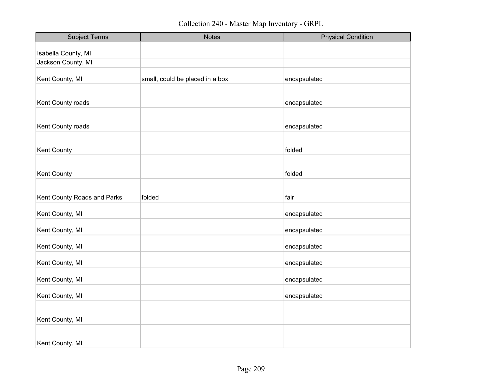| <b>Subject Terms</b>        | <b>Notes</b>                    | <b>Physical Condition</b> |
|-----------------------------|---------------------------------|---------------------------|
| Isabella County, MI         |                                 |                           |
| Jackson County, MI          |                                 |                           |
| Kent County, MI             | small, could be placed in a box | encapsulated              |
|                             |                                 |                           |
| Kent County roads           |                                 | encapsulated              |
|                             |                                 |                           |
| Kent County roads           |                                 | encapsulated              |
|                             |                                 |                           |
| Kent County                 |                                 | folded                    |
|                             |                                 |                           |
| <b>Kent County</b>          |                                 | folded                    |
|                             |                                 |                           |
| Kent County Roads and Parks | folded                          | fair                      |
| Kent County, MI             |                                 | encapsulated              |
| Kent County, MI             |                                 | encapsulated              |
| Kent County, MI             |                                 | encapsulated              |
| Kent County, MI             |                                 | encapsulated              |
| Kent County, MI             |                                 | encapsulated              |
| Kent County, MI             |                                 | encapsulated              |
|                             |                                 |                           |
| Kent County, MI             |                                 |                           |
|                             |                                 |                           |
| Kent County, MI             |                                 |                           |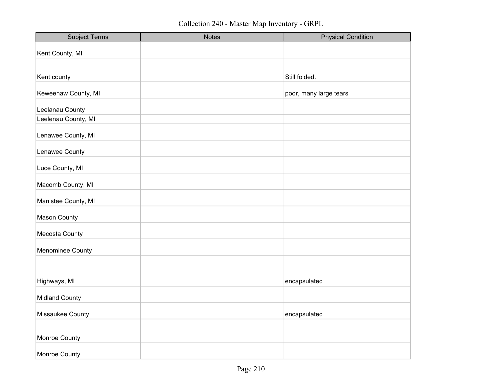| <b>Subject Terms</b>  | <b>Notes</b> | <b>Physical Condition</b> |
|-----------------------|--------------|---------------------------|
| Kent County, MI       |              |                           |
|                       |              |                           |
| Kent county           |              | Still folded.             |
| Keweenaw County, MI   |              | poor, many large tears    |
| Leelanau County       |              |                           |
| Leelenau County, MI   |              |                           |
| Lenawee County, MI    |              |                           |
| Lenawee County        |              |                           |
| Luce County, MI       |              |                           |
| Macomb County, MI     |              |                           |
| Manistee County, MI   |              |                           |
| <b>Mason County</b>   |              |                           |
| Mecosta County        |              |                           |
| Menominee County      |              |                           |
|                       |              |                           |
| Highways, MI          |              | encapsulated              |
| <b>Midland County</b> |              |                           |
| Missaukee County      |              | encapsulated              |
|                       |              |                           |
| Monroe County         |              |                           |
| Monroe County         |              |                           |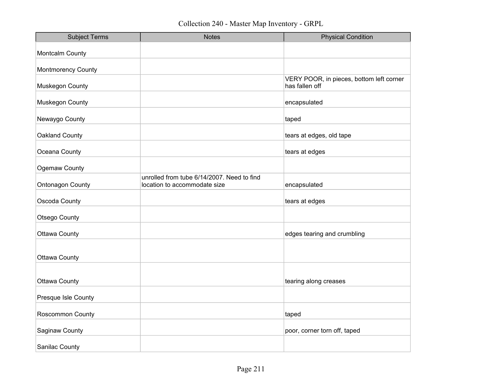Collection 240 - Master Map Inventory - GRPL

| <b>Subject Terms</b>    | <b>Notes</b>                                                               | <b>Physical Condition</b>                                  |
|-------------------------|----------------------------------------------------------------------------|------------------------------------------------------------|
| Montcalm County         |                                                                            |                                                            |
| Montmorency County      |                                                                            |                                                            |
| Muskegon County         |                                                                            | VERY POOR, in pieces, bottom left corner<br>has fallen off |
| Muskegon County         |                                                                            | encapsulated                                               |
| Newaygo County          |                                                                            | taped                                                      |
| Oakland County          |                                                                            | tears at edges, old tape                                   |
| Oceana County           |                                                                            | tears at edges                                             |
| Ogemaw County           |                                                                            |                                                            |
| <b>Ontonagon County</b> | unrolled from tube 6/14/2007. Need to find<br>location to accommodate size | encapsulated                                               |
| Oscoda County           |                                                                            | tears at edges                                             |
| Otsego County           |                                                                            |                                                            |
| <b>Ottawa County</b>    |                                                                            | edges tearing and crumbling                                |
| <b>Ottawa County</b>    |                                                                            |                                                            |
|                         |                                                                            |                                                            |
| <b>Ottawa County</b>    |                                                                            | tearing along creases                                      |
| Presque Isle County     |                                                                            |                                                            |
| Roscommon County        |                                                                            | taped                                                      |
| Saginaw County          |                                                                            | poor, corner torn off, taped                               |
| Sanilac County          |                                                                            |                                                            |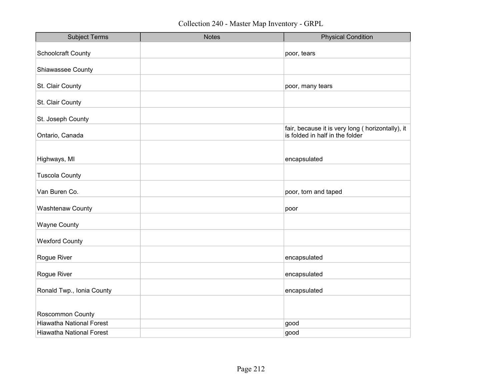| <b>Subject Terms</b>            | <b>Notes</b> | <b>Physical Condition</b>                                                            |
|---------------------------------|--------------|--------------------------------------------------------------------------------------|
| <b>Schoolcraft County</b>       |              | poor, tears                                                                          |
| Shiawassee County               |              |                                                                                      |
| St. Clair County                |              | poor, many tears                                                                     |
| St. Clair County                |              |                                                                                      |
| St. Joseph County               |              |                                                                                      |
| Ontario, Canada                 |              | fair, because it is very long ( horizontally), it<br>is folded in half in the folder |
|                                 |              |                                                                                      |
| Highways, MI                    |              | encapsulated                                                                         |
| <b>Tuscola County</b>           |              |                                                                                      |
| Van Buren Co.                   |              | poor, torn and taped                                                                 |
| <b>Washtenaw County</b>         |              | poor                                                                                 |
| <b>Wayne County</b>             |              |                                                                                      |
| <b>Wexford County</b>           |              |                                                                                      |
| Rogue River                     |              | encapsulated                                                                         |
| Rogue River                     |              | encapsulated                                                                         |
| Ronald Twp., Ionia County       |              | encapsulated                                                                         |
|                                 |              |                                                                                      |
| Roscommon County                |              |                                                                                      |
| <b>Hiawatha National Forest</b> |              | good                                                                                 |
| <b>Hiawatha National Forest</b> |              | good                                                                                 |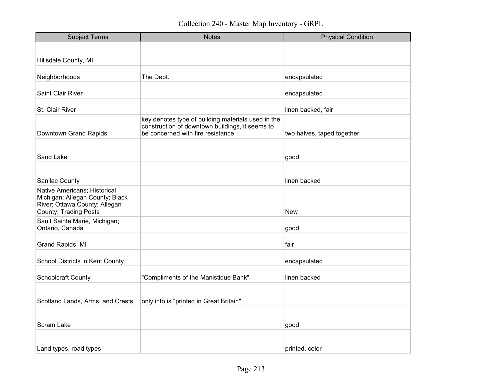| <b>Subject Terms</b>                                                                                                                               | <b>Notes</b>                                                                                                                               | <b>Physical Condition</b>  |
|----------------------------------------------------------------------------------------------------------------------------------------------------|--------------------------------------------------------------------------------------------------------------------------------------------|----------------------------|
|                                                                                                                                                    |                                                                                                                                            |                            |
| Hillsdale County, MI                                                                                                                               |                                                                                                                                            |                            |
| Neighborhoods                                                                                                                                      | The Dept.                                                                                                                                  | encapsulated               |
| <b>Saint Clair River</b>                                                                                                                           |                                                                                                                                            | encapsulated               |
| St. Clair River                                                                                                                                    |                                                                                                                                            | linen backed, fair         |
| Downtown Grand Rapids                                                                                                                              | key denotes type of building materials used in the<br>construction of downtown buildings, it seems to<br>be concerned with fire resistance | two halves, taped together |
| Sand Lake                                                                                                                                          |                                                                                                                                            | good                       |
|                                                                                                                                                    |                                                                                                                                            | linen backed               |
| Sanilac County<br>Native Americans; Historical<br>Michigan; Allegan County; Black<br>River; Ottawa County; Allegan<br><b>County; Trading Posts</b> |                                                                                                                                            | <b>New</b>                 |
| Sault Sainte Marie, Michigan;<br>Ontario, Canada                                                                                                   |                                                                                                                                            | good                       |
| Grand Rapids, MI                                                                                                                                   |                                                                                                                                            | fair                       |
| School Districts in Kent County                                                                                                                    |                                                                                                                                            | encapsulated               |
| <b>Schoolcraft County</b>                                                                                                                          | "Compliments of the Manistique Bank"                                                                                                       | linen backed               |
| Scotland Lands, Arms, and Crests                                                                                                                   | only info is "printed in Great Britain"                                                                                                    |                            |
| Scram Lake                                                                                                                                         |                                                                                                                                            | good                       |
| Land types, road types                                                                                                                             |                                                                                                                                            | printed, color             |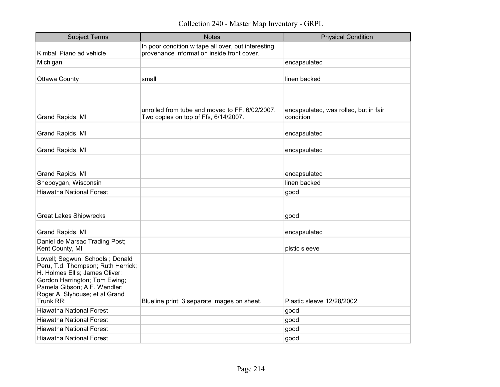Collection 240 - Master Map Inventory - GRPL

| <b>Subject Terms</b>                                                                                                                                                                                                    | <b>Notes</b>                                                                                     | <b>Physical Condition</b>                          |
|-------------------------------------------------------------------------------------------------------------------------------------------------------------------------------------------------------------------------|--------------------------------------------------------------------------------------------------|----------------------------------------------------|
| Kimball Piano ad vehicle                                                                                                                                                                                                | In poor condition w tape all over, but interesting<br>provenance information inside front cover. |                                                    |
| Michigan                                                                                                                                                                                                                |                                                                                                  | encapsulated                                       |
| <b>Ottawa County</b>                                                                                                                                                                                                    | small                                                                                            | linen backed                                       |
| Grand Rapids, MI                                                                                                                                                                                                        | unrolled from tube and moved to FF. 6/02/2007.<br>Two copies on top of Ffs, 6/14/2007.           | encapsulated, was rolled, but in fair<br>condition |
| Grand Rapids, MI                                                                                                                                                                                                        |                                                                                                  | encapsulated                                       |
| Grand Rapids, MI                                                                                                                                                                                                        |                                                                                                  | encapsulated                                       |
| Grand Rapids, MI<br>Sheboygan, Wisconsin                                                                                                                                                                                |                                                                                                  | encapsulated<br>linen backed                       |
| <b>Hiawatha National Forest</b>                                                                                                                                                                                         |                                                                                                  | good                                               |
| <b>Great Lakes Shipwrecks</b>                                                                                                                                                                                           |                                                                                                  | good                                               |
| Grand Rapids, MI                                                                                                                                                                                                        |                                                                                                  | encapsulated                                       |
| Daniel de Marsac Trading Post;<br>Kent County, MI                                                                                                                                                                       |                                                                                                  | plstic sleeve                                      |
| Lowell; Segwun; Schools; Donald<br>Peru, T.d. Thompson; Ruth Herrick;<br>H. Holmes Ellis; James Oliver;<br>Gordon Harrington; Tom Ewing;<br>Pamela Gibson; A.F. Wendler;<br>Roger A. Slyhouse; et al Grand<br>Trunk RR; | Blueline print; 3 separate images on sheet.                                                      | Plastic sleeve 12/28/2002                          |
| <b>Hiawatha National Forest</b>                                                                                                                                                                                         |                                                                                                  | good                                               |
| <b>Hiawatha National Forest</b>                                                                                                                                                                                         |                                                                                                  | good                                               |
| <b>Hiawatha National Forest</b>                                                                                                                                                                                         |                                                                                                  | good                                               |
| <b>Hiawatha National Forest</b>                                                                                                                                                                                         |                                                                                                  | good                                               |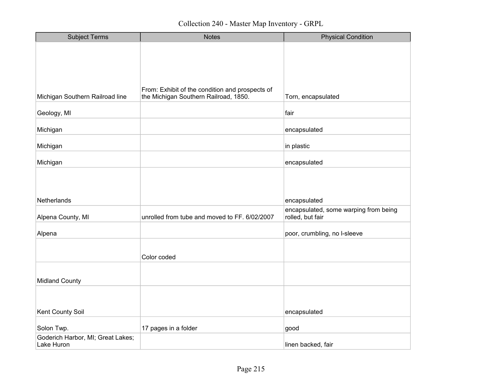| <b>Subject Terms</b>                            | <b>Notes</b>                                                                             | <b>Physical Condition</b>                             |
|-------------------------------------------------|------------------------------------------------------------------------------------------|-------------------------------------------------------|
|                                                 |                                                                                          |                                                       |
|                                                 |                                                                                          |                                                       |
|                                                 |                                                                                          |                                                       |
|                                                 |                                                                                          |                                                       |
| Michigan Southern Railroad line                 | From: Exhibit of the condition and prospects of<br>the Michigan Southern Railroad, 1850. | Torn, encapsulated                                    |
| Geology, MI                                     |                                                                                          | fair                                                  |
| Michigan                                        |                                                                                          | encapsulated                                          |
| Michigan                                        |                                                                                          | in plastic                                            |
| Michigan                                        |                                                                                          | encapsulated                                          |
|                                                 |                                                                                          |                                                       |
|                                                 |                                                                                          |                                                       |
|                                                 |                                                                                          |                                                       |
| Netherlands                                     |                                                                                          | encapsulated<br>encapsulated, some warping from being |
| Alpena County, MI                               | unrolled from tube and moved to FF. 6/02/2007                                            | rolled, but fair                                      |
| Alpena                                          |                                                                                          | poor, crumbling, no I-sleeve                          |
|                                                 |                                                                                          |                                                       |
|                                                 | Color coded                                                                              |                                                       |
|                                                 |                                                                                          |                                                       |
| <b>Midland County</b>                           |                                                                                          |                                                       |
|                                                 |                                                                                          |                                                       |
|                                                 |                                                                                          |                                                       |
| Kent County Soil                                |                                                                                          | encapsulated                                          |
|                                                 |                                                                                          |                                                       |
| Solon Twp.<br>Goderich Harbor, MI; Great Lakes; | 17 pages in a folder                                                                     | good                                                  |
| Lake Huron                                      |                                                                                          | linen backed, fair                                    |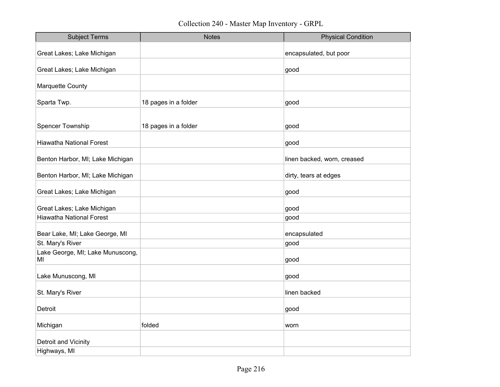Collection 240 - Master Map Inventory - GRPL

| <b>Subject Terms</b>                   | <b>Notes</b>         | <b>Physical Condition</b>   |
|----------------------------------------|----------------------|-----------------------------|
| Great Lakes; Lake Michigan             |                      | encapsulated, but poor      |
|                                        |                      |                             |
| Great Lakes; Lake Michigan             |                      | good                        |
| Marquette County                       |                      |                             |
| Sparta Twp.                            | 18 pages in a folder | good                        |
|                                        |                      |                             |
| Spencer Township                       | 18 pages in a folder | good                        |
| <b>Hiawatha National Forest</b>        |                      | good                        |
| Benton Harbor, MI; Lake Michigan       |                      | linen backed, worn, creased |
| Benton Harbor, MI; Lake Michigan       |                      | dirty, tears at edges       |
| Great Lakes; Lake Michigan             |                      | good                        |
| Great Lakes; Lake Michigan             |                      | good                        |
| <b>Hiawatha National Forest</b>        |                      | good                        |
| Bear Lake, MI; Lake George, MI         |                      | encapsulated                |
| St. Mary's River                       |                      | good                        |
| Lake George, MI; Lake Munuscong,<br>MI |                      | good                        |
| Lake Munuscong, MI                     |                      | good                        |
| St. Mary's River                       |                      | linen backed                |
| Detroit                                |                      | good                        |
| Michigan                               | folded               | worn                        |
| Detroit and Vicinity                   |                      |                             |
| Highways, MI                           |                      |                             |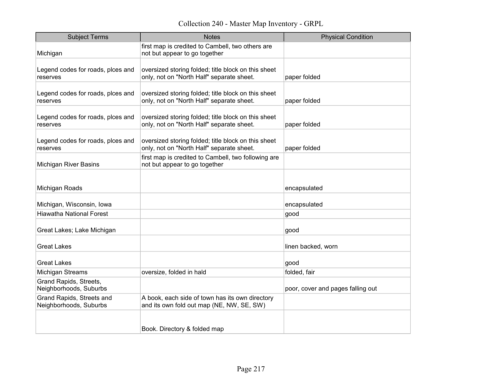| <b>Subject Terms</b>                                | <b>Notes</b>                                                                                     | <b>Physical Condition</b>         |
|-----------------------------------------------------|--------------------------------------------------------------------------------------------------|-----------------------------------|
| Michigan                                            | first map is credited to Cambell, two others are<br>not but appear to go together                |                                   |
| Legend codes for roads, plces and<br>reserves       | oversized storing folded; title block on this sheet<br>only, not on "North Half" separate sheet. | paper folded                      |
| Legend codes for roads, plces and<br>reserves       | oversized storing folded; title block on this sheet<br>only, not on "North Half" separate sheet. | paper folded                      |
| Legend codes for roads, plces and<br>reserves       | oversized storing folded; title block on this sheet<br>only, not on "North Half" separate sheet. | paper folded                      |
| Legend codes for roads, plces and<br>reserves       | oversized storing folded; title block on this sheet<br>only, not on "North Half" separate sheet. | paper folded                      |
| Michigan River Basins                               | first map is credited to Cambell, two following are<br>not but appear to go together             |                                   |
| Michigan Roads                                      |                                                                                                  | encapsulated                      |
| Michigan, Wisconsin, Iowa                           |                                                                                                  | encapsulated                      |
| <b>Hiawatha National Forest</b>                     |                                                                                                  | good                              |
| Great Lakes; Lake Michigan                          |                                                                                                  | good                              |
| <b>Great Lakes</b>                                  |                                                                                                  | linen backed, worn                |
| Great Lakes                                         |                                                                                                  | good                              |
| Michigan Streams                                    | oversize, folded in hald                                                                         | folded, fair                      |
| Grand Rapids, Streets,<br>Neighborhoods, Suburbs    |                                                                                                  | poor, cover and pages falling out |
| Grand Rapids, Streets and<br>Neighborhoods, Suburbs | A book, each side of town has its own directory<br>and its own fold out map (NE, NW, SE, SW)     |                                   |
|                                                     | Book. Directory & folded map                                                                     |                                   |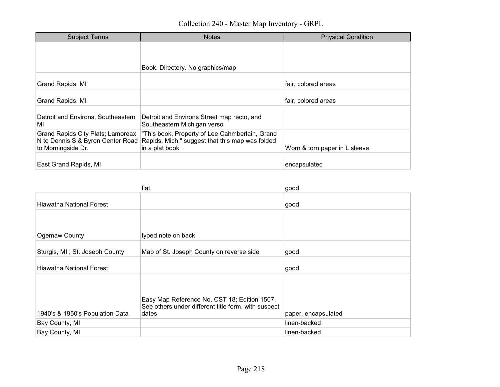| <b>Subject Terms</b>                                                                         | <b>Notes</b>                                                                                                        | <b>Physical Condition</b>     |
|----------------------------------------------------------------------------------------------|---------------------------------------------------------------------------------------------------------------------|-------------------------------|
|                                                                                              | Book. Directory. No graphics/map                                                                                    |                               |
|                                                                                              |                                                                                                                     |                               |
| Grand Rapids, MI                                                                             |                                                                                                                     | fair, colored areas           |
| Grand Rapids, MI                                                                             |                                                                                                                     | fair, colored areas           |
| Detroit and Environs, Southeastern<br>MI                                                     | Detroit and Environs Street map recto, and<br>Southeastern Michigan verso                                           |                               |
| Grand Rapids City Plats; Lamoreax<br>N to Dennis S & Byron Center Road<br>to Morningside Dr. | "This book, Property of Lee Cahmberlain, Grand<br>Rapids, Mich." suggest that this map was folded<br>in a plat book | Worn & torn paper in L sleeve |
| East Grand Rapids, MI                                                                        |                                                                                                                     | encapsulated                  |

|                                 | flat                                                                                                         | good                |
|---------------------------------|--------------------------------------------------------------------------------------------------------------|---------------------|
| <b>Hiawatha National Forest</b> |                                                                                                              | good                |
|                                 |                                                                                                              |                     |
| Ogemaw County                   | typed note on back                                                                                           |                     |
| Sturgis, MI; St. Joseph County  | Map of St. Joseph County on reverse side                                                                     | good                |
| <b>Hiawatha National Forest</b> |                                                                                                              | good                |
|                                 |                                                                                                              |                     |
|                                 | Easy Map Reference No. CST 18; Edition 1507.<br>See others under different title form, with suspect<br>dates |                     |
| 1940's & 1950's Population Data |                                                                                                              | paper, encapsulated |
| Bay County, MI                  |                                                                                                              | linen-backed        |
| Bay County, MI                  |                                                                                                              | linen-backed        |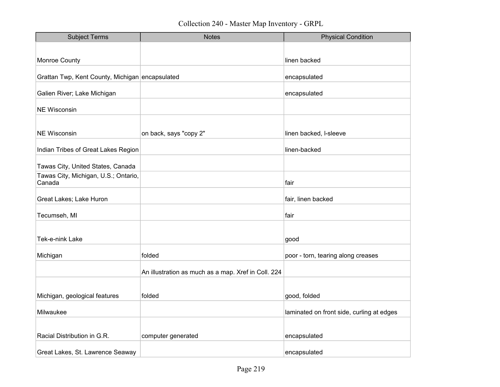| <b>Subject Terms</b>                            | <b>Notes</b>                                        | <b>Physical Condition</b>                 |
|-------------------------------------------------|-----------------------------------------------------|-------------------------------------------|
|                                                 |                                                     |                                           |
| <b>Monroe County</b>                            |                                                     | linen backed                              |
| Grattan Twp, Kent County, Michigan encapsulated |                                                     | encapsulated                              |
| Galien River; Lake Michigan                     |                                                     | encapsulated                              |
| <b>NE Wisconsin</b>                             |                                                     |                                           |
| <b>NE Wisconsin</b>                             | on back, says "copy 2"                              | linen backed, I-sleeve                    |
| Indian Tribes of Great Lakes Region             |                                                     | linen-backed                              |
| Tawas City, United States, Canada               |                                                     |                                           |
| Tawas City, Michigan, U.S.; Ontario,<br>Canada  |                                                     | fair                                      |
| Great Lakes; Lake Huron                         |                                                     | fair, linen backed                        |
| Tecumseh, MI                                    |                                                     | fair                                      |
|                                                 |                                                     |                                           |
| Tek-e-nink Lake                                 |                                                     | good                                      |
| Michigan                                        | folded                                              | poor - torn, tearing along creases        |
|                                                 | An illustration as much as a map. Xref in Coll. 224 |                                           |
|                                                 |                                                     |                                           |
| Michigan, geological features                   | folded                                              | good, folded                              |
| Milwaukee                                       |                                                     | laminated on front side, curling at edges |
|                                                 |                                                     |                                           |
| Racial Distribution in G.R.                     | computer generated                                  | encapsulated                              |
| Great Lakes, St. Lawrence Seaway                |                                                     | encapsulated                              |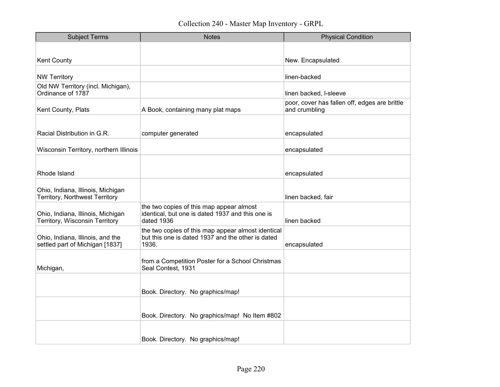| <b>Subject Terms</b>                                                | <b>Notes</b>                                                                                                     | <b>Physical Condition</b>                                      |
|---------------------------------------------------------------------|------------------------------------------------------------------------------------------------------------------|----------------------------------------------------------------|
|                                                                     |                                                                                                                  |                                                                |
| <b>Kent County</b>                                                  |                                                                                                                  | New. Encapsulated                                              |
| <b>NW Territory</b>                                                 |                                                                                                                  | linen-backed                                                   |
| Old NW Territory (incl. Michigan),<br>Ordinance of 1787             |                                                                                                                  | linen backed, I-sleeve                                         |
| Kent County, Plats                                                  | A Book, containing many plat maps                                                                                | poor, cover has fallen off, edges are brittle<br>and crumbling |
|                                                                     |                                                                                                                  |                                                                |
| Racial Distribution in G.R.                                         | computer generated                                                                                               | encapsulated                                                   |
| Wisconsin Territory, northern Illinois                              |                                                                                                                  | encapsulated                                                   |
|                                                                     |                                                                                                                  |                                                                |
| Rhode Island                                                        |                                                                                                                  | encapsulated                                                   |
| Ohio, Indiana, Illinois, Michigan<br>Territory, Northwest Territory |                                                                                                                  | linen backed, fair                                             |
| Ohio, Indiana, Illinois, Michigan<br>Territory, Wisconsin Territory | the two copies of this map appear almost<br>identical, but one is dated 1937 and this one is<br>dated 1936       | linen backed                                                   |
| Ohio, Indiana, Illinois, and the<br>settled part of Michigan [1837] | the two copies of this map appear almost identical<br>but this one is dated 1937 and the other is dated<br>1936. | encapsulated                                                   |
| Michigan,                                                           | from a Competition Poster for a School Christmas<br>Seal Contest, 1931                                           |                                                                |
|                                                                     | Book. Directory. No graphics/map!                                                                                |                                                                |
|                                                                     | Book. Directory. No graphics/map! No Item #802                                                                   |                                                                |
|                                                                     | Book. Directory. No graphics/map!                                                                                |                                                                |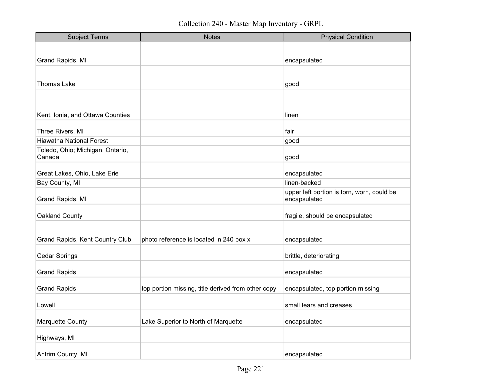| <b>Subject Terms</b>                   | <b>Notes</b>                                       | <b>Physical Condition</b>                                  |
|----------------------------------------|----------------------------------------------------|------------------------------------------------------------|
|                                        |                                                    |                                                            |
| Grand Rapids, MI                       |                                                    | encapsulated                                               |
|                                        |                                                    |                                                            |
| <b>Thomas Lake</b>                     |                                                    | good                                                       |
|                                        |                                                    |                                                            |
|                                        |                                                    |                                                            |
| Kent, Ionia, and Ottawa Counties       |                                                    | linen                                                      |
|                                        |                                                    |                                                            |
| Three Rivers, MI                       |                                                    | fair                                                       |
| <b>Hiawatha National Forest</b>        |                                                    | good                                                       |
| Toledo, Ohio; Michigan, Ontario,       |                                                    |                                                            |
| Canada                                 |                                                    | good                                                       |
| Great Lakes, Ohio, Lake Erie           |                                                    | encapsulated                                               |
| Bay County, MI                         |                                                    | linen-backed                                               |
| Grand Rapids, MI                       |                                                    | upper left portion is torn, worn, could be<br>encapsulated |
|                                        |                                                    |                                                            |
| Oakland County                         |                                                    | fragile, should be encapsulated                            |
|                                        |                                                    |                                                            |
| <b>Grand Rapids, Kent Country Club</b> | photo reference is located in 240 box x            | encapsulated                                               |
| Cedar Springs                          |                                                    | brittle, deteriorating                                     |
|                                        |                                                    |                                                            |
| <b>Grand Rapids</b>                    |                                                    | encapsulated                                               |
|                                        |                                                    |                                                            |
| <b>Grand Rapids</b>                    | top portion missing, title derived from other copy | encapsulated, top portion missing                          |
| Lowell                                 |                                                    | small tears and creases                                    |
| <b>Marquette County</b>                | Lake Superior to North of Marquette                | encapsulated                                               |
| Highways, MI                           |                                                    |                                                            |
|                                        |                                                    |                                                            |
| Antrim County, MI                      |                                                    | encapsulated                                               |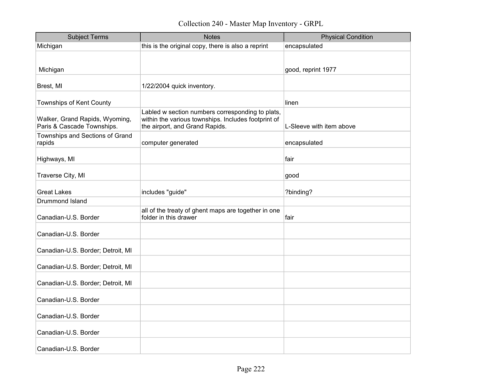| <b>Subject Terms</b>                                         | <b>Notes</b>                                                                                                                              | <b>Physical Condition</b> |
|--------------------------------------------------------------|-------------------------------------------------------------------------------------------------------------------------------------------|---------------------------|
| Michigan                                                     | this is the original copy, there is also a reprint                                                                                        | encapsulated              |
|                                                              |                                                                                                                                           |                           |
| Michigan                                                     |                                                                                                                                           | good, reprint 1977        |
| Brest, MI                                                    | 1/22/2004 quick inventory.                                                                                                                |                           |
| Townships of Kent County                                     |                                                                                                                                           | linen                     |
| Walker, Grand Rapids, Wyoming,<br>Paris & Cascade Townships. | Labled w section numbers corresponding to plats,<br>within the various townships. Includes footprint of<br>the airport, and Grand Rapids. | L-Sleeve with item above  |
| Townships and Sections of Grand<br>rapids                    | computer generated                                                                                                                        | encapsulated              |
| Highways, MI                                                 |                                                                                                                                           | fair                      |
| Traverse City, MI                                            |                                                                                                                                           | good                      |
| <b>Great Lakes</b>                                           | includes "guide"                                                                                                                          | ?binding?                 |
| Drummond Island                                              |                                                                                                                                           |                           |
| Canadian-U.S. Border                                         | all of the treaty of ghent maps are together in one<br>folder in this drawer                                                              | fair                      |
| Canadian-U.S. Border                                         |                                                                                                                                           |                           |
| Canadian-U.S. Border; Detroit, MI                            |                                                                                                                                           |                           |
| Canadian-U.S. Border; Detroit, MI                            |                                                                                                                                           |                           |
| Canadian-U.S. Border; Detroit, MI                            |                                                                                                                                           |                           |
| Canadian-U.S. Border                                         |                                                                                                                                           |                           |
| Canadian-U.S. Border                                         |                                                                                                                                           |                           |
| Canadian-U.S. Border                                         |                                                                                                                                           |                           |
| Canadian-U.S. Border                                         |                                                                                                                                           |                           |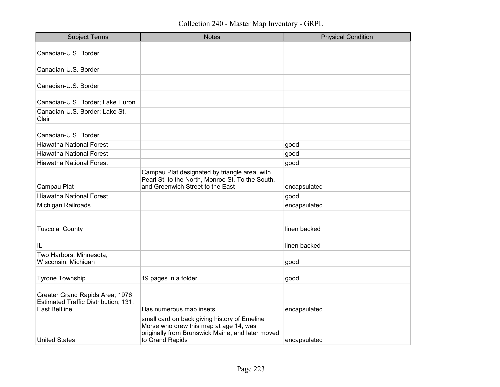| <b>Subject Terms</b>                                                                                   | <b>Notes</b>                                                                                                                                                  | <b>Physical Condition</b> |
|--------------------------------------------------------------------------------------------------------|---------------------------------------------------------------------------------------------------------------------------------------------------------------|---------------------------|
| Canadian-U.S. Border                                                                                   |                                                                                                                                                               |                           |
| Canadian-U.S. Border                                                                                   |                                                                                                                                                               |                           |
| Canadian-U.S. Border                                                                                   |                                                                                                                                                               |                           |
| Canadian-U.S. Border; Lake Huron                                                                       |                                                                                                                                                               |                           |
| Canadian-U.S. Border; Lake St.<br>Clair                                                                |                                                                                                                                                               |                           |
| Canadian-U.S. Border                                                                                   |                                                                                                                                                               |                           |
| Hiawatha National Forest                                                                               |                                                                                                                                                               | good                      |
| <b>Hiawatha National Forest</b>                                                                        |                                                                                                                                                               | good                      |
| <b>Hiawatha National Forest</b>                                                                        |                                                                                                                                                               | good                      |
| Campau Plat                                                                                            | Campau Plat designated by triangle area, with<br>Pearl St. to the North, Monroe St. To the South,<br>and Greenwich Street to the East                         | encapsulated              |
| <b>Hiawatha National Forest</b>                                                                        |                                                                                                                                                               | good                      |
| Michigan Railroads                                                                                     |                                                                                                                                                               | encapsulated              |
| Tuscola County                                                                                         |                                                                                                                                                               | linen backed              |
| IL                                                                                                     |                                                                                                                                                               | linen backed              |
| Two Harbors, Minnesota,<br>Wisconsin, Michigan                                                         |                                                                                                                                                               | good                      |
| <b>Tyrone Township</b>                                                                                 | 19 pages in a folder                                                                                                                                          | good                      |
| Greater Grand Rapids Area; 1976<br><b>Estimated Traffic Distribution; 131;</b><br><b>East Beltline</b> | Has numerous map insets                                                                                                                                       | encapsulated              |
| <b>United States</b>                                                                                   | small card on back giving history of Emeline<br>Morse who drew this map at age 14, was<br>originally from Brunswick Maine, and later moved<br>to Grand Rapids | encapsulated              |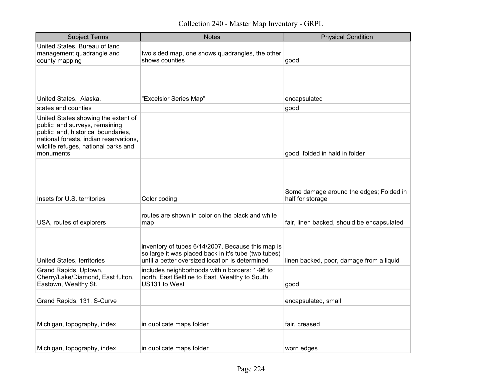Collection 240 - Master Map Inventory - GRPL

| <b>Subject Terms</b>                                                                                                                                                                                        | <b>Notes</b>                                                                                                                                                 | <b>Physical Condition</b>                                   |
|-------------------------------------------------------------------------------------------------------------------------------------------------------------------------------------------------------------|--------------------------------------------------------------------------------------------------------------------------------------------------------------|-------------------------------------------------------------|
| United States, Bureau of land<br>management quadrangle and<br>county mapping                                                                                                                                | two sided map, one shows quadrangles, the other<br>shows counties                                                                                            | good                                                        |
| United States. Alaska.                                                                                                                                                                                      | "Excelsior Series Map"                                                                                                                                       | encapsulated                                                |
| states and counties                                                                                                                                                                                         |                                                                                                                                                              | good                                                        |
| United States showing the extent of<br>public land surveys, remaining<br>public land, historical boundaries,<br>national forests, indian reservations,<br>wildlife refuges, national parks and<br>monuments |                                                                                                                                                              | good, folded in hald in folder                              |
| Insets for U.S. territories                                                                                                                                                                                 | Color coding                                                                                                                                                 | Some damage around the edges; Folded in<br>half for storage |
| USA, routes of explorers                                                                                                                                                                                    | routes are shown in color on the black and white<br>map                                                                                                      | fair, linen backed, should be encapsulated                  |
| United States, territories                                                                                                                                                                                  | inventory of tubes 6/14/2007. Because this map is<br>so large it was placed back in it's tube (two tubes)<br>until a better oversized location is determined | linen backed, poor, damage from a liquid                    |
| Grand Rapids, Uptown,<br>Cherry/Lake/Diamond, East fulton,<br>Eastown, Wealthy St.                                                                                                                          | includes neighborhoods within borders: 1-96 to<br>north, East Beltline to East, Wealthy to South,<br>US131 to West                                           | good                                                        |
| Grand Rapids, 131, S-Curve                                                                                                                                                                                  |                                                                                                                                                              | encapsulated, small                                         |
| Michigan, topography, index                                                                                                                                                                                 | in duplicate maps folder                                                                                                                                     | fair, creased                                               |
| Michigan, topography, index                                                                                                                                                                                 | in duplicate maps folder                                                                                                                                     | worn edges                                                  |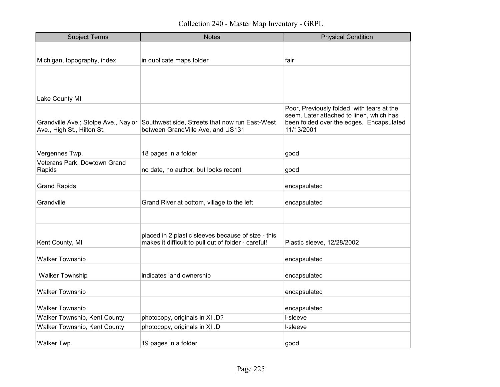| <b>Subject Terms</b>                                               | <b>Notes</b>                                                                                              | <b>Physical Condition</b>                                                                          |
|--------------------------------------------------------------------|-----------------------------------------------------------------------------------------------------------|----------------------------------------------------------------------------------------------------|
|                                                                    |                                                                                                           |                                                                                                    |
| Michigan, topography, index                                        | in duplicate maps folder                                                                                  | fair                                                                                               |
| Lake County MI                                                     |                                                                                                           |                                                                                                    |
|                                                                    |                                                                                                           | Poor, Previously folded, with tears at the                                                         |
| Grandville Ave.; Stolpe Ave., Naylor<br>Ave., High St., Hilton St. | Southwest side, Streets that now run East-West<br>between GrandVille Ave, and US131                       | seem. Later attached to linen, which has<br>been folded over the edges. Encapsulated<br>11/13/2001 |
|                                                                    |                                                                                                           |                                                                                                    |
| Vergennes Twp.                                                     | 18 pages in a folder                                                                                      | good                                                                                               |
| Veterans Park, Dowtown Grand<br>Rapids                             | no date, no author, but looks recent                                                                      | good                                                                                               |
| <b>Grand Rapids</b>                                                |                                                                                                           | encapsulated                                                                                       |
| Grandville                                                         | Grand River at bottom, village to the left                                                                | encapsulated                                                                                       |
|                                                                    |                                                                                                           |                                                                                                    |
| Kent County, MI                                                    | placed in 2 plastic sleeves because of size - this<br>makes it difficult to pull out of folder - careful! | Plastic sleeve, 12/28/2002                                                                         |
| <b>Walker Township</b>                                             |                                                                                                           | encapsulated                                                                                       |
| <b>Walker Township</b>                                             | indicates land ownership                                                                                  | encapsulated                                                                                       |
| <b>Walker Township</b>                                             |                                                                                                           | encapsulated                                                                                       |
| <b>Walker Township</b>                                             |                                                                                                           | encapsulated                                                                                       |
| Walker Township, Kent County                                       | photocopy, originals in XII.D?                                                                            | I-sleeve                                                                                           |
| Walker Township, Kent County                                       | photocopy, originals in XII.D                                                                             | I-sleeve                                                                                           |
| Walker Twp.                                                        | 19 pages in a folder                                                                                      | good                                                                                               |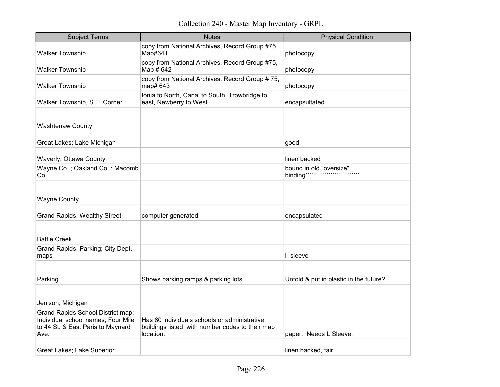Collection 240 - Master Map Inventory - GRPL

| <b>Subject Terms</b>                                                                                                 | <b>Notes</b>                                                                                                 | <b>Physical Condition</b>              |
|----------------------------------------------------------------------------------------------------------------------|--------------------------------------------------------------------------------------------------------------|----------------------------------------|
| <b>Walker Township</b>                                                                                               | copy from National Archives, Record Group #75,<br>Map#641                                                    | photocopy                              |
| <b>Walker Township</b>                                                                                               | copy from National Archives, Record Group #75,<br>Map # 642                                                  | photocopy                              |
| <b>Walker Township</b>                                                                                               | copy from National Archives, Record Group #75,<br>map# 643                                                   | photocopy                              |
| Walker Township, S.E. Corner                                                                                         | Ionia to North, Canal to South, Trowbridge to<br>east, Newberry to West                                      | encapsultated                          |
| <b>Washtenaw County</b>                                                                                              |                                                                                                              |                                        |
| Great Lakes; Lake Michigan                                                                                           |                                                                                                              | good                                   |
| Waverly, Ottawa County                                                                                               |                                                                                                              | linen backed                           |
| Wayne Co.; Oakland Co.: Macomb<br>Co.                                                                                |                                                                                                              | bound in old "oversize"<br>binding'    |
| <b>Wayne County</b>                                                                                                  |                                                                                                              |                                        |
| <b>Grand Rapids, Wealthy Street</b>                                                                                  | computer generated                                                                                           | encapsulated                           |
| <b>Battle Creek</b>                                                                                                  |                                                                                                              |                                        |
| Grand Rapids; Parking; City Dept.<br>maps                                                                            |                                                                                                              | I-sleeve                               |
| Parking                                                                                                              | Shows parking ramps & parking lots                                                                           | Unfold & put in plastic in the future? |
| Jenison, Michigan                                                                                                    |                                                                                                              |                                        |
| Grand Rapids School District map;<br>Individual school names; Four Mile<br>to 44 St. & East Paris to Maynard<br>Ave. | Has 80 individuals schools or administrative<br>buildings listed with number codes to their map<br>location. | paper. Needs L Sleeve.                 |
| Great Lakes; Lake Superior                                                                                           |                                                                                                              | linen backed, fair                     |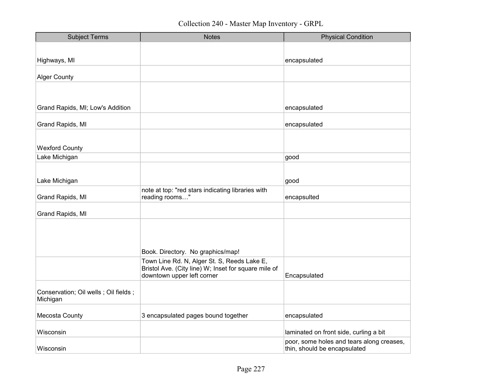| <b>Subject Terms</b>                               | <b>Notes</b>                                                                                        | <b>Physical Condition</b>                 |
|----------------------------------------------------|-----------------------------------------------------------------------------------------------------|-------------------------------------------|
|                                                    |                                                                                                     |                                           |
| Highways, MI                                       |                                                                                                     | encapsulated                              |
|                                                    |                                                                                                     |                                           |
| <b>Alger County</b>                                |                                                                                                     |                                           |
|                                                    |                                                                                                     |                                           |
|                                                    |                                                                                                     |                                           |
| Grand Rapids, MI; Low's Addition                   |                                                                                                     | encapsulated                              |
| Grand Rapids, MI                                   |                                                                                                     | encapsulated                              |
|                                                    |                                                                                                     |                                           |
| <b>Wexford County</b>                              |                                                                                                     |                                           |
| Lake Michigan                                      |                                                                                                     | good                                      |
|                                                    |                                                                                                     |                                           |
| Lake Michigan                                      |                                                                                                     | good                                      |
|                                                    | note at top: "red stars indicating libraries with                                                   |                                           |
| Grand Rapids, MI                                   | reading rooms"                                                                                      | encapsulted                               |
| Grand Rapids, MI                                   |                                                                                                     |                                           |
|                                                    |                                                                                                     |                                           |
|                                                    |                                                                                                     |                                           |
|                                                    |                                                                                                     |                                           |
|                                                    | Book. Directory. No graphics/map!                                                                   |                                           |
|                                                    | Town Line Rd. N, Alger St. S, Reeds Lake E,<br>Bristol Ave. (City line) W; Inset for square mile of |                                           |
|                                                    | downtown upper left corner                                                                          | Encapsulated                              |
|                                                    |                                                                                                     |                                           |
| Conservation; Oil wells ; Oil fields ;<br>Michigan |                                                                                                     |                                           |
|                                                    |                                                                                                     |                                           |
| Mecosta County                                     | 3 encapsulated pages bound together                                                                 | encapsulated                              |
| Wisconsin                                          |                                                                                                     | laminated on front side, curling a bit    |
|                                                    |                                                                                                     | poor, some holes and tears along creases, |
| Wisconsin                                          |                                                                                                     | thin, should be encapsulated              |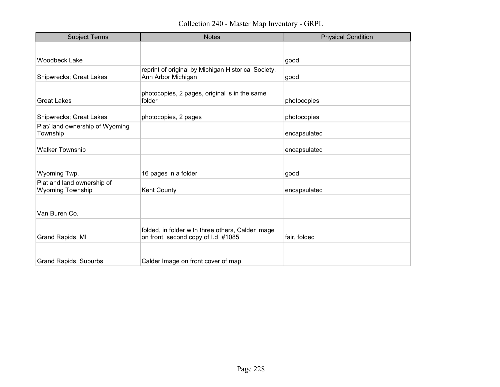| <b>Subject Terms</b>                                  | <b>Notes</b>                                                                             | <b>Physical Condition</b> |
|-------------------------------------------------------|------------------------------------------------------------------------------------------|---------------------------|
|                                                       |                                                                                          |                           |
| <b>Woodbeck Lake</b>                                  |                                                                                          | good                      |
| Shipwrecks; Great Lakes                               | reprint of original by Michigan Historical Society,<br>Ann Arbor Michigan                | good                      |
| <b>Great Lakes</b>                                    | photocopies, 2 pages, original is in the same<br>folder                                  | photocopies               |
| Shipwrecks; Great Lakes                               | photocopies, 2 pages                                                                     | photocopies               |
| Plat/ land ownership of Wyoming<br>Township           |                                                                                          | encapsulated              |
| <b>Walker Township</b>                                |                                                                                          | encapsulated              |
|                                                       |                                                                                          |                           |
| Wyoming Twp.                                          | 16 pages in a folder                                                                     | good                      |
| Plat and land ownership of<br><b>Wyoming Township</b> | Kent County                                                                              | encapsulated              |
|                                                       |                                                                                          |                           |
| Van Buren Co.                                         |                                                                                          |                           |
| Grand Rapids, MI                                      | folded, in folder with three others, Calder image<br>on front, second copy of I.d. #1085 | fair, folded              |
| <b>Grand Rapids, Suburbs</b>                          | Calder Image on front cover of map                                                       |                           |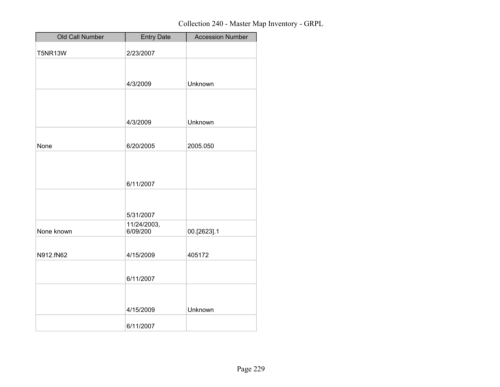| Old Call Number | <b>Entry Date</b> | <b>Accession Number</b> |
|-----------------|-------------------|-------------------------|
| <b>T5NR13W</b>  | 2/23/2007         |                         |
|                 |                   |                         |
|                 |                   |                         |
|                 | 4/3/2009          | Unknown                 |
|                 |                   |                         |
|                 |                   |                         |
|                 | 4/3/2009          | Unknown                 |
|                 |                   |                         |
| None            | 6/20/2005         | 2005.050                |
|                 |                   |                         |
|                 |                   |                         |
|                 | 6/11/2007         |                         |
|                 |                   |                         |
|                 | 5/31/2007         |                         |
|                 | 11/24/2003,       |                         |
| None known      | 6/09/200          | 00.[2623].1             |
|                 |                   |                         |
| N912.fN62       | 4/15/2009         | 405172                  |
|                 |                   |                         |
|                 | 6/11/2007         |                         |
|                 |                   |                         |
|                 | 4/15/2009         | Unknown                 |
|                 |                   |                         |
|                 | 6/11/2007         |                         |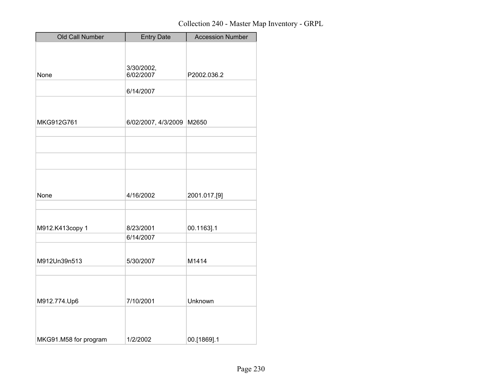| Old Call Number       | <b>Entry Date</b>   | <b>Accession Number</b> |
|-----------------------|---------------------|-------------------------|
|                       |                     |                         |
|                       |                     |                         |
|                       | 3/30/2002,          |                         |
| None                  | 6/02/2007           | P2002.036.2             |
|                       | 6/14/2007           |                         |
|                       |                     |                         |
| MKG912G761            |                     | M2650                   |
|                       | 6/02/2007, 4/3/2009 |                         |
|                       |                     |                         |
|                       |                     |                         |
|                       |                     |                         |
|                       |                     |                         |
|                       |                     |                         |
| None                  | 4/16/2002           | 2001.017.[9]            |
|                       |                     |                         |
|                       |                     |                         |
| M912.K413copy 1       | 8/23/2001           | 00.1163].1              |
|                       | 6/14/2007           |                         |
|                       |                     |                         |
| M912Un39n513          | 5/30/2007           | M1414                   |
|                       |                     |                         |
|                       |                     |                         |
| M912.774.Up6          | 7/10/2001           | Unknown                 |
|                       |                     |                         |
|                       |                     |                         |
|                       |                     |                         |
| MKG91.M58 for program | 1/2/2002            | 00.[1869].1             |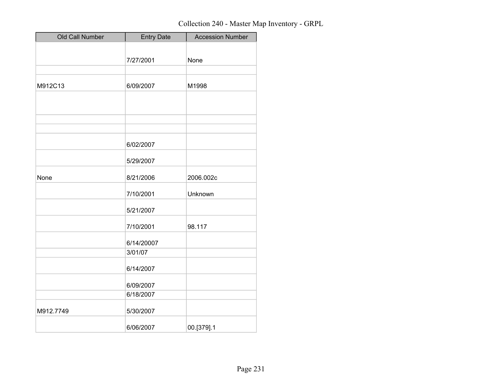| Old Call Number | <b>Entry Date</b> | <b>Accession Number</b> |
|-----------------|-------------------|-------------------------|
|                 |                   |                         |
|                 | 7/27/2001         | None                    |
|                 |                   |                         |
| M912C13         | 6/09/2007         | M1998                   |
|                 |                   |                         |
|                 |                   |                         |
|                 |                   |                         |
|                 |                   |                         |
|                 | 6/02/2007         |                         |
|                 | 5/29/2007         |                         |
| None            | 8/21/2006         | 2006.002c               |
|                 | 7/10/2001         | Unknown                 |
|                 | 5/21/2007         |                         |
|                 | 7/10/2001         | 98.117                  |
|                 | 6/14/20007        |                         |
|                 | 3/01/07           |                         |
|                 | 6/14/2007         |                         |
|                 | 6/09/2007         |                         |
|                 | 6/18/2007         |                         |
| M912.7749       | 5/30/2007         |                         |
|                 | 6/06/2007         | 00.[379].1              |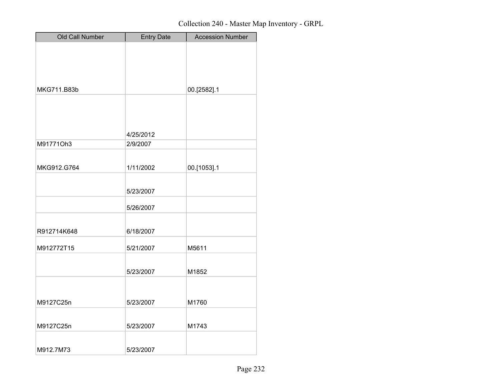| Old Call Number | <b>Entry Date</b> | <b>Accession Number</b> |
|-----------------|-------------------|-------------------------|
|                 |                   |                         |
|                 |                   |                         |
|                 |                   |                         |
| MKG711.B83b     |                   | 00.[2582].1             |
|                 |                   |                         |
|                 |                   |                         |
|                 |                   |                         |
|                 | 4/25/2012         |                         |
| M91771Oh3       | 2/9/2007          |                         |
|                 |                   |                         |
| MKG912.G764     | 1/11/2002         | 00.[1053].1             |
|                 | 5/23/2007         |                         |
|                 |                   |                         |
|                 | 5/26/2007         |                         |
|                 |                   |                         |
| R912714K648     | 6/18/2007         |                         |
| M912772T15      | 5/21/2007         | M5611                   |
|                 |                   |                         |
|                 | 5/23/2007         | M1852                   |
|                 |                   |                         |
|                 |                   |                         |
| M9127C25n       | 5/23/2007         | M1760                   |
| M9127C25n       | 5/23/2007         | M1743                   |
|                 |                   |                         |
| M912.7M73       | 5/23/2007         |                         |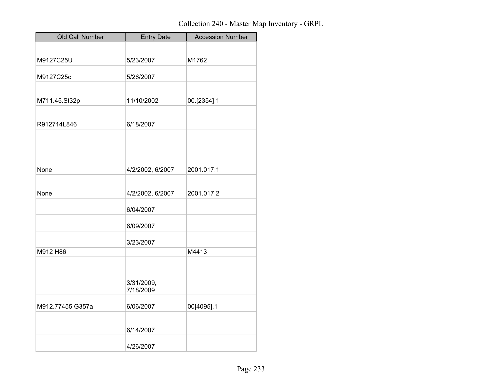| Old Call Number  | <b>Entry Date</b>       | <b>Accession Number</b> |
|------------------|-------------------------|-------------------------|
|                  |                         |                         |
| M9127C25U        | 5/23/2007               | M1762                   |
| M9127C25c        | 5/26/2007               |                         |
|                  |                         |                         |
| M711.45.St32p    | 11/10/2002              | 00.[2354].1             |
|                  |                         |                         |
| R912714L846      | 6/18/2007               |                         |
|                  |                         |                         |
|                  |                         |                         |
|                  |                         |                         |
| None             | 4/2/2002, 6/2007        | 2001.017.1              |
|                  |                         |                         |
| None             | 4/2/2002, 6/2007        | 2001.017.2              |
|                  | 6/04/2007               |                         |
|                  | 6/09/2007               |                         |
|                  | 3/23/2007               |                         |
| M912 H86         |                         | M4413                   |
|                  |                         |                         |
|                  | 3/31/2009,<br>7/18/2009 |                         |
| M912.77455 G357a | 6/06/2007               | 00[4095].1              |
|                  |                         |                         |
|                  | 6/14/2007               |                         |
|                  | 4/26/2007               |                         |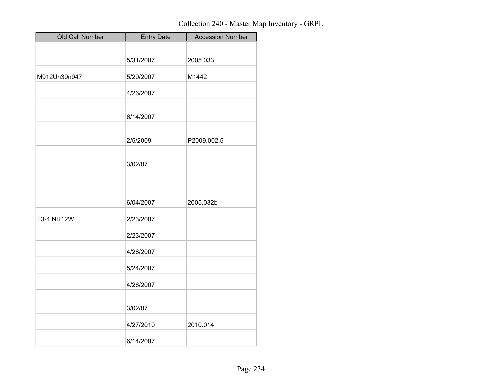| Old Call Number   | <b>Entry Date</b> | <b>Accession Number</b> |
|-------------------|-------------------|-------------------------|
|                   |                   |                         |
|                   | 5/31/2007         | 2005.033                |
| M912Un39n947      | 5/29/2007         | M1442                   |
|                   | 4/26/2007         |                         |
|                   | 6/14/2007         |                         |
|                   | 2/5/2009          | P2009.002.5             |
|                   | 3/02/07           |                         |
|                   |                   |                         |
|                   | 6/04/2007         | 2005.032b               |
| <b>T3-4 NR12W</b> | 2/23/2007         |                         |
|                   | 2/23/2007         |                         |
|                   | 4/26/2007         |                         |
|                   | 5/24/2007         |                         |
|                   | 4/26/2007         |                         |
|                   | 3/02/07           |                         |
|                   | 4/27/2010         | 2010.014                |
|                   | 6/14/2007         |                         |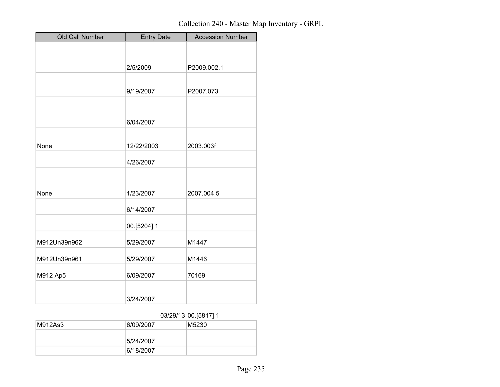| Old Call Number | <b>Entry Date</b> | <b>Accession Number</b> |
|-----------------|-------------------|-------------------------|
|                 |                   |                         |
|                 |                   |                         |
|                 | 2/5/2009          | P2009.002.1             |
|                 |                   |                         |
|                 | 9/19/2007         | P2007.073               |
|                 |                   |                         |
|                 | 6/04/2007         |                         |
|                 |                   |                         |
| None            |                   | 2003.003f               |
|                 | 12/22/2003        |                         |
|                 | 4/26/2007         |                         |
|                 |                   |                         |
|                 |                   |                         |
| None            | 1/23/2007         | 2007.004.5              |
|                 | 6/14/2007         |                         |
|                 | 00.[5204].1       |                         |
|                 |                   |                         |
| M912Un39n962    | 5/29/2007         | M1447                   |
| M912Un39n961    | 5/29/2007         | M1446                   |
|                 |                   |                         |
| M912 Ap5        | 6/09/2007         | 70169                   |
|                 |                   |                         |
|                 | 3/24/2007         |                         |

### 03/29/13 00.[5817].1

| M912As3 | 6/09/2007 | M5230 |
|---------|-----------|-------|
|         | 5/24/2007 |       |
|         | 6/18/2007 |       |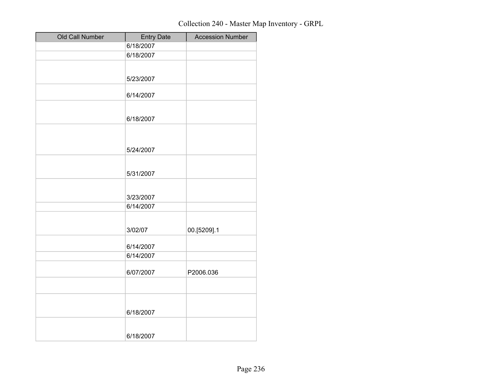| Old Call Number | <b>Entry Date</b> | <b>Accession Number</b> |
|-----------------|-------------------|-------------------------|
|                 | 6/18/2007         |                         |
|                 | 6/18/2007         |                         |
|                 |                   |                         |
|                 | 5/23/2007         |                         |
|                 |                   |                         |
|                 | 6/14/2007         |                         |
|                 |                   |                         |
|                 | 6/18/2007         |                         |
|                 |                   |                         |
|                 |                   |                         |
|                 | 5/24/2007         |                         |
|                 |                   |                         |
|                 |                   |                         |
|                 | 5/31/2007         |                         |
|                 |                   |                         |
|                 | 3/23/2007         |                         |
|                 | 6/14/2007         |                         |
|                 |                   |                         |
|                 | 3/02/07           | 00.[5209].1             |
|                 |                   |                         |
|                 | 6/14/2007         |                         |
|                 | 6/14/2007         |                         |
|                 |                   |                         |
|                 | 6/07/2007         | P2006.036               |
|                 |                   |                         |
|                 |                   |                         |
|                 |                   |                         |
|                 | 6/18/2007         |                         |
|                 |                   |                         |
|                 | 6/18/2007         |                         |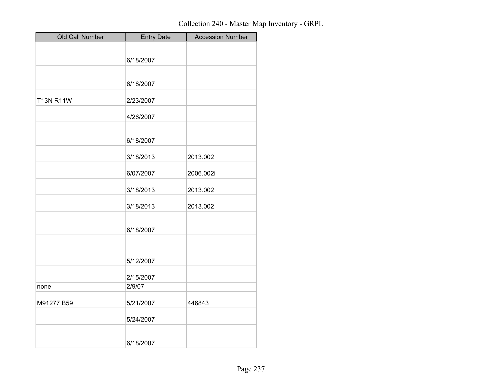| Old Call Number  | <b>Entry Date</b> | <b>Accession Number</b> |
|------------------|-------------------|-------------------------|
|                  |                   |                         |
|                  | 6/18/2007         |                         |
|                  |                   |                         |
|                  | 6/18/2007         |                         |
|                  |                   |                         |
| <b>T13N R11W</b> | 2/23/2007         |                         |
|                  | 4/26/2007         |                         |
|                  |                   |                         |
|                  | 6/18/2007         |                         |
|                  |                   |                         |
|                  | 3/18/2013         | 2013.002                |
|                  | 6/07/2007         | 2006.002i               |
|                  | 3/18/2013         | 2013.002                |
|                  |                   |                         |
|                  | 3/18/2013         | 2013.002                |
|                  |                   |                         |
|                  | 6/18/2007         |                         |
|                  |                   |                         |
|                  |                   |                         |
|                  | 5/12/2007         |                         |
|                  | 2/15/2007         |                         |
| none             | 2/9/07            |                         |
| M91277 B59       |                   | 446843                  |
|                  | 5/21/2007         |                         |
|                  | 5/24/2007         |                         |
|                  |                   |                         |
|                  | 6/18/2007         |                         |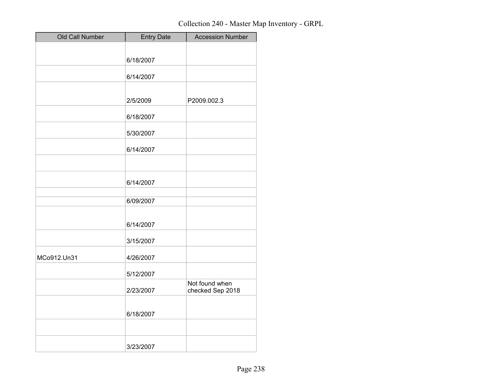| Old Call Number | <b>Entry Date</b> | <b>Accession Number</b>            |
|-----------------|-------------------|------------------------------------|
|                 |                   |                                    |
|                 | 6/18/2007         |                                    |
|                 | 6/14/2007         |                                    |
|                 |                   |                                    |
|                 | 2/5/2009          | P2009.002.3                        |
|                 | 6/18/2007         |                                    |
|                 | 5/30/2007         |                                    |
|                 | 6/14/2007         |                                    |
|                 |                   |                                    |
|                 | 6/14/2007         |                                    |
|                 | 6/09/2007         |                                    |
|                 | 6/14/2007         |                                    |
|                 | 3/15/2007         |                                    |
| MCo912.Un31     | 4/26/2007         |                                    |
|                 | 5/12/2007         |                                    |
|                 | 2/23/2007         | Not found when<br>checked Sep 2018 |
|                 | 6/18/2007         |                                    |
|                 |                   |                                    |
|                 | 3/23/2007         |                                    |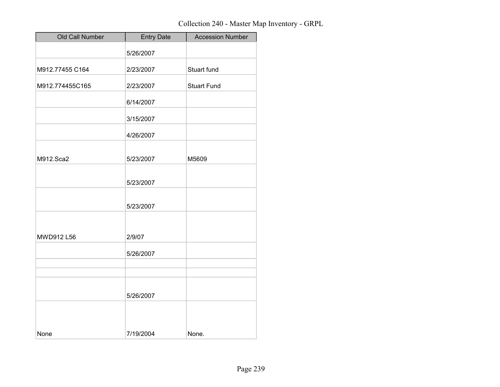| Old Call Number | <b>Entry Date</b> | <b>Accession Number</b> |
|-----------------|-------------------|-------------------------|
|                 | 5/26/2007         |                         |
| M912.77455 C164 | 2/23/2007         | Stuart fund             |
| M912.774455C165 | 2/23/2007         | <b>Stuart Fund</b>      |
|                 | 6/14/2007         |                         |
|                 | 3/15/2007         |                         |
|                 | 4/26/2007         |                         |
|                 |                   |                         |
| M912.Sca2       | 5/23/2007         | M5609                   |
|                 | 5/23/2007         |                         |
|                 | 5/23/2007         |                         |
| MWD912 L56      | 2/9/07            |                         |
|                 | 5/26/2007         |                         |
|                 |                   |                         |
|                 | 5/26/2007         |                         |
| None            | 7/19/2004         | None.                   |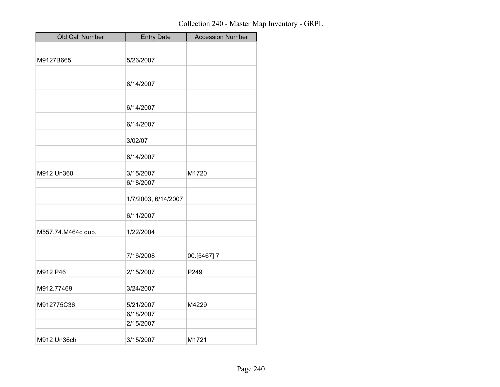| Old Call Number    | <b>Entry Date</b>   | <b>Accession Number</b> |
|--------------------|---------------------|-------------------------|
|                    |                     |                         |
| M9127B665          | 5/26/2007           |                         |
|                    |                     |                         |
|                    | 6/14/2007           |                         |
|                    |                     |                         |
|                    | 6/14/2007           |                         |
|                    | 6/14/2007           |                         |
|                    | 3/02/07             |                         |
|                    | 6/14/2007           |                         |
| M912 Un360         | 3/15/2007           | M1720                   |
|                    | 6/18/2007           |                         |
|                    | 1/7/2003, 6/14/2007 |                         |
|                    | 6/11/2007           |                         |
| M557.74.M464c dup. | 1/22/2004           |                         |
|                    | 7/16/2008           | 00.[5467].7             |
| M912 P46           | 2/15/2007           | P249                    |
| M912.77469         | 3/24/2007           |                         |
|                    |                     |                         |
| M912775C36         | 5/21/2007           | M4229                   |
|                    | 6/18/2007           |                         |
|                    | 2/15/2007           |                         |
| M912 Un36ch        | 3/15/2007           | M1721                   |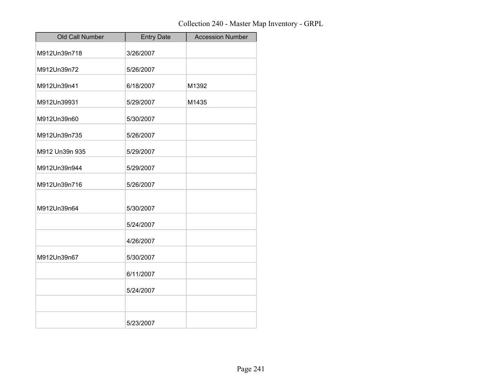| Old Call Number | <b>Entry Date</b> | <b>Accession Number</b> |
|-----------------|-------------------|-------------------------|
| M912Un39n718    | 3/26/2007         |                         |
| M912Un39n72     | 5/26/2007         |                         |
| M912Un39n41     | 6/18/2007         | M1392                   |
| M912Un39931     | 5/29/2007         | M1435                   |
| M912Un39n60     | 5/30/2007         |                         |
| M912Un39n735    | 5/26/2007         |                         |
| M912 Un39n 935  | 5/29/2007         |                         |
| M912Un39n944    | 5/29/2007         |                         |
| M912Un39n716    | 5/26/2007         |                         |
| M912Un39n64     | 5/30/2007         |                         |
|                 | 5/24/2007         |                         |
|                 | 4/26/2007         |                         |
| M912Un39n67     | 5/30/2007         |                         |
|                 | 6/11/2007         |                         |
|                 | 5/24/2007         |                         |
|                 |                   |                         |
|                 | 5/23/2007         |                         |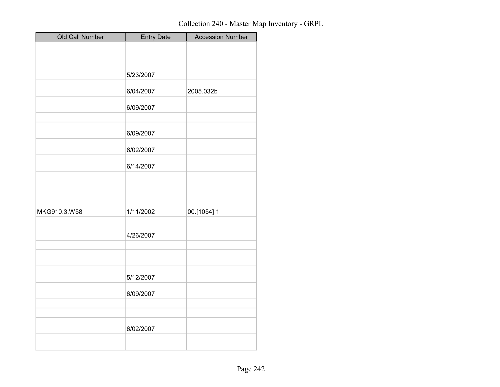| Old Call Number | <b>Entry Date</b> | <b>Accession Number</b> |
|-----------------|-------------------|-------------------------|
|                 |                   |                         |
|                 |                   |                         |
|                 | 5/23/2007         |                         |
|                 |                   |                         |
|                 | 6/04/2007         | 2005.032b               |
|                 | 6/09/2007         |                         |
|                 |                   |                         |
|                 | 6/09/2007         |                         |
|                 | 6/02/2007         |                         |
|                 | 6/14/2007         |                         |
|                 |                   |                         |
|                 |                   |                         |
|                 |                   |                         |
| MKG910.3.W58    | 1/11/2002         | 00.[1054].1             |
|                 |                   |                         |
|                 | 4/26/2007         |                         |
|                 |                   |                         |
|                 |                   |                         |
|                 | 5/12/2007         |                         |
|                 | 6/09/2007         |                         |
|                 |                   |                         |
|                 |                   |                         |
|                 | 6/02/2007         |                         |
|                 |                   |                         |
|                 |                   |                         |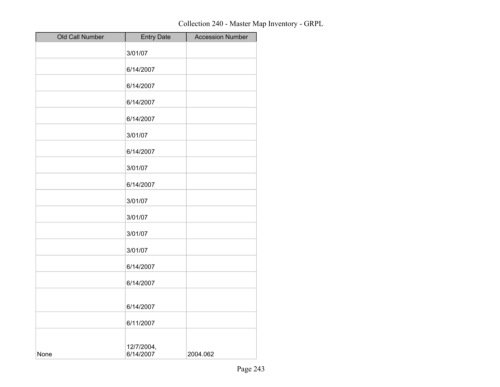| Old Call Number | <b>Entry Date</b>       | <b>Accession Number</b> |
|-----------------|-------------------------|-------------------------|
|                 | 3/01/07                 |                         |
|                 | 6/14/2007               |                         |
|                 | 6/14/2007               |                         |
|                 | 6/14/2007               |                         |
|                 | 6/14/2007               |                         |
|                 | 3/01/07                 |                         |
|                 | 6/14/2007               |                         |
|                 | 3/01/07                 |                         |
|                 | 6/14/2007               |                         |
|                 | 3/01/07                 |                         |
|                 | 3/01/07                 |                         |
|                 | 3/01/07                 |                         |
|                 | 3/01/07                 |                         |
|                 | 6/14/2007               |                         |
|                 | 6/14/2007               |                         |
|                 | 6/14/2007               |                         |
|                 | 6/11/2007               |                         |
| None            | 12/7/2004,<br>6/14/2007 | 2004.062                |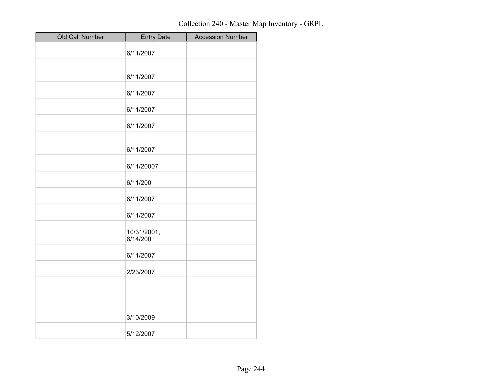| Old Call Number | <b>Entry Date</b>       | <b>Accession Number</b> |
|-----------------|-------------------------|-------------------------|
|                 | 6/11/2007               |                         |
|                 |                         |                         |
|                 | 6/11/2007               |                         |
|                 | 6/11/2007               |                         |
|                 | 6/11/2007               |                         |
|                 | 6/11/2007               |                         |
|                 | 6/11/2007               |                         |
|                 | 6/11/20007              |                         |
|                 | 6/11/200                |                         |
|                 | 6/11/2007               |                         |
|                 | 6/11/2007               |                         |
|                 | 10/31/2001,<br>6/14/200 |                         |
|                 | 6/11/2007               |                         |
|                 | 2/23/2007               |                         |
|                 |                         |                         |
|                 | 3/10/2009               |                         |
|                 | 5/12/2007               |                         |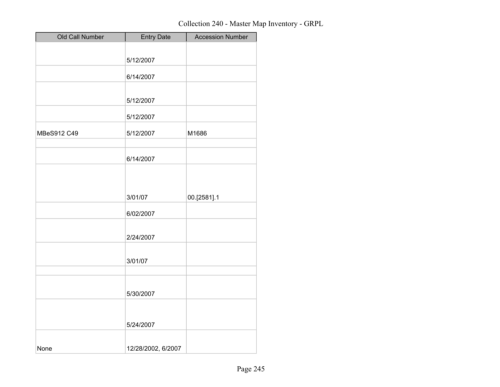| Old Call Number | <b>Entry Date</b>  | <b>Accession Number</b> |
|-----------------|--------------------|-------------------------|
|                 |                    |                         |
|                 | 5/12/2007          |                         |
|                 | 6/14/2007          |                         |
|                 |                    |                         |
|                 | 5/12/2007          |                         |
|                 | 5/12/2007          |                         |
| MBeS912 C49     | 5/12/2007          | M1686                   |
|                 | 6/14/2007          |                         |
|                 |                    |                         |
|                 | 3/01/07            | 00.[2581].1             |
|                 | 6/02/2007          |                         |
|                 | 2/24/2007          |                         |
|                 | 3/01/07            |                         |
|                 |                    |                         |
|                 | 5/30/2007          |                         |
|                 |                    |                         |
|                 | 5/24/2007          |                         |
| None            | 12/28/2002, 6/2007 |                         |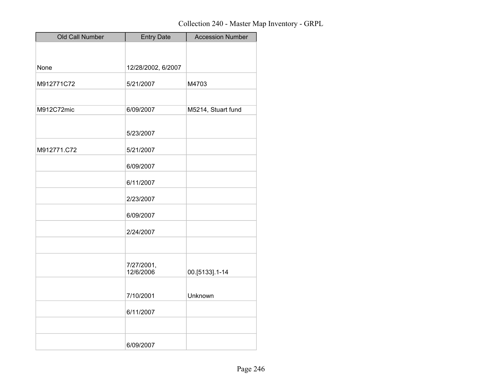| Old Call Number | <b>Entry Date</b>       | <b>Accession Number</b> |
|-----------------|-------------------------|-------------------------|
|                 |                         |                         |
|                 |                         |                         |
| None            | 12/28/2002, 6/2007      |                         |
| M912771C72      | 5/21/2007               | M4703                   |
|                 |                         |                         |
| M912C72mic      | 6/09/2007               | M5214, Stuart fund      |
|                 |                         |                         |
|                 | 5/23/2007               |                         |
| M912771.C72     | 5/21/2007               |                         |
|                 | 6/09/2007               |                         |
|                 | 6/11/2007               |                         |
|                 | 2/23/2007               |                         |
|                 | 6/09/2007               |                         |
|                 | 2/24/2007               |                         |
|                 |                         |                         |
|                 | 7/27/2001,<br>12/6/2006 | 00.[5133].1-14          |
|                 | 7/10/2001               | Unknown                 |
|                 | 6/11/2007               |                         |
|                 |                         |                         |
|                 | 6/09/2007               |                         |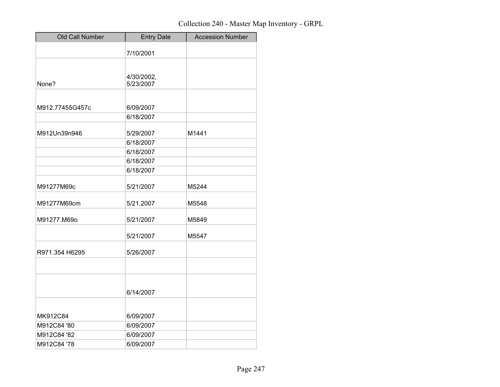| Old Call Number | <b>Entry Date</b>       | <b>Accession Number</b> |
|-----------------|-------------------------|-------------------------|
|                 | 7/10/2001               |                         |
|                 |                         |                         |
| None?           | 4/30/2002,<br>5/23/2007 |                         |
|                 |                         |                         |
| M912.77455G457c | 6/09/2007               |                         |
|                 | 6/18/2007               |                         |
| M912Un39n946    | 5/29/2007               | M1441                   |
|                 | 6/18/2007               |                         |
|                 | 6/18/2007               |                         |
|                 | 6/18/2007               |                         |
|                 | 6/18/2007               |                         |
| M91277M69c      | 5/21/2007               | M5244                   |
| M91277M69cm     | 5/21.2007               | M5548                   |
| M91277.M69o     | 5/21/2007               | M5849                   |
|                 | 5/21/2007               | M5547                   |
| R971.354 H6295  | 5/26/2007               |                         |
|                 |                         |                         |
|                 |                         |                         |
|                 | 6/14/2007               |                         |
| MK912C84        | 6/09/2007               |                         |
| M912C84 '80     | 6/09/2007               |                         |
| M912C84 '82     | 6/09/2007               |                         |
| M912C84 '78     | 6/09/2007               |                         |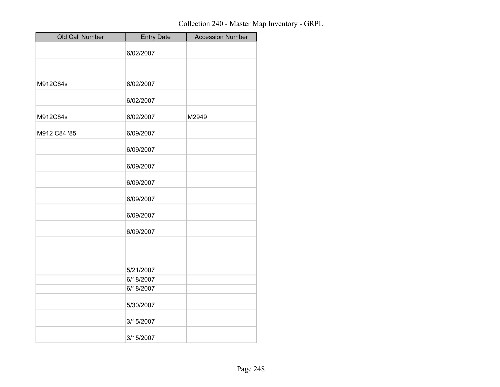| Old Call Number | <b>Entry Date</b> | <b>Accession Number</b> |
|-----------------|-------------------|-------------------------|
|                 | 6/02/2007         |                         |
|                 |                   |                         |
| M912C84s        | 6/02/2007         |                         |
|                 | 6/02/2007         |                         |
| M912C84s        | 6/02/2007         | M2949                   |
| M912 C84 '85    | 6/09/2007         |                         |
|                 | 6/09/2007         |                         |
|                 | 6/09/2007         |                         |
|                 | 6/09/2007         |                         |
|                 | 6/09/2007         |                         |
|                 | 6/09/2007         |                         |
|                 | 6/09/2007         |                         |
|                 | 5/21/2007         |                         |
|                 | 6/18/2007         |                         |
|                 | 6/18/2007         |                         |
|                 | 5/30/2007         |                         |
|                 | 3/15/2007         |                         |
|                 | 3/15/2007         |                         |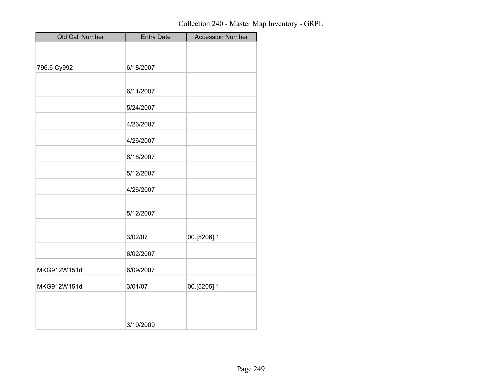| Old Call Number | <b>Entry Date</b> | <b>Accession Number</b> |
|-----------------|-------------------|-------------------------|
|                 |                   |                         |
| 796.6 Cy992     | 6/18/2007         |                         |
|                 |                   |                         |
|                 | 6/11/2007         |                         |
|                 | 5/24/2007         |                         |
|                 | 4/26/2007         |                         |
|                 | 4/26/2007         |                         |
|                 | 6/18/2007         |                         |
|                 | 5/12/2007         |                         |
|                 | 4/26/2007         |                         |
|                 | 5/12/2007         |                         |
|                 | 3/02/07           | 00.[5206].1             |
|                 | 6/02/2007         |                         |
| MKG912W151d     | 6/09/2007         |                         |
| MKG912W151d     | 3/01/07           | 00.[5205].1             |
|                 | 3/19/2009         |                         |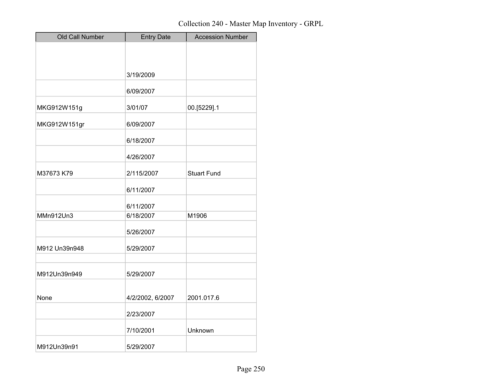| Old Call Number | <b>Entry Date</b> | <b>Accession Number</b> |
|-----------------|-------------------|-------------------------|
|                 |                   |                         |
|                 |                   |                         |
|                 | 3/19/2009         |                         |
|                 | 6/09/2007         |                         |
| MKG912W151g     | 3/01/07           | 00.[5229].1             |
| MKG912W151gr    | 6/09/2007         |                         |
|                 | 6/18/2007         |                         |
|                 | 4/26/2007         |                         |
| M37673 K79      | 2/115/2007        | <b>Stuart Fund</b>      |
|                 | 6/11/2007         |                         |
|                 | 6/11/2007         |                         |
| MMn912Un3       | 6/18/2007         | M1906                   |
|                 | 5/26/2007         |                         |
| M912 Un39n948   | 5/29/2007         |                         |
|                 |                   |                         |
| M912Un39n949    | 5/29/2007         |                         |
| None            |                   |                         |
|                 | 4/2/2002, 6/2007  | 2001.017.6              |
|                 | 2/23/2007         |                         |
|                 | 7/10/2001         | Unknown                 |
| M912Un39n91     | 5/29/2007         |                         |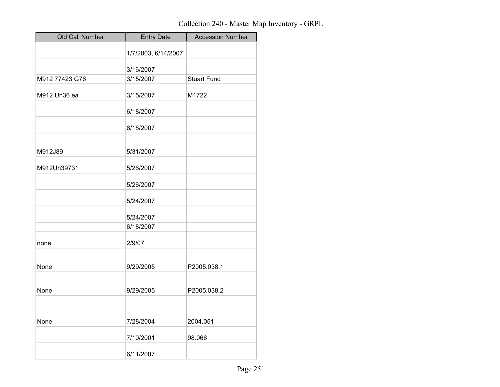| Old Call Number | <b>Entry Date</b>   | <b>Accession Number</b> |
|-----------------|---------------------|-------------------------|
|                 | 1/7/2003, 6/14/2007 |                         |
|                 | 3/16/2007           |                         |
| M912 77423 G76  | 3/15/2007           | <b>Stuart Fund</b>      |
| M912 Un36 ea    | 3/15/2007           | M1722                   |
|                 | 6/18/2007           |                         |
|                 | 6/18/2007           |                         |
|                 |                     |                         |
| M912J89         | 5/31/2007           |                         |
| M912Un39731     | 5/26/2007           |                         |
|                 | 5/26/2007           |                         |
|                 | 5/24/2007           |                         |
|                 | 5/24/2007           |                         |
|                 | 6/18/2007           |                         |
| none            | 2/9/07              |                         |
| None            | 9/29/2005           | P2005.038.1             |
|                 |                     |                         |
| None            | 9/29/2005           | P2005.038.2             |
|                 |                     |                         |
| None            | 7/28/2004           | 2004.051                |
|                 | 7/10/2001           | 98.066                  |
|                 | 6/11/2007           |                         |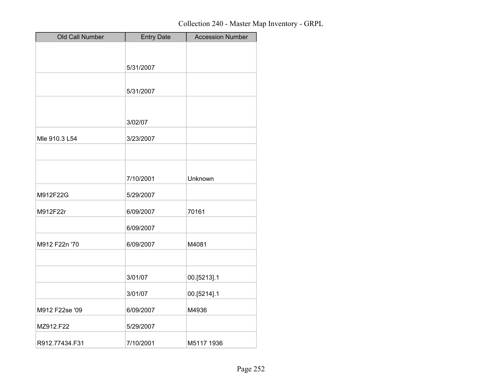| Old Call Number | <b>Entry Date</b> | <b>Accession Number</b> |
|-----------------|-------------------|-------------------------|
|                 |                   |                         |
|                 | 5/31/2007         |                         |
|                 |                   |                         |
|                 | 5/31/2007         |                         |
|                 |                   |                         |
|                 | 3/02/07           |                         |
| Mle 910.3 L54   | 3/23/2007         |                         |
|                 |                   |                         |
|                 |                   |                         |
|                 | 7/10/2001         | Unknown                 |
| M912F22G        | 5/29/2007         |                         |
| M912F22r        | 6/09/2007         | 70161                   |
|                 | 6/09/2007         |                         |
| M912 F22n '70   | 6/09/2007         | M4081                   |
|                 |                   |                         |
|                 | 3/01/07           | 00.[5213].1             |
|                 | 3/01/07           | 00.[5214].1             |
| M912 F22se '09  | 6/09/2007         | M4936                   |
| MZ912.F22       | 5/29/2007         |                         |
| R912.77434.F31  | 7/10/2001         | M5117 1936              |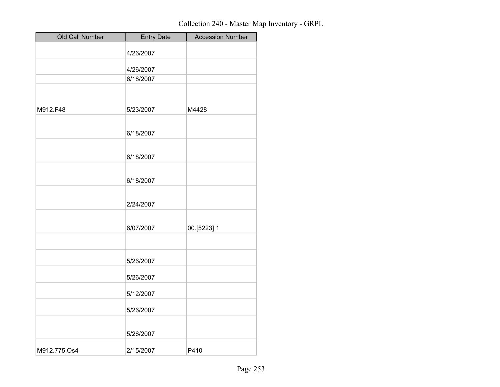| Old Call Number | <b>Entry Date</b> | <b>Accession Number</b> |
|-----------------|-------------------|-------------------------|
|                 | 4/26/2007         |                         |
|                 | 4/26/2007         |                         |
|                 | 6/18/2007         |                         |
|                 |                   |                         |
| M912.F48        | 5/23/2007         | M4428                   |
|                 | 6/18/2007         |                         |
|                 | 6/18/2007         |                         |
|                 | 6/18/2007         |                         |
|                 | 2/24/2007         |                         |
|                 | 6/07/2007         | 00.[5223].1             |
|                 | 5/26/2007         |                         |
|                 | 5/26/2007         |                         |
|                 | 5/12/2007         |                         |
|                 | 5/26/2007         |                         |
|                 | 5/26/2007         |                         |
| M912.775.Os4    | 2/15/2007         | P410                    |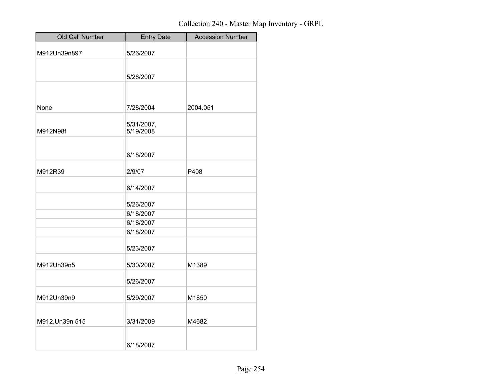| Old Call Number | <b>Entry Date</b> | <b>Accession Number</b> |
|-----------------|-------------------|-------------------------|
| M912Un39n897    | 5/26/2007         |                         |
|                 |                   |                         |
|                 | 5/26/2007         |                         |
|                 |                   |                         |
|                 |                   |                         |
| None            | 7/28/2004         | 2004.051                |
|                 | 5/31/2007,        |                         |
| M912N98f        | 5/19/2008         |                         |
|                 |                   |                         |
|                 | 6/18/2007         |                         |
| M912R39         |                   | P408                    |
|                 | 2/9/07            |                         |
|                 | 6/14/2007         |                         |
|                 | 5/26/2007         |                         |
|                 | 6/18/2007         |                         |
|                 | 6/18/2007         |                         |
|                 | 6/18/2007         |                         |
|                 | 5/23/2007         |                         |
| M912Un39n5      | 5/30/2007         | M1389                   |
|                 | 5/26/2007         |                         |
| M912Un39n9      | 5/29/2007         | M1850                   |
|                 |                   |                         |
| M912.Un39n 515  | 3/31/2009         | M4682                   |
|                 | 6/18/2007         |                         |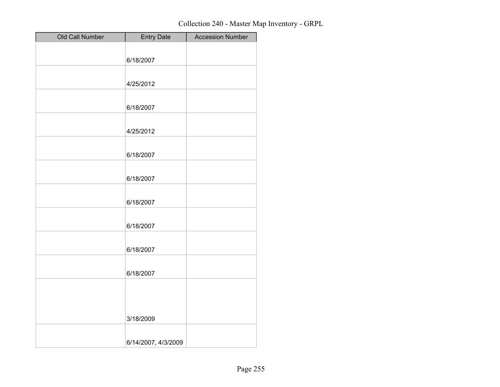| Old Call Number | <b>Entry Date</b>   | <b>Accession Number</b> |
|-----------------|---------------------|-------------------------|
|                 |                     |                         |
|                 | 6/18/2007           |                         |
|                 |                     |                         |
|                 | 4/25/2012           |                         |
|                 |                     |                         |
|                 | 6/18/2007           |                         |
|                 |                     |                         |
|                 | 4/25/2012           |                         |
|                 |                     |                         |
|                 | 6/18/2007           |                         |
|                 |                     |                         |
|                 | 6/18/2007           |                         |
|                 |                     |                         |
|                 | 6/18/2007           |                         |
|                 |                     |                         |
|                 | 6/18/2007           |                         |
|                 |                     |                         |
|                 | 6/18/2007           |                         |
|                 |                     |                         |
|                 | 6/18/2007           |                         |
|                 |                     |                         |
|                 |                     |                         |
|                 |                     |                         |
|                 | 3/18/2009           |                         |
|                 |                     |                         |
|                 | 6/14/2007, 4/3/2009 |                         |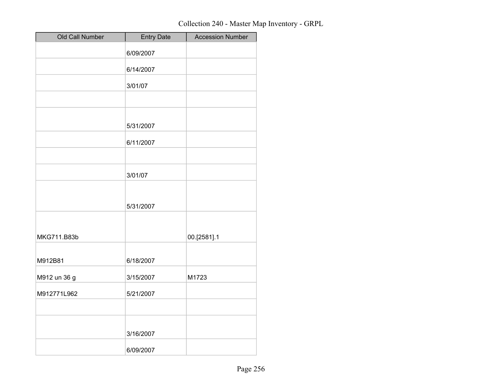| Old Call Number | <b>Entry Date</b> | <b>Accession Number</b> |
|-----------------|-------------------|-------------------------|
|                 | 6/09/2007         |                         |
|                 | 6/14/2007         |                         |
|                 | 3/01/07           |                         |
|                 |                   |                         |
|                 | 5/31/2007         |                         |
|                 | 6/11/2007         |                         |
|                 |                   |                         |
|                 | 3/01/07           |                         |
|                 |                   |                         |
|                 | 5/31/2007         |                         |
|                 |                   |                         |
| MKG711.B83b     |                   | 00.[2581].1             |
| M912B81         | 6/18/2007         |                         |
| M912 un 36 g    | 3/15/2007         | M1723                   |
| M912771L962     | 5/21/2007         |                         |
|                 |                   |                         |
|                 | 3/16/2007         |                         |
|                 | 6/09/2007         |                         |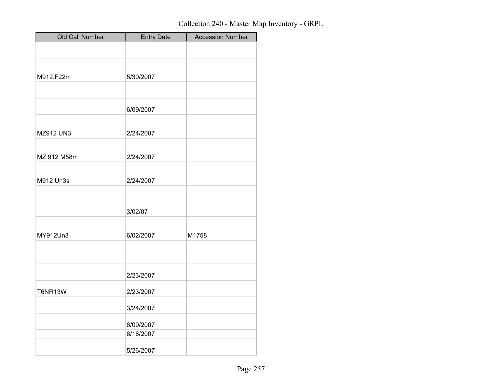| Old Call Number | <b>Entry Date</b> | <b>Accession Number</b> |
|-----------------|-------------------|-------------------------|
|                 |                   |                         |
|                 |                   |                         |
| M912.F22m       | 5/30/2007         |                         |
|                 |                   |                         |
|                 | 6/09/2007         |                         |
| MZ912 UN3       | 2/24/2007         |                         |
| MZ 912 M58m     | 2/24/2007         |                         |
|                 |                   |                         |
| M912 Un3s       | 2/24/2007         |                         |
|                 |                   |                         |
|                 | 3/02/07           |                         |
|                 |                   |                         |
| MY912Un3        | 6/02/2007         | M1758                   |
|                 |                   |                         |
|                 | 2/23/2007         |                         |
| <b>T6NR13W</b>  | 2/23/2007         |                         |
|                 | 3/24/2007         |                         |
|                 | 6/09/2007         |                         |
|                 | 6/18/2007         |                         |
|                 | 5/26/2007         |                         |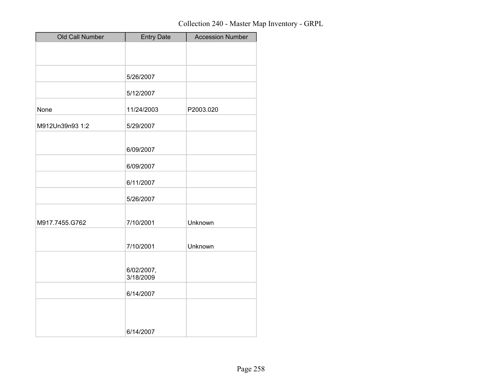| Old Call Number | <b>Entry Date</b>       | <b>Accession Number</b> |
|-----------------|-------------------------|-------------------------|
|                 |                         |                         |
|                 |                         |                         |
|                 | 5/26/2007               |                         |
|                 | 5/12/2007               |                         |
| None            | 11/24/2003              | P2003.020               |
| M912Un39n93 1:2 | 5/29/2007               |                         |
|                 | 6/09/2007               |                         |
|                 | 6/09/2007               |                         |
|                 | 6/11/2007               |                         |
|                 | 5/26/2007               |                         |
| M917.7455.G762  | 7/10/2001               | Unknown                 |
|                 | 7/10/2001               | Unknown                 |
|                 | 6/02/2007,<br>3/18/2009 |                         |
|                 | 6/14/2007               |                         |
|                 | 6/14/2007               |                         |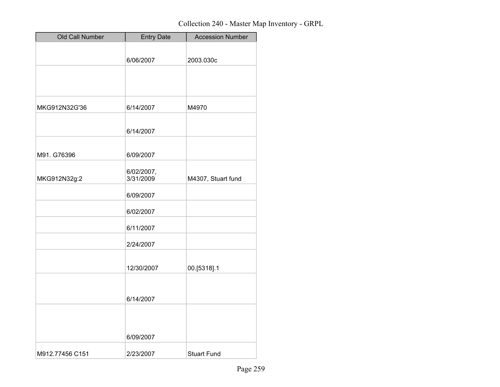| Old Call Number | <b>Entry Date</b> | <b>Accession Number</b> |
|-----------------|-------------------|-------------------------|
|                 |                   |                         |
|                 | 6/06/2007         | 2003.030c               |
|                 |                   |                         |
|                 |                   |                         |
| MKG912N32G'36   | 6/14/2007         | M4970                   |
|                 |                   |                         |
|                 | 6/14/2007         |                         |
|                 |                   |                         |
| M91. G76396     | 6/09/2007         |                         |
|                 | 6/02/2007,        |                         |
| MKG912N32g:2    | 3/31/2009         | M4307, Stuart fund      |
|                 | 6/09/2007         |                         |
|                 | 6/02/2007         |                         |
|                 | 6/11/2007         |                         |
|                 | 2/24/2007         |                         |
|                 |                   |                         |
|                 | 12/30/2007        | 00.[5318].1             |
|                 |                   |                         |
|                 | 6/14/2007         |                         |
|                 |                   |                         |
|                 |                   |                         |
|                 | 6/09/2007         |                         |
| M912.77456 C151 | 2/23/2007         | <b>Stuart Fund</b>      |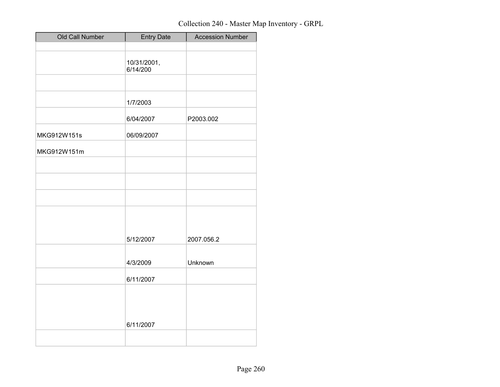| Old Call Number | <b>Entry Date</b>       | <b>Accession Number</b> |
|-----------------|-------------------------|-------------------------|
|                 |                         |                         |
|                 | 10/31/2001,<br>6/14/200 |                         |
|                 |                         |                         |
|                 | 1/7/2003                |                         |
|                 | 6/04/2007               | P2003.002               |
| MKG912W151s     | 06/09/2007              |                         |
| MKG912W151m     |                         |                         |
|                 |                         |                         |
|                 |                         |                         |
|                 |                         |                         |
|                 |                         |                         |
|                 | 5/12/2007               | 2007.056.2              |
|                 | 4/3/2009                | Unknown                 |
|                 | 6/11/2007               |                         |
|                 |                         |                         |
|                 | 6/11/2007               |                         |
|                 |                         |                         |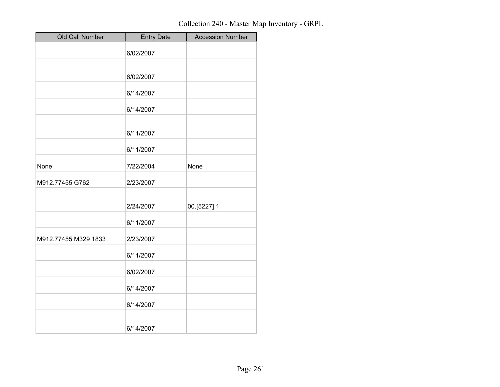| Old Call Number      | <b>Entry Date</b> | <b>Accession Number</b> |
|----------------------|-------------------|-------------------------|
|                      | 6/02/2007         |                         |
|                      | 6/02/2007         |                         |
|                      | 6/14/2007         |                         |
|                      | 6/14/2007         |                         |
|                      | 6/11/2007         |                         |
|                      | 6/11/2007         |                         |
| None                 | 7/22/2004         | None                    |
| M912.77455 G762      | 2/23/2007         |                         |
|                      | 2/24/2007         | 00.[5227].1             |
|                      | 6/11/2007         |                         |
| M912.77455 M329 1833 | 2/23/2007         |                         |
|                      | 6/11/2007         |                         |
|                      | 6/02/2007         |                         |
|                      | 6/14/2007         |                         |
|                      | 6/14/2007         |                         |
|                      | 6/14/2007         |                         |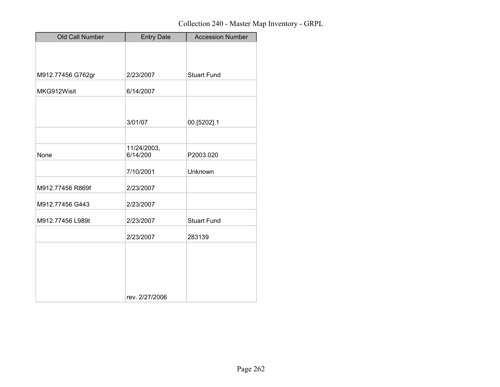| Old Call Number   | <b>Entry Date</b> | <b>Accession Number</b> |
|-------------------|-------------------|-------------------------|
|                   |                   |                         |
|                   |                   |                         |
| M912.77456 G762gr | 2/23/2007         | <b>Stuart Fund</b>      |
|                   |                   |                         |
| MKG912Wisit       | 6/14/2007         |                         |
|                   |                   |                         |
|                   | 3/01/07           | 00.[5202].1             |
|                   |                   |                         |
|                   | 11/24/2003,       |                         |
| None              | 6/14/200          | P2003.020               |
|                   | 7/10/2001         | Unknown                 |
| M912.77456 R869f  | 2/23/2007         |                         |
| M912.77456 G443   | 2/23/2007         |                         |
| M912.77456 L989t  | 2/23/2007         | <b>Stuart Fund</b>      |
|                   | 2/23/2007         | 283139                  |
|                   |                   |                         |
|                   |                   |                         |
|                   |                   |                         |
|                   |                   |                         |
|                   | rev. 2/27/2006    |                         |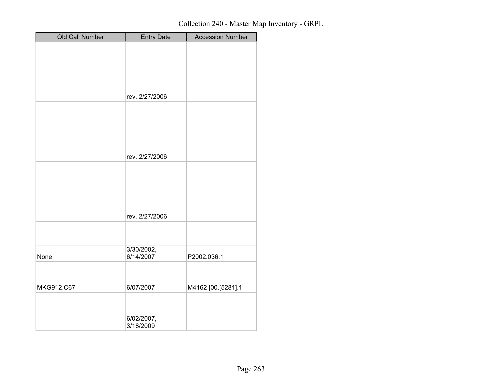| Old Call Number | <b>Entry Date</b>       | <b>Accession Number</b> |
|-----------------|-------------------------|-------------------------|
|                 |                         |                         |
|                 |                         |                         |
|                 |                         |                         |
|                 |                         |                         |
|                 |                         |                         |
|                 | rev. 2/27/2006          |                         |
|                 |                         |                         |
|                 |                         |                         |
|                 |                         |                         |
|                 |                         |                         |
|                 | rev. 2/27/2006          |                         |
|                 |                         |                         |
|                 |                         |                         |
|                 |                         |                         |
|                 |                         |                         |
|                 |                         |                         |
|                 | rev. 2/27/2006          |                         |
|                 |                         |                         |
|                 |                         |                         |
| None            | 3/30/2002,<br>6/14/2007 | P2002.036.1             |
|                 |                         |                         |
|                 |                         |                         |
| MKG912.C67      | 6/07/2007               | M4162 [00.[5281].1      |
|                 |                         |                         |
|                 |                         |                         |
|                 | 6/02/2007,              |                         |
|                 | 3/18/2009               |                         |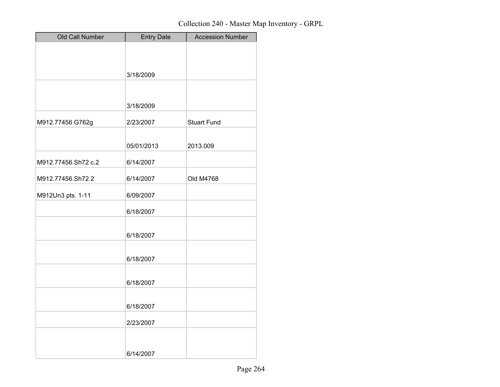| Old Call Number     | <b>Entry Date</b> | <b>Accession Number</b> |
|---------------------|-------------------|-------------------------|
|                     |                   |                         |
|                     |                   |                         |
|                     | 3/18/2009         |                         |
|                     |                   |                         |
|                     | 3/18/2009         |                         |
|                     |                   |                         |
| M912.77456 G762g    | 2/23/2007         | <b>Stuart Fund</b>      |
|                     |                   |                         |
|                     | 05/01/2013        | 2013.009                |
| M912.77456.Sh72 c.2 | 6/14/2007         |                         |
| M912.77456.Sh722    | 6/14/2007         | Old M4768               |
|                     |                   |                         |
| M912Un3 pts. 1-11   | 6/09/2007         |                         |
|                     | 6/18/2007         |                         |
|                     |                   |                         |
|                     | 6/18/2007         |                         |
|                     |                   |                         |
|                     | 6/18/2007         |                         |
|                     |                   |                         |
|                     | 6/18/2007         |                         |
|                     | 6/18/2007         |                         |
|                     |                   |                         |
|                     | 2/23/2007         |                         |
|                     |                   |                         |
|                     | 6/14/2007         |                         |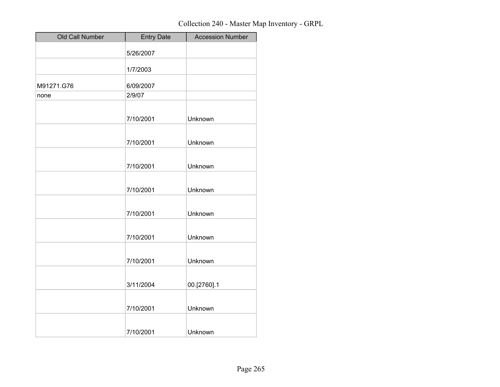| Old Call Number | <b>Entry Date</b> | <b>Accession Number</b> |
|-----------------|-------------------|-------------------------|
|                 | 5/26/2007         |                         |
|                 | 1/7/2003          |                         |
| M91271.G76      | 6/09/2007         |                         |
| none            | 2/9/07            |                         |
|                 |                   |                         |
|                 | 7/10/2001         | Unknown                 |
|                 | 7/10/2001         | Unknown                 |
|                 | 7/10/2001         | Unknown                 |
|                 | 7/10/2001         | Unknown                 |
|                 | 7/10/2001         | Unknown                 |
|                 | 7/10/2001         | Unknown                 |
|                 | 7/10/2001         | Unknown                 |
|                 | 3/11/2004         | 00.[2760].1             |
|                 | 7/10/2001         | Unknown                 |
|                 | 7/10/2001         | Unknown                 |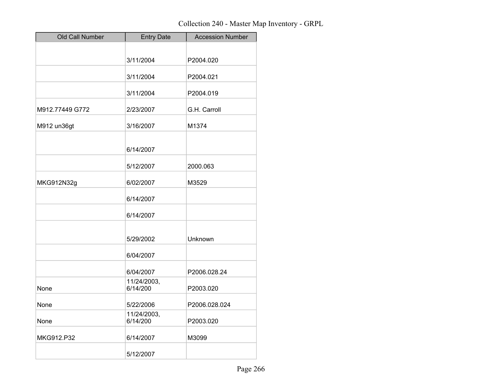| Old Call Number | <b>Entry Date</b>       | <b>Accession Number</b> |
|-----------------|-------------------------|-------------------------|
|                 |                         |                         |
|                 | 3/11/2004               | P2004.020               |
|                 |                         |                         |
|                 | 3/11/2004               | P2004.021               |
|                 | 3/11/2004               | P2004.019               |
| M912.77449 G772 | 2/23/2007               | G.H. Carroll            |
| M912 un36gt     | 3/16/2007               | M1374                   |
|                 |                         |                         |
|                 | 6/14/2007               |                         |
|                 | 5/12/2007               | 2000.063                |
| MKG912N32g      | 6/02/2007               | M3529                   |
|                 | 6/14/2007               |                         |
|                 | 6/14/2007               |                         |
|                 |                         |                         |
|                 | 5/29/2002               | Unknown                 |
|                 | 6/04/2007               |                         |
|                 | 6/04/2007               | P2006.028.24            |
| None            | 11/24/2003,<br>6/14/200 | P2003.020               |
| None            | 5/22/2006               | P2006.028.024           |
| None            | 11/24/2003,<br>6/14/200 | P2003.020               |
| MKG912.P32      | 6/14/2007               | M3099                   |
|                 | 5/12/2007               |                         |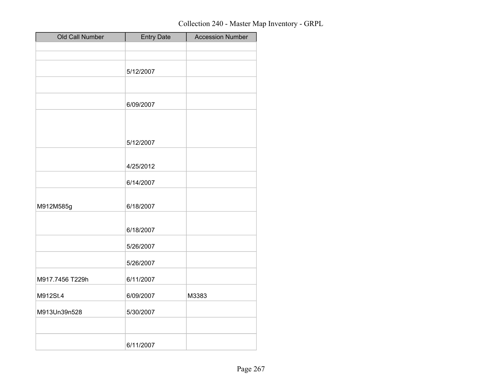| <b>Entry Date</b> | <b>Accession Number</b>                                                                 |
|-------------------|-----------------------------------------------------------------------------------------|
|                   |                                                                                         |
|                   |                                                                                         |
|                   |                                                                                         |
|                   |                                                                                         |
| 6/09/2007         |                                                                                         |
|                   |                                                                                         |
|                   |                                                                                         |
| 5/12/2007         |                                                                                         |
|                   |                                                                                         |
|                   |                                                                                         |
| 6/14/2007         |                                                                                         |
|                   |                                                                                         |
|                   |                                                                                         |
| 6/18/2007         |                                                                                         |
|                   |                                                                                         |
|                   |                                                                                         |
|                   |                                                                                         |
|                   |                                                                                         |
| 6/09/2007         | M3383                                                                                   |
| 5/30/2007         |                                                                                         |
|                   |                                                                                         |
|                   |                                                                                         |
|                   | 5/12/2007<br>4/25/2012<br>6/18/2007<br>5/26/2007<br>5/26/2007<br>6/11/2007<br>6/11/2007 |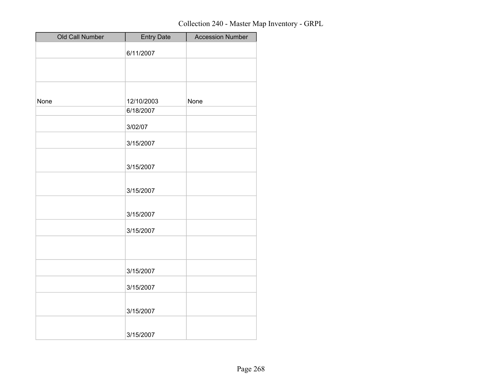| Old Call Number | <b>Entry Date</b> | <b>Accession Number</b> |
|-----------------|-------------------|-------------------------|
|                 | 6/11/2007         |                         |
|                 |                   |                         |
|                 |                   |                         |
|                 |                   |                         |
| None            | 12/10/2003        | None                    |
|                 | 6/18/2007         |                         |
|                 | 3/02/07           |                         |
|                 | 3/15/2007         |                         |
|                 | 3/15/2007         |                         |
|                 | 3/15/2007         |                         |
|                 | 3/15/2007         |                         |
|                 | 3/15/2007         |                         |
|                 |                   |                         |
|                 | 3/15/2007         |                         |
|                 | 3/15/2007         |                         |
|                 | 3/15/2007         |                         |
|                 | 3/15/2007         |                         |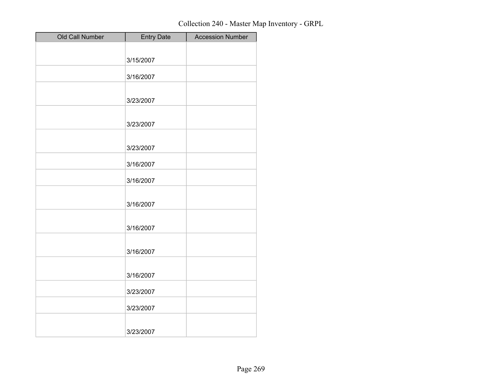| Old Call Number | <b>Entry Date</b> | <b>Accession Number</b> |
|-----------------|-------------------|-------------------------|
|                 |                   |                         |
|                 | 3/15/2007         |                         |
|                 | 3/16/2007         |                         |
|                 |                   |                         |
|                 | 3/23/2007         |                         |
|                 |                   |                         |
|                 | 3/23/2007         |                         |
|                 |                   |                         |
|                 | 3/23/2007         |                         |
|                 |                   |                         |
|                 | 3/16/2007         |                         |
|                 | 3/16/2007         |                         |
|                 |                   |                         |
|                 | 3/16/2007         |                         |
|                 |                   |                         |
|                 | 3/16/2007         |                         |
|                 |                   |                         |
|                 | 3/16/2007         |                         |
|                 |                   |                         |
|                 | 3/16/2007         |                         |
|                 |                   |                         |
|                 | 3/23/2007         |                         |
|                 | 3/23/2007         |                         |
|                 |                   |                         |
|                 | 3/23/2007         |                         |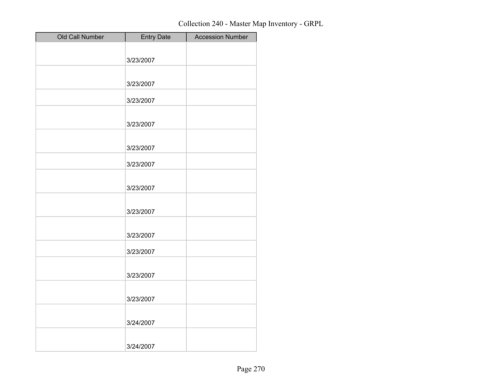| Old Call Number | <b>Entry Date</b> | <b>Accession Number</b> |
|-----------------|-------------------|-------------------------|
|                 |                   |                         |
|                 | 3/23/2007         |                         |
|                 |                   |                         |
|                 | 3/23/2007         |                         |
|                 | 3/23/2007         |                         |
|                 |                   |                         |
|                 | 3/23/2007         |                         |
|                 |                   |                         |
|                 | 3/23/2007         |                         |
|                 |                   |                         |
|                 | 3/23/2007         |                         |
|                 |                   |                         |
|                 | 3/23/2007         |                         |
|                 |                   |                         |
|                 | 3/23/2007         |                         |
|                 |                   |                         |
|                 | 3/23/2007         |                         |
|                 | 3/23/2007         |                         |
|                 |                   |                         |
|                 | 3/23/2007         |                         |
|                 |                   |                         |
|                 | 3/23/2007         |                         |
|                 |                   |                         |
|                 | 3/24/2007         |                         |
|                 |                   |                         |
|                 | 3/24/2007         |                         |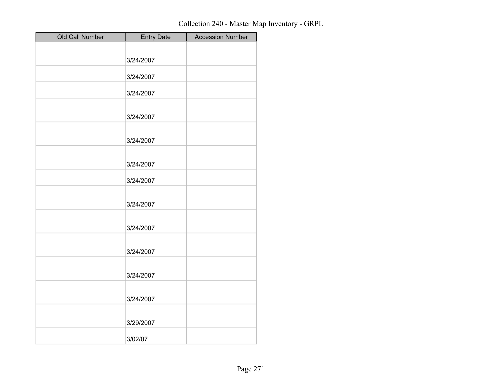| Old Call Number | <b>Entry Date</b> | <b>Accession Number</b> |
|-----------------|-------------------|-------------------------|
|                 |                   |                         |
|                 | 3/24/2007         |                         |
|                 | 3/24/2007         |                         |
|                 |                   |                         |
|                 | 3/24/2007         |                         |
|                 |                   |                         |
|                 | 3/24/2007         |                         |
|                 | 3/24/2007         |                         |
|                 |                   |                         |
|                 | 3/24/2007         |                         |
|                 | 3/24/2007         |                         |
|                 |                   |                         |
|                 | 3/24/2007         |                         |
|                 | 3/24/2007         |                         |
|                 |                   |                         |
|                 | 3/24/2007         |                         |
|                 | 3/24/2007         |                         |
|                 |                   |                         |
|                 | 3/24/2007         |                         |
|                 |                   |                         |
|                 | 3/29/2007         |                         |
|                 | 3/02/07           |                         |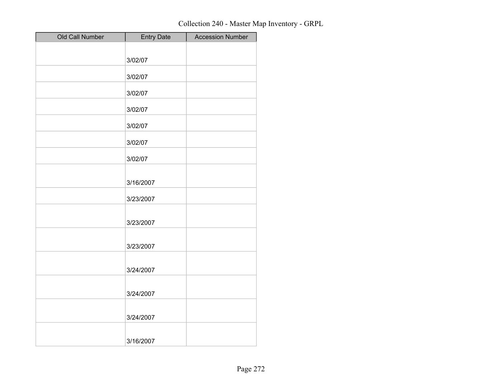| Old Call Number | Entry Date | <b>Accession Number</b> |
|-----------------|------------|-------------------------|
|                 |            |                         |
|                 | 3/02/07    |                         |
|                 | 3/02/07    |                         |
|                 | 3/02/07    |                         |
|                 | 3/02/07    |                         |
|                 | 3/02/07    |                         |
|                 | 3/02/07    |                         |
|                 | 3/02/07    |                         |
|                 | 3/16/2007  |                         |
|                 | 3/23/2007  |                         |
|                 | 3/23/2007  |                         |
|                 | 3/23/2007  |                         |
|                 | 3/24/2007  |                         |
|                 | 3/24/2007  |                         |
|                 | 3/24/2007  |                         |
|                 | 3/16/2007  |                         |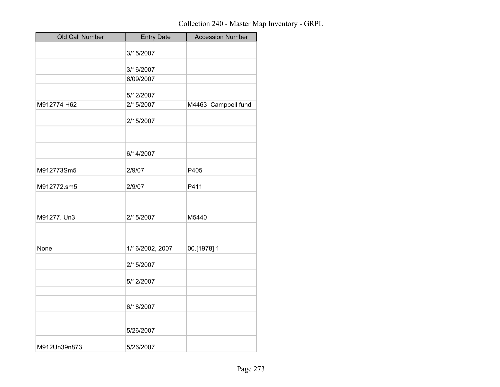| Old Call Number | <b>Entry Date</b> | <b>Accession Number</b> |
|-----------------|-------------------|-------------------------|
|                 | 3/15/2007         |                         |
|                 | 3/16/2007         |                         |
|                 | 6/09/2007         |                         |
|                 | 5/12/2007         |                         |
| M912774 H62     | 2/15/2007         | M4463 Campbell fund     |
|                 | 2/15/2007         |                         |
|                 |                   |                         |
|                 | 6/14/2007         |                         |
| M912773Sm5      | 2/9/07            | P405                    |
| M912772.sm5     | 2/9/07            | P411                    |
|                 |                   |                         |
| M91277. Un3     | 2/15/2007         | M5440                   |
|                 |                   |                         |
| None            | 1/16/2002, 2007   | 00.[1978].1             |
|                 | 2/15/2007         |                         |
|                 | 5/12/2007         |                         |
|                 |                   |                         |
|                 | 6/18/2007         |                         |
|                 | 5/26/2007         |                         |
|                 |                   |                         |
| M912Un39n873    | 5/26/2007         |                         |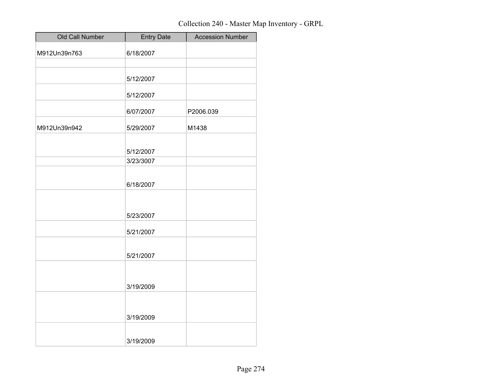| Old Call Number | <b>Entry Date</b> | <b>Accession Number</b> |
|-----------------|-------------------|-------------------------|
| M912Un39n763    | 6/18/2007         |                         |
|                 |                   |                         |
|                 | 5/12/2007         |                         |
|                 | 5/12/2007         |                         |
|                 | 6/07/2007         | P2006.039               |
| M912Un39n942    | 5/29/2007         | M1438                   |
|                 |                   |                         |
|                 | 5/12/2007         |                         |
|                 | 3/23/3007         |                         |
|                 |                   |                         |
|                 | 6/18/2007         |                         |
|                 |                   |                         |
|                 |                   |                         |
|                 | 5/23/2007         |                         |
|                 | 5/21/2007         |                         |
|                 |                   |                         |
|                 | 5/21/2007         |                         |
|                 |                   |                         |
|                 | 3/19/2009         |                         |
|                 |                   |                         |
|                 |                   |                         |
|                 | 3/19/2009         |                         |
|                 |                   |                         |
|                 | 3/19/2009         |                         |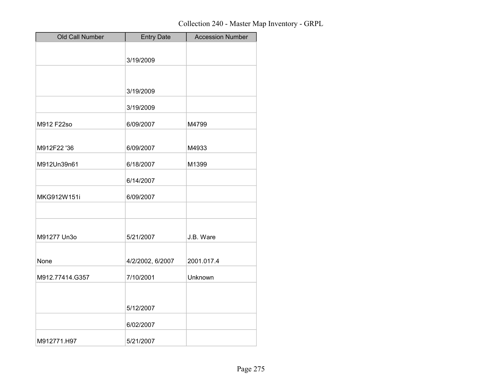| Old Call Number | <b>Entry Date</b> | <b>Accession Number</b> |
|-----------------|-------------------|-------------------------|
|                 |                   |                         |
|                 | 3/19/2009         |                         |
|                 |                   |                         |
|                 | 3/19/2009         |                         |
|                 |                   |                         |
|                 | 3/19/2009         |                         |
| M912 F22so      | 6/09/2007         | M4799                   |
|                 |                   |                         |
| M912F22 '36     | 6/09/2007         | M4933                   |
| M912Un39n61     | 6/18/2007         | M1399                   |
|                 | 6/14/2007         |                         |
| MKG912W151i     | 6/09/2007         |                         |
|                 |                   |                         |
|                 |                   |                         |
| M91277 Un3o     | 5/21/2007         | J.B. Ware               |
| None            |                   | 2001.017.4              |
|                 | 4/2/2002, 6/2007  |                         |
| M912.77414.G357 | 7/10/2001         | Unknown                 |
|                 |                   |                         |
|                 | 5/12/2007         |                         |
|                 | 6/02/2007         |                         |
| M912771.H97     | 5/21/2007         |                         |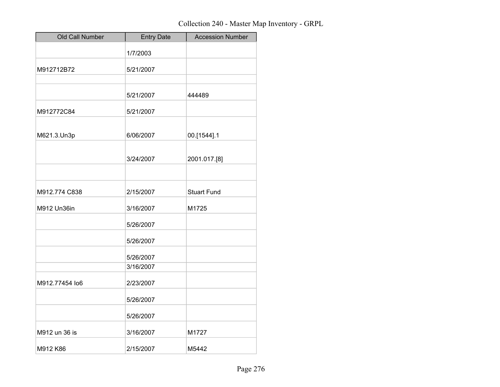| Old Call Number | <b>Entry Date</b> | <b>Accession Number</b> |
|-----------------|-------------------|-------------------------|
|                 | 1/7/2003          |                         |
| M912712B72      | 5/21/2007         |                         |
|                 |                   |                         |
|                 | 5/21/2007         | 444489                  |
| M912772C84      | 5/21/2007         |                         |
| M621.3.Un3p     | 6/06/2007         | 00.[1544].1             |
|                 |                   |                         |
|                 | 3/24/2007         | 2001.017.[8]            |
|                 |                   |                         |
| M912.774 C838   | 2/15/2007         | <b>Stuart Fund</b>      |
| M912 Un36in     | 3/16/2007         | M1725                   |
|                 | 5/26/2007         |                         |
|                 | 5/26/2007         |                         |
|                 | 5/26/2007         |                         |
|                 | 3/16/2007         |                         |
| M912.77454 lo6  | 2/23/2007         |                         |
|                 | 5/26/2007         |                         |
|                 | 5/26/2007         |                         |
| M912 un 36 is   | 3/16/2007         | M1727                   |
| M912 K86        | 2/15/2007         | M5442                   |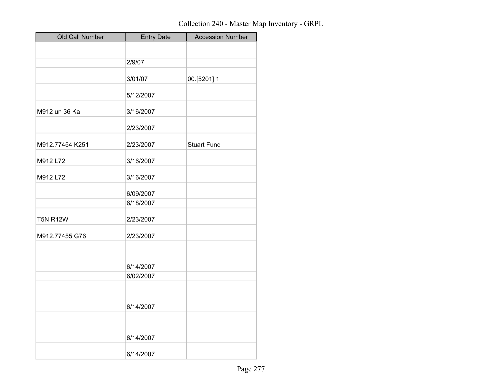| Old Call Number | <b>Entry Date</b> | <b>Accession Number</b> |
|-----------------|-------------------|-------------------------|
|                 |                   |                         |
|                 | 2/9/07            |                         |
|                 | 3/01/07           | 00.[5201].1             |
|                 | 5/12/2007         |                         |
| M912 un 36 Ka   | 3/16/2007         |                         |
|                 | 2/23/2007         |                         |
| M912.77454 K251 | 2/23/2007         | <b>Stuart Fund</b>      |
| M912 L72        | 3/16/2007         |                         |
| M912 L72        | 3/16/2007         |                         |
|                 | 6/09/2007         |                         |
|                 | 6/18/2007         |                         |
| <b>T5N R12W</b> | 2/23/2007         |                         |
| M912.77455 G76  | 2/23/2007         |                         |
|                 |                   |                         |
|                 | 6/14/2007         |                         |
|                 | 6/02/2007         |                         |
|                 |                   |                         |
|                 | 6/14/2007         |                         |
|                 |                   |                         |
|                 | 6/14/2007         |                         |
|                 | 6/14/2007         |                         |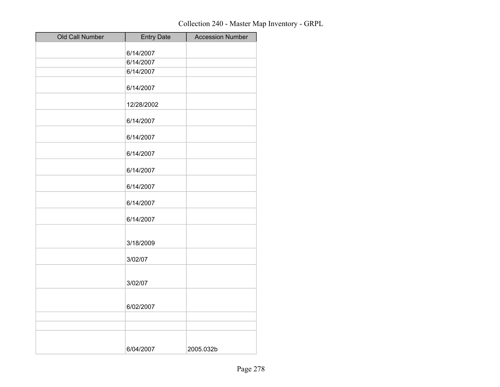| Old Call Number | <b>Entry Date</b> | <b>Accession Number</b> |
|-----------------|-------------------|-------------------------|
|                 | 6/14/2007         |                         |
|                 | 6/14/2007         |                         |
|                 | 6/14/2007         |                         |
|                 | 6/14/2007         |                         |
|                 |                   |                         |
|                 | 12/28/2002        |                         |
|                 | 6/14/2007         |                         |
|                 | 6/14/2007         |                         |
|                 | 6/14/2007         |                         |
|                 | 6/14/2007         |                         |
|                 | 6/14/2007         |                         |
|                 | 6/14/2007         |                         |
|                 | 6/14/2007         |                         |
|                 |                   |                         |
|                 | 3/18/2009         |                         |
|                 | 3/02/07           |                         |
|                 |                   |                         |
|                 | 3/02/07           |                         |
|                 |                   |                         |
|                 | 6/02/2007         |                         |
|                 |                   |                         |
|                 |                   |                         |
|                 |                   |                         |
|                 | 6/04/2007         | 2005.032b               |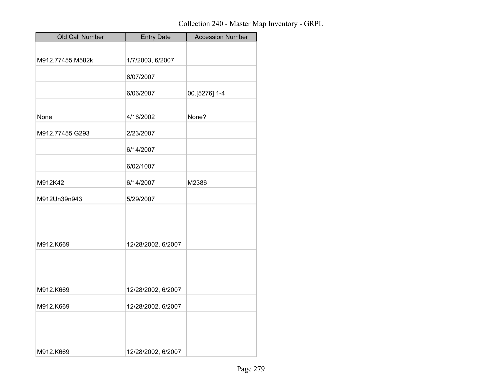| Old Call Number  | <b>Entry Date</b>  | <b>Accession Number</b> |
|------------------|--------------------|-------------------------|
|                  |                    |                         |
| M912.77455.M582k | 1/7/2003, 6/2007   |                         |
|                  | 6/07/2007          |                         |
|                  | 6/06/2007          | 00.[5276].1-4           |
|                  |                    |                         |
| None             | 4/16/2002          | None?                   |
| M912.77455 G293  | 2/23/2007          |                         |
|                  | 6/14/2007          |                         |
|                  | 6/02/1007          |                         |
| M912K42          | 6/14/2007          | M2386                   |
| M912Un39n943     | 5/29/2007          |                         |
|                  |                    |                         |
|                  |                    |                         |
| M912.K669        | 12/28/2002, 6/2007 |                         |
|                  |                    |                         |
|                  |                    |                         |
| M912.K669        | 12/28/2002, 6/2007 |                         |
| M912.K669        | 12/28/2002, 6/2007 |                         |
|                  |                    |                         |
|                  |                    |                         |
| M912.K669        | 12/28/2002, 6/2007 |                         |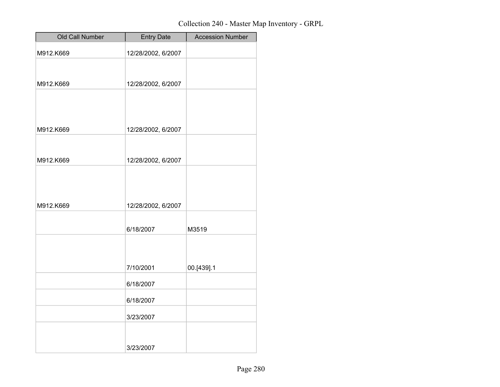| Old Call Number | <b>Entry Date</b>  | <b>Accession Number</b> |
|-----------------|--------------------|-------------------------|
| M912.K669       | 12/28/2002, 6/2007 |                         |
|                 |                    |                         |
| M912.K669       | 12/28/2002, 6/2007 |                         |
|                 |                    |                         |
|                 |                    |                         |
| M912.K669       | 12/28/2002, 6/2007 |                         |
|                 |                    |                         |
| M912.K669       | 12/28/2002, 6/2007 |                         |
|                 |                    |                         |
|                 |                    |                         |
| M912.K669       | 12/28/2002, 6/2007 |                         |
|                 |                    |                         |
|                 | 6/18/2007          | M3519                   |
|                 |                    |                         |
|                 | 7/10/2001          | 00.[439].1              |
|                 | 6/18/2007          |                         |
|                 | 6/18/2007          |                         |
|                 | 3/23/2007          |                         |
|                 |                    |                         |
|                 | 3/23/2007          |                         |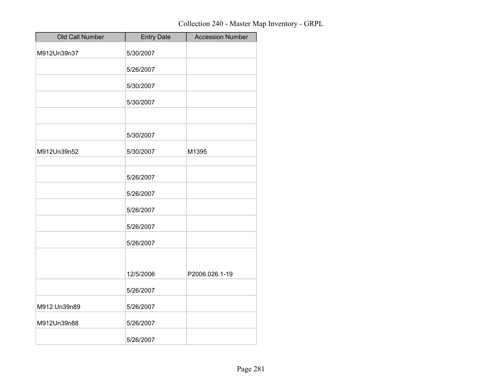| Old Call Number | <b>Entry Date</b> | <b>Accession Number</b> |
|-----------------|-------------------|-------------------------|
| M912Un39n37     | 5/30/2007         |                         |
|                 | 5/26/2007         |                         |
|                 | 5/30/2007         |                         |
|                 | 5/30/2007         |                         |
|                 |                   |                         |
|                 | 5/30/2007         |                         |
| M912Un39n52     | 5/30/2007         | M1395                   |
|                 | 5/26/2007         |                         |
|                 | 5/26/2007         |                         |
|                 | 5/26/2007         |                         |
|                 | 5/26/2007         |                         |
|                 | 5/26/2007         |                         |
|                 |                   |                         |
|                 | 12/5/2006         | P2006.026.1-19          |
|                 | 5/26/2007         |                         |
| M912 Un39n89    | 5/26/2007         |                         |
| M912Un39n88     | 5/26/2007         |                         |
|                 | 5/26/2007         |                         |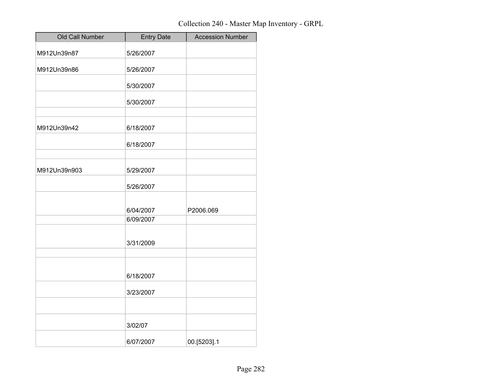| Old Call Number | <b>Entry Date</b>      | <b>Accession Number</b> |
|-----------------|------------------------|-------------------------|
| M912Un39n87     | 5/26/2007              |                         |
| M912Un39n86     | 5/26/2007              |                         |
|                 | 5/30/2007              |                         |
|                 | 5/30/2007              |                         |
| M912Un39n42     | 6/18/2007              |                         |
|                 | 6/18/2007              |                         |
| M912Un39n903    | 5/29/2007              |                         |
|                 | 5/26/2007              |                         |
|                 | 6/04/2007<br>6/09/2007 | P2006.069               |
|                 | 3/31/2009              |                         |
|                 | 6/18/2007              |                         |
|                 | 3/23/2007              |                         |
|                 | 3/02/07                |                         |
|                 | 6/07/2007              | 00.[5203].1             |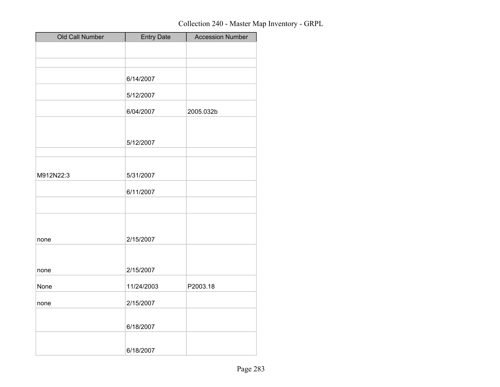| Old Call Number | <b>Entry Date</b> | <b>Accession Number</b> |
|-----------------|-------------------|-------------------------|
|                 |                   |                         |
|                 |                   |                         |
|                 | 6/14/2007         |                         |
|                 | 5/12/2007         |                         |
|                 | 6/04/2007         | 2005.032b               |
|                 |                   |                         |
|                 | 5/12/2007         |                         |
|                 |                   |                         |
| M912N22:3       | 5/31/2007         |                         |
|                 | 6/11/2007         |                         |
|                 |                   |                         |
|                 |                   |                         |
| none            | 2/15/2007         |                         |
|                 |                   |                         |
| none            | 2/15/2007         |                         |
| None            | 11/24/2003        | P2003.18                |
| none            | 2/15/2007         |                         |
|                 |                   |                         |
|                 | 6/18/2007         |                         |
|                 | 6/18/2007         |                         |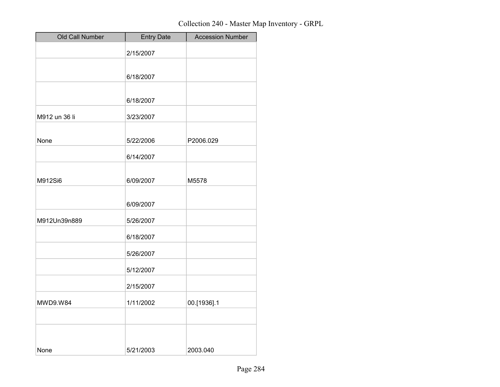| Old Call Number | <b>Entry Date</b> | <b>Accession Number</b> |
|-----------------|-------------------|-------------------------|
|                 | 2/15/2007         |                         |
|                 |                   |                         |
|                 | 6/18/2007         |                         |
|                 | 6/18/2007         |                         |
| M912 un 36 li   | 3/23/2007         |                         |
| None            | 5/22/2006         | P2006.029               |
|                 | 6/14/2007         |                         |
| M912Si6         | 6/09/2007         | M5578                   |
|                 | 6/09/2007         |                         |
| M912Un39n889    | 5/26/2007         |                         |
|                 | 6/18/2007         |                         |
|                 | 5/26/2007         |                         |
|                 | 5/12/2007         |                         |
|                 | 2/15/2007         |                         |
| MWD9.W84        | 1/11/2002         | 00.[1936].1             |
|                 |                   |                         |
|                 |                   |                         |
| None            | 5/21/2003         | 2003.040                |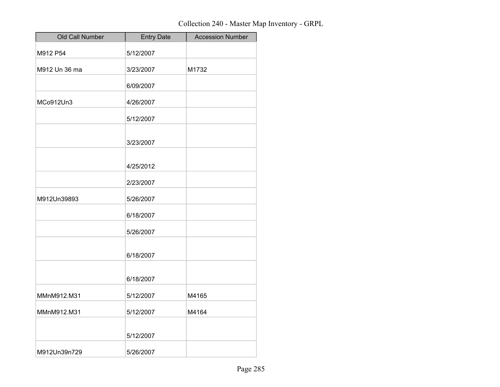| Old Call Number | <b>Entry Date</b> | <b>Accession Number</b> |
|-----------------|-------------------|-------------------------|
| M912 P54        | 5/12/2007         |                         |
| M912 Un 36 ma   | 3/23/2007         | M1732                   |
|                 | 6/09/2007         |                         |
| MCo912Un3       | 4/26/2007         |                         |
|                 | 5/12/2007         |                         |
|                 | 3/23/2007         |                         |
|                 | 4/25/2012         |                         |
|                 | 2/23/2007         |                         |
| M912Un39893     | 5/26/2007         |                         |
|                 | 6/18/2007         |                         |
|                 | 5/26/2007         |                         |
|                 | 6/18/2007         |                         |
|                 | 6/18/2007         |                         |
| MMnM912.M31     | 5/12/2007         | M4165                   |
| MMnM912.M31     | 5/12/2007         | M4164                   |
|                 | 5/12/2007         |                         |
| M912Un39n729    | 5/26/2007         |                         |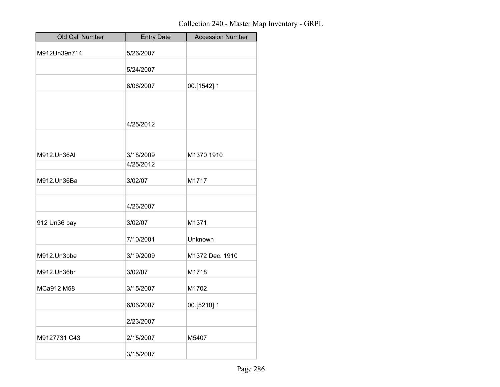| Old Call Number | <b>Entry Date</b> | <b>Accession Number</b> |
|-----------------|-------------------|-------------------------|
| M912Un39n714    | 5/26/2007         |                         |
|                 | 5/24/2007         |                         |
|                 | 6/06/2007         | 00.[1542].1             |
|                 |                   |                         |
|                 | 4/25/2012         |                         |
|                 |                   |                         |
| M912.Un36AI     | 3/18/2009         | M1370 1910              |
|                 | 4/25/2012         |                         |
| M912.Un36Ba     | 3/02/07           | M1717                   |
|                 | 4/26/2007         |                         |
| 912 Un36 bay    | 3/02/07           | M1371                   |
|                 | 7/10/2001         | Unknown                 |
| M912.Un3bbe     | 3/19/2009         | M1372 Dec. 1910         |
| M912.Un36br     | 3/02/07           | M1718                   |
| MCa912 M58      | 3/15/2007         | M1702                   |
|                 | 6/06/2007         | 00.[5210].1             |
|                 | 2/23/2007         |                         |
| M9127731 C43    | 2/15/2007         | M5407                   |
|                 | 3/15/2007         |                         |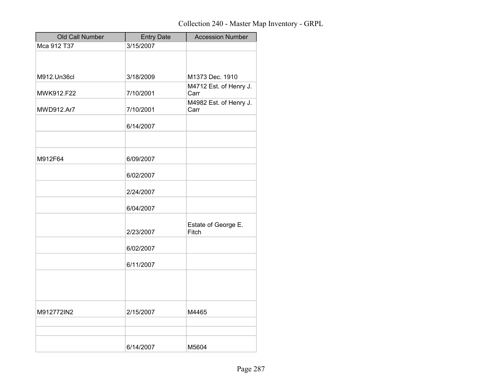| Old Call Number | <b>Entry Date</b> | <b>Accession Number</b>        |
|-----------------|-------------------|--------------------------------|
| Mca 912 T37     | 3/15/2007         |                                |
|                 |                   |                                |
|                 |                   |                                |
| M912.Un36cl     | 3/18/2009         | M1373 Dec. 1910                |
| MWK912.F22      | 7/10/2001         | M4712 Est. of Henry J.<br>Carr |
| MWD912.Ar7      | 7/10/2001         | M4982 Est. of Henry J.<br>Carr |
|                 | 6/14/2007         |                                |
|                 |                   |                                |
| M912F64         | 6/09/2007         |                                |
|                 | 6/02/2007         |                                |
|                 | 2/24/2007         |                                |
|                 | 6/04/2007         |                                |
|                 | 2/23/2007         | Estate of George E.<br>Fitch   |
|                 | 6/02/2007         |                                |
|                 | 6/11/2007         |                                |
|                 |                   |                                |
| M912772IN2      | 2/15/2007         | M4465                          |
|                 |                   |                                |
|                 | 6/14/2007         | M5604                          |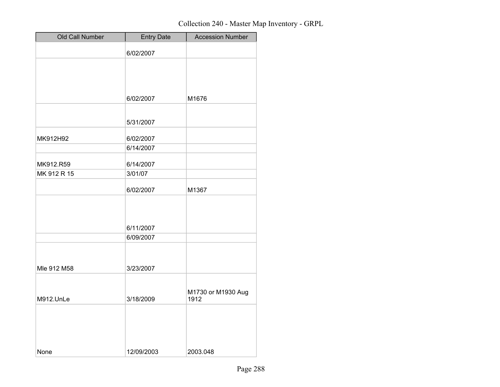| Old Call Number | <b>Entry Date</b> | <b>Accession Number</b>    |
|-----------------|-------------------|----------------------------|
|                 | 6/02/2007         |                            |
|                 |                   |                            |
|                 |                   |                            |
|                 |                   |                            |
|                 | 6/02/2007         | M1676                      |
|                 |                   |                            |
|                 | 5/31/2007         |                            |
| MK912H92        | 6/02/2007         |                            |
|                 | 6/14/2007         |                            |
| MK912.R59       | 6/14/2007         |                            |
| MK 912 R 15     | 3/01/07           |                            |
|                 | 6/02/2007         | M1367                      |
|                 |                   |                            |
|                 | 6/11/2007         |                            |
|                 | 6/09/2007         |                            |
|                 |                   |                            |
| Mle 912 M58     | 3/23/2007         |                            |
|                 |                   |                            |
| M912.UnLe       | 3/18/2009         | M1730 or M1930 Aug<br>1912 |
|                 |                   |                            |
|                 |                   |                            |
|                 |                   |                            |
| None            | 12/09/2003        | 2003.048                   |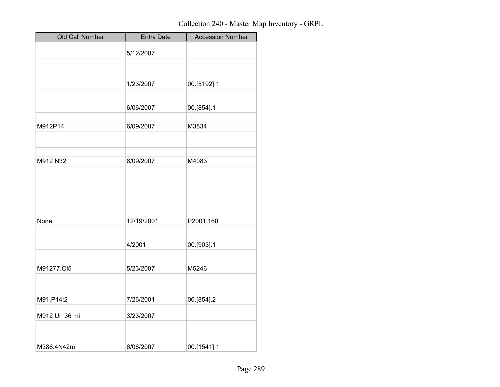| Old Call Number | <b>Entry Date</b> | <b>Accession Number</b> |
|-----------------|-------------------|-------------------------|
|                 | 5/12/2007         |                         |
|                 |                   |                         |
|                 | 1/23/2007         | 00.[5192].1             |
|                 |                   |                         |
|                 | 6/06/2007         | 00.[854].1              |
| M912P14         | 6/09/2007         | M3834                   |
|                 |                   |                         |
| M912 N32        | 6/09/2007         | M4083                   |
|                 |                   |                         |
| None            | 12/19/2001        | P2001.160               |
|                 | 4/2001            | 00.[903].1              |
| M91277.Ol5      | 5/23/2007         | M5246                   |
|                 |                   |                         |
| M91.P14:2       | 7/26/2001         | 00.[854].2              |
| M912 Un 36 mi   | 3/23/2007         |                         |
| M386.4N42m      | 6/06/2007         | 00.[1541].1             |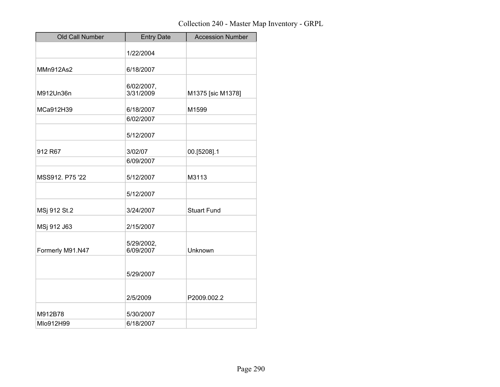| Old Call Number  | <b>Entry Date</b>       | <b>Accession Number</b> |
|------------------|-------------------------|-------------------------|
|                  | 1/22/2004               |                         |
| MMn912As2        | 6/18/2007               |                         |
|                  |                         |                         |
| M912Un36n        | 6/02/2007,<br>3/31/2009 | M1375 [sic M1378]       |
| MCa912H39        | 6/18/2007               | M1599                   |
|                  | 6/02/2007               |                         |
|                  | 5/12/2007               |                         |
| 912 R67          | 3/02/07                 | 00.[5208].1             |
|                  | 6/09/2007               |                         |
| MSS912, P75 '22  | 5/12/2007               | M3113                   |
|                  | 5/12/2007               |                         |
| MSj 912 St.2     | 3/24/2007               | <b>Stuart Fund</b>      |
| MSj 912 J63      | 2/15/2007               |                         |
| Formerly M91.N47 | 5/29/2002,<br>6/09/2007 | Unknown                 |
|                  | 5/29/2007               |                         |
|                  | 2/5/2009                | P2009.002.2             |
| M912B78          | 5/30/2007               |                         |
| MIo912H99        | 6/18/2007               |                         |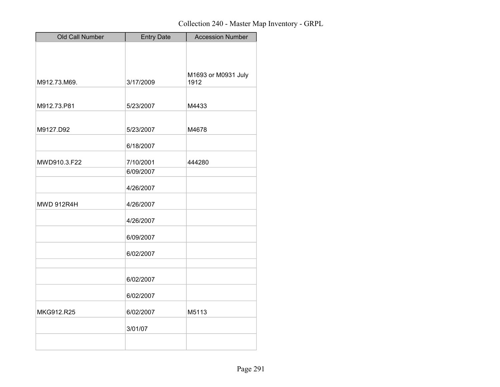| Old Call Number   | <b>Entry Date</b> | <b>Accession Number</b> |
|-------------------|-------------------|-------------------------|
|                   |                   |                         |
|                   |                   |                         |
|                   |                   | M1693 or M0931 July     |
| M912.73.M69.      | 3/17/2009         | 1912                    |
|                   |                   |                         |
| M912.73.P81       | 5/23/2007         | M4433                   |
|                   |                   |                         |
| M9127.D92         | 5/23/2007         | M4678                   |
|                   | 6/18/2007         |                         |
| MWD910.3.F22      | 7/10/2001         | 444280                  |
|                   | 6/09/2007         |                         |
|                   |                   |                         |
|                   | 4/26/2007         |                         |
| <b>MWD 912R4H</b> | 4/26/2007         |                         |
|                   | 4/26/2007         |                         |
|                   | 6/09/2007         |                         |
|                   | 6/02/2007         |                         |
|                   |                   |                         |
|                   | 6/02/2007         |                         |
|                   | 6/02/2007         |                         |
| MKG912.R25        | 6/02/2007         | M5113                   |
|                   | 3/01/07           |                         |
|                   |                   |                         |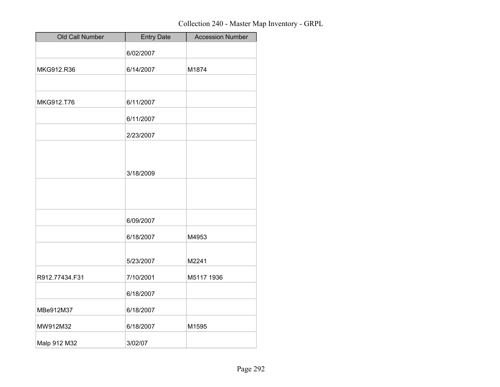| Old Call Number | <b>Entry Date</b> | <b>Accession Number</b> |
|-----------------|-------------------|-------------------------|
|                 | 6/02/2007         |                         |
| MKG912.R36      | 6/14/2007         | M1874                   |
|                 |                   |                         |
| MKG912.T76      | 6/11/2007         |                         |
|                 | 6/11/2007         |                         |
|                 | 2/23/2007         |                         |
|                 |                   |                         |
|                 | 3/18/2009         |                         |
|                 |                   |                         |
|                 |                   |                         |
|                 | 6/09/2007         |                         |
|                 | 6/18/2007         | M4953                   |
|                 | 5/23/2007         | M2241                   |
|                 |                   |                         |
| R912.77434.F31  | 7/10/2001         | M5117 1936              |
|                 | 6/18/2007         |                         |
| MBe912M37       | 6/18/2007         |                         |
| MW912M32        | 6/18/2007         | M1595                   |
| Malp 912 M32    | 3/02/07           |                         |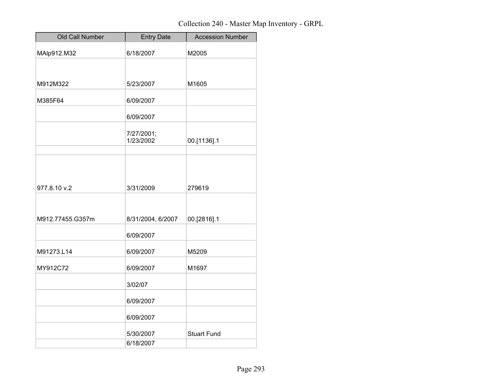| Old Call Number  | <b>Entry Date</b>       | <b>Accession Number</b> |
|------------------|-------------------------|-------------------------|
| MAlp912.M32      | 6/18/2007               | M2005                   |
|                  |                         |                         |
| M912M322         | 5/23/2007               | M1605                   |
| M385F64          | 6/09/2007               |                         |
|                  | 6/09/2007               |                         |
|                  | 7/27/2001;<br>1/23/2002 | 00.[1136].1             |
|                  |                         |                         |
| 977.8.10 v.2     | 3/31/2009               | 279619                  |
|                  |                         |                         |
| M912.77455.G357m | 8/31/2004, 6/2007       | 00.[2816].1             |
|                  | 6/09/2007               |                         |
| M91273.L14       | 6/09/2007               | M5209                   |
| MY912C72         | 6/09/2007               | M1697                   |
|                  | 3/02/07                 |                         |
|                  | 6/09/2007               |                         |
|                  | 6/09/2007               |                         |
|                  | 5/30/2007               | <b>Stuart Fund</b>      |
|                  | 6/18/2007               |                         |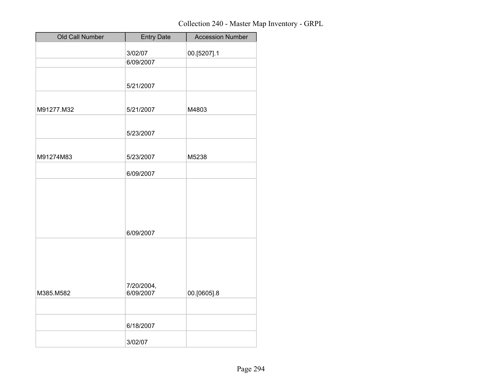| Old Call Number | <b>Entry Date</b>       | <b>Accession Number</b> |
|-----------------|-------------------------|-------------------------|
|                 | 3/02/07                 | 00.[5207].1             |
|                 | 6/09/2007               |                         |
|                 |                         |                         |
|                 | 5/21/2007               |                         |
|                 |                         |                         |
| M91277.M32      | 5/21/2007               | M4803                   |
|                 |                         |                         |
|                 | 5/23/2007               |                         |
|                 |                         |                         |
| M91274M83       | 5/23/2007               | M5238                   |
|                 |                         |                         |
|                 | 6/09/2007               |                         |
|                 |                         |                         |
|                 |                         |                         |
|                 |                         |                         |
|                 |                         |                         |
|                 | 6/09/2007               |                         |
|                 |                         |                         |
|                 |                         |                         |
|                 |                         |                         |
|                 |                         |                         |
| M385.M582       | 7/20/2004,<br>6/09/2007 | 00.[0605].8             |
|                 |                         |                         |
|                 |                         |                         |
|                 | 6/18/2007               |                         |
|                 | 3/02/07                 |                         |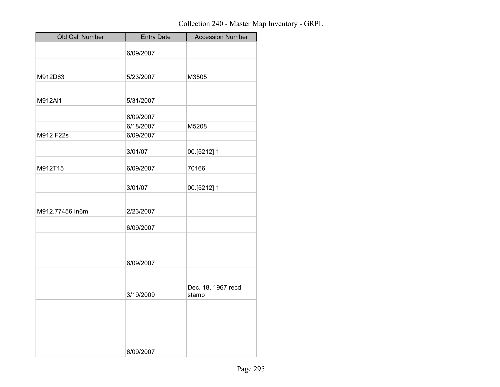| Old Call Number | <b>Entry Date</b> | <b>Accession Number</b> |
|-----------------|-------------------|-------------------------|
|                 | 6/09/2007         |                         |
|                 |                   |                         |
| M912D63         | 5/23/2007         | M3505                   |
|                 |                   |                         |
| M912AI1         | 5/31/2007         |                         |
|                 | 6/09/2007         |                         |
|                 | 6/18/2007         | M5208                   |
| M912 F22s       | 6/09/2007         |                         |
|                 |                   |                         |
|                 | 3/01/07           | 00.[5212].1             |
| M912T15         | 6/09/2007         | 70166                   |
|                 | 3/01/07           | 00.[5212].1             |
|                 |                   |                         |
| M912.77456 In6m | 2/23/2007         |                         |
|                 |                   |                         |
|                 | 6/09/2007         |                         |
|                 |                   |                         |
|                 |                   |                         |
|                 | 6/09/2007         |                         |
|                 |                   |                         |
|                 |                   | Dec. 18, 1967 recd      |
|                 | 3/19/2009         | stamp                   |
|                 |                   |                         |
|                 |                   |                         |
|                 |                   |                         |
|                 |                   |                         |
|                 |                   |                         |
|                 | 6/09/2007         |                         |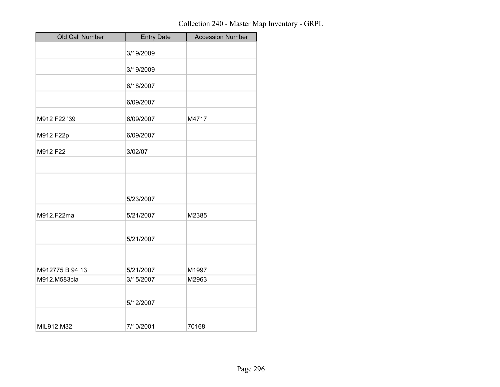| Old Call Number | <b>Entry Date</b> | <b>Accession Number</b> |
|-----------------|-------------------|-------------------------|
|                 | 3/19/2009         |                         |
|                 | 3/19/2009         |                         |
|                 | 6/18/2007         |                         |
|                 | 6/09/2007         |                         |
| M912 F22 '39    | 6/09/2007         | M4717                   |
| M912 F22p       | 6/09/2007         |                         |
| M912 F22        | 3/02/07           |                         |
|                 |                   |                         |
|                 |                   |                         |
|                 | 5/23/2007         |                         |
| M912.F22ma      | 5/21/2007         | M2385                   |
|                 | 5/21/2007         |                         |
|                 |                   |                         |
| M912775 B 94 13 | 5/21/2007         | M1997                   |
| M912.M583cla    | 3/15/2007         | M2963                   |
|                 | 5/12/2007         |                         |
| MIL912.M32      | 7/10/2001         | 70168                   |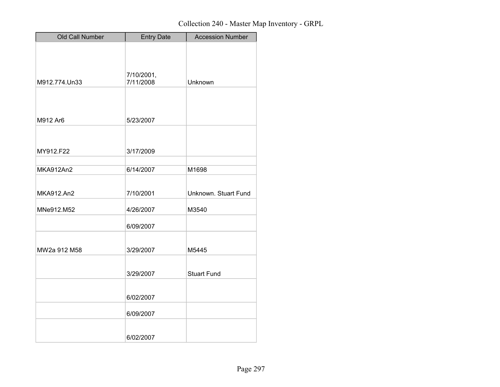| Old Call Number  | <b>Entry Date</b> | <b>Accession Number</b> |
|------------------|-------------------|-------------------------|
|                  |                   |                         |
|                  |                   |                         |
|                  | 7/10/2001,        |                         |
| M912.774.Un33    | 7/11/2008         | Unknown                 |
|                  |                   |                         |
|                  |                   |                         |
| M912 Ar6         | 5/23/2007         |                         |
|                  |                   |                         |
|                  |                   |                         |
| MY912.F22        | 3/17/2009         |                         |
|                  |                   |                         |
| <b>MKA912An2</b> | 6/14/2007         | M1698                   |
|                  |                   |                         |
| MKA912.An2       | 7/10/2001         | Unknown. Stuart Fund    |
| MNe912.M52       | 4/26/2007         | M3540                   |
|                  | 6/09/2007         |                         |
|                  |                   |                         |
| MW2a 912 M58     | 3/29/2007         | M5445                   |
|                  |                   |                         |
|                  | 3/29/2007         | <b>Stuart Fund</b>      |
|                  |                   |                         |
|                  | 6/02/2007         |                         |
|                  | 6/09/2007         |                         |
|                  |                   |                         |
|                  | 6/02/2007         |                         |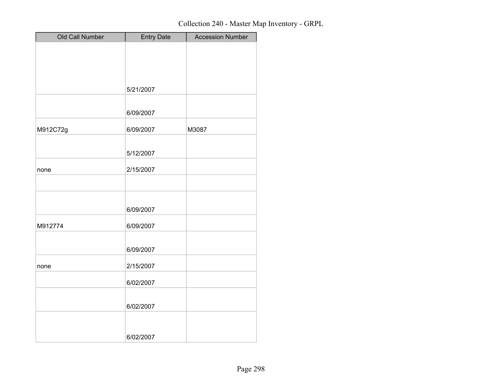| Old Call Number | <b>Entry Date</b> | <b>Accession Number</b> |
|-----------------|-------------------|-------------------------|
|                 |                   |                         |
|                 |                   |                         |
|                 |                   |                         |
|                 |                   |                         |
|                 | 5/21/2007         |                         |
|                 |                   |                         |
|                 | 6/09/2007         |                         |
| M912C72g        | 6/09/2007         | M3087                   |
|                 |                   |                         |
|                 | 5/12/2007         |                         |
| none            | 2/15/2007         |                         |
|                 |                   |                         |
|                 |                   |                         |
|                 |                   |                         |
|                 | 6/09/2007         |                         |
| M912774         | 6/09/2007         |                         |
|                 |                   |                         |
|                 | 6/09/2007         |                         |
|                 |                   |                         |
| none            | 2/15/2007         |                         |
|                 | 6/02/2007         |                         |
|                 |                   |                         |
|                 | 6/02/2007         |                         |
|                 |                   |                         |
|                 |                   |                         |
|                 | 6/02/2007         |                         |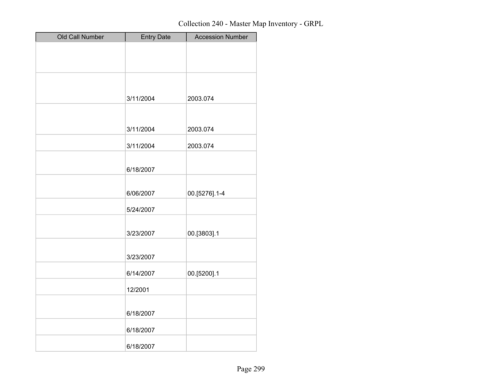| Old Call Number | <b>Entry Date</b> | <b>Accession Number</b> |
|-----------------|-------------------|-------------------------|
|                 |                   |                         |
|                 |                   |                         |
|                 |                   |                         |
|                 |                   |                         |
|                 | 3/11/2004         | 2003.074                |
|                 |                   |                         |
|                 | 3/11/2004         | 2003.074                |
|                 |                   |                         |
|                 | 3/11/2004         | 2003.074                |
|                 |                   |                         |
|                 | 6/18/2007         |                         |
|                 |                   |                         |
|                 | 6/06/2007         | 00.[5276].1-4           |
|                 | 5/24/2007         |                         |
|                 |                   |                         |
|                 | 3/23/2007         | 00.[3803].1             |
|                 |                   |                         |
|                 | 3/23/2007         |                         |
|                 | 6/14/2007         | 00.[5200].1             |
|                 |                   |                         |
|                 | 12/2001           |                         |
|                 | 6/18/2007         |                         |
|                 |                   |                         |
|                 | 6/18/2007         |                         |
|                 | 6/18/2007         |                         |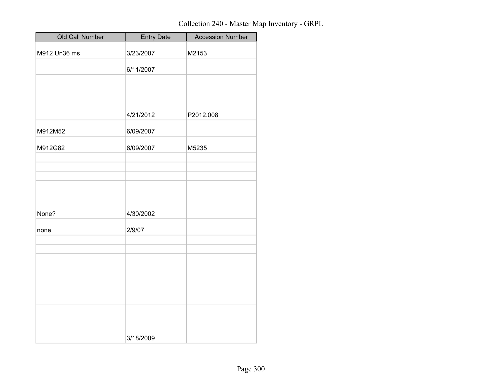| Old Call Number | <b>Entry Date</b> | <b>Accession Number</b> |
|-----------------|-------------------|-------------------------|
| M912 Un36 ms    | 3/23/2007         | M2153                   |
|                 | 6/11/2007         |                         |
|                 |                   |                         |
|                 |                   |                         |
|                 | 4/21/2012         | P2012.008               |
| M912M52         | 6/09/2007         |                         |
| M912G82         | 6/09/2007         | M5235                   |
|                 |                   |                         |
|                 |                   |                         |
|                 |                   |                         |
| None?           | 4/30/2002         |                         |
| none            | 2/9/07            |                         |
|                 |                   |                         |
|                 |                   |                         |
|                 |                   |                         |
|                 |                   |                         |
|                 |                   |                         |
|                 |                   |                         |
|                 | 3/18/2009         |                         |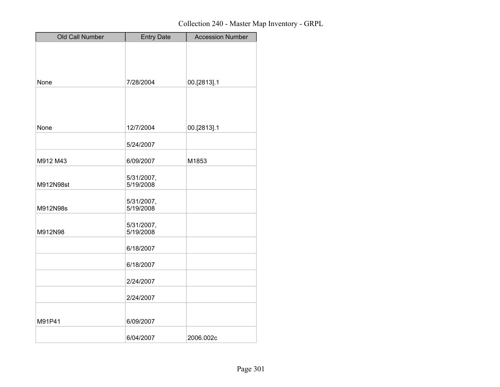| Old Call Number | <b>Entry Date</b> | <b>Accession Number</b> |
|-----------------|-------------------|-------------------------|
|                 |                   |                         |
|                 |                   |                         |
|                 |                   |                         |
| None            | 7/28/2004         | 00.[2813].1             |
|                 |                   |                         |
|                 |                   |                         |
|                 |                   |                         |
| None            | 12/7/2004         | 00.[2813].1             |
|                 | 5/24/2007         |                         |
| M912 M43        |                   |                         |
|                 | 6/09/2007         | M1853                   |
|                 | 5/31/2007,        |                         |
| M912N98st       | 5/19/2008         |                         |
|                 | 5/31/2007,        |                         |
| M912N98s        | 5/19/2008         |                         |
|                 | 5/31/2007,        |                         |
| M912N98         | 5/19/2008         |                         |
|                 | 6/18/2007         |                         |
|                 | 6/18/2007         |                         |
|                 | 2/24/2007         |                         |
|                 | 2/24/2007         |                         |
|                 |                   |                         |
| M91P41          | 6/09/2007         |                         |
|                 | 6/04/2007         | 2006.002c               |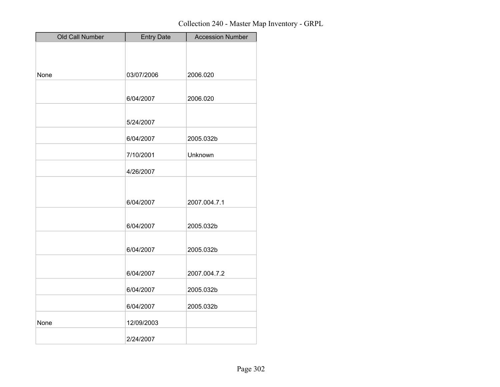| Old Call Number | <b>Entry Date</b> | <b>Accession Number</b> |
|-----------------|-------------------|-------------------------|
|                 |                   |                         |
|                 |                   |                         |
| None            | 03/07/2006        | 2006.020                |
|                 |                   |                         |
|                 | 6/04/2007         | 2006.020                |
|                 |                   |                         |
|                 | 5/24/2007         |                         |
|                 | 6/04/2007         | 2005.032b               |
|                 | 7/10/2001         | Unknown                 |
|                 | 4/26/2007         |                         |
|                 |                   |                         |
|                 |                   |                         |
|                 | 6/04/2007         | 2007.004.7.1            |
|                 |                   |                         |
|                 | 6/04/2007         | 2005.032b               |
|                 | 6/04/2007         | 2005.032b               |
|                 |                   |                         |
|                 | 6/04/2007         | 2007.004.7.2            |
|                 |                   |                         |
|                 | 6/04/2007         | 2005.032b               |
|                 | 6/04/2007         | 2005.032b               |
| None            | 12/09/2003        |                         |
|                 | 2/24/2007         |                         |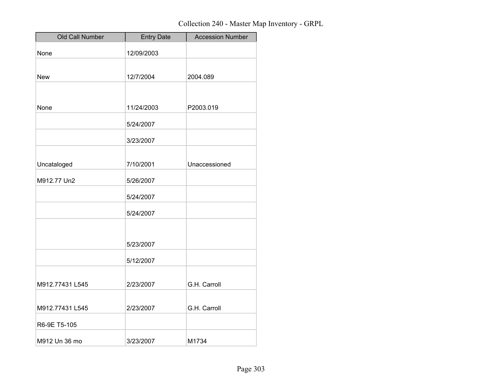| Old Call Number | <b>Entry Date</b> | <b>Accession Number</b> |
|-----------------|-------------------|-------------------------|
| None            | 12/09/2003        |                         |
|                 |                   |                         |
| <b>New</b>      | 12/7/2004         | 2004.089                |
|                 |                   |                         |
| None            | 11/24/2003        | P2003.019               |
|                 | 5/24/2007         |                         |
|                 | 3/23/2007         |                         |
|                 |                   |                         |
| Uncataloged     | 7/10/2001         | Unaccessioned           |
| M912.77 Un2     | 5/26/2007         |                         |
|                 | 5/24/2007         |                         |
|                 | 5/24/2007         |                         |
|                 |                   |                         |
|                 | 5/23/2007         |                         |
|                 | 5/12/2007         |                         |
|                 |                   |                         |
| M912.77431 L545 | 2/23/2007         | G.H. Carroll            |
| M912.77431 L545 | 2/23/2007         | G.H. Carroll            |
|                 |                   |                         |
| R6-9E T5-105    |                   |                         |
| M912 Un 36 mo   | 3/23/2007         | M1734                   |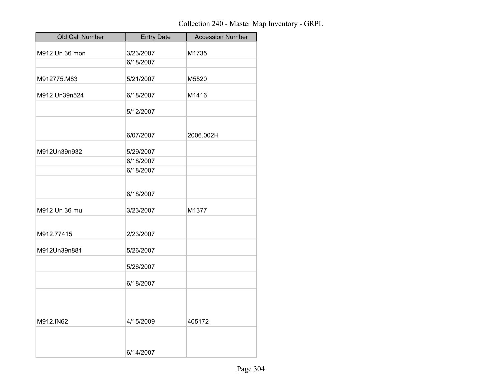| Old Call Number | <b>Entry Date</b> | <b>Accession Number</b> |
|-----------------|-------------------|-------------------------|
| M912 Un 36 mon  | 3/23/2007         | M1735                   |
|                 | 6/18/2007         |                         |
| M912775.M83     | 5/21/2007         | M5520                   |
| M912 Un39n524   | 6/18/2007         | M1416                   |
|                 | 5/12/2007         |                         |
|                 | 6/07/2007         | 2006.002H               |
| M912Un39n932    | 5/29/2007         |                         |
|                 | 6/18/2007         |                         |
|                 | 6/18/2007         |                         |
|                 | 6/18/2007         |                         |
| M912 Un 36 mu   | 3/23/2007         | M1377                   |
| M912.77415      | 2/23/2007         |                         |
| M912Un39n881    | 5/26/2007         |                         |
|                 | 5/26/2007         |                         |
|                 | 6/18/2007         |                         |
| M912.fN62       | 4/15/2009         | 405172                  |
|                 | 6/14/2007         |                         |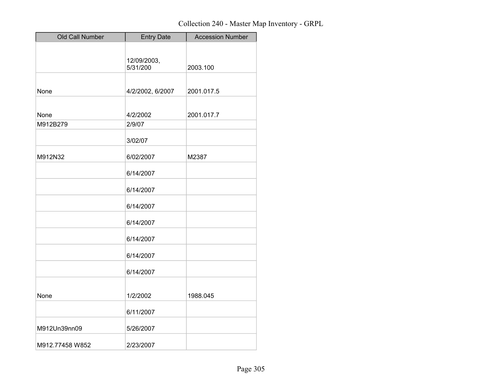| Old Call Number | <b>Entry Date</b> | <b>Accession Number</b> |
|-----------------|-------------------|-------------------------|
|                 |                   |                         |
|                 | 12/09/2003,       |                         |
|                 | 5/31/200          | 2003.100                |
|                 |                   |                         |
| None            | 4/2/2002, 6/2007  | 2001.017.5              |
|                 |                   |                         |
| None            | 4/2/2002          | 2001.017.7              |
| M912B279        | 2/9/07            |                         |
|                 |                   |                         |
|                 | 3/02/07           |                         |
| M912N32         | 6/02/2007         | M2387                   |
|                 | 6/14/2007         |                         |
|                 |                   |                         |
|                 | 6/14/2007         |                         |
|                 | 6/14/2007         |                         |
|                 | 6/14/2007         |                         |
|                 |                   |                         |
|                 | 6/14/2007         |                         |
|                 | 6/14/2007         |                         |
|                 | 6/14/2007         |                         |
|                 |                   |                         |
| None            | 1/2/2002          | 1988.045                |
|                 | 6/11/2007         |                         |
| M912Un39nn09    | 5/26/2007         |                         |
|                 |                   |                         |
| M912.77458 W852 | 2/23/2007         |                         |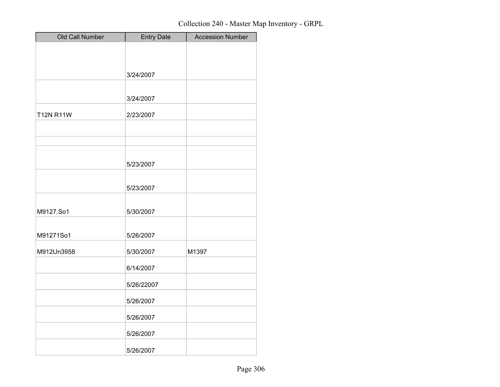| Old Call Number  | <b>Entry Date</b> | <b>Accession Number</b> |
|------------------|-------------------|-------------------------|
|                  |                   |                         |
|                  |                   |                         |
|                  | 3/24/2007         |                         |
|                  |                   |                         |
|                  | 3/24/2007         |                         |
| <b>T12N R11W</b> | 2/23/2007         |                         |
|                  |                   |                         |
|                  |                   |                         |
|                  |                   |                         |
|                  | 5/23/2007         |                         |
|                  |                   |                         |
|                  | 5/23/2007         |                         |
|                  |                   |                         |
| M9127.So1        | 5/30/2007         |                         |
|                  |                   |                         |
| M91271So1        | 5/26/2007         |                         |
| M912Un3958       | 5/30/2007         | M1397                   |
|                  | 6/14/2007         |                         |
|                  | 5/26/22007        |                         |
|                  |                   |                         |
|                  | 5/26/2007         |                         |
|                  | 5/26/2007         |                         |
|                  | 5/26/2007         |                         |
|                  | 5/26/2007         |                         |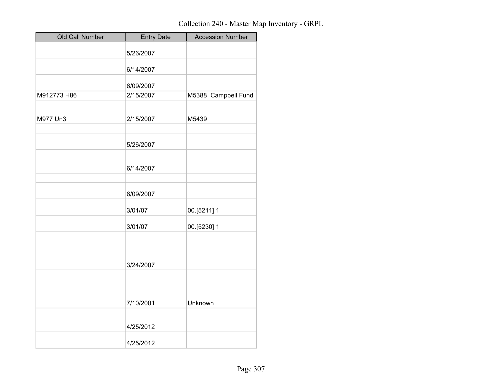| Old Call Number | <b>Entry Date</b> | <b>Accession Number</b> |
|-----------------|-------------------|-------------------------|
|                 | 5/26/2007         |                         |
|                 | 6/14/2007         |                         |
|                 |                   |                         |
|                 | 6/09/2007         |                         |
| M912773 H86     | 2/15/2007         | M5388 Campbell Fund     |
|                 |                   |                         |
| M977 Un3        | 2/15/2007         | M5439                   |
|                 |                   |                         |
|                 | 5/26/2007         |                         |
|                 |                   |                         |
|                 | 6/14/2007         |                         |
|                 |                   |                         |
|                 |                   |                         |
|                 | 6/09/2007         |                         |
|                 | 3/01/07           | 00.[5211].1             |
|                 | 3/01/07           | 00.[5230].1             |
|                 |                   |                         |
|                 |                   |                         |
|                 |                   |                         |
|                 | 3/24/2007         |                         |
|                 |                   |                         |
|                 |                   |                         |
|                 | 7/10/2001         | Unknown                 |
|                 |                   |                         |
|                 | 4/25/2012         |                         |
|                 |                   |                         |
|                 | 4/25/2012         |                         |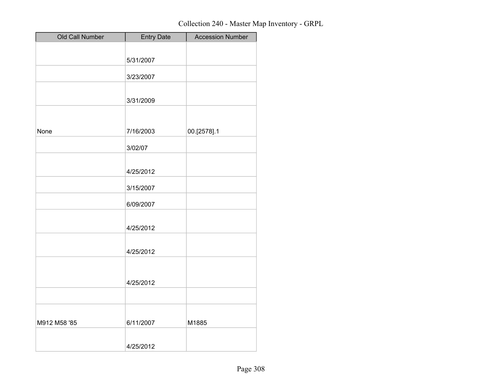| Old Call Number | <b>Entry Date</b> | <b>Accession Number</b> |
|-----------------|-------------------|-------------------------|
|                 |                   |                         |
|                 | 5/31/2007         |                         |
|                 | 3/23/2007         |                         |
|                 |                   |                         |
|                 | 3/31/2009         |                         |
|                 |                   |                         |
| None            | 7/16/2003         | 00.[2578].1             |
|                 | 3/02/07           |                         |
|                 | 4/25/2012         |                         |
|                 | 3/15/2007         |                         |
|                 | 6/09/2007         |                         |
|                 | 4/25/2012         |                         |
|                 | 4/25/2012         |                         |
|                 |                   |                         |
|                 | 4/25/2012         |                         |
|                 |                   |                         |
| M912 M58 '85    | 6/11/2007         | M1885                   |
|                 | 4/25/2012         |                         |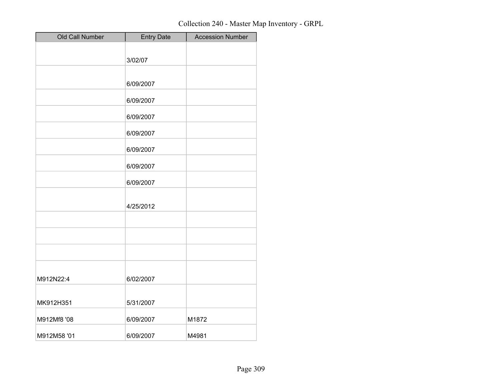| Old Call Number | <b>Entry Date</b> | <b>Accession Number</b> |
|-----------------|-------------------|-------------------------|
|                 |                   |                         |
|                 | 3/02/07           |                         |
|                 |                   |                         |
|                 | 6/09/2007         |                         |
|                 | 6/09/2007         |                         |
|                 | 6/09/2007         |                         |
|                 | 6/09/2007         |                         |
|                 | 6/09/2007         |                         |
|                 | 6/09/2007         |                         |
|                 | 6/09/2007         |                         |
|                 | 4/25/2012         |                         |
|                 |                   |                         |
|                 |                   |                         |
|                 |                   |                         |
|                 |                   |                         |
| M912N22:4       | 6/02/2007         |                         |
| MK912H351       | 5/31/2007         |                         |
| M912Mf8 '08     | 6/09/2007         | M1872                   |
| M912M58 '01     | 6/09/2007         | M4981                   |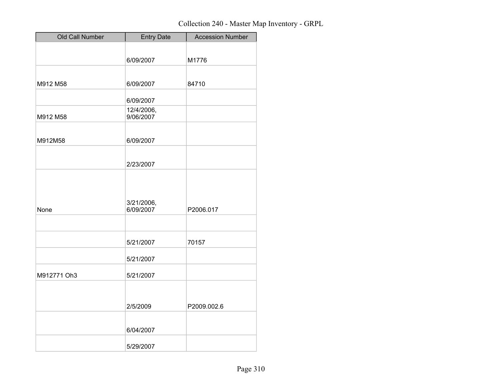| Old Call Number | <b>Entry Date</b>       | <b>Accession Number</b> |
|-----------------|-------------------------|-------------------------|
|                 |                         |                         |
|                 | 6/09/2007               | M1776                   |
|                 |                         |                         |
| M912 M58        | 6/09/2007               | 84710                   |
|                 |                         |                         |
|                 | 6/09/2007               |                         |
| M912 M58        | 12/4/2006,<br>9/06/2007 |                         |
|                 |                         |                         |
| M912M58         | 6/09/2007               |                         |
|                 |                         |                         |
|                 | 2/23/2007               |                         |
|                 |                         |                         |
|                 |                         |                         |
|                 |                         |                         |
| None            | 3/21/2006,<br>6/09/2007 | P2006.017               |
|                 |                         |                         |
|                 |                         |                         |
|                 | 5/21/2007               | 70157                   |
|                 |                         |                         |
|                 | 5/21/2007               |                         |
| M912771 Oh3     | 5/21/2007               |                         |
|                 |                         |                         |
|                 |                         |                         |
|                 | 2/5/2009                | P2009.002.6             |
|                 |                         |                         |
|                 | 6/04/2007               |                         |
|                 | 5/29/2007               |                         |
|                 |                         |                         |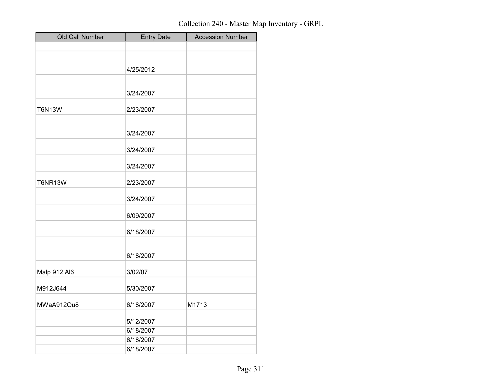| Old Call Number | <b>Entry Date</b>      | <b>Accession Number</b> |
|-----------------|------------------------|-------------------------|
|                 |                        |                         |
|                 |                        |                         |
|                 | 4/25/2012              |                         |
|                 |                        |                         |
|                 | 3/24/2007              |                         |
|                 |                        |                         |
| <b>T6N13W</b>   | 2/23/2007              |                         |
|                 |                        |                         |
|                 | 3/24/2007              |                         |
|                 |                        |                         |
|                 | 3/24/2007              |                         |
|                 | 3/24/2007              |                         |
|                 |                        |                         |
| <b>T6NR13W</b>  | 2/23/2007              |                         |
|                 | 3/24/2007              |                         |
|                 |                        |                         |
|                 | 6/09/2007              |                         |
|                 | 6/18/2007              |                         |
|                 |                        |                         |
|                 | 6/18/2007              |                         |
|                 |                        |                         |
| Malp 912 Al6    | 3/02/07                |                         |
|                 |                        |                         |
| M912J644        | 5/30/2007              |                         |
| MWaA912Ou8      | 6/18/2007              | M1713                   |
|                 |                        |                         |
|                 | 5/12/2007              |                         |
|                 | 6/18/2007              |                         |
|                 | 6/18/2007<br>6/18/2007 |                         |
|                 |                        |                         |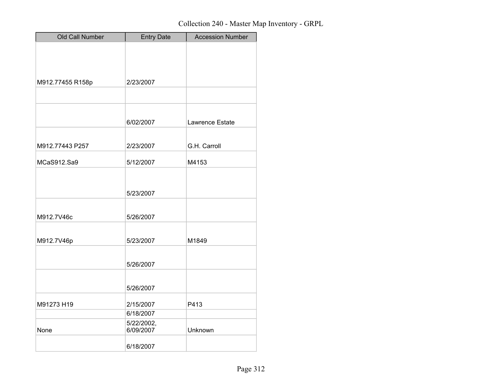| <b>Old Call Number</b> | <b>Entry Date</b> | <b>Accession Number</b> |
|------------------------|-------------------|-------------------------|
|                        |                   |                         |
|                        |                   |                         |
|                        |                   |                         |
| M912.77455 R158p       | 2/23/2007         |                         |
|                        |                   |                         |
|                        |                   |                         |
|                        | 6/02/2007         | Lawrence Estate         |
|                        |                   |                         |
| M912.77443 P257        | 2/23/2007         | G.H. Carroll            |
| MCaS912.Sa9            | 5/12/2007         | M4153                   |
|                        |                   |                         |
|                        |                   |                         |
|                        | 5/23/2007         |                         |
|                        |                   |                         |
| M912.7V46c             | 5/26/2007         |                         |
|                        |                   |                         |
| M912.7V46p             | 5/23/2007         | M1849                   |
|                        |                   |                         |
|                        | 5/26/2007         |                         |
|                        |                   |                         |
|                        | 5/26/2007         |                         |
| M91273 H19             | 2/15/2007         | P413                    |
|                        | 6/18/2007         |                         |
|                        | 5/22/2002,        |                         |
| None                   | 6/09/2007         | Unknown                 |
|                        | 6/18/2007         |                         |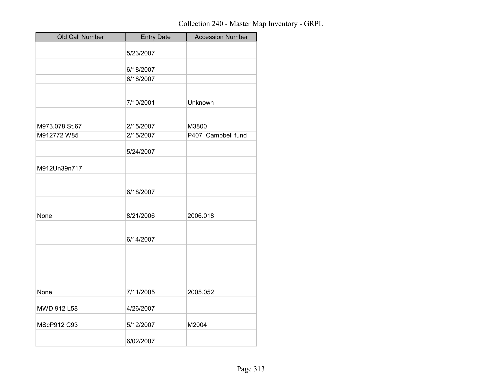| Old Call Number | <b>Entry Date</b> | <b>Accession Number</b> |
|-----------------|-------------------|-------------------------|
|                 | 5/23/2007         |                         |
|                 | 6/18/2007         |                         |
|                 | 6/18/2007         |                         |
|                 |                   |                         |
|                 | 7/10/2001         | Unknown                 |
|                 |                   |                         |
| M973.078 St.67  | 2/15/2007         | M3800                   |
| M912772 W85     | 2/15/2007         | P407 Campbell fund      |
|                 | 5/24/2007         |                         |
| M912Un39n717    |                   |                         |
|                 |                   |                         |
|                 | 6/18/2007         |                         |
|                 |                   |                         |
| None            | 8/21/2006         | 2006.018                |
|                 |                   |                         |
|                 | 6/14/2007         |                         |
|                 |                   |                         |
|                 |                   |                         |
|                 |                   |                         |
| None            | 7/11/2005         | 2005.052                |
| MWD 912 L58     | 4/26/2007         |                         |
| MScP912 C93     | 5/12/2007         | M2004                   |
|                 | 6/02/2007         |                         |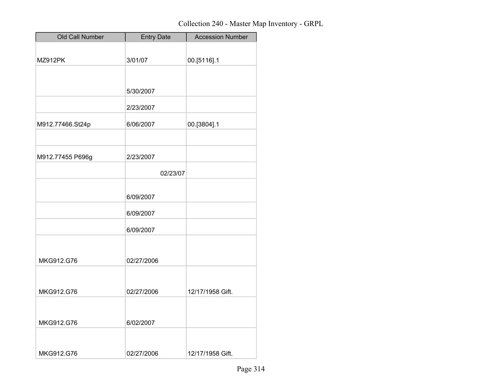| Old Call Number  | <b>Entry Date</b> | <b>Accession Number</b> |
|------------------|-------------------|-------------------------|
|                  |                   |                         |
| MZ912PK          | 3/01/07           | 00.[5116].1             |
|                  |                   |                         |
|                  |                   |                         |
|                  | 5/30/2007         |                         |
|                  | 2/23/2007         |                         |
| M912.77466.St24p | 6/06/2007         | 00.[3804].1             |
|                  |                   |                         |
|                  |                   |                         |
| M912.77455 P696g | 2/23/2007         |                         |
|                  | 02/23/07          |                         |
|                  |                   |                         |
|                  | 6/09/2007         |                         |
|                  |                   |                         |
|                  | 6/09/2007         |                         |
|                  | 6/09/2007         |                         |
|                  |                   |                         |
|                  |                   |                         |
| MKG912.G76       | 02/27/2006        |                         |
|                  |                   |                         |
| MKG912.G76       | 02/27/2006        | 12/17/1958 Gift.        |
|                  |                   |                         |
|                  |                   |                         |
| MKG912.G76       | 6/02/2007         |                         |
|                  |                   |                         |
|                  |                   |                         |
| MKG912.G76       | 02/27/2006        | 12/17/1958 Gift.        |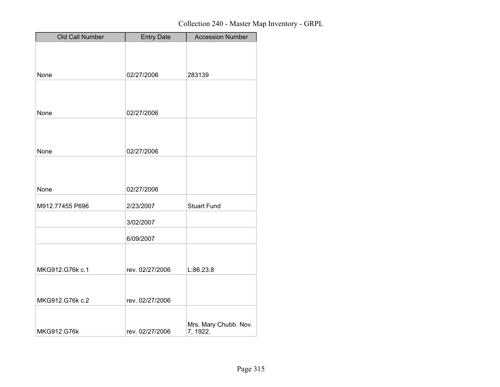| Old Call Number | <b>Entry Date</b> | <b>Accession Number</b> |
|-----------------|-------------------|-------------------------|
|                 |                   |                         |
|                 |                   |                         |
| None            | 02/27/2006        | 283139                  |
|                 |                   |                         |
|                 |                   |                         |
|                 |                   |                         |
| None            | 02/27/2006        |                         |
|                 |                   |                         |
|                 |                   |                         |
| None            | 02/27/2006        |                         |
|                 |                   |                         |
|                 |                   |                         |
| None            | 02/27/2006        |                         |
|                 |                   |                         |
| M912.77455 P696 | 2/23/2007         | <b>Stuart Fund</b>      |
|                 | 3/02/2007         |                         |
|                 |                   |                         |
|                 | 6/09/2007         |                         |
|                 |                   |                         |
| MKG912.G76k c.1 | rev. 02/27/2006   | L:86.23.8               |
|                 |                   |                         |
|                 |                   |                         |
| MKG912.G76k c.2 | rev. 02/27/2006   |                         |
|                 |                   |                         |
|                 |                   | Mrs. Mary Chubb. Nov.   |
| MKG912.G76k     | rev. 02/27/2006   | 7, 1922.                |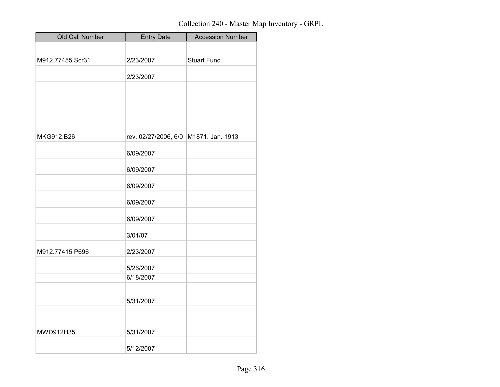| Old Call Number  | <b>Entry Date</b>    | <b>Accession Number</b> |
|------------------|----------------------|-------------------------|
|                  |                      |                         |
| M912.77455 Scr31 | 2/23/2007            | <b>Stuart Fund</b>      |
|                  | 2/23/2007            |                         |
|                  |                      |                         |
|                  |                      |                         |
|                  |                      |                         |
|                  |                      |                         |
| MKG912.B26       | rev. 02/27/2006, 6/0 | M1871. Jan. 1913        |
|                  | 6/09/2007            |                         |
|                  | 6/09/2007            |                         |
|                  | 6/09/2007            |                         |
|                  | 6/09/2007            |                         |
|                  | 6/09/2007            |                         |
|                  | 3/01/07              |                         |
| M912.77415 P696  | 2/23/2007            |                         |
|                  | 5/26/2007            |                         |
|                  | 6/18/2007            |                         |
|                  |                      |                         |
|                  | 5/31/2007            |                         |
|                  |                      |                         |
| MWD912H35        | 5/31/2007            |                         |
|                  | 5/12/2007            |                         |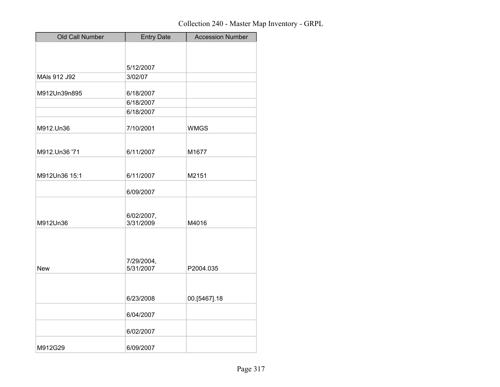| Old Call Number | <b>Entry Date</b>       | <b>Accession Number</b> |
|-----------------|-------------------------|-------------------------|
|                 |                         |                         |
|                 | 5/12/2007               |                         |
| MAIs 912 J92    | 3/02/07                 |                         |
| M912Un39n895    | 6/18/2007               |                         |
|                 | 6/18/2007               |                         |
|                 | 6/18/2007               |                         |
| M912.Un36       | 7/10/2001               | <b>WMGS</b>             |
|                 |                         |                         |
| M912.Un36 '71   | 6/11/2007               | M1677                   |
|                 |                         |                         |
| M912Un36 15:1   | 6/11/2007               | M2151                   |
|                 | 6/09/2007               |                         |
|                 |                         |                         |
|                 | 6/02/2007,<br>3/31/2009 |                         |
| M912Un36        |                         | M4016                   |
|                 |                         |                         |
|                 |                         |                         |
| New             | 7/29/2004,<br>5/31/2007 | P2004.035               |
|                 |                         |                         |
|                 |                         |                         |
|                 | 6/23/2008               | 00.[5467].18            |
|                 | 6/04/2007               |                         |
|                 | 6/02/2007               |                         |
| M912G29         | 6/09/2007               |                         |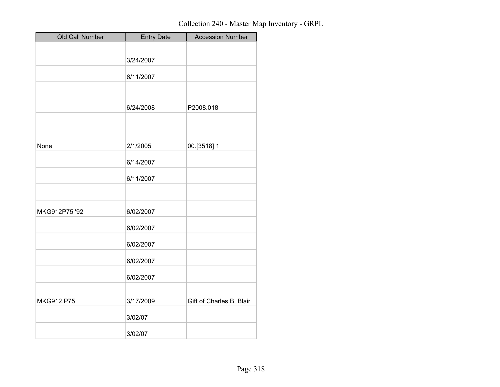| Old Call Number | <b>Entry Date</b> | <b>Accession Number</b>  |
|-----------------|-------------------|--------------------------|
|                 |                   |                          |
|                 | 3/24/2007         |                          |
|                 | 6/11/2007         |                          |
|                 |                   |                          |
|                 |                   |                          |
|                 | 6/24/2008         | P2008.018                |
|                 |                   |                          |
|                 |                   |                          |
|                 |                   |                          |
| None            | 2/1/2005          | 00.[3518].1              |
|                 | 6/14/2007         |                          |
|                 | 6/11/2007         |                          |
|                 |                   |                          |
|                 |                   |                          |
| MKG912P75 '92   | 6/02/2007         |                          |
|                 |                   |                          |
|                 | 6/02/2007         |                          |
|                 | 6/02/2007         |                          |
|                 |                   |                          |
|                 | 6/02/2007         |                          |
|                 | 6/02/2007         |                          |
|                 |                   |                          |
| MKG912.P75      | 3/17/2009         | Gift of Charles B. Blair |
|                 |                   |                          |
|                 | 3/02/07           |                          |
|                 | 3/02/07           |                          |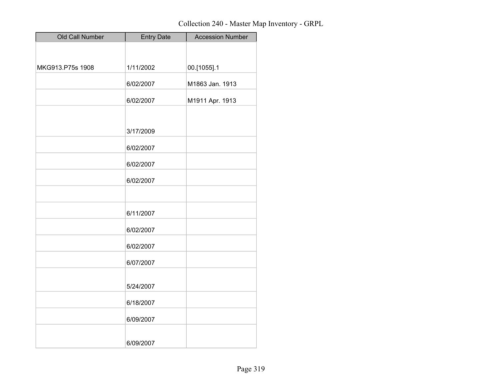| Old Call Number  | <b>Entry Date</b> | <b>Accession Number</b> |
|------------------|-------------------|-------------------------|
|                  |                   |                         |
|                  |                   |                         |
| MKG913.P75s 1908 | 1/11/2002         | 00.[1055].1             |
|                  | 6/02/2007         | M1863 Jan. 1913         |
|                  | 6/02/2007         | M1911 Apr. 1913         |
|                  |                   |                         |
|                  | 3/17/2009         |                         |
|                  | 6/02/2007         |                         |
|                  | 6/02/2007         |                         |
|                  | 6/02/2007         |                         |
|                  |                   |                         |
|                  | 6/11/2007         |                         |
|                  | 6/02/2007         |                         |
|                  | 6/02/2007         |                         |
|                  | 6/07/2007         |                         |
|                  |                   |                         |
|                  | 5/24/2007         |                         |
|                  | 6/18/2007         |                         |
|                  | 6/09/2007         |                         |
|                  | 6/09/2007         |                         |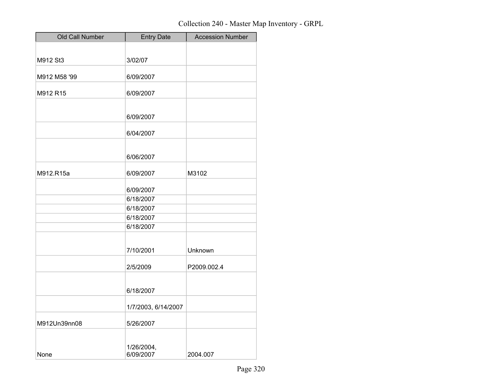| Old Call Number | <b>Entry Date</b>       | <b>Accession Number</b> |
|-----------------|-------------------------|-------------------------|
|                 |                         |                         |
| M912 St3        | 3/02/07                 |                         |
| M912 M58 '99    | 6/09/2007               |                         |
| M912 R15        | 6/09/2007               |                         |
|                 |                         |                         |
|                 | 6/09/2007               |                         |
|                 | 6/04/2007               |                         |
|                 | 6/06/2007               |                         |
| M912.R15a       | 6/09/2007               | M3102                   |
|                 | 6/09/2007               |                         |
|                 | 6/18/2007               |                         |
|                 | 6/18/2007               |                         |
|                 | 6/18/2007               |                         |
|                 | 6/18/2007               |                         |
|                 | 7/10/2001               | Unknown                 |
|                 | 2/5/2009                | P2009.002.4             |
|                 | 6/18/2007               |                         |
|                 | 1/7/2003, 6/14/2007     |                         |
| M912Un39nn08    | 5/26/2007               |                         |
| None            | 1/26/2004,<br>6/09/2007 | 2004.007                |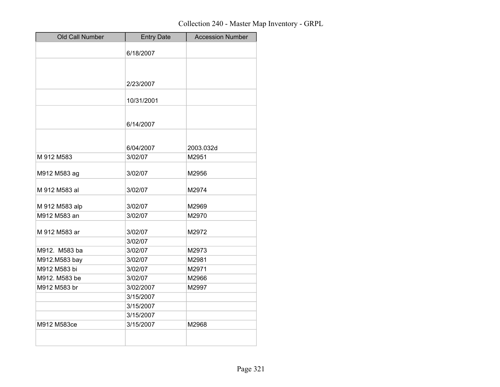| Old Call Number | <b>Entry Date</b>  | <b>Accession Number</b> |
|-----------------|--------------------|-------------------------|
|                 | 6/18/2007          |                         |
|                 |                    |                         |
|                 |                    |                         |
|                 | 2/23/2007          |                         |
|                 | 10/31/2001         |                         |
|                 |                    |                         |
|                 | 6/14/2007          |                         |
|                 |                    |                         |
|                 | 6/04/2007          | 2003.032d               |
| M 912 M583      | 3/02/07            | M2951                   |
| M912 M583 ag    | 3/02/07            | M2956                   |
|                 |                    |                         |
| M 912 M583 al   | 3/02/07            | M2974                   |
| M 912 M583 alp  | 3/02/07            | M2969                   |
| M912 M583 an    | 3/02/07            | M2970                   |
|                 |                    |                         |
| M 912 M583 ar   | 3/02/07<br>3/02/07 | M2972                   |
| M912. M583 ba   | 3/02/07            | M2973                   |
| M912.M583 bay   | 3/02/07            | M2981                   |
| M912 M583 bi    | 3/02/07            | M2971                   |
| M912. M583 be   | 3/02/07            | M2966                   |
| M912 M583 br    | 3/02/2007          | M2997                   |
|                 | 3/15/2007          |                         |
|                 | 3/15/2007          |                         |
|                 | 3/15/2007          |                         |
| M912 M583ce     | 3/15/2007          | M2968                   |
|                 |                    |                         |
|                 |                    |                         |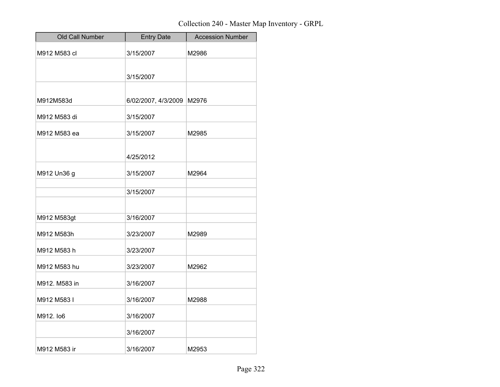| Old Call Number | <b>Entry Date</b>   | <b>Accession Number</b> |
|-----------------|---------------------|-------------------------|
| M912 M583 cl    | 3/15/2007           | M2986                   |
|                 | 3/15/2007           |                         |
|                 |                     |                         |
| M912M583d       | 6/02/2007, 4/3/2009 | M2976                   |
| M912 M583 di    | 3/15/2007           |                         |
| M912 M583 ea    | 3/15/2007           | M2985                   |
|                 | 4/25/2012           |                         |
| M912 Un36 g     | 3/15/2007           | M2964                   |
|                 | 3/15/2007           |                         |
| M912 M583gt     | 3/16/2007           |                         |
| M912 M583h      | 3/23/2007           | M2989                   |
| M912 M583 h     | 3/23/2007           |                         |
| M912 M583 hu    | 3/23/2007           | M2962                   |
| M912. M583 in   | 3/16/2007           |                         |
| M912 M583 I     | 3/16/2007           | M2988                   |
| M912. lo6       | 3/16/2007           |                         |
|                 | 3/16/2007           |                         |
| M912 M583 ir    | 3/16/2007           | M2953                   |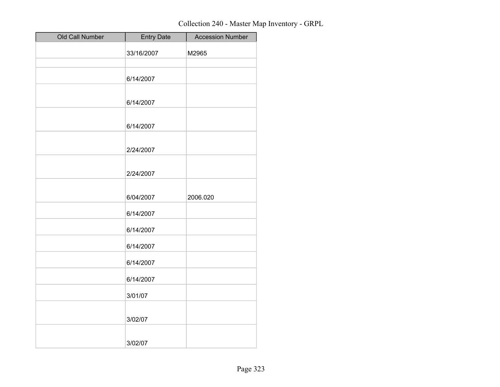| Old Call Number | <b>Entry Date</b> | <b>Accession Number</b> |
|-----------------|-------------------|-------------------------|
|                 | 33/16/2007        | M2965                   |
|                 |                   |                         |
|                 | 6/14/2007         |                         |
|                 |                   |                         |
|                 | 6/14/2007         |                         |
|                 | 6/14/2007         |                         |
|                 |                   |                         |
|                 | 2/24/2007         |                         |
|                 |                   |                         |
|                 | 2/24/2007         |                         |
|                 |                   |                         |
|                 | 6/04/2007         | 2006.020                |
|                 | 6/14/2007         |                         |
|                 | 6/14/2007         |                         |
|                 | 6/14/2007         |                         |
|                 | 6/14/2007         |                         |
|                 | 6/14/2007         |                         |
|                 | 3/01/07           |                         |
|                 |                   |                         |
|                 | 3/02/07           |                         |
|                 | 3/02/07           |                         |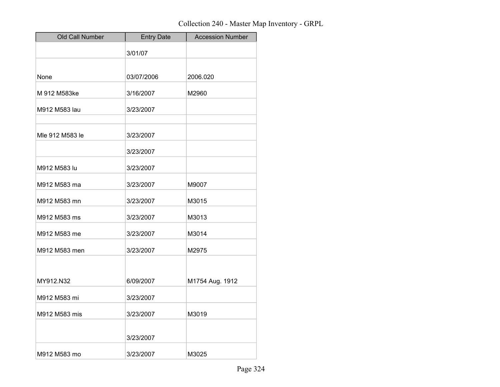| Old Call Number | <b>Entry Date</b> | <b>Accession Number</b> |
|-----------------|-------------------|-------------------------|
|                 | 3/01/07           |                         |
|                 |                   |                         |
| None            | 03/07/2006        | 2006.020                |
| M 912 M583ke    | 3/16/2007         | M2960                   |
| M912 M583 lau   | 3/23/2007         |                         |
| Mle 912 M583 le | 3/23/2007         |                         |
|                 | 3/23/2007         |                         |
| M912 M583 lu    | 3/23/2007         |                         |
| M912 M583 ma    | 3/23/2007         | M9007                   |
| M912 M583 mn    | 3/23/2007         | M3015                   |
| M912 M583 ms    | 3/23/2007         | M3013                   |
| M912 M583 me    | 3/23/2007         | M3014                   |
| M912 M583 men   | 3/23/2007         | M2975                   |
|                 |                   |                         |
| MY912.N32       | 6/09/2007         | M1754 Aug. 1912         |
| M912 M583 mi    | 3/23/2007         |                         |
| M912 M583 mis   | 3/23/2007         | M3019                   |
|                 | 3/23/2007         |                         |
| M912 M583 mo    | 3/23/2007         | M3025                   |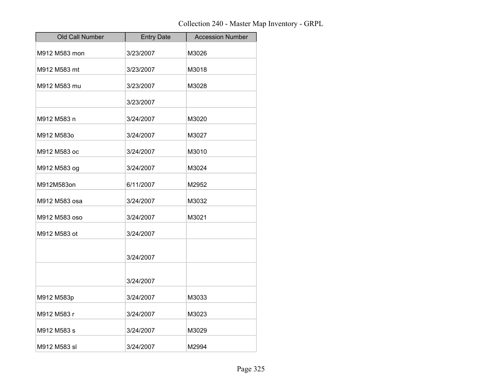| Old Call Number | <b>Entry Date</b> | <b>Accession Number</b> |
|-----------------|-------------------|-------------------------|
| M912 M583 mon   | 3/23/2007         | M3026                   |
| M912 M583 mt    | 3/23/2007         | M3018                   |
| M912 M583 mu    | 3/23/2007         | M3028                   |
|                 | 3/23/2007         |                         |
| M912 M583 n     | 3/24/2007         | M3020                   |
| M912 M583o      | 3/24/2007         | M3027                   |
| M912 M583 oc    | 3/24/2007         | M3010                   |
| M912 M583 og    | 3/24/2007         | M3024                   |
| M912M583on      | 6/11/2007         | M2952                   |
| M912 M583 osa   | 3/24/2007         | M3032                   |
| M912 M583 oso   | 3/24/2007         | M3021                   |
| M912 M583 ot    | 3/24/2007         |                         |
|                 | 3/24/2007         |                         |
|                 | 3/24/2007         |                         |
| M912 M583p      | 3/24/2007         | M3033                   |
| M912 M583 r     | 3/24/2007         | M3023                   |
| M912 M583 s     | 3/24/2007         | M3029                   |
| M912 M583 sl    | 3/24/2007         | M2994                   |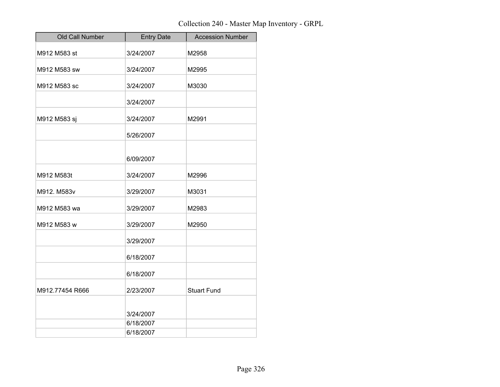| <b>Entry Date</b> | <b>Accession Number</b> |
|-------------------|-------------------------|
| 3/24/2007         | M2958                   |
| 3/24/2007         | M2995                   |
| 3/24/2007         | M3030                   |
| 3/24/2007         |                         |
| 3/24/2007         | M2991                   |
| 5/26/2007         |                         |
| 6/09/2007         |                         |
| 3/24/2007         | M2996                   |
| 3/29/2007         | M3031                   |
| 3/29/2007         | M2983                   |
| 3/29/2007         | M2950                   |
| 3/29/2007         |                         |
| 6/18/2007         |                         |
| 6/18/2007         |                         |
| 2/23/2007         | <b>Stuart Fund</b>      |
| 3/24/2007         |                         |
|                   |                         |
|                   | 6/18/2007<br>6/18/2007  |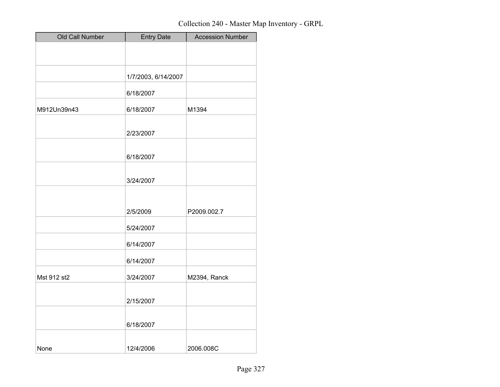| Old Call Number | <b>Entry Date</b>   | <b>Accession Number</b> |
|-----------------|---------------------|-------------------------|
|                 |                     |                         |
|                 |                     |                         |
|                 | 1/7/2003, 6/14/2007 |                         |
|                 | 6/18/2007           |                         |
| M912Un39n43     | 6/18/2007           | M1394                   |
|                 | 2/23/2007           |                         |
|                 | 6/18/2007           |                         |
|                 | 3/24/2007           |                         |
|                 | 2/5/2009            | P2009.002.7             |
|                 | 5/24/2007           |                         |
|                 | 6/14/2007           |                         |
|                 | 6/14/2007           |                         |
| Mst 912 st2     | 3/24/2007           | M2394, Ranck            |
|                 | 2/15/2007           |                         |
|                 | 6/18/2007           |                         |
| None            | 12/4/2006           | 2006.008C               |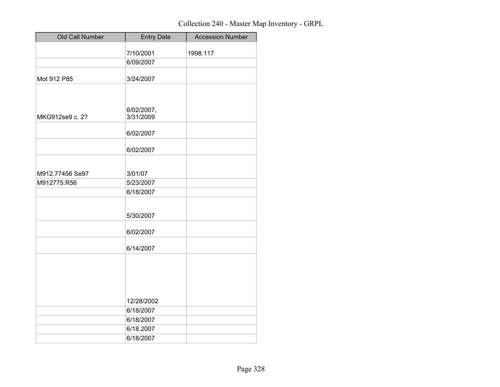| Old Call Number                | <b>Entry Date</b>    | <b>Accession Number</b> |
|--------------------------------|----------------------|-------------------------|
|                                | 7/10/2001            | 1998.117                |
|                                | 6/09/2007            |                         |
|                                |                      |                         |
| Mot 912 P85                    | 3/24/2007            |                         |
|                                |                      |                         |
|                                |                      |                         |
|                                | 6/02/2007,           |                         |
| MKG912se9 c. 2?                | 3/31/2009            |                         |
|                                |                      |                         |
|                                | 6/02/2007            |                         |
|                                | 6/02/2007            |                         |
|                                |                      |                         |
|                                |                      |                         |
| M912.77456 Se97<br>M912775.R56 | 3/01/07<br>5/23/2007 |                         |
|                                | 6/18/2007            |                         |
|                                |                      |                         |
|                                |                      |                         |
|                                | 5/30/2007            |                         |
|                                | 6/02/2007            |                         |
|                                |                      |                         |
|                                | 6/14/2007            |                         |
|                                |                      |                         |
|                                |                      |                         |
|                                |                      |                         |
|                                |                      |                         |
|                                | 12/28/2002           |                         |
|                                | 6/18/2007            |                         |
|                                | 6/18/2007            |                         |
|                                | 6/18.2007            |                         |
|                                | 6/18/2007            |                         |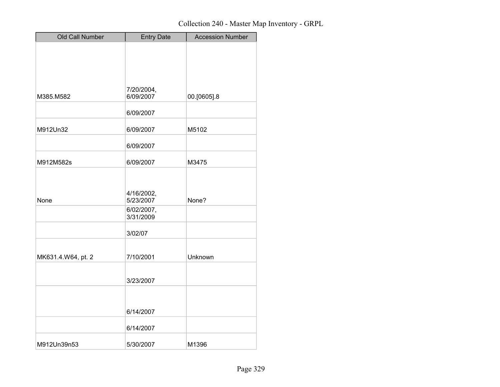| Old Call Number    | <b>Entry Date</b>       | <b>Accession Number</b> |
|--------------------|-------------------------|-------------------------|
|                    |                         |                         |
|                    |                         |                         |
|                    |                         |                         |
|                    |                         |                         |
| M385.M582          | 7/20/2004,<br>6/09/2007 |                         |
|                    |                         | 00.[0605].8             |
|                    | 6/09/2007               |                         |
| M912Un32           | 6/09/2007               | M5102                   |
|                    | 6/09/2007               |                         |
|                    |                         |                         |
| M912M582s          | 6/09/2007               | M3475                   |
|                    |                         |                         |
|                    |                         |                         |
| None               | 4/16/2002,<br>5/23/2007 | None?                   |
|                    | 6/02/2007,              |                         |
|                    | 3/31/2009               |                         |
|                    | 3/02/07                 |                         |
|                    |                         |                         |
| MK631.4.W64, pt. 2 | 7/10/2001               | Unknown                 |
|                    |                         |                         |
|                    | 3/23/2007               |                         |
|                    |                         |                         |
|                    |                         |                         |
|                    | 6/14/2007               |                         |
|                    | 6/14/2007               |                         |
| M912Un39n53        | 5/30/2007               | M1396                   |
|                    |                         |                         |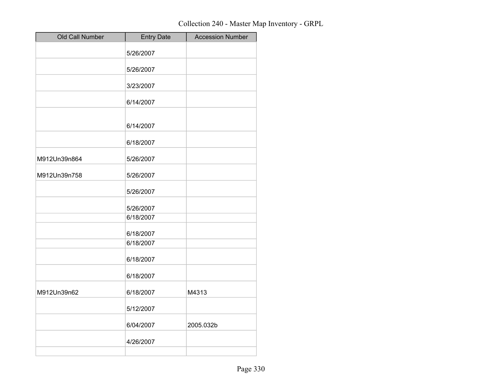| Old Call Number | <b>Entry Date</b> | <b>Accession Number</b> |
|-----------------|-------------------|-------------------------|
|                 | 5/26/2007         |                         |
|                 | 5/26/2007         |                         |
|                 |                   |                         |
|                 | 3/23/2007         |                         |
|                 | 6/14/2007         |                         |
|                 | 6/14/2007         |                         |
|                 | 6/18/2007         |                         |
| M912Un39n864    | 5/26/2007         |                         |
| M912Un39n758    | 5/26/2007         |                         |
|                 | 5/26/2007         |                         |
|                 | 5/26/2007         |                         |
|                 | 6/18/2007         |                         |
|                 | 6/18/2007         |                         |
|                 | 6/18/2007         |                         |
|                 | 6/18/2007         |                         |
|                 | 6/18/2007         |                         |
| M912Un39n62     | 6/18/2007         | M4313                   |
|                 | 5/12/2007         |                         |
|                 | 6/04/2007         | 2005.032b               |
|                 | 4/26/2007         |                         |
|                 |                   |                         |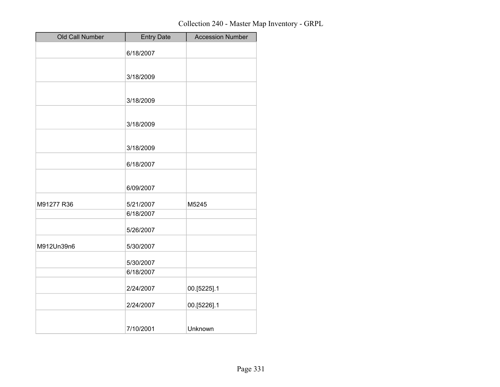| Old Call Number | <b>Entry Date</b> | <b>Accession Number</b> |
|-----------------|-------------------|-------------------------|
|                 | 6/18/2007         |                         |
|                 |                   |                         |
|                 | 3/18/2009         |                         |
|                 |                   |                         |
|                 | 3/18/2009         |                         |
|                 | 3/18/2009         |                         |
|                 |                   |                         |
|                 | 3/18/2009         |                         |
|                 | 6/18/2007         |                         |
|                 |                   |                         |
|                 | 6/09/2007         |                         |
| M91277 R36      | 5/21/2007         | M5245                   |
|                 | 6/18/2007         |                         |
|                 | 5/26/2007         |                         |
| M912Un39n6      | 5/30/2007         |                         |
|                 | 5/30/2007         |                         |
|                 | 6/18/2007         |                         |
|                 | 2/24/2007         | 00.[5225].1             |
|                 | 2/24/2007         | 00.[5226].1             |
|                 | 7/10/2001         | Unknown                 |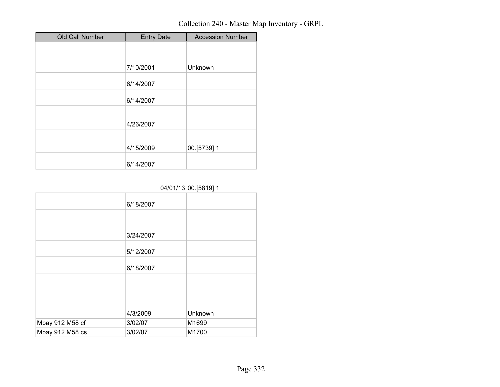| Old Call Number | <b>Entry Date</b> | <b>Accession Number</b> |
|-----------------|-------------------|-------------------------|
|                 |                   |                         |
|                 |                   |                         |
|                 | 7/10/2001         | Unknown                 |
|                 | 6/14/2007         |                         |
|                 | 6/14/2007         |                         |
|                 | 4/26/2007         |                         |
|                 | 4/15/2009         | 00.[5739].1             |
|                 | 6/14/2007         |                         |

### 04/01/13 00.[5819].1

| 6/18/2007 |         |
|-----------|---------|
|           |         |
| 3/24/2007 |         |
| 5/12/2007 |         |
| 6/18/2007 |         |
|           |         |
|           |         |
| 4/3/2009  | Unknown |
| 3/02/07   | M1699   |
| 3/02/07   | M1700   |
|           |         |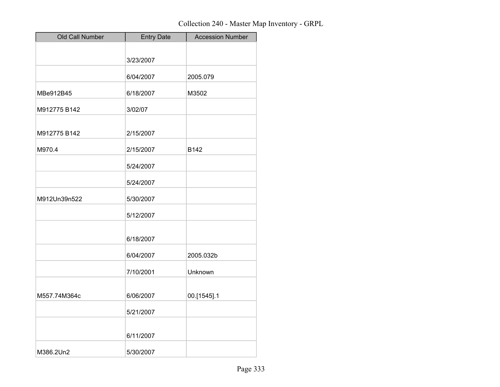| Old Call Number | <b>Entry Date</b> | <b>Accession Number</b> |
|-----------------|-------------------|-------------------------|
|                 |                   |                         |
|                 | 3/23/2007         |                         |
|                 | 6/04/2007         | 2005.079                |
| MBe912B45       | 6/18/2007         | M3502                   |
| M912775 B142    | 3/02/07           |                         |
| M912775 B142    | 2/15/2007         |                         |
| M970.4          | 2/15/2007         | B142                    |
|                 | 5/24/2007         |                         |
|                 | 5/24/2007         |                         |
| M912Un39n522    | 5/30/2007         |                         |
|                 | 5/12/2007         |                         |
|                 | 6/18/2007         |                         |
|                 | 6/04/2007         | 2005.032b               |
|                 | 7/10/2001         | Unknown                 |
| M557.74M364c    | 6/06/2007         | 00.[1545].1             |
|                 | 5/21/2007         |                         |
|                 | 6/11/2007         |                         |
| M386.2Un2       | 5/30/2007         |                         |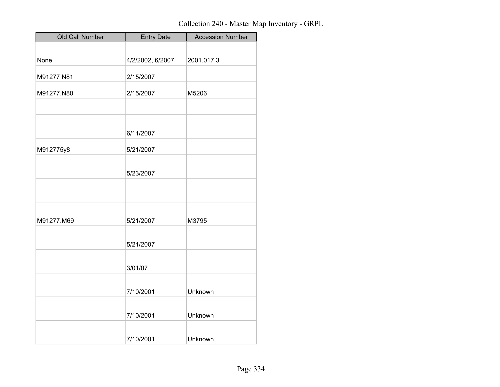| Old Call Number | <b>Entry Date</b> | <b>Accession Number</b> |
|-----------------|-------------------|-------------------------|
|                 |                   |                         |
| None            | 4/2/2002, 6/2007  | 2001.017.3              |
| M91277 N81      | 2/15/2007         |                         |
| M91277.N80      | 2/15/2007         | M5206                   |
|                 |                   |                         |
|                 |                   |                         |
|                 | 6/11/2007         |                         |
| M912775y8       | 5/21/2007         |                         |
|                 | 5/23/2007         |                         |
|                 |                   |                         |
|                 |                   |                         |
| M91277.M69      | 5/21/2007         | M3795                   |
|                 | 5/21/2007         |                         |
|                 |                   |                         |
|                 | 3/01/07           |                         |
|                 | 7/10/2001         | Unknown                 |
|                 | 7/10/2001         | Unknown                 |
|                 |                   |                         |
|                 | 7/10/2001         | Unknown                 |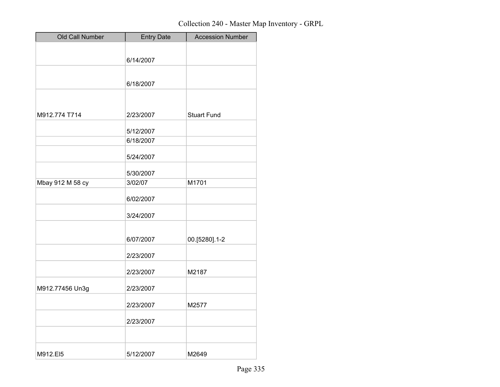| Old Call Number  | <b>Entry Date</b> | <b>Accession Number</b> |
|------------------|-------------------|-------------------------|
|                  |                   |                         |
|                  | 6/14/2007         |                         |
|                  |                   |                         |
|                  | 6/18/2007         |                         |
|                  |                   |                         |
|                  |                   |                         |
| M912.774 T714    | 2/23/2007         | <b>Stuart Fund</b>      |
|                  | 5/12/2007         |                         |
|                  | 6/18/2007         |                         |
|                  | 5/24/2007         |                         |
|                  | 5/30/2007         |                         |
| Mbay 912 M 58 cy | 3/02/07           | M1701                   |
|                  | 6/02/2007         |                         |
|                  | 3/24/2007         |                         |
|                  | 6/07/2007         | 00.[5280].1-2           |
|                  | 2/23/2007         |                         |
|                  | 2/23/2007         | M2187                   |
| M912.77456 Un3g  | 2/23/2007         |                         |
|                  | 2/23/2007         | M2577                   |
|                  | 2/23/2007         |                         |
|                  |                   |                         |
| M912.EI5         | 5/12/2007         | M2649                   |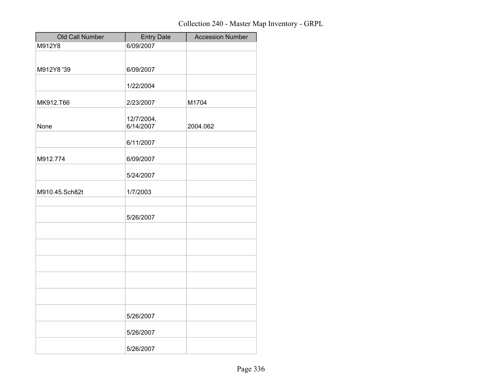| Old Call Number | <b>Entry Date</b> | <b>Accession Number</b> |
|-----------------|-------------------|-------------------------|
| M912Y8          | 6/09/2007         |                         |
|                 |                   |                         |
| M912Y8 '39      | 6/09/2007         |                         |
|                 |                   |                         |
|                 | 1/22/2004         |                         |
|                 |                   |                         |
| MK912.T66       | 2/23/2007         | M1704                   |
|                 | 12/7/2004,        |                         |
| None            | 6/14/2007         | 2004.062                |
|                 |                   |                         |
|                 | 6/11/2007         |                         |
| M912.774        | 6/09/2007         |                         |
|                 |                   |                         |
|                 | 5/24/2007         |                         |
|                 |                   |                         |
| M910.45.Sch82t  | 1/7/2003          |                         |
|                 |                   |                         |
|                 | 5/26/2007         |                         |
|                 |                   |                         |
|                 |                   |                         |
|                 |                   |                         |
|                 |                   |                         |
|                 |                   |                         |
|                 |                   |                         |
|                 |                   |                         |
|                 |                   |                         |
|                 |                   |                         |
|                 | 5/26/2007         |                         |
|                 |                   |                         |
|                 | 5/26/2007         |                         |
|                 |                   |                         |
|                 | 5/26/2007         |                         |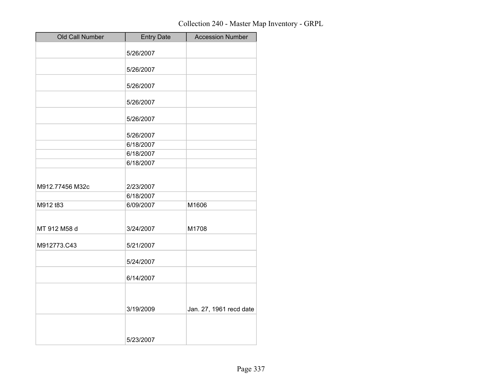| Old Call Number | <b>Entry Date</b> | <b>Accession Number</b> |
|-----------------|-------------------|-------------------------|
|                 | 5/26/2007         |                         |
|                 | 5/26/2007         |                         |
|                 | 5/26/2007         |                         |
|                 | 5/26/2007         |                         |
|                 | 5/26/2007         |                         |
|                 | 5/26/2007         |                         |
|                 | 6/18/2007         |                         |
|                 | 6/18/2007         |                         |
|                 | 6/18/2007         |                         |
| M912.77456 M32c | 2/23/2007         |                         |
|                 | 6/18/2007         |                         |
| M912 t83        | 6/09/2007         | M1606                   |
| MT 912 M58 d    | 3/24/2007         | M1708                   |
| M912773.C43     | 5/21/2007         |                         |
|                 | 5/24/2007         |                         |
|                 | 6/14/2007         |                         |
|                 | 3/19/2009         | Jan. 27, 1961 recd date |
|                 | 5/23/2007         |                         |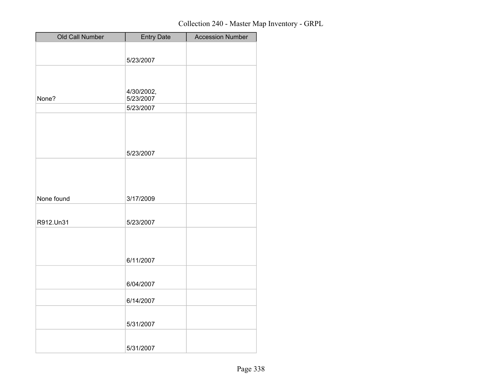| Old Call Number | <b>Entry Date</b>       | <b>Accession Number</b> |
|-----------------|-------------------------|-------------------------|
|                 |                         |                         |
|                 | 5/23/2007               |                         |
|                 |                         |                         |
|                 |                         |                         |
| None?           | 4/30/2002,<br>5/23/2007 |                         |
|                 | 5/23/2007               |                         |
|                 |                         |                         |
|                 |                         |                         |
|                 |                         |                         |
|                 | 5/23/2007               |                         |
|                 |                         |                         |
|                 |                         |                         |
|                 |                         |                         |
| None found      | 3/17/2009               |                         |
|                 |                         |                         |
| R912.Un31       | 5/23/2007               |                         |
|                 |                         |                         |
|                 |                         |                         |
|                 | 6/11/2007               |                         |
|                 |                         |                         |
|                 | 6/04/2007               |                         |
|                 |                         |                         |
|                 | 6/14/2007               |                         |
|                 |                         |                         |
|                 | 5/31/2007               |                         |
|                 |                         |                         |
|                 | 5/31/2007               |                         |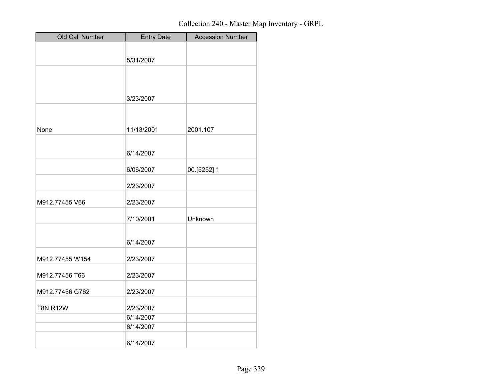| Old Call Number | <b>Entry Date</b>      | <b>Accession Number</b> |
|-----------------|------------------------|-------------------------|
|                 |                        |                         |
|                 | 5/31/2007              |                         |
|                 |                        |                         |
|                 |                        |                         |
|                 |                        |                         |
|                 | 3/23/2007              |                         |
|                 |                        |                         |
| None            | 11/13/2001             | 2001.107                |
|                 |                        |                         |
|                 | 6/14/2007              |                         |
|                 |                        |                         |
|                 | 6/06/2007              | 00.[5252].1             |
|                 | 2/23/2007              |                         |
| M912.77455 V66  | 2/23/2007              |                         |
|                 | 7/10/2001              | Unknown                 |
|                 |                        |                         |
|                 | 6/14/2007              |                         |
| M912.77455 W154 | 2/23/2007              |                         |
| M912.77456 T66  | 2/23/2007              |                         |
| M912.77456 G762 | 2/23/2007              |                         |
|                 |                        |                         |
| <b>T8N R12W</b> | 2/23/2007<br>6/14/2007 |                         |
|                 | 6/14/2007              |                         |
|                 |                        |                         |
|                 | 6/14/2007              |                         |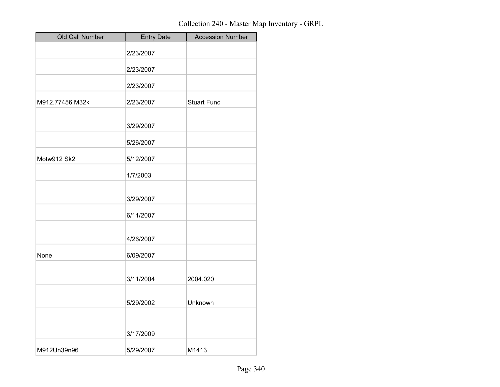| Old Call Number | <b>Entry Date</b> | <b>Accession Number</b> |
|-----------------|-------------------|-------------------------|
|                 | 2/23/2007         |                         |
|                 | 2/23/2007         |                         |
|                 | 2/23/2007         |                         |
| M912.77456 M32k | 2/23/2007         | <b>Stuart Fund</b>      |
|                 | 3/29/2007         |                         |
|                 | 5/26/2007         |                         |
| Motw912 Sk2     | 5/12/2007         |                         |
|                 | 1/7/2003          |                         |
|                 | 3/29/2007         |                         |
|                 | 6/11/2007         |                         |
|                 | 4/26/2007         |                         |
| None            | 6/09/2007         |                         |
|                 | 3/11/2004         | 2004.020                |
|                 | 5/29/2002         | Unknown                 |
|                 | 3/17/2009         |                         |
| M912Un39n96     | 5/29/2007         | M1413                   |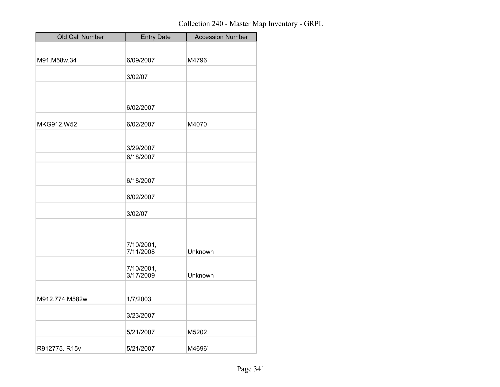| Old Call Number | <b>Entry Date</b> | <b>Accession Number</b> |
|-----------------|-------------------|-------------------------|
|                 |                   |                         |
| M91.M58w.34     | 6/09/2007         | M4796                   |
|                 | 3/02/07           |                         |
|                 |                   |                         |
|                 |                   |                         |
|                 | 6/02/2007         |                         |
| MKG912.W52      | 6/02/2007         | M4070                   |
|                 |                   |                         |
|                 | 3/29/2007         |                         |
|                 | 6/18/2007         |                         |
|                 |                   |                         |
|                 | 6/18/2007         |                         |
|                 | 6/02/2007         |                         |
|                 | 3/02/07           |                         |
|                 |                   |                         |
|                 | 7/10/2001,        |                         |
|                 | 7/11/2008         | Unknown                 |
|                 | 7/10/2001,        |                         |
|                 | 3/17/2009         | Unknown                 |
|                 |                   |                         |
| M912.774.M582w  | 1/7/2003          |                         |
|                 | 3/23/2007         |                         |
|                 | 5/21/2007         | M5202                   |
| R912775. R15v   | 5/21/2007         | M4696`                  |